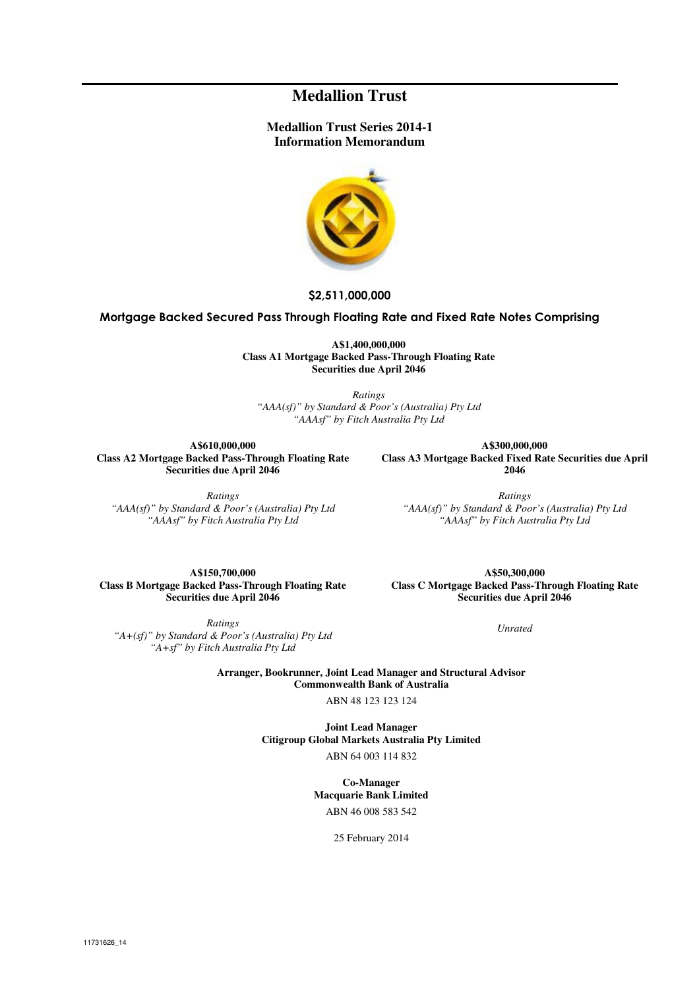## **Medallion Trust**

#### **Medallion Trust Series 2014-1 Information Memorandum**



**\$2,511,000,000**

#### **Mortgage Backed Secured Pass Through Floating Rate and Fixed Rate Notes Comprising**

**A\$1,400,000,000 Class A1 Mortgage Backed Pass-Through Floating Rate Securities due April 2046** 

*Ratings "AAA(sf)" by Standard & Poor's (Australia) Pty Ltd "AAAsf" by Fitch Australia Pty Ltd*

**A\$610,000,000 Class A2 Mortgage Backed Pass-Through Floating Rate Securities due April 2046** 

*Ratings "AAA(sf)" by Standard & Poor's (Australia) Pty Ltd "AAAsf" by Fitch Australia Pty Ltd*

**A\$300,000,000 Class A3 Mortgage Backed Fixed Rate Securities due April 2046** 

*Ratings "AAA(sf)" by Standard & Poor's (Australia) Pty Ltd "AAAsf" by Fitch Australia Pty Ltd*

**A\$150,700,000 Class B Mortgage Backed Pass-Through Floating Rate Securities due April 2046** 

**A\$50,300,000 Class C Mortgage Backed Pass-Through Floating Rate Securities due April 2046** 

*Ratings "A+(sf)" by Standard & Poor's (Australia) Pty Ltd "A+sf" by Fitch Australia Pty Ltd*

*Unrated*

**Arranger, Bookrunner, Joint Lead Manager and Structural Advisor Commonwealth Bank of Australia** 

ABN 48 123 123 124

**Joint Lead Manager Citigroup Global Markets Australia Pty Limited** 

ABN 64 003 114 832

**Co-Manager Macquarie Bank Limited** 

ABN 46 008 583 542

25 February 2014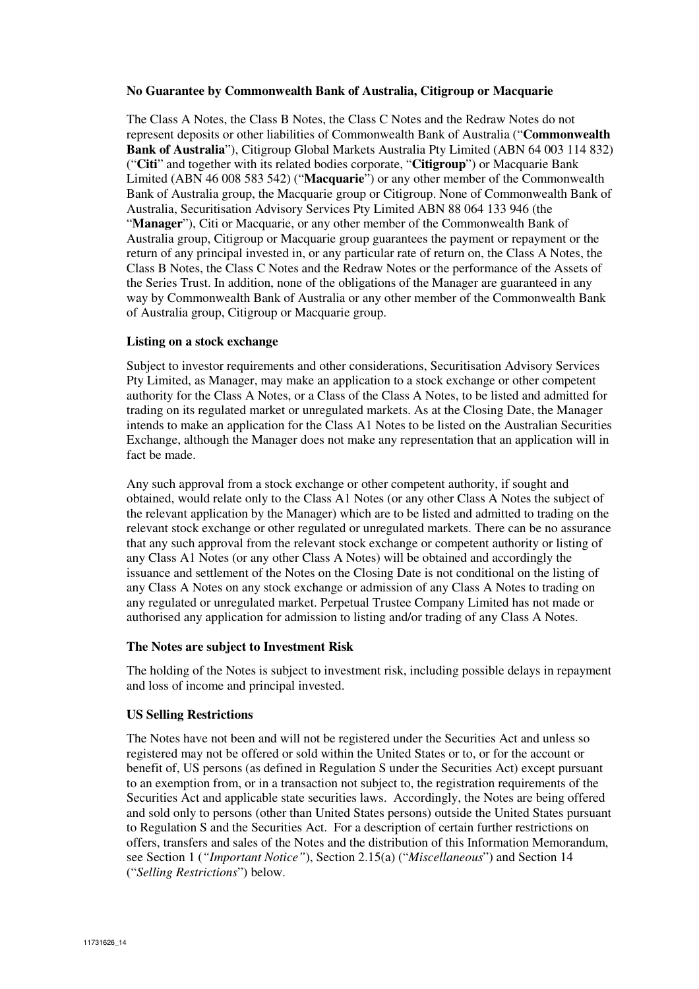#### **No Guarantee by Commonwealth Bank of Australia, Citigroup or Macquarie**

The Class A Notes, the Class B Notes, the Class C Notes and the Redraw Notes do not represent deposits or other liabilities of Commonwealth Bank of Australia ("**Commonwealth Bank of Australia**"), Citigroup Global Markets Australia Pty Limited (ABN 64 003 114 832) ("**Citi**" and together with its related bodies corporate, "**Citigroup**") or Macquarie Bank Limited (ABN 46 008 583 542) ("**Macquarie**") or any other member of the Commonwealth Bank of Australia group, the Macquarie group or Citigroup. None of Commonwealth Bank of Australia, Securitisation Advisory Services Pty Limited ABN 88 064 133 946 (the "**Manager**"), Citi or Macquarie, or any other member of the Commonwealth Bank of Australia group, Citigroup or Macquarie group guarantees the payment or repayment or the return of any principal invested in, or any particular rate of return on, the Class A Notes, the Class B Notes, the Class C Notes and the Redraw Notes or the performance of the Assets of the Series Trust. In addition, none of the obligations of the Manager are guaranteed in any way by Commonwealth Bank of Australia or any other member of the Commonwealth Bank of Australia group, Citigroup or Macquarie group.

#### **Listing on a stock exchange**

Subject to investor requirements and other considerations, Securitisation Advisory Services Pty Limited, as Manager, may make an application to a stock exchange or other competent authority for the Class A Notes, or a Class of the Class A Notes, to be listed and admitted for trading on its regulated market or unregulated markets. As at the Closing Date, the Manager intends to make an application for the Class A1 Notes to be listed on the Australian Securities Exchange, although the Manager does not make any representation that an application will in fact be made.

Any such approval from a stock exchange or other competent authority, if sought and obtained, would relate only to the Class A1 Notes (or any other Class A Notes the subject of the relevant application by the Manager) which are to be listed and admitted to trading on the relevant stock exchange or other regulated or unregulated markets. There can be no assurance that any such approval from the relevant stock exchange or competent authority or listing of any Class A1 Notes (or any other Class A Notes) will be obtained and accordingly the issuance and settlement of the Notes on the Closing Date is not conditional on the listing of any Class A Notes on any stock exchange or admission of any Class A Notes to trading on any regulated or unregulated market. Perpetual Trustee Company Limited has not made or authorised any application for admission to listing and/or trading of any Class A Notes.

#### **The Notes are subject to Investment Risk**

The holding of the Notes is subject to investment risk, including possible delays in repayment and loss of income and principal invested.

#### **US Selling Restrictions**

The Notes have not been and will not be registered under the Securities Act and unless so registered may not be offered or sold within the United States or to, or for the account or benefit of, US persons (as defined in Regulation S under the Securities Act) except pursuant to an exemption from, or in a transaction not subject to, the registration requirements of the Securities Act and applicable state securities laws. Accordingly, the Notes are being offered and sold only to persons (other than United States persons) outside the United States pursuant to Regulation S and the Securities Act. For a description of certain further restrictions on offers, transfers and sales of the Notes and the distribution of this Information Memorandum, see Section 1 (*"Important Notice"*), Section 2.15(a) ("*Miscellaneous*") and Section 14 ("*Selling Restrictions*") below.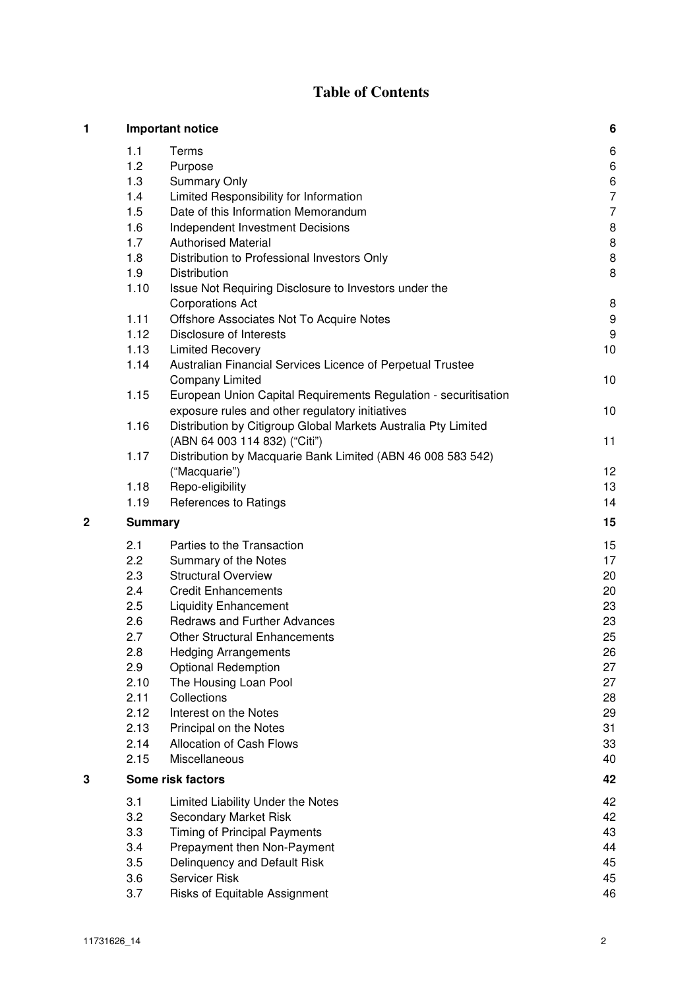# **Table of Contents**

| 1 |                | Important notice                                                | 6              |
|---|----------------|-----------------------------------------------------------------|----------------|
|   | 1.1            | Terms                                                           | 6              |
|   | 1.2            | Purpose                                                         | 6              |
|   | 1.3            | <b>Summary Only</b>                                             | 6              |
|   | 1.4            | Limited Responsibility for Information                          | $\overline{7}$ |
|   | 1.5            | Date of this Information Memorandum                             | $\overline{7}$ |
|   | 1.6            | Independent Investment Decisions                                | 8              |
|   | 1.7            | <b>Authorised Material</b>                                      | 8              |
|   | 1.8            | Distribution to Professional Investors Only                     | 8              |
|   | 1.9            | <b>Distribution</b>                                             | 8              |
|   | 1.10           | Issue Not Requiring Disclosure to Investors under the           |                |
|   |                | <b>Corporations Act</b>                                         | 8              |
|   | 1.11           | Offshore Associates Not To Acquire Notes                        | 9              |
|   | 1.12           | Disclosure of Interests                                         | 9              |
|   | 1.13           | <b>Limited Recovery</b>                                         | 10             |
|   | 1.14           | Australian Financial Services Licence of Perpetual Trustee      |                |
|   |                | <b>Company Limited</b>                                          | 10             |
|   | 1.15           | European Union Capital Requirements Regulation - securitisation |                |
|   |                | exposure rules and other regulatory initiatives                 | 10             |
|   | 1.16           | Distribution by Citigroup Global Markets Australia Pty Limited  |                |
|   |                | (ABN 64 003 114 832) ("Citi")                                   | 11             |
|   | 1.17           | Distribution by Macquarie Bank Limited (ABN 46 008 583 542)     |                |
|   |                | ("Macquarie")                                                   | 12             |
|   | 1.18           | Repo-eligibility                                                | 13             |
|   | 1.19           | References to Ratings                                           | 14             |
| 2 | <b>Summary</b> |                                                                 | 15             |
|   | 2.1            | Parties to the Transaction                                      | 15             |
|   | 2.2            | Summary of the Notes                                            | 17             |
|   | 2.3            | <b>Structural Overview</b>                                      | 20             |
|   | 2.4            | <b>Credit Enhancements</b>                                      | 20             |
|   | 2.5            | <b>Liquidity Enhancement</b>                                    | 23             |
|   | 2.6            | <b>Redraws and Further Advances</b>                             | 23             |
|   | 2.7            | <b>Other Structural Enhancements</b>                            | 25             |
|   | 2.8            | <b>Hedging Arrangements</b>                                     | 26             |
|   | 2.9            | <b>Optional Redemption</b>                                      | 27             |
|   | 2.10           | The Housing Loan Pool                                           | 27             |
|   | 2.11           | Collections                                                     | 28             |
|   | 2.12           | Interest on the Notes                                           | 29             |
|   | 2.13           | Principal on the Notes                                          | 31             |
|   | 2.14           | Allocation of Cash Flows                                        | 33             |
|   | 2.15           | Miscellaneous                                                   | 40             |
| 3 |                | Some risk factors                                               | 42             |
|   |                |                                                                 |                |
|   | 3.1            | Limited Liability Under the Notes                               | 42             |
|   | 3.2            | Secondary Market Risk                                           | 42<br>43       |
|   | 3.3            | <b>Timing of Principal Payments</b>                             | 44             |
|   | 3.4            | Prepayment then Non-Payment                                     |                |
|   | 3.5            | Delinquency and Default Risk<br>Servicer Risk                   | 45<br>45       |
|   | 3.6            |                                                                 |                |
|   | 3.7            | Risks of Equitable Assignment                                   | 46             |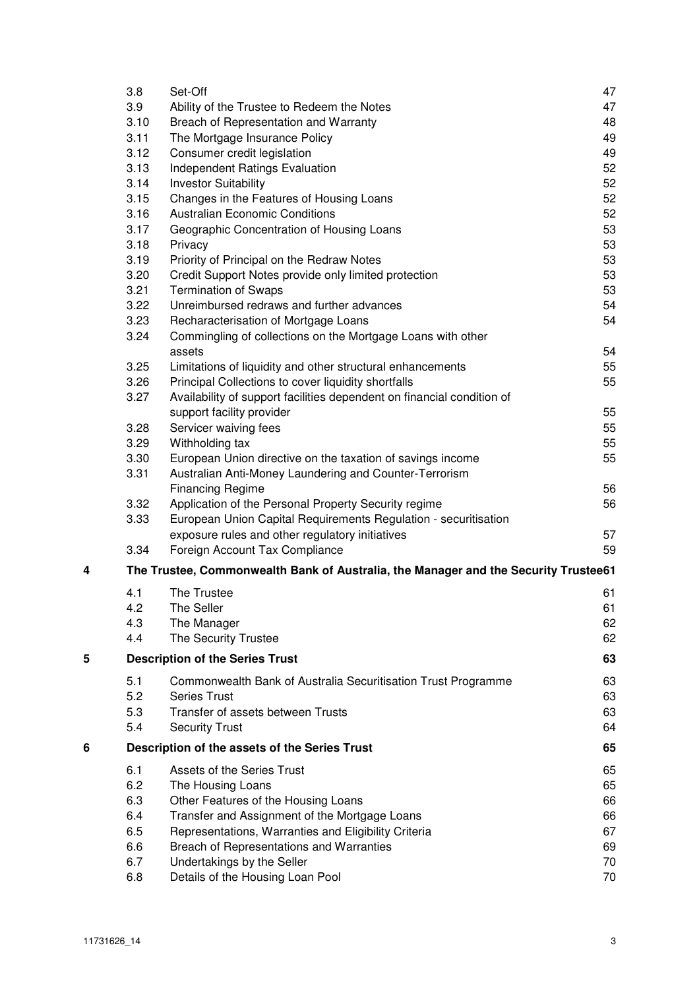|   | 3.8          | Set-Off                                                                             | 47 |
|---|--------------|-------------------------------------------------------------------------------------|----|
|   | 3.9          | Ability of the Trustee to Redeem the Notes                                          | 47 |
|   | 3.10         | Breach of Representation and Warranty                                               | 48 |
|   | 3.11         | The Mortgage Insurance Policy                                                       | 49 |
|   | 3.12         | Consumer credit legislation                                                         | 49 |
|   | 3.13         | Independent Ratings Evaluation                                                      | 52 |
|   | 3.14         | <b>Investor Suitability</b>                                                         | 52 |
|   | 3.15         | Changes in the Features of Housing Loans                                            | 52 |
|   | 3.16         | <b>Australian Economic Conditions</b>                                               | 52 |
|   | 3.17         | Geographic Concentration of Housing Loans                                           | 53 |
|   | 3.18         | Privacy                                                                             | 53 |
|   | 3.19         | Priority of Principal on the Redraw Notes                                           | 53 |
|   | 3.20         | Credit Support Notes provide only limited protection                                | 53 |
|   | 3.21         | <b>Termination of Swaps</b>                                                         | 53 |
|   | 3.22         | Unreimbursed redraws and further advances                                           | 54 |
|   | 3.23         | Recharacterisation of Mortgage Loans                                                | 54 |
|   | 3.24         | Commingling of collections on the Mortgage Loans with other                         |    |
|   |              | assets                                                                              | 54 |
|   | 3.25         | Limitations of liquidity and other structural enhancements                          | 55 |
|   | 3.26         | Principal Collections to cover liquidity shortfalls                                 | 55 |
|   | 3.27         | Availability of support facilities dependent on financial condition of              |    |
|   |              | support facility provider                                                           | 55 |
|   | 3.28<br>3.29 | Servicer waiving fees                                                               | 55 |
|   | 3.30         | Withholding tax                                                                     | 55 |
|   | 3.31         | European Union directive on the taxation of savings income                          | 55 |
|   |              | Australian Anti-Money Laundering and Counter-Terrorism<br><b>Financing Regime</b>   | 56 |
|   | 3.32         | Application of the Personal Property Security regime                                | 56 |
|   | 3.33         | European Union Capital Requirements Regulation - securitisation                     |    |
|   |              | exposure rules and other regulatory initiatives                                     | 57 |
|   | 3.34         | Foreign Account Tax Compliance                                                      | 59 |
|   |              |                                                                                     |    |
| 4 |              | The Trustee, Commonwealth Bank of Australia, the Manager and the Security Trustee61 |    |
|   | 4.1          | The Trustee                                                                         | 61 |
|   | 4.2          | The Seller                                                                          | 61 |
|   | 4.3          | The Manager                                                                         | 62 |
|   | 4.4          | The Security Trustee                                                                | 62 |
| 5 |              | <b>Description of the Series Trust</b>                                              | 63 |
|   | 5.1          | Commonwealth Bank of Australia Securitisation Trust Programme                       | 63 |
|   | 5.2          | <b>Series Trust</b>                                                                 | 63 |
|   | 5.3          | Transfer of assets between Trusts                                                   | 63 |
|   | 5.4          | <b>Security Trust</b>                                                               | 64 |
|   |              |                                                                                     |    |
| 6 |              | Description of the assets of the Series Trust                                       | 65 |
|   | 6.1          | Assets of the Series Trust                                                          | 65 |
|   | 6.2          | The Housing Loans                                                                   | 65 |
|   | 6.3          | Other Features of the Housing Loans                                                 | 66 |
|   | 6.4          | Transfer and Assignment of the Mortgage Loans                                       | 66 |
|   | 6.5          | Representations, Warranties and Eligibility Criteria                                | 67 |
|   | 6.6          | Breach of Representations and Warranties                                            | 69 |
|   | 6.7          | Undertakings by the Seller                                                          | 70 |
|   | 6.8          | Details of the Housing Loan Pool                                                    | 70 |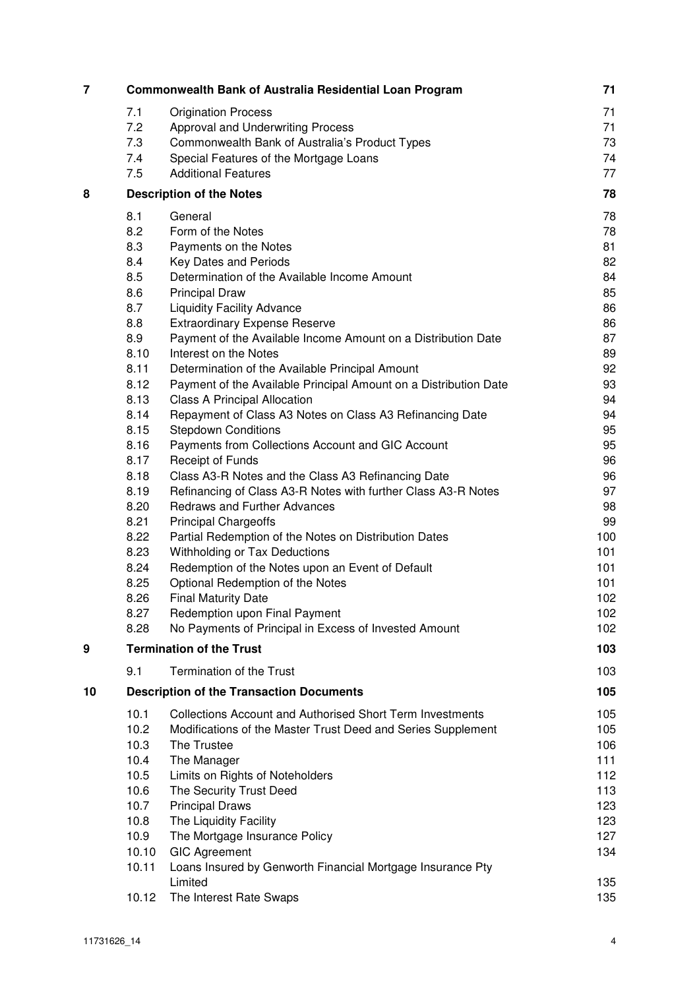| 7  |       | <b>Commonwealth Bank of Australia Residential Loan Program</b>        | 71  |
|----|-------|-----------------------------------------------------------------------|-----|
|    | 7.1   | <b>Origination Process</b>                                            | 71  |
|    | 7.2   | Approval and Underwriting Process                                     | 71  |
|    | 7.3   | Commonwealth Bank of Australia's Product Types                        | 73  |
|    | 7.4   | Special Features of the Mortgage Loans                                | 74  |
|    | 7.5   | <b>Additional Features</b>                                            | 77  |
| 8  |       | <b>Description of the Notes</b>                                       | 78  |
|    | 8.1   | General                                                               | 78  |
|    | 8.2   | Form of the Notes                                                     | 78  |
|    | 8.3   | Payments on the Notes                                                 | 81  |
|    | 8.4   | Key Dates and Periods                                                 | 82  |
|    | 8.5   | Determination of the Available Income Amount                          | 84  |
|    | 8.6   | <b>Principal Draw</b>                                                 | 85  |
|    | 8.7   | <b>Liquidity Facility Advance</b>                                     | 86  |
|    | 8.8   | <b>Extraordinary Expense Reserve</b>                                  | 86  |
|    | 8.9   | Payment of the Available Income Amount on a Distribution Date         | 87  |
|    | 8.10  | Interest on the Notes                                                 | 89  |
|    | 8.11  | Determination of the Available Principal Amount                       | 92  |
|    | 8.12  | Payment of the Available Principal Amount on a Distribution Date      | 93  |
|    | 8.13  | <b>Class A Principal Allocation</b>                                   | 94  |
|    | 8.14  | Repayment of Class A3 Notes on Class A3 Refinancing Date              | 94  |
|    | 8.15  | <b>Stepdown Conditions</b>                                            | 95  |
|    | 8.16  | Payments from Collections Account and GIC Account                     | 95  |
|    | 8.17  | Receipt of Funds                                                      | 96  |
|    | 8.18  | Class A3-R Notes and the Class A3 Refinancing Date                    | 96  |
|    | 8.19  | Refinancing of Class A3-R Notes with further Class A3-R Notes         | 97  |
|    | 8.20  | <b>Redraws and Further Advances</b>                                   | 98  |
|    | 8.21  | <b>Principal Chargeoffs</b>                                           | 99  |
|    | 8.22  | Partial Redemption of the Notes on Distribution Dates                 | 100 |
|    | 8.23  | Withholding or Tax Deductions                                         | 101 |
|    | 8.24  | Redemption of the Notes upon an Event of Default                      | 101 |
|    | 8.25  | Optional Redemption of the Notes                                      | 101 |
|    | 8.26  | <b>Final Maturity Date</b>                                            | 102 |
|    | 8.27  | Redemption upon Final Payment                                         | 102 |
|    | 8.28  | No Payments of Principal in Excess of Invested Amount                 | 102 |
| 9  |       | <b>Termination of the Trust</b>                                       | 103 |
|    | 9.1   | <b>Termination of the Trust</b>                                       | 103 |
| 10 |       | <b>Description of the Transaction Documents</b>                       | 105 |
|    | 10.1  | <b>Collections Account and Authorised Short Term Investments</b>      | 105 |
|    | 10.2  | Modifications of the Master Trust Deed and Series Supplement          | 105 |
|    | 10.3  | The Trustee                                                           | 106 |
|    | 10.4  | The Manager                                                           | 111 |
|    | 10.5  | Limits on Rights of Noteholders                                       | 112 |
|    | 10.6  | The Security Trust Deed                                               | 113 |
|    | 10.7  | <b>Principal Draws</b>                                                | 123 |
|    | 10.8  | The Liquidity Facility                                                | 123 |
|    | 10.9  | The Mortgage Insurance Policy                                         | 127 |
|    | 10.10 | <b>GIC Agreement</b>                                                  | 134 |
|    | 10.11 | Loans Insured by Genworth Financial Mortgage Insurance Pty<br>Limited | 135 |
|    | 10.12 | The Interest Rate Swaps                                               | 135 |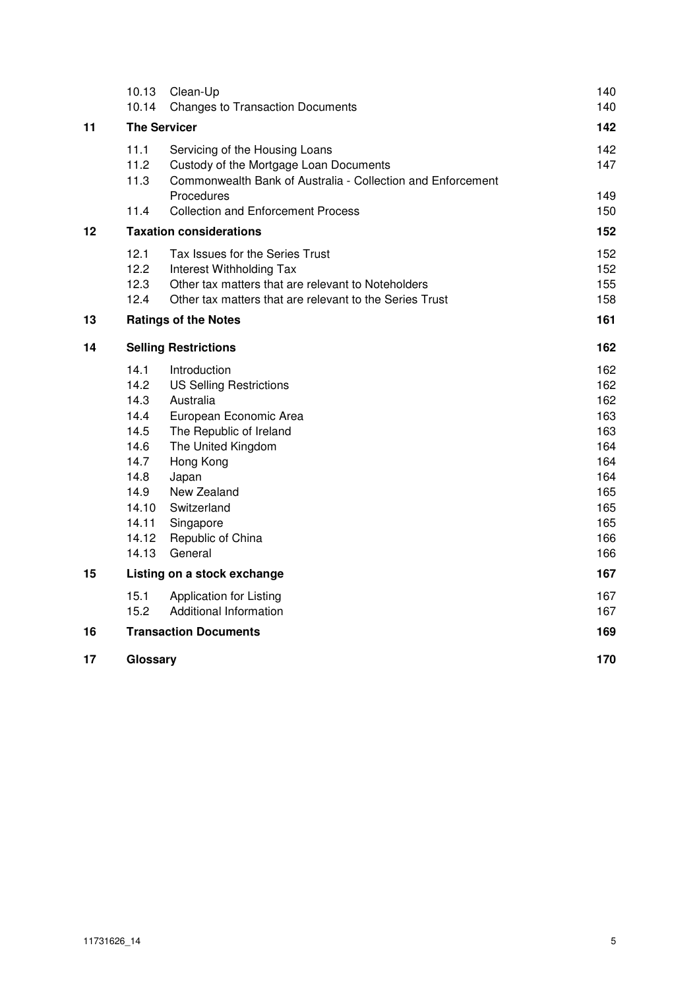| 10.13 | Clean-Up                                                                                         | 140                                                                                                                                                                                                                                                                                                                                                                                                                                                                                                                                           |
|-------|--------------------------------------------------------------------------------------------------|-----------------------------------------------------------------------------------------------------------------------------------------------------------------------------------------------------------------------------------------------------------------------------------------------------------------------------------------------------------------------------------------------------------------------------------------------------------------------------------------------------------------------------------------------|
|       |                                                                                                  | 140                                                                                                                                                                                                                                                                                                                                                                                                                                                                                                                                           |
|       |                                                                                                  | 142                                                                                                                                                                                                                                                                                                                                                                                                                                                                                                                                           |
| 11.1  | Servicing of the Housing Loans                                                                   | 142                                                                                                                                                                                                                                                                                                                                                                                                                                                                                                                                           |
| 11.2  | Custody of the Mortgage Loan Documents                                                           | 147                                                                                                                                                                                                                                                                                                                                                                                                                                                                                                                                           |
| 11.3  | Commonwealth Bank of Australia - Collection and Enforcement                                      |                                                                                                                                                                                                                                                                                                                                                                                                                                                                                                                                               |
|       |                                                                                                  | 149                                                                                                                                                                                                                                                                                                                                                                                                                                                                                                                                           |
|       |                                                                                                  | 150                                                                                                                                                                                                                                                                                                                                                                                                                                                                                                                                           |
|       |                                                                                                  | 152                                                                                                                                                                                                                                                                                                                                                                                                                                                                                                                                           |
| 12.1  | Tax Issues for the Series Trust                                                                  | 152                                                                                                                                                                                                                                                                                                                                                                                                                                                                                                                                           |
| 12.2  | Interest Withholding Tax                                                                         | 152                                                                                                                                                                                                                                                                                                                                                                                                                                                                                                                                           |
| 12.3  | Other tax matters that are relevant to Noteholders                                               | 155                                                                                                                                                                                                                                                                                                                                                                                                                                                                                                                                           |
|       |                                                                                                  | 158                                                                                                                                                                                                                                                                                                                                                                                                                                                                                                                                           |
|       |                                                                                                  | 161                                                                                                                                                                                                                                                                                                                                                                                                                                                                                                                                           |
|       |                                                                                                  | 162                                                                                                                                                                                                                                                                                                                                                                                                                                                                                                                                           |
| 14.1  | Introduction                                                                                     | 162                                                                                                                                                                                                                                                                                                                                                                                                                                                                                                                                           |
| 14.2  | <b>US Selling Restrictions</b>                                                                   | 162                                                                                                                                                                                                                                                                                                                                                                                                                                                                                                                                           |
| 14.3  |                                                                                                  | 162                                                                                                                                                                                                                                                                                                                                                                                                                                                                                                                                           |
|       |                                                                                                  | 163                                                                                                                                                                                                                                                                                                                                                                                                                                                                                                                                           |
|       |                                                                                                  | 163                                                                                                                                                                                                                                                                                                                                                                                                                                                                                                                                           |
|       |                                                                                                  | 164                                                                                                                                                                                                                                                                                                                                                                                                                                                                                                                                           |
|       |                                                                                                  | 164                                                                                                                                                                                                                                                                                                                                                                                                                                                                                                                                           |
|       |                                                                                                  | 164<br>165                                                                                                                                                                                                                                                                                                                                                                                                                                                                                                                                    |
|       |                                                                                                  | 165                                                                                                                                                                                                                                                                                                                                                                                                                                                                                                                                           |
|       |                                                                                                  | 165                                                                                                                                                                                                                                                                                                                                                                                                                                                                                                                                           |
|       |                                                                                                  | 166                                                                                                                                                                                                                                                                                                                                                                                                                                                                                                                                           |
| 14.13 | General                                                                                          | 166                                                                                                                                                                                                                                                                                                                                                                                                                                                                                                                                           |
|       |                                                                                                  | 167                                                                                                                                                                                                                                                                                                                                                                                                                                                                                                                                           |
| 15.1  | <b>Application for Listing</b>                                                                   | 167                                                                                                                                                                                                                                                                                                                                                                                                                                                                                                                                           |
| 15.2  | Additional Information                                                                           | 167                                                                                                                                                                                                                                                                                                                                                                                                                                                                                                                                           |
|       |                                                                                                  | 169                                                                                                                                                                                                                                                                                                                                                                                                                                                                                                                                           |
|       |                                                                                                  | 170                                                                                                                                                                                                                                                                                                                                                                                                                                                                                                                                           |
|       | 10.14<br>11.4<br>12.4<br>14.4<br>14.5<br>14.6<br>14.7<br>14.8<br>14.9<br>14.10<br>14.11<br>14.12 | <b>Changes to Transaction Documents</b><br><b>The Servicer</b><br>Procedures<br><b>Collection and Enforcement Process</b><br><b>Taxation considerations</b><br>Other tax matters that are relevant to the Series Trust<br><b>Ratings of the Notes</b><br><b>Selling Restrictions</b><br>Australia<br>European Economic Area<br>The Republic of Ireland<br>The United Kingdom<br>Hong Kong<br>Japan<br>New Zealand<br>Switzerland<br>Singapore<br>Republic of China<br>Listing on a stock exchange<br><b>Transaction Documents</b><br>Glossary |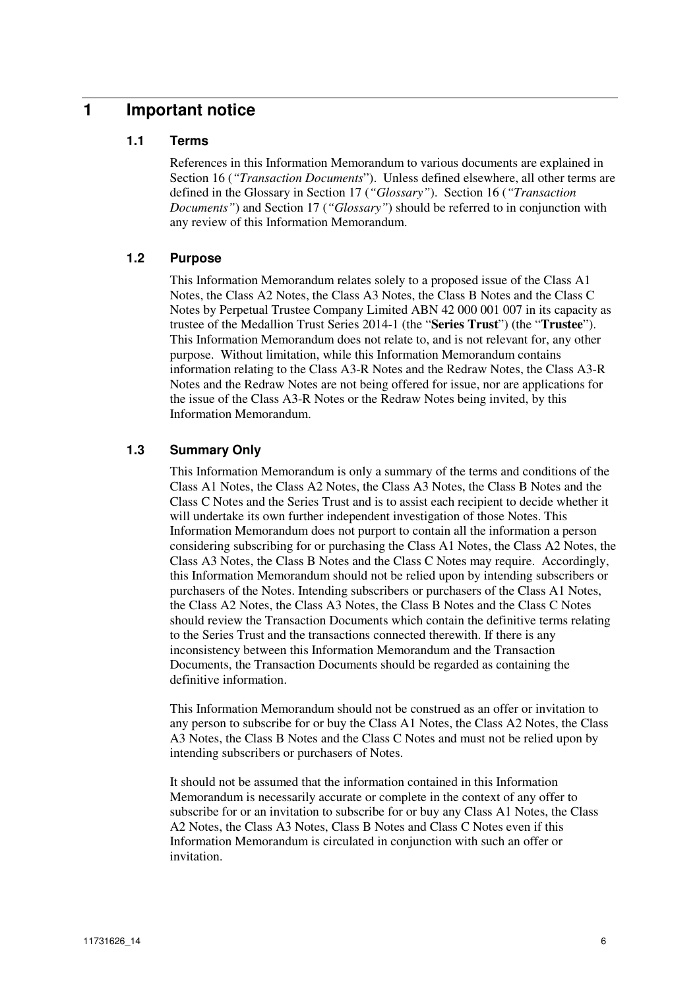# **1 Important notice**

### **1.1 Terms**

References in this Information Memorandum to various documents are explained in Section 16 (*"Transaction Documents*"). Unless defined elsewhere, all other terms are defined in the Glossary in Section 17 (*"Glossary"*). Section 16 (*"Transaction Documents"*) and Section 17 (*"Glossary"*) should be referred to in conjunction with any review of this Information Memorandum.

### **1.2 Purpose**

This Information Memorandum relates solely to a proposed issue of the Class A1 Notes, the Class A2 Notes, the Class A3 Notes, the Class B Notes and the Class C Notes by Perpetual Trustee Company Limited ABN 42 000 001 007 in its capacity as trustee of the Medallion Trust Series 2014-1 (the "**Series Trust**") (the "**Trustee**"). This Information Memorandum does not relate to, and is not relevant for, any other purpose. Without limitation, while this Information Memorandum contains information relating to the Class A3-R Notes and the Redraw Notes, the Class A3-R Notes and the Redraw Notes are not being offered for issue, nor are applications for the issue of the Class A3-R Notes or the Redraw Notes being invited, by this Information Memorandum.

### **1.3 Summary Only**

This Information Memorandum is only a summary of the terms and conditions of the Class A1 Notes, the Class A2 Notes, the Class A3 Notes, the Class B Notes and the Class C Notes and the Series Trust and is to assist each recipient to decide whether it will undertake its own further independent investigation of those Notes. This Information Memorandum does not purport to contain all the information a person considering subscribing for or purchasing the Class A1 Notes, the Class A2 Notes, the Class A3 Notes, the Class B Notes and the Class C Notes may require. Accordingly, this Information Memorandum should not be relied upon by intending subscribers or purchasers of the Notes. Intending subscribers or purchasers of the Class A1 Notes, the Class A2 Notes, the Class A3 Notes, the Class B Notes and the Class C Notes should review the Transaction Documents which contain the definitive terms relating to the Series Trust and the transactions connected therewith. If there is any inconsistency between this Information Memorandum and the Transaction Documents, the Transaction Documents should be regarded as containing the definitive information.

This Information Memorandum should not be construed as an offer or invitation to any person to subscribe for or buy the Class A1 Notes, the Class A2 Notes, the Class A3 Notes, the Class B Notes and the Class C Notes and must not be relied upon by intending subscribers or purchasers of Notes.

It should not be assumed that the information contained in this Information Memorandum is necessarily accurate or complete in the context of any offer to subscribe for or an invitation to subscribe for or buy any Class A1 Notes, the Class A2 Notes, the Class A3 Notes, Class B Notes and Class C Notes even if this Information Memorandum is circulated in conjunction with such an offer or invitation.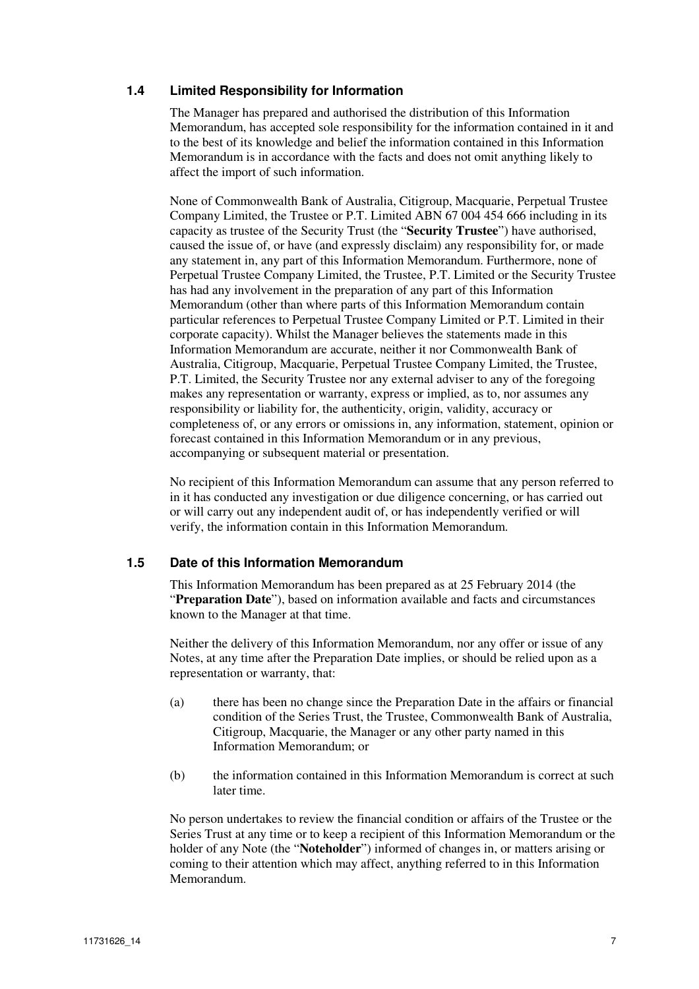### **1.4 Limited Responsibility for Information**

The Manager has prepared and authorised the distribution of this Information Memorandum, has accepted sole responsibility for the information contained in it and to the best of its knowledge and belief the information contained in this Information Memorandum is in accordance with the facts and does not omit anything likely to affect the import of such information.

None of Commonwealth Bank of Australia, Citigroup, Macquarie, Perpetual Trustee Company Limited, the Trustee or P.T. Limited ABN 67 004 454 666 including in its capacity as trustee of the Security Trust (the "**Security Trustee**") have authorised, caused the issue of, or have (and expressly disclaim) any responsibility for, or made any statement in, any part of this Information Memorandum. Furthermore, none of Perpetual Trustee Company Limited, the Trustee, P.T. Limited or the Security Trustee has had any involvement in the preparation of any part of this Information Memorandum (other than where parts of this Information Memorandum contain particular references to Perpetual Trustee Company Limited or P.T. Limited in their corporate capacity). Whilst the Manager believes the statements made in this Information Memorandum are accurate, neither it nor Commonwealth Bank of Australia, Citigroup, Macquarie, Perpetual Trustee Company Limited, the Trustee, P.T. Limited, the Security Trustee nor any external adviser to any of the foregoing makes any representation or warranty, express or implied, as to, nor assumes any responsibility or liability for, the authenticity, origin, validity, accuracy or completeness of, or any errors or omissions in, any information, statement, opinion or forecast contained in this Information Memorandum or in any previous, accompanying or subsequent material or presentation.

No recipient of this Information Memorandum can assume that any person referred to in it has conducted any investigation or due diligence concerning, or has carried out or will carry out any independent audit of, or has independently verified or will verify, the information contain in this Information Memorandum.

### **1.5 Date of this Information Memorandum**

This Information Memorandum has been prepared as at 25 February 2014 (the "**Preparation Date**"), based on information available and facts and circumstances known to the Manager at that time.

Neither the delivery of this Information Memorandum, nor any offer or issue of any Notes, at any time after the Preparation Date implies, or should be relied upon as a representation or warranty, that:

- (a) there has been no change since the Preparation Date in the affairs or financial condition of the Series Trust, the Trustee, Commonwealth Bank of Australia, Citigroup, Macquarie, the Manager or any other party named in this Information Memorandum; or
- (b) the information contained in this Information Memorandum is correct at such later time.

No person undertakes to review the financial condition or affairs of the Trustee or the Series Trust at any time or to keep a recipient of this Information Memorandum or the holder of any Note (the "**Noteholder**") informed of changes in, or matters arising or coming to their attention which may affect, anything referred to in this Information Memorandum.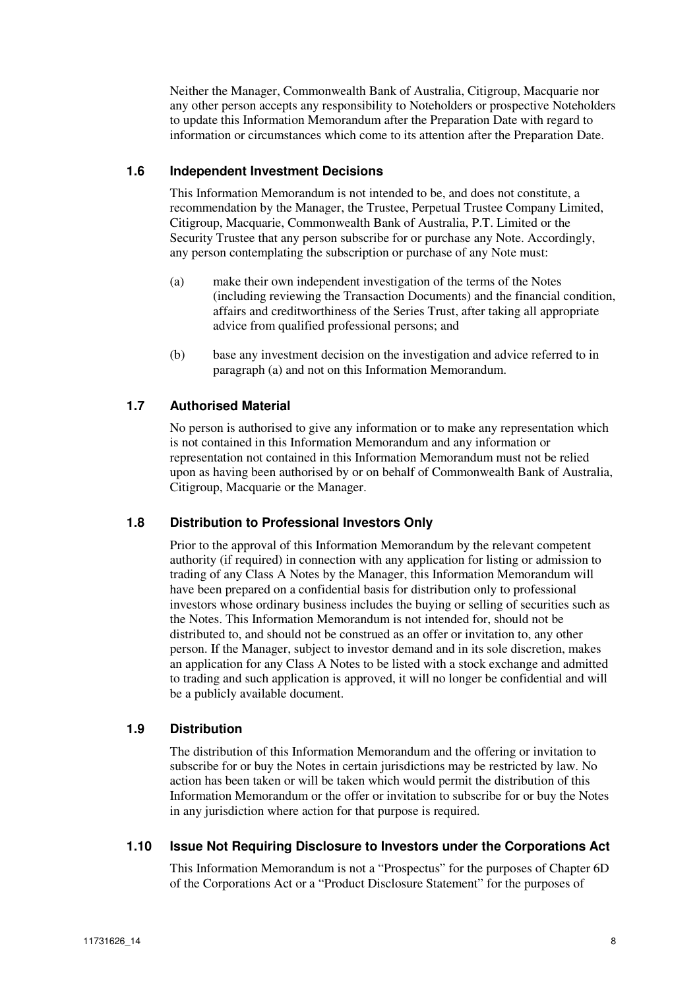Neither the Manager, Commonwealth Bank of Australia, Citigroup, Macquarie nor any other person accepts any responsibility to Noteholders or prospective Noteholders to update this Information Memorandum after the Preparation Date with regard to information or circumstances which come to its attention after the Preparation Date.

### **1.6 Independent Investment Decisions**

This Information Memorandum is not intended to be, and does not constitute, a recommendation by the Manager, the Trustee, Perpetual Trustee Company Limited, Citigroup, Macquarie, Commonwealth Bank of Australia, P.T. Limited or the Security Trustee that any person subscribe for or purchase any Note. Accordingly, any person contemplating the subscription or purchase of any Note must:

- (a) make their own independent investigation of the terms of the Notes (including reviewing the Transaction Documents) and the financial condition, affairs and creditworthiness of the Series Trust, after taking all appropriate advice from qualified professional persons; and
- (b) base any investment decision on the investigation and advice referred to in paragraph (a) and not on this Information Memorandum.

### **1.7 Authorised Material**

No person is authorised to give any information or to make any representation which is not contained in this Information Memorandum and any information or representation not contained in this Information Memorandum must not be relied upon as having been authorised by or on behalf of Commonwealth Bank of Australia, Citigroup, Macquarie or the Manager.

### **1.8 Distribution to Professional Investors Only**

Prior to the approval of this Information Memorandum by the relevant competent authority (if required) in connection with any application for listing or admission to trading of any Class A Notes by the Manager, this Information Memorandum will have been prepared on a confidential basis for distribution only to professional investors whose ordinary business includes the buying or selling of securities such as the Notes. This Information Memorandum is not intended for, should not be distributed to, and should not be construed as an offer or invitation to, any other person. If the Manager, subject to investor demand and in its sole discretion, makes an application for any Class A Notes to be listed with a stock exchange and admitted to trading and such application is approved, it will no longer be confidential and will be a publicly available document.

#### **1.9 Distribution**

The distribution of this Information Memorandum and the offering or invitation to subscribe for or buy the Notes in certain jurisdictions may be restricted by law. No action has been taken or will be taken which would permit the distribution of this Information Memorandum or the offer or invitation to subscribe for or buy the Notes in any jurisdiction where action for that purpose is required.

#### **1.10 Issue Not Requiring Disclosure to Investors under the Corporations Act**

This Information Memorandum is not a "Prospectus" for the purposes of Chapter 6D of the Corporations Act or a "Product Disclosure Statement" for the purposes of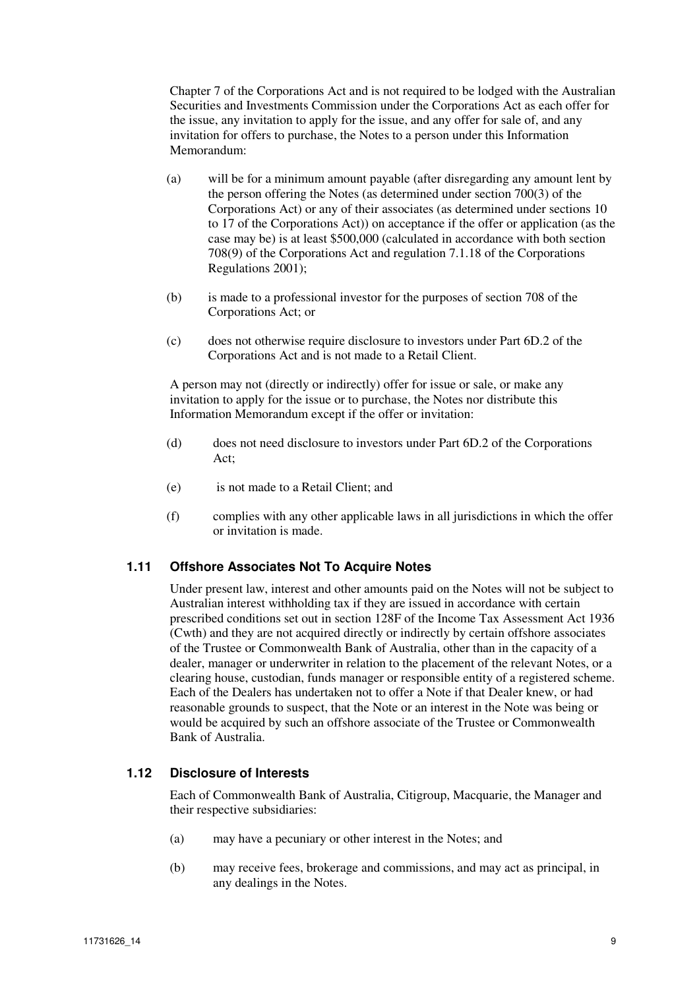Chapter 7 of the Corporations Act and is not required to be lodged with the Australian Securities and Investments Commission under the Corporations Act as each offer for the issue, any invitation to apply for the issue, and any offer for sale of, and any invitation for offers to purchase, the Notes to a person under this Information Memorandum:

- (a) will be for a minimum amount payable (after disregarding any amount lent by the person offering the Notes (as determined under section 700(3) of the Corporations Act) or any of their associates (as determined under sections 10 to 17 of the Corporations Act)) on acceptance if the offer or application (as the case may be) is at least \$500,000 (calculated in accordance with both section 708(9) of the Corporations Act and regulation 7.1.18 of the Corporations Regulations 2001);
- (b) is made to a professional investor for the purposes of section 708 of the Corporations Act; or
- (c) does not otherwise require disclosure to investors under Part 6D.2 of the Corporations Act and is not made to a Retail Client.

A person may not (directly or indirectly) offer for issue or sale, or make any invitation to apply for the issue or to purchase, the Notes nor distribute this Information Memorandum except if the offer or invitation:

- (d) does not need disclosure to investors under Part 6D.2 of the Corporations Act;
- (e) is not made to a Retail Client; and
- (f) complies with any other applicable laws in all jurisdictions in which the offer or invitation is made.

### **1.11 Offshore Associates Not To Acquire Notes**

Under present law, interest and other amounts paid on the Notes will not be subject to Australian interest withholding tax if they are issued in accordance with certain prescribed conditions set out in section 128F of the Income Tax Assessment Act 1936 (Cwth) and they are not acquired directly or indirectly by certain offshore associates of the Trustee or Commonwealth Bank of Australia, other than in the capacity of a dealer, manager or underwriter in relation to the placement of the relevant Notes, or a clearing house, custodian, funds manager or responsible entity of a registered scheme. Each of the Dealers has undertaken not to offer a Note if that Dealer knew, or had reasonable grounds to suspect, that the Note or an interest in the Note was being or would be acquired by such an offshore associate of the Trustee or Commonwealth Bank of Australia.

#### **1.12 Disclosure of Interests**

Each of Commonwealth Bank of Australia, Citigroup, Macquarie, the Manager and their respective subsidiaries:

- (a) may have a pecuniary or other interest in the Notes; and
- (b) may receive fees, brokerage and commissions, and may act as principal, in any dealings in the Notes.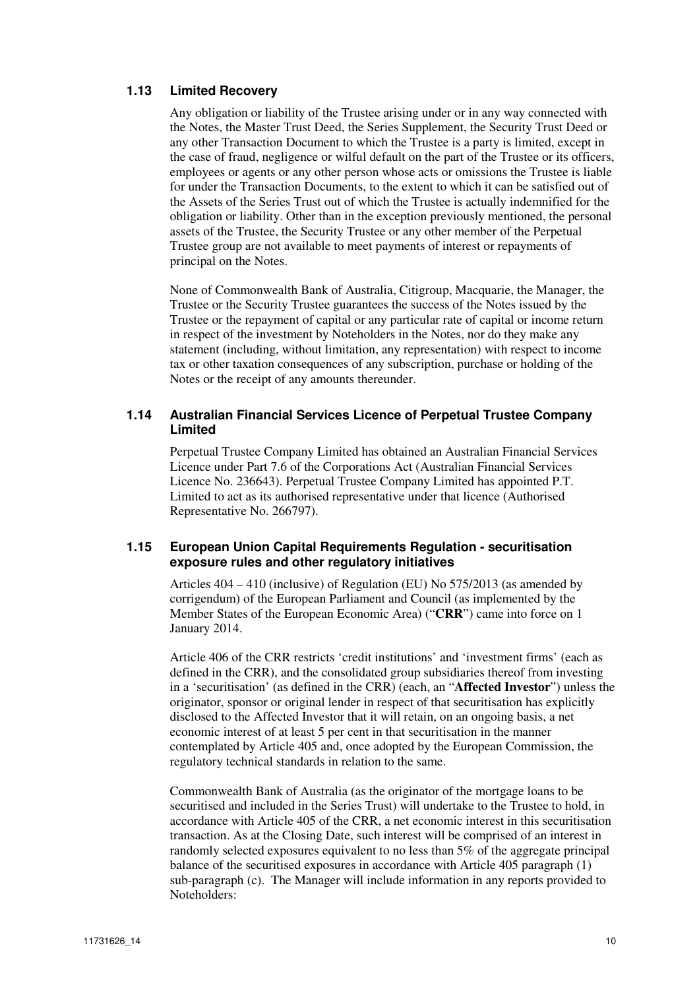### **1.13 Limited Recovery**

Any obligation or liability of the Trustee arising under or in any way connected with the Notes, the Master Trust Deed, the Series Supplement, the Security Trust Deed or any other Transaction Document to which the Trustee is a party is limited, except in the case of fraud, negligence or wilful default on the part of the Trustee or its officers, employees or agents or any other person whose acts or omissions the Trustee is liable for under the Transaction Documents, to the extent to which it can be satisfied out of the Assets of the Series Trust out of which the Trustee is actually indemnified for the obligation or liability. Other than in the exception previously mentioned, the personal assets of the Trustee, the Security Trustee or any other member of the Perpetual Trustee group are not available to meet payments of interest or repayments of principal on the Notes.

None of Commonwealth Bank of Australia, Citigroup, Macquarie, the Manager, the Trustee or the Security Trustee guarantees the success of the Notes issued by the Trustee or the repayment of capital or any particular rate of capital or income return in respect of the investment by Noteholders in the Notes, nor do they make any statement (including, without limitation, any representation) with respect to income tax or other taxation consequences of any subscription, purchase or holding of the Notes or the receipt of any amounts thereunder.

### **1.14 Australian Financial Services Licence of Perpetual Trustee Company Limited**

Perpetual Trustee Company Limited has obtained an Australian Financial Services Licence under Part 7.6 of the Corporations Act (Australian Financial Services Licence No. 236643). Perpetual Trustee Company Limited has appointed P.T. Limited to act as its authorised representative under that licence (Authorised Representative No. 266797).

#### **1.15 European Union Capital Requirements Regulation - securitisation exposure rules and other regulatory initiatives**

Articles 404 – 410 (inclusive) of Regulation (EU) No 575/2013 (as amended by corrigendum) of the European Parliament and Council (as implemented by the Member States of the European Economic Area) ("**CRR**") came into force on 1 January 2014.

Article 406 of the CRR restricts 'credit institutions' and 'investment firms' (each as defined in the CRR), and the consolidated group subsidiaries thereof from investing in a 'securitisation' (as defined in the CRR) (each, an "**Affected Investor**") unless the originator, sponsor or original lender in respect of that securitisation has explicitly disclosed to the Affected Investor that it will retain, on an ongoing basis, a net economic interest of at least 5 per cent in that securitisation in the manner contemplated by Article 405 and, once adopted by the European Commission, the regulatory technical standards in relation to the same.

Commonwealth Bank of Australia (as the originator of the mortgage loans to be securitised and included in the Series Trust) will undertake to the Trustee to hold, in accordance with Article 405 of the CRR, a net economic interest in this securitisation transaction. As at the Closing Date, such interest will be comprised of an interest in randomly selected exposures equivalent to no less than 5% of the aggregate principal balance of the securitised exposures in accordance with Article 405 paragraph (1) sub-paragraph (c). The Manager will include information in any reports provided to Noteholders: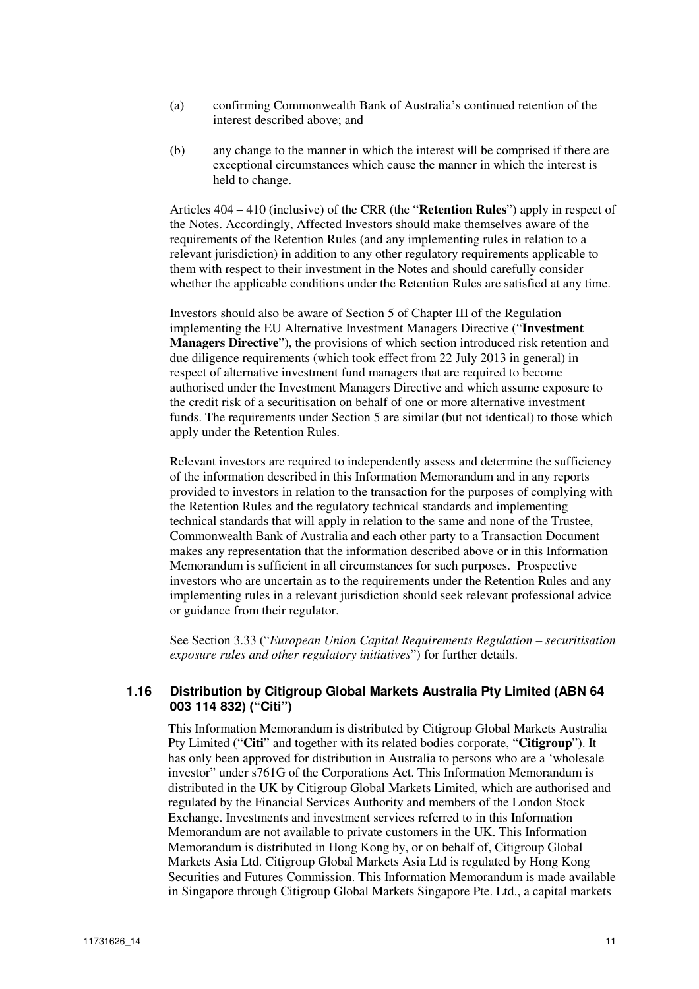- (a) confirming Commonwealth Bank of Australia's continued retention of the interest described above; and
- (b) any change to the manner in which the interest will be comprised if there are exceptional circumstances which cause the manner in which the interest is held to change.

Articles 404 – 410 (inclusive) of the CRR (the "**Retention Rules**") apply in respect of the Notes. Accordingly, Affected Investors should make themselves aware of the requirements of the Retention Rules (and any implementing rules in relation to a relevant jurisdiction) in addition to any other regulatory requirements applicable to them with respect to their investment in the Notes and should carefully consider whether the applicable conditions under the Retention Rules are satisfied at any time.

Investors should also be aware of Section 5 of Chapter III of the Regulation implementing the EU Alternative Investment Managers Directive ("**Investment Managers Directive**"), the provisions of which section introduced risk retention and due diligence requirements (which took effect from 22 July 2013 in general) in respect of alternative investment fund managers that are required to become authorised under the Investment Managers Directive and which assume exposure to the credit risk of a securitisation on behalf of one or more alternative investment funds. The requirements under Section 5 are similar (but not identical) to those which apply under the Retention Rules.

Relevant investors are required to independently assess and determine the sufficiency of the information described in this Information Memorandum and in any reports provided to investors in relation to the transaction for the purposes of complying with the Retention Rules and the regulatory technical standards and implementing technical standards that will apply in relation to the same and none of the Trustee, Commonwealth Bank of Australia and each other party to a Transaction Document makes any representation that the information described above or in this Information Memorandum is sufficient in all circumstances for such purposes. Prospective investors who are uncertain as to the requirements under the Retention Rules and any implementing rules in a relevant jurisdiction should seek relevant professional advice or guidance from their regulator.

See Section 3.33 ("*European Union Capital Requirements Regulation – securitisation exposure rules and other regulatory initiatives*") for further details.

### **1.16 Distribution by Citigroup Global Markets Australia Pty Limited (ABN 64 003 114 832) ("Citi")**

This Information Memorandum is distributed by Citigroup Global Markets Australia Pty Limited ("**Citi**" and together with its related bodies corporate, "**Citigroup**"). It has only been approved for distribution in Australia to persons who are a 'wholesale investor" under s761G of the Corporations Act. This Information Memorandum is distributed in the UK by Citigroup Global Markets Limited, which are authorised and regulated by the Financial Services Authority and members of the London Stock Exchange. Investments and investment services referred to in this Information Memorandum are not available to private customers in the UK. This Information Memorandum is distributed in Hong Kong by, or on behalf of, Citigroup Global Markets Asia Ltd. Citigroup Global Markets Asia Ltd is regulated by Hong Kong Securities and Futures Commission. This Information Memorandum is made available in Singapore through Citigroup Global Markets Singapore Pte. Ltd., a capital markets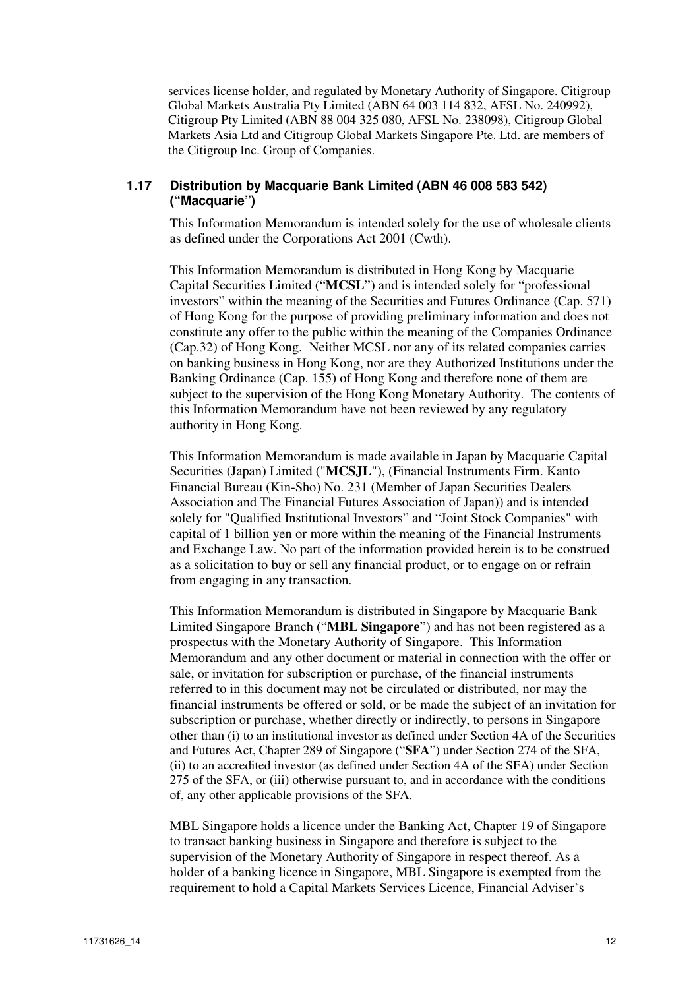services license holder, and regulated by Monetary Authority of Singapore. Citigroup Global Markets Australia Pty Limited (ABN 64 003 114 832, AFSL No. 240992), Citigroup Pty Limited (ABN 88 004 325 080, AFSL No. 238098), Citigroup Global Markets Asia Ltd and Citigroup Global Markets Singapore Pte. Ltd. are members of the Citigroup Inc. Group of Companies.

### **1.17 Distribution by Macquarie Bank Limited (ABN 46 008 583 542) ("Macquarie")**

This Information Memorandum is intended solely for the use of wholesale clients as defined under the Corporations Act 2001 (Cwth).

This Information Memorandum is distributed in Hong Kong by Macquarie Capital Securities Limited ("**MCSL**") and is intended solely for "professional investors" within the meaning of the Securities and Futures Ordinance (Cap. 571) of Hong Kong for the purpose of providing preliminary information and does not constitute any offer to the public within the meaning of the Companies Ordinance (Cap.32) of Hong Kong. Neither MCSL nor any of its related companies carries on banking business in Hong Kong, nor are they Authorized Institutions under the Banking Ordinance (Cap. 155) of Hong Kong and therefore none of them are subject to the supervision of the Hong Kong Monetary Authority. The contents of this Information Memorandum have not been reviewed by any regulatory authority in Hong Kong.

This Information Memorandum is made available in Japan by Macquarie Capital Securities (Japan) Limited ("**MCSJL**"), (Financial Instruments Firm. Kanto Financial Bureau (Kin-Sho) No. 231 (Member of Japan Securities Dealers Association and The Financial Futures Association of Japan)) and is intended solely for "Qualified Institutional Investors" and "Joint Stock Companies" with capital of 1 billion yen or more within the meaning of the Financial Instruments and Exchange Law. No part of the information provided herein is to be construed as a solicitation to buy or sell any financial product, or to engage on or refrain from engaging in any transaction.

This Information Memorandum is distributed in Singapore by Macquarie Bank Limited Singapore Branch ("**MBL Singapore**") and has not been registered as a prospectus with the Monetary Authority of Singapore. This Information Memorandum and any other document or material in connection with the offer or sale, or invitation for subscription or purchase, of the financial instruments referred to in this document may not be circulated or distributed, nor may the financial instruments be offered or sold, or be made the subject of an invitation for subscription or purchase, whether directly or indirectly, to persons in Singapore other than (i) to an institutional investor as defined under Section 4A of the Securities and Futures Act, Chapter 289 of Singapore ("**SFA**") under Section 274 of the SFA, (ii) to an accredited investor (as defined under Section 4A of the SFA) under Section 275 of the SFA, or (iii) otherwise pursuant to, and in accordance with the conditions of, any other applicable provisions of the SFA.

MBL Singapore holds a licence under the Banking Act, Chapter 19 of Singapore to transact banking business in Singapore and therefore is subject to the supervision of the Monetary Authority of Singapore in respect thereof. As a holder of a banking licence in Singapore, MBL Singapore is exempted from the requirement to hold a Capital Markets Services Licence, Financial Adviser's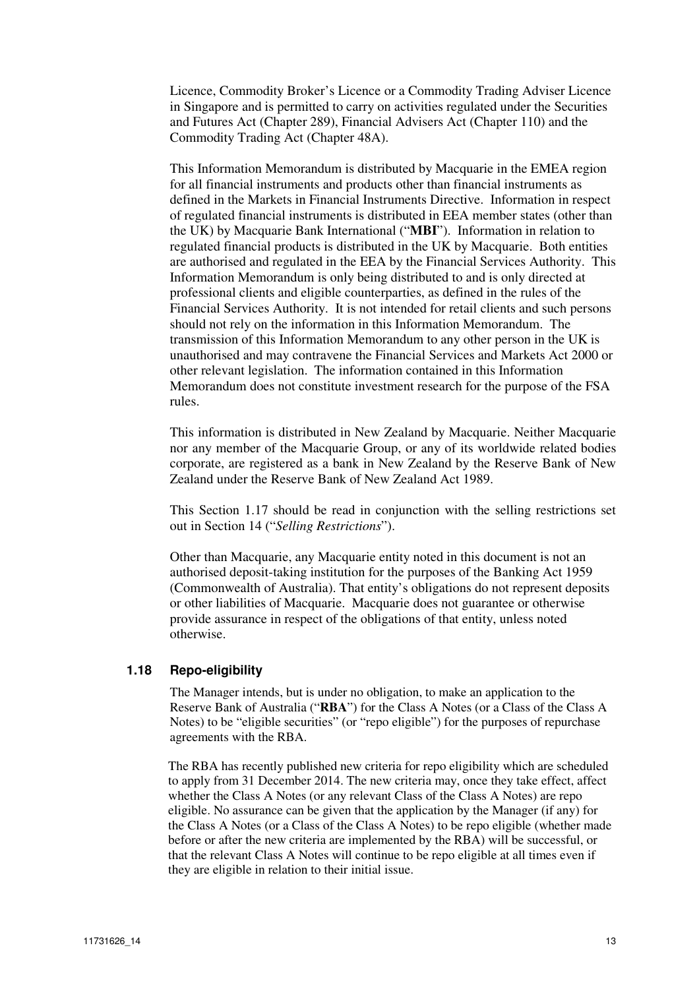Licence, Commodity Broker's Licence or a Commodity Trading Adviser Licence in Singapore and is permitted to carry on activities regulated under the Securities and Futures Act (Chapter 289), Financial Advisers Act (Chapter 110) and the Commodity Trading Act (Chapter 48A).

This Information Memorandum is distributed by Macquarie in the EMEA region for all financial instruments and products other than financial instruments as defined in the Markets in Financial Instruments Directive. Information in respect of regulated financial instruments is distributed in EEA member states (other than the UK) by Macquarie Bank International ("**MBI**"). Information in relation to regulated financial products is distributed in the UK by Macquarie. Both entities are authorised and regulated in the EEA by the Financial Services Authority. This Information Memorandum is only being distributed to and is only directed at professional clients and eligible counterparties, as defined in the rules of the Financial Services Authority. It is not intended for retail clients and such persons should not rely on the information in this Information Memorandum. The transmission of this Information Memorandum to any other person in the UK is unauthorised and may contravene the Financial Services and Markets Act 2000 or other relevant legislation. The information contained in this Information Memorandum does not constitute investment research for the purpose of the FSA rules.

This information is distributed in New Zealand by Macquarie. Neither Macquarie nor any member of the Macquarie Group, or any of its worldwide related bodies corporate, are registered as a bank in New Zealand by the Reserve Bank of New Zealand under the Reserve Bank of New Zealand Act 1989.

This Section 1.17 should be read in conjunction with the selling restrictions set out in Section 14 ("*Selling Restrictions*").

Other than Macquarie, any Macquarie entity noted in this document is not an authorised deposit-taking institution for the purposes of the Banking Act 1959 (Commonwealth of Australia). That entity's obligations do not represent deposits or other liabilities of Macquarie. Macquarie does not guarantee or otherwise provide assurance in respect of the obligations of that entity, unless noted otherwise.

### **1.18 Repo-eligibility**

The Manager intends, but is under no obligation, to make an application to the Reserve Bank of Australia ("**RBA**") for the Class A Notes (or a Class of the Class A Notes) to be "eligible securities" (or "repo eligible") for the purposes of repurchase agreements with the RBA.

The RBA has recently published new criteria for repo eligibility which are scheduled to apply from 31 December 2014. The new criteria may, once they take effect, affect whether the Class A Notes (or any relevant Class of the Class A Notes) are repo eligible. No assurance can be given that the application by the Manager (if any) for the Class A Notes (or a Class of the Class A Notes) to be repo eligible (whether made before or after the new criteria are implemented by the RBA) will be successful, or that the relevant Class A Notes will continue to be repo eligible at all times even if they are eligible in relation to their initial issue.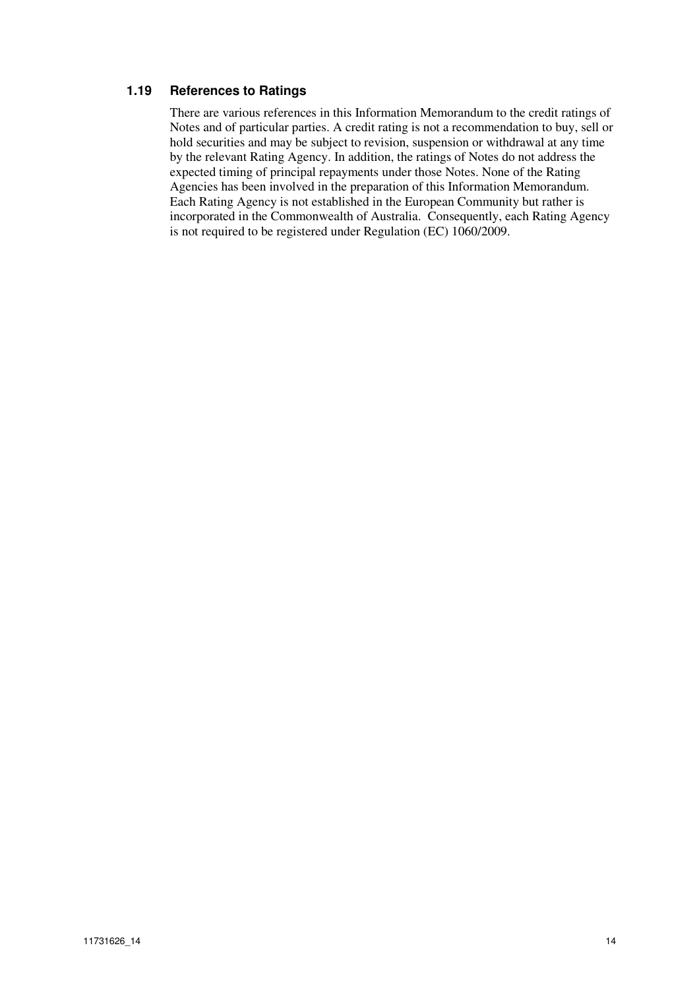### **1.19 References to Ratings**

There are various references in this Information Memorandum to the credit ratings of Notes and of particular parties. A credit rating is not a recommendation to buy, sell or hold securities and may be subject to revision, suspension or withdrawal at any time by the relevant Rating Agency. In addition, the ratings of Notes do not address the expected timing of principal repayments under those Notes. None of the Rating Agencies has been involved in the preparation of this Information Memorandum. Each Rating Agency is not established in the European Community but rather is incorporated in the Commonwealth of Australia. Consequently, each Rating Agency is not required to be registered under Regulation (EC) 1060/2009.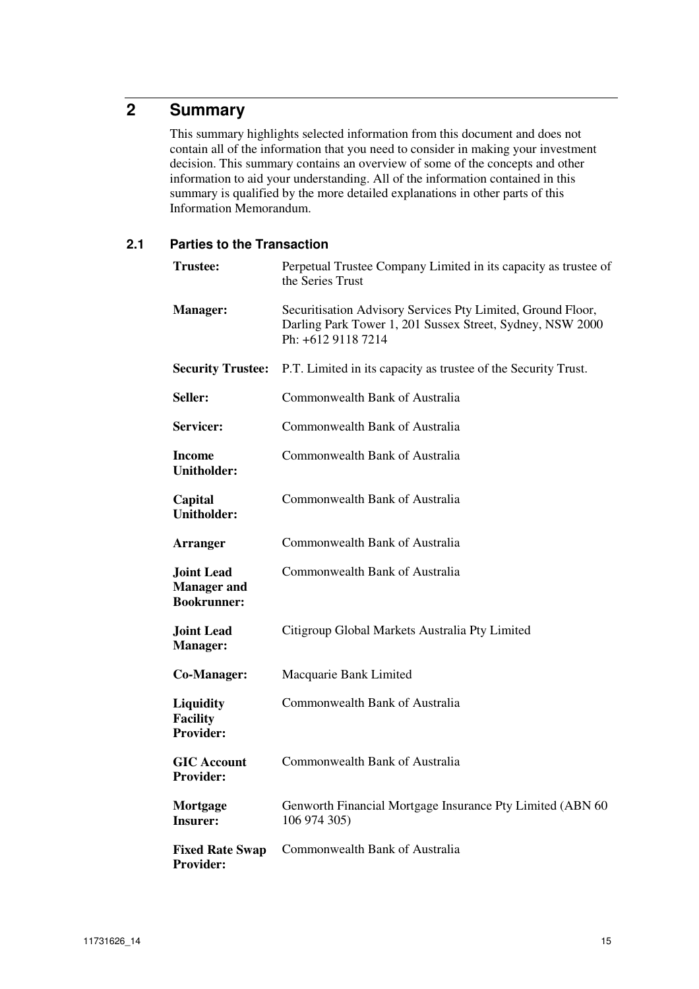# **2 Summary**

This summary highlights selected information from this document and does not contain all of the information that you need to consider in making your investment decision. This summary contains an overview of some of the concepts and other information to aid your understanding. All of the information contained in this summary is qualified by the more detailed explanations in other parts of this Information Memorandum.

### **2.1 Parties to the Transaction**

| <b>Trustee:</b>                                               | Perpetual Trustee Company Limited in its capacity as trustee of<br>the Series Trust                                                            |
|---------------------------------------------------------------|------------------------------------------------------------------------------------------------------------------------------------------------|
| <b>Manager:</b>                                               | Securitisation Advisory Services Pty Limited, Ground Floor,<br>Darling Park Tower 1, 201 Sussex Street, Sydney, NSW 2000<br>Ph: +612 9118 7214 |
| <b>Security Trustee:</b>                                      | P.T. Limited in its capacity as trustee of the Security Trust.                                                                                 |
| Seller:                                                       | Commonwealth Bank of Australia                                                                                                                 |
| Servicer:                                                     | Commonwealth Bank of Australia                                                                                                                 |
| Income<br><b>Unitholder:</b>                                  | Commonwealth Bank of Australia                                                                                                                 |
| Capital<br><b>Unitholder:</b>                                 | Commonwealth Bank of Australia                                                                                                                 |
| <b>Arranger</b>                                               | Commonwealth Bank of Australia                                                                                                                 |
| <b>Joint Lead</b><br><b>Manager</b> and<br><b>Bookrunner:</b> | Commonwealth Bank of Australia                                                                                                                 |
| <b>Joint Lead</b><br><b>Manager:</b>                          | Citigroup Global Markets Australia Pty Limited                                                                                                 |
| Co-Manager:                                                   | Macquarie Bank Limited                                                                                                                         |
| Liquidity<br><b>Facility</b><br><b>Provider:</b>              | Commonwealth Bank of Australia                                                                                                                 |
| <b>GIC</b> Account<br><b>Provider:</b>                        | Commonwealth Bank of Australia                                                                                                                 |
| Mortgage<br><b>Insurer:</b>                                   | Genworth Financial Mortgage Insurance Pty Limited (ABN 60<br>106 974 305)                                                                      |
| <b>Fixed Rate Swap</b><br><b>Provider:</b>                    | Commonwealth Bank of Australia                                                                                                                 |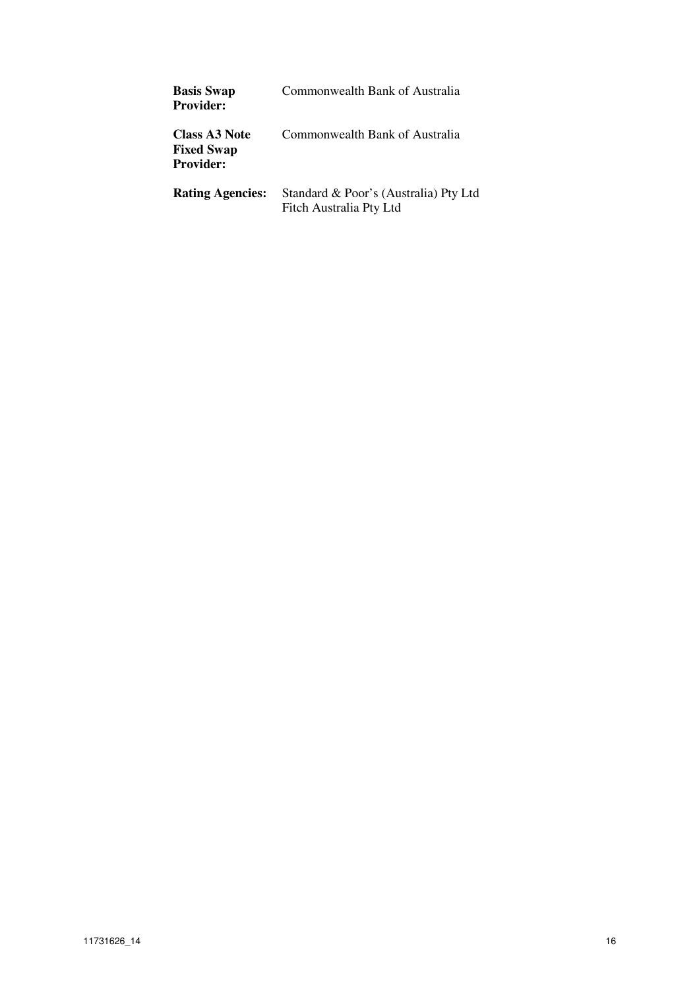| <b>Basis Swap</b><br><b>Provider:</b>                         | Commonwealth Bank of Australia                                   |
|---------------------------------------------------------------|------------------------------------------------------------------|
| <b>Class A3 Note</b><br><b>Fixed Swap</b><br><b>Provider:</b> | Commonwealth Bank of Australia                                   |
| <b>Rating Agencies:</b>                                       | Standard & Poor's (Australia) Pty Ltd<br>Fitch Australia Pty Ltd |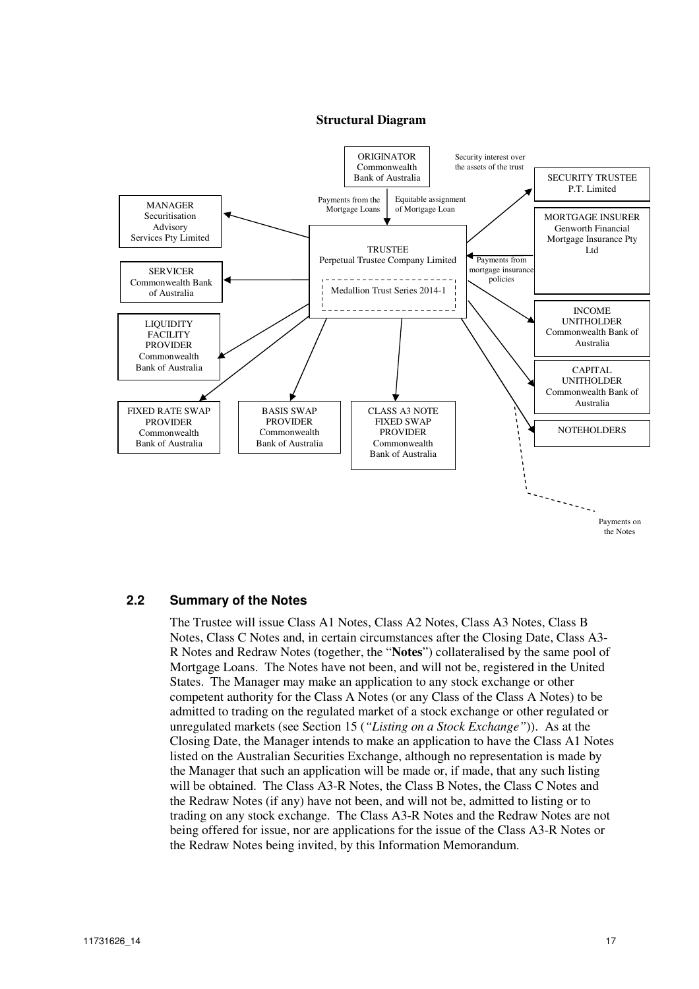#### **Structural Diagram**



#### **2.2 Summary of the Notes**

The Trustee will issue Class A1 Notes, Class A2 Notes, Class A3 Notes, Class B Notes, Class C Notes and, in certain circumstances after the Closing Date, Class A3- R Notes and Redraw Notes (together, the "**Notes**") collateralised by the same pool of Mortgage Loans. The Notes have not been, and will not be, registered in the United States. The Manager may make an application to any stock exchange or other competent authority for the Class A Notes (or any Class of the Class A Notes) to be admitted to trading on the regulated market of a stock exchange or other regulated or unregulated markets (see Section 15 (*"Listing on a Stock Exchange"*)). As at the Closing Date, the Manager intends to make an application to have the Class A1 Notes listed on the Australian Securities Exchange, although no representation is made by the Manager that such an application will be made or, if made, that any such listing will be obtained. The Class A3-R Notes, the Class B Notes, the Class C Notes and the Redraw Notes (if any) have not been, and will not be, admitted to listing or to trading on any stock exchange. The Class A3-R Notes and the Redraw Notes are not being offered for issue, nor are applications for the issue of the Class A3-R Notes or the Redraw Notes being invited, by this Information Memorandum.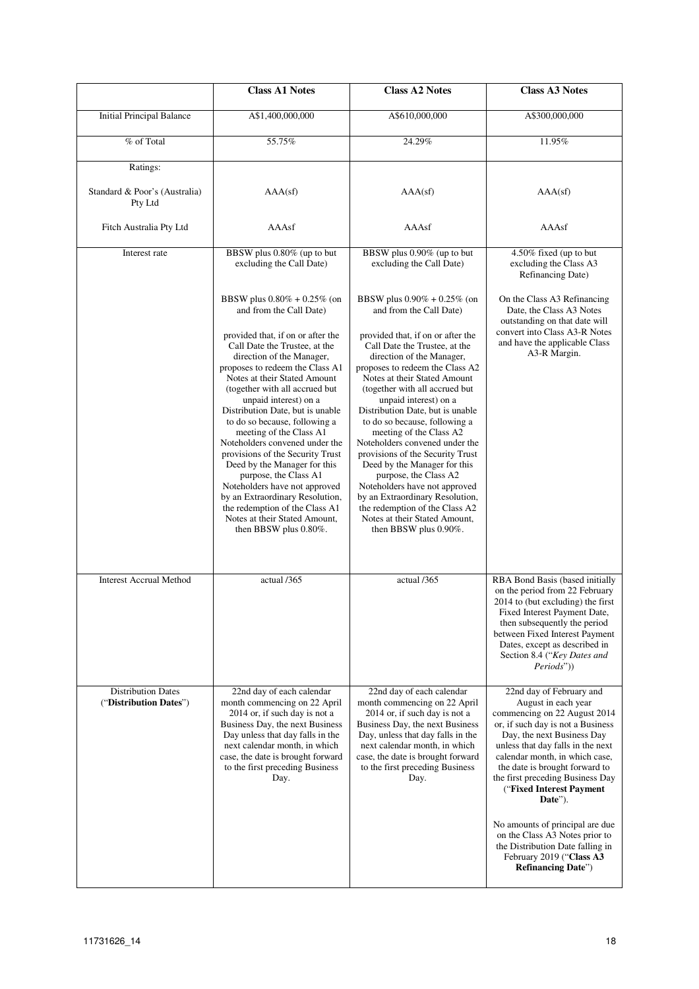|                                                     | <b>Class A1 Notes</b>                                                                                                                                                                                                                                                                                                                                                                                                                                                                                                                                                                                                                                                                      | <b>Class A2 Notes</b>                                                                                                                                                                                                                                                                                                                                                                                                                                                                                                                                                                                                                                                                      | <b>Class A3 Notes</b>                                                                                                                                                                                                                                                                                                                                                                                                                                                                                    |
|-----------------------------------------------------|--------------------------------------------------------------------------------------------------------------------------------------------------------------------------------------------------------------------------------------------------------------------------------------------------------------------------------------------------------------------------------------------------------------------------------------------------------------------------------------------------------------------------------------------------------------------------------------------------------------------------------------------------------------------------------------------|--------------------------------------------------------------------------------------------------------------------------------------------------------------------------------------------------------------------------------------------------------------------------------------------------------------------------------------------------------------------------------------------------------------------------------------------------------------------------------------------------------------------------------------------------------------------------------------------------------------------------------------------------------------------------------------------|----------------------------------------------------------------------------------------------------------------------------------------------------------------------------------------------------------------------------------------------------------------------------------------------------------------------------------------------------------------------------------------------------------------------------------------------------------------------------------------------------------|
| <b>Initial Principal Balance</b>                    | A\$1,400,000,000                                                                                                                                                                                                                                                                                                                                                                                                                                                                                                                                                                                                                                                                           | A\$610,000,000                                                                                                                                                                                                                                                                                                                                                                                                                                                                                                                                                                                                                                                                             | A\$300,000,000                                                                                                                                                                                                                                                                                                                                                                                                                                                                                           |
| % of Total                                          | 55.75%                                                                                                                                                                                                                                                                                                                                                                                                                                                                                                                                                                                                                                                                                     | 24.29%                                                                                                                                                                                                                                                                                                                                                                                                                                                                                                                                                                                                                                                                                     | 11.95%                                                                                                                                                                                                                                                                                                                                                                                                                                                                                                   |
| Ratings:                                            |                                                                                                                                                                                                                                                                                                                                                                                                                                                                                                                                                                                                                                                                                            |                                                                                                                                                                                                                                                                                                                                                                                                                                                                                                                                                                                                                                                                                            |                                                                                                                                                                                                                                                                                                                                                                                                                                                                                                          |
| Standard & Poor's (Australia)<br>Pty Ltd            | AAA(sf)                                                                                                                                                                                                                                                                                                                                                                                                                                                                                                                                                                                                                                                                                    | AAA(sf)                                                                                                                                                                                                                                                                                                                                                                                                                                                                                                                                                                                                                                                                                    | AAA(sf)                                                                                                                                                                                                                                                                                                                                                                                                                                                                                                  |
| Fitch Australia Pty Ltd                             | AAAsf                                                                                                                                                                                                                                                                                                                                                                                                                                                                                                                                                                                                                                                                                      | AAAsf                                                                                                                                                                                                                                                                                                                                                                                                                                                                                                                                                                                                                                                                                      | AAAsf                                                                                                                                                                                                                                                                                                                                                                                                                                                                                                    |
| Interest rate                                       | BBSW plus 0.80% (up to but<br>excluding the Call Date)                                                                                                                                                                                                                                                                                                                                                                                                                                                                                                                                                                                                                                     | BBSW plus 0.90% (up to but<br>excluding the Call Date)                                                                                                                                                                                                                                                                                                                                                                                                                                                                                                                                                                                                                                     | 4.50% fixed (up to but<br>excluding the Class A3<br>Refinancing Date)                                                                                                                                                                                                                                                                                                                                                                                                                                    |
|                                                     | BBSW plus $0.80\% + 0.25\%$ (on<br>and from the Call Date)<br>provided that, if on or after the<br>Call Date the Trustee, at the<br>direction of the Manager,<br>proposes to redeem the Class A1<br>Notes at their Stated Amount<br>(together with all accrued but<br>unpaid interest) on a<br>Distribution Date, but is unable<br>to do so because, following a<br>meeting of the Class A1<br>Noteholders convened under the<br>provisions of the Security Trust<br>Deed by the Manager for this<br>purpose, the Class A1<br>Noteholders have not approved<br>by an Extraordinary Resolution,<br>the redemption of the Class A1<br>Notes at their Stated Amount,<br>then BBSW plus 0.80%. | BBSW plus $0.90\% + 0.25\%$ (on<br>and from the Call Date)<br>provided that, if on or after the<br>Call Date the Trustee, at the<br>direction of the Manager,<br>proposes to redeem the Class A2<br>Notes at their Stated Amount<br>(together with all accrued but<br>unpaid interest) on a<br>Distribution Date, but is unable<br>to do so because, following a<br>meeting of the Class A2<br>Noteholders convened under the<br>provisions of the Security Trust<br>Deed by the Manager for this<br>purpose, the Class A2<br>Noteholders have not approved<br>by an Extraordinary Resolution,<br>the redemption of the Class A2<br>Notes at their Stated Amount,<br>then BBSW plus 0.90%. | On the Class A3 Refinancing<br>Date, the Class A3 Notes<br>outstanding on that date will<br>convert into Class A3-R Notes<br>and have the applicable Class<br>A3-R Margin.                                                                                                                                                                                                                                                                                                                               |
| <b>Interest Accrual Method</b>                      | actual /365                                                                                                                                                                                                                                                                                                                                                                                                                                                                                                                                                                                                                                                                                | actual /365                                                                                                                                                                                                                                                                                                                                                                                                                                                                                                                                                                                                                                                                                | RBA Bond Basis (based initially<br>on the period from 22 February<br>2014 to (but excluding) the first<br>Fixed Interest Payment Date,<br>then subsequently the period<br>between Fixed Interest Payment<br>Dates, except as described in<br>Section 8.4 ("Key Dates and<br>Periods"))                                                                                                                                                                                                                   |
| <b>Distribution Dates</b><br>("Distribution Dates") | 22nd day of each calendar<br>month commencing on 22 April<br>2014 or, if such day is not a<br>Business Day, the next Business<br>Day unless that day falls in the<br>next calendar month, in which<br>case, the date is brought forward<br>to the first preceding Business<br>Day.                                                                                                                                                                                                                                                                                                                                                                                                         | 22nd day of each calendar<br>month commencing on 22 April<br>2014 or, if such day is not a<br>Business Day, the next Business<br>Day, unless that day falls in the<br>next calendar month, in which<br>case, the date is brought forward<br>to the first preceding Business<br>Day.                                                                                                                                                                                                                                                                                                                                                                                                        | 22nd day of February and<br>August in each year<br>commencing on 22 August 2014<br>or, if such day is not a Business<br>Day, the next Business Day<br>unless that day falls in the next<br>calendar month, in which case,<br>the date is brought forward to<br>the first preceding Business Day<br>("Fixed Interest Payment<br>Date").<br>No amounts of principal are due<br>on the Class A3 Notes prior to<br>the Distribution Date falling in<br>February 2019 ("Class A3<br><b>Refinancing Date")</b> |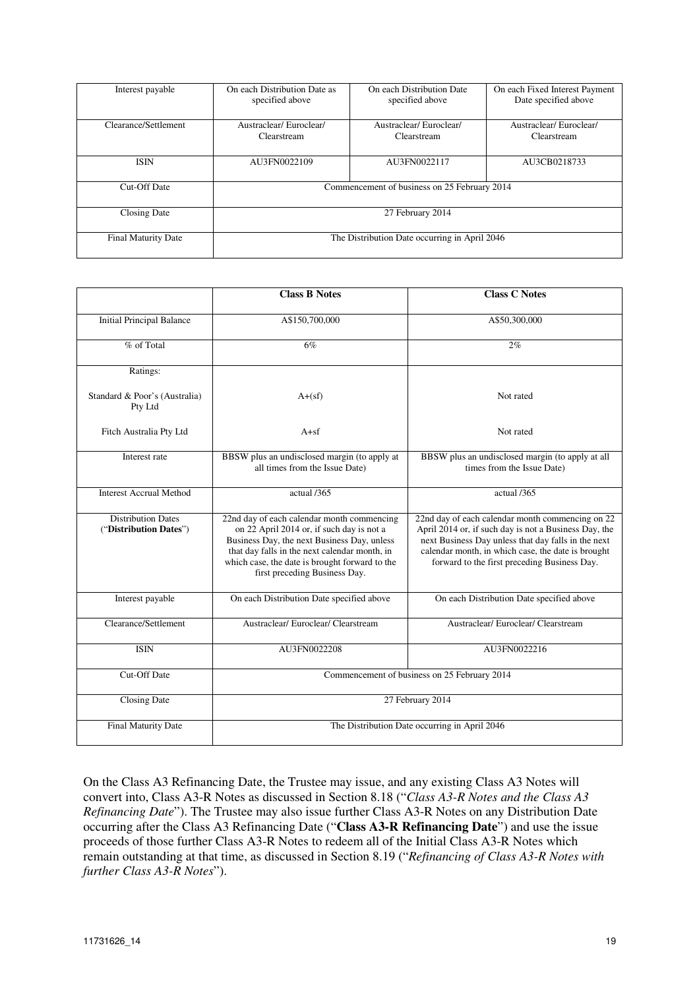| Interest payable           | On each Distribution Date as<br>specified above | On each Distribution Date<br>specified above | On each Fixed Interest Payment<br>Date specified above |
|----------------------------|-------------------------------------------------|----------------------------------------------|--------------------------------------------------------|
| Clearance/Settlement       | Austraclear/Euroclear/<br>Clearstream           | Austraclear/Euroclear/<br>Clearstream        | Austraclear/Euroclear/<br>Clearstream                  |
| <b>ISIN</b>                | AU3FN0022109                                    | AU3FN0022117                                 | AU3CB0218733                                           |
| Cut-Off Date               | Commencement of business on 25 February 2014    |                                              |                                                        |
| Closing Date               | 27 February 2014                                |                                              |                                                        |
| <b>Final Maturity Date</b> | The Distribution Date occurring in April 2046   |                                              |                                                        |

|                                                     | <b>Class B Notes</b>                                                                                                                                                                                                                                                       | <b>Class C Notes</b>                                                                                                                                                                                                                                                   |
|-----------------------------------------------------|----------------------------------------------------------------------------------------------------------------------------------------------------------------------------------------------------------------------------------------------------------------------------|------------------------------------------------------------------------------------------------------------------------------------------------------------------------------------------------------------------------------------------------------------------------|
| <b>Initial Principal Balance</b>                    | A\$150,700,000                                                                                                                                                                                                                                                             | A\$50,300,000                                                                                                                                                                                                                                                          |
| % of Total                                          | 6%                                                                                                                                                                                                                                                                         | 2%                                                                                                                                                                                                                                                                     |
| Ratings:                                            |                                                                                                                                                                                                                                                                            |                                                                                                                                                                                                                                                                        |
| Standard & Poor's (Australia)<br>Pty Ltd            | $A+(sf)$                                                                                                                                                                                                                                                                   | Not rated                                                                                                                                                                                                                                                              |
| Fitch Australia Pty Ltd                             | $A + sf$                                                                                                                                                                                                                                                                   | Not rated                                                                                                                                                                                                                                                              |
| Interest rate                                       | BBSW plus an undisclosed margin (to apply at<br>all times from the Issue Date)                                                                                                                                                                                             | BBSW plus an undisclosed margin (to apply at all<br>times from the Issue Date)                                                                                                                                                                                         |
| <b>Interest Accrual Method</b>                      | actual /365                                                                                                                                                                                                                                                                | actual /365                                                                                                                                                                                                                                                            |
| <b>Distribution Dates</b><br>("Distribution Dates") | 22nd day of each calendar month commencing<br>on 22 April 2014 or, if such day is not a<br>Business Day, the next Business Day, unless<br>that day falls in the next calendar month, in<br>which case, the date is brought forward to the<br>first preceding Business Day. | 22nd day of each calendar month commencing on 22<br>April 2014 or, if such day is not a Business Day, the<br>next Business Day unless that day falls in the next<br>calendar month, in which case, the date is brought<br>forward to the first preceding Business Day. |
| Interest payable                                    | On each Distribution Date specified above                                                                                                                                                                                                                                  | On each Distribution Date specified above                                                                                                                                                                                                                              |
| Clearance/Settlement                                | Austraclear/Euroclear/Clearstream                                                                                                                                                                                                                                          | Austraclear/Euroclear/Clearstream                                                                                                                                                                                                                                      |
| <b>ISIN</b>                                         | AU3FN0022208                                                                                                                                                                                                                                                               | AU3FN0022216                                                                                                                                                                                                                                                           |
| <b>Cut-Off Date</b>                                 |                                                                                                                                                                                                                                                                            | Commencement of business on 25 February 2014                                                                                                                                                                                                                           |
| <b>Closing Date</b>                                 |                                                                                                                                                                                                                                                                            | 27 February 2014                                                                                                                                                                                                                                                       |
| Final Maturity Date                                 |                                                                                                                                                                                                                                                                            | The Distribution Date occurring in April 2046                                                                                                                                                                                                                          |

On the Class A3 Refinancing Date, the Trustee may issue, and any existing Class A3 Notes will convert into, Class A3-R Notes as discussed in Section 8.18 ("*Class A3-R Notes and the Class A3 Refinancing Date*"). The Trustee may also issue further Class A3-R Notes on any Distribution Date occurring after the Class A3 Refinancing Date ("**Class A3-R Refinancing Date**") and use the issue proceeds of those further Class A3-R Notes to redeem all of the Initial Class A3-R Notes which remain outstanding at that time, as discussed in Section 8.19 ("*Refinancing of Class A3-R Notes with further Class A3-R Notes*").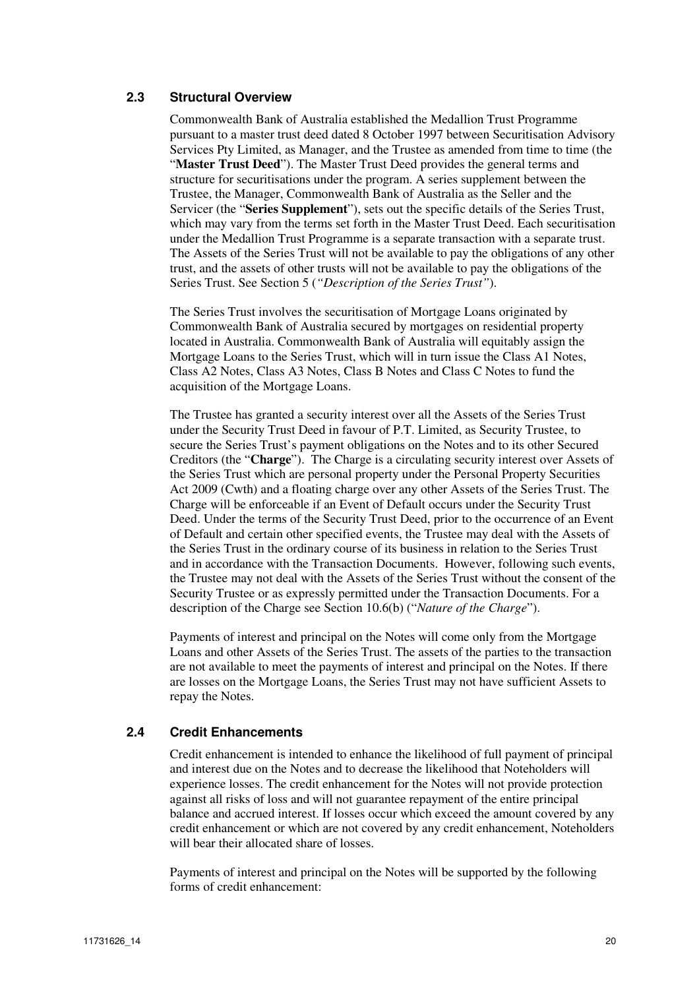### **2.3 Structural Overview**

Commonwealth Bank of Australia established the Medallion Trust Programme pursuant to a master trust deed dated 8 October 1997 between Securitisation Advisory Services Pty Limited, as Manager, and the Trustee as amended from time to time (the "**Master Trust Deed**"). The Master Trust Deed provides the general terms and structure for securitisations under the program. A series supplement between the Trustee, the Manager, Commonwealth Bank of Australia as the Seller and the Servicer (the "**Series Supplement**"), sets out the specific details of the Series Trust, which may vary from the terms set forth in the Master Trust Deed. Each securitisation under the Medallion Trust Programme is a separate transaction with a separate trust. The Assets of the Series Trust will not be available to pay the obligations of any other trust, and the assets of other trusts will not be available to pay the obligations of the Series Trust. See Section 5 (*"Description of the Series Trust"*).

The Series Trust involves the securitisation of Mortgage Loans originated by Commonwealth Bank of Australia secured by mortgages on residential property located in Australia. Commonwealth Bank of Australia will equitably assign the Mortgage Loans to the Series Trust, which will in turn issue the Class A1 Notes, Class A2 Notes, Class A3 Notes, Class B Notes and Class C Notes to fund the acquisition of the Mortgage Loans.

The Trustee has granted a security interest over all the Assets of the Series Trust under the Security Trust Deed in favour of P.T. Limited, as Security Trustee, to secure the Series Trust's payment obligations on the Notes and to its other Secured Creditors (the "**Charge**"). The Charge is a circulating security interest over Assets of the Series Trust which are personal property under the Personal Property Securities Act 2009 (Cwth) and a floating charge over any other Assets of the Series Trust. The Charge will be enforceable if an Event of Default occurs under the Security Trust Deed. Under the terms of the Security Trust Deed, prior to the occurrence of an Event of Default and certain other specified events, the Trustee may deal with the Assets of the Series Trust in the ordinary course of its business in relation to the Series Trust and in accordance with the Transaction Documents. However, following such events, the Trustee may not deal with the Assets of the Series Trust without the consent of the Security Trustee or as expressly permitted under the Transaction Documents. For a description of the Charge see Section 10.6(b) ("*Nature of the Charge*").

Payments of interest and principal on the Notes will come only from the Mortgage Loans and other Assets of the Series Trust. The assets of the parties to the transaction are not available to meet the payments of interest and principal on the Notes. If there are losses on the Mortgage Loans, the Series Trust may not have sufficient Assets to repay the Notes.

#### **2.4 Credit Enhancements**

Credit enhancement is intended to enhance the likelihood of full payment of principal and interest due on the Notes and to decrease the likelihood that Noteholders will experience losses. The credit enhancement for the Notes will not provide protection against all risks of loss and will not guarantee repayment of the entire principal balance and accrued interest. If losses occur which exceed the amount covered by any credit enhancement or which are not covered by any credit enhancement, Noteholders will bear their allocated share of losses.

Payments of interest and principal on the Notes will be supported by the following forms of credit enhancement: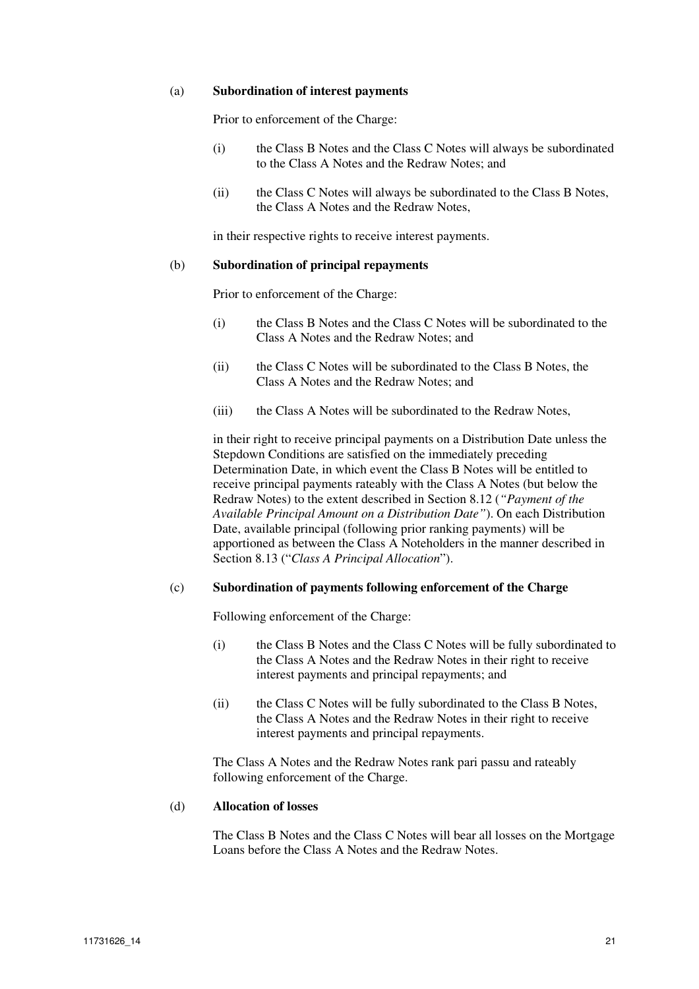#### (a) **Subordination of interest payments**

Prior to enforcement of the Charge:

- (i) the Class B Notes and the Class C Notes will always be subordinated to the Class A Notes and the Redraw Notes; and
- (ii) the Class C Notes will always be subordinated to the Class B Notes, the Class A Notes and the Redraw Notes,

in their respective rights to receive interest payments.

#### (b) **Subordination of principal repayments**

Prior to enforcement of the Charge:

- (i) the Class B Notes and the Class C Notes will be subordinated to the Class A Notes and the Redraw Notes; and
- (ii) the Class C Notes will be subordinated to the Class B Notes, the Class A Notes and the Redraw Notes; and
- (iii) the Class A Notes will be subordinated to the Redraw Notes,

in their right to receive principal payments on a Distribution Date unless the Stepdown Conditions are satisfied on the immediately preceding Determination Date, in which event the Class B Notes will be entitled to receive principal payments rateably with the Class A Notes (but below the Redraw Notes) to the extent described in Section 8.12 (*"Payment of the Available Principal Amount on a Distribution Date"*). On each Distribution Date, available principal (following prior ranking payments) will be apportioned as between the Class A Noteholders in the manner described in Section 8.13 ("*Class A Principal Allocation*").

#### (c) **Subordination of payments following enforcement of the Charge**

Following enforcement of the Charge:

- (i) the Class B Notes and the Class C Notes will be fully subordinated to the Class A Notes and the Redraw Notes in their right to receive interest payments and principal repayments; and
- (ii) the Class C Notes will be fully subordinated to the Class B Notes, the Class A Notes and the Redraw Notes in their right to receive interest payments and principal repayments.

The Class A Notes and the Redraw Notes rank pari passu and rateably following enforcement of the Charge.

#### (d) **Allocation of losses**

The Class B Notes and the Class C Notes will bear all losses on the Mortgage Loans before the Class A Notes and the Redraw Notes.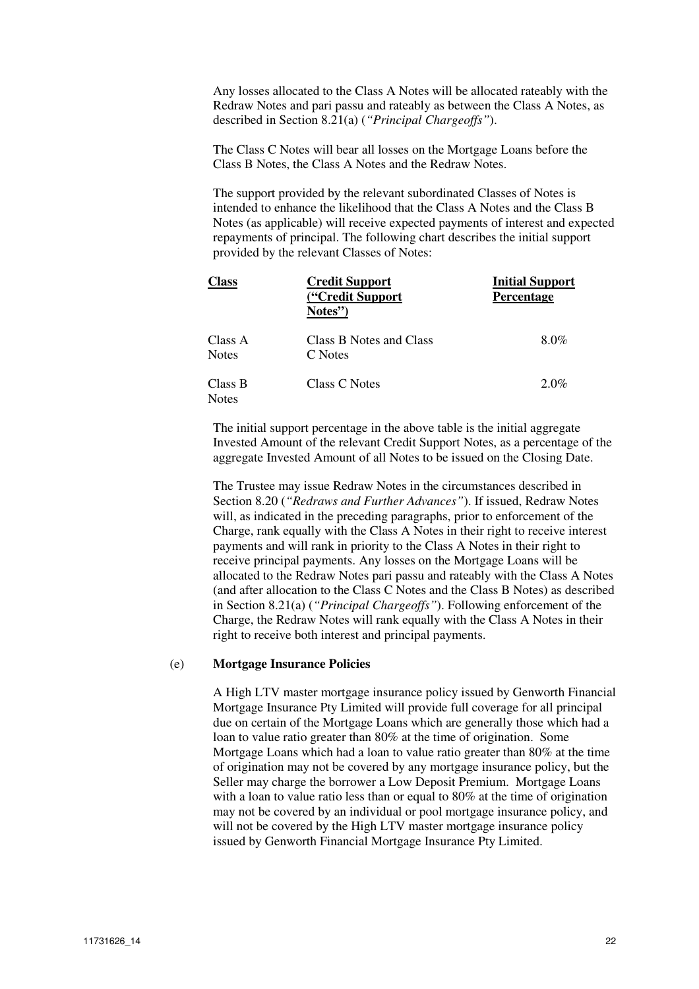Any losses allocated to the Class A Notes will be allocated rateably with the Redraw Notes and pari passu and rateably as between the Class A Notes, as described in Section 8.21(a) (*"Principal Chargeoffs"*).

The Class C Notes will bear all losses on the Mortgage Loans before the Class B Notes, the Class A Notes and the Redraw Notes.

The support provided by the relevant subordinated Classes of Notes is intended to enhance the likelihood that the Class A Notes and the Class B Notes (as applicable) will receive expected payments of interest and expected repayments of principal. The following chart describes the initial support provided by the relevant Classes of Notes:

| <b>Class</b>            | <b>Credit Support</b><br>("Credit Support<br>Notes" | <b>Initial Support</b><br><b>Percentage</b> |
|-------------------------|-----------------------------------------------------|---------------------------------------------|
| Class A<br><b>Notes</b> | Class B Notes and Class<br>C Notes                  | 8.0%                                        |
| Class B<br><b>Notes</b> | Class C Notes                                       | $2.0\%$                                     |

The initial support percentage in the above table is the initial aggregate Invested Amount of the relevant Credit Support Notes, as a percentage of the aggregate Invested Amount of all Notes to be issued on the Closing Date.

The Trustee may issue Redraw Notes in the circumstances described in Section 8.20 (*"Redraws and Further Advances"*). If issued, Redraw Notes will, as indicated in the preceding paragraphs, prior to enforcement of the Charge, rank equally with the Class A Notes in their right to receive interest payments and will rank in priority to the Class A Notes in their right to receive principal payments. Any losses on the Mortgage Loans will be allocated to the Redraw Notes pari passu and rateably with the Class A Notes (and after allocation to the Class C Notes and the Class B Notes) as described in Section 8.21(a) (*"Principal Chargeoffs"*). Following enforcement of the Charge, the Redraw Notes will rank equally with the Class A Notes in their right to receive both interest and principal payments.

#### (e) **Mortgage Insurance Policies**

A High LTV master mortgage insurance policy issued by Genworth Financial Mortgage Insurance Pty Limited will provide full coverage for all principal due on certain of the Mortgage Loans which are generally those which had a loan to value ratio greater than 80% at the time of origination. Some Mortgage Loans which had a loan to value ratio greater than 80% at the time of origination may not be covered by any mortgage insurance policy, but the Seller may charge the borrower a Low Deposit Premium. Mortgage Loans with a loan to value ratio less than or equal to 80% at the time of origination may not be covered by an individual or pool mortgage insurance policy, and will not be covered by the High LTV master mortgage insurance policy issued by Genworth Financial Mortgage Insurance Pty Limited.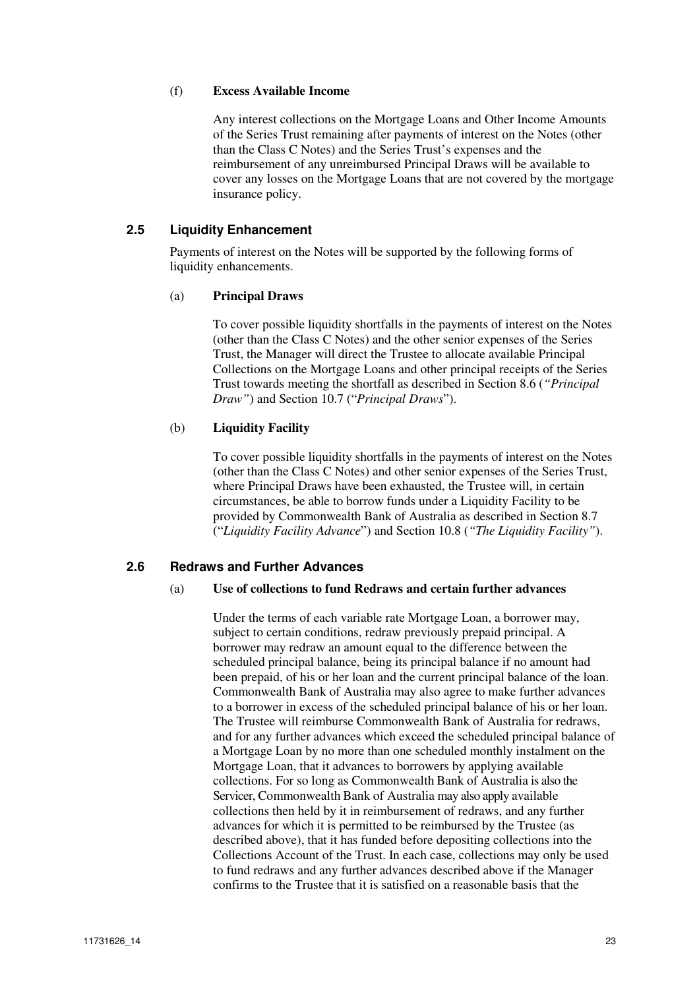#### (f) **Excess Available Income**

Any interest collections on the Mortgage Loans and Other Income Amounts of the Series Trust remaining after payments of interest on the Notes (other than the Class C Notes) and the Series Trust's expenses and the reimbursement of any unreimbursed Principal Draws will be available to cover any losses on the Mortgage Loans that are not covered by the mortgage insurance policy.

### **2.5 Liquidity Enhancement**

Payments of interest on the Notes will be supported by the following forms of liquidity enhancements.

#### (a) **Principal Draws**

To cover possible liquidity shortfalls in the payments of interest on the Notes (other than the Class C Notes) and the other senior expenses of the Series Trust, the Manager will direct the Trustee to allocate available Principal Collections on the Mortgage Loans and other principal receipts of the Series Trust towards meeting the shortfall as described in Section 8.6 (*"Principal Draw"*) and Section 10.7 ("*Principal Draws*").

#### (b) **Liquidity Facility**

To cover possible liquidity shortfalls in the payments of interest on the Notes (other than the Class C Notes) and other senior expenses of the Series Trust, where Principal Draws have been exhausted, the Trustee will, in certain circumstances, be able to borrow funds under a Liquidity Facility to be provided by Commonwealth Bank of Australia as described in Section 8.7 ("*Liquidity Facility Advance*") and Section 10.8 (*"The Liquidity Facility"*).

#### **2.6 Redraws and Further Advances**

#### (a) **Use of collections to fund Redraws and certain further advances**

Under the terms of each variable rate Mortgage Loan, a borrower may, subject to certain conditions, redraw previously prepaid principal. A borrower may redraw an amount equal to the difference between the scheduled principal balance, being its principal balance if no amount had been prepaid, of his or her loan and the current principal balance of the loan. Commonwealth Bank of Australia may also agree to make further advances to a borrower in excess of the scheduled principal balance of his or her loan. The Trustee will reimburse Commonwealth Bank of Australia for redraws, and for any further advances which exceed the scheduled principal balance of a Mortgage Loan by no more than one scheduled monthly instalment on the Mortgage Loan, that it advances to borrowers by applying available collections. For so long as Commonwealth Bank of Australia is also the Servicer, Commonwealth Bank of Australia may also apply available collections then held by it in reimbursement of redraws, and any further advances for which it is permitted to be reimbursed by the Trustee (as described above), that it has funded before depositing collections into the Collections Account of the Trust. In each case, collections may only be used to fund redraws and any further advances described above if the Manager confirms to the Trustee that it is satisfied on a reasonable basis that the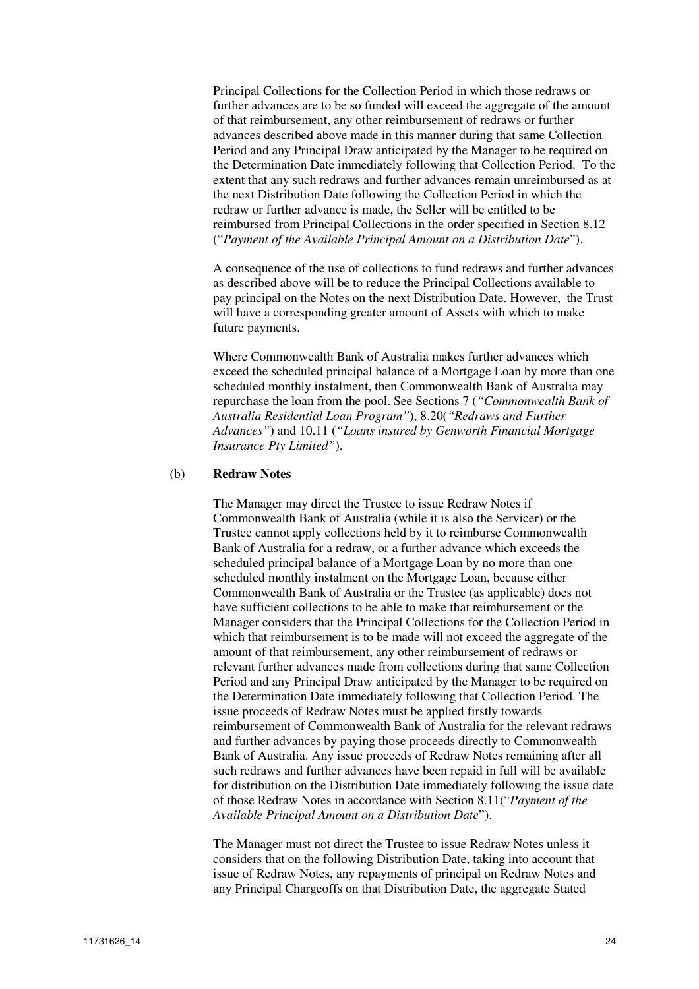Principal Collections for the Collection Period in which those redraws or further advances are to be so funded will exceed the aggregate of the amount of that reimbursement, any other reimbursement of redraws or further advances described above made in this manner during that same Collection Period and any Principal Draw anticipated by the Manager to be required on the Determination Date immediately following that Collection Period. To the extent that any such redraws and further advances remain unreimbursed as at the next Distribution Date following the Collection Period in which the redraw or further advance is made, the Seller will be entitled to be reimbursed from Principal Collections in the order specified in Section 8.12 ("*Payment of the Available Principal Amount on a Distribution Date*").

A consequence of the use of collections to fund redraws and further advances as described above will be to reduce the Principal Collections available to pay principal on the Notes on the next Distribution Date. However, the Trust will have a corresponding greater amount of Assets with which to make future payments.

Where Commonwealth Bank of Australia makes further advances which exceed the scheduled principal balance of a Mortgage Loan by more than one scheduled monthly instalment, then Commonwealth Bank of Australia may repurchase the loan from the pool. See Sections 7 (*"Commonwealth Bank of Australia Residential Loan Program"*), 8.20(*"Redraws and Further Advances"*) and 10.11 (*"Loans insured by Genworth Financial Mortgage Insurance Pty Limited"*).

#### (b) **Redraw Notes**

The Manager may direct the Trustee to issue Redraw Notes if Commonwealth Bank of Australia (while it is also the Servicer) or the Trustee cannot apply collections held by it to reimburse Commonwealth Bank of Australia for a redraw, or a further advance which exceeds the scheduled principal balance of a Mortgage Loan by no more than one scheduled monthly instalment on the Mortgage Loan, because either Commonwealth Bank of Australia or the Trustee (as applicable) does not have sufficient collections to be able to make that reimbursement or the Manager considers that the Principal Collections for the Collection Period in which that reimbursement is to be made will not exceed the aggregate of the amount of that reimbursement, any other reimbursement of redraws or relevant further advances made from collections during that same Collection Period and any Principal Draw anticipated by the Manager to be required on the Determination Date immediately following that Collection Period. The issue proceeds of Redraw Notes must be applied firstly towards reimbursement of Commonwealth Bank of Australia for the relevant redraws and further advances by paying those proceeds directly to Commonwealth Bank of Australia. Any issue proceeds of Redraw Notes remaining after all such redraws and further advances have been repaid in full will be available for distribution on the Distribution Date immediately following the issue date of those Redraw Notes in accordance with Section 8.11("*Payment of the Available Principal Amount on a Distribution Date*").

The Manager must not direct the Trustee to issue Redraw Notes unless it considers that on the following Distribution Date, taking into account that issue of Redraw Notes, any repayments of principal on Redraw Notes and any Principal Chargeoffs on that Distribution Date, the aggregate Stated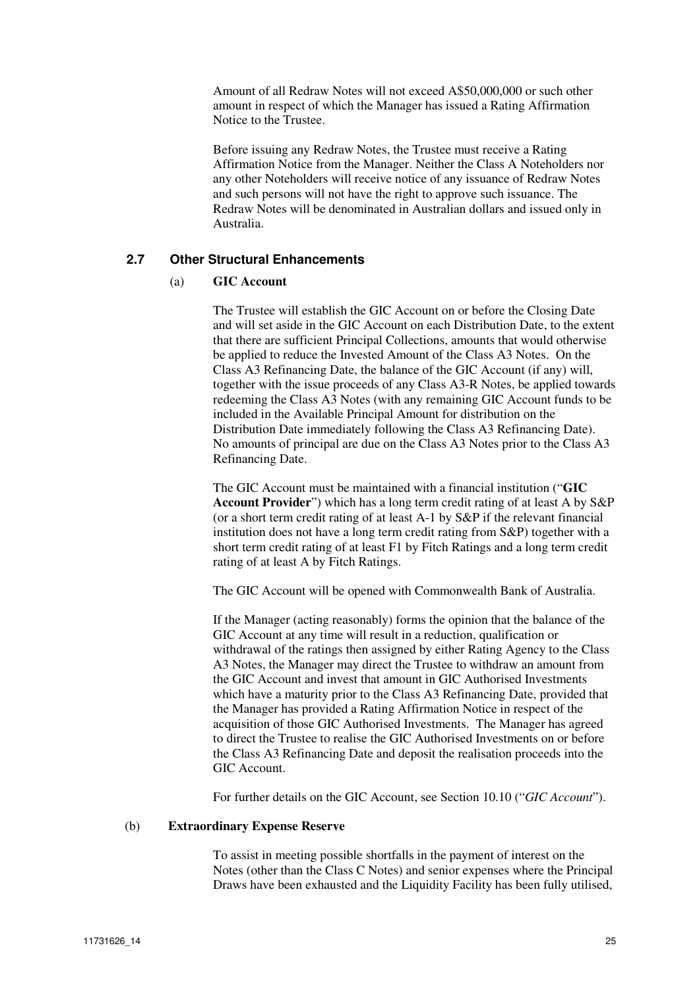Amount of all Redraw Notes will not exceed A\$50,000,000 or such other amount in respect of which the Manager has issued a Rating Affirmation Notice to the Trustee.

Before issuing any Redraw Notes, the Trustee must receive a Rating Affirmation Notice from the Manager. Neither the Class A Noteholders nor any other Noteholders will receive notice of any issuance of Redraw Notes and such persons will not have the right to approve such issuance. The Redraw Notes will be denominated in Australian dollars and issued only in Australia.

### **2.7 Other Structural Enhancements**

### (a) **GIC Account**

The Trustee will establish the GIC Account on or before the Closing Date and will set aside in the GIC Account on each Distribution Date, to the extent that there are sufficient Principal Collections, amounts that would otherwise be applied to reduce the Invested Amount of the Class A3 Notes. On the Class A3 Refinancing Date, the balance of the GIC Account (if any) will, together with the issue proceeds of any Class A3-R Notes, be applied towards redeeming the Class A3 Notes (with any remaining GIC Account funds to be included in the Available Principal Amount for distribution on the Distribution Date immediately following the Class A3 Refinancing Date). No amounts of principal are due on the Class A3 Notes prior to the Class A3 Refinancing Date.

The GIC Account must be maintained with a financial institution ("**GIC Account Provider**") which has a long term credit rating of at least A by S&P (or a short term credit rating of at least A-1 by S&P if the relevant financial institution does not have a long term credit rating from S&P) together with a short term credit rating of at least F1 by Fitch Ratings and a long term credit rating of at least A by Fitch Ratings.

The GIC Account will be opened with Commonwealth Bank of Australia.

If the Manager (acting reasonably) forms the opinion that the balance of the GIC Account at any time will result in a reduction, qualification or withdrawal of the ratings then assigned by either Rating Agency to the Class A3 Notes, the Manager may direct the Trustee to withdraw an amount from the GIC Account and invest that amount in GIC Authorised Investments which have a maturity prior to the Class A3 Refinancing Date, provided that the Manager has provided a Rating Affirmation Notice in respect of the acquisition of those GIC Authorised Investments. The Manager has agreed to direct the Trustee to realise the GIC Authorised Investments on or before the Class A3 Refinancing Date and deposit the realisation proceeds into the GIC Account.

For further details on the GIC Account, see Section 10.10 ("*GIC Account*").

#### (b) **Extraordinary Expense Reserve**

To assist in meeting possible shortfalls in the payment of interest on the Notes (other than the Class C Notes) and senior expenses where the Principal Draws have been exhausted and the Liquidity Facility has been fully utilised,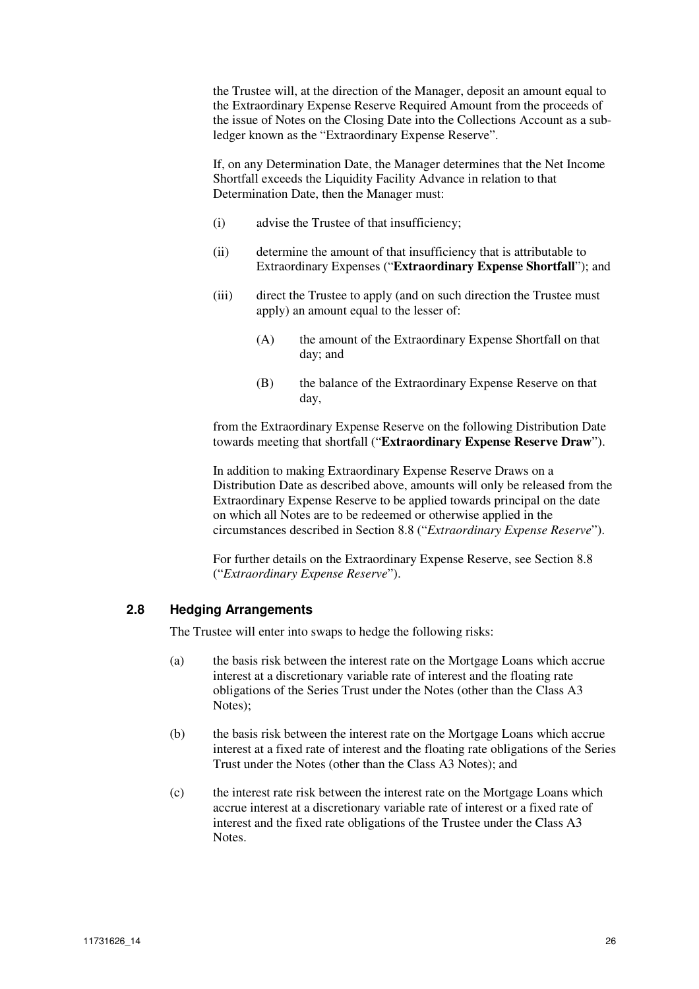the Trustee will, at the direction of the Manager, deposit an amount equal to the Extraordinary Expense Reserve Required Amount from the proceeds of the issue of Notes on the Closing Date into the Collections Account as a subledger known as the "Extraordinary Expense Reserve".

If, on any Determination Date, the Manager determines that the Net Income Shortfall exceeds the Liquidity Facility Advance in relation to that Determination Date, then the Manager must:

- (i) advise the Trustee of that insufficiency;
- (ii) determine the amount of that insufficiency that is attributable to Extraordinary Expenses ("**Extraordinary Expense Shortfall**"); and
- (iii) direct the Trustee to apply (and on such direction the Trustee must apply) an amount equal to the lesser of:
	- (A) the amount of the Extraordinary Expense Shortfall on that day; and
	- (B) the balance of the Extraordinary Expense Reserve on that day,

from the Extraordinary Expense Reserve on the following Distribution Date towards meeting that shortfall ("**Extraordinary Expense Reserve Draw**").

In addition to making Extraordinary Expense Reserve Draws on a Distribution Date as described above, amounts will only be released from the Extraordinary Expense Reserve to be applied towards principal on the date on which all Notes are to be redeemed or otherwise applied in the circumstances described in Section 8.8 ("*Extraordinary Expense Reserve*").

For further details on the Extraordinary Expense Reserve, see Section 8.8 ("*Extraordinary Expense Reserve*").

### **2.8 Hedging Arrangements**

The Trustee will enter into swaps to hedge the following risks:

- (a) the basis risk between the interest rate on the Mortgage Loans which accrue interest at a discretionary variable rate of interest and the floating rate obligations of the Series Trust under the Notes (other than the Class A3 Notes);
- (b) the basis risk between the interest rate on the Mortgage Loans which accrue interest at a fixed rate of interest and the floating rate obligations of the Series Trust under the Notes (other than the Class A3 Notes); and
- (c) the interest rate risk between the interest rate on the Mortgage Loans which accrue interest at a discretionary variable rate of interest or a fixed rate of interest and the fixed rate obligations of the Trustee under the Class A3 Notes.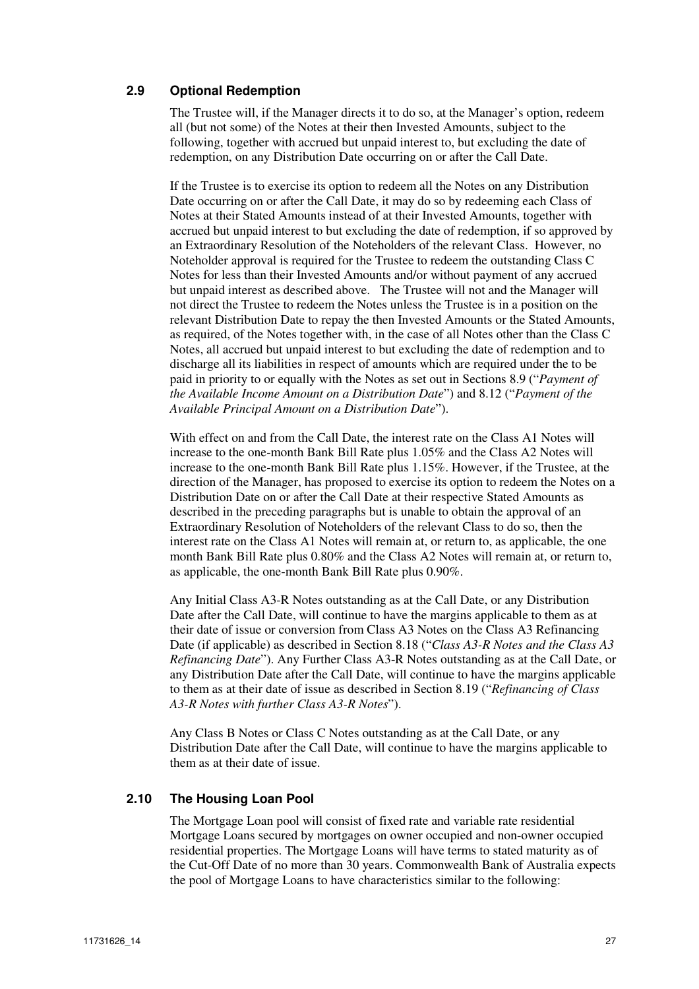### **2.9 Optional Redemption**

The Trustee will, if the Manager directs it to do so, at the Manager's option, redeem all (but not some) of the Notes at their then Invested Amounts, subject to the following, together with accrued but unpaid interest to, but excluding the date of redemption, on any Distribution Date occurring on or after the Call Date.

If the Trustee is to exercise its option to redeem all the Notes on any Distribution Date occurring on or after the Call Date, it may do so by redeeming each Class of Notes at their Stated Amounts instead of at their Invested Amounts, together with accrued but unpaid interest to but excluding the date of redemption, if so approved by an Extraordinary Resolution of the Noteholders of the relevant Class. However, no Noteholder approval is required for the Trustee to redeem the outstanding Class C Notes for less than their Invested Amounts and/or without payment of any accrued but unpaid interest as described above. The Trustee will not and the Manager will not direct the Trustee to redeem the Notes unless the Trustee is in a position on the relevant Distribution Date to repay the then Invested Amounts or the Stated Amounts, as required, of the Notes together with, in the case of all Notes other than the Class C Notes, all accrued but unpaid interest to but excluding the date of redemption and to discharge all its liabilities in respect of amounts which are required under the to be paid in priority to or equally with the Notes as set out in Sections 8.9 ("*Payment of the Available Income Amount on a Distribution Date*") and 8.12 ("*Payment of the Available Principal Amount on a Distribution Date*").

With effect on and from the Call Date, the interest rate on the Class A1 Notes will increase to the one-month Bank Bill Rate plus 1.05% and the Class A2 Notes will increase to the one-month Bank Bill Rate plus 1.15%. However, if the Trustee, at the direction of the Manager, has proposed to exercise its option to redeem the Notes on a Distribution Date on or after the Call Date at their respective Stated Amounts as described in the preceding paragraphs but is unable to obtain the approval of an Extraordinary Resolution of Noteholders of the relevant Class to do so, then the interest rate on the Class A1 Notes will remain at, or return to, as applicable, the one month Bank Bill Rate plus 0.80% and the Class A2 Notes will remain at, or return to, as applicable, the one-month Bank Bill Rate plus 0.90%.

Any Initial Class A3-R Notes outstanding as at the Call Date, or any Distribution Date after the Call Date, will continue to have the margins applicable to them as at their date of issue or conversion from Class A3 Notes on the Class A3 Refinancing Date (if applicable) as described in Section 8.18 ("*Class A3-R Notes and the Class A3 Refinancing Date*"). Any Further Class A3-R Notes outstanding as at the Call Date, or any Distribution Date after the Call Date, will continue to have the margins applicable to them as at their date of issue as described in Section 8.19 ("*Refinancing of Class A3-R Notes with further Class A3-R Notes*").

Any Class B Notes or Class C Notes outstanding as at the Call Date, or any Distribution Date after the Call Date, will continue to have the margins applicable to them as at their date of issue.

### **2.10 The Housing Loan Pool**

The Mortgage Loan pool will consist of fixed rate and variable rate residential Mortgage Loans secured by mortgages on owner occupied and non-owner occupied residential properties. The Mortgage Loans will have terms to stated maturity as of the Cut-Off Date of no more than 30 years. Commonwealth Bank of Australia expects the pool of Mortgage Loans to have characteristics similar to the following: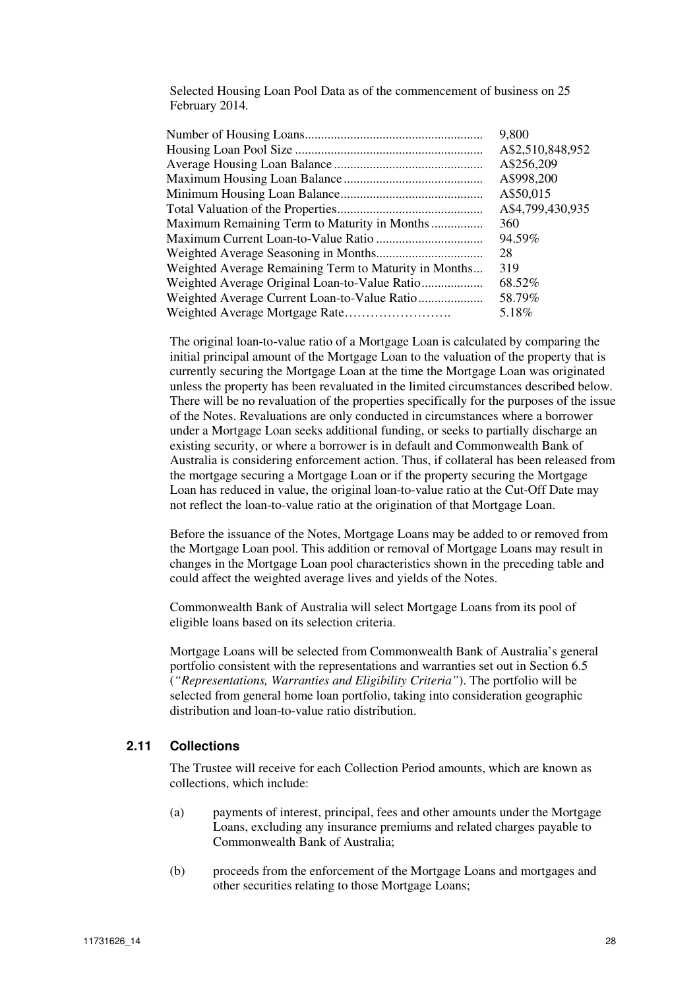Selected Housing Loan Pool Data as of the commencement of business on 25 February 2014*.* 

|                                                       | 9,800            |
|-------------------------------------------------------|------------------|
|                                                       | A\$2,510,848,952 |
|                                                       | A\$256,209       |
|                                                       | A\$998,200       |
|                                                       | A\$50,015        |
|                                                       | A\$4,799,430,935 |
|                                                       | 360              |
|                                                       | 94.59%           |
|                                                       | 28               |
| Weighted Average Remaining Term to Maturity in Months | 319              |
|                                                       | 68.52%           |
|                                                       | 58.79%           |
|                                                       | 5.18%            |

The original loan-to-value ratio of a Mortgage Loan is calculated by comparing the initial principal amount of the Mortgage Loan to the valuation of the property that is currently securing the Mortgage Loan at the time the Mortgage Loan was originated unless the property has been revaluated in the limited circumstances described below. There will be no revaluation of the properties specifically for the purposes of the issue of the Notes. Revaluations are only conducted in circumstances where a borrower under a Mortgage Loan seeks additional funding, or seeks to partially discharge an existing security, or where a borrower is in default and Commonwealth Bank of Australia is considering enforcement action. Thus, if collateral has been released from the mortgage securing a Mortgage Loan or if the property securing the Mortgage Loan has reduced in value, the original loan-to-value ratio at the Cut-Off Date may not reflect the loan-to-value ratio at the origination of that Mortgage Loan.

Before the issuance of the Notes, Mortgage Loans may be added to or removed from the Mortgage Loan pool. This addition or removal of Mortgage Loans may result in changes in the Mortgage Loan pool characteristics shown in the preceding table and could affect the weighted average lives and yields of the Notes.

Commonwealth Bank of Australia will select Mortgage Loans from its pool of eligible loans based on its selection criteria.

Mortgage Loans will be selected from Commonwealth Bank of Australia's general portfolio consistent with the representations and warranties set out in Section 6.5 (*"Representations, Warranties and Eligibility Criteria"*). The portfolio will be selected from general home loan portfolio, taking into consideration geographic distribution and loan-to-value ratio distribution.

#### **2.11 Collections**

The Trustee will receive for each Collection Period amounts, which are known as collections, which include:

- (a) payments of interest, principal, fees and other amounts under the Mortgage Loans, excluding any insurance premiums and related charges payable to Commonwealth Bank of Australia;
- (b) proceeds from the enforcement of the Mortgage Loans and mortgages and other securities relating to those Mortgage Loans;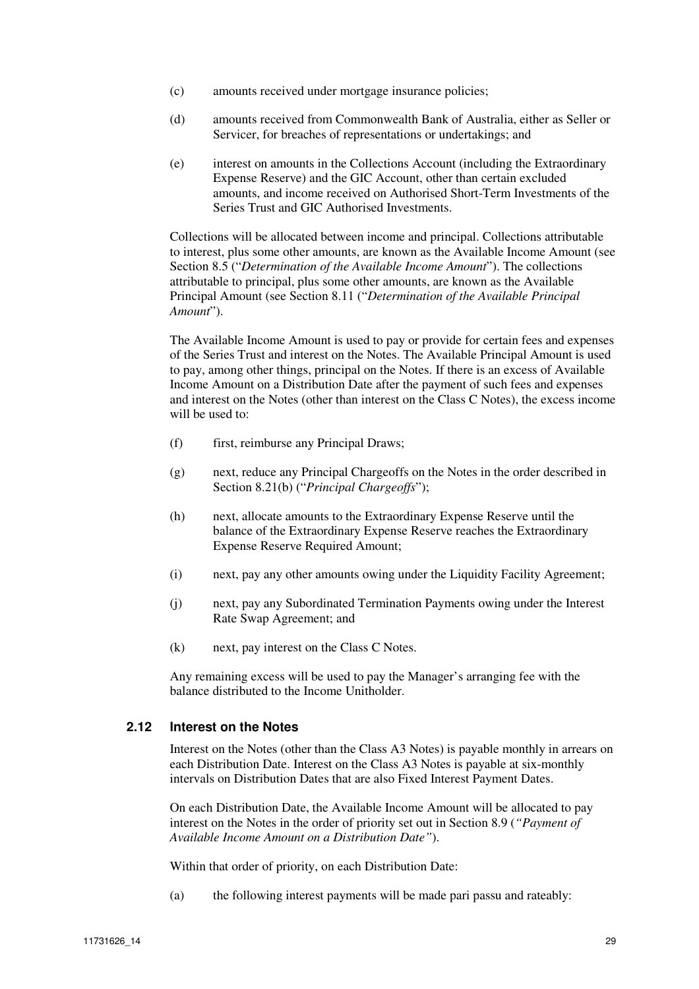- (c) amounts received under mortgage insurance policies;
- (d) amounts received from Commonwealth Bank of Australia, either as Seller or Servicer, for breaches of representations or undertakings; and
- (e) interest on amounts in the Collections Account (including the Extraordinary Expense Reserve) and the GIC Account, other than certain excluded amounts, and income received on Authorised Short-Term Investments of the Series Trust and GIC Authorised Investments.

Collections will be allocated between income and principal. Collections attributable to interest, plus some other amounts, are known as the Available Income Amount (see Section 8.5 ("*Determination of the Available Income Amount*"). The collections attributable to principal, plus some other amounts, are known as the Available Principal Amount (see Section 8.11 ("*Determination of the Available Principal Amount*").

The Available Income Amount is used to pay or provide for certain fees and expenses of the Series Trust and interest on the Notes. The Available Principal Amount is used to pay, among other things, principal on the Notes. If there is an excess of Available Income Amount on a Distribution Date after the payment of such fees and expenses and interest on the Notes (other than interest on the Class C Notes), the excess income will be used to:

- (f) first, reimburse any Principal Draws;
- (g) next, reduce any Principal Chargeoffs on the Notes in the order described in Section 8.21(b) ("*Principal Chargeoffs*");
- (h) next, allocate amounts to the Extraordinary Expense Reserve until the balance of the Extraordinary Expense Reserve reaches the Extraordinary Expense Reserve Required Amount;
- (i) next, pay any other amounts owing under the Liquidity Facility Agreement;
- (j) next, pay any Subordinated Termination Payments owing under the Interest Rate Swap Agreement; and
- (k) next, pay interest on the Class C Notes.

Any remaining excess will be used to pay the Manager's arranging fee with the balance distributed to the Income Unitholder.

### **2.12 Interest on the Notes**

Interest on the Notes (other than the Class A3 Notes) is payable monthly in arrears on each Distribution Date. Interest on the Class A3 Notes is payable at six-monthly intervals on Distribution Dates that are also Fixed Interest Payment Dates.

On each Distribution Date, the Available Income Amount will be allocated to pay interest on the Notes in the order of priority set out in Section 8.9 (*"Payment of Available Income Amount on a Distribution Date"*).

Within that order of priority, on each Distribution Date:

(a) the following interest payments will be made pari passu and rateably: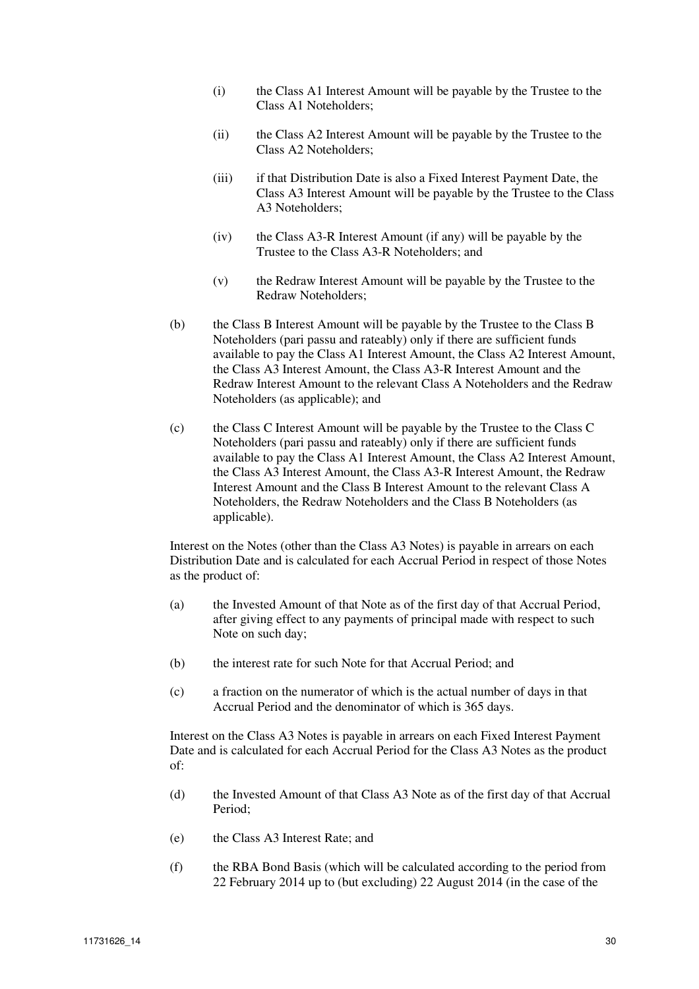- (i) the Class A1 Interest Amount will be payable by the Trustee to the Class A1 Noteholders;
- (ii) the Class A2 Interest Amount will be payable by the Trustee to the Class A2 Noteholders;
- (iii) if that Distribution Date is also a Fixed Interest Payment Date, the Class A3 Interest Amount will be payable by the Trustee to the Class A3 Noteholders;
- (iv) the Class A3-R Interest Amount (if any) will be payable by the Trustee to the Class A3-R Noteholders; and
- (v) the Redraw Interest Amount will be payable by the Trustee to the Redraw Noteholders;
- (b) the Class B Interest Amount will be payable by the Trustee to the Class B Noteholders (pari passu and rateably) only if there are sufficient funds available to pay the Class A1 Interest Amount, the Class A2 Interest Amount, the Class A3 Interest Amount, the Class A3-R Interest Amount and the Redraw Interest Amount to the relevant Class A Noteholders and the Redraw Noteholders (as applicable); and
- (c) the Class C Interest Amount will be payable by the Trustee to the Class C Noteholders (pari passu and rateably) only if there are sufficient funds available to pay the Class A1 Interest Amount, the Class A2 Interest Amount, the Class A3 Interest Amount, the Class A3-R Interest Amount, the Redraw Interest Amount and the Class B Interest Amount to the relevant Class A Noteholders, the Redraw Noteholders and the Class B Noteholders (as applicable).

Interest on the Notes (other than the Class A3 Notes) is payable in arrears on each Distribution Date and is calculated for each Accrual Period in respect of those Notes as the product of:

- (a) the Invested Amount of that Note as of the first day of that Accrual Period, after giving effect to any payments of principal made with respect to such Note on such day;
- (b) the interest rate for such Note for that Accrual Period; and
- (c) a fraction on the numerator of which is the actual number of days in that Accrual Period and the denominator of which is 365 days.

Interest on the Class A3 Notes is payable in arrears on each Fixed Interest Payment Date and is calculated for each Accrual Period for the Class A3 Notes as the product of:

- (d) the Invested Amount of that Class A3 Note as of the first day of that Accrual Period;
- (e) the Class A3 Interest Rate; and
- (f) the RBA Bond Basis (which will be calculated according to the period from 22 February 2014 up to (but excluding) 22 August 2014 (in the case of the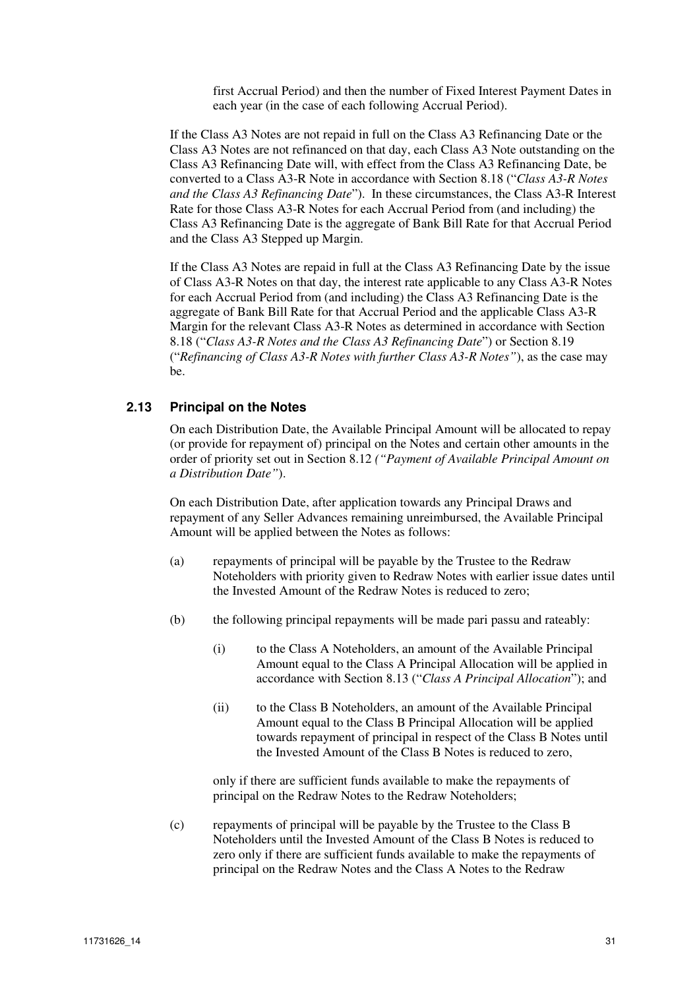first Accrual Period) and then the number of Fixed Interest Payment Dates in each year (in the case of each following Accrual Period).

If the Class A3 Notes are not repaid in full on the Class A3 Refinancing Date or the Class A3 Notes are not refinanced on that day, each Class A3 Note outstanding on the Class A3 Refinancing Date will, with effect from the Class A3 Refinancing Date, be converted to a Class A3-R Note in accordance with Section 8.18 ("*Class A3-R Notes and the Class A3 Refinancing Date*"). In these circumstances, the Class A3-R Interest Rate for those Class A3-R Notes for each Accrual Period from (and including) the Class A3 Refinancing Date is the aggregate of Bank Bill Rate for that Accrual Period and the Class A3 Stepped up Margin.

If the Class A3 Notes are repaid in full at the Class A3 Refinancing Date by the issue of Class A3-R Notes on that day, the interest rate applicable to any Class A3-R Notes for each Accrual Period from (and including) the Class A3 Refinancing Date is the aggregate of Bank Bill Rate for that Accrual Period and the applicable Class A3-R Margin for the relevant Class A3-R Notes as determined in accordance with Section 8.18 ("*Class A3-R Notes and the Class A3 Refinancing Date*") or Section 8.19 ("*Refinancing of Class A3-R Notes with further Class A3-R Notes"*), as the case may be.

#### **2.13 Principal on the Notes**

On each Distribution Date, the Available Principal Amount will be allocated to repay (or provide for repayment of) principal on the Notes and certain other amounts in the order of priority set out in Section 8.12 *("Payment of Available Principal Amount on a Distribution Date"*).

On each Distribution Date, after application towards any Principal Draws and repayment of any Seller Advances remaining unreimbursed, the Available Principal Amount will be applied between the Notes as follows:

- (a) repayments of principal will be payable by the Trustee to the Redraw Noteholders with priority given to Redraw Notes with earlier issue dates until the Invested Amount of the Redraw Notes is reduced to zero;
- (b) the following principal repayments will be made pari passu and rateably:
	- (i) to the Class A Noteholders, an amount of the Available Principal Amount equal to the Class A Principal Allocation will be applied in accordance with Section 8.13 ("*Class A Principal Allocation*"); and
	- (ii) to the Class B Noteholders, an amount of the Available Principal Amount equal to the Class B Principal Allocation will be applied towards repayment of principal in respect of the Class B Notes until the Invested Amount of the Class B Notes is reduced to zero,

only if there are sufficient funds available to make the repayments of principal on the Redraw Notes to the Redraw Noteholders;

(c) repayments of principal will be payable by the Trustee to the Class B Noteholders until the Invested Amount of the Class B Notes is reduced to zero only if there are sufficient funds available to make the repayments of principal on the Redraw Notes and the Class A Notes to the Redraw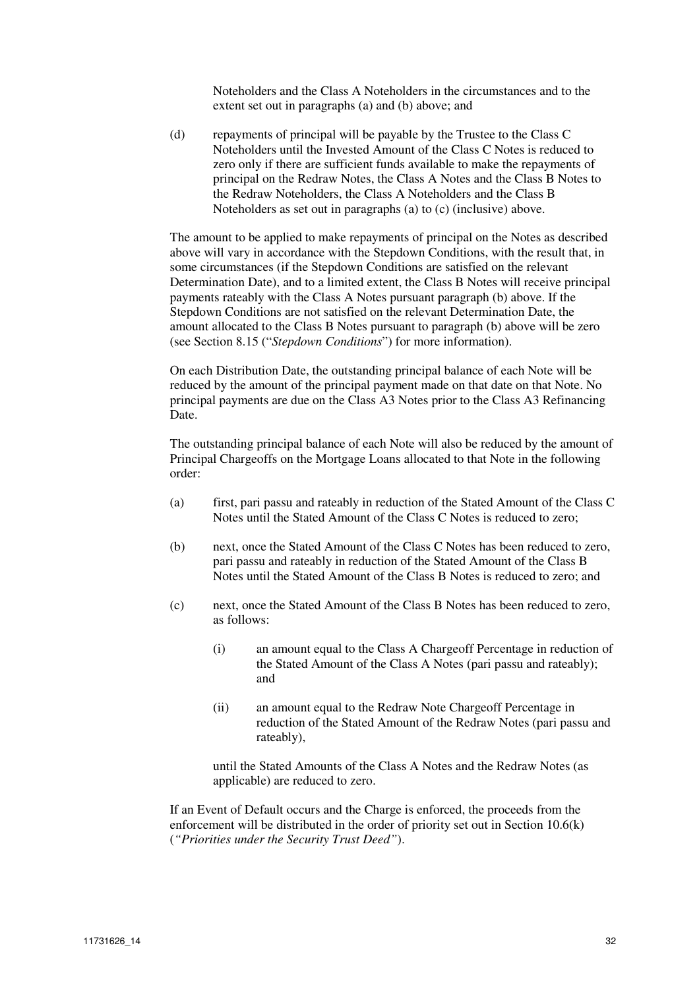Noteholders and the Class A Noteholders in the circumstances and to the extent set out in paragraphs (a) and (b) above; and

(d) repayments of principal will be payable by the Trustee to the Class C Noteholders until the Invested Amount of the Class C Notes is reduced to zero only if there are sufficient funds available to make the repayments of principal on the Redraw Notes, the Class A Notes and the Class B Notes to the Redraw Noteholders, the Class A Noteholders and the Class B Noteholders as set out in paragraphs (a) to (c) (inclusive) above.

The amount to be applied to make repayments of principal on the Notes as described above will vary in accordance with the Stepdown Conditions, with the result that, in some circumstances (if the Stepdown Conditions are satisfied on the relevant Determination Date), and to a limited extent, the Class B Notes will receive principal payments rateably with the Class A Notes pursuant paragraph (b) above. If the Stepdown Conditions are not satisfied on the relevant Determination Date, the amount allocated to the Class B Notes pursuant to paragraph (b) above will be zero (see Section 8.15 ("*Stepdown Conditions*") for more information).

On each Distribution Date, the outstanding principal balance of each Note will be reduced by the amount of the principal payment made on that date on that Note. No principal payments are due on the Class A3 Notes prior to the Class A3 Refinancing Date.

The outstanding principal balance of each Note will also be reduced by the amount of Principal Chargeoffs on the Mortgage Loans allocated to that Note in the following order:

- (a) first, pari passu and rateably in reduction of the Stated Amount of the Class C Notes until the Stated Amount of the Class C Notes is reduced to zero;
- (b) next, once the Stated Amount of the Class C Notes has been reduced to zero, pari passu and rateably in reduction of the Stated Amount of the Class B Notes until the Stated Amount of the Class B Notes is reduced to zero; and
- (c) next, once the Stated Amount of the Class B Notes has been reduced to zero, as follows:
	- (i) an amount equal to the Class A Chargeoff Percentage in reduction of the Stated Amount of the Class A Notes (pari passu and rateably); and
	- (ii) an amount equal to the Redraw Note Chargeoff Percentage in reduction of the Stated Amount of the Redraw Notes (pari passu and rateably),

until the Stated Amounts of the Class A Notes and the Redraw Notes (as applicable) are reduced to zero.

If an Event of Default occurs and the Charge is enforced, the proceeds from the enforcement will be distributed in the order of priority set out in Section 10.6(k) (*"Priorities under the Security Trust Deed"*).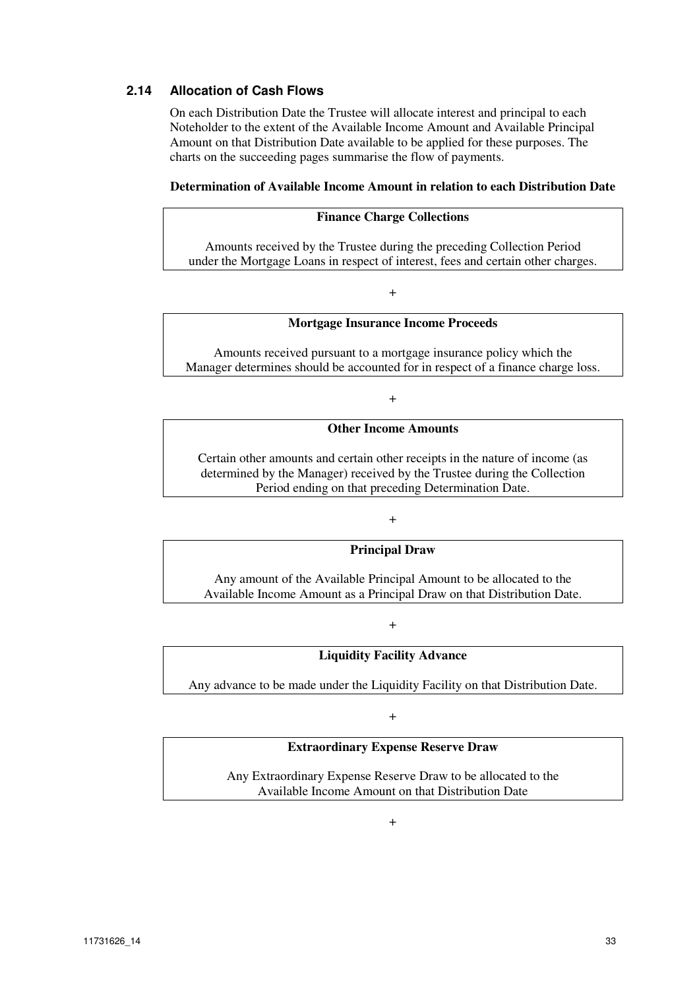### **2.14 Allocation of Cash Flows**

On each Distribution Date the Trustee will allocate interest and principal to each Noteholder to the extent of the Available Income Amount and Available Principal Amount on that Distribution Date available to be applied for these purposes. The charts on the succeeding pages summarise the flow of payments.

#### **Determination of Available Income Amount in relation to each Distribution Date**

#### **Finance Charge Collections**

Amounts received by the Trustee during the preceding Collection Period under the Mortgage Loans in respect of interest, fees and certain other charges.

#### +

#### **Mortgage Insurance Income Proceeds**

Amounts received pursuant to a mortgage insurance policy which the Manager determines should be accounted for in respect of a finance charge loss.

+

#### **Other Income Amounts**

Certain other amounts and certain other receipts in the nature of income (as determined by the Manager) received by the Trustee during the Collection Period ending on that preceding Determination Date.

+

#### **Principal Draw**

Any amount of the Available Principal Amount to be allocated to the Available Income Amount as a Principal Draw on that Distribution Date.

+

#### **Liquidity Facility Advance**

Any advance to be made under the Liquidity Facility on that Distribution Date.

+

#### **Extraordinary Expense Reserve Draw**

Any Extraordinary Expense Reserve Draw to be allocated to the Available Income Amount on that Distribution Date

 $\pm$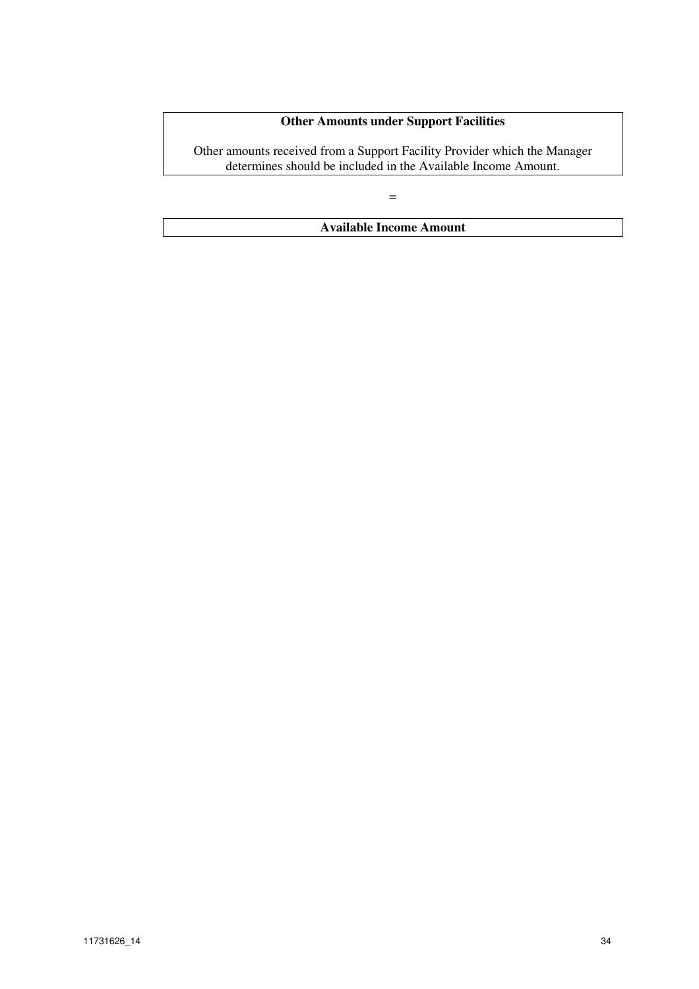### **Other Amounts under Support Facilities**

Other amounts received from a Support Facility Provider which the Manager determines should be included in the Available Income Amount.

=

**Available Income Amount**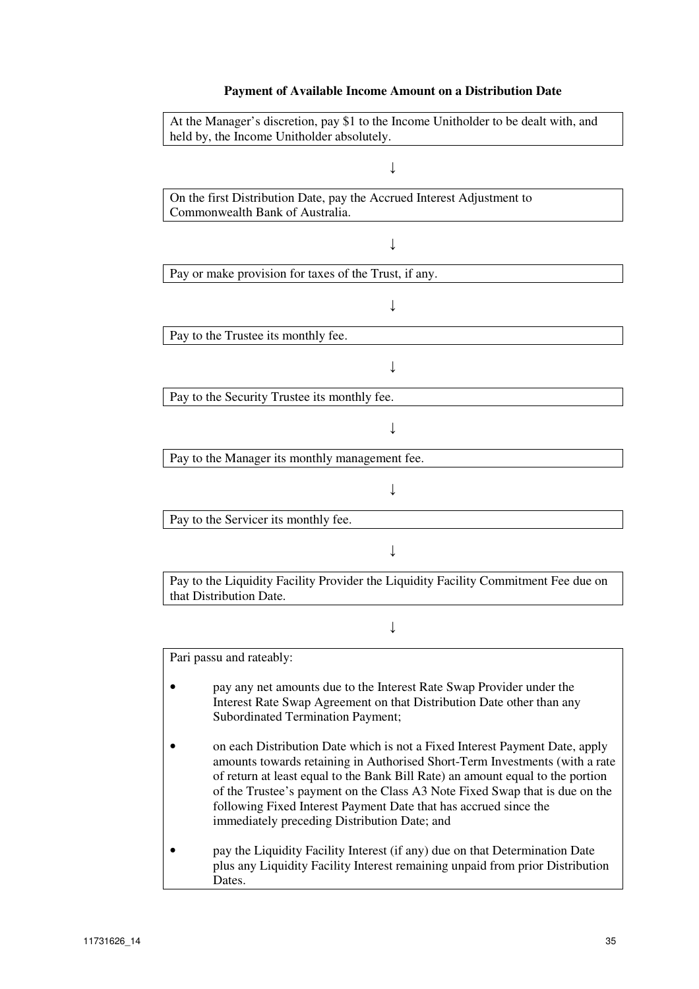## **Payment of Available Income Amount on a Distribution Date**

| At the Manager's discretion, pay \$1 to the Income Unitholder to be dealt with, and<br>held by, the Income Unitholder absolutely.                                                                                                                                                                                                                                                                                                               |  |  |
|-------------------------------------------------------------------------------------------------------------------------------------------------------------------------------------------------------------------------------------------------------------------------------------------------------------------------------------------------------------------------------------------------------------------------------------------------|--|--|
|                                                                                                                                                                                                                                                                                                                                                                                                                                                 |  |  |
| On the first Distribution Date, pay the Accrued Interest Adjustment to<br>Commonwealth Bank of Australia.                                                                                                                                                                                                                                                                                                                                       |  |  |
|                                                                                                                                                                                                                                                                                                                                                                                                                                                 |  |  |
| Pay or make provision for taxes of the Trust, if any.                                                                                                                                                                                                                                                                                                                                                                                           |  |  |
|                                                                                                                                                                                                                                                                                                                                                                                                                                                 |  |  |
| Pay to the Trustee its monthly fee.                                                                                                                                                                                                                                                                                                                                                                                                             |  |  |
|                                                                                                                                                                                                                                                                                                                                                                                                                                                 |  |  |
| Pay to the Security Trustee its monthly fee.                                                                                                                                                                                                                                                                                                                                                                                                    |  |  |
|                                                                                                                                                                                                                                                                                                                                                                                                                                                 |  |  |
| Pay to the Manager its monthly management fee.                                                                                                                                                                                                                                                                                                                                                                                                  |  |  |
|                                                                                                                                                                                                                                                                                                                                                                                                                                                 |  |  |
| Pay to the Servicer its monthly fee.                                                                                                                                                                                                                                                                                                                                                                                                            |  |  |
|                                                                                                                                                                                                                                                                                                                                                                                                                                                 |  |  |
| Pay to the Liquidity Facility Provider the Liquidity Facility Commitment Fee due on<br>that Distribution Date.                                                                                                                                                                                                                                                                                                                                  |  |  |
|                                                                                                                                                                                                                                                                                                                                                                                                                                                 |  |  |
| Pari passu and rateably:                                                                                                                                                                                                                                                                                                                                                                                                                        |  |  |
| pay any net amounts due to the Interest Rate Swap Provider under the<br>Interest Rate Swap Agreement on that Distribution Date other than any<br><b>Subordinated Termination Payment;</b>                                                                                                                                                                                                                                                       |  |  |
| on each Distribution Date which is not a Fixed Interest Payment Date, apply<br>amounts towards retaining in Authorised Short-Term Investments (with a rate<br>of return at least equal to the Bank Bill Rate) an amount equal to the portion<br>of the Trustee's payment on the Class A3 Note Fixed Swap that is due on the<br>following Fixed Interest Payment Date that has accrued since the<br>immediately preceding Distribution Date; and |  |  |
| pay the Liquidity Facility Interest (if any) due on that Determination Date<br>plus any Liquidity Facility Interest remaining unpaid from prior Distribution<br>Dates.                                                                                                                                                                                                                                                                          |  |  |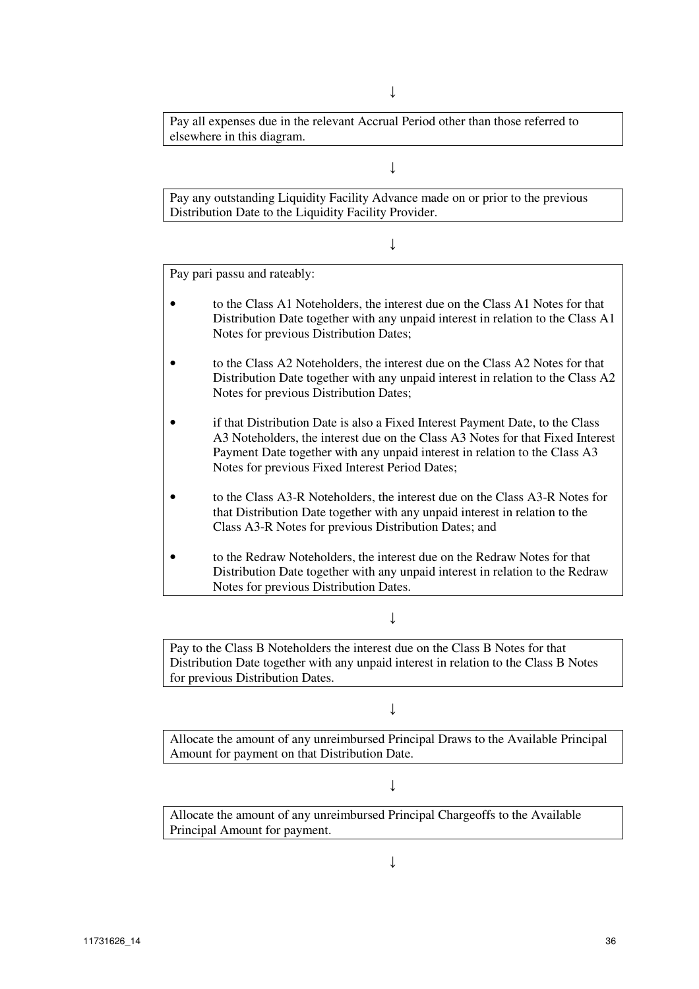↓

Pay all expenses due in the relevant Accrual Period other than those referred to elsewhere in this diagram.

#### ↓

Pay any outstanding Liquidity Facility Advance made on or prior to the previous Distribution Date to the Liquidity Facility Provider.

↓

Pay pari passu and rateably:

- to the Class A1 Noteholders, the interest due on the Class A1 Notes for that Distribution Date together with any unpaid interest in relation to the Class A1 Notes for previous Distribution Dates;
- to the Class A2 Noteholders, the interest due on the Class A2 Notes for that Distribution Date together with any unpaid interest in relation to the Class A2 Notes for previous Distribution Dates;
- if that Distribution Date is also a Fixed Interest Payment Date, to the Class A3 Noteholders, the interest due on the Class A3 Notes for that Fixed Interest Payment Date together with any unpaid interest in relation to the Class A3 Notes for previous Fixed Interest Period Dates;
- to the Class A3-R Noteholders, the interest due on the Class A3-R Notes for that Distribution Date together with any unpaid interest in relation to the Class A3-R Notes for previous Distribution Dates; and
- to the Redraw Noteholders, the interest due on the Redraw Notes for that Distribution Date together with any unpaid interest in relation to the Redraw Notes for previous Distribution Dates.

↓

Pay to the Class B Noteholders the interest due on the Class B Notes for that Distribution Date together with any unpaid interest in relation to the Class B Notes for previous Distribution Dates.

 $\perp$ 

Allocate the amount of any unreimbursed Principal Draws to the Available Principal Amount for payment on that Distribution Date.

↓

Allocate the amount of any unreimbursed Principal Chargeoffs to the Available Principal Amount for payment.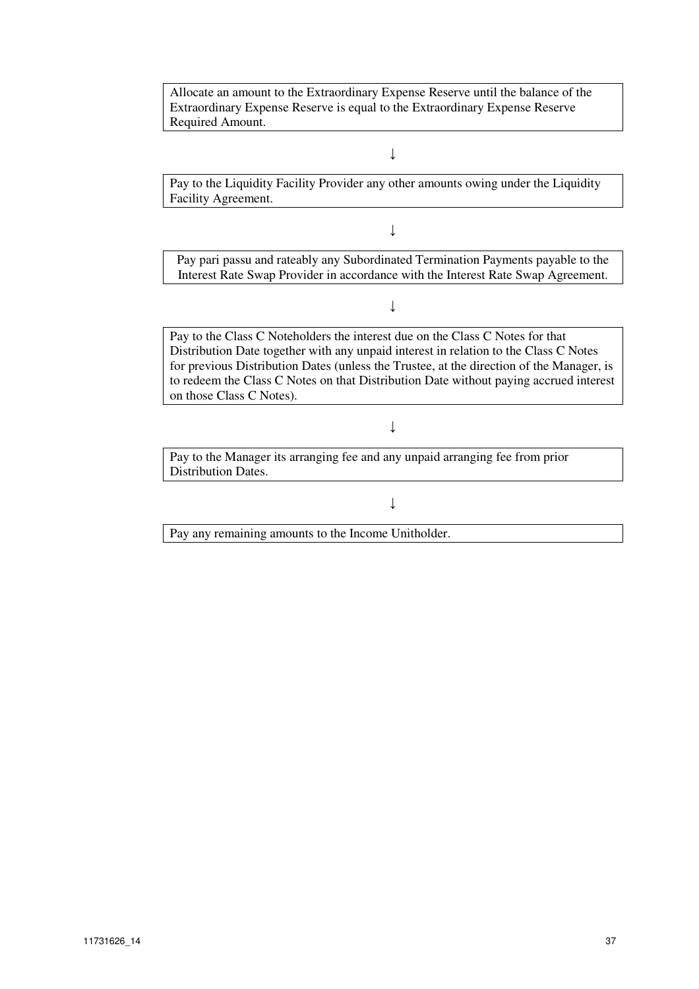Allocate an amount to the Extraordinary Expense Reserve until the balance of the Extraordinary Expense Reserve is equal to the Extraordinary Expense Reserve Required Amount.

### ↓

Pay to the Liquidity Facility Provider any other amounts owing under the Liquidity Facility Agreement.

↓

Pay pari passu and rateably any Subordinated Termination Payments payable to the Interest Rate Swap Provider in accordance with the Interest Rate Swap Agreement.

↓

Pay to the Class C Noteholders the interest due on the Class C Notes for that Distribution Date together with any unpaid interest in relation to the Class C Notes for previous Distribution Dates (unless the Trustee, at the direction of the Manager, is to redeem the Class C Notes on that Distribution Date without paying accrued interest on those Class C Notes).

↓

Pay to the Manager its arranging fee and any unpaid arranging fee from prior Distribution Dates.

↓

Pay any remaining amounts to the Income Unitholder.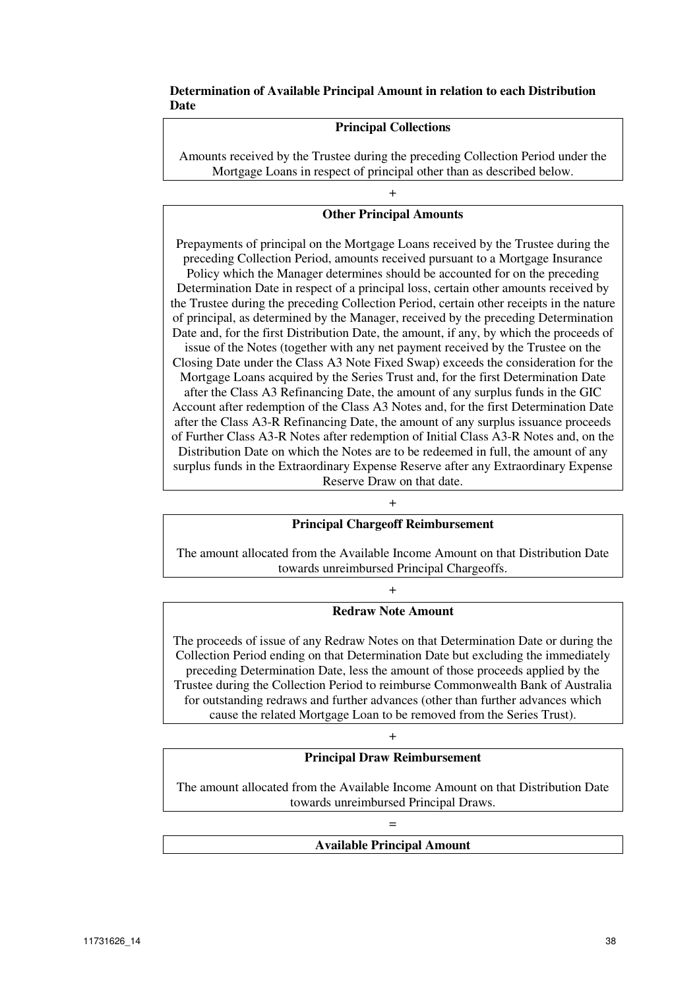#### **Determination of Available Principal Amount in relation to each Distribution Date**

### **Principal Collections**

Amounts received by the Trustee during the preceding Collection Period under the Mortgage Loans in respect of principal other than as described below.

# + **Other Principal Amounts**

Prepayments of principal on the Mortgage Loans received by the Trustee during the preceding Collection Period, amounts received pursuant to a Mortgage Insurance

Policy which the Manager determines should be accounted for on the preceding Determination Date in respect of a principal loss, certain other amounts received by the Trustee during the preceding Collection Period, certain other receipts in the nature of principal, as determined by the Manager, received by the preceding Determination Date and, for the first Distribution Date, the amount, if any, by which the proceeds of

issue of the Notes (together with any net payment received by the Trustee on the Closing Date under the Class A3 Note Fixed Swap) exceeds the consideration for the

Mortgage Loans acquired by the Series Trust and, for the first Determination Date after the Class A3 Refinancing Date, the amount of any surplus funds in the GIC Account after redemption of the Class A3 Notes and, for the first Determination Date after the Class A3-R Refinancing Date, the amount of any surplus issuance proceeds of Further Class A3-R Notes after redemption of Initial Class A3-R Notes and, on the Distribution Date on which the Notes are to be redeemed in full, the amount of any surplus funds in the Extraordinary Expense Reserve after any Extraordinary Expense Reserve Draw on that date.

#### +

#### **Principal Chargeoff Reimbursement**

The amount allocated from the Available Income Amount on that Distribution Date towards unreimbursed Principal Chargeoffs.

#### +

### **Redraw Note Amount**

The proceeds of issue of any Redraw Notes on that Determination Date or during the Collection Period ending on that Determination Date but excluding the immediately preceding Determination Date, less the amount of those proceeds applied by the Trustee during the Collection Period to reimburse Commonwealth Bank of Australia for outstanding redraws and further advances (other than further advances which cause the related Mortgage Loan to be removed from the Series Trust).

#### +

#### **Principal Draw Reimbursement**

The amount allocated from the Available Income Amount on that Distribution Date towards unreimbursed Principal Draws.

# = **Available Principal Amount**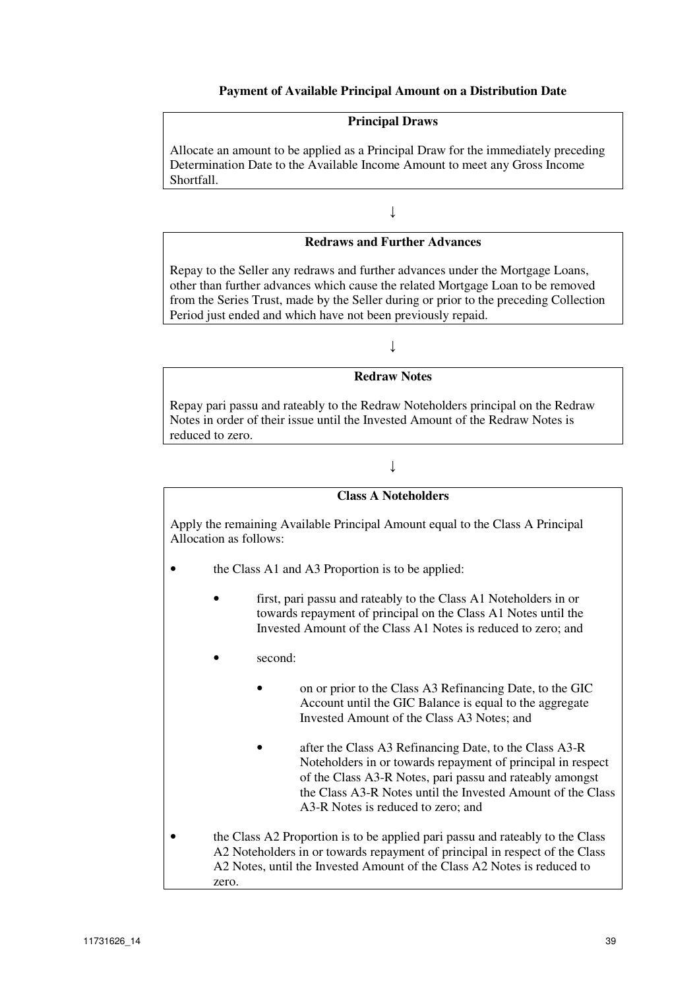#### **Payment of Available Principal Amount on a Distribution Date**

#### **Principal Draws**

Allocate an amount to be applied as a Principal Draw for the immediately preceding Determination Date to the Available Income Amount to meet any Gross Income Shortfall.

↓

#### **Redraws and Further Advances**

Repay to the Seller any redraws and further advances under the Mortgage Loans, other than further advances which cause the related Mortgage Loan to be removed from the Series Trust, made by the Seller during or prior to the preceding Collection Period just ended and which have not been previously repaid.

↓

#### **Redraw Notes**

Repay pari passu and rateably to the Redraw Noteholders principal on the Redraw Notes in order of their issue until the Invested Amount of the Redraw Notes is reduced to zero.

#### ↓

#### **Class A Noteholders**

Apply the remaining Available Principal Amount equal to the Class A Principal Allocation as follows:

- the Class A1 and A3 Proportion is to be applied:
	- first, pari passu and rateably to the Class A1 Noteholders in or towards repayment of principal on the Class A1 Notes until the Invested Amount of the Class A1 Notes is reduced to zero; and
	- second:
		- on or prior to the Class A3 Refinancing Date, to the GIC Account until the GIC Balance is equal to the aggregate Invested Amount of the Class A3 Notes; and
		- after the Class A3 Refinancing Date, to the Class A3-R Noteholders in or towards repayment of principal in respect of the Class A3-R Notes, pari passu and rateably amongst the Class A3-R Notes until the Invested Amount of the Class A3-R Notes is reduced to zero; and
- the Class A2 Proportion is to be applied pari passu and rateably to the Class A2 Noteholders in or towards repayment of principal in respect of the Class A2 Notes, until the Invested Amount of the Class A2 Notes is reduced to zero.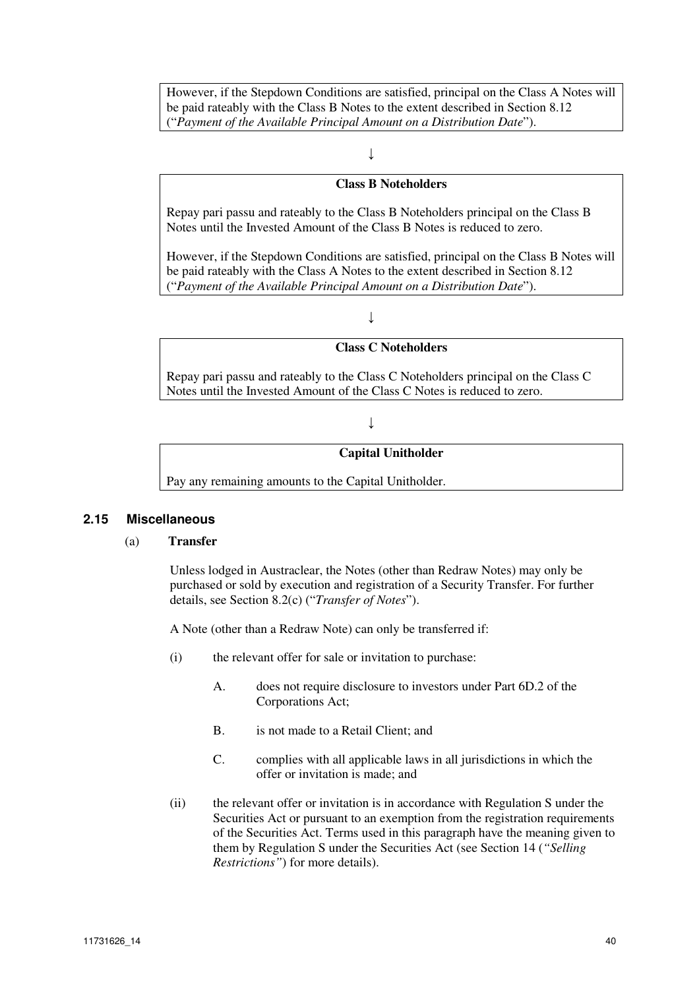However, if the Stepdown Conditions are satisfied, principal on the Class A Notes will be paid rateably with the Class B Notes to the extent described in Section 8.12 ("*Payment of the Available Principal Amount on a Distribution Date*").

#### $\overline{\mathbf{I}}$

#### **Class B Noteholders**

Repay pari passu and rateably to the Class B Noteholders principal on the Class B Notes until the Invested Amount of the Class B Notes is reduced to zero.

However, if the Stepdown Conditions are satisfied, principal on the Class B Notes will be paid rateably with the Class A Notes to the extent described in Section 8.12 ("*Payment of the Available Principal Amount on a Distribution Date*").

### $\downarrow$

### **Class C Noteholders**

Repay pari passu and rateably to the Class C Noteholders principal on the Class C Notes until the Invested Amount of the Class C Notes is reduced to zero.

#### ↓

#### **Capital Unitholder**

Pay any remaining amounts to the Capital Unitholder.

#### **2.15 Miscellaneous**

#### (a) **Transfer**

Unless lodged in Austraclear, the Notes (other than Redraw Notes) may only be purchased or sold by execution and registration of a Security Transfer. For further details, see Section 8.2(c) ("*Transfer of Notes*").

A Note (other than a Redraw Note) can only be transferred if:

- (i) the relevant offer for sale or invitation to purchase:
	- A. does not require disclosure to investors under Part 6D.2 of the Corporations Act;
	- B. is not made to a Retail Client; and
	- C. complies with all applicable laws in all jurisdictions in which the offer or invitation is made; and
- (ii) the relevant offer or invitation is in accordance with Regulation S under the Securities Act or pursuant to an exemption from the registration requirements of the Securities Act. Terms used in this paragraph have the meaning given to them by Regulation S under the Securities Act (see Section 14 (*"Selling Restrictions"*) for more details).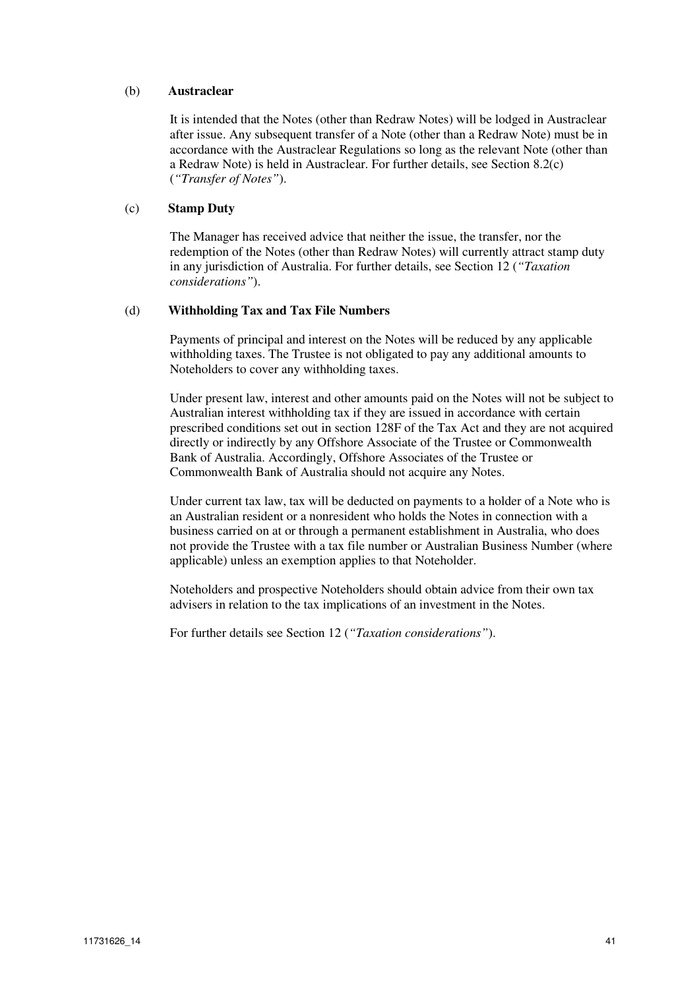#### (b) **Austraclear**

It is intended that the Notes (other than Redraw Notes) will be lodged in Austraclear after issue. Any subsequent transfer of a Note (other than a Redraw Note) must be in accordance with the Austraclear Regulations so long as the relevant Note (other than a Redraw Note) is held in Austraclear. For further details, see Section 8.2(c) (*"Transfer of Notes"*).

#### (c) **Stamp Duty**

The Manager has received advice that neither the issue, the transfer, nor the redemption of the Notes (other than Redraw Notes) will currently attract stamp duty in any jurisdiction of Australia. For further details, see Section 12 (*"Taxation considerations"*).

#### (d) **Withholding Tax and Tax File Numbers**

Payments of principal and interest on the Notes will be reduced by any applicable withholding taxes. The Trustee is not obligated to pay any additional amounts to Noteholders to cover any withholding taxes.

Under present law, interest and other amounts paid on the Notes will not be subject to Australian interest withholding tax if they are issued in accordance with certain prescribed conditions set out in section 128F of the Tax Act and they are not acquired directly or indirectly by any Offshore Associate of the Trustee or Commonwealth Bank of Australia. Accordingly, Offshore Associates of the Trustee or Commonwealth Bank of Australia should not acquire any Notes.

Under current tax law, tax will be deducted on payments to a holder of a Note who is an Australian resident or a nonresident who holds the Notes in connection with a business carried on at or through a permanent establishment in Australia, who does not provide the Trustee with a tax file number or Australian Business Number (where applicable) unless an exemption applies to that Noteholder.

Noteholders and prospective Noteholders should obtain advice from their own tax advisers in relation to the tax implications of an investment in the Notes.

For further details see Section 12 (*"Taxation considerations"*).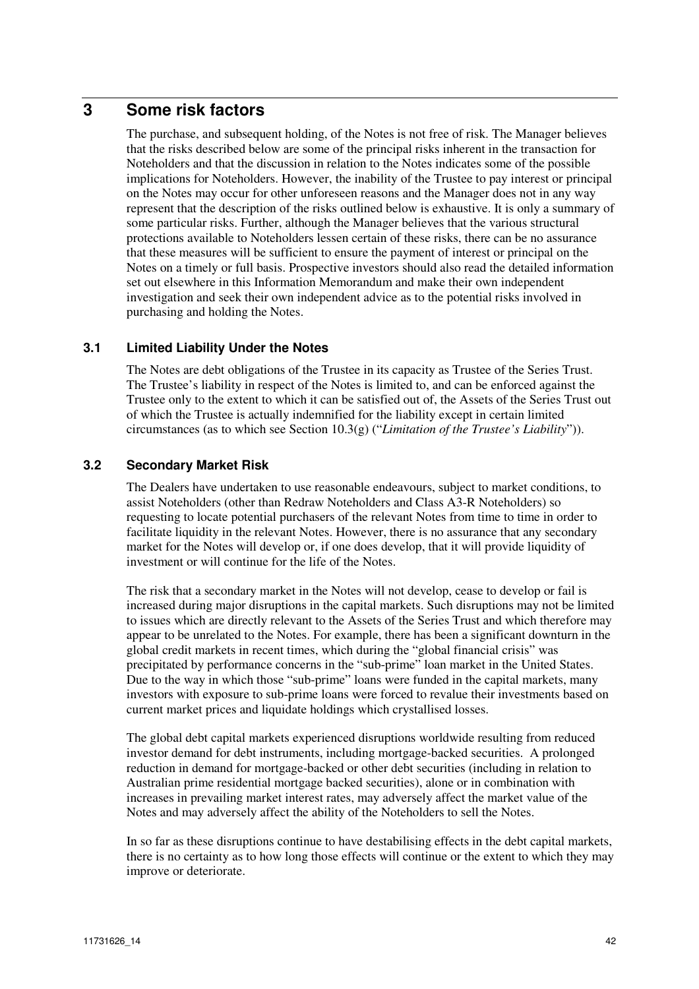# **3 Some risk factors**

The purchase, and subsequent holding, of the Notes is not free of risk. The Manager believes that the risks described below are some of the principal risks inherent in the transaction for Noteholders and that the discussion in relation to the Notes indicates some of the possible implications for Noteholders. However, the inability of the Trustee to pay interest or principal on the Notes may occur for other unforeseen reasons and the Manager does not in any way represent that the description of the risks outlined below is exhaustive. It is only a summary of some particular risks. Further, although the Manager believes that the various structural protections available to Noteholders lessen certain of these risks, there can be no assurance that these measures will be sufficient to ensure the payment of interest or principal on the Notes on a timely or full basis. Prospective investors should also read the detailed information set out elsewhere in this Information Memorandum and make their own independent investigation and seek their own independent advice as to the potential risks involved in purchasing and holding the Notes.

# **3.1 Limited Liability Under the Notes**

The Notes are debt obligations of the Trustee in its capacity as Trustee of the Series Trust. The Trustee's liability in respect of the Notes is limited to, and can be enforced against the Trustee only to the extent to which it can be satisfied out of, the Assets of the Series Trust out of which the Trustee is actually indemnified for the liability except in certain limited circumstances (as to which see Section 10.3(g) ("*Limitation of the Trustee's Liability*")).

# **3.2 Secondary Market Risk**

The Dealers have undertaken to use reasonable endeavours, subject to market conditions, to assist Noteholders (other than Redraw Noteholders and Class A3-R Noteholders) so requesting to locate potential purchasers of the relevant Notes from time to time in order to facilitate liquidity in the relevant Notes. However, there is no assurance that any secondary market for the Notes will develop or, if one does develop, that it will provide liquidity of investment or will continue for the life of the Notes.

The risk that a secondary market in the Notes will not develop, cease to develop or fail is increased during major disruptions in the capital markets. Such disruptions may not be limited to issues which are directly relevant to the Assets of the Series Trust and which therefore may appear to be unrelated to the Notes. For example, there has been a significant downturn in the global credit markets in recent times, which during the "global financial crisis" was precipitated by performance concerns in the "sub-prime" loan market in the United States. Due to the way in which those "sub-prime" loans were funded in the capital markets, many investors with exposure to sub-prime loans were forced to revalue their investments based on current market prices and liquidate holdings which crystallised losses.

The global debt capital markets experienced disruptions worldwide resulting from reduced investor demand for debt instruments, including mortgage-backed securities. A prolonged reduction in demand for mortgage-backed or other debt securities (including in relation to Australian prime residential mortgage backed securities), alone or in combination with increases in prevailing market interest rates, may adversely affect the market value of the Notes and may adversely affect the ability of the Noteholders to sell the Notes.

In so far as these disruptions continue to have destabilising effects in the debt capital markets, there is no certainty as to how long those effects will continue or the extent to which they may improve or deteriorate.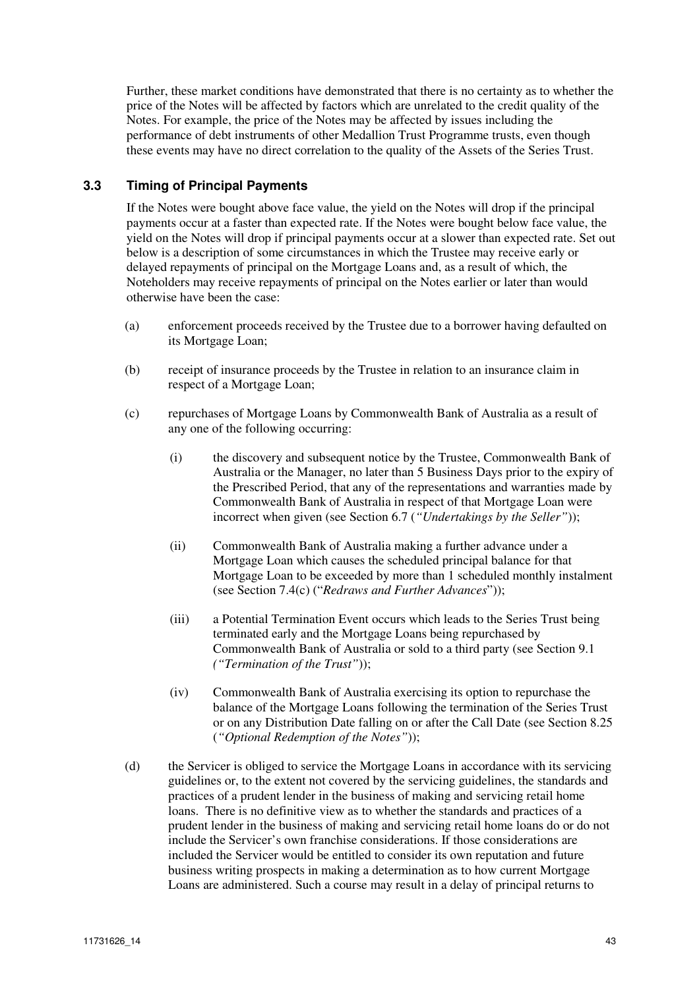Further, these market conditions have demonstrated that there is no certainty as to whether the price of the Notes will be affected by factors which are unrelated to the credit quality of the Notes. For example, the price of the Notes may be affected by issues including the performance of debt instruments of other Medallion Trust Programme trusts, even though these events may have no direct correlation to the quality of the Assets of the Series Trust.

# **3.3 Timing of Principal Payments**

If the Notes were bought above face value, the yield on the Notes will drop if the principal payments occur at a faster than expected rate. If the Notes were bought below face value, the yield on the Notes will drop if principal payments occur at a slower than expected rate. Set out below is a description of some circumstances in which the Trustee may receive early or delayed repayments of principal on the Mortgage Loans and, as a result of which, the Noteholders may receive repayments of principal on the Notes earlier or later than would otherwise have been the case:

- (a) enforcement proceeds received by the Trustee due to a borrower having defaulted on its Mortgage Loan;
- (b) receipt of insurance proceeds by the Trustee in relation to an insurance claim in respect of a Mortgage Loan;
- (c) repurchases of Mortgage Loans by Commonwealth Bank of Australia as a result of any one of the following occurring:
	- (i) the discovery and subsequent notice by the Trustee, Commonwealth Bank of Australia or the Manager, no later than 5 Business Days prior to the expiry of the Prescribed Period, that any of the representations and warranties made by Commonwealth Bank of Australia in respect of that Mortgage Loan were incorrect when given (see Section 6.7 (*"Undertakings by the Seller"*));
	- (ii) Commonwealth Bank of Australia making a further advance under a Mortgage Loan which causes the scheduled principal balance for that Mortgage Loan to be exceeded by more than 1 scheduled monthly instalment (see Section 7.4(c) ("*Redraws and Further Advances*"));
	- (iii) a Potential Termination Event occurs which leads to the Series Trust being terminated early and the Mortgage Loans being repurchased by Commonwealth Bank of Australia or sold to a third party (see Section 9.1 *("Termination of the Trust"*));
	- (iv) Commonwealth Bank of Australia exercising its option to repurchase the balance of the Mortgage Loans following the termination of the Series Trust or on any Distribution Date falling on or after the Call Date (see Section 8.25 (*"Optional Redemption of the Notes"*));
- (d) the Servicer is obliged to service the Mortgage Loans in accordance with its servicing guidelines or, to the extent not covered by the servicing guidelines, the standards and practices of a prudent lender in the business of making and servicing retail home loans. There is no definitive view as to whether the standards and practices of a prudent lender in the business of making and servicing retail home loans do or do not include the Servicer's own franchise considerations. If those considerations are included the Servicer would be entitled to consider its own reputation and future business writing prospects in making a determination as to how current Mortgage Loans are administered. Such a course may result in a delay of principal returns to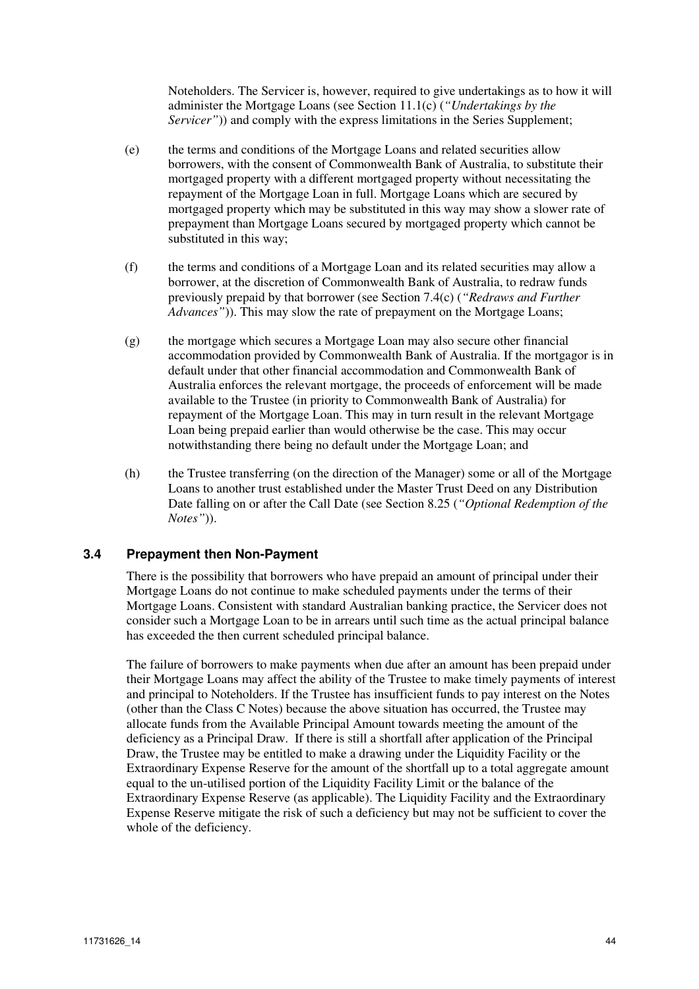Noteholders. The Servicer is, however, required to give undertakings as to how it will administer the Mortgage Loans (see Section 11.1(c) (*"Undertakings by the Servicer*")) and comply with the express limitations in the Series Supplement;

- (e) the terms and conditions of the Mortgage Loans and related securities allow borrowers, with the consent of Commonwealth Bank of Australia, to substitute their mortgaged property with a different mortgaged property without necessitating the repayment of the Mortgage Loan in full. Mortgage Loans which are secured by mortgaged property which may be substituted in this way may show a slower rate of prepayment than Mortgage Loans secured by mortgaged property which cannot be substituted in this way;
- (f) the terms and conditions of a Mortgage Loan and its related securities may allow a borrower, at the discretion of Commonwealth Bank of Australia, to redraw funds previously prepaid by that borrower (see Section 7.4(c) (*"Redraws and Further Advances"*)). This may slow the rate of prepayment on the Mortgage Loans;
- (g) the mortgage which secures a Mortgage Loan may also secure other financial accommodation provided by Commonwealth Bank of Australia. If the mortgagor is in default under that other financial accommodation and Commonwealth Bank of Australia enforces the relevant mortgage, the proceeds of enforcement will be made available to the Trustee (in priority to Commonwealth Bank of Australia) for repayment of the Mortgage Loan. This may in turn result in the relevant Mortgage Loan being prepaid earlier than would otherwise be the case. This may occur notwithstanding there being no default under the Mortgage Loan; and
- (h) the Trustee transferring (on the direction of the Manager) some or all of the Mortgage Loans to another trust established under the Master Trust Deed on any Distribution Date falling on or after the Call Date (see Section 8.25 (*"Optional Redemption of the Notes"*)).

### **3.4 Prepayment then Non-Payment**

There is the possibility that borrowers who have prepaid an amount of principal under their Mortgage Loans do not continue to make scheduled payments under the terms of their Mortgage Loans. Consistent with standard Australian banking practice, the Servicer does not consider such a Mortgage Loan to be in arrears until such time as the actual principal balance has exceeded the then current scheduled principal balance.

The failure of borrowers to make payments when due after an amount has been prepaid under their Mortgage Loans may affect the ability of the Trustee to make timely payments of interest and principal to Noteholders. If the Trustee has insufficient funds to pay interest on the Notes (other than the Class C Notes) because the above situation has occurred, the Trustee may allocate funds from the Available Principal Amount towards meeting the amount of the deficiency as a Principal Draw. If there is still a shortfall after application of the Principal Draw, the Trustee may be entitled to make a drawing under the Liquidity Facility or the Extraordinary Expense Reserve for the amount of the shortfall up to a total aggregate amount equal to the un-utilised portion of the Liquidity Facility Limit or the balance of the Extraordinary Expense Reserve (as applicable). The Liquidity Facility and the Extraordinary Expense Reserve mitigate the risk of such a deficiency but may not be sufficient to cover the whole of the deficiency.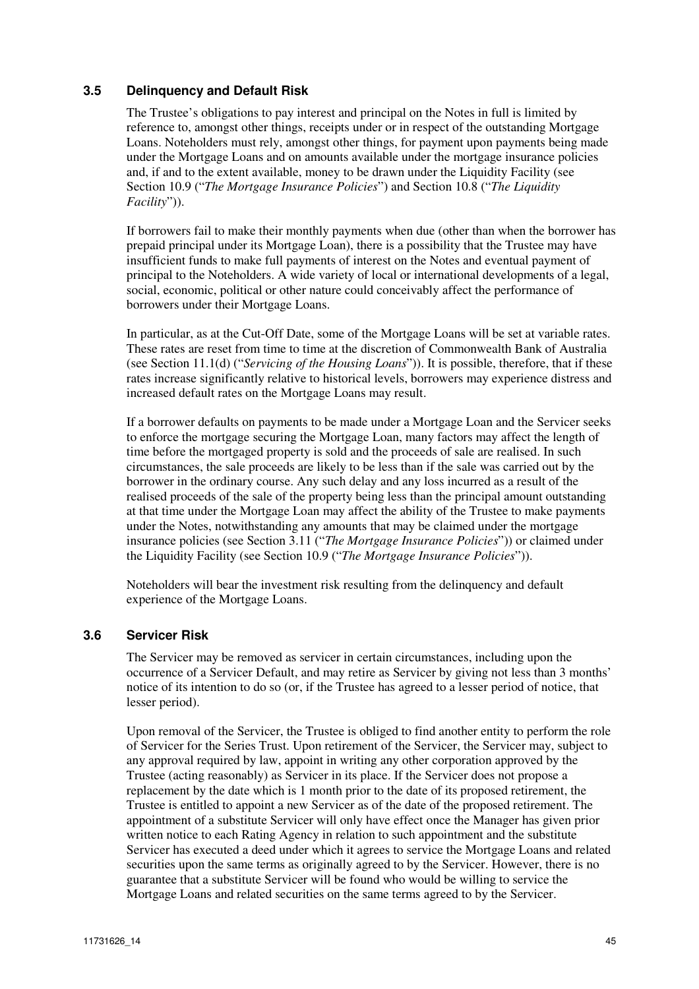### **3.5 Delinquency and Default Risk**

The Trustee's obligations to pay interest and principal on the Notes in full is limited by reference to, amongst other things, receipts under or in respect of the outstanding Mortgage Loans. Noteholders must rely, amongst other things, for payment upon payments being made under the Mortgage Loans and on amounts available under the mortgage insurance policies and, if and to the extent available, money to be drawn under the Liquidity Facility (see Section 10.9 ("*The Mortgage Insurance Policies*") and Section 10.8 ("*The Liquidity Facility*")).

If borrowers fail to make their monthly payments when due (other than when the borrower has prepaid principal under its Mortgage Loan), there is a possibility that the Trustee may have insufficient funds to make full payments of interest on the Notes and eventual payment of principal to the Noteholders. A wide variety of local or international developments of a legal, social, economic, political or other nature could conceivably affect the performance of borrowers under their Mortgage Loans.

In particular, as at the Cut-Off Date, some of the Mortgage Loans will be set at variable rates. These rates are reset from time to time at the discretion of Commonwealth Bank of Australia (see Section 11.1(d) ("*Servicing of the Housing Loans*")). It is possible, therefore, that if these rates increase significantly relative to historical levels, borrowers may experience distress and increased default rates on the Mortgage Loans may result.

If a borrower defaults on payments to be made under a Mortgage Loan and the Servicer seeks to enforce the mortgage securing the Mortgage Loan, many factors may affect the length of time before the mortgaged property is sold and the proceeds of sale are realised. In such circumstances, the sale proceeds are likely to be less than if the sale was carried out by the borrower in the ordinary course. Any such delay and any loss incurred as a result of the realised proceeds of the sale of the property being less than the principal amount outstanding at that time under the Mortgage Loan may affect the ability of the Trustee to make payments under the Notes, notwithstanding any amounts that may be claimed under the mortgage insurance policies (see Section 3.11 ("*The Mortgage Insurance Policies*")) or claimed under the Liquidity Facility (see Section 10.9 ("*The Mortgage Insurance Policies*")).

Noteholders will bear the investment risk resulting from the delinquency and default experience of the Mortgage Loans.

### **3.6 Servicer Risk**

The Servicer may be removed as servicer in certain circumstances, including upon the occurrence of a Servicer Default, and may retire as Servicer by giving not less than 3 months' notice of its intention to do so (or, if the Trustee has agreed to a lesser period of notice, that lesser period).

Upon removal of the Servicer, the Trustee is obliged to find another entity to perform the role of Servicer for the Series Trust. Upon retirement of the Servicer, the Servicer may, subject to any approval required by law, appoint in writing any other corporation approved by the Trustee (acting reasonably) as Servicer in its place. If the Servicer does not propose a replacement by the date which is 1 month prior to the date of its proposed retirement, the Trustee is entitled to appoint a new Servicer as of the date of the proposed retirement. The appointment of a substitute Servicer will only have effect once the Manager has given prior written notice to each Rating Agency in relation to such appointment and the substitute Servicer has executed a deed under which it agrees to service the Mortgage Loans and related securities upon the same terms as originally agreed to by the Servicer. However, there is no guarantee that a substitute Servicer will be found who would be willing to service the Mortgage Loans and related securities on the same terms agreed to by the Servicer.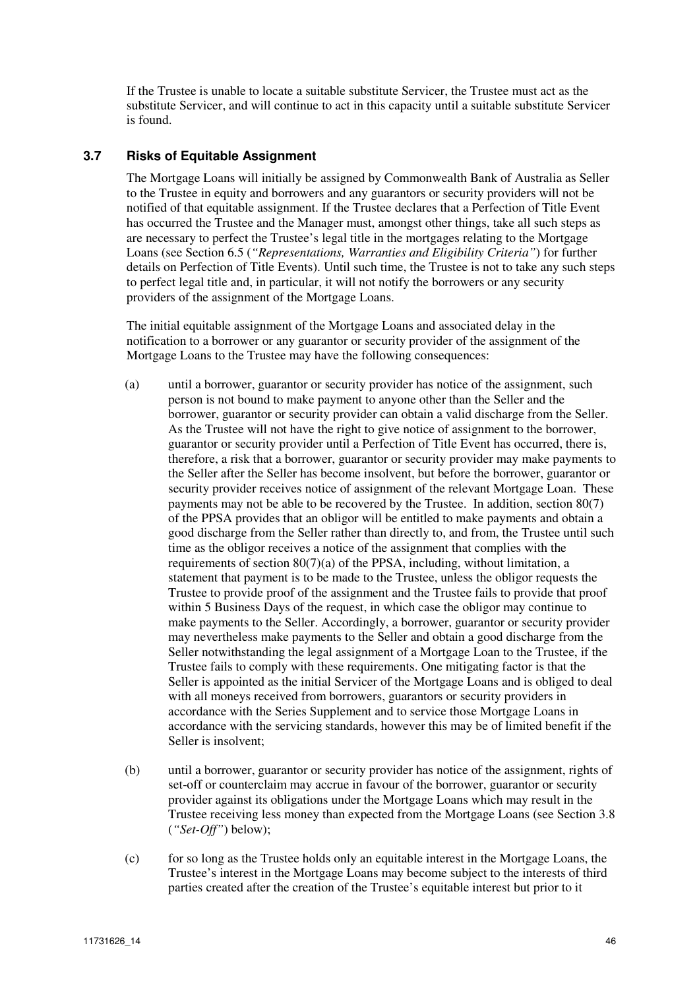If the Trustee is unable to locate a suitable substitute Servicer, the Trustee must act as the substitute Servicer, and will continue to act in this capacity until a suitable substitute Servicer is found.

### **3.7 Risks of Equitable Assignment**

The Mortgage Loans will initially be assigned by Commonwealth Bank of Australia as Seller to the Trustee in equity and borrowers and any guarantors or security providers will not be notified of that equitable assignment. If the Trustee declares that a Perfection of Title Event has occurred the Trustee and the Manager must, amongst other things, take all such steps as are necessary to perfect the Trustee's legal title in the mortgages relating to the Mortgage Loans (see Section 6.5 (*"Representations, Warranties and Eligibility Criteria"*) for further details on Perfection of Title Events). Until such time, the Trustee is not to take any such steps to perfect legal title and, in particular, it will not notify the borrowers or any security providers of the assignment of the Mortgage Loans.

The initial equitable assignment of the Mortgage Loans and associated delay in the notification to a borrower or any guarantor or security provider of the assignment of the Mortgage Loans to the Trustee may have the following consequences:

- (a) until a borrower, guarantor or security provider has notice of the assignment, such person is not bound to make payment to anyone other than the Seller and the borrower, guarantor or security provider can obtain a valid discharge from the Seller. As the Trustee will not have the right to give notice of assignment to the borrower, guarantor or security provider until a Perfection of Title Event has occurred, there is, therefore, a risk that a borrower, guarantor or security provider may make payments to the Seller after the Seller has become insolvent, but before the borrower, guarantor or security provider receives notice of assignment of the relevant Mortgage Loan. These payments may not be able to be recovered by the Trustee. In addition, section 80(7) of the PPSA provides that an obligor will be entitled to make payments and obtain a good discharge from the Seller rather than directly to, and from, the Trustee until such time as the obligor receives a notice of the assignment that complies with the requirements of section 80(7)(a) of the PPSA, including, without limitation, a statement that payment is to be made to the Trustee, unless the obligor requests the Trustee to provide proof of the assignment and the Trustee fails to provide that proof within 5 Business Days of the request, in which case the obligor may continue to make payments to the Seller. Accordingly, a borrower, guarantor or security provider may nevertheless make payments to the Seller and obtain a good discharge from the Seller notwithstanding the legal assignment of a Mortgage Loan to the Trustee, if the Trustee fails to comply with these requirements. One mitigating factor is that the Seller is appointed as the initial Servicer of the Mortgage Loans and is obliged to deal with all moneys received from borrowers, guarantors or security providers in accordance with the Series Supplement and to service those Mortgage Loans in accordance with the servicing standards, however this may be of limited benefit if the Seller is insolvent;
- (b) until a borrower, guarantor or security provider has notice of the assignment, rights of set-off or counterclaim may accrue in favour of the borrower, guarantor or security provider against its obligations under the Mortgage Loans which may result in the Trustee receiving less money than expected from the Mortgage Loans (see Section 3.8 (*"Set-Off"*) below);
- (c) for so long as the Trustee holds only an equitable interest in the Mortgage Loans, the Trustee's interest in the Mortgage Loans may become subject to the interests of third parties created after the creation of the Trustee's equitable interest but prior to it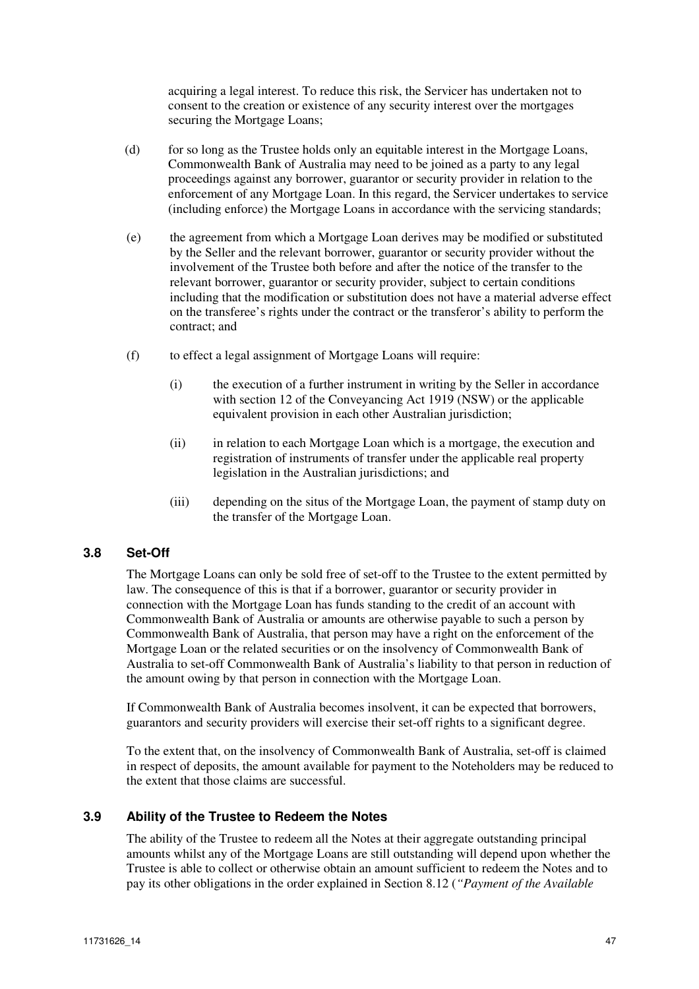acquiring a legal interest. To reduce this risk, the Servicer has undertaken not to consent to the creation or existence of any security interest over the mortgages securing the Mortgage Loans;

- (d) for so long as the Trustee holds only an equitable interest in the Mortgage Loans, Commonwealth Bank of Australia may need to be joined as a party to any legal proceedings against any borrower, guarantor or security provider in relation to the enforcement of any Mortgage Loan. In this regard, the Servicer undertakes to service (including enforce) the Mortgage Loans in accordance with the servicing standards;
- (e) the agreement from which a Mortgage Loan derives may be modified or substituted by the Seller and the relevant borrower, guarantor or security provider without the involvement of the Trustee both before and after the notice of the transfer to the relevant borrower, guarantor or security provider, subject to certain conditions including that the modification or substitution does not have a material adverse effect on the transferee's rights under the contract or the transferor's ability to perform the contract; and
- (f) to effect a legal assignment of Mortgage Loans will require:
	- (i) the execution of a further instrument in writing by the Seller in accordance with section 12 of the Conveyancing Act 1919 (NSW) or the applicable equivalent provision in each other Australian jurisdiction;
	- (ii) in relation to each Mortgage Loan which is a mortgage, the execution and registration of instruments of transfer under the applicable real property legislation in the Australian jurisdictions; and
	- (iii) depending on the situs of the Mortgage Loan, the payment of stamp duty on the transfer of the Mortgage Loan.

### **3.8 Set-Off**

The Mortgage Loans can only be sold free of set-off to the Trustee to the extent permitted by law. The consequence of this is that if a borrower, guarantor or security provider in connection with the Mortgage Loan has funds standing to the credit of an account with Commonwealth Bank of Australia or amounts are otherwise payable to such a person by Commonwealth Bank of Australia, that person may have a right on the enforcement of the Mortgage Loan or the related securities or on the insolvency of Commonwealth Bank of Australia to set-off Commonwealth Bank of Australia's liability to that person in reduction of the amount owing by that person in connection with the Mortgage Loan.

If Commonwealth Bank of Australia becomes insolvent, it can be expected that borrowers, guarantors and security providers will exercise their set-off rights to a significant degree.

To the extent that, on the insolvency of Commonwealth Bank of Australia, set-off is claimed in respect of deposits, the amount available for payment to the Noteholders may be reduced to the extent that those claims are successful.

### **3.9 Ability of the Trustee to Redeem the Notes**

The ability of the Trustee to redeem all the Notes at their aggregate outstanding principal amounts whilst any of the Mortgage Loans are still outstanding will depend upon whether the Trustee is able to collect or otherwise obtain an amount sufficient to redeem the Notes and to pay its other obligations in the order explained in Section 8.12 (*"Payment of the Available*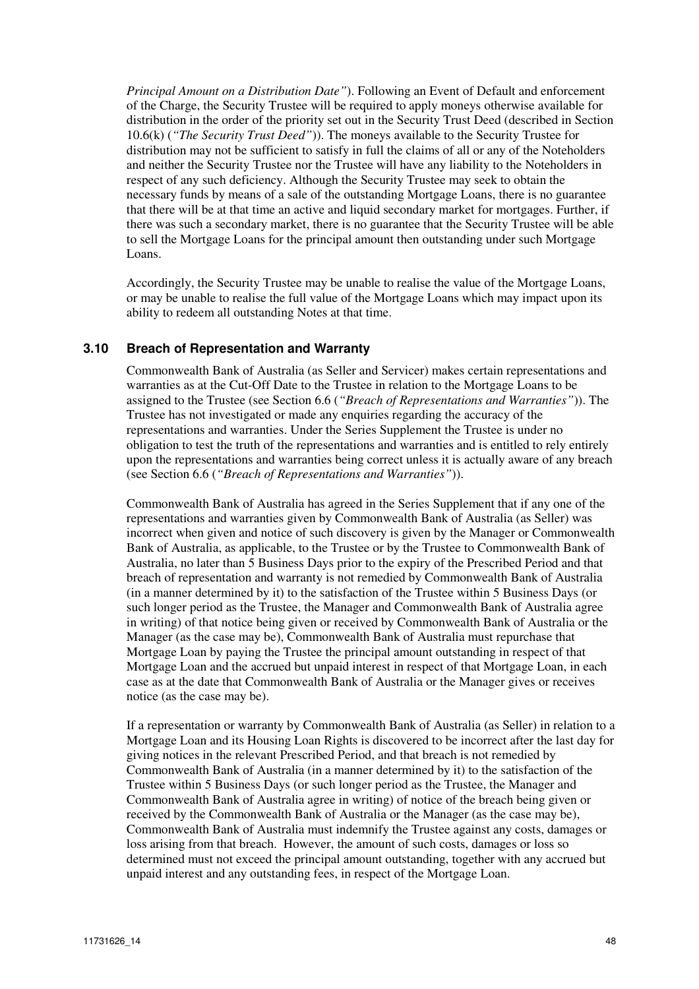*Principal Amount on a Distribution Date"*). Following an Event of Default and enforcement of the Charge, the Security Trustee will be required to apply moneys otherwise available for distribution in the order of the priority set out in the Security Trust Deed (described in Section 10.6(k) (*"The Security Trust Deed"*)). The moneys available to the Security Trustee for distribution may not be sufficient to satisfy in full the claims of all or any of the Noteholders and neither the Security Trustee nor the Trustee will have any liability to the Noteholders in respect of any such deficiency. Although the Security Trustee may seek to obtain the necessary funds by means of a sale of the outstanding Mortgage Loans, there is no guarantee that there will be at that time an active and liquid secondary market for mortgages. Further, if there was such a secondary market, there is no guarantee that the Security Trustee will be able to sell the Mortgage Loans for the principal amount then outstanding under such Mortgage Loans.

Accordingly, the Security Trustee may be unable to realise the value of the Mortgage Loans, or may be unable to realise the full value of the Mortgage Loans which may impact upon its ability to redeem all outstanding Notes at that time.

#### **3.10 Breach of Representation and Warranty**

Commonwealth Bank of Australia (as Seller and Servicer) makes certain representations and warranties as at the Cut-Off Date to the Trustee in relation to the Mortgage Loans to be assigned to the Trustee (see Section 6.6 (*"Breach of Representations and Warranties"*)). The Trustee has not investigated or made any enquiries regarding the accuracy of the representations and warranties. Under the Series Supplement the Trustee is under no obligation to test the truth of the representations and warranties and is entitled to rely entirely upon the representations and warranties being correct unless it is actually aware of any breach (see Section 6.6 (*"Breach of Representations and Warranties"*)).

Commonwealth Bank of Australia has agreed in the Series Supplement that if any one of the representations and warranties given by Commonwealth Bank of Australia (as Seller) was incorrect when given and notice of such discovery is given by the Manager or Commonwealth Bank of Australia, as applicable, to the Trustee or by the Trustee to Commonwealth Bank of Australia, no later than 5 Business Days prior to the expiry of the Prescribed Period and that breach of representation and warranty is not remedied by Commonwealth Bank of Australia (in a manner determined by it) to the satisfaction of the Trustee within 5 Business Days (or such longer period as the Trustee, the Manager and Commonwealth Bank of Australia agree in writing) of that notice being given or received by Commonwealth Bank of Australia or the Manager (as the case may be), Commonwealth Bank of Australia must repurchase that Mortgage Loan by paying the Trustee the principal amount outstanding in respect of that Mortgage Loan and the accrued but unpaid interest in respect of that Mortgage Loan, in each case as at the date that Commonwealth Bank of Australia or the Manager gives or receives notice (as the case may be).

If a representation or warranty by Commonwealth Bank of Australia (as Seller) in relation to a Mortgage Loan and its Housing Loan Rights is discovered to be incorrect after the last day for giving notices in the relevant Prescribed Period, and that breach is not remedied by Commonwealth Bank of Australia (in a manner determined by it) to the satisfaction of the Trustee within 5 Business Days (or such longer period as the Trustee, the Manager and Commonwealth Bank of Australia agree in writing) of notice of the breach being given or received by the Commonwealth Bank of Australia or the Manager (as the case may be), Commonwealth Bank of Australia must indemnify the Trustee against any costs, damages or loss arising from that breach. However, the amount of such costs, damages or loss so determined must not exceed the principal amount outstanding, together with any accrued but unpaid interest and any outstanding fees, in respect of the Mortgage Loan.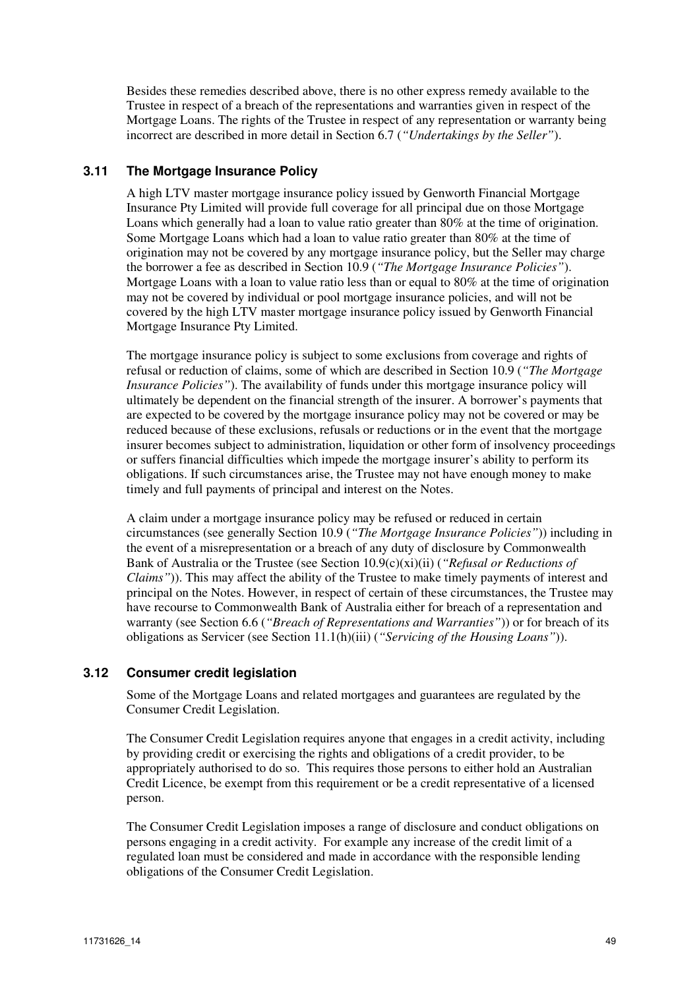Besides these remedies described above, there is no other express remedy available to the Trustee in respect of a breach of the representations and warranties given in respect of the Mortgage Loans. The rights of the Trustee in respect of any representation or warranty being incorrect are described in more detail in Section 6.7 (*"Undertakings by the Seller"*).

# **3.11 The Mortgage Insurance Policy**

A high LTV master mortgage insurance policy issued by Genworth Financial Mortgage Insurance Pty Limited will provide full coverage for all principal due on those Mortgage Loans which generally had a loan to value ratio greater than 80% at the time of origination. Some Mortgage Loans which had a loan to value ratio greater than 80% at the time of origination may not be covered by any mortgage insurance policy, but the Seller may charge the borrower a fee as described in Section 10.9 (*"The Mortgage Insurance Policies"*). Mortgage Loans with a loan to value ratio less than or equal to 80% at the time of origination may not be covered by individual or pool mortgage insurance policies, and will not be covered by the high LTV master mortgage insurance policy issued by Genworth Financial Mortgage Insurance Pty Limited.

The mortgage insurance policy is subject to some exclusions from coverage and rights of refusal or reduction of claims, some of which are described in Section 10.9 (*"The Mortgage Insurance Policies"*). The availability of funds under this mortgage insurance policy will ultimately be dependent on the financial strength of the insurer. A borrower's payments that are expected to be covered by the mortgage insurance policy may not be covered or may be reduced because of these exclusions, refusals or reductions or in the event that the mortgage insurer becomes subject to administration, liquidation or other form of insolvency proceedings or suffers financial difficulties which impede the mortgage insurer's ability to perform its obligations. If such circumstances arise, the Trustee may not have enough money to make timely and full payments of principal and interest on the Notes.

A claim under a mortgage insurance policy may be refused or reduced in certain circumstances (see generally Section 10.9 (*"The Mortgage Insurance Policies"*)) including in the event of a misrepresentation or a breach of any duty of disclosure by Commonwealth Bank of Australia or the Trustee (see Section 10.9(c)(xi)(ii) (*"Refusal or Reductions of Claims"*)). This may affect the ability of the Trustee to make timely payments of interest and principal on the Notes. However, in respect of certain of these circumstances, the Trustee may have recourse to Commonwealth Bank of Australia either for breach of a representation and warranty (see Section 6.6 (*"Breach of Representations and Warranties"*)) or for breach of its obligations as Servicer (see Section 11.1(h)(iii) (*"Servicing of the Housing Loans"*)).

### **3.12 Consumer credit legislation**

Some of the Mortgage Loans and related mortgages and guarantees are regulated by the Consumer Credit Legislation.

The Consumer Credit Legislation requires anyone that engages in a credit activity, including by providing credit or exercising the rights and obligations of a credit provider, to be appropriately authorised to do so. This requires those persons to either hold an Australian Credit Licence, be exempt from this requirement or be a credit representative of a licensed person.

The Consumer Credit Legislation imposes a range of disclosure and conduct obligations on persons engaging in a credit activity. For example any increase of the credit limit of a regulated loan must be considered and made in accordance with the responsible lending obligations of the Consumer Credit Legislation.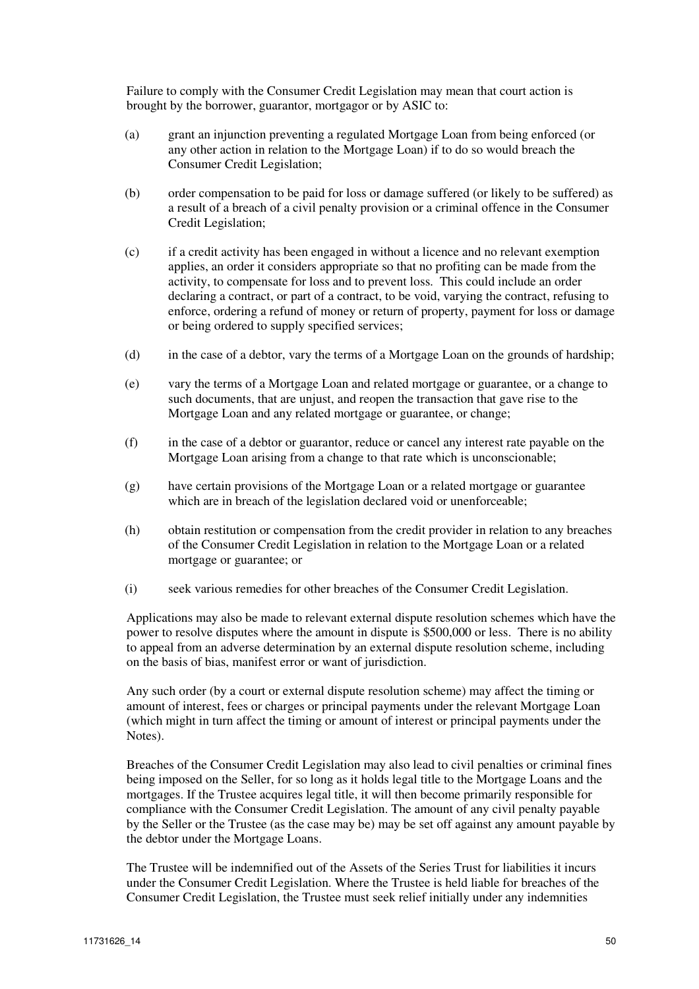Failure to comply with the Consumer Credit Legislation may mean that court action is brought by the borrower, guarantor, mortgagor or by ASIC to:

- (a) grant an injunction preventing a regulated Mortgage Loan from being enforced (or any other action in relation to the Mortgage Loan) if to do so would breach the Consumer Credit Legislation;
- (b) order compensation to be paid for loss or damage suffered (or likely to be suffered) as a result of a breach of a civil penalty provision or a criminal offence in the Consumer Credit Legislation;
- (c) if a credit activity has been engaged in without a licence and no relevant exemption applies, an order it considers appropriate so that no profiting can be made from the activity, to compensate for loss and to prevent loss. This could include an order declaring a contract, or part of a contract, to be void, varying the contract, refusing to enforce, ordering a refund of money or return of property, payment for loss or damage or being ordered to supply specified services;
- (d) in the case of a debtor, vary the terms of a Mortgage Loan on the grounds of hardship;
- (e) vary the terms of a Mortgage Loan and related mortgage or guarantee, or a change to such documents, that are unjust, and reopen the transaction that gave rise to the Mortgage Loan and any related mortgage or guarantee, or change;
- (f) in the case of a debtor or guarantor, reduce or cancel any interest rate payable on the Mortgage Loan arising from a change to that rate which is unconscionable;
- (g) have certain provisions of the Mortgage Loan or a related mortgage or guarantee which are in breach of the legislation declared void or unenforceable;
- (h) obtain restitution or compensation from the credit provider in relation to any breaches of the Consumer Credit Legislation in relation to the Mortgage Loan or a related mortgage or guarantee; or
- (i) seek various remedies for other breaches of the Consumer Credit Legislation.

Applications may also be made to relevant external dispute resolution schemes which have the power to resolve disputes where the amount in dispute is \$500,000 or less. There is no ability to appeal from an adverse determination by an external dispute resolution scheme, including on the basis of bias, manifest error or want of jurisdiction.

Any such order (by a court or external dispute resolution scheme) may affect the timing or amount of interest, fees or charges or principal payments under the relevant Mortgage Loan (which might in turn affect the timing or amount of interest or principal payments under the Notes).

Breaches of the Consumer Credit Legislation may also lead to civil penalties or criminal fines being imposed on the Seller, for so long as it holds legal title to the Mortgage Loans and the mortgages. If the Trustee acquires legal title, it will then become primarily responsible for compliance with the Consumer Credit Legislation. The amount of any civil penalty payable by the Seller or the Trustee (as the case may be) may be set off against any amount payable by the debtor under the Mortgage Loans.

The Trustee will be indemnified out of the Assets of the Series Trust for liabilities it incurs under the Consumer Credit Legislation. Where the Trustee is held liable for breaches of the Consumer Credit Legislation, the Trustee must seek relief initially under any indemnities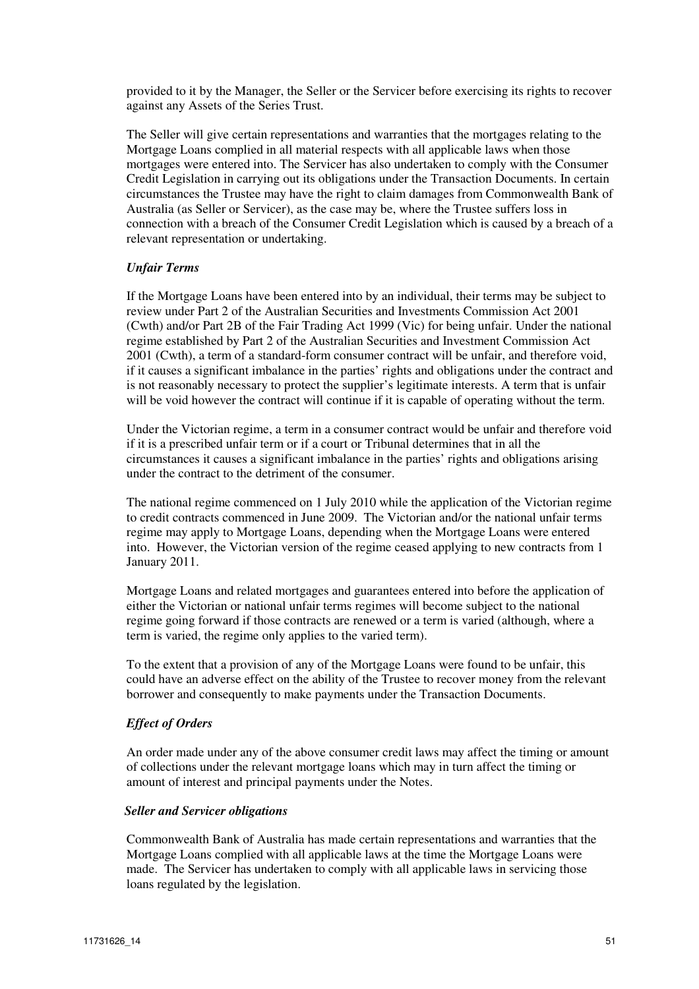provided to it by the Manager, the Seller or the Servicer before exercising its rights to recover against any Assets of the Series Trust.

The Seller will give certain representations and warranties that the mortgages relating to the Mortgage Loans complied in all material respects with all applicable laws when those mortgages were entered into. The Servicer has also undertaken to comply with the Consumer Credit Legislation in carrying out its obligations under the Transaction Documents. In certain circumstances the Trustee may have the right to claim damages from Commonwealth Bank of Australia (as Seller or Servicer), as the case may be, where the Trustee suffers loss in connection with a breach of the Consumer Credit Legislation which is caused by a breach of a relevant representation or undertaking.

#### *Unfair Terms*

If the Mortgage Loans have been entered into by an individual, their terms may be subject to review under Part 2 of the Australian Securities and Investments Commission Act 2001 (Cwth) and/or Part 2B of the Fair Trading Act 1999 (Vic) for being unfair. Under the national regime established by Part 2 of the Australian Securities and Investment Commission Act 2001 (Cwth), a term of a standard-form consumer contract will be unfair, and therefore void, if it causes a significant imbalance in the parties' rights and obligations under the contract and is not reasonably necessary to protect the supplier's legitimate interests. A term that is unfair will be void however the contract will continue if it is capable of operating without the term.

Under the Victorian regime, a term in a consumer contract would be unfair and therefore void if it is a prescribed unfair term or if a court or Tribunal determines that in all the circumstances it causes a significant imbalance in the parties' rights and obligations arising under the contract to the detriment of the consumer.

The national regime commenced on 1 July 2010 while the application of the Victorian regime to credit contracts commenced in June 2009. The Victorian and/or the national unfair terms regime may apply to Mortgage Loans, depending when the Mortgage Loans were entered into. However, the Victorian version of the regime ceased applying to new contracts from 1 January 2011.

Mortgage Loans and related mortgages and guarantees entered into before the application of either the Victorian or national unfair terms regimes will become subject to the national regime going forward if those contracts are renewed or a term is varied (although, where a term is varied, the regime only applies to the varied term).

To the extent that a provision of any of the Mortgage Loans were found to be unfair, this could have an adverse effect on the ability of the Trustee to recover money from the relevant borrower and consequently to make payments under the Transaction Documents.

#### *Effect of Orders*

An order made under any of the above consumer credit laws may affect the timing or amount of collections under the relevant mortgage loans which may in turn affect the timing or amount of interest and principal payments under the Notes.

#### *Seller and Servicer obligations*

Commonwealth Bank of Australia has made certain representations and warranties that the Mortgage Loans complied with all applicable laws at the time the Mortgage Loans were made. The Servicer has undertaken to comply with all applicable laws in servicing those loans regulated by the legislation.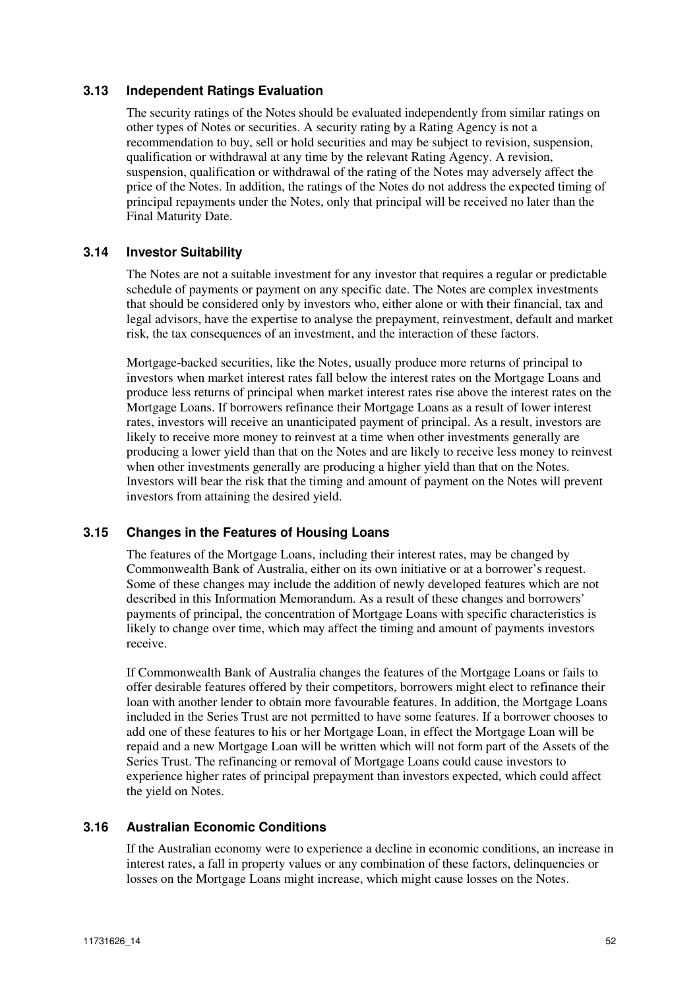### **3.13 Independent Ratings Evaluation**

The security ratings of the Notes should be evaluated independently from similar ratings on other types of Notes or securities. A security rating by a Rating Agency is not a recommendation to buy, sell or hold securities and may be subject to revision, suspension, qualification or withdrawal at any time by the relevant Rating Agency. A revision, suspension, qualification or withdrawal of the rating of the Notes may adversely affect the price of the Notes. In addition, the ratings of the Notes do not address the expected timing of principal repayments under the Notes, only that principal will be received no later than the Final Maturity Date.

# **3.14 Investor Suitability**

The Notes are not a suitable investment for any investor that requires a regular or predictable schedule of payments or payment on any specific date. The Notes are complex investments that should be considered only by investors who, either alone or with their financial, tax and legal advisors, have the expertise to analyse the prepayment, reinvestment, default and market risk, the tax consequences of an investment, and the interaction of these factors.

Mortgage-backed securities, like the Notes, usually produce more returns of principal to investors when market interest rates fall below the interest rates on the Mortgage Loans and produce less returns of principal when market interest rates rise above the interest rates on the Mortgage Loans. If borrowers refinance their Mortgage Loans as a result of lower interest rates, investors will receive an unanticipated payment of principal. As a result, investors are likely to receive more money to reinvest at a time when other investments generally are producing a lower yield than that on the Notes and are likely to receive less money to reinvest when other investments generally are producing a higher yield than that on the Notes. Investors will bear the risk that the timing and amount of payment on the Notes will prevent investors from attaining the desired yield.

#### **3.15 Changes in the Features of Housing Loans**

The features of the Mortgage Loans, including their interest rates, may be changed by Commonwealth Bank of Australia, either on its own initiative or at a borrower's request. Some of these changes may include the addition of newly developed features which are not described in this Information Memorandum. As a result of these changes and borrowers' payments of principal, the concentration of Mortgage Loans with specific characteristics is likely to change over time, which may affect the timing and amount of payments investors receive.

If Commonwealth Bank of Australia changes the features of the Mortgage Loans or fails to offer desirable features offered by their competitors, borrowers might elect to refinance their loan with another lender to obtain more favourable features. In addition, the Mortgage Loans included in the Series Trust are not permitted to have some features. If a borrower chooses to add one of these features to his or her Mortgage Loan, in effect the Mortgage Loan will be repaid and a new Mortgage Loan will be written which will not form part of the Assets of the Series Trust. The refinancing or removal of Mortgage Loans could cause investors to experience higher rates of principal prepayment than investors expected, which could affect the yield on Notes.

### **3.16 Australian Economic Conditions**

If the Australian economy were to experience a decline in economic conditions, an increase in interest rates, a fall in property values or any combination of these factors, delinquencies or losses on the Mortgage Loans might increase, which might cause losses on the Notes.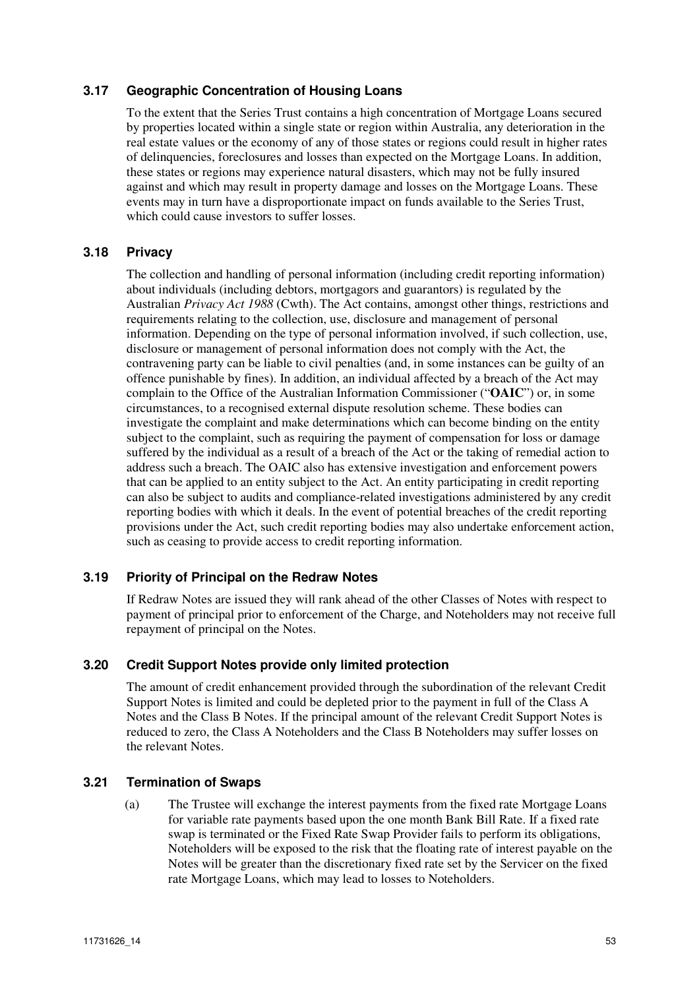### **3.17 Geographic Concentration of Housing Loans**

To the extent that the Series Trust contains a high concentration of Mortgage Loans secured by properties located within a single state or region within Australia, any deterioration in the real estate values or the economy of any of those states or regions could result in higher rates of delinquencies, foreclosures and losses than expected on the Mortgage Loans. In addition, these states or regions may experience natural disasters, which may not be fully insured against and which may result in property damage and losses on the Mortgage Loans. These events may in turn have a disproportionate impact on funds available to the Series Trust, which could cause investors to suffer losses.

### **3.18 Privacy**

The collection and handling of personal information (including credit reporting information) about individuals (including debtors, mortgagors and guarantors) is regulated by the Australian *Privacy Act 1988* (Cwth). The Act contains, amongst other things, restrictions and requirements relating to the collection, use, disclosure and management of personal information. Depending on the type of personal information involved, if such collection, use, disclosure or management of personal information does not comply with the Act, the contravening party can be liable to civil penalties (and, in some instances can be guilty of an offence punishable by fines). In addition, an individual affected by a breach of the Act may complain to the Office of the Australian Information Commissioner ("**OAIC**") or, in some circumstances, to a recognised external dispute resolution scheme. These bodies can investigate the complaint and make determinations which can become binding on the entity subject to the complaint, such as requiring the payment of compensation for loss or damage suffered by the individual as a result of a breach of the Act or the taking of remedial action to address such a breach. The OAIC also has extensive investigation and enforcement powers that can be applied to an entity subject to the Act. An entity participating in credit reporting can also be subject to audits and compliance-related investigations administered by any credit reporting bodies with which it deals. In the event of potential breaches of the credit reporting provisions under the Act, such credit reporting bodies may also undertake enforcement action, such as ceasing to provide access to credit reporting information.

#### **3.19 Priority of Principal on the Redraw Notes**

If Redraw Notes are issued they will rank ahead of the other Classes of Notes with respect to payment of principal prior to enforcement of the Charge, and Noteholders may not receive full repayment of principal on the Notes.

### **3.20 Credit Support Notes provide only limited protection**

The amount of credit enhancement provided through the subordination of the relevant Credit Support Notes is limited and could be depleted prior to the payment in full of the Class A Notes and the Class B Notes. If the principal amount of the relevant Credit Support Notes is reduced to zero, the Class A Noteholders and the Class B Noteholders may suffer losses on the relevant Notes.

#### **3.21 Termination of Swaps**

(a) The Trustee will exchange the interest payments from the fixed rate Mortgage Loans for variable rate payments based upon the one month Bank Bill Rate. If a fixed rate swap is terminated or the Fixed Rate Swap Provider fails to perform its obligations, Noteholders will be exposed to the risk that the floating rate of interest payable on the Notes will be greater than the discretionary fixed rate set by the Servicer on the fixed rate Mortgage Loans, which may lead to losses to Noteholders.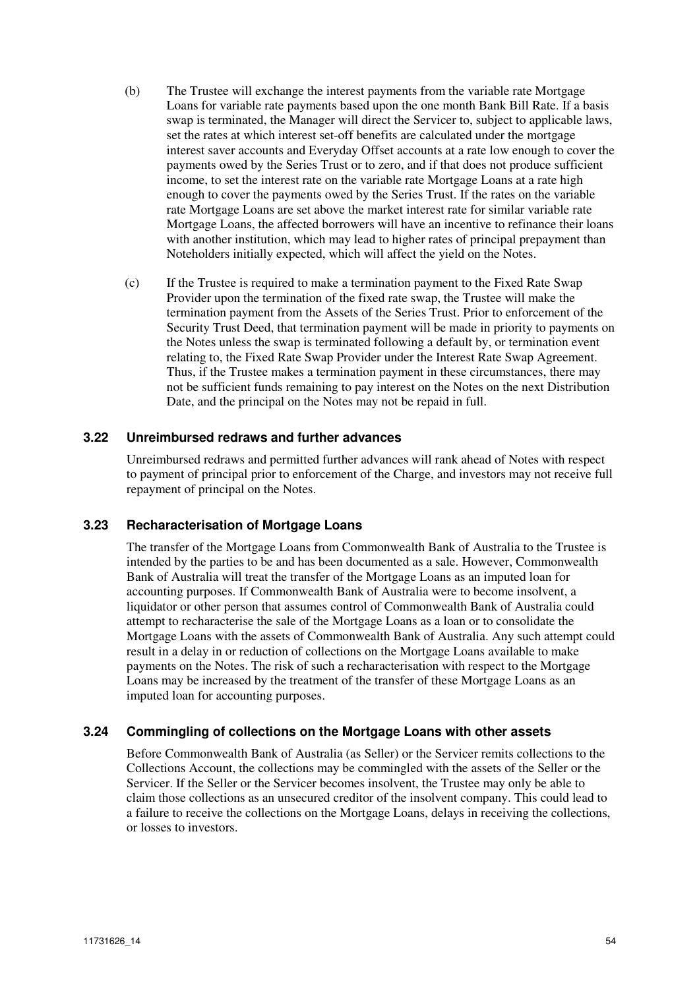- (b) The Trustee will exchange the interest payments from the variable rate Mortgage Loans for variable rate payments based upon the one month Bank Bill Rate. If a basis swap is terminated, the Manager will direct the Servicer to, subject to applicable laws, set the rates at which interest set-off benefits are calculated under the mortgage interest saver accounts and Everyday Offset accounts at a rate low enough to cover the payments owed by the Series Trust or to zero, and if that does not produce sufficient income, to set the interest rate on the variable rate Mortgage Loans at a rate high enough to cover the payments owed by the Series Trust. If the rates on the variable rate Mortgage Loans are set above the market interest rate for similar variable rate Mortgage Loans, the affected borrowers will have an incentive to refinance their loans with another institution, which may lead to higher rates of principal prepayment than Noteholders initially expected, which will affect the yield on the Notes.
- (c) If the Trustee is required to make a termination payment to the Fixed Rate Swap Provider upon the termination of the fixed rate swap, the Trustee will make the termination payment from the Assets of the Series Trust. Prior to enforcement of the Security Trust Deed, that termination payment will be made in priority to payments on the Notes unless the swap is terminated following a default by, or termination event relating to, the Fixed Rate Swap Provider under the Interest Rate Swap Agreement. Thus, if the Trustee makes a termination payment in these circumstances, there may not be sufficient funds remaining to pay interest on the Notes on the next Distribution Date, and the principal on the Notes may not be repaid in full.

#### **3.22 Unreimbursed redraws and further advances**

Unreimbursed redraws and permitted further advances will rank ahead of Notes with respect to payment of principal prior to enforcement of the Charge, and investors may not receive full repayment of principal on the Notes.

#### **3.23 Recharacterisation of Mortgage Loans**

The transfer of the Mortgage Loans from Commonwealth Bank of Australia to the Trustee is intended by the parties to be and has been documented as a sale. However, Commonwealth Bank of Australia will treat the transfer of the Mortgage Loans as an imputed loan for accounting purposes. If Commonwealth Bank of Australia were to become insolvent, a liquidator or other person that assumes control of Commonwealth Bank of Australia could attempt to recharacterise the sale of the Mortgage Loans as a loan or to consolidate the Mortgage Loans with the assets of Commonwealth Bank of Australia. Any such attempt could result in a delay in or reduction of collections on the Mortgage Loans available to make payments on the Notes. The risk of such a recharacterisation with respect to the Mortgage Loans may be increased by the treatment of the transfer of these Mortgage Loans as an imputed loan for accounting purposes.

# **3.24 Commingling of collections on the Mortgage Loans with other assets**

Before Commonwealth Bank of Australia (as Seller) or the Servicer remits collections to the Collections Account, the collections may be commingled with the assets of the Seller or the Servicer. If the Seller or the Servicer becomes insolvent, the Trustee may only be able to claim those collections as an unsecured creditor of the insolvent company. This could lead to a failure to receive the collections on the Mortgage Loans, delays in receiving the collections, or losses to investors.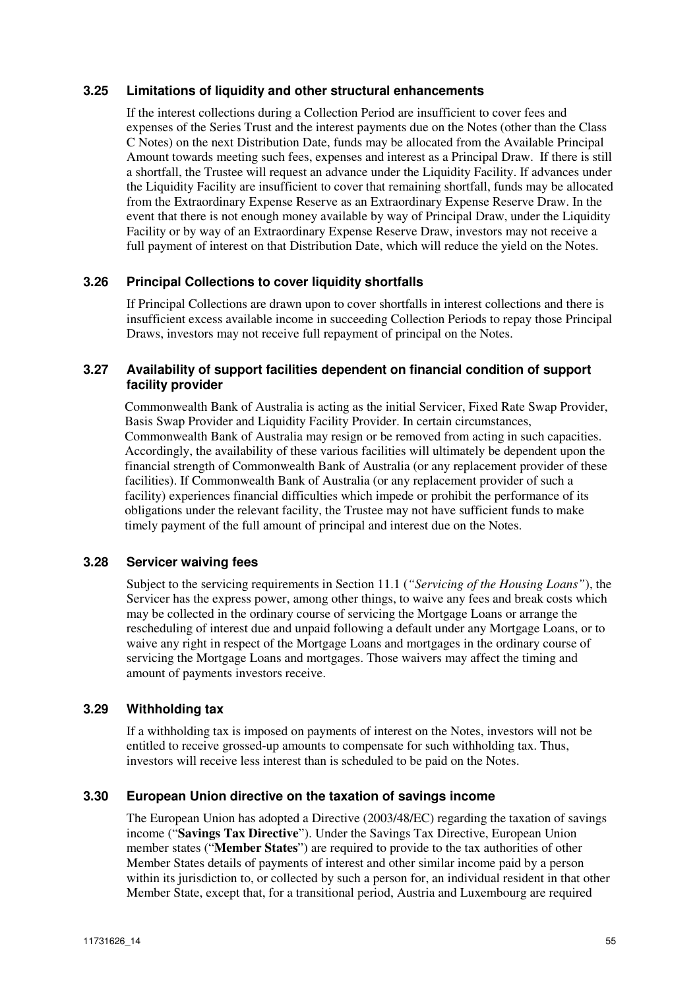### **3.25 Limitations of liquidity and other structural enhancements**

If the interest collections during a Collection Period are insufficient to cover fees and expenses of the Series Trust and the interest payments due on the Notes (other than the Class C Notes) on the next Distribution Date, funds may be allocated from the Available Principal Amount towards meeting such fees, expenses and interest as a Principal Draw. If there is still a shortfall, the Trustee will request an advance under the Liquidity Facility. If advances under the Liquidity Facility are insufficient to cover that remaining shortfall, funds may be allocated from the Extraordinary Expense Reserve as an Extraordinary Expense Reserve Draw. In the event that there is not enough money available by way of Principal Draw, under the Liquidity Facility or by way of an Extraordinary Expense Reserve Draw, investors may not receive a full payment of interest on that Distribution Date, which will reduce the yield on the Notes.

### **3.26 Principal Collections to cover liquidity shortfalls**

If Principal Collections are drawn upon to cover shortfalls in interest collections and there is insufficient excess available income in succeeding Collection Periods to repay those Principal Draws, investors may not receive full repayment of principal on the Notes.

### **3.27 Availability of support facilities dependent on financial condition of support facility provider**

Commonwealth Bank of Australia is acting as the initial Servicer, Fixed Rate Swap Provider, Basis Swap Provider and Liquidity Facility Provider. In certain circumstances, Commonwealth Bank of Australia may resign or be removed from acting in such capacities. Accordingly, the availability of these various facilities will ultimately be dependent upon the financial strength of Commonwealth Bank of Australia (or any replacement provider of these facilities). If Commonwealth Bank of Australia (or any replacement provider of such a facility) experiences financial difficulties which impede or prohibit the performance of its obligations under the relevant facility, the Trustee may not have sufficient funds to make timely payment of the full amount of principal and interest due on the Notes.

### **3.28 Servicer waiving fees**

Subject to the servicing requirements in Section 11.1 (*"Servicing of the Housing Loans"*), the Servicer has the express power, among other things, to waive any fees and break costs which may be collected in the ordinary course of servicing the Mortgage Loans or arrange the rescheduling of interest due and unpaid following a default under any Mortgage Loans, or to waive any right in respect of the Mortgage Loans and mortgages in the ordinary course of servicing the Mortgage Loans and mortgages. Those waivers may affect the timing and amount of payments investors receive.

#### **3.29 Withholding tax**

If a withholding tax is imposed on payments of interest on the Notes, investors will not be entitled to receive grossed-up amounts to compensate for such withholding tax. Thus, investors will receive less interest than is scheduled to be paid on the Notes.

#### **3.30 European Union directive on the taxation of savings income**

The European Union has adopted a Directive (2003/48/EC) regarding the taxation of savings income ("**Savings Tax Directive**"). Under the Savings Tax Directive, European Union member states ("**Member States**") are required to provide to the tax authorities of other Member States details of payments of interest and other similar income paid by a person within its jurisdiction to, or collected by such a person for, an individual resident in that other Member State, except that, for a transitional period, Austria and Luxembourg are required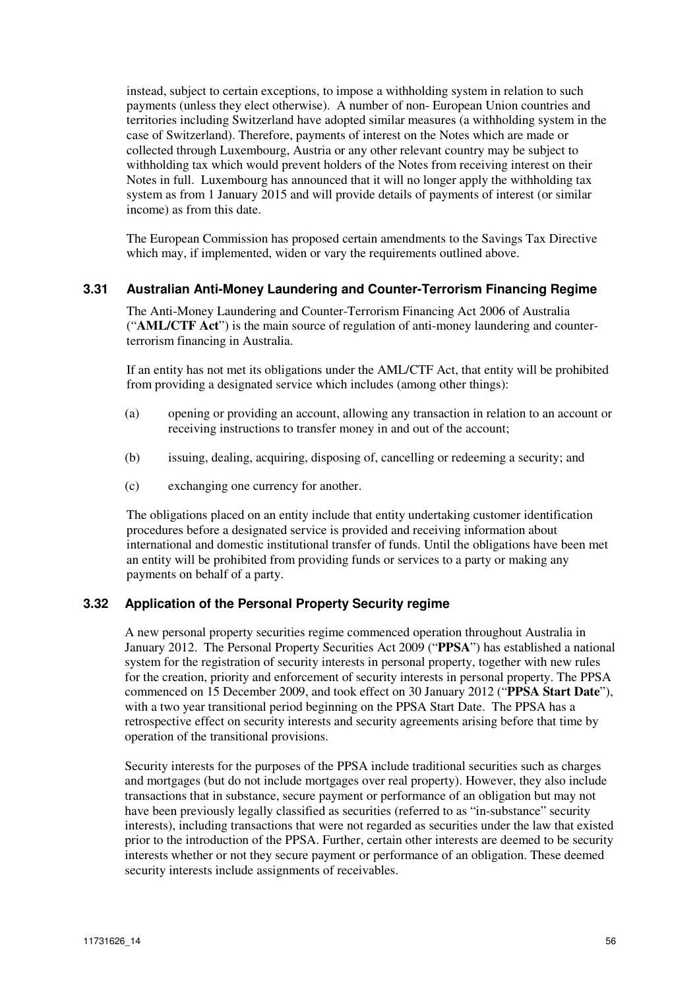instead, subject to certain exceptions, to impose a withholding system in relation to such payments (unless they elect otherwise). A number of non- European Union countries and territories including Switzerland have adopted similar measures (a withholding system in the case of Switzerland). Therefore, payments of interest on the Notes which are made or collected through Luxembourg, Austria or any other relevant country may be subject to withholding tax which would prevent holders of the Notes from receiving interest on their Notes in full. Luxembourg has announced that it will no longer apply the withholding tax system as from 1 January 2015 and will provide details of payments of interest (or similar income) as from this date.

The European Commission has proposed certain amendments to the Savings Tax Directive which may, if implemented, widen or vary the requirements outlined above.

### **3.31 Australian Anti-Money Laundering and Counter-Terrorism Financing Regime**

The Anti-Money Laundering and Counter-Terrorism Financing Act 2006 of Australia ("**AML/CTF Act**") is the main source of regulation of anti-money laundering and counterterrorism financing in Australia.

If an entity has not met its obligations under the AML/CTF Act, that entity will be prohibited from providing a designated service which includes (among other things):

- (a) opening or providing an account, allowing any transaction in relation to an account or receiving instructions to transfer money in and out of the account;
- (b) issuing, dealing, acquiring, disposing of, cancelling or redeeming a security; and
- (c) exchanging one currency for another.

The obligations placed on an entity include that entity undertaking customer identification procedures before a designated service is provided and receiving information about international and domestic institutional transfer of funds. Until the obligations have been met an entity will be prohibited from providing funds or services to a party or making any payments on behalf of a party.

#### **3.32 Application of the Personal Property Security regime**

A new personal property securities regime commenced operation throughout Australia in January 2012. The Personal Property Securities Act 2009 ("**PPSA**") has established a national system for the registration of security interests in personal property, together with new rules for the creation, priority and enforcement of security interests in personal property. The PPSA commenced on 15 December 2009, and took effect on 30 January 2012 ("**PPSA Start Date**"), with a two year transitional period beginning on the PPSA Start Date. The PPSA has a retrospective effect on security interests and security agreements arising before that time by operation of the transitional provisions.

Security interests for the purposes of the PPSA include traditional securities such as charges and mortgages (but do not include mortgages over real property). However, they also include transactions that in substance, secure payment or performance of an obligation but may not have been previously legally classified as securities (referred to as "in-substance" security interests), including transactions that were not regarded as securities under the law that existed prior to the introduction of the PPSA. Further, certain other interests are deemed to be security interests whether or not they secure payment or performance of an obligation. These deemed security interests include assignments of receivables.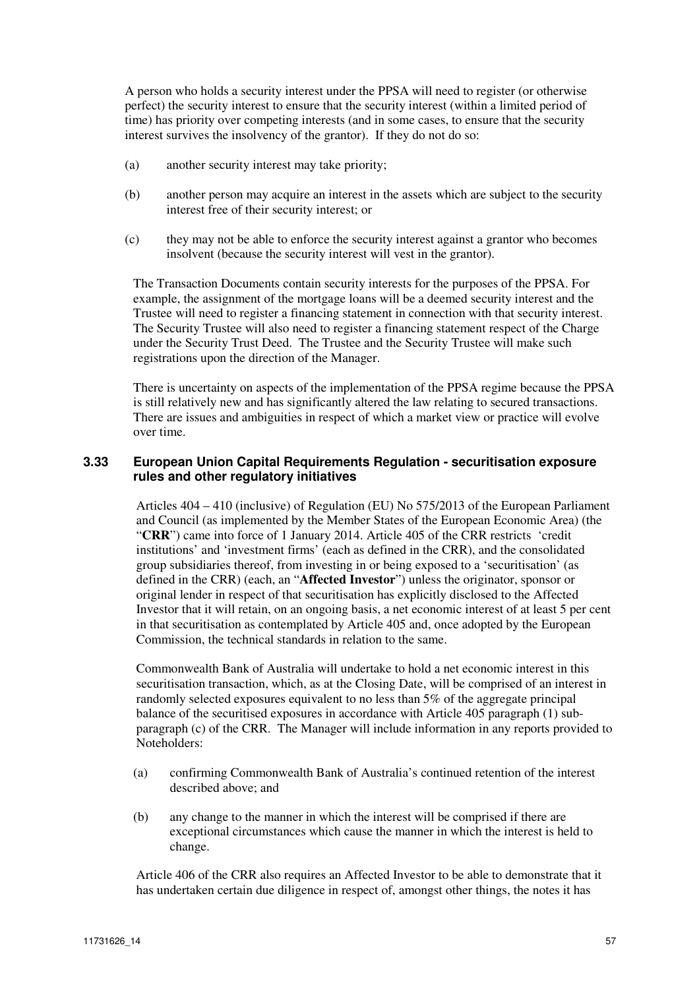A person who holds a security interest under the PPSA will need to register (or otherwise perfect) the security interest to ensure that the security interest (within a limited period of time) has priority over competing interests (and in some cases, to ensure that the security interest survives the insolvency of the grantor). If they do not do so:

- (a) another security interest may take priority;
- (b) another person may acquire an interest in the assets which are subject to the security interest free of their security interest; or
- (c) they may not be able to enforce the security interest against a grantor who becomes insolvent (because the security interest will vest in the grantor).

The Transaction Documents contain security interests for the purposes of the PPSA. For example, the assignment of the mortgage loans will be a deemed security interest and the Trustee will need to register a financing statement in connection with that security interest. The Security Trustee will also need to register a financing statement respect of the Charge under the Security Trust Deed. The Trustee and the Security Trustee will make such registrations upon the direction of the Manager.

There is uncertainty on aspects of the implementation of the PPSA regime because the PPSA is still relatively new and has significantly altered the law relating to secured transactions. There are issues and ambiguities in respect of which a market view or practice will evolve over time.

### **3.33 European Union Capital Requirements Regulation - securitisation exposure rules and other regulatory initiatives**

Articles 404 – 410 (inclusive) of Regulation (EU) No 575/2013 of the European Parliament and Council (as implemented by the Member States of the European Economic Area) (the "**CRR**") came into force of 1 January 2014. Article 405 of the CRR restricts 'credit institutions' and 'investment firms' (each as defined in the CRR), and the consolidated group subsidiaries thereof, from investing in or being exposed to a 'securitisation' (as defined in the CRR) (each, an "**Affected Investor**") unless the originator, sponsor or original lender in respect of that securitisation has explicitly disclosed to the Affected Investor that it will retain, on an ongoing basis, a net economic interest of at least 5 per cent in that securitisation as contemplated by Article 405 and, once adopted by the European Commission, the technical standards in relation to the same.

Commonwealth Bank of Australia will undertake to hold a net economic interest in this securitisation transaction, which, as at the Closing Date, will be comprised of an interest in randomly selected exposures equivalent to no less than 5% of the aggregate principal balance of the securitised exposures in accordance with Article 405 paragraph (1) subparagraph (c) of the CRR. The Manager will include information in any reports provided to Noteholders:

- (a) confirming Commonwealth Bank of Australia's continued retention of the interest described above; and
- (b) any change to the manner in which the interest will be comprised if there are exceptional circumstances which cause the manner in which the interest is held to change.

Article 406 of the CRR also requires an Affected Investor to be able to demonstrate that it has undertaken certain due diligence in respect of, amongst other things, the notes it has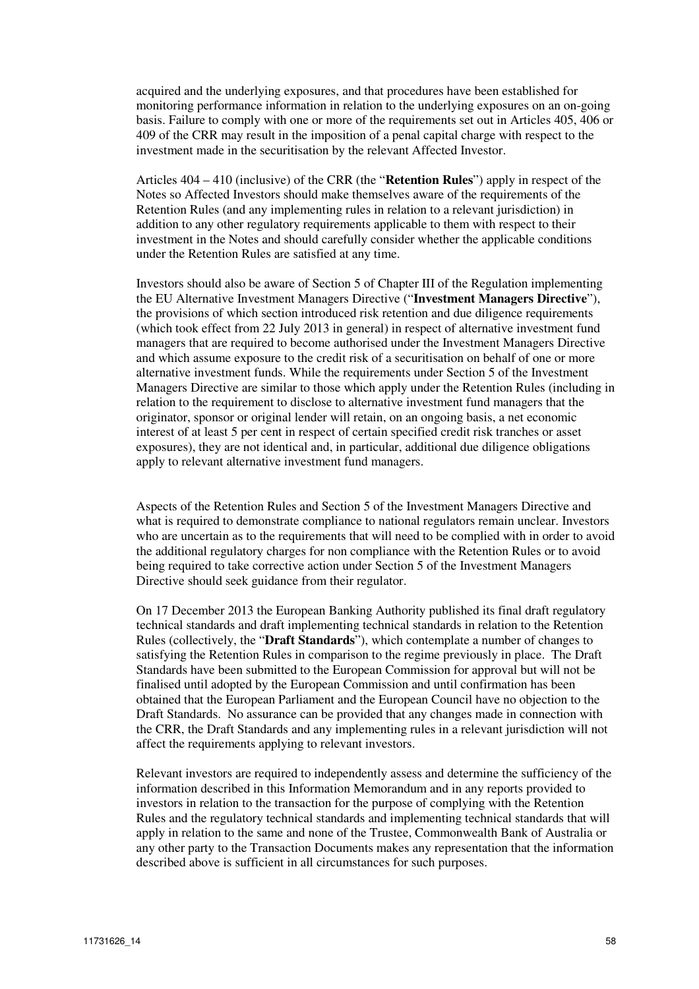acquired and the underlying exposures, and that procedures have been established for monitoring performance information in relation to the underlying exposures on an on-going basis. Failure to comply with one or more of the requirements set out in Articles 405, 406 or 409 of the CRR may result in the imposition of a penal capital charge with respect to the investment made in the securitisation by the relevant Affected Investor.

Articles 404 – 410 (inclusive) of the CRR (the "**Retention Rules**") apply in respect of the Notes so Affected Investors should make themselves aware of the requirements of the Retention Rules (and any implementing rules in relation to a relevant jurisdiction) in addition to any other regulatory requirements applicable to them with respect to their investment in the Notes and should carefully consider whether the applicable conditions under the Retention Rules are satisfied at any time.

Investors should also be aware of Section 5 of Chapter III of the Regulation implementing the EU Alternative Investment Managers Directive ("**Investment Managers Directive**"), the provisions of which section introduced risk retention and due diligence requirements (which took effect from 22 July 2013 in general) in respect of alternative investment fund managers that are required to become authorised under the Investment Managers Directive and which assume exposure to the credit risk of a securitisation on behalf of one or more alternative investment funds. While the requirements under Section 5 of the Investment Managers Directive are similar to those which apply under the Retention Rules (including in relation to the requirement to disclose to alternative investment fund managers that the originator, sponsor or original lender will retain, on an ongoing basis, a net economic interest of at least 5 per cent in respect of certain specified credit risk tranches or asset exposures), they are not identical and, in particular, additional due diligence obligations apply to relevant alternative investment fund managers.

Aspects of the Retention Rules and Section 5 of the Investment Managers Directive and what is required to demonstrate compliance to national regulators remain unclear. Investors who are uncertain as to the requirements that will need to be complied with in order to avoid the additional regulatory charges for non compliance with the Retention Rules or to avoid being required to take corrective action under Section 5 of the Investment Managers Directive should seek guidance from their regulator.

On 17 December 2013 the European Banking Authority published its final draft regulatory technical standards and draft implementing technical standards in relation to the Retention Rules (collectively, the "**Draft Standards**"), which contemplate a number of changes to satisfying the Retention Rules in comparison to the regime previously in place. The Draft Standards have been submitted to the European Commission for approval but will not be finalised until adopted by the European Commission and until confirmation has been obtained that the European Parliament and the European Council have no objection to the Draft Standards. No assurance can be provided that any changes made in connection with the CRR, the Draft Standards and any implementing rules in a relevant jurisdiction will not affect the requirements applying to relevant investors.

Relevant investors are required to independently assess and determine the sufficiency of the information described in this Information Memorandum and in any reports provided to investors in relation to the transaction for the purpose of complying with the Retention Rules and the regulatory technical standards and implementing technical standards that will apply in relation to the same and none of the Trustee, Commonwealth Bank of Australia or any other party to the Transaction Documents makes any representation that the information described above is sufficient in all circumstances for such purposes.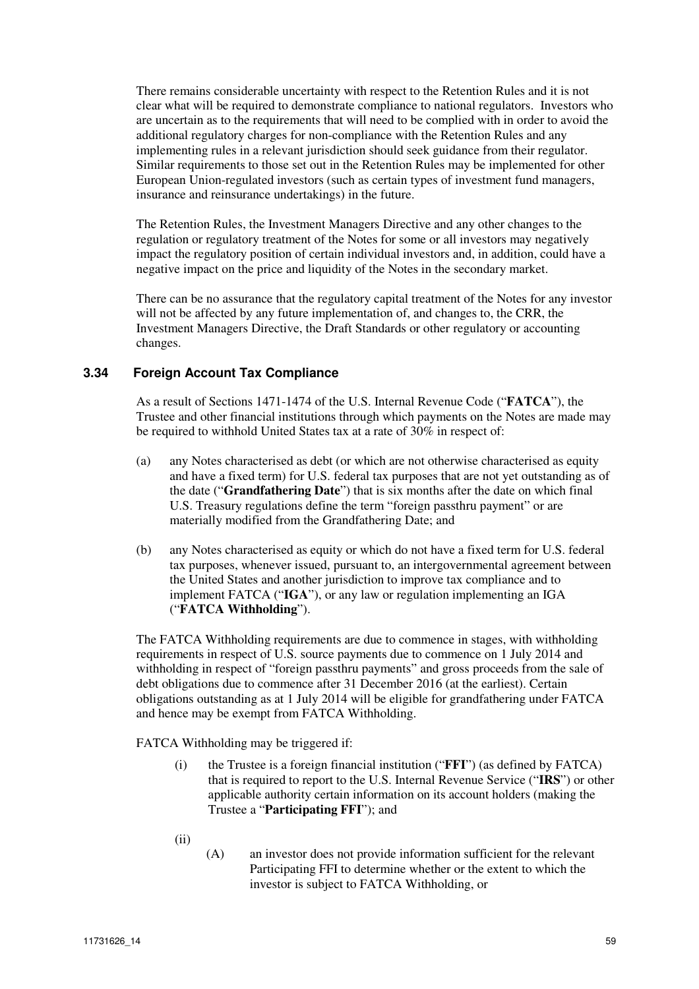There remains considerable uncertainty with respect to the Retention Rules and it is not clear what will be required to demonstrate compliance to national regulators. Investors who are uncertain as to the requirements that will need to be complied with in order to avoid the additional regulatory charges for non-compliance with the Retention Rules and any implementing rules in a relevant jurisdiction should seek guidance from their regulator. Similar requirements to those set out in the Retention Rules may be implemented for other European Union-regulated investors (such as certain types of investment fund managers, insurance and reinsurance undertakings) in the future.

The Retention Rules, the Investment Managers Directive and any other changes to the regulation or regulatory treatment of the Notes for some or all investors may negatively impact the regulatory position of certain individual investors and, in addition, could have a negative impact on the price and liquidity of the Notes in the secondary market.

There can be no assurance that the regulatory capital treatment of the Notes for any investor will not be affected by any future implementation of, and changes to, the CRR, the Investment Managers Directive, the Draft Standards or other regulatory or accounting changes.

### **3.34 Foreign Account Tax Compliance**

As a result of Sections 1471-1474 of the U.S. Internal Revenue Code ("**FATCA**"), the Trustee and other financial institutions through which payments on the Notes are made may be required to withhold United States tax at a rate of 30% in respect of:

- (a) any Notes characterised as debt (or which are not otherwise characterised as equity and have a fixed term) for U.S. federal tax purposes that are not yet outstanding as of the date ("**Grandfathering Date**") that is six months after the date on which final U.S. Treasury regulations define the term "foreign passthru payment" or are materially modified from the Grandfathering Date; and
- (b) any Notes characterised as equity or which do not have a fixed term for U.S. federal tax purposes, whenever issued, pursuant to, an intergovernmental agreement between the United States and another jurisdiction to improve tax compliance and to implement FATCA ("**IGA**"), or any law or regulation implementing an IGA ("**FATCA Withholding**").

The FATCA Withholding requirements are due to commence in stages, with withholding requirements in respect of U.S. source payments due to commence on 1 July 2014 and withholding in respect of "foreign passthru payments" and gross proceeds from the sale of debt obligations due to commence after 31 December 2016 (at the earliest). Certain obligations outstanding as at 1 July 2014 will be eligible for grandfathering under FATCA and hence may be exempt from FATCA Withholding.

FATCA Withholding may be triggered if:

- (i) the Trustee is a foreign financial institution ("**FFI**") (as defined by FATCA) that is required to report to the U.S. Internal Revenue Service ("**IRS**") or other applicable authority certain information on its account holders (making the Trustee a "**Participating FFI**"); and
- (ii)
- (A) an investor does not provide information sufficient for the relevant Participating FFI to determine whether or the extent to which the investor is subject to FATCA Withholding, or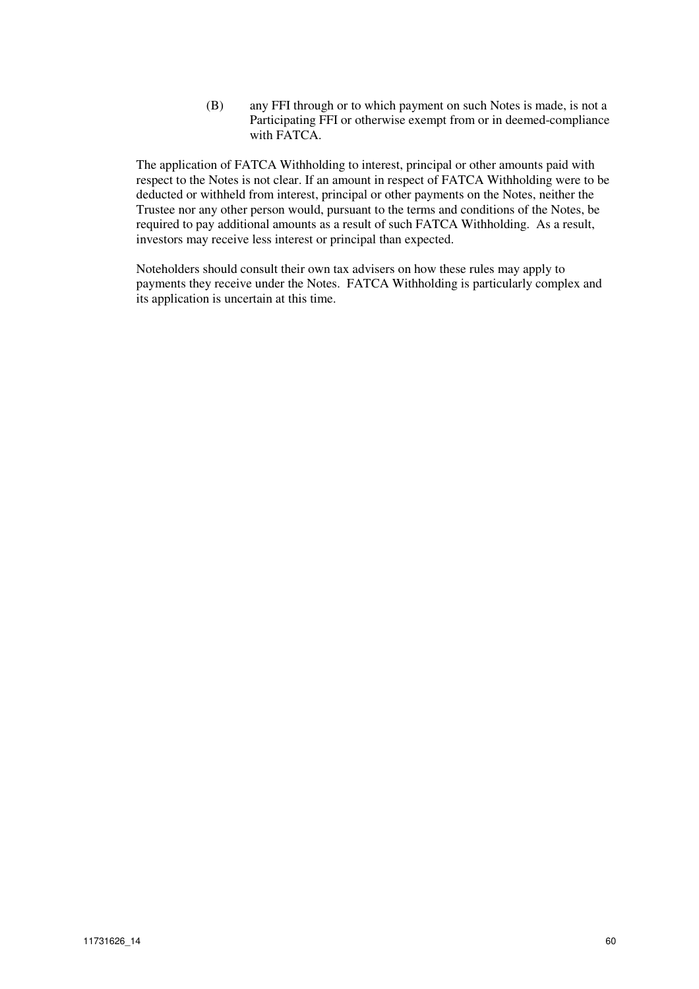(B) any FFI through or to which payment on such Notes is made, is not a Participating FFI or otherwise exempt from or in deemed-compliance with FATCA.

The application of FATCA Withholding to interest, principal or other amounts paid with respect to the Notes is not clear. If an amount in respect of FATCA Withholding were to be deducted or withheld from interest, principal or other payments on the Notes, neither the Trustee nor any other person would, pursuant to the terms and conditions of the Notes, be required to pay additional amounts as a result of such FATCA Withholding. As a result, investors may receive less interest or principal than expected.

Noteholders should consult their own tax advisers on how these rules may apply to payments they receive under the Notes. FATCA Withholding is particularly complex and its application is uncertain at this time.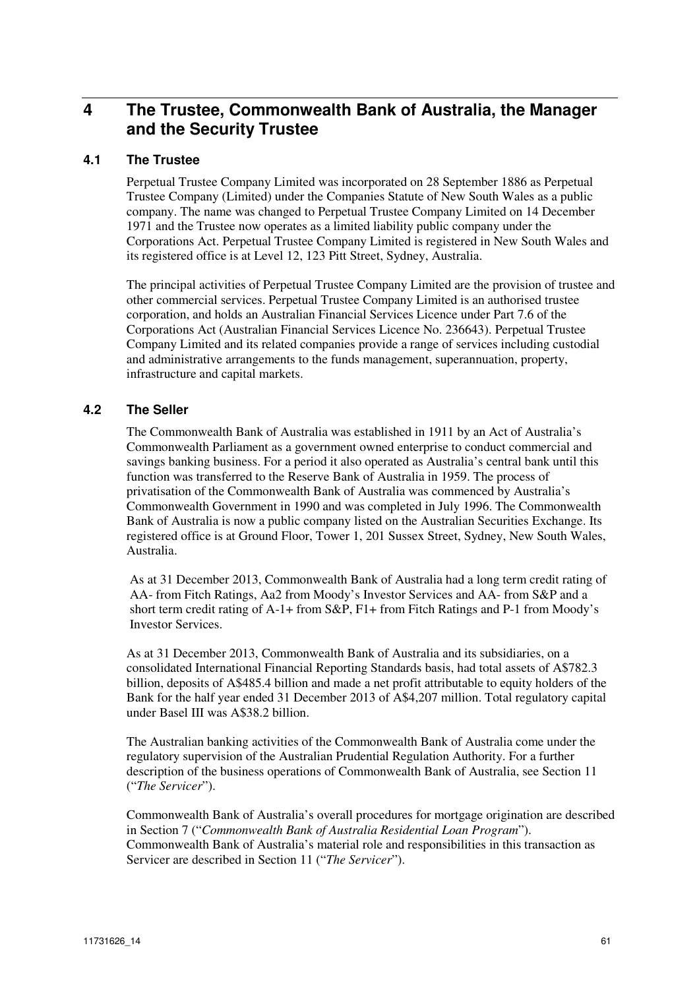# **4 The Trustee, Commonwealth Bank of Australia, the Manager and the Security Trustee**

## **4.1 The Trustee**

Perpetual Trustee Company Limited was incorporated on 28 September 1886 as Perpetual Trustee Company (Limited) under the Companies Statute of New South Wales as a public company. The name was changed to Perpetual Trustee Company Limited on 14 December 1971 and the Trustee now operates as a limited liability public company under the Corporations Act. Perpetual Trustee Company Limited is registered in New South Wales and its registered office is at Level 12, 123 Pitt Street, Sydney, Australia.

The principal activities of Perpetual Trustee Company Limited are the provision of trustee and other commercial services. Perpetual Trustee Company Limited is an authorised trustee corporation, and holds an Australian Financial Services Licence under Part 7.6 of the Corporations Act (Australian Financial Services Licence No. 236643). Perpetual Trustee Company Limited and its related companies provide a range of services including custodial and administrative arrangements to the funds management, superannuation, property, infrastructure and capital markets.

### **4.2 The Seller**

The Commonwealth Bank of Australia was established in 1911 by an Act of Australia's Commonwealth Parliament as a government owned enterprise to conduct commercial and savings banking business. For a period it also operated as Australia's central bank until this function was transferred to the Reserve Bank of Australia in 1959. The process of privatisation of the Commonwealth Bank of Australia was commenced by Australia's Commonwealth Government in 1990 and was completed in July 1996. The Commonwealth Bank of Australia is now a public company listed on the Australian Securities Exchange. Its registered office is at Ground Floor, Tower 1, 201 Sussex Street, Sydney, New South Wales, Australia.

As at 31 December 2013, Commonwealth Bank of Australia had a long term credit rating of AA- from Fitch Ratings, Aa2 from Moody's Investor Services and AA- from S&P and a short term credit rating of A-1+ from S&P, F1+ from Fitch Ratings and P-1 from Moody's Investor Services.

As at 31 December 2013, Commonwealth Bank of Australia and its subsidiaries, on a consolidated International Financial Reporting Standards basis, had total assets of A\$782.3 billion, deposits of A\$485.4 billion and made a net profit attributable to equity holders of the Bank for the half year ended 31 December 2013 of A\$4,207 million. Total regulatory capital under Basel III was A\$38.2 billion.

The Australian banking activities of the Commonwealth Bank of Australia come under the regulatory supervision of the Australian Prudential Regulation Authority. For a further description of the business operations of Commonwealth Bank of Australia, see Section 11 ("*The Servicer*").

Commonwealth Bank of Australia's overall procedures for mortgage origination are described in Section 7 ("*Commonwealth Bank of Australia Residential Loan Program*"). Commonwealth Bank of Australia's material role and responsibilities in this transaction as Servicer are described in Section 11 ("*The Servicer*").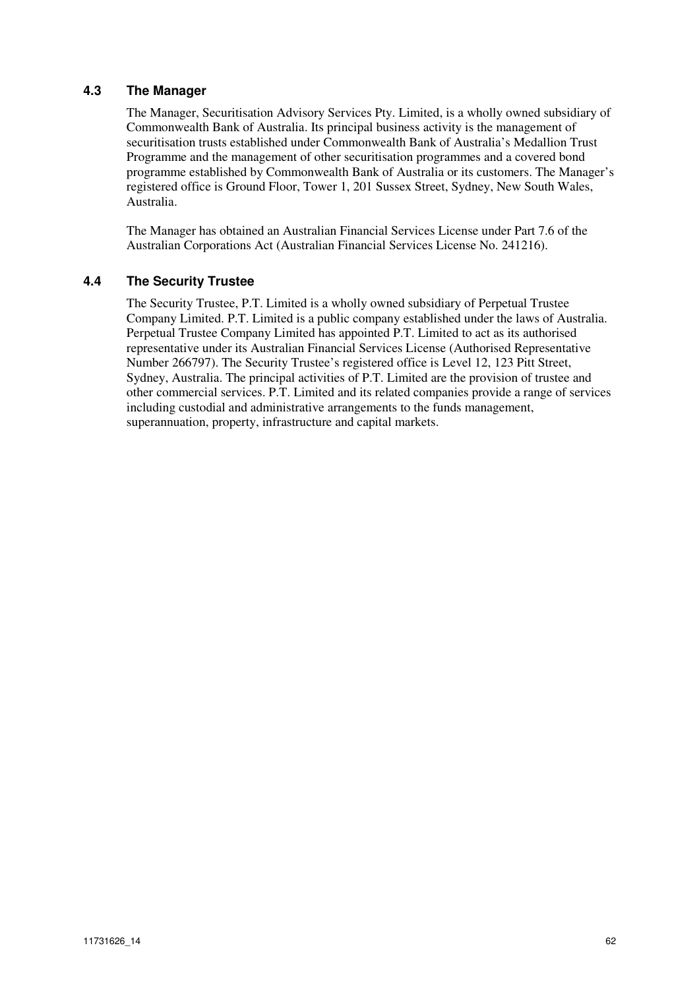# **4.3 The Manager**

The Manager, Securitisation Advisory Services Pty. Limited, is a wholly owned subsidiary of Commonwealth Bank of Australia. Its principal business activity is the management of securitisation trusts established under Commonwealth Bank of Australia's Medallion Trust Programme and the management of other securitisation programmes and a covered bond programme established by Commonwealth Bank of Australia or its customers. The Manager's registered office is Ground Floor, Tower 1, 201 Sussex Street, Sydney, New South Wales, Australia.

The Manager has obtained an Australian Financial Services License under Part 7.6 of the Australian Corporations Act (Australian Financial Services License No. 241216).

### **4.4 The Security Trustee**

The Security Trustee, P.T. Limited is a wholly owned subsidiary of Perpetual Trustee Company Limited. P.T. Limited is a public company established under the laws of Australia. Perpetual Trustee Company Limited has appointed P.T. Limited to act as its authorised representative under its Australian Financial Services License (Authorised Representative Number 266797). The Security Trustee's registered office is Level 12, 123 Pitt Street, Sydney, Australia. The principal activities of P.T. Limited are the provision of trustee and other commercial services. P.T. Limited and its related companies provide a range of services including custodial and administrative arrangements to the funds management, superannuation, property, infrastructure and capital markets.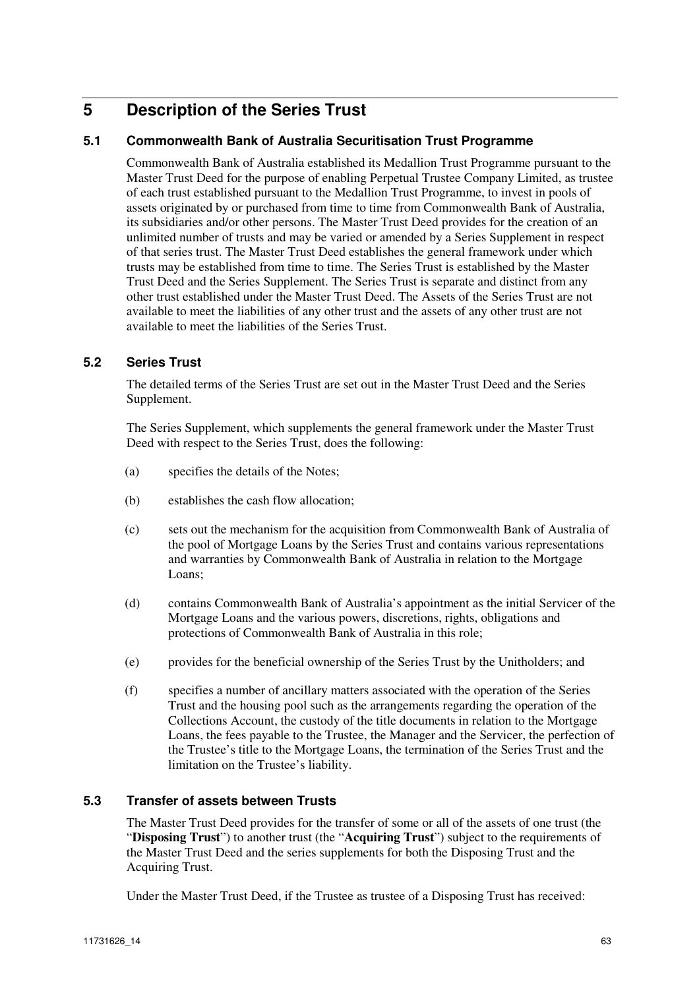# **5 Description of the Series Trust**

# **5.1 Commonwealth Bank of Australia Securitisation Trust Programme**

Commonwealth Bank of Australia established its Medallion Trust Programme pursuant to the Master Trust Deed for the purpose of enabling Perpetual Trustee Company Limited, as trustee of each trust established pursuant to the Medallion Trust Programme, to invest in pools of assets originated by or purchased from time to time from Commonwealth Bank of Australia, its subsidiaries and/or other persons. The Master Trust Deed provides for the creation of an unlimited number of trusts and may be varied or amended by a Series Supplement in respect of that series trust. The Master Trust Deed establishes the general framework under which trusts may be established from time to time. The Series Trust is established by the Master Trust Deed and the Series Supplement. The Series Trust is separate and distinct from any other trust established under the Master Trust Deed. The Assets of the Series Trust are not available to meet the liabilities of any other trust and the assets of any other trust are not available to meet the liabilities of the Series Trust.

### **5.2 Series Trust**

The detailed terms of the Series Trust are set out in the Master Trust Deed and the Series Supplement.

The Series Supplement, which supplements the general framework under the Master Trust Deed with respect to the Series Trust, does the following:

- (a) specifies the details of the Notes;
- (b) establishes the cash flow allocation;
- (c) sets out the mechanism for the acquisition from Commonwealth Bank of Australia of the pool of Mortgage Loans by the Series Trust and contains various representations and warranties by Commonwealth Bank of Australia in relation to the Mortgage Loans;
- (d) contains Commonwealth Bank of Australia's appointment as the initial Servicer of the Mortgage Loans and the various powers, discretions, rights, obligations and protections of Commonwealth Bank of Australia in this role;
- (e) provides for the beneficial ownership of the Series Trust by the Unitholders; and
- (f) specifies a number of ancillary matters associated with the operation of the Series Trust and the housing pool such as the arrangements regarding the operation of the Collections Account, the custody of the title documents in relation to the Mortgage Loans, the fees payable to the Trustee, the Manager and the Servicer, the perfection of the Trustee's title to the Mortgage Loans, the termination of the Series Trust and the limitation on the Trustee's liability.

### **5.3 Transfer of assets between Trusts**

The Master Trust Deed provides for the transfer of some or all of the assets of one trust (the "**Disposing Trust**") to another trust (the "**Acquiring Trust**") subject to the requirements of the Master Trust Deed and the series supplements for both the Disposing Trust and the Acquiring Trust.

Under the Master Trust Deed, if the Trustee as trustee of a Disposing Trust has received: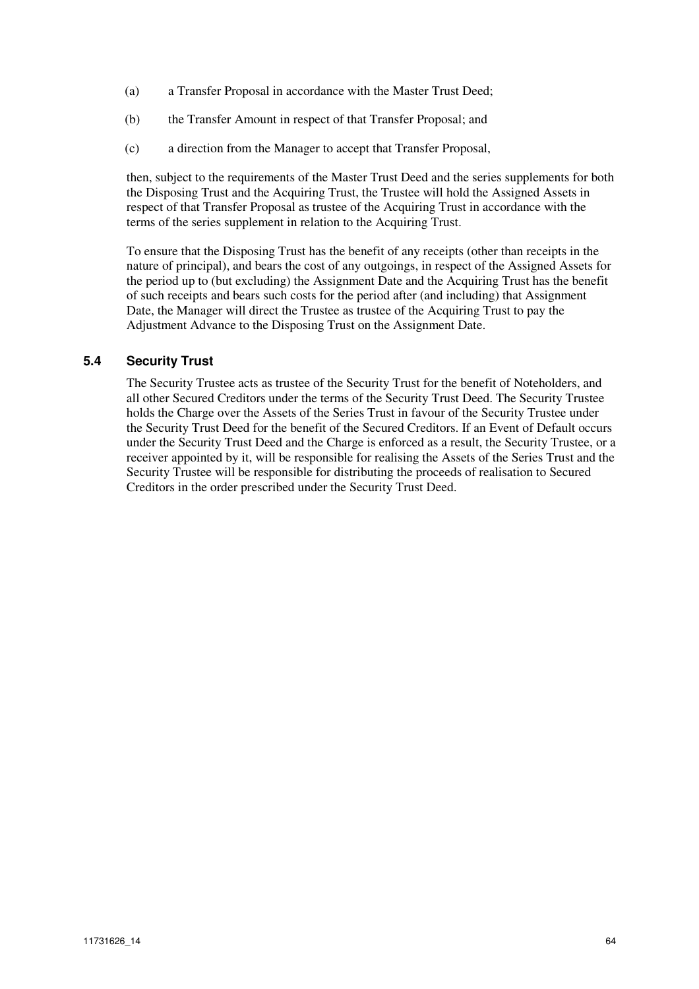- (a) a Transfer Proposal in accordance with the Master Trust Deed;
- (b) the Transfer Amount in respect of that Transfer Proposal; and
- (c) a direction from the Manager to accept that Transfer Proposal,

then, subject to the requirements of the Master Trust Deed and the series supplements for both the Disposing Trust and the Acquiring Trust, the Trustee will hold the Assigned Assets in respect of that Transfer Proposal as trustee of the Acquiring Trust in accordance with the terms of the series supplement in relation to the Acquiring Trust.

To ensure that the Disposing Trust has the benefit of any receipts (other than receipts in the nature of principal), and bears the cost of any outgoings, in respect of the Assigned Assets for the period up to (but excluding) the Assignment Date and the Acquiring Trust has the benefit of such receipts and bears such costs for the period after (and including) that Assignment Date, the Manager will direct the Trustee as trustee of the Acquiring Trust to pay the Adjustment Advance to the Disposing Trust on the Assignment Date.

### **5.4 Security Trust**

The Security Trustee acts as trustee of the Security Trust for the benefit of Noteholders, and all other Secured Creditors under the terms of the Security Trust Deed. The Security Trustee holds the Charge over the Assets of the Series Trust in favour of the Security Trustee under the Security Trust Deed for the benefit of the Secured Creditors. If an Event of Default occurs under the Security Trust Deed and the Charge is enforced as a result, the Security Trustee, or a receiver appointed by it, will be responsible for realising the Assets of the Series Trust and the Security Trustee will be responsible for distributing the proceeds of realisation to Secured Creditors in the order prescribed under the Security Trust Deed.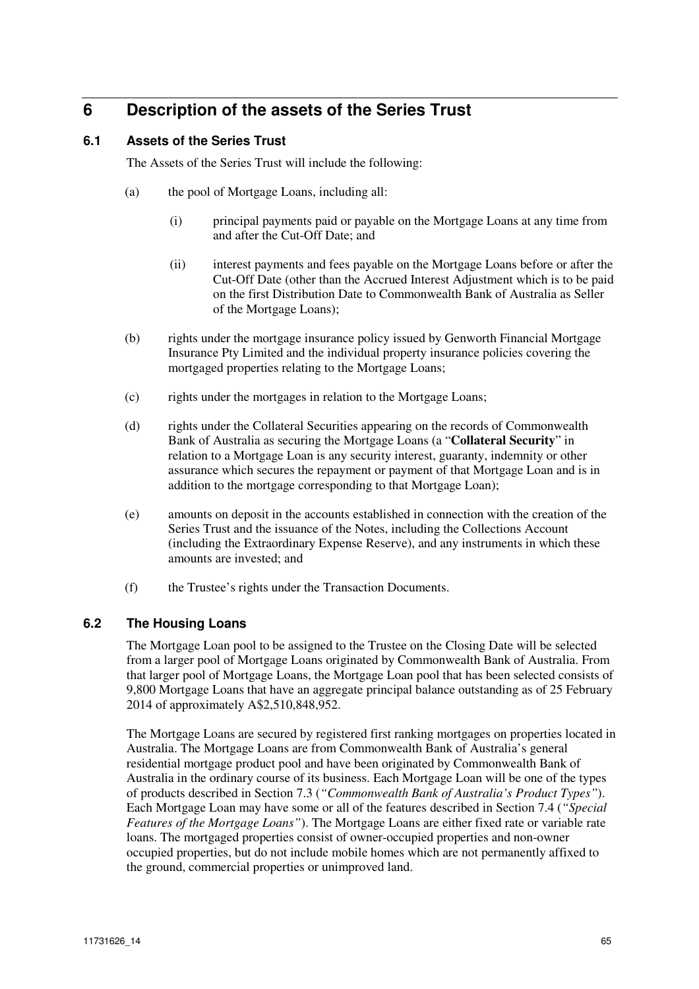# **6 Description of the assets of the Series Trust**

## **6.1 Assets of the Series Trust**

The Assets of the Series Trust will include the following:

- (a) the pool of Mortgage Loans, including all:
	- (i) principal payments paid or payable on the Mortgage Loans at any time from and after the Cut-Off Date; and
	- (ii) interest payments and fees payable on the Mortgage Loans before or after the Cut-Off Date (other than the Accrued Interest Adjustment which is to be paid on the first Distribution Date to Commonwealth Bank of Australia as Seller of the Mortgage Loans);
- (b) rights under the mortgage insurance policy issued by Genworth Financial Mortgage Insurance Pty Limited and the individual property insurance policies covering the mortgaged properties relating to the Mortgage Loans;
- (c) rights under the mortgages in relation to the Mortgage Loans;
- (d) rights under the Collateral Securities appearing on the records of Commonwealth Bank of Australia as securing the Mortgage Loans (a "**Collateral Security**" in relation to a Mortgage Loan is any security interest, guaranty, indemnity or other assurance which secures the repayment or payment of that Mortgage Loan and is in addition to the mortgage corresponding to that Mortgage Loan);
- (e) amounts on deposit in the accounts established in connection with the creation of the Series Trust and the issuance of the Notes, including the Collections Account (including the Extraordinary Expense Reserve), and any instruments in which these amounts are invested; and
- (f) the Trustee's rights under the Transaction Documents.

### **6.2 The Housing Loans**

The Mortgage Loan pool to be assigned to the Trustee on the Closing Date will be selected from a larger pool of Mortgage Loans originated by Commonwealth Bank of Australia. From that larger pool of Mortgage Loans, the Mortgage Loan pool that has been selected consists of 9,800 Mortgage Loans that have an aggregate principal balance outstanding as of 25 February 2014 of approximately A\$2,510,848,952.

The Mortgage Loans are secured by registered first ranking mortgages on properties located in Australia. The Mortgage Loans are from Commonwealth Bank of Australia's general residential mortgage product pool and have been originated by Commonwealth Bank of Australia in the ordinary course of its business. Each Mortgage Loan will be one of the types of products described in Section 7.3 (*"Commonwealth Bank of Australia's Product Types"*). Each Mortgage Loan may have some or all of the features described in Section 7.4 (*"Special Features of the Mortgage Loans"*). The Mortgage Loans are either fixed rate or variable rate loans. The mortgaged properties consist of owner-occupied properties and non-owner occupied properties, but do not include mobile homes which are not permanently affixed to the ground, commercial properties or unimproved land.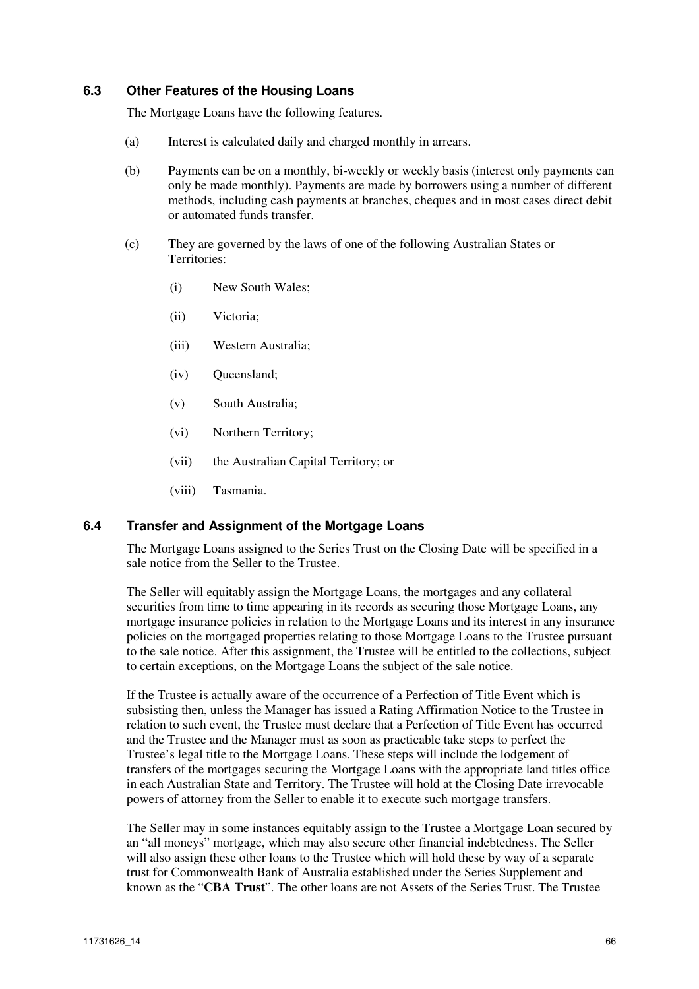### **6.3 Other Features of the Housing Loans**

The Mortgage Loans have the following features.

- (a) Interest is calculated daily and charged monthly in arrears.
- (b) Payments can be on a monthly, bi-weekly or weekly basis (interest only payments can only be made monthly). Payments are made by borrowers using a number of different methods, including cash payments at branches, cheques and in most cases direct debit or automated funds transfer.
- (c) They are governed by the laws of one of the following Australian States or Territories:
	- (i) New South Wales;
	- (ii) Victoria;
	- (iii) Western Australia;
	- (iv) Queensland;
	- (v) South Australia;
	- (vi) Northern Territory;
	- (vii) the Australian Capital Territory; or
	- (viii) Tasmania.

### **6.4 Transfer and Assignment of the Mortgage Loans**

The Mortgage Loans assigned to the Series Trust on the Closing Date will be specified in a sale notice from the Seller to the Trustee.

The Seller will equitably assign the Mortgage Loans, the mortgages and any collateral securities from time to time appearing in its records as securing those Mortgage Loans, any mortgage insurance policies in relation to the Mortgage Loans and its interest in any insurance policies on the mortgaged properties relating to those Mortgage Loans to the Trustee pursuant to the sale notice. After this assignment, the Trustee will be entitled to the collections, subject to certain exceptions, on the Mortgage Loans the subject of the sale notice.

If the Trustee is actually aware of the occurrence of a Perfection of Title Event which is subsisting then, unless the Manager has issued a Rating Affirmation Notice to the Trustee in relation to such event, the Trustee must declare that a Perfection of Title Event has occurred and the Trustee and the Manager must as soon as practicable take steps to perfect the Trustee's legal title to the Mortgage Loans. These steps will include the lodgement of transfers of the mortgages securing the Mortgage Loans with the appropriate land titles office in each Australian State and Territory. The Trustee will hold at the Closing Date irrevocable powers of attorney from the Seller to enable it to execute such mortgage transfers.

The Seller may in some instances equitably assign to the Trustee a Mortgage Loan secured by an "all moneys" mortgage, which may also secure other financial indebtedness. The Seller will also assign these other loans to the Trustee which will hold these by way of a separate trust for Commonwealth Bank of Australia established under the Series Supplement and known as the "**CBA Trust**". The other loans are not Assets of the Series Trust. The Trustee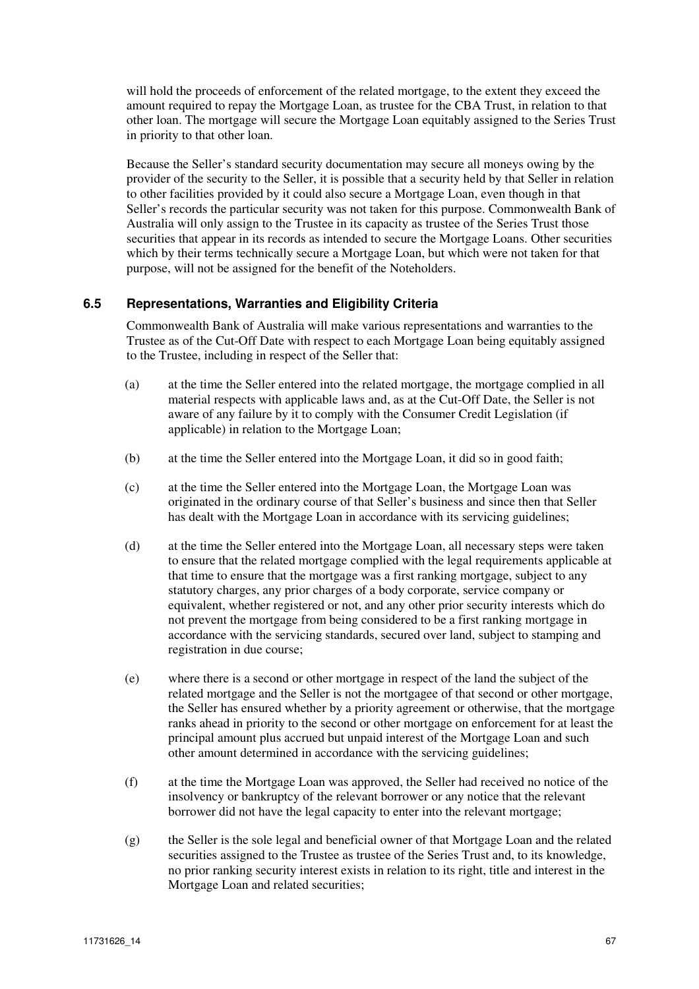will hold the proceeds of enforcement of the related mortgage, to the extent they exceed the amount required to repay the Mortgage Loan, as trustee for the CBA Trust, in relation to that other loan. The mortgage will secure the Mortgage Loan equitably assigned to the Series Trust in priority to that other loan.

Because the Seller's standard security documentation may secure all moneys owing by the provider of the security to the Seller, it is possible that a security held by that Seller in relation to other facilities provided by it could also secure a Mortgage Loan, even though in that Seller's records the particular security was not taken for this purpose. Commonwealth Bank of Australia will only assign to the Trustee in its capacity as trustee of the Series Trust those securities that appear in its records as intended to secure the Mortgage Loans. Other securities which by their terms technically secure a Mortgage Loan, but which were not taken for that purpose, will not be assigned for the benefit of the Noteholders.

### **6.5 Representations, Warranties and Eligibility Criteria**

Commonwealth Bank of Australia will make various representations and warranties to the Trustee as of the Cut-Off Date with respect to each Mortgage Loan being equitably assigned to the Trustee, including in respect of the Seller that:

- (a) at the time the Seller entered into the related mortgage, the mortgage complied in all material respects with applicable laws and, as at the Cut-Off Date, the Seller is not aware of any failure by it to comply with the Consumer Credit Legislation (if applicable) in relation to the Mortgage Loan;
- (b) at the time the Seller entered into the Mortgage Loan, it did so in good faith;
- (c) at the time the Seller entered into the Mortgage Loan, the Mortgage Loan was originated in the ordinary course of that Seller's business and since then that Seller has dealt with the Mortgage Loan in accordance with its servicing guidelines;
- (d) at the time the Seller entered into the Mortgage Loan, all necessary steps were taken to ensure that the related mortgage complied with the legal requirements applicable at that time to ensure that the mortgage was a first ranking mortgage, subject to any statutory charges, any prior charges of a body corporate, service company or equivalent, whether registered or not, and any other prior security interests which do not prevent the mortgage from being considered to be a first ranking mortgage in accordance with the servicing standards, secured over land, subject to stamping and registration in due course;
- (e) where there is a second or other mortgage in respect of the land the subject of the related mortgage and the Seller is not the mortgagee of that second or other mortgage, the Seller has ensured whether by a priority agreement or otherwise, that the mortgage ranks ahead in priority to the second or other mortgage on enforcement for at least the principal amount plus accrued but unpaid interest of the Mortgage Loan and such other amount determined in accordance with the servicing guidelines;
- (f) at the time the Mortgage Loan was approved, the Seller had received no notice of the insolvency or bankruptcy of the relevant borrower or any notice that the relevant borrower did not have the legal capacity to enter into the relevant mortgage;
- (g) the Seller is the sole legal and beneficial owner of that Mortgage Loan and the related securities assigned to the Trustee as trustee of the Series Trust and, to its knowledge, no prior ranking security interest exists in relation to its right, title and interest in the Mortgage Loan and related securities;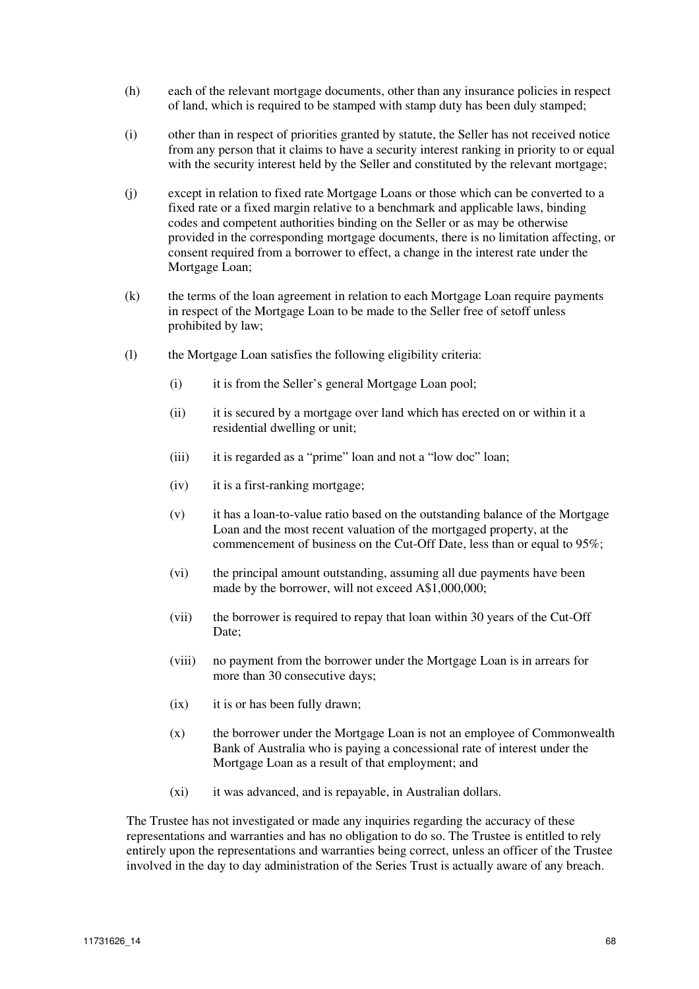- (h) each of the relevant mortgage documents, other than any insurance policies in respect of land, which is required to be stamped with stamp duty has been duly stamped;
- (i) other than in respect of priorities granted by statute, the Seller has not received notice from any person that it claims to have a security interest ranking in priority to or equal with the security interest held by the Seller and constituted by the relevant mortgage;
- (j) except in relation to fixed rate Mortgage Loans or those which can be converted to a fixed rate or a fixed margin relative to a benchmark and applicable laws, binding codes and competent authorities binding on the Seller or as may be otherwise provided in the corresponding mortgage documents, there is no limitation affecting, or consent required from a borrower to effect, a change in the interest rate under the Mortgage Loan;
- (k) the terms of the loan agreement in relation to each Mortgage Loan require payments in respect of the Mortgage Loan to be made to the Seller free of setoff unless prohibited by law;
- (l) the Mortgage Loan satisfies the following eligibility criteria:
	- (i) it is from the Seller's general Mortgage Loan pool;
	- (ii) it is secured by a mortgage over land which has erected on or within it a residential dwelling or unit;
	- (iii) it is regarded as a "prime" loan and not a "low doc" loan;
	- (iv) it is a first-ranking mortgage;
	- (v) it has a loan-to-value ratio based on the outstanding balance of the Mortgage Loan and the most recent valuation of the mortgaged property, at the commencement of business on the Cut-Off Date, less than or equal to 95%;
	- (vi) the principal amount outstanding, assuming all due payments have been made by the borrower, will not exceed A\$1,000,000;
	- (vii) the borrower is required to repay that loan within 30 years of the Cut-Off Date;
	- (viii) no payment from the borrower under the Mortgage Loan is in arrears for more than 30 consecutive days;
	- (ix) it is or has been fully drawn;
	- (x) the borrower under the Mortgage Loan is not an employee of Commonwealth Bank of Australia who is paying a concessional rate of interest under the Mortgage Loan as a result of that employment; and
	- (xi) it was advanced, and is repayable, in Australian dollars.

The Trustee has not investigated or made any inquiries regarding the accuracy of these representations and warranties and has no obligation to do so. The Trustee is entitled to rely entirely upon the representations and warranties being correct, unless an officer of the Trustee involved in the day to day administration of the Series Trust is actually aware of any breach.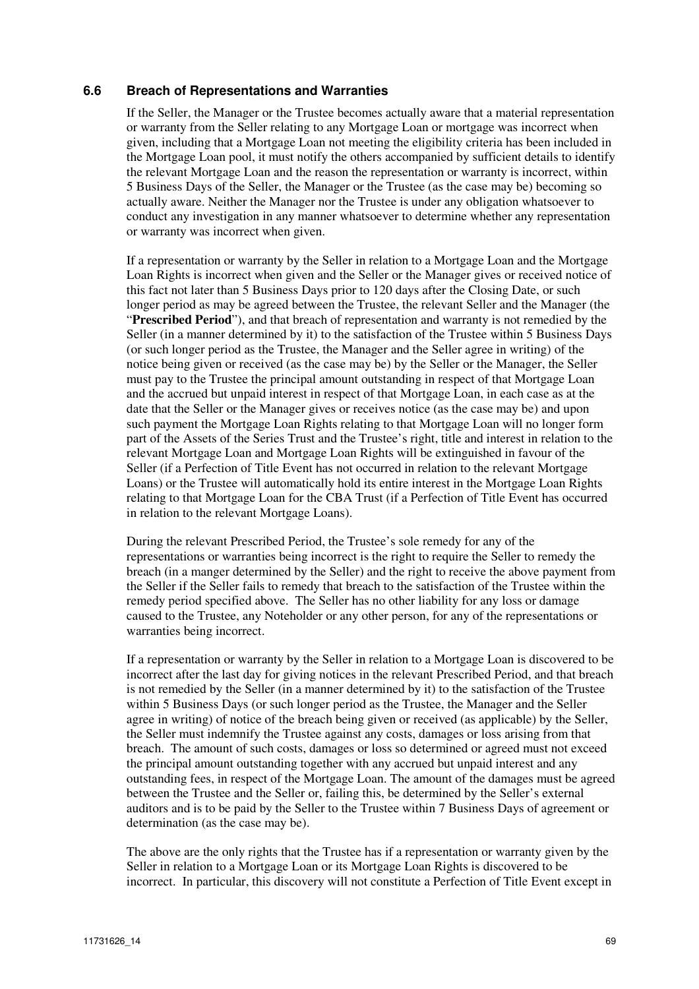### **6.6 Breach of Representations and Warranties**

If the Seller, the Manager or the Trustee becomes actually aware that a material representation or warranty from the Seller relating to any Mortgage Loan or mortgage was incorrect when given, including that a Mortgage Loan not meeting the eligibility criteria has been included in the Mortgage Loan pool, it must notify the others accompanied by sufficient details to identify the relevant Mortgage Loan and the reason the representation or warranty is incorrect, within 5 Business Days of the Seller, the Manager or the Trustee (as the case may be) becoming so actually aware. Neither the Manager nor the Trustee is under any obligation whatsoever to conduct any investigation in any manner whatsoever to determine whether any representation or warranty was incorrect when given.

If a representation or warranty by the Seller in relation to a Mortgage Loan and the Mortgage Loan Rights is incorrect when given and the Seller or the Manager gives or received notice of this fact not later than 5 Business Days prior to 120 days after the Closing Date, or such longer period as may be agreed between the Trustee, the relevant Seller and the Manager (the "**Prescribed Period**"), and that breach of representation and warranty is not remedied by the Seller (in a manner determined by it) to the satisfaction of the Trustee within 5 Business Days (or such longer period as the Trustee, the Manager and the Seller agree in writing) of the notice being given or received (as the case may be) by the Seller or the Manager, the Seller must pay to the Trustee the principal amount outstanding in respect of that Mortgage Loan and the accrued but unpaid interest in respect of that Mortgage Loan, in each case as at the date that the Seller or the Manager gives or receives notice (as the case may be) and upon such payment the Mortgage Loan Rights relating to that Mortgage Loan will no longer form part of the Assets of the Series Trust and the Trustee's right, title and interest in relation to the relevant Mortgage Loan and Mortgage Loan Rights will be extinguished in favour of the Seller (if a Perfection of Title Event has not occurred in relation to the relevant Mortgage Loans) or the Trustee will automatically hold its entire interest in the Mortgage Loan Rights relating to that Mortgage Loan for the CBA Trust (if a Perfection of Title Event has occurred in relation to the relevant Mortgage Loans).

During the relevant Prescribed Period, the Trustee's sole remedy for any of the representations or warranties being incorrect is the right to require the Seller to remedy the breach (in a manger determined by the Seller) and the right to receive the above payment from the Seller if the Seller fails to remedy that breach to the satisfaction of the Trustee within the remedy period specified above. The Seller has no other liability for any loss or damage caused to the Trustee, any Noteholder or any other person, for any of the representations or warranties being incorrect.

If a representation or warranty by the Seller in relation to a Mortgage Loan is discovered to be incorrect after the last day for giving notices in the relevant Prescribed Period, and that breach is not remedied by the Seller (in a manner determined by it) to the satisfaction of the Trustee within 5 Business Days (or such longer period as the Trustee, the Manager and the Seller agree in writing) of notice of the breach being given or received (as applicable) by the Seller, the Seller must indemnify the Trustee against any costs, damages or loss arising from that breach. The amount of such costs, damages or loss so determined or agreed must not exceed the principal amount outstanding together with any accrued but unpaid interest and any outstanding fees, in respect of the Mortgage Loan. The amount of the damages must be agreed between the Trustee and the Seller or, failing this, be determined by the Seller's external auditors and is to be paid by the Seller to the Trustee within 7 Business Days of agreement or determination (as the case may be).

The above are the only rights that the Trustee has if a representation or warranty given by the Seller in relation to a Mortgage Loan or its Mortgage Loan Rights is discovered to be incorrect. In particular, this discovery will not constitute a Perfection of Title Event except in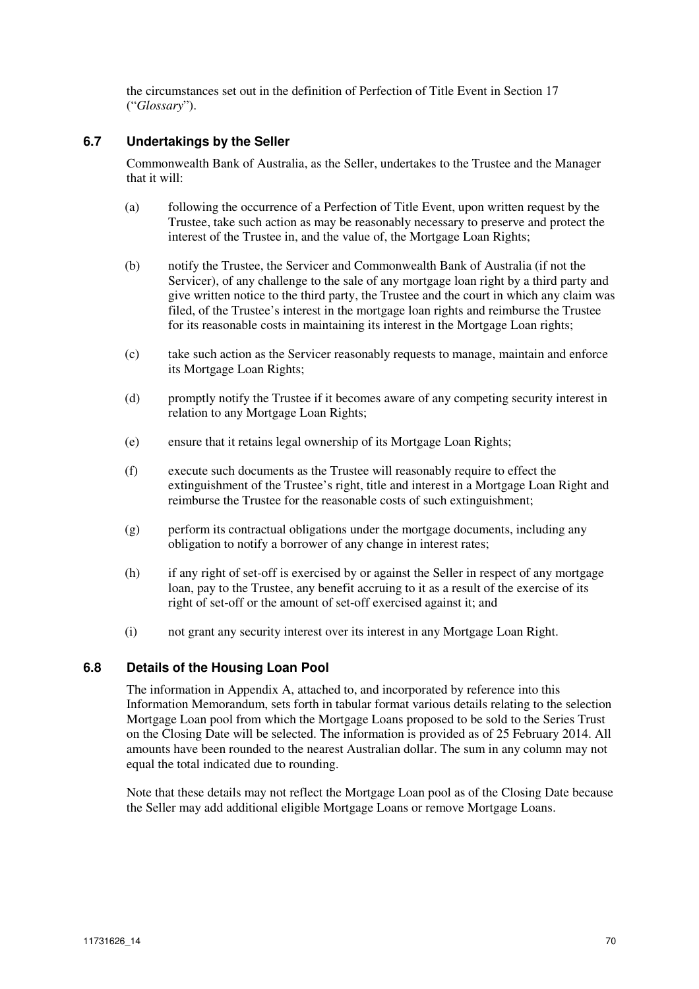the circumstances set out in the definition of Perfection of Title Event in Section 17 ("*Glossary*").

## **6.7 Undertakings by the Seller**

Commonwealth Bank of Australia, as the Seller, undertakes to the Trustee and the Manager that it will:

- (a) following the occurrence of a Perfection of Title Event, upon written request by the Trustee, take such action as may be reasonably necessary to preserve and protect the interest of the Trustee in, and the value of, the Mortgage Loan Rights;
- (b) notify the Trustee, the Servicer and Commonwealth Bank of Australia (if not the Servicer), of any challenge to the sale of any mortgage loan right by a third party and give written notice to the third party, the Trustee and the court in which any claim was filed, of the Trustee's interest in the mortgage loan rights and reimburse the Trustee for its reasonable costs in maintaining its interest in the Mortgage Loan rights;
- (c) take such action as the Servicer reasonably requests to manage, maintain and enforce its Mortgage Loan Rights;
- (d) promptly notify the Trustee if it becomes aware of any competing security interest in relation to any Mortgage Loan Rights;
- (e) ensure that it retains legal ownership of its Mortgage Loan Rights;
- (f) execute such documents as the Trustee will reasonably require to effect the extinguishment of the Trustee's right, title and interest in a Mortgage Loan Right and reimburse the Trustee for the reasonable costs of such extinguishment;
- (g) perform its contractual obligations under the mortgage documents, including any obligation to notify a borrower of any change in interest rates;
- (h) if any right of set-off is exercised by or against the Seller in respect of any mortgage loan, pay to the Trustee, any benefit accruing to it as a result of the exercise of its right of set-off or the amount of set-off exercised against it; and
- (i) not grant any security interest over its interest in any Mortgage Loan Right.

### **6.8 Details of the Housing Loan Pool**

The information in Appendix A, attached to, and incorporated by reference into this Information Memorandum, sets forth in tabular format various details relating to the selection Mortgage Loan pool from which the Mortgage Loans proposed to be sold to the Series Trust on the Closing Date will be selected. The information is provided as of 25 February 2014. All amounts have been rounded to the nearest Australian dollar. The sum in any column may not equal the total indicated due to rounding.

Note that these details may not reflect the Mortgage Loan pool as of the Closing Date because the Seller may add additional eligible Mortgage Loans or remove Mortgage Loans.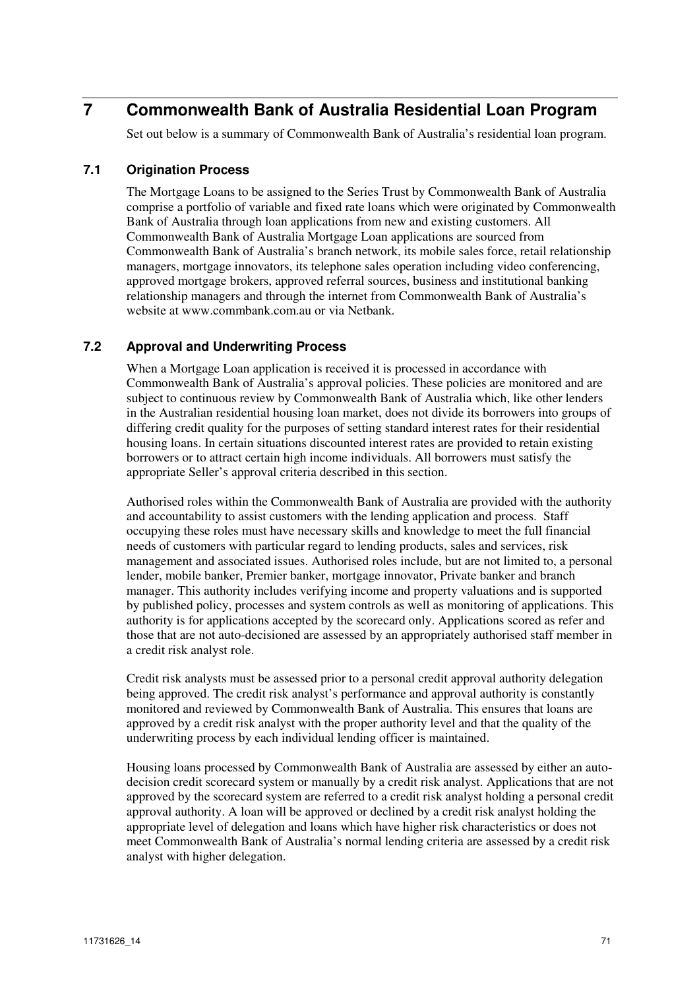# **7 Commonwealth Bank of Australia Residential Loan Program**

Set out below is a summary of Commonwealth Bank of Australia's residential loan program.

### **7.1 Origination Process**

The Mortgage Loans to be assigned to the Series Trust by Commonwealth Bank of Australia comprise a portfolio of variable and fixed rate loans which were originated by Commonwealth Bank of Australia through loan applications from new and existing customers. All Commonwealth Bank of Australia Mortgage Loan applications are sourced from Commonwealth Bank of Australia's branch network, its mobile sales force, retail relationship managers, mortgage innovators, its telephone sales operation including video conferencing, approved mortgage brokers, approved referral sources, business and institutional banking relationship managers and through the internet from Commonwealth Bank of Australia's website at www.commbank.com.au or via Netbank.

### **7.2 Approval and Underwriting Process**

When a Mortgage Loan application is received it is processed in accordance with Commonwealth Bank of Australia's approval policies. These policies are monitored and are subject to continuous review by Commonwealth Bank of Australia which, like other lenders in the Australian residential housing loan market, does not divide its borrowers into groups of differing credit quality for the purposes of setting standard interest rates for their residential housing loans. In certain situations discounted interest rates are provided to retain existing borrowers or to attract certain high income individuals. All borrowers must satisfy the appropriate Seller's approval criteria described in this section.

Authorised roles within the Commonwealth Bank of Australia are provided with the authority and accountability to assist customers with the lending application and process. Staff occupying these roles must have necessary skills and knowledge to meet the full financial needs of customers with particular regard to lending products, sales and services, risk management and associated issues. Authorised roles include, but are not limited to, a personal lender, mobile banker, Premier banker, mortgage innovator, Private banker and branch manager. This authority includes verifying income and property valuations and is supported by published policy, processes and system controls as well as monitoring of applications. This authority is for applications accepted by the scorecard only. Applications scored as refer and those that are not auto-decisioned are assessed by an appropriately authorised staff member in a credit risk analyst role.

Credit risk analysts must be assessed prior to a personal credit approval authority delegation being approved. The credit risk analyst's performance and approval authority is constantly monitored and reviewed by Commonwealth Bank of Australia. This ensures that loans are approved by a credit risk analyst with the proper authority level and that the quality of the underwriting process by each individual lending officer is maintained.

Housing loans processed by Commonwealth Bank of Australia are assessed by either an autodecision credit scorecard system or manually by a credit risk analyst. Applications that are not approved by the scorecard system are referred to a credit risk analyst holding a personal credit approval authority. A loan will be approved or declined by a credit risk analyst holding the appropriate level of delegation and loans which have higher risk characteristics or does not meet Commonwealth Bank of Australia's normal lending criteria are assessed by a credit risk analyst with higher delegation.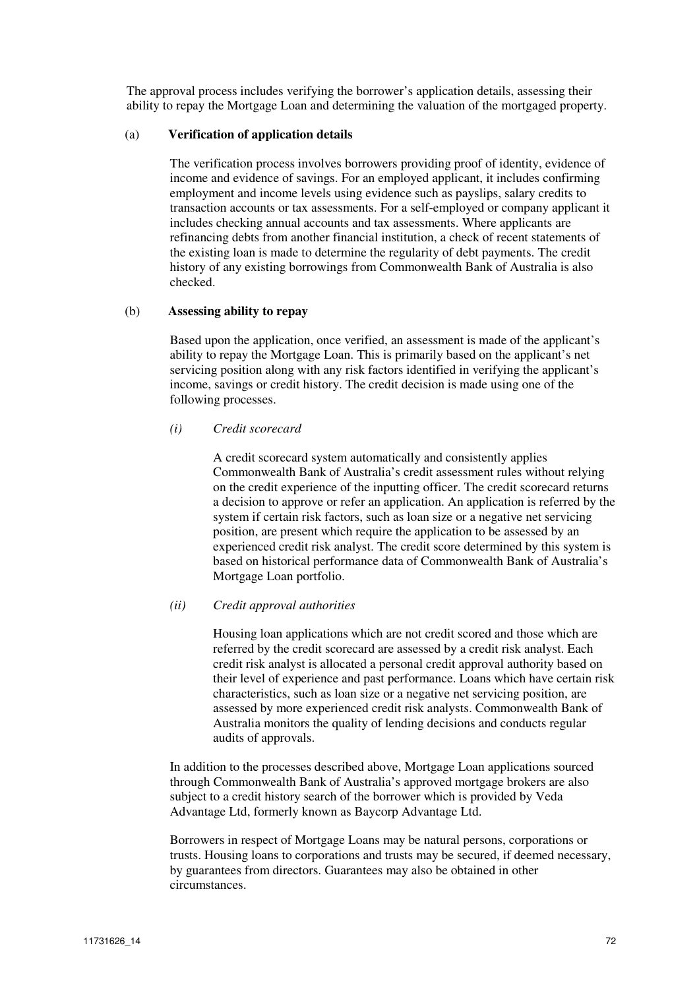The approval process includes verifying the borrower's application details, assessing their ability to repay the Mortgage Loan and determining the valuation of the mortgaged property.

#### (a) **Verification of application details**

The verification process involves borrowers providing proof of identity, evidence of income and evidence of savings. For an employed applicant, it includes confirming employment and income levels using evidence such as payslips, salary credits to transaction accounts or tax assessments. For a self-employed or company applicant it includes checking annual accounts and tax assessments. Where applicants are refinancing debts from another financial institution, a check of recent statements of the existing loan is made to determine the regularity of debt payments. The credit history of any existing borrowings from Commonwealth Bank of Australia is also checked.

#### (b) **Assessing ability to repay**

Based upon the application, once verified, an assessment is made of the applicant's ability to repay the Mortgage Loan. This is primarily based on the applicant's net servicing position along with any risk factors identified in verifying the applicant's income, savings or credit history. The credit decision is made using one of the following processes.

#### *(i) Credit scorecard*

A credit scorecard system automatically and consistently applies Commonwealth Bank of Australia's credit assessment rules without relying on the credit experience of the inputting officer. The credit scorecard returns a decision to approve or refer an application. An application is referred by the system if certain risk factors, such as loan size or a negative net servicing position, are present which require the application to be assessed by an experienced credit risk analyst. The credit score determined by this system is based on historical performance data of Commonwealth Bank of Australia's Mortgage Loan portfolio.

#### *(ii) Credit approval authorities*

Housing loan applications which are not credit scored and those which are referred by the credit scorecard are assessed by a credit risk analyst. Each credit risk analyst is allocated a personal credit approval authority based on their level of experience and past performance. Loans which have certain risk characteristics, such as loan size or a negative net servicing position, are assessed by more experienced credit risk analysts. Commonwealth Bank of Australia monitors the quality of lending decisions and conducts regular audits of approvals.

In addition to the processes described above, Mortgage Loan applications sourced through Commonwealth Bank of Australia's approved mortgage brokers are also subject to a credit history search of the borrower which is provided by Veda Advantage Ltd, formerly known as Baycorp Advantage Ltd.

Borrowers in respect of Mortgage Loans may be natural persons, corporations or trusts. Housing loans to corporations and trusts may be secured, if deemed necessary, by guarantees from directors. Guarantees may also be obtained in other circumstances.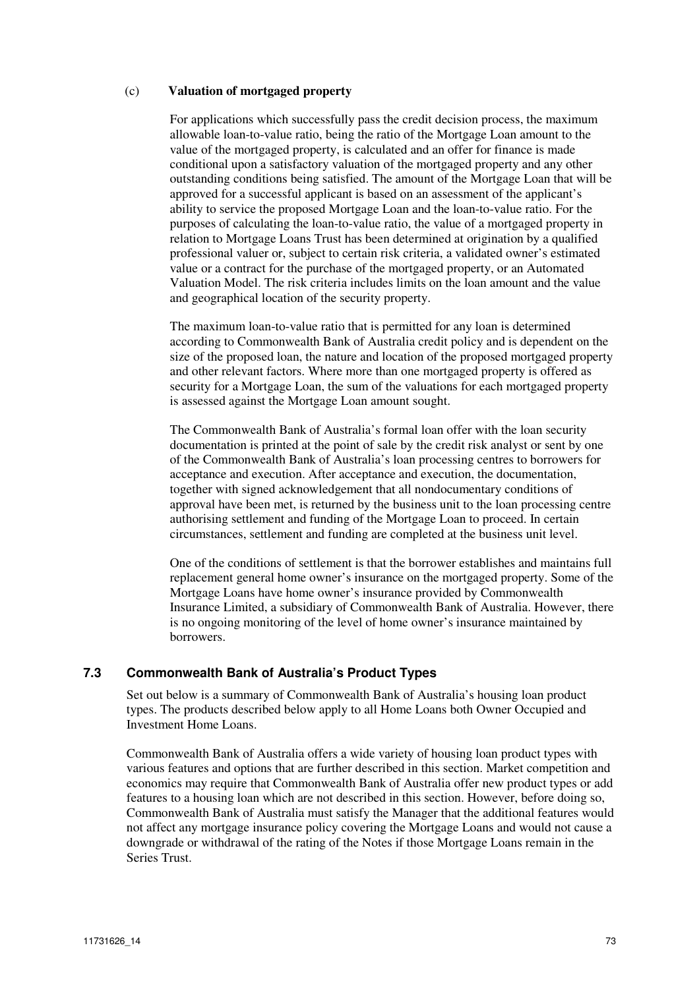#### (c) **Valuation of mortgaged property**

For applications which successfully pass the credit decision process, the maximum allowable loan-to-value ratio, being the ratio of the Mortgage Loan amount to the value of the mortgaged property, is calculated and an offer for finance is made conditional upon a satisfactory valuation of the mortgaged property and any other outstanding conditions being satisfied. The amount of the Mortgage Loan that will be approved for a successful applicant is based on an assessment of the applicant's ability to service the proposed Mortgage Loan and the loan-to-value ratio. For the purposes of calculating the loan-to-value ratio, the value of a mortgaged property in relation to Mortgage Loans Trust has been determined at origination by a qualified professional valuer or, subject to certain risk criteria, a validated owner's estimated value or a contract for the purchase of the mortgaged property, or an Automated Valuation Model. The risk criteria includes limits on the loan amount and the value and geographical location of the security property.

The maximum loan-to-value ratio that is permitted for any loan is determined according to Commonwealth Bank of Australia credit policy and is dependent on the size of the proposed loan, the nature and location of the proposed mortgaged property and other relevant factors. Where more than one mortgaged property is offered as security for a Mortgage Loan, the sum of the valuations for each mortgaged property is assessed against the Mortgage Loan amount sought.

The Commonwealth Bank of Australia's formal loan offer with the loan security documentation is printed at the point of sale by the credit risk analyst or sent by one of the Commonwealth Bank of Australia's loan processing centres to borrowers for acceptance and execution. After acceptance and execution, the documentation, together with signed acknowledgement that all nondocumentary conditions of approval have been met, is returned by the business unit to the loan processing centre authorising settlement and funding of the Mortgage Loan to proceed. In certain circumstances, settlement and funding are completed at the business unit level.

One of the conditions of settlement is that the borrower establishes and maintains full replacement general home owner's insurance on the mortgaged property. Some of the Mortgage Loans have home owner's insurance provided by Commonwealth Insurance Limited, a subsidiary of Commonwealth Bank of Australia. However, there is no ongoing monitoring of the level of home owner's insurance maintained by borrowers.

#### **7.3 Commonwealth Bank of Australia's Product Types**

Set out below is a summary of Commonwealth Bank of Australia's housing loan product types. The products described below apply to all Home Loans both Owner Occupied and Investment Home Loans.

Commonwealth Bank of Australia offers a wide variety of housing loan product types with various features and options that are further described in this section. Market competition and economics may require that Commonwealth Bank of Australia offer new product types or add features to a housing loan which are not described in this section. However, before doing so, Commonwealth Bank of Australia must satisfy the Manager that the additional features would not affect any mortgage insurance policy covering the Mortgage Loans and would not cause a downgrade or withdrawal of the rating of the Notes if those Mortgage Loans remain in the Series Trust.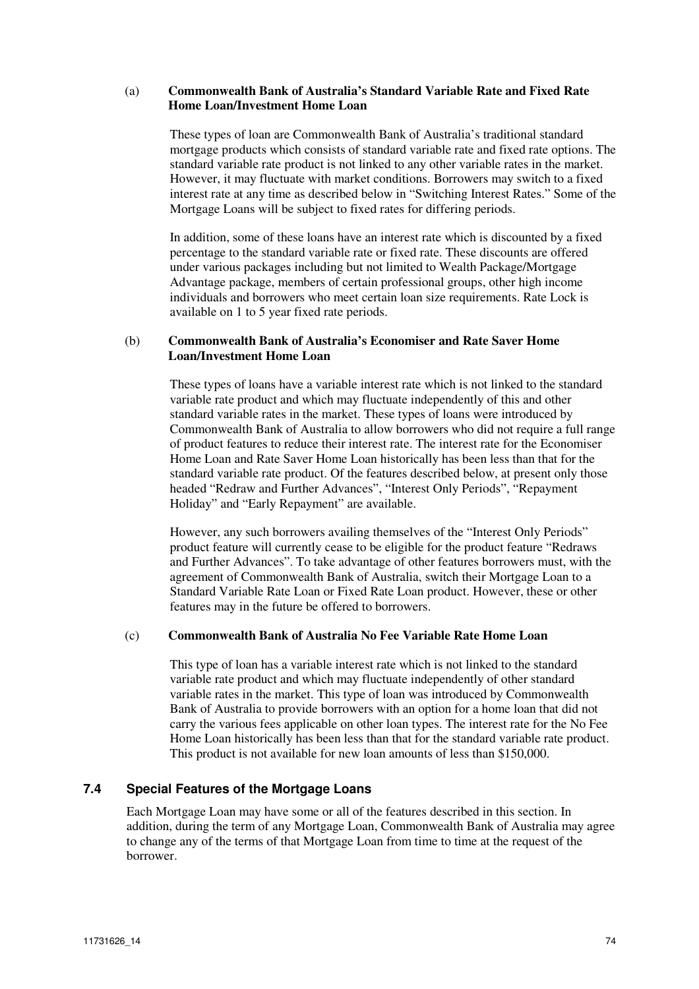#### (a) **Commonwealth Bank of Australia's Standard Variable Rate and Fixed Rate Home Loan/Investment Home Loan**

These types of loan are Commonwealth Bank of Australia's traditional standard mortgage products which consists of standard variable rate and fixed rate options. The standard variable rate product is not linked to any other variable rates in the market. However, it may fluctuate with market conditions. Borrowers may switch to a fixed interest rate at any time as described below in "Switching Interest Rates." Some of the Mortgage Loans will be subject to fixed rates for differing periods.

In addition, some of these loans have an interest rate which is discounted by a fixed percentage to the standard variable rate or fixed rate. These discounts are offered under various packages including but not limited to Wealth Package/Mortgage Advantage package, members of certain professional groups, other high income individuals and borrowers who meet certain loan size requirements. Rate Lock is available on 1 to 5 year fixed rate periods.

### (b) **Commonwealth Bank of Australia's Economiser and Rate Saver Home Loan/Investment Home Loan**

These types of loans have a variable interest rate which is not linked to the standard variable rate product and which may fluctuate independently of this and other standard variable rates in the market. These types of loans were introduced by Commonwealth Bank of Australia to allow borrowers who did not require a full range of product features to reduce their interest rate. The interest rate for the Economiser Home Loan and Rate Saver Home Loan historically has been less than that for the standard variable rate product. Of the features described below, at present only those headed "Redraw and Further Advances", "Interest Only Periods", "Repayment Holiday" and "Early Repayment" are available.

However, any such borrowers availing themselves of the "Interest Only Periods" product feature will currently cease to be eligible for the product feature "Redraws and Further Advances". To take advantage of other features borrowers must, with the agreement of Commonwealth Bank of Australia, switch their Mortgage Loan to a Standard Variable Rate Loan or Fixed Rate Loan product. However, these or other features may in the future be offered to borrowers.

#### (c) **Commonwealth Bank of Australia No Fee Variable Rate Home Loan**

This type of loan has a variable interest rate which is not linked to the standard variable rate product and which may fluctuate independently of other standard variable rates in the market. This type of loan was introduced by Commonwealth Bank of Australia to provide borrowers with an option for a home loan that did not carry the various fees applicable on other loan types. The interest rate for the No Fee Home Loan historically has been less than that for the standard variable rate product. This product is not available for new loan amounts of less than \$150,000.

#### **7.4 Special Features of the Mortgage Loans**

Each Mortgage Loan may have some or all of the features described in this section. In addition, during the term of any Mortgage Loan, Commonwealth Bank of Australia may agree to change any of the terms of that Mortgage Loan from time to time at the request of the borrower.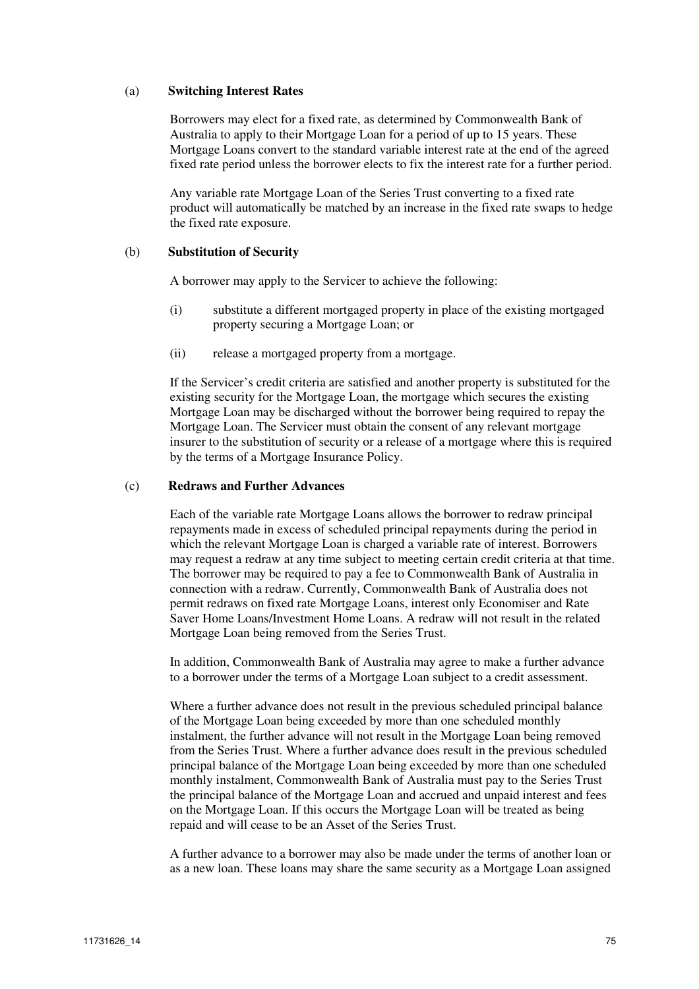#### (a) **Switching Interest Rates**

Borrowers may elect for a fixed rate, as determined by Commonwealth Bank of Australia to apply to their Mortgage Loan for a period of up to 15 years. These Mortgage Loans convert to the standard variable interest rate at the end of the agreed fixed rate period unless the borrower elects to fix the interest rate for a further period.

Any variable rate Mortgage Loan of the Series Trust converting to a fixed rate product will automatically be matched by an increase in the fixed rate swaps to hedge the fixed rate exposure.

#### (b) **Substitution of Security**

A borrower may apply to the Servicer to achieve the following:

- (i) substitute a different mortgaged property in place of the existing mortgaged property securing a Mortgage Loan; or
- (ii) release a mortgaged property from a mortgage.

If the Servicer's credit criteria are satisfied and another property is substituted for the existing security for the Mortgage Loan, the mortgage which secures the existing Mortgage Loan may be discharged without the borrower being required to repay the Mortgage Loan. The Servicer must obtain the consent of any relevant mortgage insurer to the substitution of security or a release of a mortgage where this is required by the terms of a Mortgage Insurance Policy.

#### (c) **Redraws and Further Advances**

Each of the variable rate Mortgage Loans allows the borrower to redraw principal repayments made in excess of scheduled principal repayments during the period in which the relevant Mortgage Loan is charged a variable rate of interest. Borrowers may request a redraw at any time subject to meeting certain credit criteria at that time. The borrower may be required to pay a fee to Commonwealth Bank of Australia in connection with a redraw. Currently, Commonwealth Bank of Australia does not permit redraws on fixed rate Mortgage Loans, interest only Economiser and Rate Saver Home Loans/Investment Home Loans. A redraw will not result in the related Mortgage Loan being removed from the Series Trust.

In addition, Commonwealth Bank of Australia may agree to make a further advance to a borrower under the terms of a Mortgage Loan subject to a credit assessment.

Where a further advance does not result in the previous scheduled principal balance of the Mortgage Loan being exceeded by more than one scheduled monthly instalment, the further advance will not result in the Mortgage Loan being removed from the Series Trust. Where a further advance does result in the previous scheduled principal balance of the Mortgage Loan being exceeded by more than one scheduled monthly instalment, Commonwealth Bank of Australia must pay to the Series Trust the principal balance of the Mortgage Loan and accrued and unpaid interest and fees on the Mortgage Loan. If this occurs the Mortgage Loan will be treated as being repaid and will cease to be an Asset of the Series Trust.

A further advance to a borrower may also be made under the terms of another loan or as a new loan. These loans may share the same security as a Mortgage Loan assigned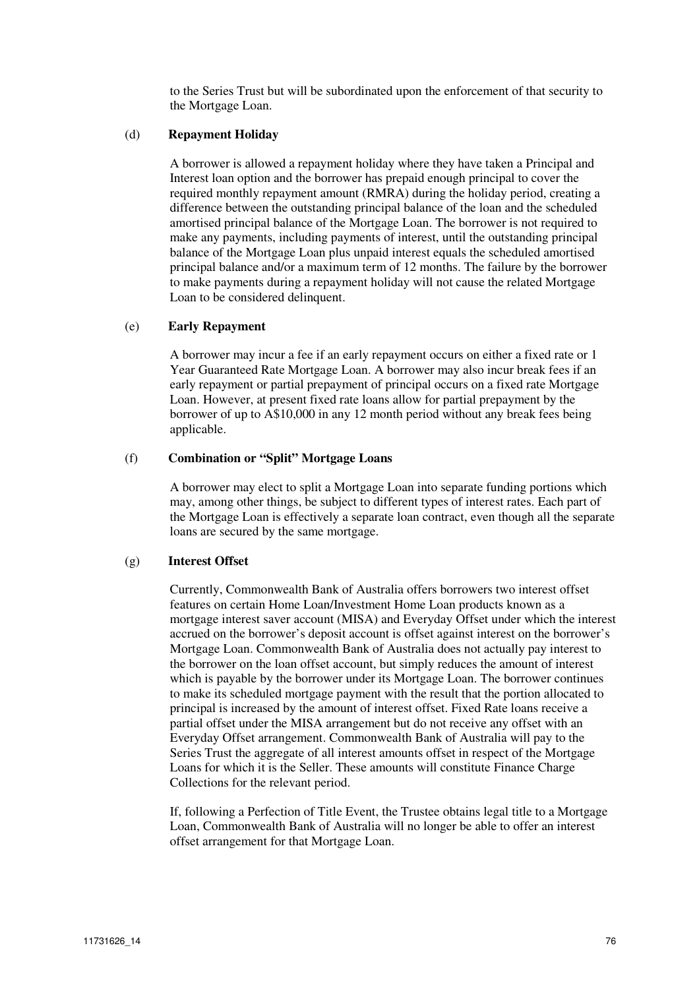to the Series Trust but will be subordinated upon the enforcement of that security to the Mortgage Loan.

#### (d) **Repayment Holiday**

A borrower is allowed a repayment holiday where they have taken a Principal and Interest loan option and the borrower has prepaid enough principal to cover the required monthly repayment amount (RMRA) during the holiday period, creating a difference between the outstanding principal balance of the loan and the scheduled amortised principal balance of the Mortgage Loan. The borrower is not required to make any payments, including payments of interest, until the outstanding principal balance of the Mortgage Loan plus unpaid interest equals the scheduled amortised principal balance and/or a maximum term of 12 months. The failure by the borrower to make payments during a repayment holiday will not cause the related Mortgage Loan to be considered delinquent.

#### (e) **Early Repayment**

A borrower may incur a fee if an early repayment occurs on either a fixed rate or 1 Year Guaranteed Rate Mortgage Loan. A borrower may also incur break fees if an early repayment or partial prepayment of principal occurs on a fixed rate Mortgage Loan. However, at present fixed rate loans allow for partial prepayment by the borrower of up to A\$10,000 in any 12 month period without any break fees being applicable.

#### (f) **Combination or "Split" Mortgage Loans**

A borrower may elect to split a Mortgage Loan into separate funding portions which may, among other things, be subject to different types of interest rates. Each part of the Mortgage Loan is effectively a separate loan contract, even though all the separate loans are secured by the same mortgage.

#### (g) **Interest Offset**

Currently, Commonwealth Bank of Australia offers borrowers two interest offset features on certain Home Loan/Investment Home Loan products known as a mortgage interest saver account (MISA) and Everyday Offset under which the interest accrued on the borrower's deposit account is offset against interest on the borrower's Mortgage Loan. Commonwealth Bank of Australia does not actually pay interest to the borrower on the loan offset account, but simply reduces the amount of interest which is payable by the borrower under its Mortgage Loan. The borrower continues to make its scheduled mortgage payment with the result that the portion allocated to principal is increased by the amount of interest offset. Fixed Rate loans receive a partial offset under the MISA arrangement but do not receive any offset with an Everyday Offset arrangement. Commonwealth Bank of Australia will pay to the Series Trust the aggregate of all interest amounts offset in respect of the Mortgage Loans for which it is the Seller. These amounts will constitute Finance Charge Collections for the relevant period.

If, following a Perfection of Title Event, the Trustee obtains legal title to a Mortgage Loan, Commonwealth Bank of Australia will no longer be able to offer an interest offset arrangement for that Mortgage Loan.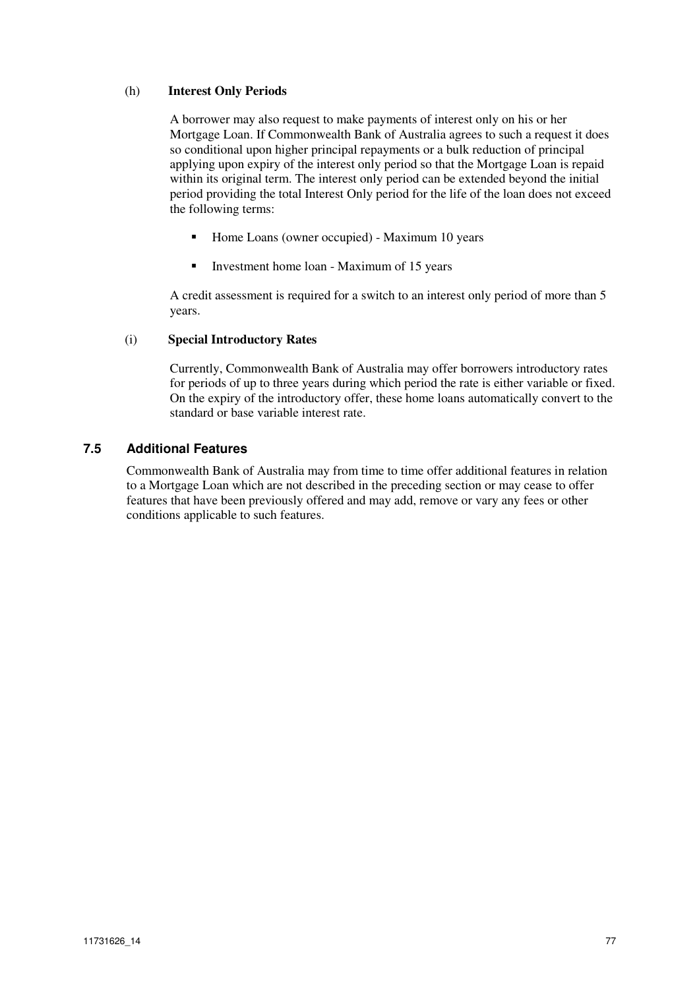# (h) **Interest Only Periods**

A borrower may also request to make payments of interest only on his or her Mortgage Loan. If Commonwealth Bank of Australia agrees to such a request it does so conditional upon higher principal repayments or a bulk reduction of principal applying upon expiry of the interest only period so that the Mortgage Loan is repaid within its original term. The interest only period can be extended beyond the initial period providing the total Interest Only period for the life of the loan does not exceed the following terms:

- Home Loans (owner occupied) Maximum 10 years
- Investment home loan Maximum of 15 years

A credit assessment is required for a switch to an interest only period of more than 5 years.

# (i) **Special Introductory Rates**

Currently, Commonwealth Bank of Australia may offer borrowers introductory rates for periods of up to three years during which period the rate is either variable or fixed. On the expiry of the introductory offer, these home loans automatically convert to the standard or base variable interest rate.

# **7.5 Additional Features**

Commonwealth Bank of Australia may from time to time offer additional features in relation to a Mortgage Loan which are not described in the preceding section or may cease to offer features that have been previously offered and may add, remove or vary any fees or other conditions applicable to such features.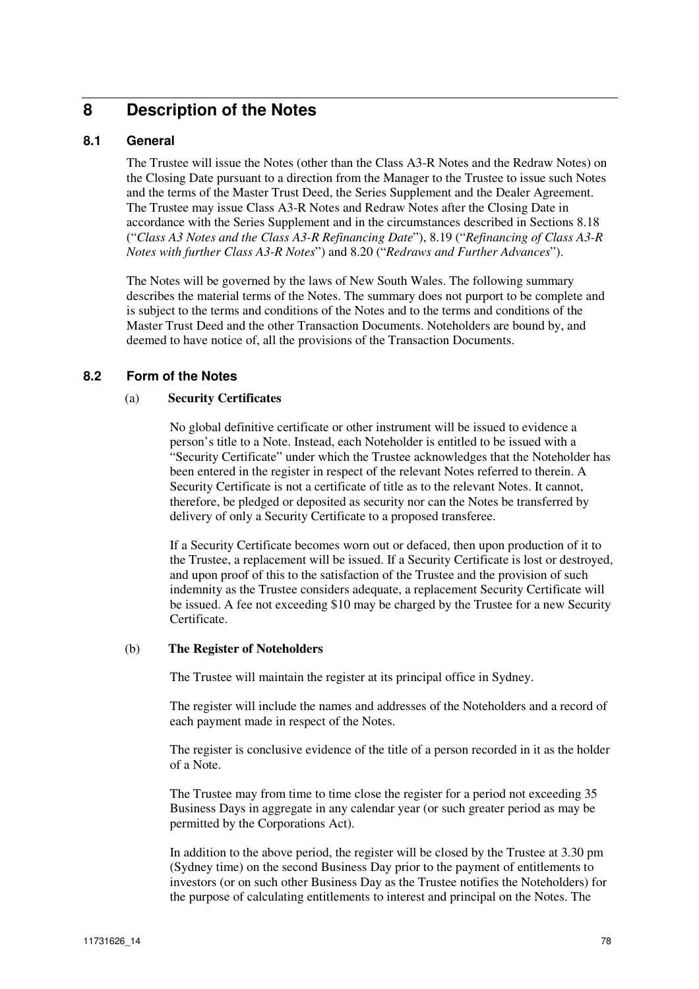# **8 Description of the Notes**

# **8.1 General**

The Trustee will issue the Notes (other than the Class A3-R Notes and the Redraw Notes) on the Closing Date pursuant to a direction from the Manager to the Trustee to issue such Notes and the terms of the Master Trust Deed, the Series Supplement and the Dealer Agreement. The Trustee may issue Class A3-R Notes and Redraw Notes after the Closing Date in accordance with the Series Supplement and in the circumstances described in Sections 8.18 ("*Class A3 Notes and the Class A3-R Refinancing Date*"), 8.19 ("*Refinancing of Class A3-R Notes with further Class A3-R Notes*") and 8.20 ("*Redraws and Further Advances*").

The Notes will be governed by the laws of New South Wales. The following summary describes the material terms of the Notes. The summary does not purport to be complete and is subject to the terms and conditions of the Notes and to the terms and conditions of the Master Trust Deed and the other Transaction Documents. Noteholders are bound by, and deemed to have notice of, all the provisions of the Transaction Documents.

# **8.2 Form of the Notes**

#### (a) **Security Certificates**

No global definitive certificate or other instrument will be issued to evidence a person's title to a Note. Instead, each Noteholder is entitled to be issued with a "Security Certificate" under which the Trustee acknowledges that the Noteholder has been entered in the register in respect of the relevant Notes referred to therein. A Security Certificate is not a certificate of title as to the relevant Notes. It cannot, therefore, be pledged or deposited as security nor can the Notes be transferred by delivery of only a Security Certificate to a proposed transferee.

If a Security Certificate becomes worn out or defaced, then upon production of it to the Trustee, a replacement will be issued. If a Security Certificate is lost or destroyed, and upon proof of this to the satisfaction of the Trustee and the provision of such indemnity as the Trustee considers adequate, a replacement Security Certificate will be issued. A fee not exceeding \$10 may be charged by the Trustee for a new Security Certificate.

#### (b) **The Register of Noteholders**

The Trustee will maintain the register at its principal office in Sydney.

The register will include the names and addresses of the Noteholders and a record of each payment made in respect of the Notes.

The register is conclusive evidence of the title of a person recorded in it as the holder of a Note.

The Trustee may from time to time close the register for a period not exceeding 35 Business Days in aggregate in any calendar year (or such greater period as may be permitted by the Corporations Act).

In addition to the above period, the register will be closed by the Trustee at 3.30 pm (Sydney time) on the second Business Day prior to the payment of entitlements to investors (or on such other Business Day as the Trustee notifies the Noteholders) for the purpose of calculating entitlements to interest and principal on the Notes. The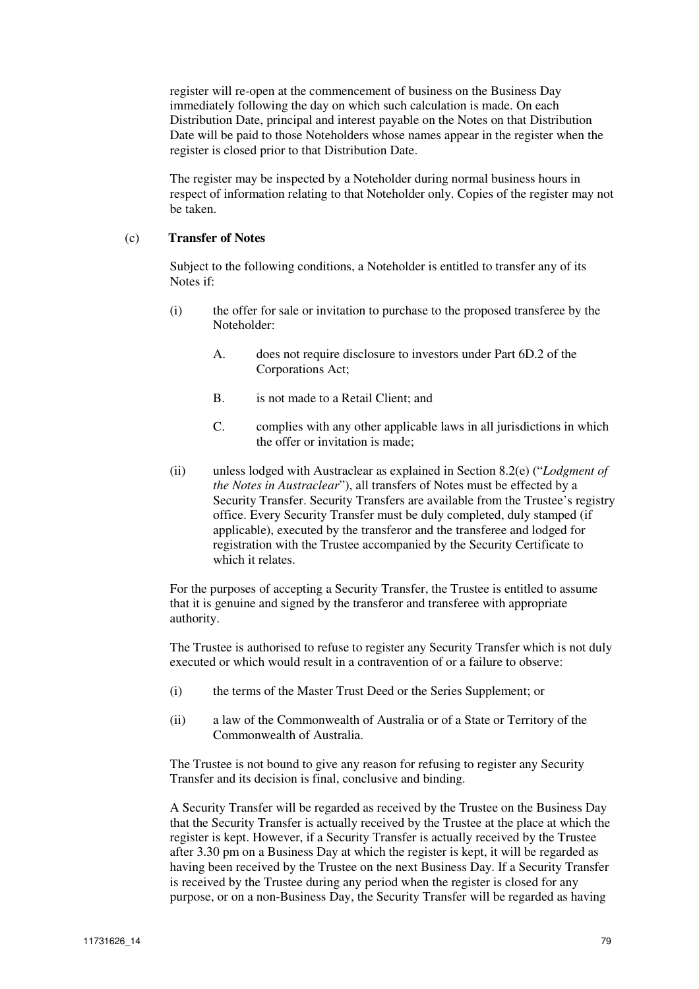register will re-open at the commencement of business on the Business Day immediately following the day on which such calculation is made. On each Distribution Date, principal and interest payable on the Notes on that Distribution Date will be paid to those Noteholders whose names appear in the register when the register is closed prior to that Distribution Date.

The register may be inspected by a Noteholder during normal business hours in respect of information relating to that Noteholder only. Copies of the register may not be taken.

#### (c) **Transfer of Notes**

Subject to the following conditions, a Noteholder is entitled to transfer any of its Notes if:

- (i) the offer for sale or invitation to purchase to the proposed transferee by the Noteholder:
	- A. does not require disclosure to investors under Part 6D.2 of the Corporations Act;
	- B. is not made to a Retail Client; and
	- C. complies with any other applicable laws in all jurisdictions in which the offer or invitation is made;
- (ii) unless lodged with Austraclear as explained in Section 8.2(e) ("*Lodgment of the Notes in Austraclear*"), all transfers of Notes must be effected by a Security Transfer. Security Transfers are available from the Trustee's registry office. Every Security Transfer must be duly completed, duly stamped (if applicable), executed by the transferor and the transferee and lodged for registration with the Trustee accompanied by the Security Certificate to which it relates.

For the purposes of accepting a Security Transfer, the Trustee is entitled to assume that it is genuine and signed by the transferor and transferee with appropriate authority.

The Trustee is authorised to refuse to register any Security Transfer which is not duly executed or which would result in a contravention of or a failure to observe:

- (i) the terms of the Master Trust Deed or the Series Supplement; or
- (ii) a law of the Commonwealth of Australia or of a State or Territory of the Commonwealth of Australia.

The Trustee is not bound to give any reason for refusing to register any Security Transfer and its decision is final, conclusive and binding.

A Security Transfer will be regarded as received by the Trustee on the Business Day that the Security Transfer is actually received by the Trustee at the place at which the register is kept. However, if a Security Transfer is actually received by the Trustee after 3.30 pm on a Business Day at which the register is kept, it will be regarded as having been received by the Trustee on the next Business Day. If a Security Transfer is received by the Trustee during any period when the register is closed for any purpose, or on a non-Business Day, the Security Transfer will be regarded as having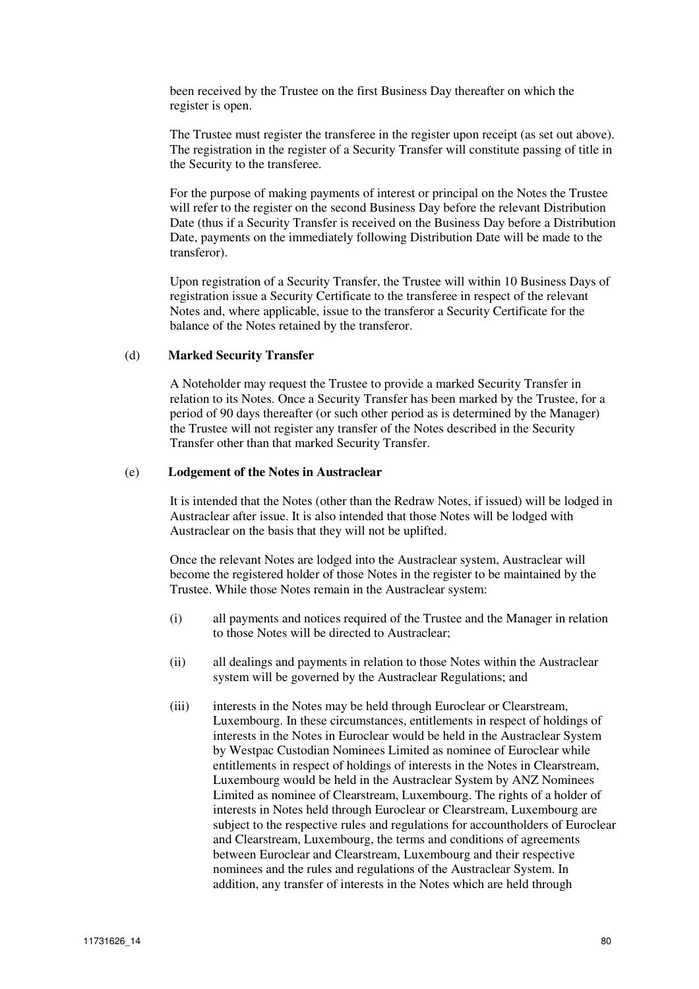been received by the Trustee on the first Business Day thereafter on which the register is open.

The Trustee must register the transferee in the register upon receipt (as set out above). The registration in the register of a Security Transfer will constitute passing of title in the Security to the transferee.

For the purpose of making payments of interest or principal on the Notes the Trustee will refer to the register on the second Business Day before the relevant Distribution Date (thus if a Security Transfer is received on the Business Day before a Distribution Date, payments on the immediately following Distribution Date will be made to the transferor).

Upon registration of a Security Transfer, the Trustee will within 10 Business Days of registration issue a Security Certificate to the transferee in respect of the relevant Notes and, where applicable, issue to the transferor a Security Certificate for the balance of the Notes retained by the transferor.

#### (d) **Marked Security Transfer**

A Noteholder may request the Trustee to provide a marked Security Transfer in relation to its Notes. Once a Security Transfer has been marked by the Trustee, for a period of 90 days thereafter (or such other period as is determined by the Manager) the Trustee will not register any transfer of the Notes described in the Security Transfer other than that marked Security Transfer.

#### (e) **Lodgement of the Notes in Austraclear**

It is intended that the Notes (other than the Redraw Notes, if issued) will be lodged in Austraclear after issue. It is also intended that those Notes will be lodged with Austraclear on the basis that they will not be uplifted.

Once the relevant Notes are lodged into the Austraclear system, Austraclear will become the registered holder of those Notes in the register to be maintained by the Trustee. While those Notes remain in the Austraclear system:

- (i) all payments and notices required of the Trustee and the Manager in relation to those Notes will be directed to Austraclear;
- (ii) all dealings and payments in relation to those Notes within the Austraclear system will be governed by the Austraclear Regulations; and
- (iii) interests in the Notes may be held through Euroclear or Clearstream, Luxembourg. In these circumstances, entitlements in respect of holdings of interests in the Notes in Euroclear would be held in the Austraclear System by Westpac Custodian Nominees Limited as nominee of Euroclear while entitlements in respect of holdings of interests in the Notes in Clearstream, Luxembourg would be held in the Austraclear System by ANZ Nominees Limited as nominee of Clearstream, Luxembourg. The rights of a holder of interests in Notes held through Euroclear or Clearstream, Luxembourg are subject to the respective rules and regulations for accountholders of Euroclear and Clearstream, Luxembourg, the terms and conditions of agreements between Euroclear and Clearstream, Luxembourg and their respective nominees and the rules and regulations of the Austraclear System. In addition, any transfer of interests in the Notes which are held through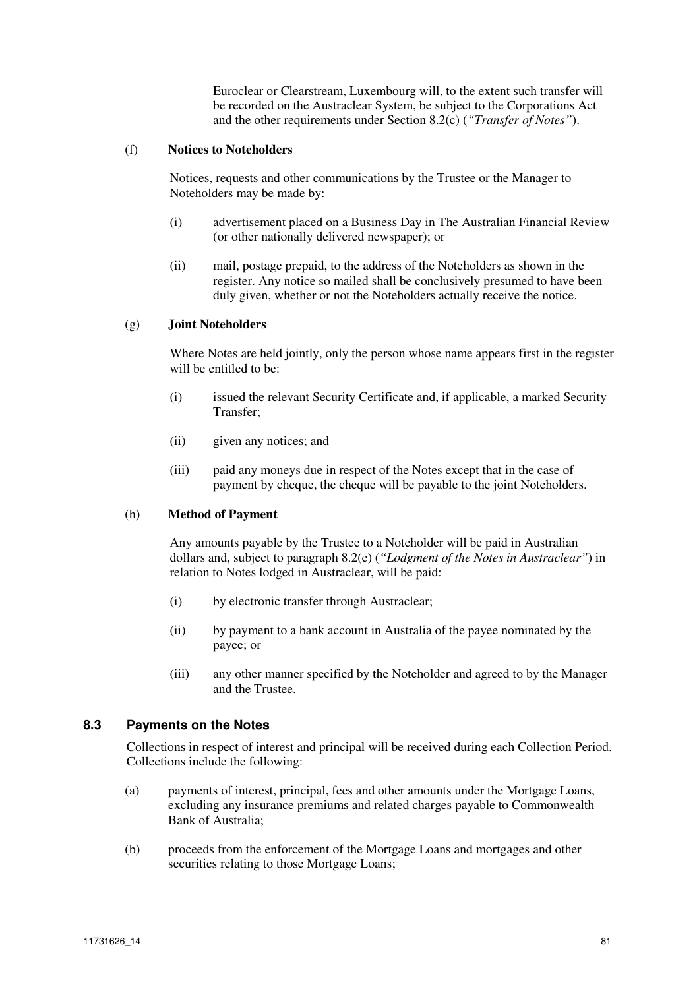Euroclear or Clearstream, Luxembourg will, to the extent such transfer will be recorded on the Austraclear System, be subject to the Corporations Act and the other requirements under Section 8.2(c) (*"Transfer of Notes"*).

#### (f) **Notices to Noteholders**

Notices, requests and other communications by the Trustee or the Manager to Noteholders may be made by:

- (i) advertisement placed on a Business Day in The Australian Financial Review (or other nationally delivered newspaper); or
- (ii) mail, postage prepaid, to the address of the Noteholders as shown in the register. Any notice so mailed shall be conclusively presumed to have been duly given, whether or not the Noteholders actually receive the notice.

#### (g) **Joint Noteholders**

Where Notes are held jointly, only the person whose name appears first in the register will be entitled to be:

- (i) issued the relevant Security Certificate and, if applicable, a marked Security Transfer;
- (ii) given any notices; and
- (iii) paid any moneys due in respect of the Notes except that in the case of payment by cheque, the cheque will be payable to the joint Noteholders.

#### (h) **Method of Payment**

Any amounts payable by the Trustee to a Noteholder will be paid in Australian dollars and, subject to paragraph 8.2(e) (*"Lodgment of the Notes in Austraclear"*) in relation to Notes lodged in Austraclear, will be paid:

- (i) by electronic transfer through Austraclear;
- (ii) by payment to a bank account in Australia of the payee nominated by the payee; or
- (iii) any other manner specified by the Noteholder and agreed to by the Manager and the Trustee.

#### **8.3 Payments on the Notes**

Collections in respect of interest and principal will be received during each Collection Period. Collections include the following:

- (a) payments of interest, principal, fees and other amounts under the Mortgage Loans, excluding any insurance premiums and related charges payable to Commonwealth Bank of Australia;
- (b) proceeds from the enforcement of the Mortgage Loans and mortgages and other securities relating to those Mortgage Loans;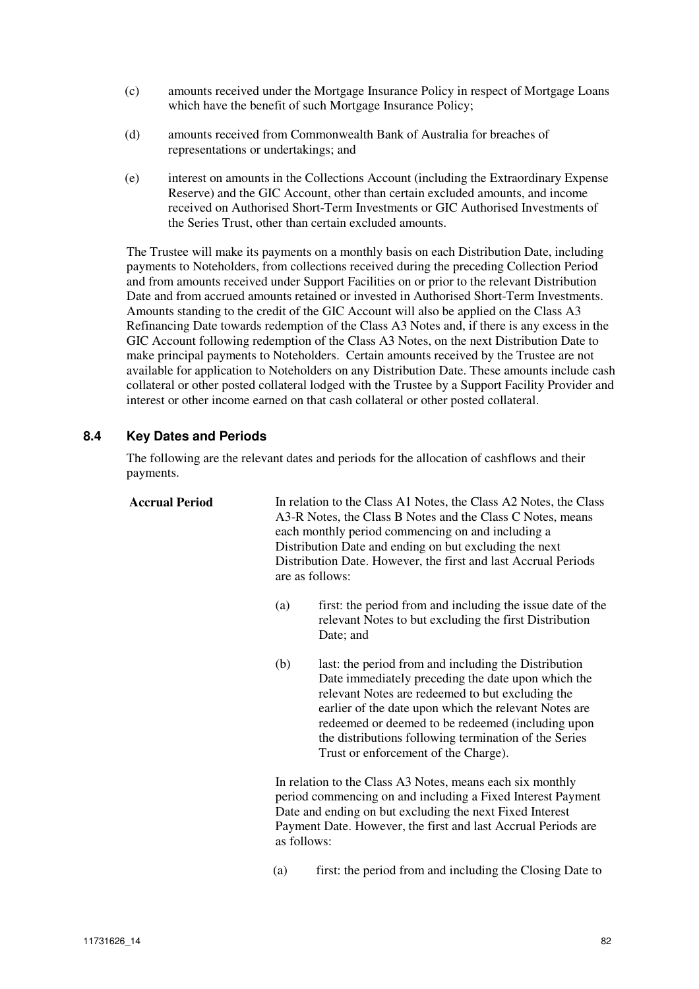- (c) amounts received under the Mortgage Insurance Policy in respect of Mortgage Loans which have the benefit of such Mortgage Insurance Policy;
- (d) amounts received from Commonwealth Bank of Australia for breaches of representations or undertakings; and
- (e) interest on amounts in the Collections Account (including the Extraordinary Expense Reserve) and the GIC Account, other than certain excluded amounts, and income received on Authorised Short-Term Investments or GIC Authorised Investments of the Series Trust, other than certain excluded amounts.

The Trustee will make its payments on a monthly basis on each Distribution Date, including payments to Noteholders, from collections received during the preceding Collection Period and from amounts received under Support Facilities on or prior to the relevant Distribution Date and from accrued amounts retained or invested in Authorised Short-Term Investments. Amounts standing to the credit of the GIC Account will also be applied on the Class A3 Refinancing Date towards redemption of the Class A3 Notes and, if there is any excess in the GIC Account following redemption of the Class A3 Notes, on the next Distribution Date to make principal payments to Noteholders. Certain amounts received by the Trustee are not available for application to Noteholders on any Distribution Date. These amounts include cash collateral or other posted collateral lodged with the Trustee by a Support Facility Provider and interest or other income earned on that cash collateral or other posted collateral.

# **8.4 Key Dates and Periods**

The following are the relevant dates and periods for the allocation of cashflows and their payments.

**Accrual Period** In relation to the Class A1 Notes, the Class A2 Notes, the Class A3-R Notes, the Class B Notes and the Class C Notes, means each monthly period commencing on and including a Distribution Date and ending on but excluding the next Distribution Date. However, the first and last Accrual Periods are as follows:

- (a) first: the period from and including the issue date of the relevant Notes to but excluding the first Distribution Date; and
- (b) last: the period from and including the Distribution Date immediately preceding the date upon which the relevant Notes are redeemed to but excluding the earlier of the date upon which the relevant Notes are redeemed or deemed to be redeemed (including upon the distributions following termination of the Series Trust or enforcement of the Charge).

In relation to the Class A3 Notes, means each six monthly period commencing on and including a Fixed Interest Payment Date and ending on but excluding the next Fixed Interest Payment Date. However, the first and last Accrual Periods are as follows:

(a) first: the period from and including the Closing Date to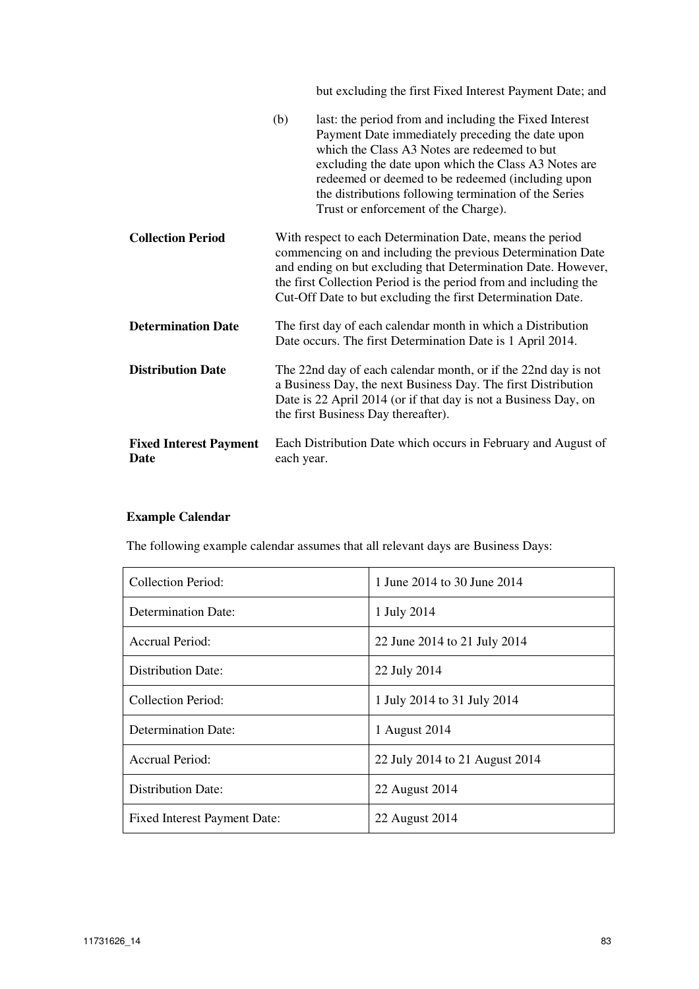but excluding the first Fixed Interest Payment Date; and

|                                       | (b)<br>last: the period from and including the Fixed Interest<br>Payment Date immediately preceding the date upon<br>which the Class A3 Notes are redeemed to but<br>excluding the date upon which the Class A3 Notes are<br>redeemed or deemed to be redeemed (including upon<br>the distributions following termination of the Series<br>Trust or enforcement of the Charge). |
|---------------------------------------|---------------------------------------------------------------------------------------------------------------------------------------------------------------------------------------------------------------------------------------------------------------------------------------------------------------------------------------------------------------------------------|
| <b>Collection Period</b>              | With respect to each Determination Date, means the period<br>commencing on and including the previous Determination Date<br>and ending on but excluding that Determination Date. However,<br>the first Collection Period is the period from and including the<br>Cut-Off Date to but excluding the first Determination Date.                                                    |
| <b>Determination Date</b>             | The first day of each calendar month in which a Distribution<br>Date occurs. The first Determination Date is 1 April 2014.                                                                                                                                                                                                                                                      |
| <b>Distribution Date</b>              | The 22nd day of each calendar month, or if the 22nd day is not<br>a Business Day, the next Business Day. The first Distribution<br>Date is 22 April 2014 (or if that day is not a Business Day, on<br>the first Business Day thereafter).                                                                                                                                       |
| <b>Fixed Interest Payment</b><br>Date | Each Distribution Date which occurs in February and August of<br>each year.                                                                                                                                                                                                                                                                                                     |

# **Example Calendar**

The following example calendar assumes that all relevant days are Business Days:

| Collection Period:           | 1 June 2014 to 30 June 2014    |
|------------------------------|--------------------------------|
| Determination Date:          | 1 July 2014                    |
| Accrual Period:              | 22 June 2014 to 21 July 2014   |
| Distribution Date:           | 22 July 2014                   |
| Collection Period:           | 1 July 2014 to 31 July 2014    |
| Determination Date:          | 1 August 2014                  |
| Accrual Period:              | 22 July 2014 to 21 August 2014 |
| Distribution Date:           | 22 August 2014                 |
| Fixed Interest Payment Date: | 22 August 2014                 |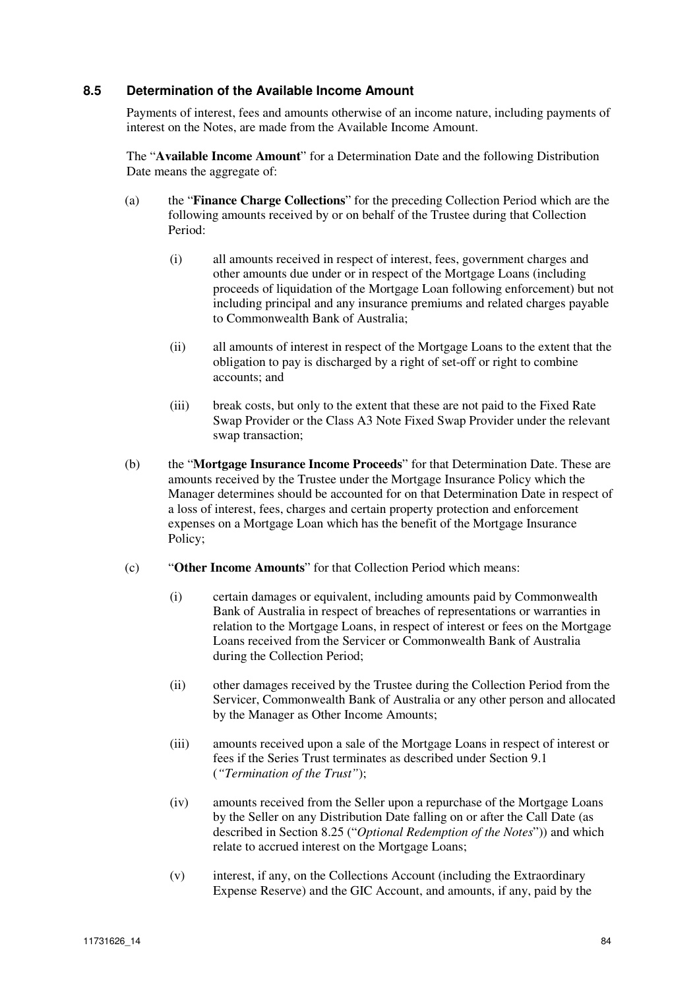# **8.5 Determination of the Available Income Amount**

Payments of interest, fees and amounts otherwise of an income nature, including payments of interest on the Notes, are made from the Available Income Amount.

The "**Available Income Amount**" for a Determination Date and the following Distribution Date means the aggregate of:

- (a) the "**Finance Charge Collections**" for the preceding Collection Period which are the following amounts received by or on behalf of the Trustee during that Collection Period:
	- (i) all amounts received in respect of interest, fees, government charges and other amounts due under or in respect of the Mortgage Loans (including proceeds of liquidation of the Mortgage Loan following enforcement) but not including principal and any insurance premiums and related charges payable to Commonwealth Bank of Australia;
	- (ii) all amounts of interest in respect of the Mortgage Loans to the extent that the obligation to pay is discharged by a right of set-off or right to combine accounts; and
	- (iii) break costs, but only to the extent that these are not paid to the Fixed Rate Swap Provider or the Class A3 Note Fixed Swap Provider under the relevant swap transaction;
- (b) the "**Mortgage Insurance Income Proceeds**" for that Determination Date. These are amounts received by the Trustee under the Mortgage Insurance Policy which the Manager determines should be accounted for on that Determination Date in respect of a loss of interest, fees, charges and certain property protection and enforcement expenses on a Mortgage Loan which has the benefit of the Mortgage Insurance Policy;
- (c) "**Other Income Amounts**" for that Collection Period which means:
	- (i) certain damages or equivalent, including amounts paid by Commonwealth Bank of Australia in respect of breaches of representations or warranties in relation to the Mortgage Loans, in respect of interest or fees on the Mortgage Loans received from the Servicer or Commonwealth Bank of Australia during the Collection Period;
	- (ii) other damages received by the Trustee during the Collection Period from the Servicer, Commonwealth Bank of Australia or any other person and allocated by the Manager as Other Income Amounts;
	- (iii) amounts received upon a sale of the Mortgage Loans in respect of interest or fees if the Series Trust terminates as described under Section 9.1 (*"Termination of the Trust"*);
	- (iv) amounts received from the Seller upon a repurchase of the Mortgage Loans by the Seller on any Distribution Date falling on or after the Call Date (as described in Section 8.25 ("*Optional Redemption of the Notes*")) and which relate to accrued interest on the Mortgage Loans;
	- (v) interest, if any, on the Collections Account (including the Extraordinary Expense Reserve) and the GIC Account, and amounts, if any, paid by the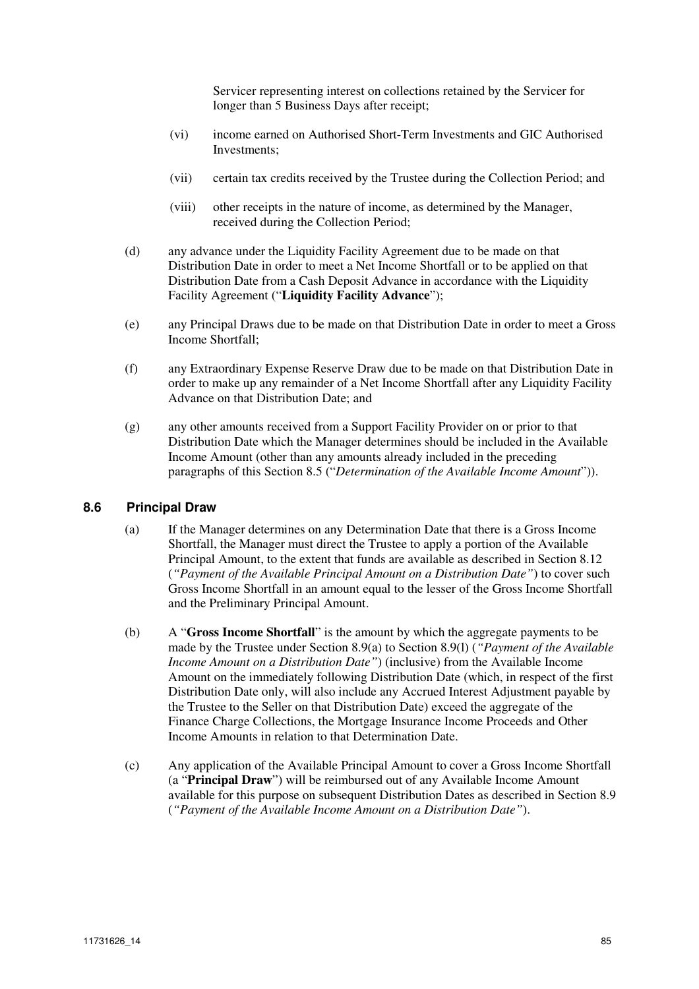Servicer representing interest on collections retained by the Servicer for longer than 5 Business Days after receipt;

- (vi) income earned on Authorised Short-Term Investments and GIC Authorised Investments;
- (vii) certain tax credits received by the Trustee during the Collection Period; and
- (viii) other receipts in the nature of income, as determined by the Manager, received during the Collection Period;
- (d) any advance under the Liquidity Facility Agreement due to be made on that Distribution Date in order to meet a Net Income Shortfall or to be applied on that Distribution Date from a Cash Deposit Advance in accordance with the Liquidity Facility Agreement ("**Liquidity Facility Advance**");
- (e) any Principal Draws due to be made on that Distribution Date in order to meet a Gross Income Shortfall;
- (f) any Extraordinary Expense Reserve Draw due to be made on that Distribution Date in order to make up any remainder of a Net Income Shortfall after any Liquidity Facility Advance on that Distribution Date; and
- (g) any other amounts received from a Support Facility Provider on or prior to that Distribution Date which the Manager determines should be included in the Available Income Amount (other than any amounts already included in the preceding paragraphs of this Section 8.5 ("*Determination of the Available Income Amount*")).

#### **8.6 Principal Draw**

- (a) If the Manager determines on any Determination Date that there is a Gross Income Shortfall, the Manager must direct the Trustee to apply a portion of the Available Principal Amount, to the extent that funds are available as described in Section 8.12 (*"Payment of the Available Principal Amount on a Distribution Date"*) to cover such Gross Income Shortfall in an amount equal to the lesser of the Gross Income Shortfall and the Preliminary Principal Amount.
- (b) A "**Gross Income Shortfall**" is the amount by which the aggregate payments to be made by the Trustee under Section 8.9(a) to Section 8.9(l) (*"Payment of the Available Income Amount on a Distribution Date"*) (inclusive) from the Available Income Amount on the immediately following Distribution Date (which, in respect of the first Distribution Date only, will also include any Accrued Interest Adjustment payable by the Trustee to the Seller on that Distribution Date) exceed the aggregate of the Finance Charge Collections, the Mortgage Insurance Income Proceeds and Other Income Amounts in relation to that Determination Date.
- (c) Any application of the Available Principal Amount to cover a Gross Income Shortfall (a "**Principal Draw**") will be reimbursed out of any Available Income Amount available for this purpose on subsequent Distribution Dates as described in Section 8.9 (*"Payment of the Available Income Amount on a Distribution Date"*).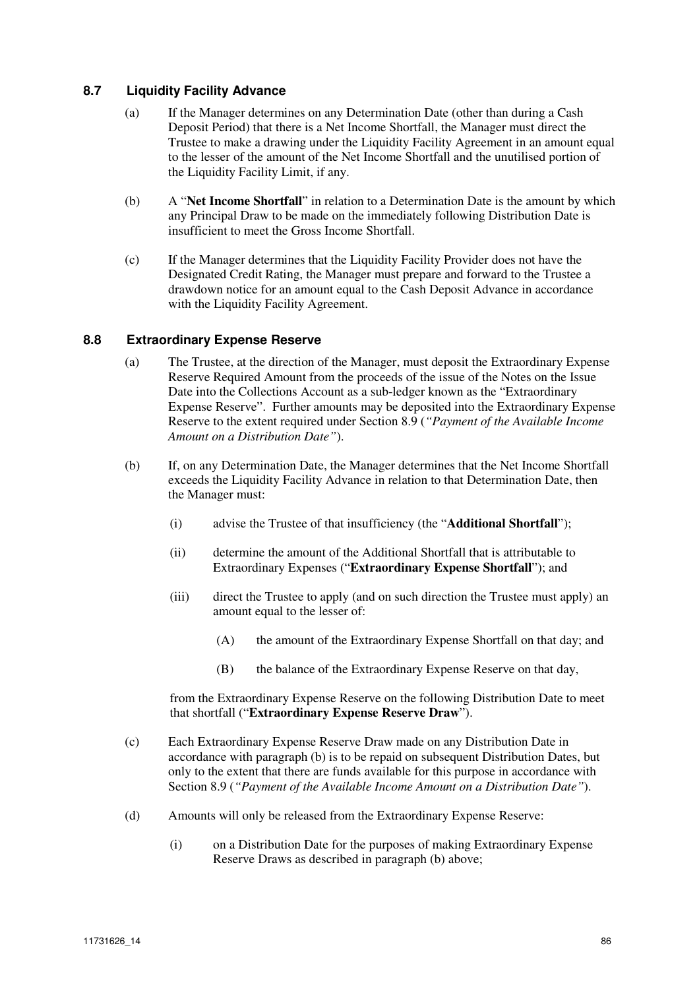# **8.7 Liquidity Facility Advance**

- (a) If the Manager determines on any Determination Date (other than during a Cash Deposit Period) that there is a Net Income Shortfall, the Manager must direct the Trustee to make a drawing under the Liquidity Facility Agreement in an amount equal to the lesser of the amount of the Net Income Shortfall and the unutilised portion of the Liquidity Facility Limit, if any.
- (b) A "**Net Income Shortfall**" in relation to a Determination Date is the amount by which any Principal Draw to be made on the immediately following Distribution Date is insufficient to meet the Gross Income Shortfall.
- (c) If the Manager determines that the Liquidity Facility Provider does not have the Designated Credit Rating, the Manager must prepare and forward to the Trustee a drawdown notice for an amount equal to the Cash Deposit Advance in accordance with the Liquidity Facility Agreement.

#### **8.8 Extraordinary Expense Reserve**

- (a) The Trustee, at the direction of the Manager, must deposit the Extraordinary Expense Reserve Required Amount from the proceeds of the issue of the Notes on the Issue Date into the Collections Account as a sub-ledger known as the "Extraordinary Expense Reserve". Further amounts may be deposited into the Extraordinary Expense Reserve to the extent required under Section 8.9 (*"Payment of the Available Income Amount on a Distribution Date"*).
- (b) If, on any Determination Date, the Manager determines that the Net Income Shortfall exceeds the Liquidity Facility Advance in relation to that Determination Date, then the Manager must:
	- (i) advise the Trustee of that insufficiency (the "**Additional Shortfall**");
	- (ii) determine the amount of the Additional Shortfall that is attributable to Extraordinary Expenses ("**Extraordinary Expense Shortfall**"); and
	- (iii) direct the Trustee to apply (and on such direction the Trustee must apply) an amount equal to the lesser of:
		- (A) the amount of the Extraordinary Expense Shortfall on that day; and
		- (B) the balance of the Extraordinary Expense Reserve on that day,

from the Extraordinary Expense Reserve on the following Distribution Date to meet that shortfall ("**Extraordinary Expense Reserve Draw**").

- (c) Each Extraordinary Expense Reserve Draw made on any Distribution Date in accordance with paragraph (b) is to be repaid on subsequent Distribution Dates, but only to the extent that there are funds available for this purpose in accordance with Section 8.9 (*"Payment of the Available Income Amount on a Distribution Date"*).
- (d) Amounts will only be released from the Extraordinary Expense Reserve:
	- (i) on a Distribution Date for the purposes of making Extraordinary Expense Reserve Draws as described in paragraph (b) above;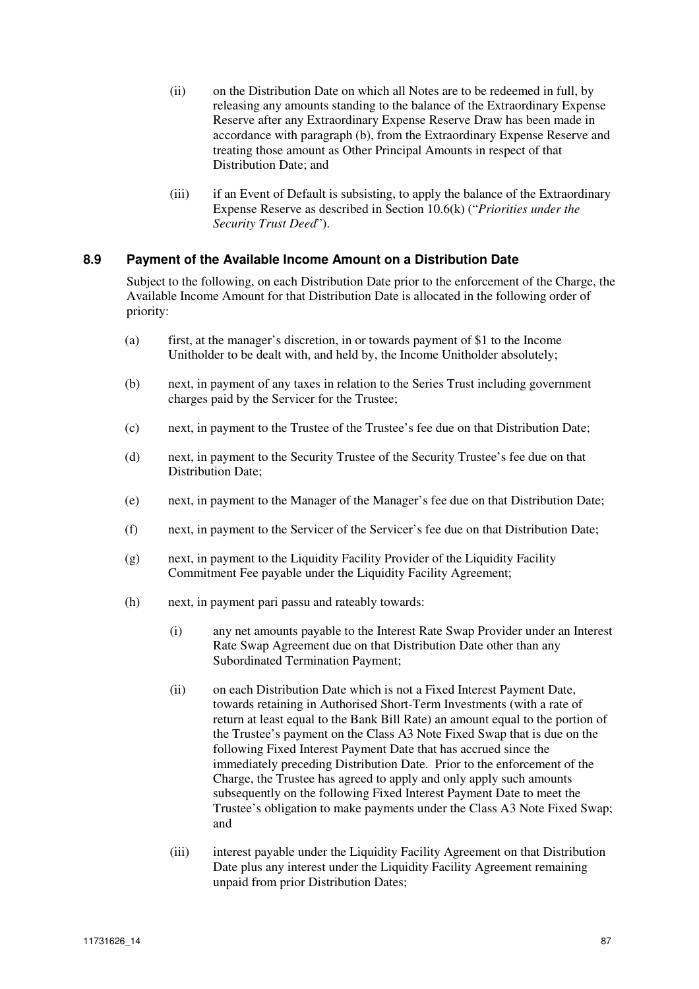- (ii) on the Distribution Date on which all Notes are to be redeemed in full, by releasing any amounts standing to the balance of the Extraordinary Expense Reserve after any Extraordinary Expense Reserve Draw has been made in accordance with paragraph (b), from the Extraordinary Expense Reserve and treating those amount as Other Principal Amounts in respect of that Distribution Date; and
- (iii) if an Event of Default is subsisting, to apply the balance of the Extraordinary Expense Reserve as described in Section 10.6(k) ("*Priorities under the Security Trust Deed*").

# **8.9 Payment of the Available Income Amount on a Distribution Date**

Subject to the following, on each Distribution Date prior to the enforcement of the Charge, the Available Income Amount for that Distribution Date is allocated in the following order of priority:

- (a) first, at the manager's discretion, in or towards payment of \$1 to the Income Unitholder to be dealt with, and held by, the Income Unitholder absolutely;
- (b) next, in payment of any taxes in relation to the Series Trust including government charges paid by the Servicer for the Trustee;
- (c) next, in payment to the Trustee of the Trustee's fee due on that Distribution Date;
- (d) next, in payment to the Security Trustee of the Security Trustee's fee due on that Distribution Date;
- (e) next, in payment to the Manager of the Manager's fee due on that Distribution Date;
- (f) next, in payment to the Servicer of the Servicer's fee due on that Distribution Date;
- (g) next, in payment to the Liquidity Facility Provider of the Liquidity Facility Commitment Fee payable under the Liquidity Facility Agreement;
- (h) next, in payment pari passu and rateably towards:
	- (i) any net amounts payable to the Interest Rate Swap Provider under an Interest Rate Swap Agreement due on that Distribution Date other than any Subordinated Termination Payment;
	- (ii) on each Distribution Date which is not a Fixed Interest Payment Date, towards retaining in Authorised Short-Term Investments (with a rate of return at least equal to the Bank Bill Rate) an amount equal to the portion of the Trustee's payment on the Class A3 Note Fixed Swap that is due on the following Fixed Interest Payment Date that has accrued since the immediately preceding Distribution Date. Prior to the enforcement of the Charge, the Trustee has agreed to apply and only apply such amounts subsequently on the following Fixed Interest Payment Date to meet the Trustee's obligation to make payments under the Class A3 Note Fixed Swap; and
	- (iii) interest payable under the Liquidity Facility Agreement on that Distribution Date plus any interest under the Liquidity Facility Agreement remaining unpaid from prior Distribution Dates;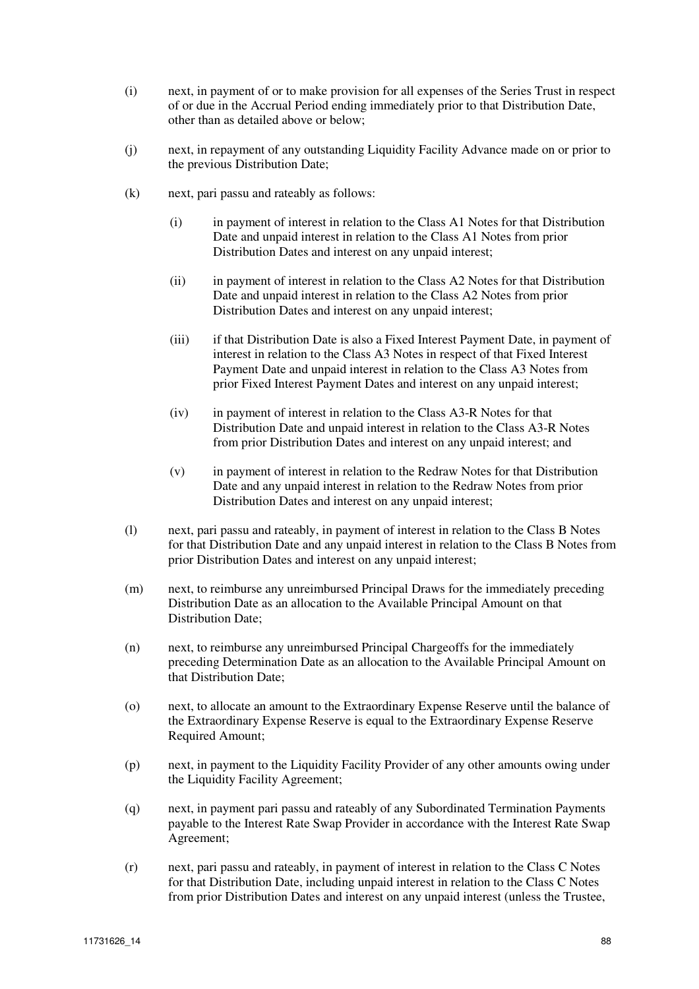- (i) next, in payment of or to make provision for all expenses of the Series Trust in respect of or due in the Accrual Period ending immediately prior to that Distribution Date, other than as detailed above or below;
- (j) next, in repayment of any outstanding Liquidity Facility Advance made on or prior to the previous Distribution Date;
- (k) next, pari passu and rateably as follows:
	- (i) in payment of interest in relation to the Class A1 Notes for that Distribution Date and unpaid interest in relation to the Class A1 Notes from prior Distribution Dates and interest on any unpaid interest;
	- (ii) in payment of interest in relation to the Class A2 Notes for that Distribution Date and unpaid interest in relation to the Class A2 Notes from prior Distribution Dates and interest on any unpaid interest;
	- (iii) if that Distribution Date is also a Fixed Interest Payment Date, in payment of interest in relation to the Class A3 Notes in respect of that Fixed Interest Payment Date and unpaid interest in relation to the Class A3 Notes from prior Fixed Interest Payment Dates and interest on any unpaid interest;
	- (iv) in payment of interest in relation to the Class A3-R Notes for that Distribution Date and unpaid interest in relation to the Class A3-R Notes from prior Distribution Dates and interest on any unpaid interest; and
	- (v) in payment of interest in relation to the Redraw Notes for that Distribution Date and any unpaid interest in relation to the Redraw Notes from prior Distribution Dates and interest on any unpaid interest;
- (l) next, pari passu and rateably, in payment of interest in relation to the Class B Notes for that Distribution Date and any unpaid interest in relation to the Class B Notes from prior Distribution Dates and interest on any unpaid interest;
- (m) next, to reimburse any unreimbursed Principal Draws for the immediately preceding Distribution Date as an allocation to the Available Principal Amount on that Distribution Date;
- (n) next, to reimburse any unreimbursed Principal Chargeoffs for the immediately preceding Determination Date as an allocation to the Available Principal Amount on that Distribution Date;
- (o) next, to allocate an amount to the Extraordinary Expense Reserve until the balance of the Extraordinary Expense Reserve is equal to the Extraordinary Expense Reserve Required Amount;
- (p) next, in payment to the Liquidity Facility Provider of any other amounts owing under the Liquidity Facility Agreement;
- (q) next, in payment pari passu and rateably of any Subordinated Termination Payments payable to the Interest Rate Swap Provider in accordance with the Interest Rate Swap Agreement;
- (r) next, pari passu and rateably, in payment of interest in relation to the Class C Notes for that Distribution Date, including unpaid interest in relation to the Class C Notes from prior Distribution Dates and interest on any unpaid interest (unless the Trustee,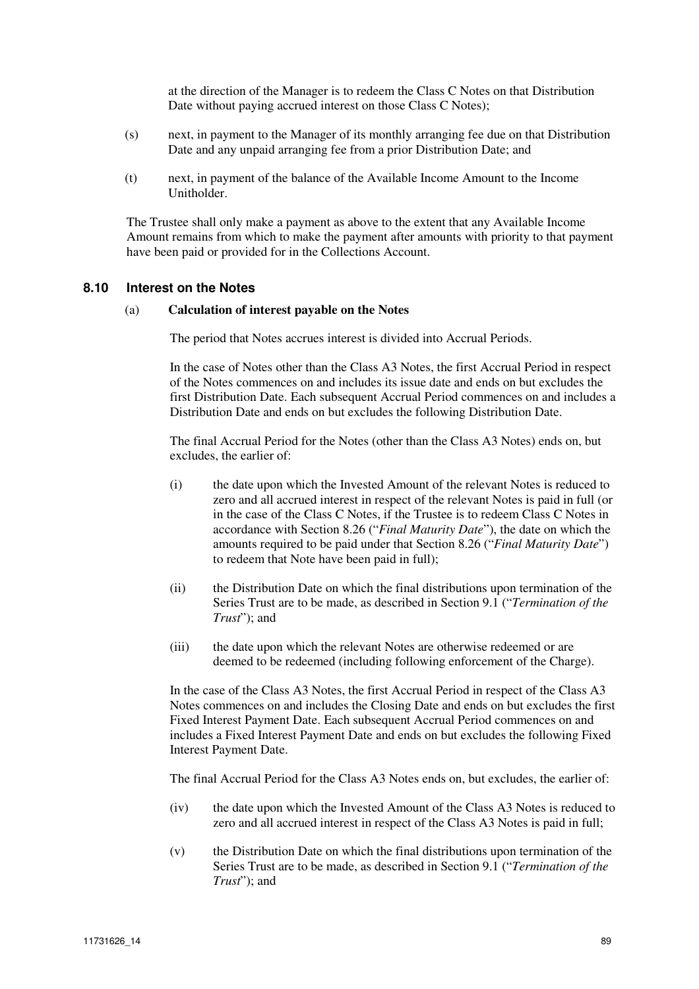at the direction of the Manager is to redeem the Class C Notes on that Distribution Date without paying accrued interest on those Class C Notes);

- (s) next, in payment to the Manager of its monthly arranging fee due on that Distribution Date and any unpaid arranging fee from a prior Distribution Date; and
- (t) next, in payment of the balance of the Available Income Amount to the Income **Unitholder**

The Trustee shall only make a payment as above to the extent that any Available Income Amount remains from which to make the payment after amounts with priority to that payment have been paid or provided for in the Collections Account.

#### **8.10 Interest on the Notes**

#### (a) **Calculation of interest payable on the Notes**

The period that Notes accrues interest is divided into Accrual Periods.

In the case of Notes other than the Class A3 Notes, the first Accrual Period in respect of the Notes commences on and includes its issue date and ends on but excludes the first Distribution Date. Each subsequent Accrual Period commences on and includes a Distribution Date and ends on but excludes the following Distribution Date.

The final Accrual Period for the Notes (other than the Class A3 Notes) ends on, but excludes, the earlier of:

- (i) the date upon which the Invested Amount of the relevant Notes is reduced to zero and all accrued interest in respect of the relevant Notes is paid in full (or in the case of the Class C Notes, if the Trustee is to redeem Class C Notes in accordance with Section 8.26 ("*Final Maturity Date*"), the date on which the amounts required to be paid under that Section 8.26 ("*Final Maturity Date*") to redeem that Note have been paid in full);
- (ii) the Distribution Date on which the final distributions upon termination of the Series Trust are to be made, as described in Section 9.1 ("*Termination of the Trust*"); and
- (iii) the date upon which the relevant Notes are otherwise redeemed or are deemed to be redeemed (including following enforcement of the Charge).

In the case of the Class A3 Notes, the first Accrual Period in respect of the Class A3 Notes commences on and includes the Closing Date and ends on but excludes the first Fixed Interest Payment Date. Each subsequent Accrual Period commences on and includes a Fixed Interest Payment Date and ends on but excludes the following Fixed Interest Payment Date.

The final Accrual Period for the Class A3 Notes ends on, but excludes, the earlier of:

- (iv) the date upon which the Invested Amount of the Class A3 Notes is reduced to zero and all accrued interest in respect of the Class A3 Notes is paid in full;
- (v) the Distribution Date on which the final distributions upon termination of the Series Trust are to be made, as described in Section 9.1 ("*Termination of the Trust*"); and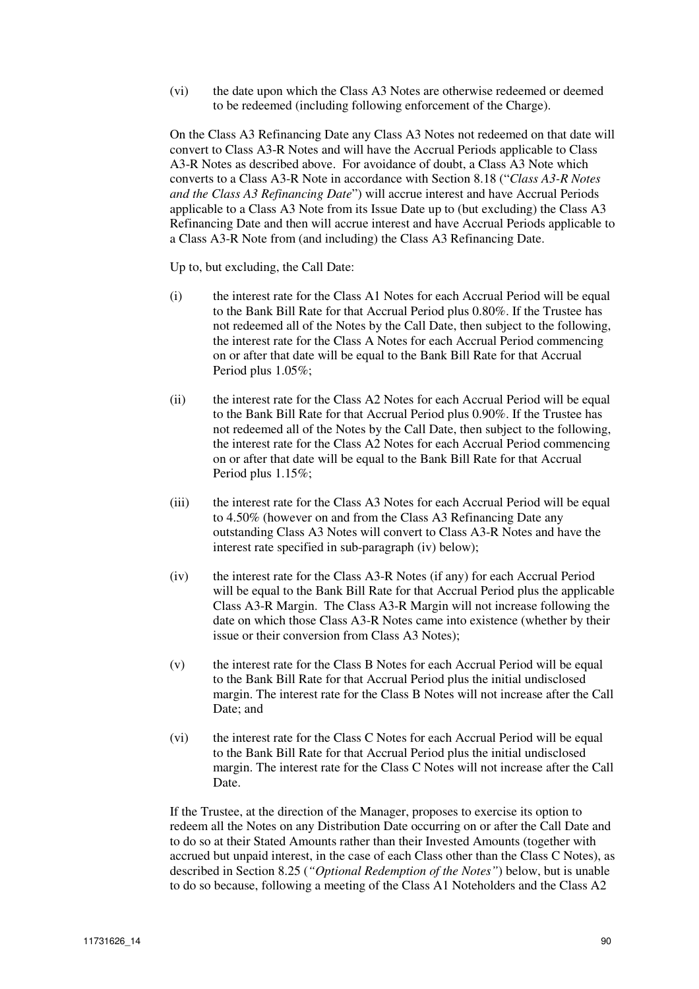(vi) the date upon which the Class A3 Notes are otherwise redeemed or deemed to be redeemed (including following enforcement of the Charge).

On the Class A3 Refinancing Date any Class A3 Notes not redeemed on that date will convert to Class A3-R Notes and will have the Accrual Periods applicable to Class A3-R Notes as described above. For avoidance of doubt, a Class A3 Note which converts to a Class A3-R Note in accordance with Section 8.18 ("*Class A3-R Notes and the Class A3 Refinancing Date*") will accrue interest and have Accrual Periods applicable to a Class A3 Note from its Issue Date up to (but excluding) the Class A3 Refinancing Date and then will accrue interest and have Accrual Periods applicable to a Class A3-R Note from (and including) the Class A3 Refinancing Date.

Up to, but excluding, the Call Date:

- (i) the interest rate for the Class A1 Notes for each Accrual Period will be equal to the Bank Bill Rate for that Accrual Period plus 0.80%. If the Trustee has not redeemed all of the Notes by the Call Date, then subject to the following, the interest rate for the Class A Notes for each Accrual Period commencing on or after that date will be equal to the Bank Bill Rate for that Accrual Period plus 1.05%;
- (ii) the interest rate for the Class A2 Notes for each Accrual Period will be equal to the Bank Bill Rate for that Accrual Period plus 0.90%. If the Trustee has not redeemed all of the Notes by the Call Date, then subject to the following, the interest rate for the Class A2 Notes for each Accrual Period commencing on or after that date will be equal to the Bank Bill Rate for that Accrual Period plus 1.15%;
- (iii) the interest rate for the Class A3 Notes for each Accrual Period will be equal to 4.50% (however on and from the Class A3 Refinancing Date any outstanding Class A3 Notes will convert to Class A3-R Notes and have the interest rate specified in sub-paragraph (iv) below);
- (iv) the interest rate for the Class A3-R Notes (if any) for each Accrual Period will be equal to the Bank Bill Rate for that Accrual Period plus the applicable Class A3-R Margin. The Class A3-R Margin will not increase following the date on which those Class A3-R Notes came into existence (whether by their issue or their conversion from Class A3 Notes);
- (v) the interest rate for the Class B Notes for each Accrual Period will be equal to the Bank Bill Rate for that Accrual Period plus the initial undisclosed margin. The interest rate for the Class B Notes will not increase after the Call Date; and
- (vi) the interest rate for the Class C Notes for each Accrual Period will be equal to the Bank Bill Rate for that Accrual Period plus the initial undisclosed margin. The interest rate for the Class C Notes will not increase after the Call Date.

If the Trustee, at the direction of the Manager, proposes to exercise its option to redeem all the Notes on any Distribution Date occurring on or after the Call Date and to do so at their Stated Amounts rather than their Invested Amounts (together with accrued but unpaid interest, in the case of each Class other than the Class C Notes), as described in Section 8.25 (*"Optional Redemption of the Notes"*) below, but is unable to do so because, following a meeting of the Class A1 Noteholders and the Class A2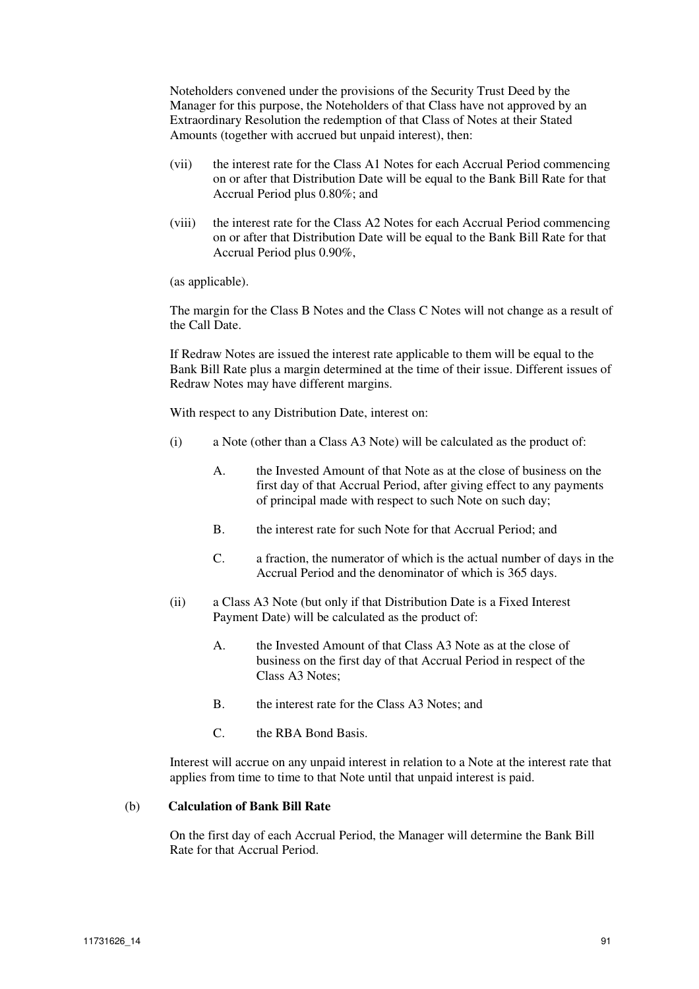Noteholders convened under the provisions of the Security Trust Deed by the Manager for this purpose, the Noteholders of that Class have not approved by an Extraordinary Resolution the redemption of that Class of Notes at their Stated Amounts (together with accrued but unpaid interest), then:

- (vii) the interest rate for the Class A1 Notes for each Accrual Period commencing on or after that Distribution Date will be equal to the Bank Bill Rate for that Accrual Period plus 0.80%; and
- (viii) the interest rate for the Class A2 Notes for each Accrual Period commencing on or after that Distribution Date will be equal to the Bank Bill Rate for that Accrual Period plus 0.90%,

(as applicable).

The margin for the Class B Notes and the Class C Notes will not change as a result of the Call Date.

If Redraw Notes are issued the interest rate applicable to them will be equal to the Bank Bill Rate plus a margin determined at the time of their issue. Different issues of Redraw Notes may have different margins.

With respect to any Distribution Date, interest on:

- (i) a Note (other than a Class A3 Note) will be calculated as the product of:
	- A. the Invested Amount of that Note as at the close of business on the first day of that Accrual Period, after giving effect to any payments of principal made with respect to such Note on such day;
	- B. the interest rate for such Note for that Accrual Period; and
	- C. a fraction, the numerator of which is the actual number of days in the Accrual Period and the denominator of which is 365 days.
- (ii) a Class A3 Note (but only if that Distribution Date is a Fixed Interest Payment Date) will be calculated as the product of:
	- A. the Invested Amount of that Class A3 Note as at the close of business on the first day of that Accrual Period in respect of the Class A3 Notes;
	- B. the interest rate for the Class A3 Notes; and
	- C. the RBA Bond Basis.

Interest will accrue on any unpaid interest in relation to a Note at the interest rate that applies from time to time to that Note until that unpaid interest is paid.

#### (b) **Calculation of Bank Bill Rate**

On the first day of each Accrual Period, the Manager will determine the Bank Bill Rate for that Accrual Period.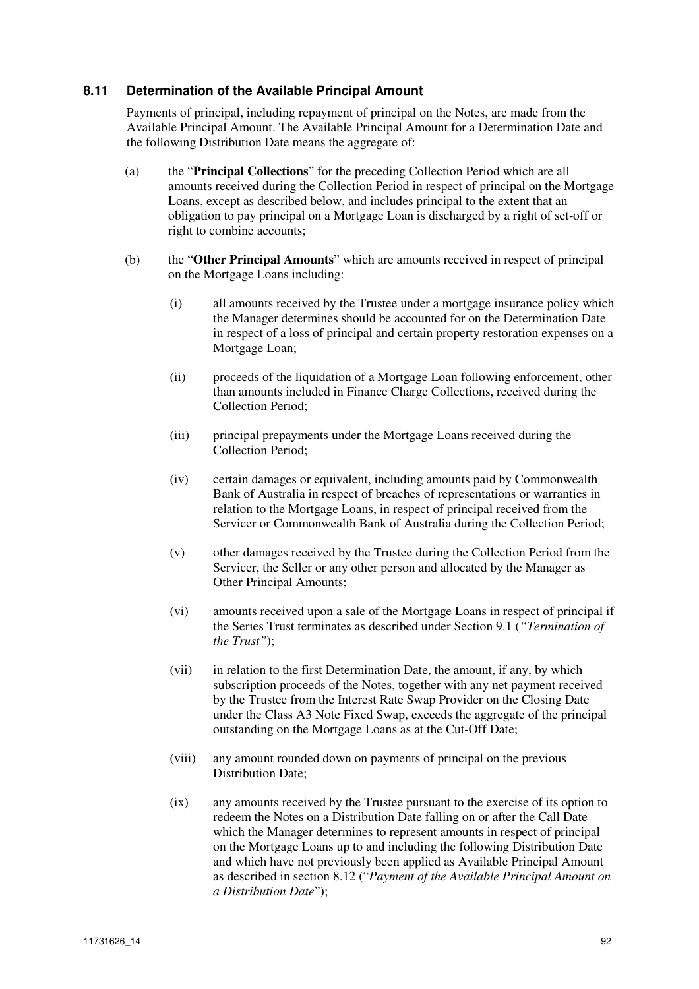# **8.11 Determination of the Available Principal Amount**

Payments of principal, including repayment of principal on the Notes, are made from the Available Principal Amount. The Available Principal Amount for a Determination Date and the following Distribution Date means the aggregate of:

- (a) the "**Principal Collections**" for the preceding Collection Period which are all amounts received during the Collection Period in respect of principal on the Mortgage Loans, except as described below, and includes principal to the extent that an obligation to pay principal on a Mortgage Loan is discharged by a right of set-off or right to combine accounts;
- (b) the "**Other Principal Amounts**" which are amounts received in respect of principal on the Mortgage Loans including:
	- (i) all amounts received by the Trustee under a mortgage insurance policy which the Manager determines should be accounted for on the Determination Date in respect of a loss of principal and certain property restoration expenses on a Mortgage Loan;
	- (ii) proceeds of the liquidation of a Mortgage Loan following enforcement, other than amounts included in Finance Charge Collections, received during the Collection Period;
	- (iii) principal prepayments under the Mortgage Loans received during the Collection Period;
	- (iv) certain damages or equivalent, including amounts paid by Commonwealth Bank of Australia in respect of breaches of representations or warranties in relation to the Mortgage Loans, in respect of principal received from the Servicer or Commonwealth Bank of Australia during the Collection Period;
	- (v) other damages received by the Trustee during the Collection Period from the Servicer, the Seller or any other person and allocated by the Manager as Other Principal Amounts;
	- (vi) amounts received upon a sale of the Mortgage Loans in respect of principal if the Series Trust terminates as described under Section 9.1 (*"Termination of the Trust"*);
	- (vii) in relation to the first Determination Date, the amount, if any, by which subscription proceeds of the Notes, together with any net payment received by the Trustee from the Interest Rate Swap Provider on the Closing Date under the Class A3 Note Fixed Swap, exceeds the aggregate of the principal outstanding on the Mortgage Loans as at the Cut-Off Date;
	- (viii) any amount rounded down on payments of principal on the previous Distribution Date;
	- (ix) any amounts received by the Trustee pursuant to the exercise of its option to redeem the Notes on a Distribution Date falling on or after the Call Date which the Manager determines to represent amounts in respect of principal on the Mortgage Loans up to and including the following Distribution Date and which have not previously been applied as Available Principal Amount as described in section 8.12 ("*Payment of the Available Principal Amount on a Distribution Date*");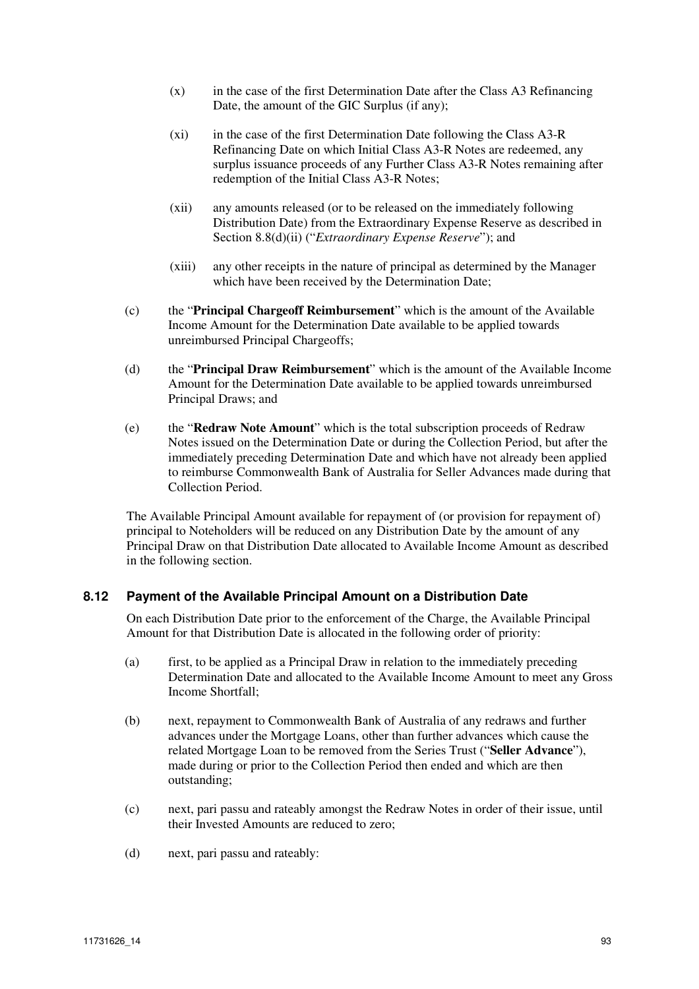- (x) in the case of the first Determination Date after the Class A3 Refinancing Date, the amount of the GIC Surplus (if any);
- (xi) in the case of the first Determination Date following the Class A3-R Refinancing Date on which Initial Class A3-R Notes are redeemed, any surplus issuance proceeds of any Further Class A3-R Notes remaining after redemption of the Initial Class A3-R Notes;
- (xii) any amounts released (or to be released on the immediately following Distribution Date) from the Extraordinary Expense Reserve as described in Section 8.8(d)(ii) ("*Extraordinary Expense Reserve*"); and
- (xiii) any other receipts in the nature of principal as determined by the Manager which have been received by the Determination Date;
- (c) the "**Principal Chargeoff Reimbursement**" which is the amount of the Available Income Amount for the Determination Date available to be applied towards unreimbursed Principal Chargeoffs;
- (d) the "**Principal Draw Reimbursement**" which is the amount of the Available Income Amount for the Determination Date available to be applied towards unreimbursed Principal Draws; and
- (e) the "**Redraw Note Amount**" which is the total subscription proceeds of Redraw Notes issued on the Determination Date or during the Collection Period, but after the immediately preceding Determination Date and which have not already been applied to reimburse Commonwealth Bank of Australia for Seller Advances made during that Collection Period.

The Available Principal Amount available for repayment of (or provision for repayment of) principal to Noteholders will be reduced on any Distribution Date by the amount of any Principal Draw on that Distribution Date allocated to Available Income Amount as described in the following section.

# **8.12 Payment of the Available Principal Amount on a Distribution Date**

On each Distribution Date prior to the enforcement of the Charge, the Available Principal Amount for that Distribution Date is allocated in the following order of priority:

- (a) first, to be applied as a Principal Draw in relation to the immediately preceding Determination Date and allocated to the Available Income Amount to meet any Gross Income Shortfall;
- (b) next, repayment to Commonwealth Bank of Australia of any redraws and further advances under the Mortgage Loans, other than further advances which cause the related Mortgage Loan to be removed from the Series Trust ("**Seller Advance**"), made during or prior to the Collection Period then ended and which are then outstanding;
- (c) next, pari passu and rateably amongst the Redraw Notes in order of their issue, until their Invested Amounts are reduced to zero;
- (d) next, pari passu and rateably: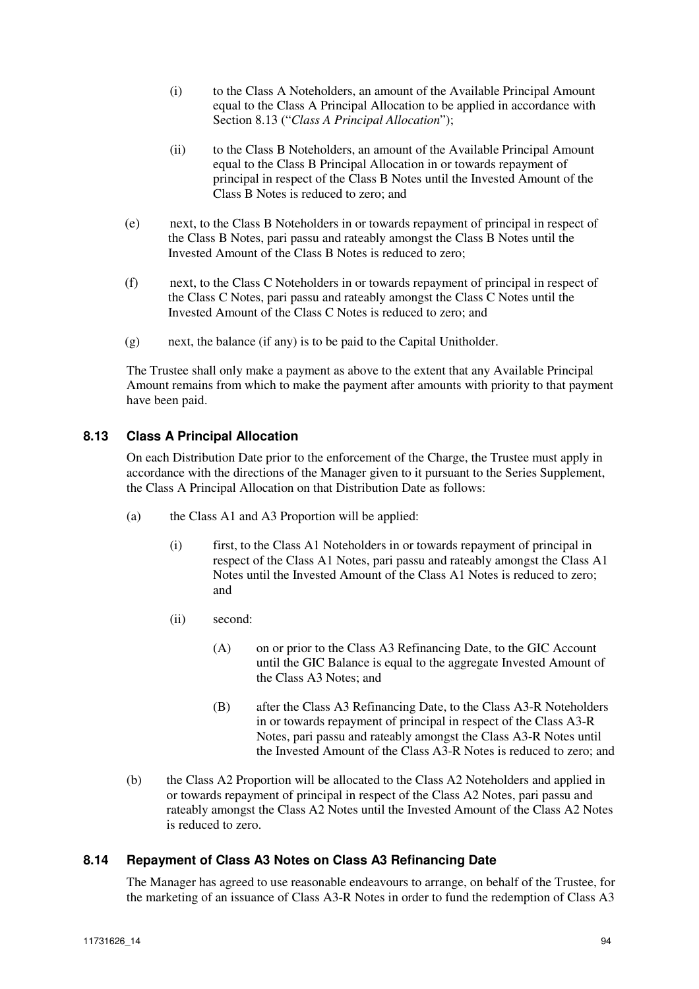- (i) to the Class A Noteholders, an amount of the Available Principal Amount equal to the Class A Principal Allocation to be applied in accordance with Section 8.13 ("*Class A Principal Allocation*");
- (ii) to the Class B Noteholders, an amount of the Available Principal Amount equal to the Class B Principal Allocation in or towards repayment of principal in respect of the Class B Notes until the Invested Amount of the Class B Notes is reduced to zero; and
- (e) next, to the Class B Noteholders in or towards repayment of principal in respect of the Class B Notes, pari passu and rateably amongst the Class B Notes until the Invested Amount of the Class B Notes is reduced to zero;
- (f) next, to the Class C Noteholders in or towards repayment of principal in respect of the Class C Notes, pari passu and rateably amongst the Class C Notes until the Invested Amount of the Class C Notes is reduced to zero; and
- (g) next, the balance (if any) is to be paid to the Capital Unitholder.

The Trustee shall only make a payment as above to the extent that any Available Principal Amount remains from which to make the payment after amounts with priority to that payment have been paid.

# **8.13 Class A Principal Allocation**

On each Distribution Date prior to the enforcement of the Charge, the Trustee must apply in accordance with the directions of the Manager given to it pursuant to the Series Supplement, the Class A Principal Allocation on that Distribution Date as follows:

- (a) the Class A1 and A3 Proportion will be applied:
	- (i) first, to the Class A1 Noteholders in or towards repayment of principal in respect of the Class A1 Notes, pari passu and rateably amongst the Class A1 Notes until the Invested Amount of the Class A1 Notes is reduced to zero; and
	- (ii) second:
		- (A) on or prior to the Class A3 Refinancing Date, to the GIC Account until the GIC Balance is equal to the aggregate Invested Amount of the Class A3 Notes; and
		- (B) after the Class A3 Refinancing Date, to the Class A3-R Noteholders in or towards repayment of principal in respect of the Class A3-R Notes, pari passu and rateably amongst the Class A3-R Notes until the Invested Amount of the Class A3-R Notes is reduced to zero; and
- (b) the Class A2 Proportion will be allocated to the Class A2 Noteholders and applied in or towards repayment of principal in respect of the Class A2 Notes, pari passu and rateably amongst the Class A2 Notes until the Invested Amount of the Class A2 Notes is reduced to zero.

#### **8.14 Repayment of Class A3 Notes on Class A3 Refinancing Date**

The Manager has agreed to use reasonable endeavours to arrange, on behalf of the Trustee, for the marketing of an issuance of Class A3-R Notes in order to fund the redemption of Class A3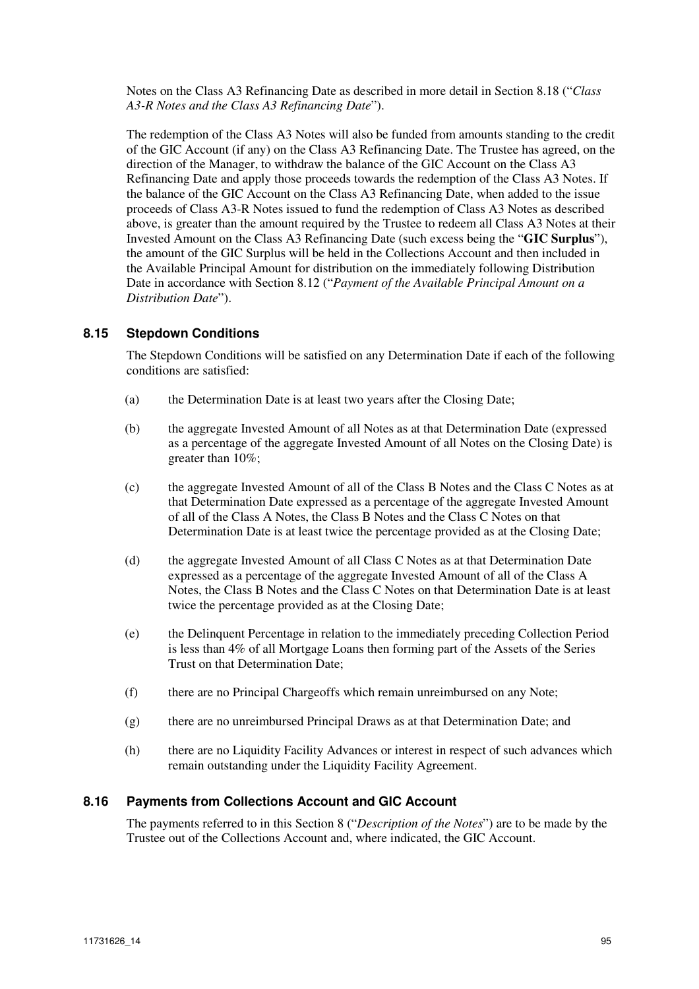Notes on the Class A3 Refinancing Date as described in more detail in Section 8.18 ("*Class A3-R Notes and the Class A3 Refinancing Date*").

The redemption of the Class A3 Notes will also be funded from amounts standing to the credit of the GIC Account (if any) on the Class A3 Refinancing Date. The Trustee has agreed, on the direction of the Manager, to withdraw the balance of the GIC Account on the Class A3 Refinancing Date and apply those proceeds towards the redemption of the Class A3 Notes. If the balance of the GIC Account on the Class A3 Refinancing Date, when added to the issue proceeds of Class A3-R Notes issued to fund the redemption of Class A3 Notes as described above, is greater than the amount required by the Trustee to redeem all Class A3 Notes at their Invested Amount on the Class A3 Refinancing Date (such excess being the "**GIC Surplus**"), the amount of the GIC Surplus will be held in the Collections Account and then included in the Available Principal Amount for distribution on the immediately following Distribution Date in accordance with Section 8.12 ("*Payment of the Available Principal Amount on a Distribution Date*").

# **8.15 Stepdown Conditions**

The Stepdown Conditions will be satisfied on any Determination Date if each of the following conditions are satisfied:

- (a) the Determination Date is at least two years after the Closing Date;
- (b) the aggregate Invested Amount of all Notes as at that Determination Date (expressed as a percentage of the aggregate Invested Amount of all Notes on the Closing Date) is greater than 10%;
- (c) the aggregate Invested Amount of all of the Class B Notes and the Class C Notes as at that Determination Date expressed as a percentage of the aggregate Invested Amount of all of the Class A Notes, the Class B Notes and the Class C Notes on that Determination Date is at least twice the percentage provided as at the Closing Date;
- (d) the aggregate Invested Amount of all Class C Notes as at that Determination Date expressed as a percentage of the aggregate Invested Amount of all of the Class A Notes, the Class B Notes and the Class C Notes on that Determination Date is at least twice the percentage provided as at the Closing Date;
- (e) the Delinquent Percentage in relation to the immediately preceding Collection Period is less than 4% of all Mortgage Loans then forming part of the Assets of the Series Trust on that Determination Date;
- (f) there are no Principal Chargeoffs which remain unreimbursed on any Note;
- (g) there are no unreimbursed Principal Draws as at that Determination Date; and
- (h) there are no Liquidity Facility Advances or interest in respect of such advances which remain outstanding under the Liquidity Facility Agreement.

# **8.16 Payments from Collections Account and GIC Account**

The payments referred to in this Section 8 ("*Description of the Notes*") are to be made by the Trustee out of the Collections Account and, where indicated, the GIC Account.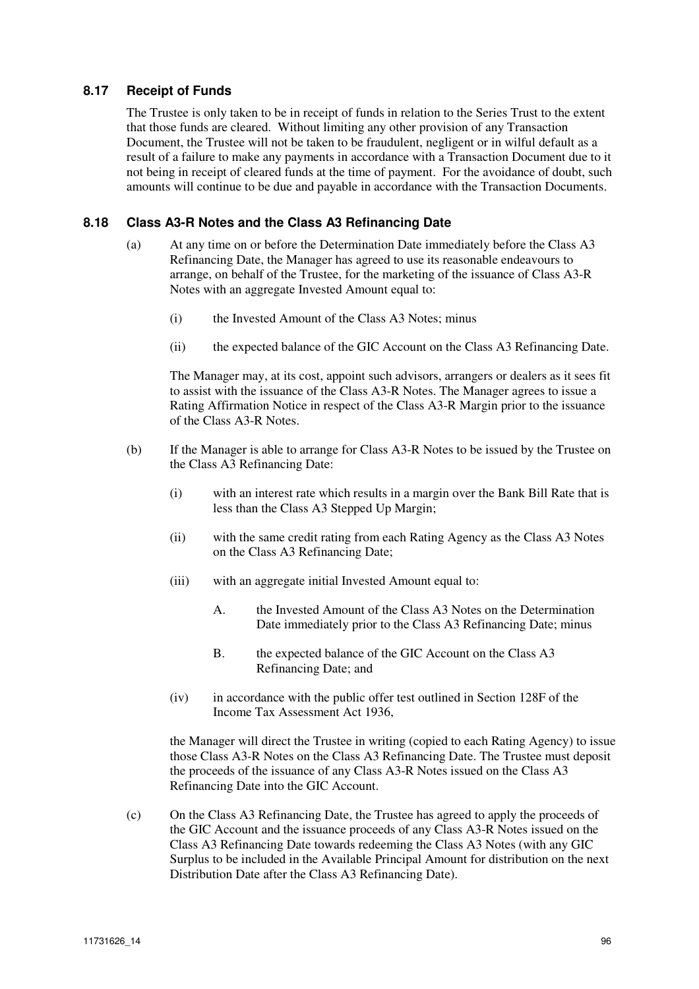# **8.17 Receipt of Funds**

The Trustee is only taken to be in receipt of funds in relation to the Series Trust to the extent that those funds are cleared. Without limiting any other provision of any Transaction Document, the Trustee will not be taken to be fraudulent, negligent or in wilful default as a result of a failure to make any payments in accordance with a Transaction Document due to it not being in receipt of cleared funds at the time of payment. For the avoidance of doubt, such amounts will continue to be due and payable in accordance with the Transaction Documents.

# **8.18 Class A3-R Notes and the Class A3 Refinancing Date**

- (a) At any time on or before the Determination Date immediately before the Class A3 Refinancing Date, the Manager has agreed to use its reasonable endeavours to arrange, on behalf of the Trustee, for the marketing of the issuance of Class A3-R Notes with an aggregate Invested Amount equal to:
	- (i) the Invested Amount of the Class A3 Notes; minus
	- (ii) the expected balance of the GIC Account on the Class A3 Refinancing Date.

The Manager may, at its cost, appoint such advisors, arrangers or dealers as it sees fit to assist with the issuance of the Class A3-R Notes. The Manager agrees to issue a Rating Affirmation Notice in respect of the Class A3-R Margin prior to the issuance of the Class A3-R Notes.

- (b) If the Manager is able to arrange for Class A3-R Notes to be issued by the Trustee on the Class A3 Refinancing Date:
	- (i) with an interest rate which results in a margin over the Bank Bill Rate that is less than the Class A3 Stepped Up Margin;
	- (ii) with the same credit rating from each Rating Agency as the Class A3 Notes on the Class A3 Refinancing Date;
	- (iii) with an aggregate initial Invested Amount equal to:
		- A. the Invested Amount of the Class A3 Notes on the Determination Date immediately prior to the Class A3 Refinancing Date; minus
		- B. the expected balance of the GIC Account on the Class A3 Refinancing Date; and
	- (iv) in accordance with the public offer test outlined in Section 128F of the Income Tax Assessment Act 1936,

the Manager will direct the Trustee in writing (copied to each Rating Agency) to issue those Class A3-R Notes on the Class A3 Refinancing Date. The Trustee must deposit the proceeds of the issuance of any Class A3-R Notes issued on the Class A3 Refinancing Date into the GIC Account.

(c) On the Class A3 Refinancing Date, the Trustee has agreed to apply the proceeds of the GIC Account and the issuance proceeds of any Class A3-R Notes issued on the Class A3 Refinancing Date towards redeeming the Class A3 Notes (with any GIC Surplus to be included in the Available Principal Amount for distribution on the next Distribution Date after the Class A3 Refinancing Date).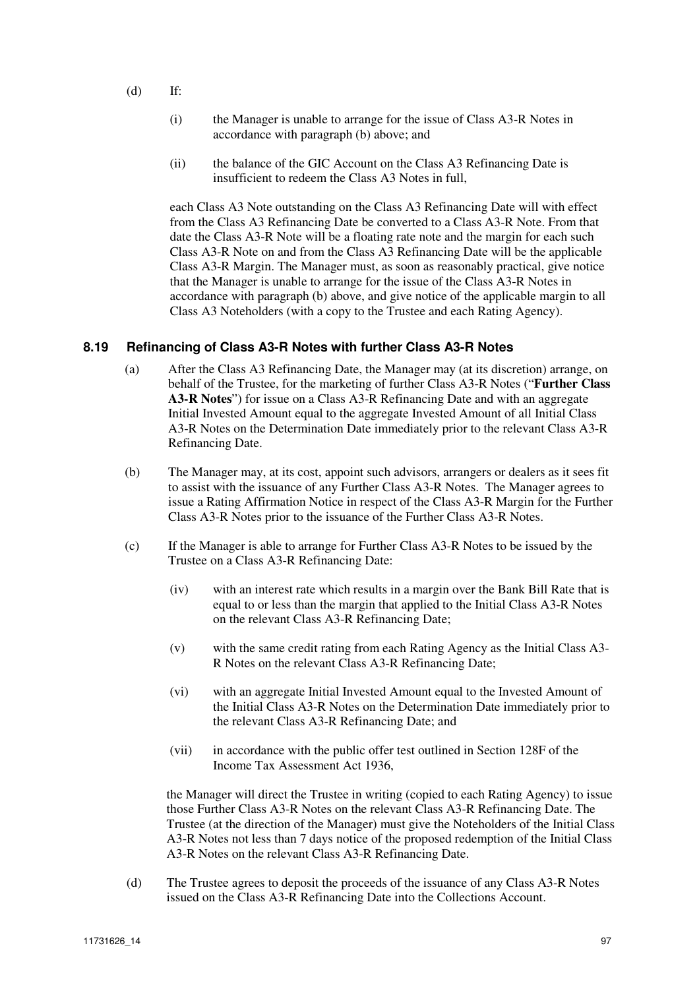- (d) If:
	- (i) the Manager is unable to arrange for the issue of Class A3-R Notes in accordance with paragraph (b) above; and
	- (ii) the balance of the GIC Account on the Class A3 Refinancing Date is insufficient to redeem the Class A3 Notes in full,

each Class A3 Note outstanding on the Class A3 Refinancing Date will with effect from the Class A3 Refinancing Date be converted to a Class A3-R Note. From that date the Class A3-R Note will be a floating rate note and the margin for each such Class A3-R Note on and from the Class A3 Refinancing Date will be the applicable Class A3-R Margin. The Manager must, as soon as reasonably practical, give notice that the Manager is unable to arrange for the issue of the Class A3-R Notes in accordance with paragraph (b) above, and give notice of the applicable margin to all Class A3 Noteholders (with a copy to the Trustee and each Rating Agency).

# **8.19 Refinancing of Class A3-R Notes with further Class A3-R Notes**

- (a) After the Class A3 Refinancing Date, the Manager may (at its discretion) arrange, on behalf of the Trustee, for the marketing of further Class A3-R Notes ("**Further Class A3-R Notes**") for issue on a Class A3-R Refinancing Date and with an aggregate Initial Invested Amount equal to the aggregate Invested Amount of all Initial Class A3-R Notes on the Determination Date immediately prior to the relevant Class A3-R Refinancing Date.
- (b) The Manager may, at its cost, appoint such advisors, arrangers or dealers as it sees fit to assist with the issuance of any Further Class A3-R Notes. The Manager agrees to issue a Rating Affirmation Notice in respect of the Class A3-R Margin for the Further Class A3-R Notes prior to the issuance of the Further Class A3-R Notes.
- (c) If the Manager is able to arrange for Further Class A3-R Notes to be issued by the Trustee on a Class A3-R Refinancing Date:
	- (iv) with an interest rate which results in a margin over the Bank Bill Rate that is equal to or less than the margin that applied to the Initial Class A3-R Notes on the relevant Class A3-R Refinancing Date;
	- (v) with the same credit rating from each Rating Agency as the Initial Class A3- R Notes on the relevant Class A3-R Refinancing Date;
	- (vi) with an aggregate Initial Invested Amount equal to the Invested Amount of the Initial Class A3-R Notes on the Determination Date immediately prior to the relevant Class A3-R Refinancing Date; and
	- (vii) in accordance with the public offer test outlined in Section 128F of the Income Tax Assessment Act 1936,

the Manager will direct the Trustee in writing (copied to each Rating Agency) to issue those Further Class A3-R Notes on the relevant Class A3-R Refinancing Date. The Trustee (at the direction of the Manager) must give the Noteholders of the Initial Class A3-R Notes not less than 7 days notice of the proposed redemption of the Initial Class A3-R Notes on the relevant Class A3-R Refinancing Date.

(d) The Trustee agrees to deposit the proceeds of the issuance of any Class A3-R Notes issued on the Class A3-R Refinancing Date into the Collections Account.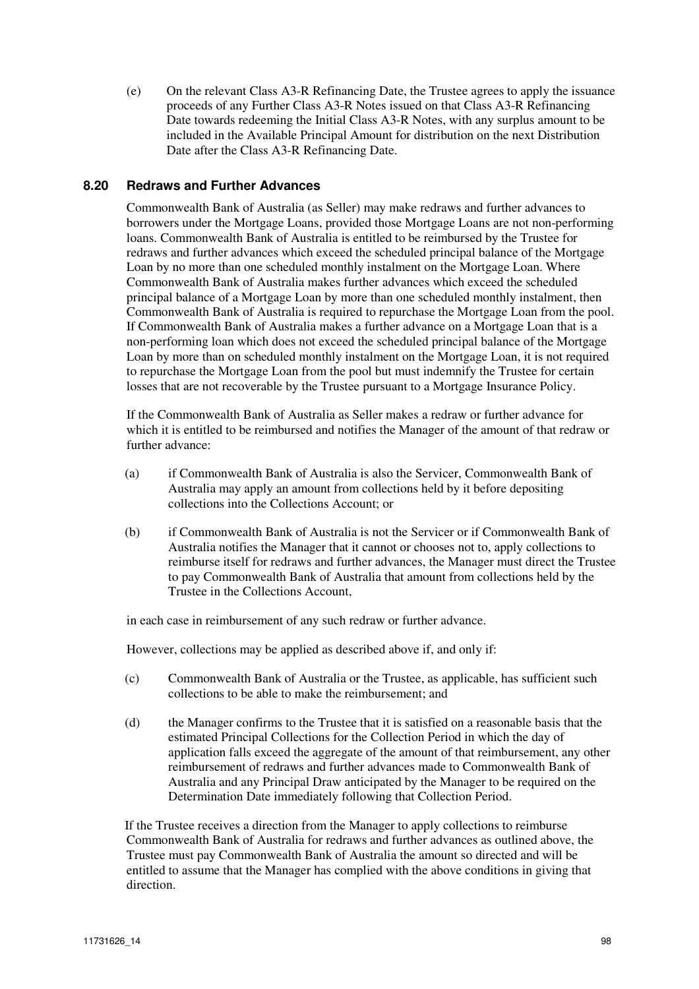(e) On the relevant Class A3-R Refinancing Date, the Trustee agrees to apply the issuance proceeds of any Further Class A3-R Notes issued on that Class A3-R Refinancing Date towards redeeming the Initial Class A3-R Notes, with any surplus amount to be included in the Available Principal Amount for distribution on the next Distribution Date after the Class A3-R Refinancing Date.

# **8.20 Redraws and Further Advances**

Commonwealth Bank of Australia (as Seller) may make redraws and further advances to borrowers under the Mortgage Loans, provided those Mortgage Loans are not non-performing loans. Commonwealth Bank of Australia is entitled to be reimbursed by the Trustee for redraws and further advances which exceed the scheduled principal balance of the Mortgage Loan by no more than one scheduled monthly instalment on the Mortgage Loan. Where Commonwealth Bank of Australia makes further advances which exceed the scheduled principal balance of a Mortgage Loan by more than one scheduled monthly instalment, then Commonwealth Bank of Australia is required to repurchase the Mortgage Loan from the pool. If Commonwealth Bank of Australia makes a further advance on a Mortgage Loan that is a non-performing loan which does not exceed the scheduled principal balance of the Mortgage Loan by more than on scheduled monthly instalment on the Mortgage Loan, it is not required to repurchase the Mortgage Loan from the pool but must indemnify the Trustee for certain losses that are not recoverable by the Trustee pursuant to a Mortgage Insurance Policy.

If the Commonwealth Bank of Australia as Seller makes a redraw or further advance for which it is entitled to be reimbursed and notifies the Manager of the amount of that redraw or further advance:

- (a) if Commonwealth Bank of Australia is also the Servicer, Commonwealth Bank of Australia may apply an amount from collections held by it before depositing collections into the Collections Account; or
- (b) if Commonwealth Bank of Australia is not the Servicer or if Commonwealth Bank of Australia notifies the Manager that it cannot or chooses not to, apply collections to reimburse itself for redraws and further advances, the Manager must direct the Trustee to pay Commonwealth Bank of Australia that amount from collections held by the Trustee in the Collections Account,

in each case in reimbursement of any such redraw or further advance.

However, collections may be applied as described above if, and only if:

- (c) Commonwealth Bank of Australia or the Trustee, as applicable, has sufficient such collections to be able to make the reimbursement; and
- (d) the Manager confirms to the Trustee that it is satisfied on a reasonable basis that the estimated Principal Collections for the Collection Period in which the day of application falls exceed the aggregate of the amount of that reimbursement, any other reimbursement of redraws and further advances made to Commonwealth Bank of Australia and any Principal Draw anticipated by the Manager to be required on the Determination Date immediately following that Collection Period.

If the Trustee receives a direction from the Manager to apply collections to reimburse Commonwealth Bank of Australia for redraws and further advances as outlined above, the Trustee must pay Commonwealth Bank of Australia the amount so directed and will be entitled to assume that the Manager has complied with the above conditions in giving that direction.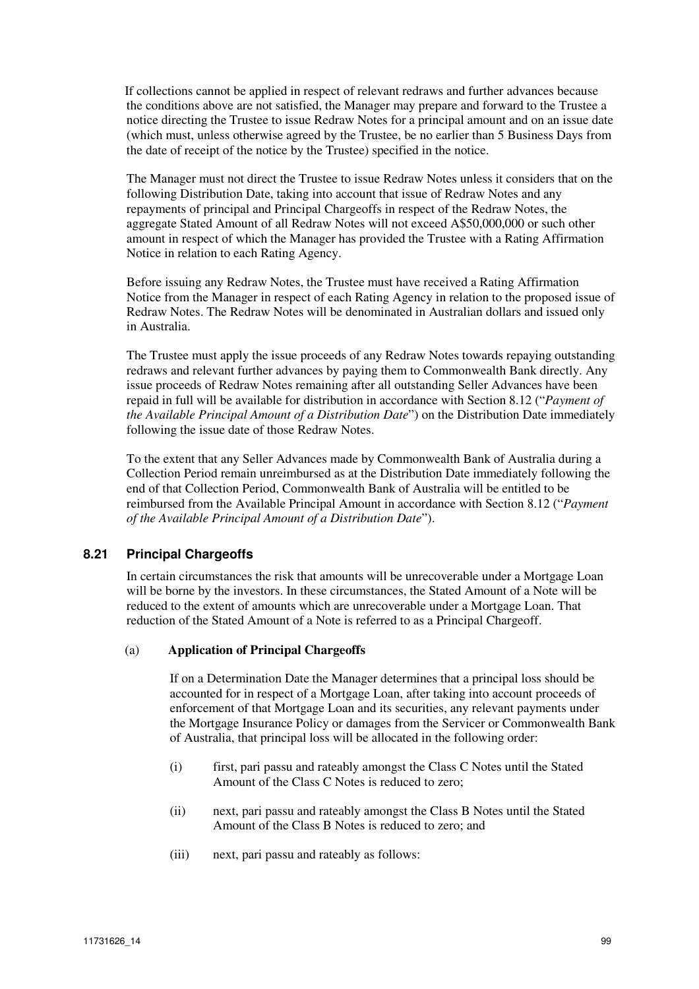If collections cannot be applied in respect of relevant redraws and further advances because the conditions above are not satisfied, the Manager may prepare and forward to the Trustee a notice directing the Trustee to issue Redraw Notes for a principal amount and on an issue date (which must, unless otherwise agreed by the Trustee, be no earlier than 5 Business Days from the date of receipt of the notice by the Trustee) specified in the notice.

The Manager must not direct the Trustee to issue Redraw Notes unless it considers that on the following Distribution Date, taking into account that issue of Redraw Notes and any repayments of principal and Principal Chargeoffs in respect of the Redraw Notes, the aggregate Stated Amount of all Redraw Notes will not exceed A\$50,000,000 or such other amount in respect of which the Manager has provided the Trustee with a Rating Affirmation Notice in relation to each Rating Agency.

Before issuing any Redraw Notes, the Trustee must have received a Rating Affirmation Notice from the Manager in respect of each Rating Agency in relation to the proposed issue of Redraw Notes. The Redraw Notes will be denominated in Australian dollars and issued only in Australia.

The Trustee must apply the issue proceeds of any Redraw Notes towards repaying outstanding redraws and relevant further advances by paying them to Commonwealth Bank directly. Any issue proceeds of Redraw Notes remaining after all outstanding Seller Advances have been repaid in full will be available for distribution in accordance with Section 8.12 ("*Payment of the Available Principal Amount of a Distribution Date*") on the Distribution Date immediately following the issue date of those Redraw Notes.

To the extent that any Seller Advances made by Commonwealth Bank of Australia during a Collection Period remain unreimbursed as at the Distribution Date immediately following the end of that Collection Period, Commonwealth Bank of Australia will be entitled to be reimbursed from the Available Principal Amount in accordance with Section 8.12 ("*Payment of the Available Principal Amount of a Distribution Date*").

# **8.21 Principal Chargeoffs**

In certain circumstances the risk that amounts will be unrecoverable under a Mortgage Loan will be borne by the investors. In these circumstances, the Stated Amount of a Note will be reduced to the extent of amounts which are unrecoverable under a Mortgage Loan. That reduction of the Stated Amount of a Note is referred to as a Principal Chargeoff.

#### (a) **Application of Principal Chargeoffs**

If on a Determination Date the Manager determines that a principal loss should be accounted for in respect of a Mortgage Loan, after taking into account proceeds of enforcement of that Mortgage Loan and its securities, any relevant payments under the Mortgage Insurance Policy or damages from the Servicer or Commonwealth Bank of Australia, that principal loss will be allocated in the following order:

- (i) first, pari passu and rateably amongst the Class C Notes until the Stated Amount of the Class C Notes is reduced to zero;
- (ii) next, pari passu and rateably amongst the Class B Notes until the Stated Amount of the Class B Notes is reduced to zero; and
- (iii) next, pari passu and rateably as follows: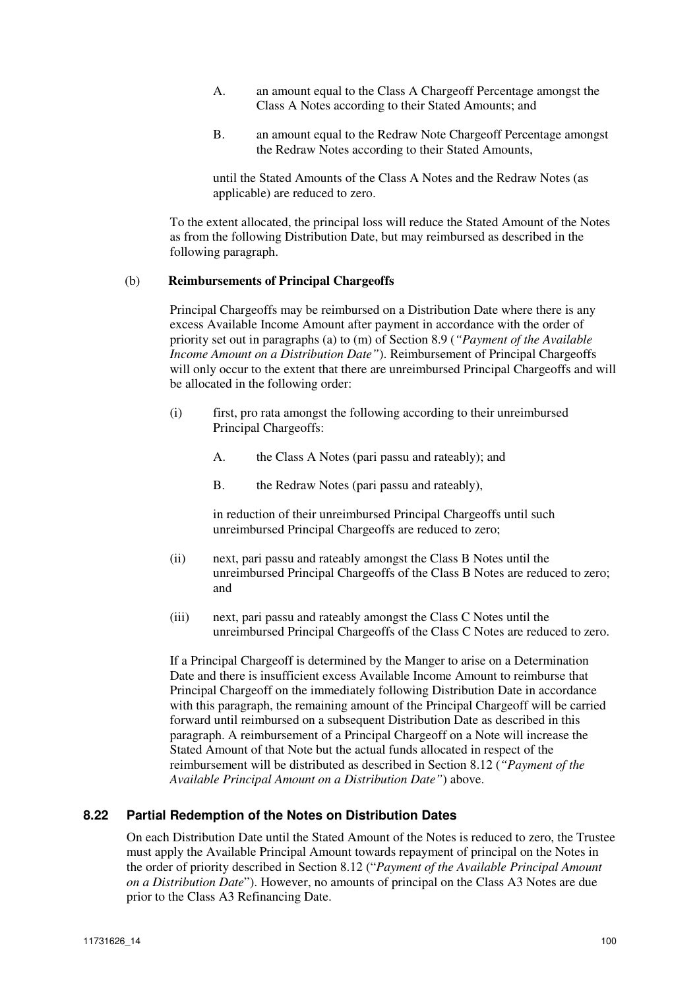- A. an amount equal to the Class A Chargeoff Percentage amongst the Class A Notes according to their Stated Amounts; and
- B. an amount equal to the Redraw Note Chargeoff Percentage amongst the Redraw Notes according to their Stated Amounts,

until the Stated Amounts of the Class A Notes and the Redraw Notes (as applicable) are reduced to zero.

To the extent allocated, the principal loss will reduce the Stated Amount of the Notes as from the following Distribution Date, but may reimbursed as described in the following paragraph.

#### (b) **Reimbursements of Principal Chargeoffs**

Principal Chargeoffs may be reimbursed on a Distribution Date where there is any excess Available Income Amount after payment in accordance with the order of priority set out in paragraphs (a) to (m) of Section 8.9 (*"Payment of the Available Income Amount on a Distribution Date"*). Reimbursement of Principal Chargeoffs will only occur to the extent that there are unreimbursed Principal Chargeoffs and will be allocated in the following order:

- (i) first, pro rata amongst the following according to their unreimbursed Principal Chargeoffs:
	- A. the Class A Notes (pari passu and rateably); and
	- B. the Redraw Notes (pari passu and rateably),

in reduction of their unreimbursed Principal Chargeoffs until such unreimbursed Principal Chargeoffs are reduced to zero;

- (ii) next, pari passu and rateably amongst the Class B Notes until the unreimbursed Principal Chargeoffs of the Class B Notes are reduced to zero; and
- (iii) next, pari passu and rateably amongst the Class C Notes until the unreimbursed Principal Chargeoffs of the Class C Notes are reduced to zero.

If a Principal Chargeoff is determined by the Manger to arise on a Determination Date and there is insufficient excess Available Income Amount to reimburse that Principal Chargeoff on the immediately following Distribution Date in accordance with this paragraph, the remaining amount of the Principal Chargeoff will be carried forward until reimbursed on a subsequent Distribution Date as described in this paragraph. A reimbursement of a Principal Chargeoff on a Note will increase the Stated Amount of that Note but the actual funds allocated in respect of the reimbursement will be distributed as described in Section 8.12 (*"Payment of the Available Principal Amount on a Distribution Date"*) above.

# **8.22 Partial Redemption of the Notes on Distribution Dates**

On each Distribution Date until the Stated Amount of the Notes is reduced to zero, the Trustee must apply the Available Principal Amount towards repayment of principal on the Notes in the order of priority described in Section 8.12 ("*Payment of the Available Principal Amount on a Distribution Date*"). However, no amounts of principal on the Class A3 Notes are due prior to the Class A3 Refinancing Date.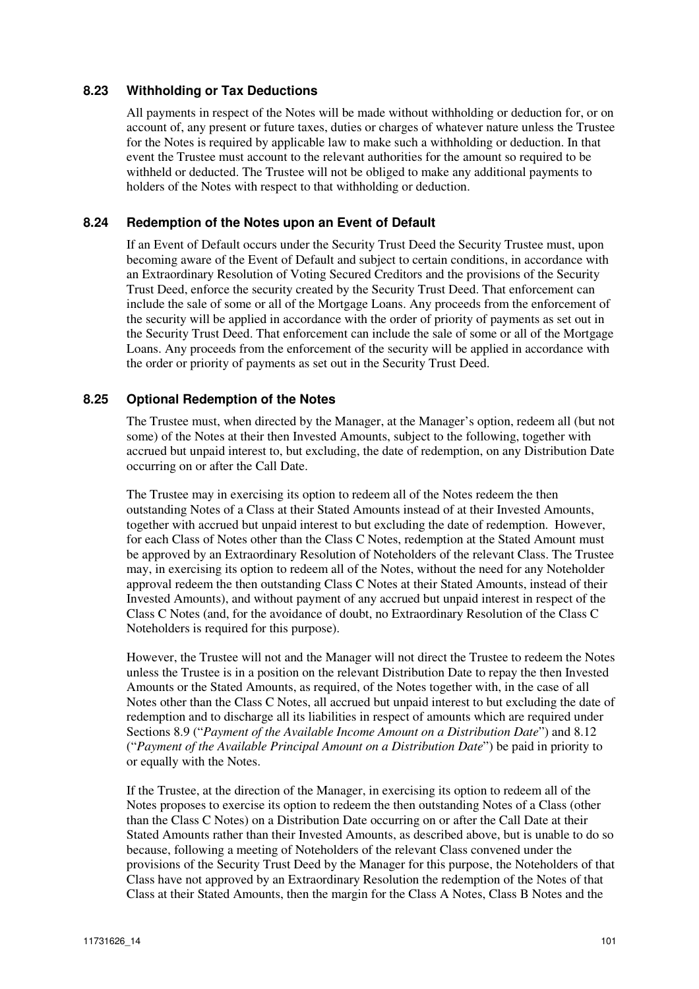# **8.23 Withholding or Tax Deductions**

All payments in respect of the Notes will be made without withholding or deduction for, or on account of, any present or future taxes, duties or charges of whatever nature unless the Trustee for the Notes is required by applicable law to make such a withholding or deduction. In that event the Trustee must account to the relevant authorities for the amount so required to be withheld or deducted. The Trustee will not be obliged to make any additional payments to holders of the Notes with respect to that withholding or deduction.

#### **8.24 Redemption of the Notes upon an Event of Default**

If an Event of Default occurs under the Security Trust Deed the Security Trustee must, upon becoming aware of the Event of Default and subject to certain conditions, in accordance with an Extraordinary Resolution of Voting Secured Creditors and the provisions of the Security Trust Deed, enforce the security created by the Security Trust Deed. That enforcement can include the sale of some or all of the Mortgage Loans. Any proceeds from the enforcement of the security will be applied in accordance with the order of priority of payments as set out in the Security Trust Deed. That enforcement can include the sale of some or all of the Mortgage Loans. Any proceeds from the enforcement of the security will be applied in accordance with the order or priority of payments as set out in the Security Trust Deed.

#### **8.25 Optional Redemption of the Notes**

The Trustee must, when directed by the Manager, at the Manager's option, redeem all (but not some) of the Notes at their then Invested Amounts, subject to the following, together with accrued but unpaid interest to, but excluding, the date of redemption, on any Distribution Date occurring on or after the Call Date.

The Trustee may in exercising its option to redeem all of the Notes redeem the then outstanding Notes of a Class at their Stated Amounts instead of at their Invested Amounts, together with accrued but unpaid interest to but excluding the date of redemption. However, for each Class of Notes other than the Class C Notes, redemption at the Stated Amount must be approved by an Extraordinary Resolution of Noteholders of the relevant Class. The Trustee may, in exercising its option to redeem all of the Notes, without the need for any Noteholder approval redeem the then outstanding Class C Notes at their Stated Amounts, instead of their Invested Amounts), and without payment of any accrued but unpaid interest in respect of the Class C Notes (and, for the avoidance of doubt, no Extraordinary Resolution of the Class C Noteholders is required for this purpose).

However, the Trustee will not and the Manager will not direct the Trustee to redeem the Notes unless the Trustee is in a position on the relevant Distribution Date to repay the then Invested Amounts or the Stated Amounts, as required, of the Notes together with, in the case of all Notes other than the Class C Notes, all accrued but unpaid interest to but excluding the date of redemption and to discharge all its liabilities in respect of amounts which are required under Sections 8.9 ("*Payment of the Available Income Amount on a Distribution Date*") and 8.12 ("*Payment of the Available Principal Amount on a Distribution Date*") be paid in priority to or equally with the Notes.

If the Trustee, at the direction of the Manager, in exercising its option to redeem all of the Notes proposes to exercise its option to redeem the then outstanding Notes of a Class (other than the Class C Notes) on a Distribution Date occurring on or after the Call Date at their Stated Amounts rather than their Invested Amounts, as described above, but is unable to do so because, following a meeting of Noteholders of the relevant Class convened under the provisions of the Security Trust Deed by the Manager for this purpose, the Noteholders of that Class have not approved by an Extraordinary Resolution the redemption of the Notes of that Class at their Stated Amounts, then the margin for the Class A Notes, Class B Notes and the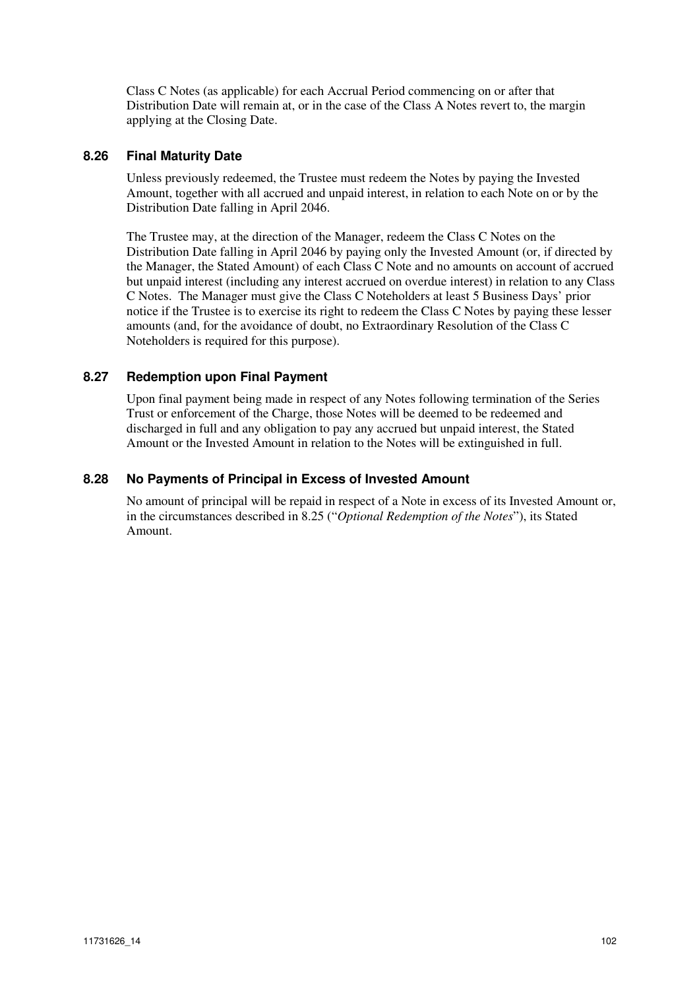Class C Notes (as applicable) for each Accrual Period commencing on or after that Distribution Date will remain at, or in the case of the Class A Notes revert to, the margin applying at the Closing Date.

# **8.26 Final Maturity Date**

Unless previously redeemed, the Trustee must redeem the Notes by paying the Invested Amount, together with all accrued and unpaid interest, in relation to each Note on or by the Distribution Date falling in April 2046.

The Trustee may, at the direction of the Manager, redeem the Class C Notes on the Distribution Date falling in April 2046 by paying only the Invested Amount (or, if directed by the Manager, the Stated Amount) of each Class C Note and no amounts on account of accrued but unpaid interest (including any interest accrued on overdue interest) in relation to any Class C Notes. The Manager must give the Class C Noteholders at least 5 Business Days' prior notice if the Trustee is to exercise its right to redeem the Class C Notes by paying these lesser amounts (and, for the avoidance of doubt, no Extraordinary Resolution of the Class C Noteholders is required for this purpose).

# **8.27 Redemption upon Final Payment**

Upon final payment being made in respect of any Notes following termination of the Series Trust or enforcement of the Charge, those Notes will be deemed to be redeemed and discharged in full and any obligation to pay any accrued but unpaid interest, the Stated Amount or the Invested Amount in relation to the Notes will be extinguished in full.

# **8.28 No Payments of Principal in Excess of Invested Amount**

No amount of principal will be repaid in respect of a Note in excess of its Invested Amount or, in the circumstances described in 8.25 ("*Optional Redemption of the Notes*"), its Stated Amount.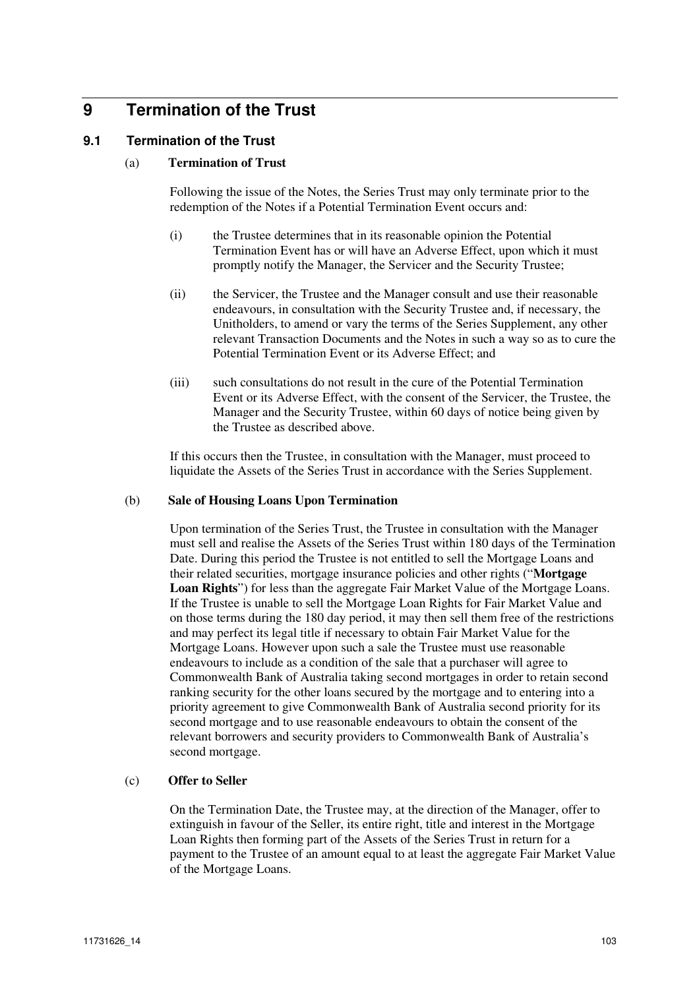# **9 Termination of the Trust**

# **9.1 Termination of the Trust**

#### (a) **Termination of Trust**

Following the issue of the Notes, the Series Trust may only terminate prior to the redemption of the Notes if a Potential Termination Event occurs and:

- (i) the Trustee determines that in its reasonable opinion the Potential Termination Event has or will have an Adverse Effect, upon which it must promptly notify the Manager, the Servicer and the Security Trustee;
- (ii) the Servicer, the Trustee and the Manager consult and use their reasonable endeavours, in consultation with the Security Trustee and, if necessary, the Unitholders, to amend or vary the terms of the Series Supplement, any other relevant Transaction Documents and the Notes in such a way so as to cure the Potential Termination Event or its Adverse Effect; and
- (iii) such consultations do not result in the cure of the Potential Termination Event or its Adverse Effect, with the consent of the Servicer, the Trustee, the Manager and the Security Trustee, within 60 days of notice being given by the Trustee as described above.

If this occurs then the Trustee, in consultation with the Manager, must proceed to liquidate the Assets of the Series Trust in accordance with the Series Supplement.

#### (b) **Sale of Housing Loans Upon Termination**

Upon termination of the Series Trust, the Trustee in consultation with the Manager must sell and realise the Assets of the Series Trust within 180 days of the Termination Date. During this period the Trustee is not entitled to sell the Mortgage Loans and their related securities, mortgage insurance policies and other rights ("**Mortgage Loan Rights**") for less than the aggregate Fair Market Value of the Mortgage Loans. If the Trustee is unable to sell the Mortgage Loan Rights for Fair Market Value and on those terms during the 180 day period, it may then sell them free of the restrictions and may perfect its legal title if necessary to obtain Fair Market Value for the Mortgage Loans. However upon such a sale the Trustee must use reasonable endeavours to include as a condition of the sale that a purchaser will agree to Commonwealth Bank of Australia taking second mortgages in order to retain second ranking security for the other loans secured by the mortgage and to entering into a priority agreement to give Commonwealth Bank of Australia second priority for its second mortgage and to use reasonable endeavours to obtain the consent of the relevant borrowers and security providers to Commonwealth Bank of Australia's second mortgage.

#### (c) **Offer to Seller**

On the Termination Date, the Trustee may, at the direction of the Manager, offer to extinguish in favour of the Seller, its entire right, title and interest in the Mortgage Loan Rights then forming part of the Assets of the Series Trust in return for a payment to the Trustee of an amount equal to at least the aggregate Fair Market Value of the Mortgage Loans.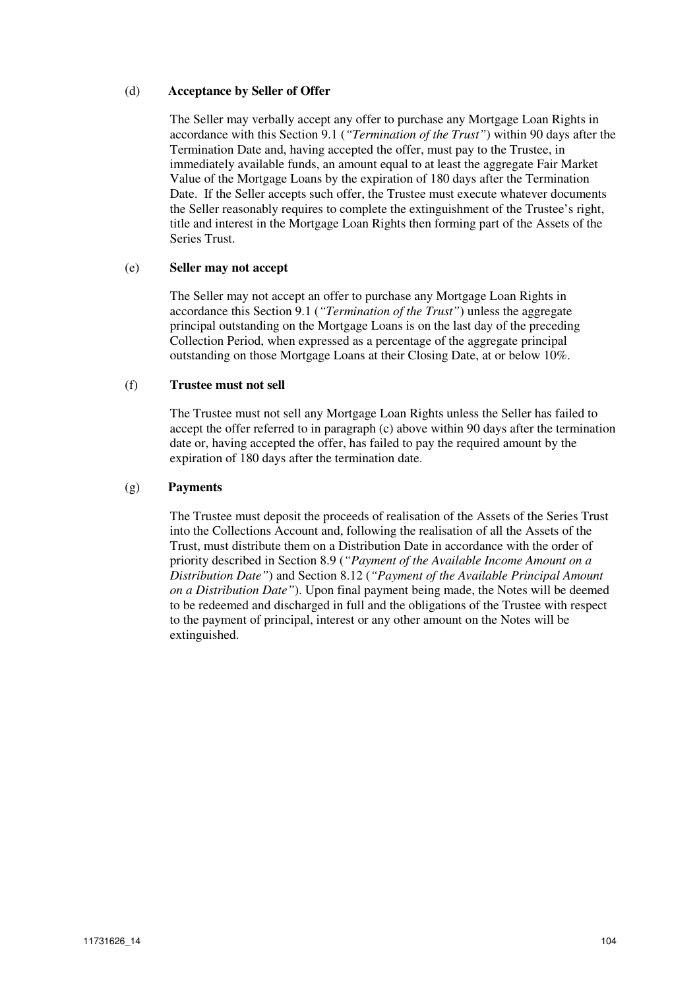#### (d) **Acceptance by Seller of Offer**

The Seller may verbally accept any offer to purchase any Mortgage Loan Rights in accordance with this Section 9.1 (*"Termination of the Trust"*) within 90 days after the Termination Date and, having accepted the offer, must pay to the Trustee, in immediately available funds, an amount equal to at least the aggregate Fair Market Value of the Mortgage Loans by the expiration of 180 days after the Termination Date. If the Seller accepts such offer, the Trustee must execute whatever documents the Seller reasonably requires to complete the extinguishment of the Trustee's right, title and interest in the Mortgage Loan Rights then forming part of the Assets of the Series Trust.

#### (e) **Seller may not accept**

The Seller may not accept an offer to purchase any Mortgage Loan Rights in accordance this Section 9.1 (*"Termination of the Trust"*) unless the aggregate principal outstanding on the Mortgage Loans is on the last day of the preceding Collection Period, when expressed as a percentage of the aggregate principal outstanding on those Mortgage Loans at their Closing Date, at or below 10%.

#### (f) **Trustee must not sell**

The Trustee must not sell any Mortgage Loan Rights unless the Seller has failed to accept the offer referred to in paragraph (c) above within 90 days after the termination date or, having accepted the offer, has failed to pay the required amount by the expiration of 180 days after the termination date.

#### (g) **Payments**

The Trustee must deposit the proceeds of realisation of the Assets of the Series Trust into the Collections Account and, following the realisation of all the Assets of the Trust, must distribute them on a Distribution Date in accordance with the order of priority described in Section 8.9 (*"Payment of the Available Income Amount on a Distribution Date"*) and Section 8.12 (*"Payment of the Available Principal Amount on a Distribution Date"*). Upon final payment being made, the Notes will be deemed to be redeemed and discharged in full and the obligations of the Trustee with respect to the payment of principal, interest or any other amount on the Notes will be extinguished.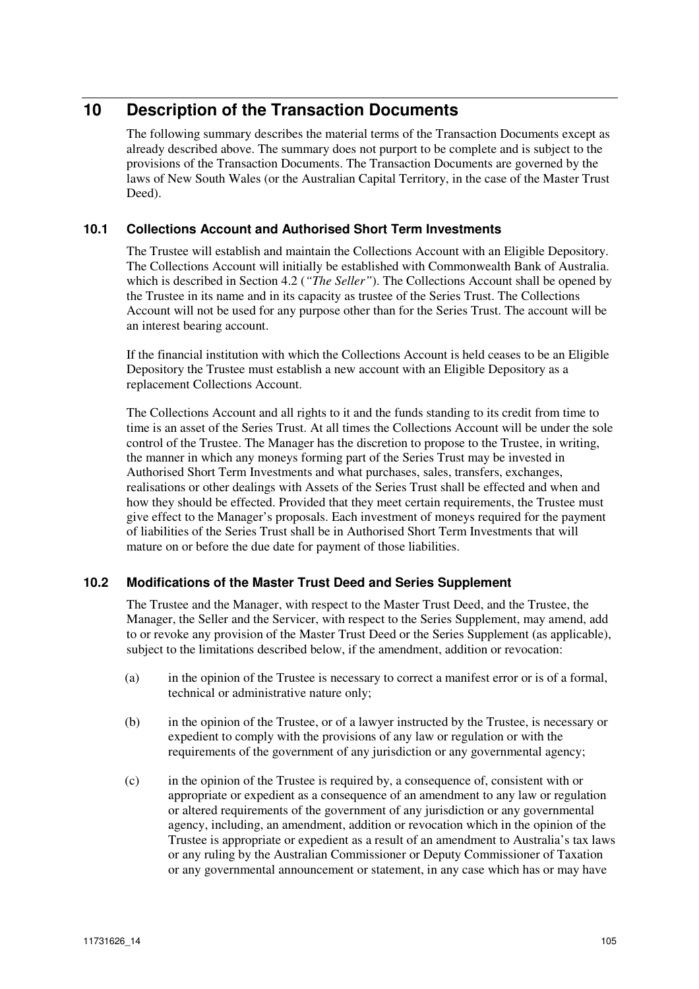# **10 Description of the Transaction Documents**

The following summary describes the material terms of the Transaction Documents except as already described above. The summary does not purport to be complete and is subject to the provisions of the Transaction Documents. The Transaction Documents are governed by the laws of New South Wales (or the Australian Capital Territory, in the case of the Master Trust Deed).

# **10.1 Collections Account and Authorised Short Term Investments**

The Trustee will establish and maintain the Collections Account with an Eligible Depository. The Collections Account will initially be established with Commonwealth Bank of Australia. which is described in Section 4.2 (*"The Seller"*). The Collections Account shall be opened by the Trustee in its name and in its capacity as trustee of the Series Trust. The Collections Account will not be used for any purpose other than for the Series Trust. The account will be an interest bearing account.

If the financial institution with which the Collections Account is held ceases to be an Eligible Depository the Trustee must establish a new account with an Eligible Depository as a replacement Collections Account.

The Collections Account and all rights to it and the funds standing to its credit from time to time is an asset of the Series Trust. At all times the Collections Account will be under the sole control of the Trustee. The Manager has the discretion to propose to the Trustee, in writing, the manner in which any moneys forming part of the Series Trust may be invested in Authorised Short Term Investments and what purchases, sales, transfers, exchanges, realisations or other dealings with Assets of the Series Trust shall be effected and when and how they should be effected. Provided that they meet certain requirements, the Trustee must give effect to the Manager's proposals. Each investment of moneys required for the payment of liabilities of the Series Trust shall be in Authorised Short Term Investments that will mature on or before the due date for payment of those liabilities.

# **10.2 Modifications of the Master Trust Deed and Series Supplement**

The Trustee and the Manager, with respect to the Master Trust Deed, and the Trustee, the Manager, the Seller and the Servicer, with respect to the Series Supplement, may amend, add to or revoke any provision of the Master Trust Deed or the Series Supplement (as applicable), subject to the limitations described below, if the amendment, addition or revocation:

- (a) in the opinion of the Trustee is necessary to correct a manifest error or is of a formal, technical or administrative nature only;
- (b) in the opinion of the Trustee, or of a lawyer instructed by the Trustee, is necessary or expedient to comply with the provisions of any law or regulation or with the requirements of the government of any jurisdiction or any governmental agency;
- (c) in the opinion of the Trustee is required by, a consequence of, consistent with or appropriate or expedient as a consequence of an amendment to any law or regulation or altered requirements of the government of any jurisdiction or any governmental agency, including, an amendment, addition or revocation which in the opinion of the Trustee is appropriate or expedient as a result of an amendment to Australia's tax laws or any ruling by the Australian Commissioner or Deputy Commissioner of Taxation or any governmental announcement or statement, in any case which has or may have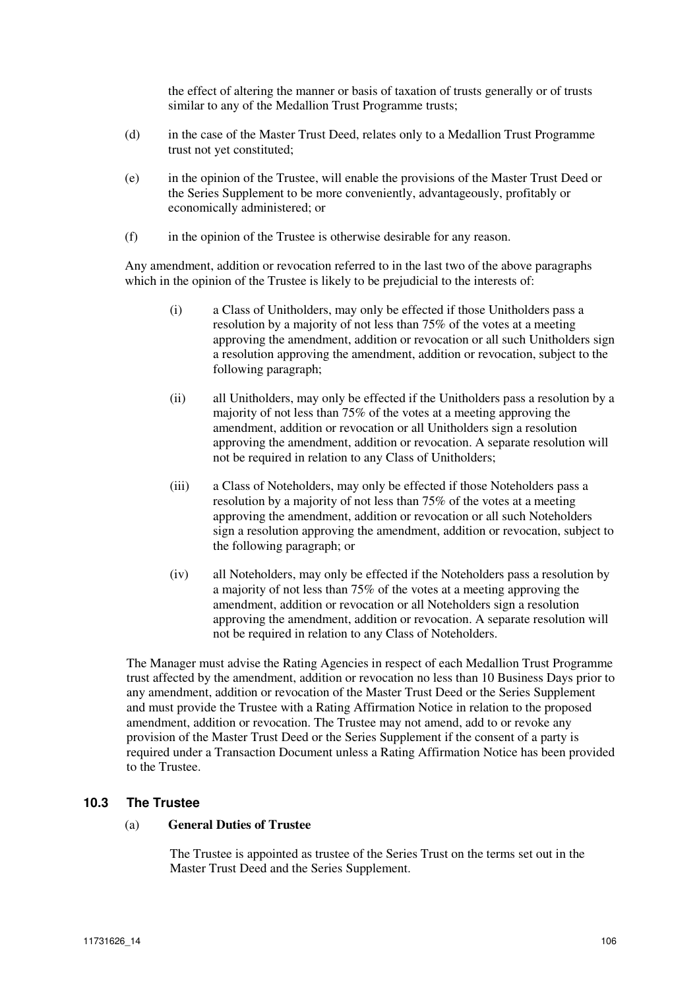the effect of altering the manner or basis of taxation of trusts generally or of trusts similar to any of the Medallion Trust Programme trusts;

- (d) in the case of the Master Trust Deed, relates only to a Medallion Trust Programme trust not yet constituted;
- (e) in the opinion of the Trustee, will enable the provisions of the Master Trust Deed or the Series Supplement to be more conveniently, advantageously, profitably or economically administered; or
- (f) in the opinion of the Trustee is otherwise desirable for any reason.

Any amendment, addition or revocation referred to in the last two of the above paragraphs which in the opinion of the Trustee is likely to be prejudicial to the interests of:

- (i) a Class of Unitholders, may only be effected if those Unitholders pass a resolution by a majority of not less than 75% of the votes at a meeting approving the amendment, addition or revocation or all such Unitholders sign a resolution approving the amendment, addition or revocation, subject to the following paragraph;
- (ii) all Unitholders, may only be effected if the Unitholders pass a resolution by a majority of not less than 75% of the votes at a meeting approving the amendment, addition or revocation or all Unitholders sign a resolution approving the amendment, addition or revocation. A separate resolution will not be required in relation to any Class of Unitholders;
- (iii) a Class of Noteholders, may only be effected if those Noteholders pass a resolution by a majority of not less than 75% of the votes at a meeting approving the amendment, addition or revocation or all such Noteholders sign a resolution approving the amendment, addition or revocation, subject to the following paragraph; or
- (iv) all Noteholders, may only be effected if the Noteholders pass a resolution by a majority of not less than 75% of the votes at a meeting approving the amendment, addition or revocation or all Noteholders sign a resolution approving the amendment, addition or revocation. A separate resolution will not be required in relation to any Class of Noteholders.

The Manager must advise the Rating Agencies in respect of each Medallion Trust Programme trust affected by the amendment, addition or revocation no less than 10 Business Days prior to any amendment, addition or revocation of the Master Trust Deed or the Series Supplement and must provide the Trustee with a Rating Affirmation Notice in relation to the proposed amendment, addition or revocation. The Trustee may not amend, add to or revoke any provision of the Master Trust Deed or the Series Supplement if the consent of a party is required under a Transaction Document unless a Rating Affirmation Notice has been provided to the Trustee.

# **10.3 The Trustee**

#### (a) **General Duties of Trustee**

The Trustee is appointed as trustee of the Series Trust on the terms set out in the Master Trust Deed and the Series Supplement.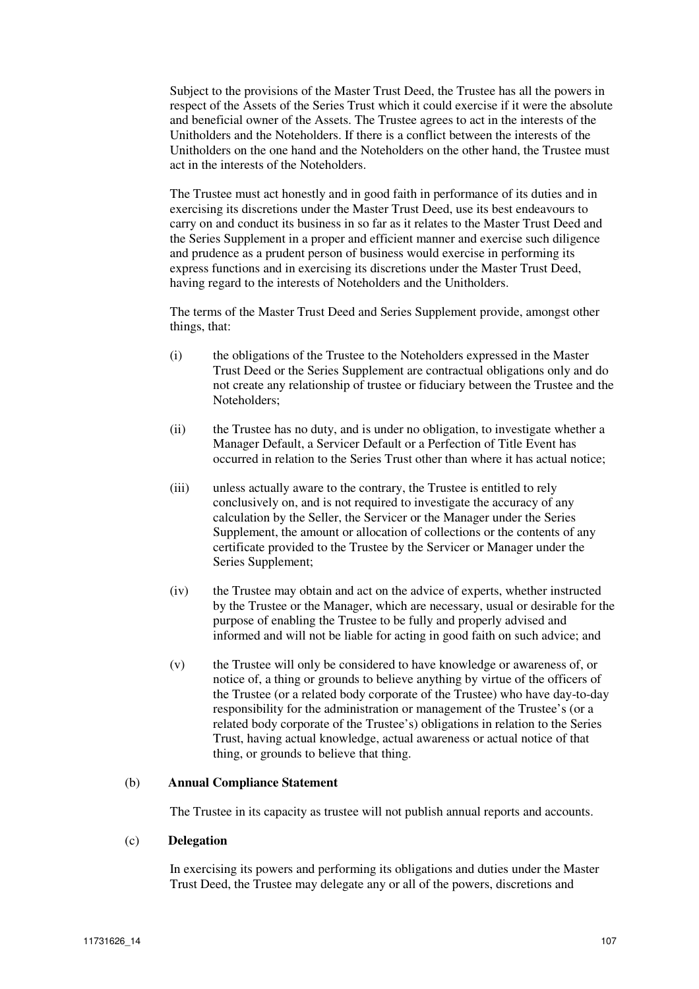Subject to the provisions of the Master Trust Deed, the Trustee has all the powers in respect of the Assets of the Series Trust which it could exercise if it were the absolute and beneficial owner of the Assets. The Trustee agrees to act in the interests of the Unitholders and the Noteholders. If there is a conflict between the interests of the Unitholders on the one hand and the Noteholders on the other hand, the Trustee must act in the interests of the Noteholders.

The Trustee must act honestly and in good faith in performance of its duties and in exercising its discretions under the Master Trust Deed, use its best endeavours to carry on and conduct its business in so far as it relates to the Master Trust Deed and the Series Supplement in a proper and efficient manner and exercise such diligence and prudence as a prudent person of business would exercise in performing its express functions and in exercising its discretions under the Master Trust Deed, having regard to the interests of Noteholders and the Unitholders.

The terms of the Master Trust Deed and Series Supplement provide, amongst other things, that:

- (i) the obligations of the Trustee to the Noteholders expressed in the Master Trust Deed or the Series Supplement are contractual obligations only and do not create any relationship of trustee or fiduciary between the Trustee and the Noteholders;
- (ii) the Trustee has no duty, and is under no obligation, to investigate whether a Manager Default, a Servicer Default or a Perfection of Title Event has occurred in relation to the Series Trust other than where it has actual notice;
- (iii) unless actually aware to the contrary, the Trustee is entitled to rely conclusively on, and is not required to investigate the accuracy of any calculation by the Seller, the Servicer or the Manager under the Series Supplement, the amount or allocation of collections or the contents of any certificate provided to the Trustee by the Servicer or Manager under the Series Supplement;
- (iv) the Trustee may obtain and act on the advice of experts, whether instructed by the Trustee or the Manager, which are necessary, usual or desirable for the purpose of enabling the Trustee to be fully and properly advised and informed and will not be liable for acting in good faith on such advice; and
- (v) the Trustee will only be considered to have knowledge or awareness of, or notice of, a thing or grounds to believe anything by virtue of the officers of the Trustee (or a related body corporate of the Trustee) who have day-to-day responsibility for the administration or management of the Trustee's (or a related body corporate of the Trustee's) obligations in relation to the Series Trust, having actual knowledge, actual awareness or actual notice of that thing, or grounds to believe that thing.

#### (b) **Annual Compliance Statement**

The Trustee in its capacity as trustee will not publish annual reports and accounts.

#### (c) **Delegation**

In exercising its powers and performing its obligations and duties under the Master Trust Deed, the Trustee may delegate any or all of the powers, discretions and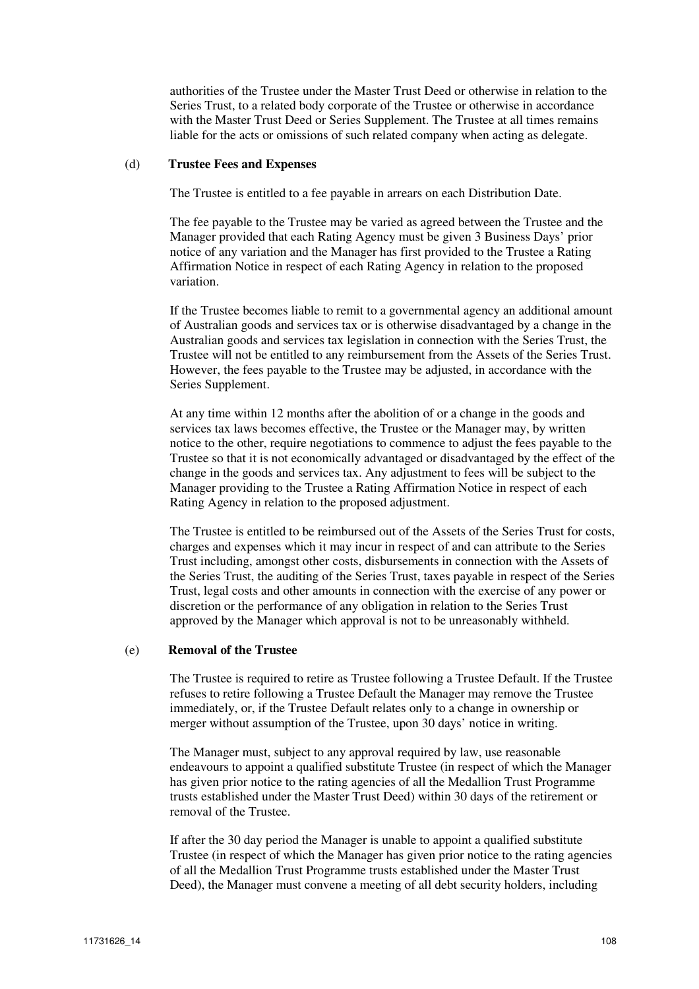authorities of the Trustee under the Master Trust Deed or otherwise in relation to the Series Trust, to a related body corporate of the Trustee or otherwise in accordance with the Master Trust Deed or Series Supplement. The Trustee at all times remains liable for the acts or omissions of such related company when acting as delegate.

#### (d) **Trustee Fees and Expenses**

The Trustee is entitled to a fee payable in arrears on each Distribution Date.

The fee payable to the Trustee may be varied as agreed between the Trustee and the Manager provided that each Rating Agency must be given 3 Business Days' prior notice of any variation and the Manager has first provided to the Trustee a Rating Affirmation Notice in respect of each Rating Agency in relation to the proposed variation.

If the Trustee becomes liable to remit to a governmental agency an additional amount of Australian goods and services tax or is otherwise disadvantaged by a change in the Australian goods and services tax legislation in connection with the Series Trust, the Trustee will not be entitled to any reimbursement from the Assets of the Series Trust. However, the fees payable to the Trustee may be adjusted, in accordance with the Series Supplement.

At any time within 12 months after the abolition of or a change in the goods and services tax laws becomes effective, the Trustee or the Manager may, by written notice to the other, require negotiations to commence to adjust the fees payable to the Trustee so that it is not economically advantaged or disadvantaged by the effect of the change in the goods and services tax. Any adjustment to fees will be subject to the Manager providing to the Trustee a Rating Affirmation Notice in respect of each Rating Agency in relation to the proposed adjustment.

The Trustee is entitled to be reimbursed out of the Assets of the Series Trust for costs, charges and expenses which it may incur in respect of and can attribute to the Series Trust including, amongst other costs, disbursements in connection with the Assets of the Series Trust, the auditing of the Series Trust, taxes payable in respect of the Series Trust, legal costs and other amounts in connection with the exercise of any power or discretion or the performance of any obligation in relation to the Series Trust approved by the Manager which approval is not to be unreasonably withheld.

#### (e) **Removal of the Trustee**

The Trustee is required to retire as Trustee following a Trustee Default. If the Trustee refuses to retire following a Trustee Default the Manager may remove the Trustee immediately, or, if the Trustee Default relates only to a change in ownership or merger without assumption of the Trustee, upon 30 days' notice in writing.

The Manager must, subject to any approval required by law, use reasonable endeavours to appoint a qualified substitute Trustee (in respect of which the Manager has given prior notice to the rating agencies of all the Medallion Trust Programme trusts established under the Master Trust Deed) within 30 days of the retirement or removal of the Trustee.

If after the 30 day period the Manager is unable to appoint a qualified substitute Trustee (in respect of which the Manager has given prior notice to the rating agencies of all the Medallion Trust Programme trusts established under the Master Trust Deed), the Manager must convene a meeting of all debt security holders, including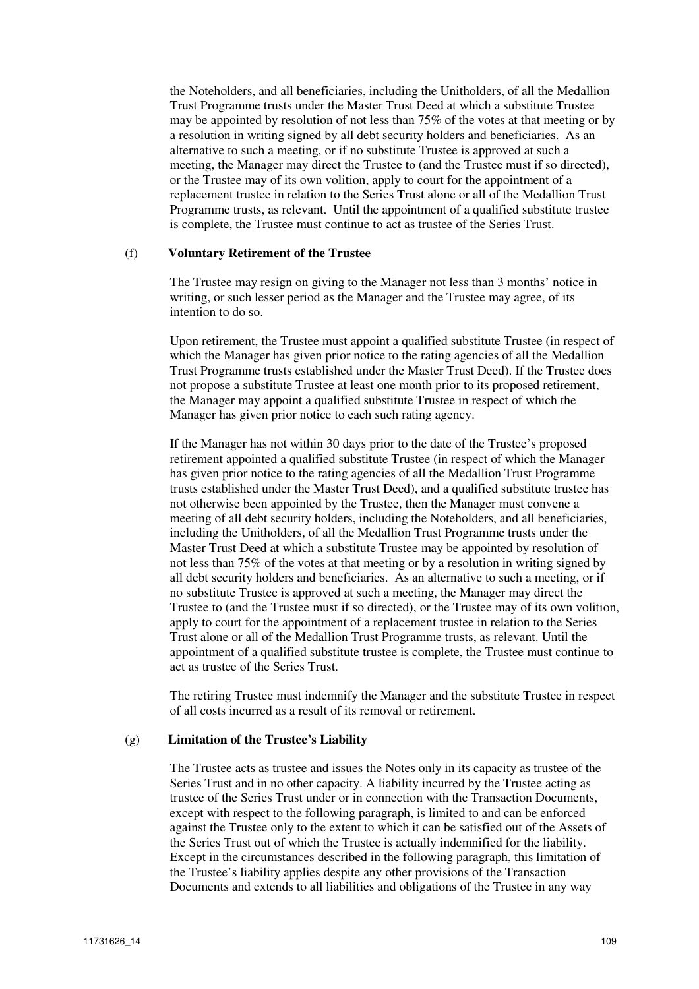the Noteholders, and all beneficiaries, including the Unitholders, of all the Medallion Trust Programme trusts under the Master Trust Deed at which a substitute Trustee may be appointed by resolution of not less than 75% of the votes at that meeting or by a resolution in writing signed by all debt security holders and beneficiaries. As an alternative to such a meeting, or if no substitute Trustee is approved at such a meeting, the Manager may direct the Trustee to (and the Trustee must if so directed), or the Trustee may of its own volition, apply to court for the appointment of a replacement trustee in relation to the Series Trust alone or all of the Medallion Trust Programme trusts, as relevant. Until the appointment of a qualified substitute trustee is complete, the Trustee must continue to act as trustee of the Series Trust.

#### (f) **Voluntary Retirement of the Trustee**

The Trustee may resign on giving to the Manager not less than 3 months' notice in writing, or such lesser period as the Manager and the Trustee may agree, of its intention to do so.

Upon retirement, the Trustee must appoint a qualified substitute Trustee (in respect of which the Manager has given prior notice to the rating agencies of all the Medallion Trust Programme trusts established under the Master Trust Deed). If the Trustee does not propose a substitute Trustee at least one month prior to its proposed retirement, the Manager may appoint a qualified substitute Trustee in respect of which the Manager has given prior notice to each such rating agency.

If the Manager has not within 30 days prior to the date of the Trustee's proposed retirement appointed a qualified substitute Trustee (in respect of which the Manager has given prior notice to the rating agencies of all the Medallion Trust Programme trusts established under the Master Trust Deed), and a qualified substitute trustee has not otherwise been appointed by the Trustee, then the Manager must convene a meeting of all debt security holders, including the Noteholders, and all beneficiaries, including the Unitholders, of all the Medallion Trust Programme trusts under the Master Trust Deed at which a substitute Trustee may be appointed by resolution of not less than 75% of the votes at that meeting or by a resolution in writing signed by all debt security holders and beneficiaries. As an alternative to such a meeting, or if no substitute Trustee is approved at such a meeting, the Manager may direct the Trustee to (and the Trustee must if so directed), or the Trustee may of its own volition, apply to court for the appointment of a replacement trustee in relation to the Series Trust alone or all of the Medallion Trust Programme trusts, as relevant. Until the appointment of a qualified substitute trustee is complete, the Trustee must continue to act as trustee of the Series Trust.

The retiring Trustee must indemnify the Manager and the substitute Trustee in respect of all costs incurred as a result of its removal or retirement.

## (g) **Limitation of the Trustee's Liability**

The Trustee acts as trustee and issues the Notes only in its capacity as trustee of the Series Trust and in no other capacity. A liability incurred by the Trustee acting as trustee of the Series Trust under or in connection with the Transaction Documents, except with respect to the following paragraph, is limited to and can be enforced against the Trustee only to the extent to which it can be satisfied out of the Assets of the Series Trust out of which the Trustee is actually indemnified for the liability. Except in the circumstances described in the following paragraph, this limitation of the Trustee's liability applies despite any other provisions of the Transaction Documents and extends to all liabilities and obligations of the Trustee in any way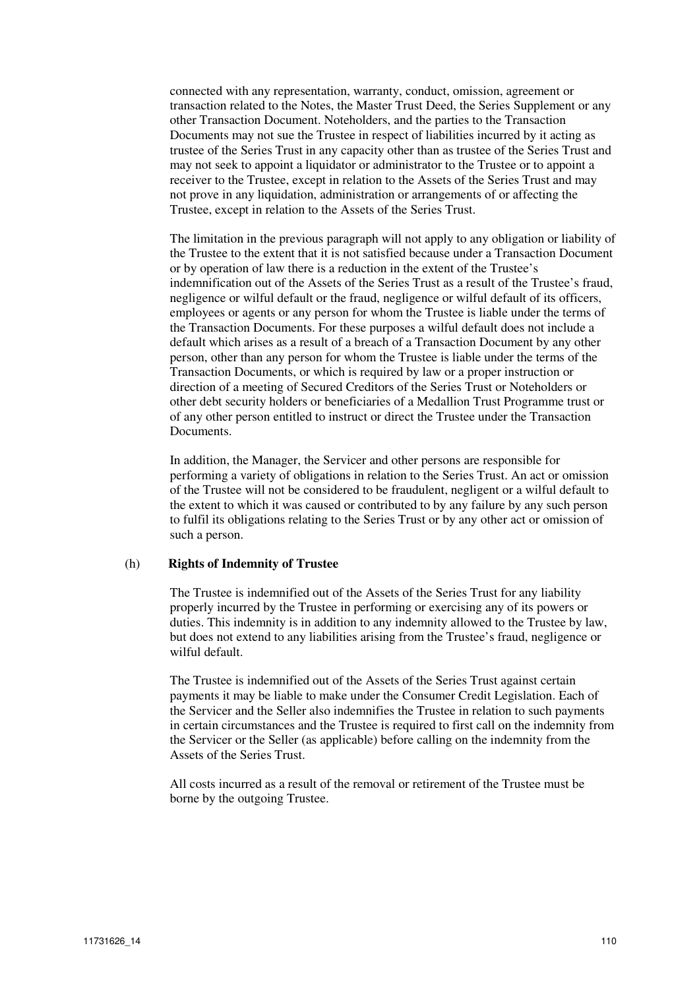connected with any representation, warranty, conduct, omission, agreement or transaction related to the Notes, the Master Trust Deed, the Series Supplement or any other Transaction Document. Noteholders, and the parties to the Transaction Documents may not sue the Trustee in respect of liabilities incurred by it acting as trustee of the Series Trust in any capacity other than as trustee of the Series Trust and may not seek to appoint a liquidator or administrator to the Trustee or to appoint a receiver to the Trustee, except in relation to the Assets of the Series Trust and may not prove in any liquidation, administration or arrangements of or affecting the Trustee, except in relation to the Assets of the Series Trust.

The limitation in the previous paragraph will not apply to any obligation or liability of the Trustee to the extent that it is not satisfied because under a Transaction Document or by operation of law there is a reduction in the extent of the Trustee's indemnification out of the Assets of the Series Trust as a result of the Trustee's fraud, negligence or wilful default or the fraud, negligence or wilful default of its officers, employees or agents or any person for whom the Trustee is liable under the terms of the Transaction Documents. For these purposes a wilful default does not include a default which arises as a result of a breach of a Transaction Document by any other person, other than any person for whom the Trustee is liable under the terms of the Transaction Documents, or which is required by law or a proper instruction or direction of a meeting of Secured Creditors of the Series Trust or Noteholders or other debt security holders or beneficiaries of a Medallion Trust Programme trust or of any other person entitled to instruct or direct the Trustee under the Transaction Documents.

In addition, the Manager, the Servicer and other persons are responsible for performing a variety of obligations in relation to the Series Trust. An act or omission of the Trustee will not be considered to be fraudulent, negligent or a wilful default to the extent to which it was caused or contributed to by any failure by any such person to fulfil its obligations relating to the Series Trust or by any other act or omission of such a person.

#### (h) **Rights of Indemnity of Trustee**

The Trustee is indemnified out of the Assets of the Series Trust for any liability properly incurred by the Trustee in performing or exercising any of its powers or duties. This indemnity is in addition to any indemnity allowed to the Trustee by law, but does not extend to any liabilities arising from the Trustee's fraud, negligence or wilful default.

The Trustee is indemnified out of the Assets of the Series Trust against certain payments it may be liable to make under the Consumer Credit Legislation. Each of the Servicer and the Seller also indemnifies the Trustee in relation to such payments in certain circumstances and the Trustee is required to first call on the indemnity from the Servicer or the Seller (as applicable) before calling on the indemnity from the Assets of the Series Trust.

All costs incurred as a result of the removal or retirement of the Trustee must be borne by the outgoing Trustee.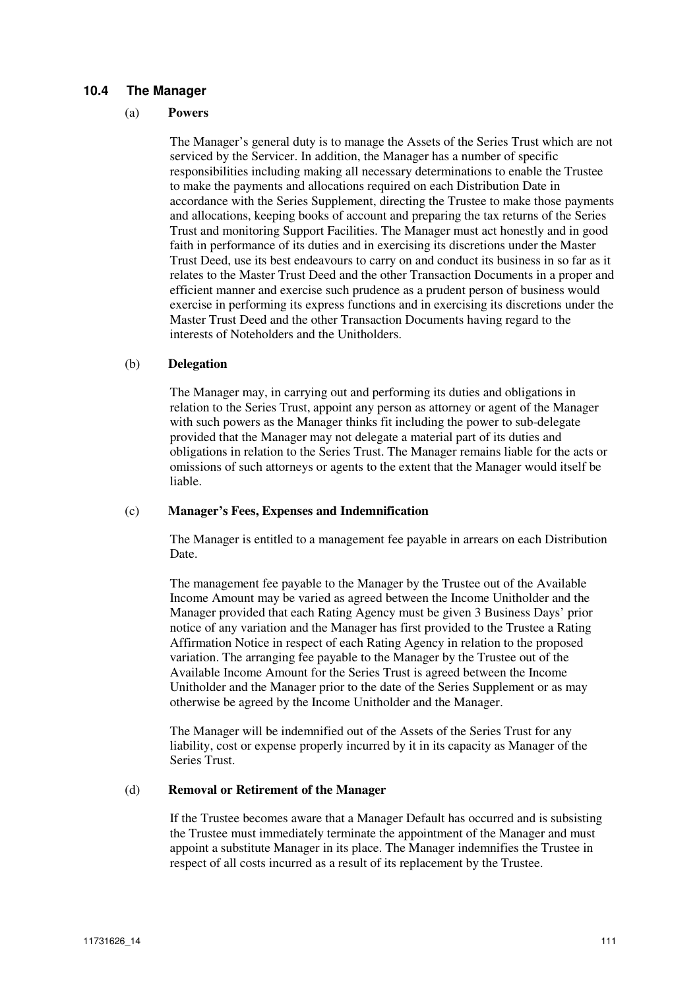## **10.4 The Manager**

#### (a) **Powers**

The Manager's general duty is to manage the Assets of the Series Trust which are not serviced by the Servicer. In addition, the Manager has a number of specific responsibilities including making all necessary determinations to enable the Trustee to make the payments and allocations required on each Distribution Date in accordance with the Series Supplement, directing the Trustee to make those payments and allocations, keeping books of account and preparing the tax returns of the Series Trust and monitoring Support Facilities. The Manager must act honestly and in good faith in performance of its duties and in exercising its discretions under the Master Trust Deed, use its best endeavours to carry on and conduct its business in so far as it relates to the Master Trust Deed and the other Transaction Documents in a proper and efficient manner and exercise such prudence as a prudent person of business would exercise in performing its express functions and in exercising its discretions under the Master Trust Deed and the other Transaction Documents having regard to the interests of Noteholders and the Unitholders.

#### (b) **Delegation**

The Manager may, in carrying out and performing its duties and obligations in relation to the Series Trust, appoint any person as attorney or agent of the Manager with such powers as the Manager thinks fit including the power to sub-delegate provided that the Manager may not delegate a material part of its duties and obligations in relation to the Series Trust. The Manager remains liable for the acts or omissions of such attorneys or agents to the extent that the Manager would itself be liable.

## (c) **Manager's Fees, Expenses and Indemnification**

The Manager is entitled to a management fee payable in arrears on each Distribution Date.

The management fee payable to the Manager by the Trustee out of the Available Income Amount may be varied as agreed between the Income Unitholder and the Manager provided that each Rating Agency must be given 3 Business Days' prior notice of any variation and the Manager has first provided to the Trustee a Rating Affirmation Notice in respect of each Rating Agency in relation to the proposed variation. The arranging fee payable to the Manager by the Trustee out of the Available Income Amount for the Series Trust is agreed between the Income Unitholder and the Manager prior to the date of the Series Supplement or as may otherwise be agreed by the Income Unitholder and the Manager.

The Manager will be indemnified out of the Assets of the Series Trust for any liability, cost or expense properly incurred by it in its capacity as Manager of the Series Trust.

## (d) **Removal or Retirement of the Manager**

If the Trustee becomes aware that a Manager Default has occurred and is subsisting the Trustee must immediately terminate the appointment of the Manager and must appoint a substitute Manager in its place. The Manager indemnifies the Trustee in respect of all costs incurred as a result of its replacement by the Trustee.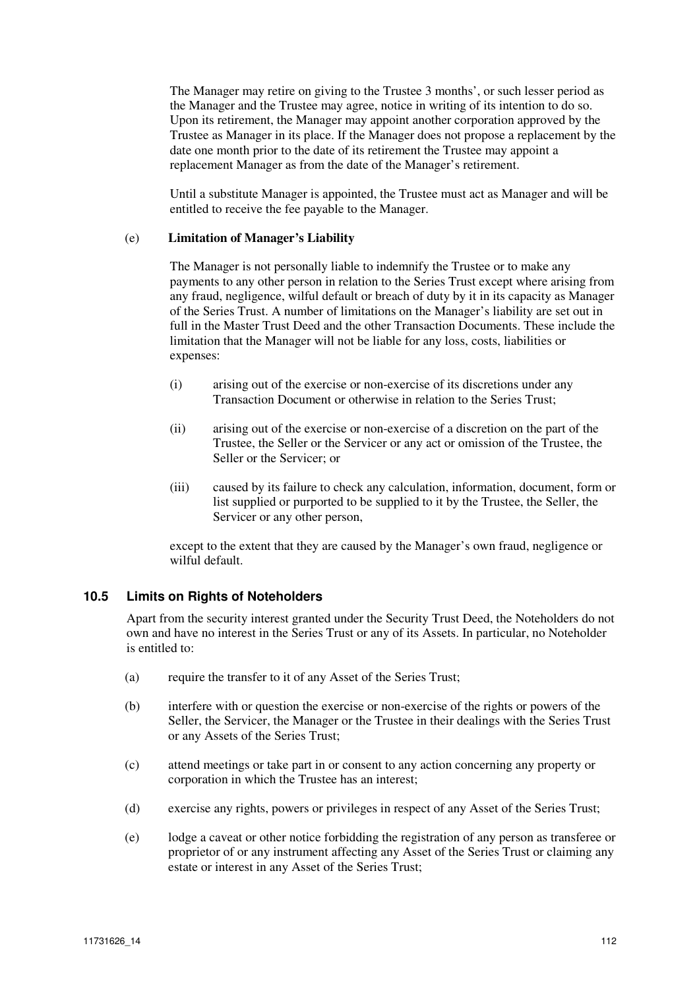The Manager may retire on giving to the Trustee 3 months', or such lesser period as the Manager and the Trustee may agree, notice in writing of its intention to do so. Upon its retirement, the Manager may appoint another corporation approved by the Trustee as Manager in its place. If the Manager does not propose a replacement by the date one month prior to the date of its retirement the Trustee may appoint a replacement Manager as from the date of the Manager's retirement.

Until a substitute Manager is appointed, the Trustee must act as Manager and will be entitled to receive the fee payable to the Manager.

#### (e) **Limitation of Manager's Liability**

The Manager is not personally liable to indemnify the Trustee or to make any payments to any other person in relation to the Series Trust except where arising from any fraud, negligence, wilful default or breach of duty by it in its capacity as Manager of the Series Trust. A number of limitations on the Manager's liability are set out in full in the Master Trust Deed and the other Transaction Documents. These include the limitation that the Manager will not be liable for any loss, costs, liabilities or expenses:

- (i) arising out of the exercise or non-exercise of its discretions under any Transaction Document or otherwise in relation to the Series Trust;
- (ii) arising out of the exercise or non-exercise of a discretion on the part of the Trustee, the Seller or the Servicer or any act or omission of the Trustee, the Seller or the Servicer; or
- (iii) caused by its failure to check any calculation, information, document, form or list supplied or purported to be supplied to it by the Trustee, the Seller, the Servicer or any other person,

except to the extent that they are caused by the Manager's own fraud, negligence or wilful default.

## **10.5 Limits on Rights of Noteholders**

Apart from the security interest granted under the Security Trust Deed, the Noteholders do not own and have no interest in the Series Trust or any of its Assets. In particular, no Noteholder is entitled to:

- (a) require the transfer to it of any Asset of the Series Trust;
- (b) interfere with or question the exercise or non-exercise of the rights or powers of the Seller, the Servicer, the Manager or the Trustee in their dealings with the Series Trust or any Assets of the Series Trust;
- (c) attend meetings or take part in or consent to any action concerning any property or corporation in which the Trustee has an interest;
- (d) exercise any rights, powers or privileges in respect of any Asset of the Series Trust;
- (e) lodge a caveat or other notice forbidding the registration of any person as transferee or proprietor of or any instrument affecting any Asset of the Series Trust or claiming any estate or interest in any Asset of the Series Trust;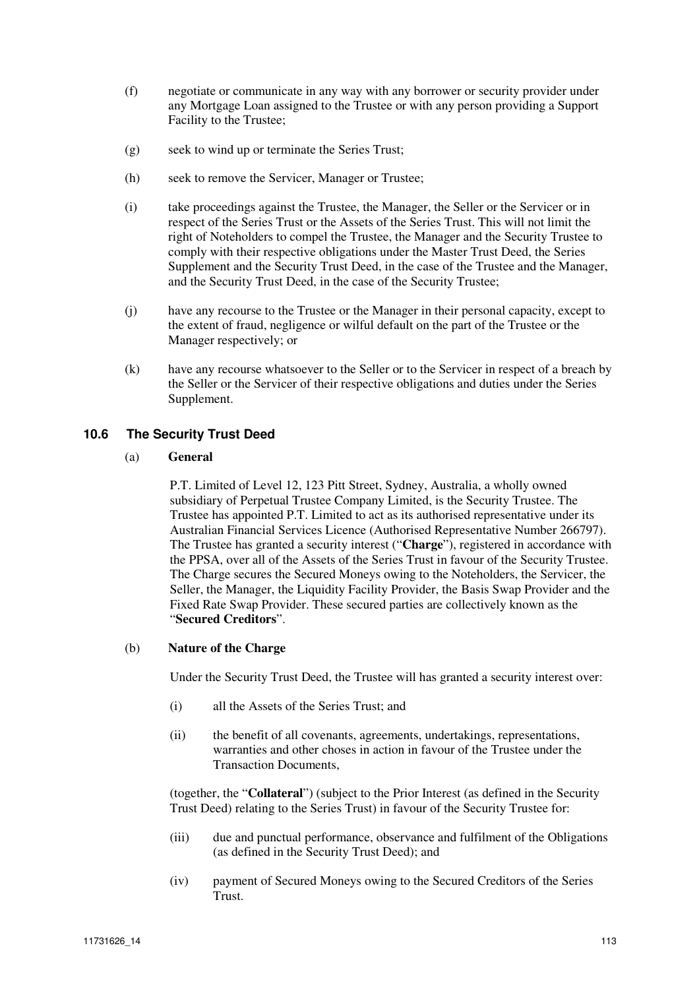- (f) negotiate or communicate in any way with any borrower or security provider under any Mortgage Loan assigned to the Trustee or with any person providing a Support Facility to the Trustee;
- (g) seek to wind up or terminate the Series Trust;
- (h) seek to remove the Servicer, Manager or Trustee;
- (i) take proceedings against the Trustee, the Manager, the Seller or the Servicer or in respect of the Series Trust or the Assets of the Series Trust. This will not limit the right of Noteholders to compel the Trustee, the Manager and the Security Trustee to comply with their respective obligations under the Master Trust Deed, the Series Supplement and the Security Trust Deed, in the case of the Trustee and the Manager, and the Security Trust Deed, in the case of the Security Trustee;
- (j) have any recourse to the Trustee or the Manager in their personal capacity, except to the extent of fraud, negligence or wilful default on the part of the Trustee or the Manager respectively; or
- (k) have any recourse whatsoever to the Seller or to the Servicer in respect of a breach by the Seller or the Servicer of their respective obligations and duties under the Series Supplement.

# **10.6 The Security Trust Deed**

## (a) **General**

P.T. Limited of Level 12, 123 Pitt Street, Sydney, Australia, a wholly owned subsidiary of Perpetual Trustee Company Limited, is the Security Trustee. The Trustee has appointed P.T. Limited to act as its authorised representative under its Australian Financial Services Licence (Authorised Representative Number 266797). The Trustee has granted a security interest ("**Charge**"), registered in accordance with the PPSA, over all of the Assets of the Series Trust in favour of the Security Trustee. The Charge secures the Secured Moneys owing to the Noteholders, the Servicer, the Seller, the Manager, the Liquidity Facility Provider, the Basis Swap Provider and the Fixed Rate Swap Provider. These secured parties are collectively known as the "**Secured Creditors**".

# (b) **Nature of the Charge**

Under the Security Trust Deed, the Trustee will has granted a security interest over:

- (i) all the Assets of the Series Trust; and
- (ii) the benefit of all covenants, agreements, undertakings, representations, warranties and other choses in action in favour of the Trustee under the Transaction Documents,

(together, the "**Collateral**") (subject to the Prior Interest (as defined in the Security Trust Deed) relating to the Series Trust) in favour of the Security Trustee for:

- (iii) due and punctual performance, observance and fulfilment of the Obligations (as defined in the Security Trust Deed); and
- (iv) payment of Secured Moneys owing to the Secured Creditors of the Series Trust.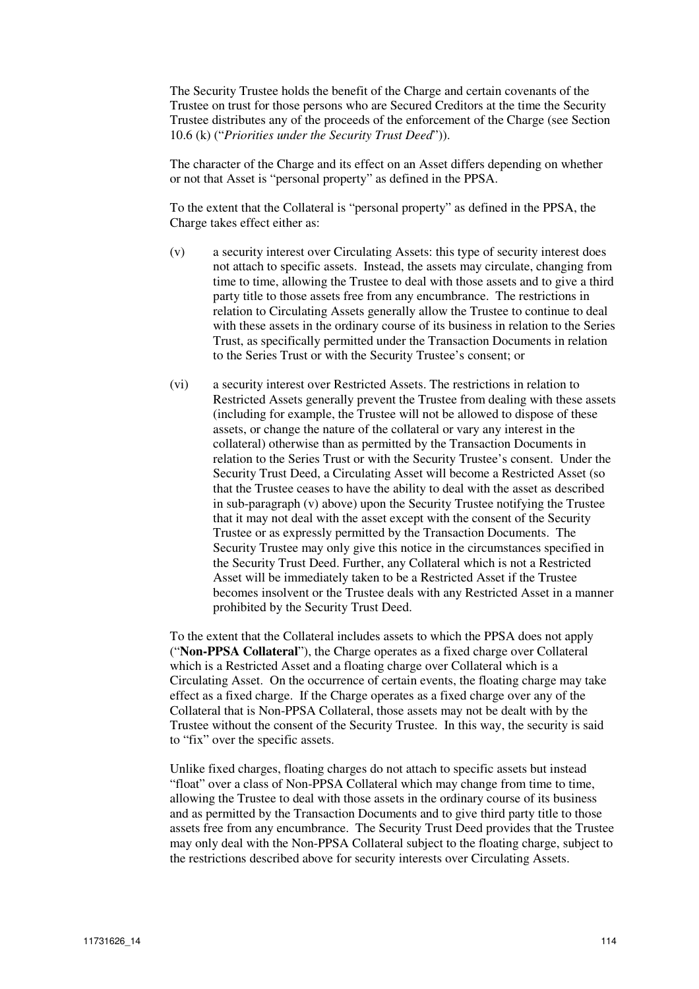The Security Trustee holds the benefit of the Charge and certain covenants of the Trustee on trust for those persons who are Secured Creditors at the time the Security Trustee distributes any of the proceeds of the enforcement of the Charge (see Section 10.6 (k) ("*Priorities under the Security Trust Deed*")).

The character of the Charge and its effect on an Asset differs depending on whether or not that Asset is "personal property" as defined in the PPSA.

To the extent that the Collateral is "personal property" as defined in the PPSA, the Charge takes effect either as:

- (v) a security interest over Circulating Assets: this type of security interest does not attach to specific assets. Instead, the assets may circulate, changing from time to time, allowing the Trustee to deal with those assets and to give a third party title to those assets free from any encumbrance. The restrictions in relation to Circulating Assets generally allow the Trustee to continue to deal with these assets in the ordinary course of its business in relation to the Series Trust, as specifically permitted under the Transaction Documents in relation to the Series Trust or with the Security Trustee's consent; or
- (vi) a security interest over Restricted Assets. The restrictions in relation to Restricted Assets generally prevent the Trustee from dealing with these assets (including for example, the Trustee will not be allowed to dispose of these assets, or change the nature of the collateral or vary any interest in the collateral) otherwise than as permitted by the Transaction Documents in relation to the Series Trust or with the Security Trustee's consent. Under the Security Trust Deed, a Circulating Asset will become a Restricted Asset (so that the Trustee ceases to have the ability to deal with the asset as described in sub-paragraph (v) above) upon the Security Trustee notifying the Trustee that it may not deal with the asset except with the consent of the Security Trustee or as expressly permitted by the Transaction Documents. The Security Trustee may only give this notice in the circumstances specified in the Security Trust Deed. Further, any Collateral which is not a Restricted Asset will be immediately taken to be a Restricted Asset if the Trustee becomes insolvent or the Trustee deals with any Restricted Asset in a manner prohibited by the Security Trust Deed.

To the extent that the Collateral includes assets to which the PPSA does not apply ("**Non-PPSA Collateral**"), the Charge operates as a fixed charge over Collateral which is a Restricted Asset and a floating charge over Collateral which is a Circulating Asset. On the occurrence of certain events, the floating charge may take effect as a fixed charge. If the Charge operates as a fixed charge over any of the Collateral that is Non-PPSA Collateral, those assets may not be dealt with by the Trustee without the consent of the Security Trustee. In this way, the security is said to "fix" over the specific assets.

Unlike fixed charges, floating charges do not attach to specific assets but instead "float" over a class of Non-PPSA Collateral which may change from time to time, allowing the Trustee to deal with those assets in the ordinary course of its business and as permitted by the Transaction Documents and to give third party title to those assets free from any encumbrance. The Security Trust Deed provides that the Trustee may only deal with the Non-PPSA Collateral subject to the floating charge, subject to the restrictions described above for security interests over Circulating Assets.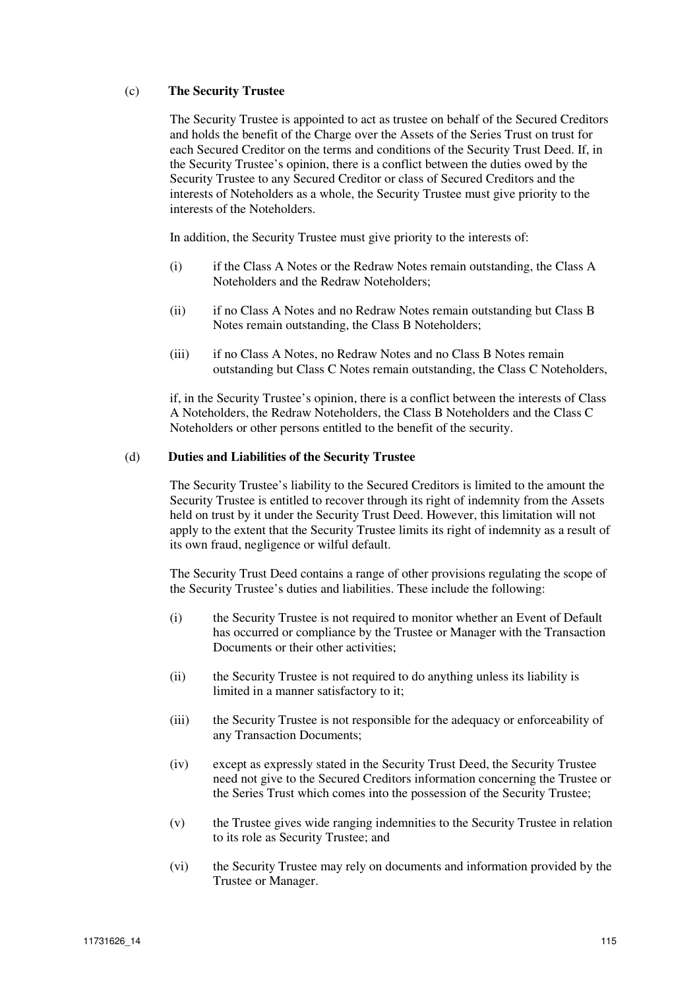## (c) **The Security Trustee**

The Security Trustee is appointed to act as trustee on behalf of the Secured Creditors and holds the benefit of the Charge over the Assets of the Series Trust on trust for each Secured Creditor on the terms and conditions of the Security Trust Deed. If, in the Security Trustee's opinion, there is a conflict between the duties owed by the Security Trustee to any Secured Creditor or class of Secured Creditors and the interests of Noteholders as a whole, the Security Trustee must give priority to the interests of the Noteholders.

In addition, the Security Trustee must give priority to the interests of:

- (i) if the Class A Notes or the Redraw Notes remain outstanding, the Class A Noteholders and the Redraw Noteholders;
- (ii) if no Class A Notes and no Redraw Notes remain outstanding but Class B Notes remain outstanding, the Class B Noteholders;
- (iii) if no Class A Notes, no Redraw Notes and no Class B Notes remain outstanding but Class C Notes remain outstanding, the Class C Noteholders,

if, in the Security Trustee's opinion, there is a conflict between the interests of Class A Noteholders, the Redraw Noteholders, the Class B Noteholders and the Class C Noteholders or other persons entitled to the benefit of the security.

#### (d) **Duties and Liabilities of the Security Trustee**

The Security Trustee's liability to the Secured Creditors is limited to the amount the Security Trustee is entitled to recover through its right of indemnity from the Assets held on trust by it under the Security Trust Deed. However, this limitation will not apply to the extent that the Security Trustee limits its right of indemnity as a result of its own fraud, negligence or wilful default.

The Security Trust Deed contains a range of other provisions regulating the scope of the Security Trustee's duties and liabilities. These include the following:

- (i) the Security Trustee is not required to monitor whether an Event of Default has occurred or compliance by the Trustee or Manager with the Transaction Documents or their other activities;
- (ii) the Security Trustee is not required to do anything unless its liability is limited in a manner satisfactory to it;
- (iii) the Security Trustee is not responsible for the adequacy or enforceability of any Transaction Documents;
- (iv) except as expressly stated in the Security Trust Deed, the Security Trustee need not give to the Secured Creditors information concerning the Trustee or the Series Trust which comes into the possession of the Security Trustee;
- (v) the Trustee gives wide ranging indemnities to the Security Trustee in relation to its role as Security Trustee; and
- (vi) the Security Trustee may rely on documents and information provided by the Trustee or Manager.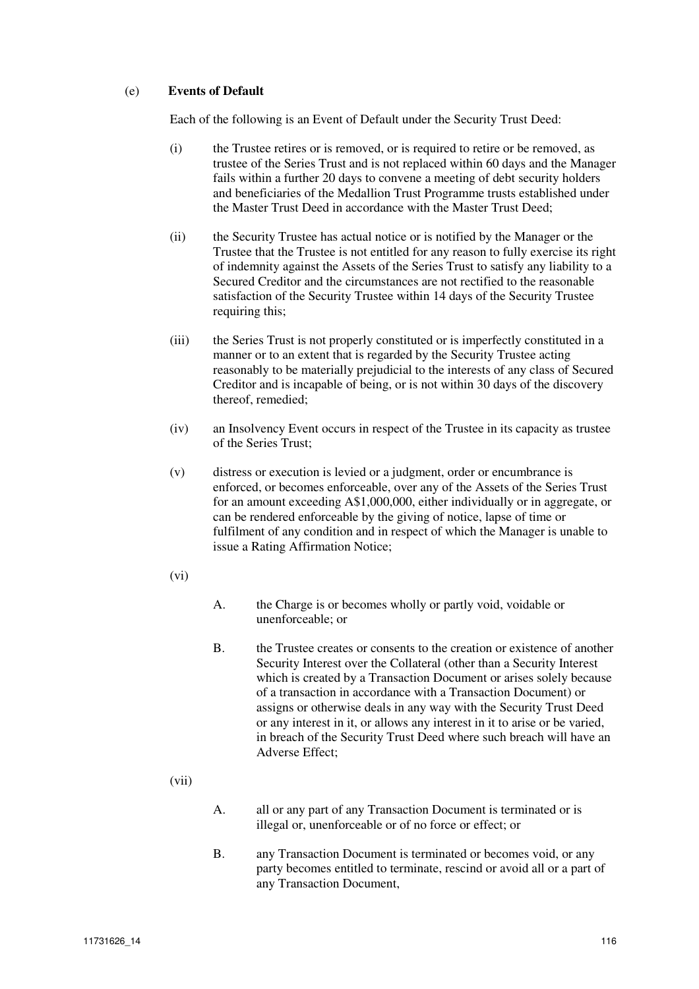## (e) **Events of Default**

Each of the following is an Event of Default under the Security Trust Deed:

- (i) the Trustee retires or is removed, or is required to retire or be removed, as trustee of the Series Trust and is not replaced within 60 days and the Manager fails within a further 20 days to convene a meeting of debt security holders and beneficiaries of the Medallion Trust Programme trusts established under the Master Trust Deed in accordance with the Master Trust Deed;
- (ii) the Security Trustee has actual notice or is notified by the Manager or the Trustee that the Trustee is not entitled for any reason to fully exercise its right of indemnity against the Assets of the Series Trust to satisfy any liability to a Secured Creditor and the circumstances are not rectified to the reasonable satisfaction of the Security Trustee within 14 days of the Security Trustee requiring this;
- (iii) the Series Trust is not properly constituted or is imperfectly constituted in a manner or to an extent that is regarded by the Security Trustee acting reasonably to be materially prejudicial to the interests of any class of Secured Creditor and is incapable of being, or is not within 30 days of the discovery thereof, remedied;
- (iv) an Insolvency Event occurs in respect of the Trustee in its capacity as trustee of the Series Trust;
- (v) distress or execution is levied or a judgment, order or encumbrance is enforced, or becomes enforceable, over any of the Assets of the Series Trust for an amount exceeding A\$1,000,000, either individually or in aggregate, or can be rendered enforceable by the giving of notice, lapse of time or fulfilment of any condition and in respect of which the Manager is unable to issue a Rating Affirmation Notice;
- (vi)
- A. the Charge is or becomes wholly or partly void, voidable or unenforceable; or
- B. the Trustee creates or consents to the creation or existence of another Security Interest over the Collateral (other than a Security Interest which is created by a Transaction Document or arises solely because of a transaction in accordance with a Transaction Document) or assigns or otherwise deals in any way with the Security Trust Deed or any interest in it, or allows any interest in it to arise or be varied, in breach of the Security Trust Deed where such breach will have an Adverse Effect;
- (vii)
- A. all or any part of any Transaction Document is terminated or is illegal or, unenforceable or of no force or effect; or
- B. any Transaction Document is terminated or becomes void, or any party becomes entitled to terminate, rescind or avoid all or a part of any Transaction Document,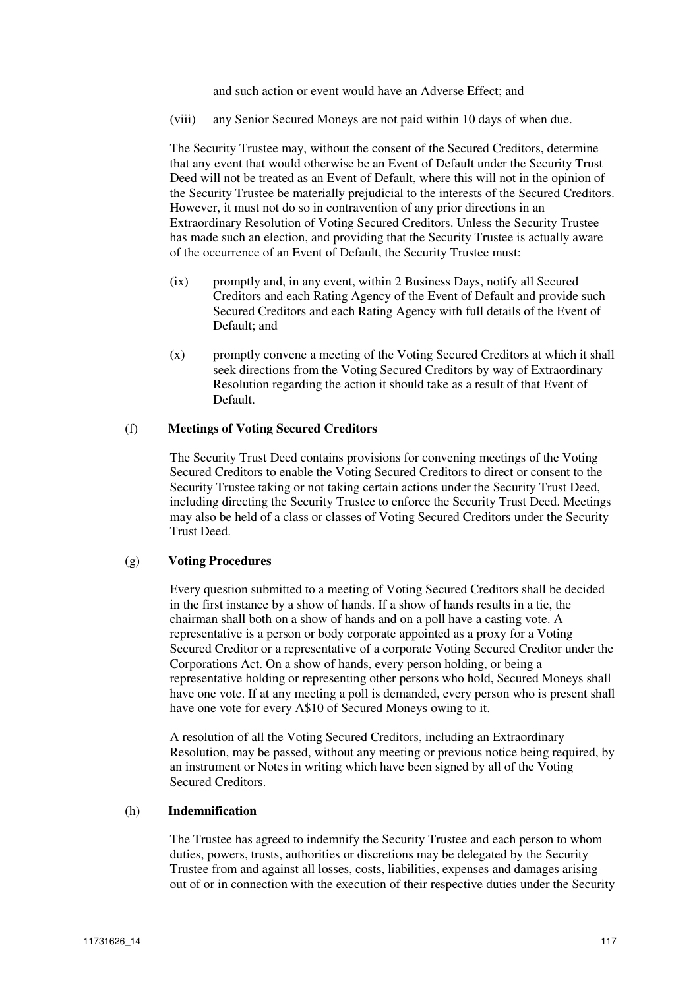and such action or event would have an Adverse Effect; and

(viii) any Senior Secured Moneys are not paid within 10 days of when due.

The Security Trustee may, without the consent of the Secured Creditors, determine that any event that would otherwise be an Event of Default under the Security Trust Deed will not be treated as an Event of Default, where this will not in the opinion of the Security Trustee be materially prejudicial to the interests of the Secured Creditors. However, it must not do so in contravention of any prior directions in an Extraordinary Resolution of Voting Secured Creditors. Unless the Security Trustee has made such an election, and providing that the Security Trustee is actually aware of the occurrence of an Event of Default, the Security Trustee must:

- (ix) promptly and, in any event, within 2 Business Days, notify all Secured Creditors and each Rating Agency of the Event of Default and provide such Secured Creditors and each Rating Agency with full details of the Event of Default; and
- (x) promptly convene a meeting of the Voting Secured Creditors at which it shall seek directions from the Voting Secured Creditors by way of Extraordinary Resolution regarding the action it should take as a result of that Event of Default.

#### (f) **Meetings of Voting Secured Creditors**

The Security Trust Deed contains provisions for convening meetings of the Voting Secured Creditors to enable the Voting Secured Creditors to direct or consent to the Security Trustee taking or not taking certain actions under the Security Trust Deed, including directing the Security Trustee to enforce the Security Trust Deed. Meetings may also be held of a class or classes of Voting Secured Creditors under the Security Trust Deed.

## (g) **Voting Procedures**

Every question submitted to a meeting of Voting Secured Creditors shall be decided in the first instance by a show of hands. If a show of hands results in a tie, the chairman shall both on a show of hands and on a poll have a casting vote. A representative is a person or body corporate appointed as a proxy for a Voting Secured Creditor or a representative of a corporate Voting Secured Creditor under the Corporations Act. On a show of hands, every person holding, or being a representative holding or representing other persons who hold, Secured Moneys shall have one vote. If at any meeting a poll is demanded, every person who is present shall have one vote for every A\$10 of Secured Moneys owing to it.

A resolution of all the Voting Secured Creditors, including an Extraordinary Resolution, may be passed, without any meeting or previous notice being required, by an instrument or Notes in writing which have been signed by all of the Voting Secured Creditors.

#### (h) **Indemnification**

The Trustee has agreed to indemnify the Security Trustee and each person to whom duties, powers, trusts, authorities or discretions may be delegated by the Security Trustee from and against all losses, costs, liabilities, expenses and damages arising out of or in connection with the execution of their respective duties under the Security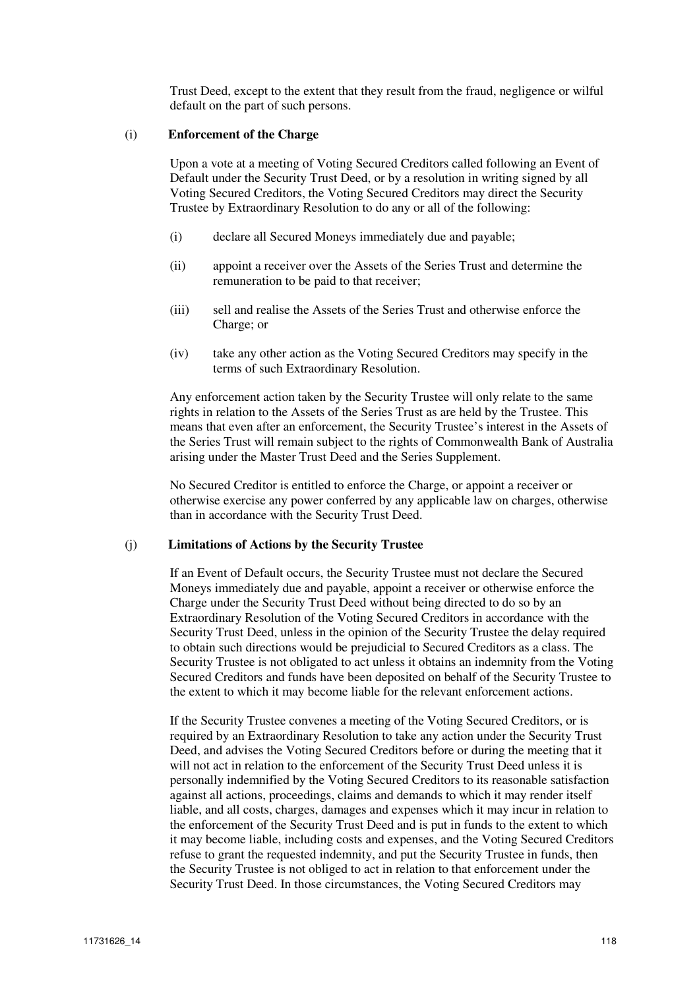Trust Deed, except to the extent that they result from the fraud, negligence or wilful default on the part of such persons.

#### (i) **Enforcement of the Charge**

Upon a vote at a meeting of Voting Secured Creditors called following an Event of Default under the Security Trust Deed, or by a resolution in writing signed by all Voting Secured Creditors, the Voting Secured Creditors may direct the Security Trustee by Extraordinary Resolution to do any or all of the following:

- (i) declare all Secured Moneys immediately due and payable;
- (ii) appoint a receiver over the Assets of the Series Trust and determine the remuneration to be paid to that receiver;
- (iii) sell and realise the Assets of the Series Trust and otherwise enforce the Charge; or
- (iv) take any other action as the Voting Secured Creditors may specify in the terms of such Extraordinary Resolution.

Any enforcement action taken by the Security Trustee will only relate to the same rights in relation to the Assets of the Series Trust as are held by the Trustee. This means that even after an enforcement, the Security Trustee's interest in the Assets of the Series Trust will remain subject to the rights of Commonwealth Bank of Australia arising under the Master Trust Deed and the Series Supplement.

No Secured Creditor is entitled to enforce the Charge, or appoint a receiver or otherwise exercise any power conferred by any applicable law on charges, otherwise than in accordance with the Security Trust Deed.

#### (j) **Limitations of Actions by the Security Trustee**

If an Event of Default occurs, the Security Trustee must not declare the Secured Moneys immediately due and payable, appoint a receiver or otherwise enforce the Charge under the Security Trust Deed without being directed to do so by an Extraordinary Resolution of the Voting Secured Creditors in accordance with the Security Trust Deed, unless in the opinion of the Security Trustee the delay required to obtain such directions would be prejudicial to Secured Creditors as a class. The Security Trustee is not obligated to act unless it obtains an indemnity from the Voting Secured Creditors and funds have been deposited on behalf of the Security Trustee to the extent to which it may become liable for the relevant enforcement actions.

If the Security Trustee convenes a meeting of the Voting Secured Creditors, or is required by an Extraordinary Resolution to take any action under the Security Trust Deed, and advises the Voting Secured Creditors before or during the meeting that it will not act in relation to the enforcement of the Security Trust Deed unless it is personally indemnified by the Voting Secured Creditors to its reasonable satisfaction against all actions, proceedings, claims and demands to which it may render itself liable, and all costs, charges, damages and expenses which it may incur in relation to the enforcement of the Security Trust Deed and is put in funds to the extent to which it may become liable, including costs and expenses, and the Voting Secured Creditors refuse to grant the requested indemnity, and put the Security Trustee in funds, then the Security Trustee is not obliged to act in relation to that enforcement under the Security Trust Deed. In those circumstances, the Voting Secured Creditors may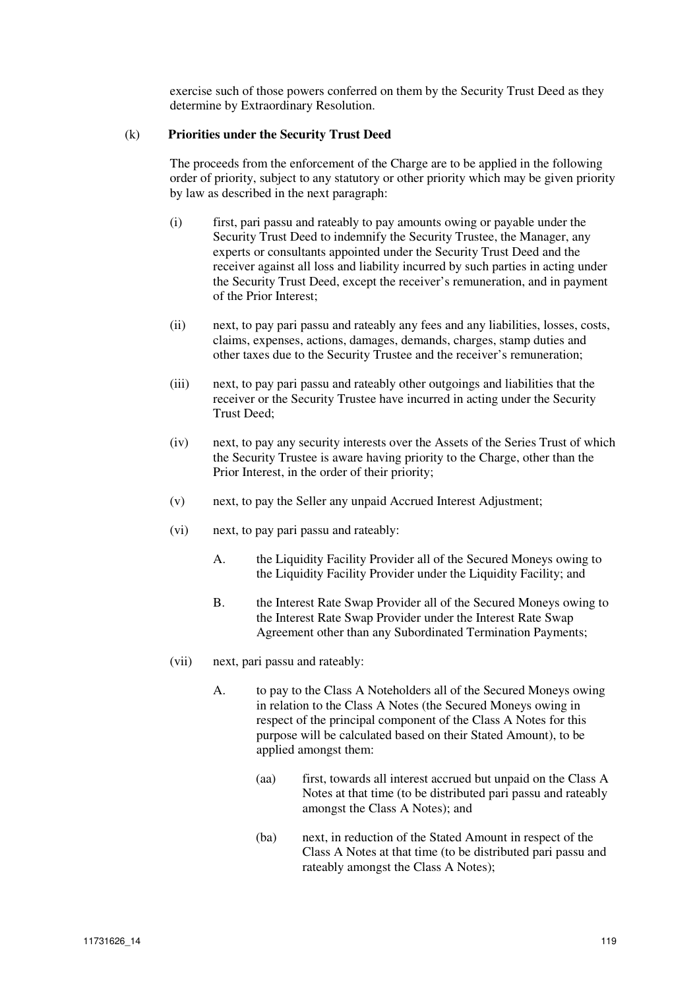exercise such of those powers conferred on them by the Security Trust Deed as they determine by Extraordinary Resolution.

#### (k) **Priorities under the Security Trust Deed**

The proceeds from the enforcement of the Charge are to be applied in the following order of priority, subject to any statutory or other priority which may be given priority by law as described in the next paragraph:

- (i) first, pari passu and rateably to pay amounts owing or payable under the Security Trust Deed to indemnify the Security Trustee, the Manager, any experts or consultants appointed under the Security Trust Deed and the receiver against all loss and liability incurred by such parties in acting under the Security Trust Deed, except the receiver's remuneration, and in payment of the Prior Interest;
- (ii) next, to pay pari passu and rateably any fees and any liabilities, losses, costs, claims, expenses, actions, damages, demands, charges, stamp duties and other taxes due to the Security Trustee and the receiver's remuneration;
- (iii) next, to pay pari passu and rateably other outgoings and liabilities that the receiver or the Security Trustee have incurred in acting under the Security Trust Deed;
- (iv) next, to pay any security interests over the Assets of the Series Trust of which the Security Trustee is aware having priority to the Charge, other than the Prior Interest, in the order of their priority;
- (v) next, to pay the Seller any unpaid Accrued Interest Adjustment;
- (vi) next, to pay pari passu and rateably:
	- A. the Liquidity Facility Provider all of the Secured Moneys owing to the Liquidity Facility Provider under the Liquidity Facility; and
	- B. the Interest Rate Swap Provider all of the Secured Moneys owing to the Interest Rate Swap Provider under the Interest Rate Swap Agreement other than any Subordinated Termination Payments;
- (vii) next, pari passu and rateably:
	- A. to pay to the Class A Noteholders all of the Secured Moneys owing in relation to the Class A Notes (the Secured Moneys owing in respect of the principal component of the Class A Notes for this purpose will be calculated based on their Stated Amount), to be applied amongst them:
		- (aa) first, towards all interest accrued but unpaid on the Class A Notes at that time (to be distributed pari passu and rateably amongst the Class A Notes); and
		- (ba) next, in reduction of the Stated Amount in respect of the Class A Notes at that time (to be distributed pari passu and rateably amongst the Class A Notes);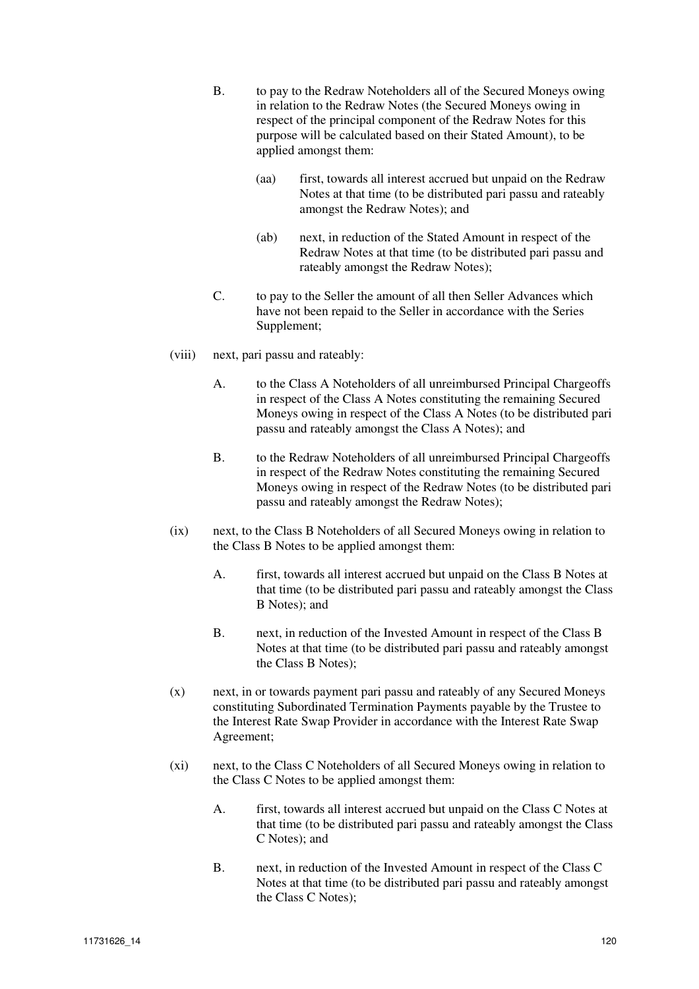- B. to pay to the Redraw Noteholders all of the Secured Moneys owing in relation to the Redraw Notes (the Secured Moneys owing in respect of the principal component of the Redraw Notes for this purpose will be calculated based on their Stated Amount), to be applied amongst them:
	- (aa) first, towards all interest accrued but unpaid on the Redraw Notes at that time (to be distributed pari passu and rateably amongst the Redraw Notes); and
	- (ab) next, in reduction of the Stated Amount in respect of the Redraw Notes at that time (to be distributed pari passu and rateably amongst the Redraw Notes);
- C. to pay to the Seller the amount of all then Seller Advances which have not been repaid to the Seller in accordance with the Series Supplement;
- (viii) next, pari passu and rateably:
	- A. to the Class A Noteholders of all unreimbursed Principal Chargeoffs in respect of the Class A Notes constituting the remaining Secured Moneys owing in respect of the Class A Notes (to be distributed pari passu and rateably amongst the Class A Notes); and
	- B. to the Redraw Noteholders of all unreimbursed Principal Chargeoffs in respect of the Redraw Notes constituting the remaining Secured Moneys owing in respect of the Redraw Notes (to be distributed pari passu and rateably amongst the Redraw Notes);
- (ix) next, to the Class B Noteholders of all Secured Moneys owing in relation to the Class B Notes to be applied amongst them:
	- A. first, towards all interest accrued but unpaid on the Class B Notes at that time (to be distributed pari passu and rateably amongst the Class B Notes); and
	- B. next, in reduction of the Invested Amount in respect of the Class B Notes at that time (to be distributed pari passu and rateably amongst the Class B Notes);
- (x) next, in or towards payment pari passu and rateably of any Secured Moneys constituting Subordinated Termination Payments payable by the Trustee to the Interest Rate Swap Provider in accordance with the Interest Rate Swap Agreement;
- (xi) next, to the Class C Noteholders of all Secured Moneys owing in relation to the Class C Notes to be applied amongst them:
	- A. first, towards all interest accrued but unpaid on the Class C Notes at that time (to be distributed pari passu and rateably amongst the Class C Notes); and
	- B. next, in reduction of the Invested Amount in respect of the Class C Notes at that time (to be distributed pari passu and rateably amongst the Class C Notes);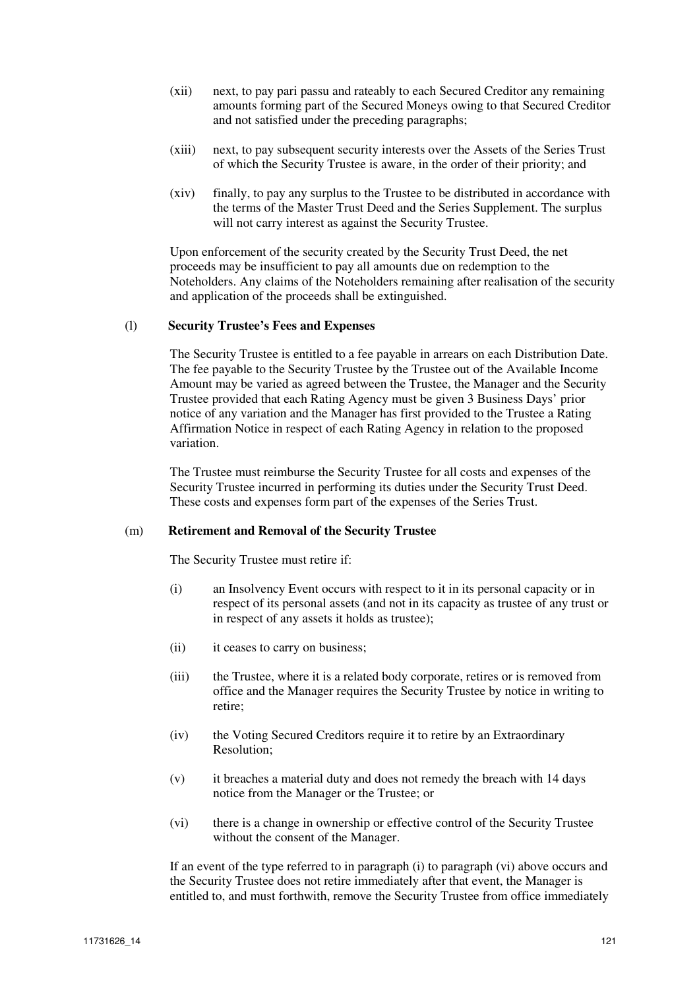- (xii) next, to pay pari passu and rateably to each Secured Creditor any remaining amounts forming part of the Secured Moneys owing to that Secured Creditor and not satisfied under the preceding paragraphs;
- (xiii) next, to pay subsequent security interests over the Assets of the Series Trust of which the Security Trustee is aware, in the order of their priority; and
- (xiv) finally, to pay any surplus to the Trustee to be distributed in accordance with the terms of the Master Trust Deed and the Series Supplement. The surplus will not carry interest as against the Security Trustee.

Upon enforcement of the security created by the Security Trust Deed, the net proceeds may be insufficient to pay all amounts due on redemption to the Noteholders. Any claims of the Noteholders remaining after realisation of the security and application of the proceeds shall be extinguished.

#### (l) **Security Trustee's Fees and Expenses**

The Security Trustee is entitled to a fee payable in arrears on each Distribution Date. The fee payable to the Security Trustee by the Trustee out of the Available Income Amount may be varied as agreed between the Trustee, the Manager and the Security Trustee provided that each Rating Agency must be given 3 Business Days' prior notice of any variation and the Manager has first provided to the Trustee a Rating Affirmation Notice in respect of each Rating Agency in relation to the proposed variation.

The Trustee must reimburse the Security Trustee for all costs and expenses of the Security Trustee incurred in performing its duties under the Security Trust Deed. These costs and expenses form part of the expenses of the Series Trust.

#### (m) **Retirement and Removal of the Security Trustee**

The Security Trustee must retire if:

- (i) an Insolvency Event occurs with respect to it in its personal capacity or in respect of its personal assets (and not in its capacity as trustee of any trust or in respect of any assets it holds as trustee);
- (ii) it ceases to carry on business;
- (iii) the Trustee, where it is a related body corporate, retires or is removed from office and the Manager requires the Security Trustee by notice in writing to retire;
- (iv) the Voting Secured Creditors require it to retire by an Extraordinary Resolution;
- (v) it breaches a material duty and does not remedy the breach with 14 days notice from the Manager or the Trustee; or
- (vi) there is a change in ownership or effective control of the Security Trustee without the consent of the Manager.

If an event of the type referred to in paragraph (i) to paragraph (vi) above occurs and the Security Trustee does not retire immediately after that event, the Manager is entitled to, and must forthwith, remove the Security Trustee from office immediately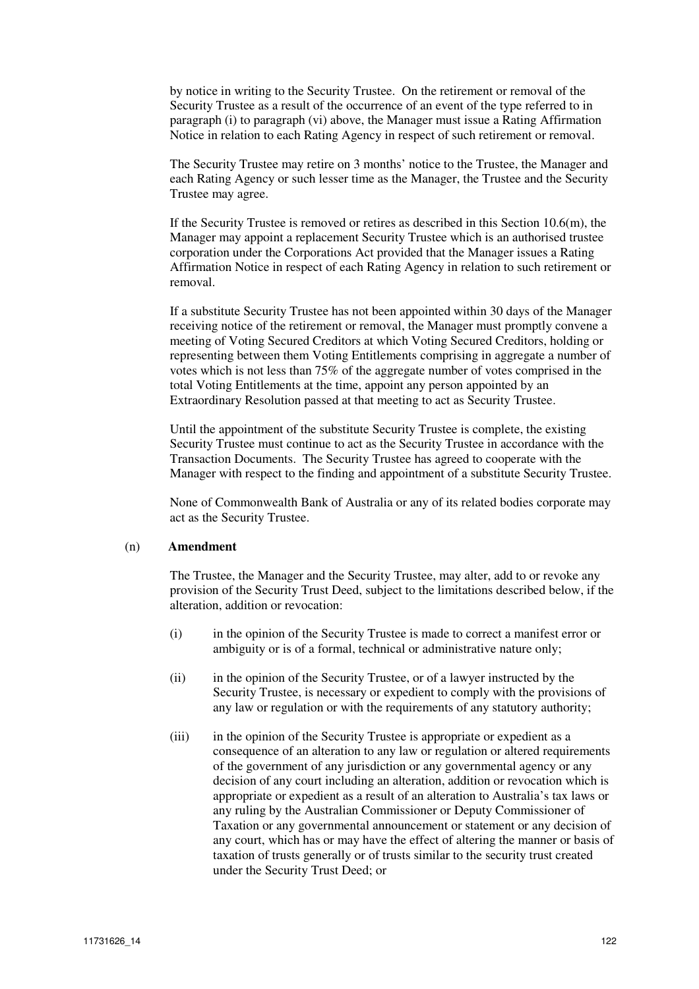by notice in writing to the Security Trustee. On the retirement or removal of the Security Trustee as a result of the occurrence of an event of the type referred to in paragraph (i) to paragraph (vi) above, the Manager must issue a Rating Affirmation Notice in relation to each Rating Agency in respect of such retirement or removal.

The Security Trustee may retire on 3 months' notice to the Trustee, the Manager and each Rating Agency or such lesser time as the Manager, the Trustee and the Security Trustee may agree.

If the Security Trustee is removed or retires as described in this Section  $10.6(m)$ , the Manager may appoint a replacement Security Trustee which is an authorised trustee corporation under the Corporations Act provided that the Manager issues a Rating Affirmation Notice in respect of each Rating Agency in relation to such retirement or removal.

If a substitute Security Trustee has not been appointed within 30 days of the Manager receiving notice of the retirement or removal, the Manager must promptly convene a meeting of Voting Secured Creditors at which Voting Secured Creditors, holding or representing between them Voting Entitlements comprising in aggregate a number of votes which is not less than 75% of the aggregate number of votes comprised in the total Voting Entitlements at the time, appoint any person appointed by an Extraordinary Resolution passed at that meeting to act as Security Trustee.

Until the appointment of the substitute Security Trustee is complete, the existing Security Trustee must continue to act as the Security Trustee in accordance with the Transaction Documents. The Security Trustee has agreed to cooperate with the Manager with respect to the finding and appointment of a substitute Security Trustee.

None of Commonwealth Bank of Australia or any of its related bodies corporate may act as the Security Trustee.

#### (n) **Amendment**

The Trustee, the Manager and the Security Trustee, may alter, add to or revoke any provision of the Security Trust Deed, subject to the limitations described below, if the alteration, addition or revocation:

- (i) in the opinion of the Security Trustee is made to correct a manifest error or ambiguity or is of a formal, technical or administrative nature only;
- (ii) in the opinion of the Security Trustee, or of a lawyer instructed by the Security Trustee, is necessary or expedient to comply with the provisions of any law or regulation or with the requirements of any statutory authority;
- (iii) in the opinion of the Security Trustee is appropriate or expedient as a consequence of an alteration to any law or regulation or altered requirements of the government of any jurisdiction or any governmental agency or any decision of any court including an alteration, addition or revocation which is appropriate or expedient as a result of an alteration to Australia's tax laws or any ruling by the Australian Commissioner or Deputy Commissioner of Taxation or any governmental announcement or statement or any decision of any court, which has or may have the effect of altering the manner or basis of taxation of trusts generally or of trusts similar to the security trust created under the Security Trust Deed; or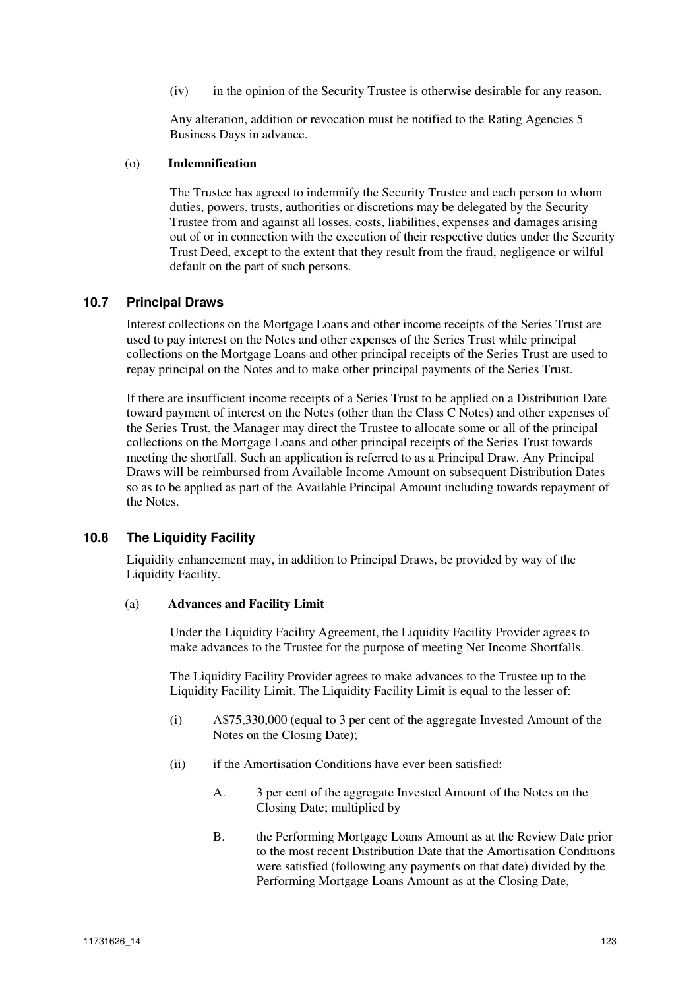(iv) in the opinion of the Security Trustee is otherwise desirable for any reason.

Any alteration, addition or revocation must be notified to the Rating Agencies 5 Business Days in advance.

## (o) **Indemnification**

The Trustee has agreed to indemnify the Security Trustee and each person to whom duties, powers, trusts, authorities or discretions may be delegated by the Security Trustee from and against all losses, costs, liabilities, expenses and damages arising out of or in connection with the execution of their respective duties under the Security Trust Deed, except to the extent that they result from the fraud, negligence or wilful default on the part of such persons.

## **10.7 Principal Draws**

Interest collections on the Mortgage Loans and other income receipts of the Series Trust are used to pay interest on the Notes and other expenses of the Series Trust while principal collections on the Mortgage Loans and other principal receipts of the Series Trust are used to repay principal on the Notes and to make other principal payments of the Series Trust.

If there are insufficient income receipts of a Series Trust to be applied on a Distribution Date toward payment of interest on the Notes (other than the Class C Notes) and other expenses of the Series Trust, the Manager may direct the Trustee to allocate some or all of the principal collections on the Mortgage Loans and other principal receipts of the Series Trust towards meeting the shortfall. Such an application is referred to as a Principal Draw. Any Principal Draws will be reimbursed from Available Income Amount on subsequent Distribution Dates so as to be applied as part of the Available Principal Amount including towards repayment of the Notes.

## **10.8 The Liquidity Facility**

Liquidity enhancement may, in addition to Principal Draws, be provided by way of the Liquidity Facility.

#### (a) **Advances and Facility Limit**

Under the Liquidity Facility Agreement, the Liquidity Facility Provider agrees to make advances to the Trustee for the purpose of meeting Net Income Shortfalls.

The Liquidity Facility Provider agrees to make advances to the Trustee up to the Liquidity Facility Limit. The Liquidity Facility Limit is equal to the lesser of:

- (i) A\$75,330,000 (equal to 3 per cent of the aggregate Invested Amount of the Notes on the Closing Date);
- (ii) if the Amortisation Conditions have ever been satisfied:
	- A. 3 per cent of the aggregate Invested Amount of the Notes on the Closing Date; multiplied by
	- B. the Performing Mortgage Loans Amount as at the Review Date prior to the most recent Distribution Date that the Amortisation Conditions were satisfied (following any payments on that date) divided by the Performing Mortgage Loans Amount as at the Closing Date,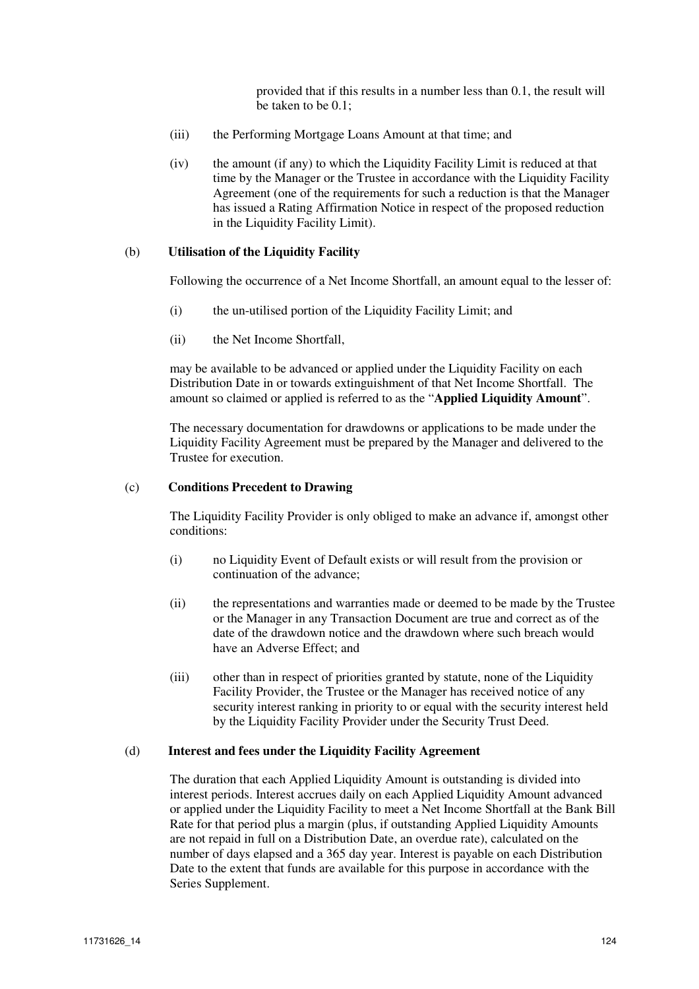provided that if this results in a number less than 0.1, the result will be taken to be 0.1;

- (iii) the Performing Mortgage Loans Amount at that time; and
- (iv) the amount (if any) to which the Liquidity Facility Limit is reduced at that time by the Manager or the Trustee in accordance with the Liquidity Facility Agreement (one of the requirements for such a reduction is that the Manager has issued a Rating Affirmation Notice in respect of the proposed reduction in the Liquidity Facility Limit).

#### (b) **Utilisation of the Liquidity Facility**

Following the occurrence of a Net Income Shortfall, an amount equal to the lesser of:

- (i) the un-utilised portion of the Liquidity Facility Limit; and
- (ii) the Net Income Shortfall,

may be available to be advanced or applied under the Liquidity Facility on each Distribution Date in or towards extinguishment of that Net Income Shortfall. The amount so claimed or applied is referred to as the "**Applied Liquidity Amount**".

The necessary documentation for drawdowns or applications to be made under the Liquidity Facility Agreement must be prepared by the Manager and delivered to the Trustee for execution.

#### (c) **Conditions Precedent to Drawing**

The Liquidity Facility Provider is only obliged to make an advance if, amongst other conditions:

- (i) no Liquidity Event of Default exists or will result from the provision or continuation of the advance;
- (ii) the representations and warranties made or deemed to be made by the Trustee or the Manager in any Transaction Document are true and correct as of the date of the drawdown notice and the drawdown where such breach would have an Adverse Effect; and
- (iii) other than in respect of priorities granted by statute, none of the Liquidity Facility Provider, the Trustee or the Manager has received notice of any security interest ranking in priority to or equal with the security interest held by the Liquidity Facility Provider under the Security Trust Deed.

#### (d) **Interest and fees under the Liquidity Facility Agreement**

The duration that each Applied Liquidity Amount is outstanding is divided into interest periods. Interest accrues daily on each Applied Liquidity Amount advanced or applied under the Liquidity Facility to meet a Net Income Shortfall at the Bank Bill Rate for that period plus a margin (plus, if outstanding Applied Liquidity Amounts are not repaid in full on a Distribution Date, an overdue rate), calculated on the number of days elapsed and a 365 day year. Interest is payable on each Distribution Date to the extent that funds are available for this purpose in accordance with the Series Supplement.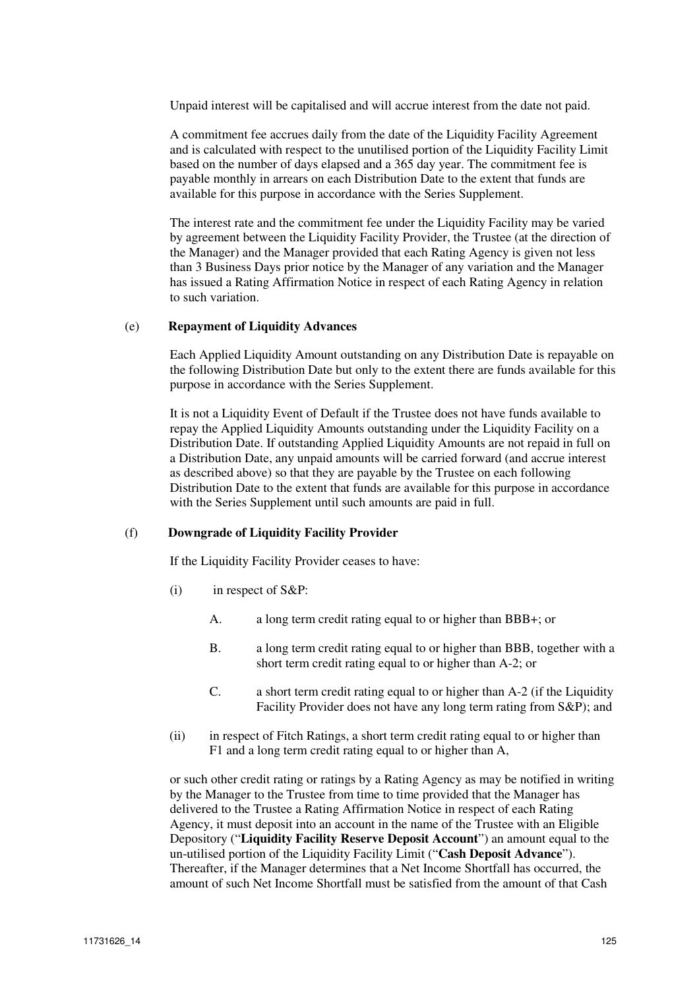Unpaid interest will be capitalised and will accrue interest from the date not paid.

A commitment fee accrues daily from the date of the Liquidity Facility Agreement and is calculated with respect to the unutilised portion of the Liquidity Facility Limit based on the number of days elapsed and a 365 day year. The commitment fee is payable monthly in arrears on each Distribution Date to the extent that funds are available for this purpose in accordance with the Series Supplement.

The interest rate and the commitment fee under the Liquidity Facility may be varied by agreement between the Liquidity Facility Provider, the Trustee (at the direction of the Manager) and the Manager provided that each Rating Agency is given not less than 3 Business Days prior notice by the Manager of any variation and the Manager has issued a Rating Affirmation Notice in respect of each Rating Agency in relation to such variation.

#### (e) **Repayment of Liquidity Advances**

Each Applied Liquidity Amount outstanding on any Distribution Date is repayable on the following Distribution Date but only to the extent there are funds available for this purpose in accordance with the Series Supplement.

It is not a Liquidity Event of Default if the Trustee does not have funds available to repay the Applied Liquidity Amounts outstanding under the Liquidity Facility on a Distribution Date. If outstanding Applied Liquidity Amounts are not repaid in full on a Distribution Date, any unpaid amounts will be carried forward (and accrue interest as described above) so that they are payable by the Trustee on each following Distribution Date to the extent that funds are available for this purpose in accordance with the Series Supplement until such amounts are paid in full.

## (f) **Downgrade of Liquidity Facility Provider**

If the Liquidity Facility Provider ceases to have:

- (i) in respect of S&P:
	- A. a long term credit rating equal to or higher than BBB+; or
	- B. a long term credit rating equal to or higher than BBB, together with a short term credit rating equal to or higher than A-2; or
	- C. a short term credit rating equal to or higher than A-2 (if the Liquidity Facility Provider does not have any long term rating from S&P); and
- (ii) in respect of Fitch Ratings, a short term credit rating equal to or higher than F1 and a long term credit rating equal to or higher than A,

or such other credit rating or ratings by a Rating Agency as may be notified in writing by the Manager to the Trustee from time to time provided that the Manager has delivered to the Trustee a Rating Affirmation Notice in respect of each Rating Agency, it must deposit into an account in the name of the Trustee with an Eligible Depository ("**Liquidity Facility Reserve Deposit Account**") an amount equal to the un-utilised portion of the Liquidity Facility Limit ("**Cash Deposit Advance**"). Thereafter, if the Manager determines that a Net Income Shortfall has occurred, the amount of such Net Income Shortfall must be satisfied from the amount of that Cash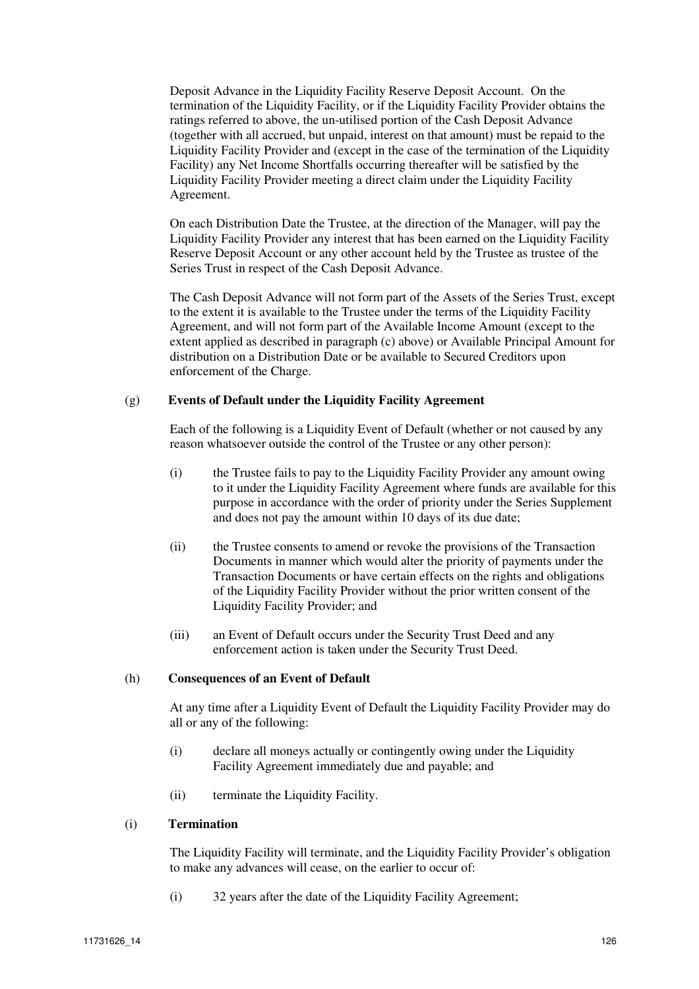Deposit Advance in the Liquidity Facility Reserve Deposit Account. On the termination of the Liquidity Facility, or if the Liquidity Facility Provider obtains the ratings referred to above, the un-utilised portion of the Cash Deposit Advance (together with all accrued, but unpaid, interest on that amount) must be repaid to the Liquidity Facility Provider and (except in the case of the termination of the Liquidity Facility) any Net Income Shortfalls occurring thereafter will be satisfied by the Liquidity Facility Provider meeting a direct claim under the Liquidity Facility Agreement.

On each Distribution Date the Trustee, at the direction of the Manager, will pay the Liquidity Facility Provider any interest that has been earned on the Liquidity Facility Reserve Deposit Account or any other account held by the Trustee as trustee of the Series Trust in respect of the Cash Deposit Advance.

The Cash Deposit Advance will not form part of the Assets of the Series Trust, except to the extent it is available to the Trustee under the terms of the Liquidity Facility Agreement, and will not form part of the Available Income Amount (except to the extent applied as described in paragraph (c) above) or Available Principal Amount for distribution on a Distribution Date or be available to Secured Creditors upon enforcement of the Charge.

## (g) **Events of Default under the Liquidity Facility Agreement**

Each of the following is a Liquidity Event of Default (whether or not caused by any reason whatsoever outside the control of the Trustee or any other person):

- (i) the Trustee fails to pay to the Liquidity Facility Provider any amount owing to it under the Liquidity Facility Agreement where funds are available for this purpose in accordance with the order of priority under the Series Supplement and does not pay the amount within 10 days of its due date;
- (ii) the Trustee consents to amend or revoke the provisions of the Transaction Documents in manner which would alter the priority of payments under the Transaction Documents or have certain effects on the rights and obligations of the Liquidity Facility Provider without the prior written consent of the Liquidity Facility Provider; and
- (iii) an Event of Default occurs under the Security Trust Deed and any enforcement action is taken under the Security Trust Deed.

## (h) **Consequences of an Event of Default**

At any time after a Liquidity Event of Default the Liquidity Facility Provider may do all or any of the following:

- (i) declare all moneys actually or contingently owing under the Liquidity Facility Agreement immediately due and payable; and
- (ii) terminate the Liquidity Facility.

## (i) **Termination**

The Liquidity Facility will terminate, and the Liquidity Facility Provider's obligation to make any advances will cease, on the earlier to occur of:

(i) 32 years after the date of the Liquidity Facility Agreement;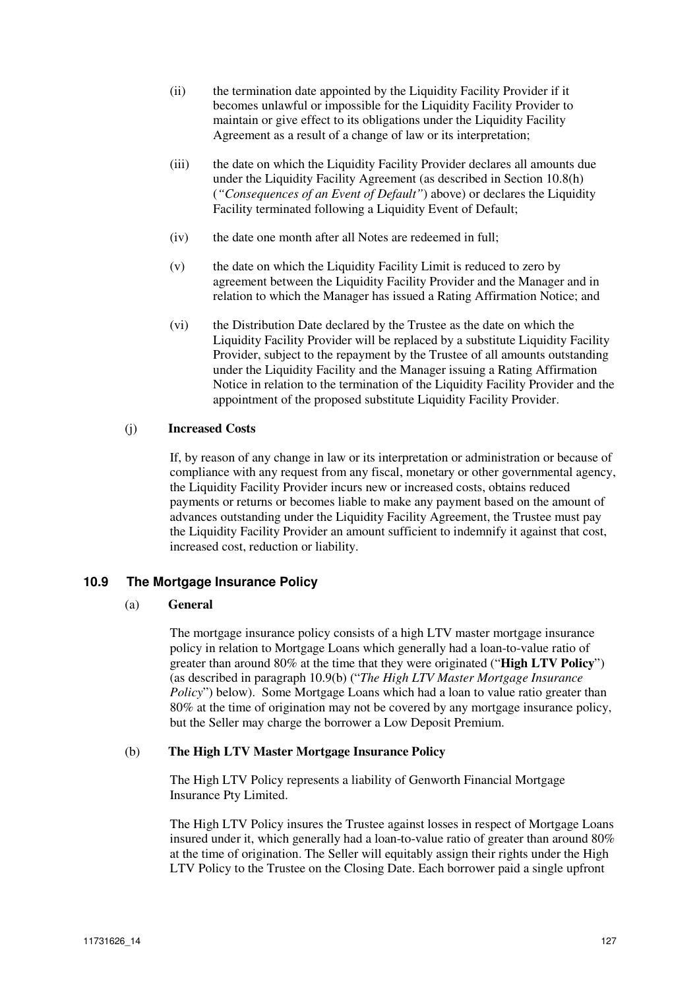- (ii) the termination date appointed by the Liquidity Facility Provider if it becomes unlawful or impossible for the Liquidity Facility Provider to maintain or give effect to its obligations under the Liquidity Facility Agreement as a result of a change of law or its interpretation;
- (iii) the date on which the Liquidity Facility Provider declares all amounts due under the Liquidity Facility Agreement (as described in Section 10.8(h) (*"Consequences of an Event of Default"*) above) or declares the Liquidity Facility terminated following a Liquidity Event of Default;
- (iv) the date one month after all Notes are redeemed in full;
- $(v)$  the date on which the Liquidity Facility Limit is reduced to zero by agreement between the Liquidity Facility Provider and the Manager and in relation to which the Manager has issued a Rating Affirmation Notice; and
- (vi) the Distribution Date declared by the Trustee as the date on which the Liquidity Facility Provider will be replaced by a substitute Liquidity Facility Provider, subject to the repayment by the Trustee of all amounts outstanding under the Liquidity Facility and the Manager issuing a Rating Affirmation Notice in relation to the termination of the Liquidity Facility Provider and the appointment of the proposed substitute Liquidity Facility Provider.

## (j) **Increased Costs**

If, by reason of any change in law or its interpretation or administration or because of compliance with any request from any fiscal, monetary or other governmental agency, the Liquidity Facility Provider incurs new or increased costs, obtains reduced payments or returns or becomes liable to make any payment based on the amount of advances outstanding under the Liquidity Facility Agreement, the Trustee must pay the Liquidity Facility Provider an amount sufficient to indemnify it against that cost, increased cost, reduction or liability.

## **10.9 The Mortgage Insurance Policy**

## (a) **General**

The mortgage insurance policy consists of a high LTV master mortgage insurance policy in relation to Mortgage Loans which generally had a loan-to-value ratio of greater than around 80% at the time that they were originated ("**High LTV Policy**") (as described in paragraph 10.9(b) ("*The High LTV Master Mortgage Insurance Policy*") below). Some Mortgage Loans which had a loan to value ratio greater than 80% at the time of origination may not be covered by any mortgage insurance policy, but the Seller may charge the borrower a Low Deposit Premium.

## (b) **The High LTV Master Mortgage Insurance Policy**

The High LTV Policy represents a liability of Genworth Financial Mortgage Insurance Pty Limited.

The High LTV Policy insures the Trustee against losses in respect of Mortgage Loans insured under it, which generally had a loan-to-value ratio of greater than around 80% at the time of origination. The Seller will equitably assign their rights under the High LTV Policy to the Trustee on the Closing Date. Each borrower paid a single upfront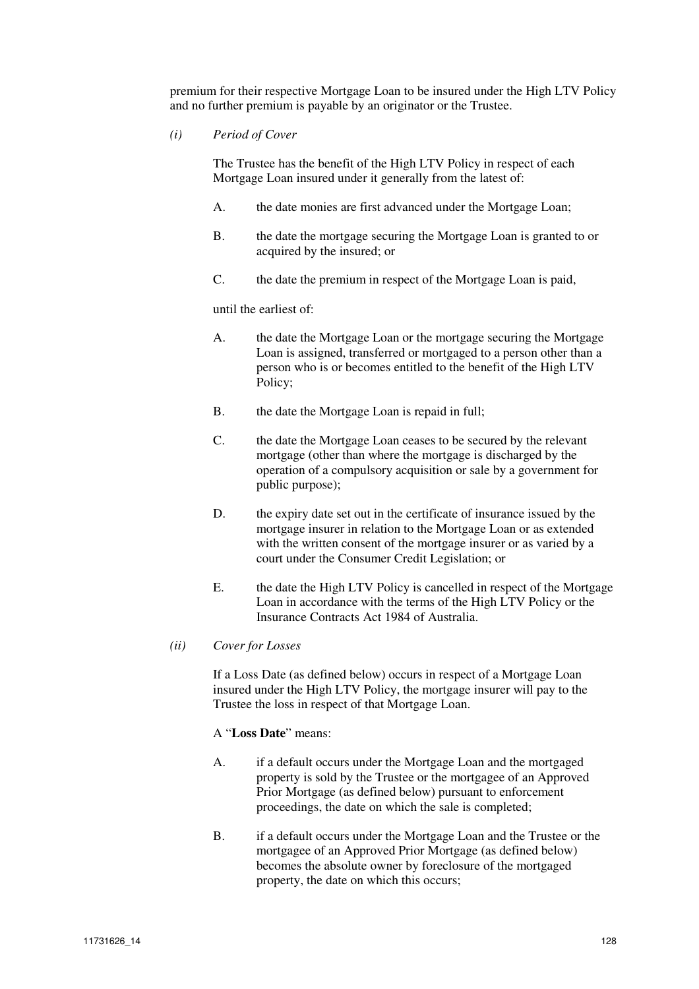premium for their respective Mortgage Loan to be insured under the High LTV Policy and no further premium is payable by an originator or the Trustee.

*(i) Period of Cover* 

The Trustee has the benefit of the High LTV Policy in respect of each Mortgage Loan insured under it generally from the latest of:

- A. the date monies are first advanced under the Mortgage Loan;
- B. the date the mortgage securing the Mortgage Loan is granted to or acquired by the insured; or
- C. the date the premium in respect of the Mortgage Loan is paid,

until the earliest of:

- A. the date the Mortgage Loan or the mortgage securing the Mortgage Loan is assigned, transferred or mortgaged to a person other than a person who is or becomes entitled to the benefit of the High LTV Policy;
- B. the date the Mortgage Loan is repaid in full;
- C. the date the Mortgage Loan ceases to be secured by the relevant mortgage (other than where the mortgage is discharged by the operation of a compulsory acquisition or sale by a government for public purpose);
- D. the expiry date set out in the certificate of insurance issued by the mortgage insurer in relation to the Mortgage Loan or as extended with the written consent of the mortgage insurer or as varied by a court under the Consumer Credit Legislation; or
- E. the date the High LTV Policy is cancelled in respect of the Mortgage Loan in accordance with the terms of the High LTV Policy or the Insurance Contracts Act 1984 of Australia.

## *(ii) Cover for Losses*

If a Loss Date (as defined below) occurs in respect of a Mortgage Loan insured under the High LTV Policy, the mortgage insurer will pay to the Trustee the loss in respect of that Mortgage Loan.

#### A "**Loss Date**" means:

- A. if a default occurs under the Mortgage Loan and the mortgaged property is sold by the Trustee or the mortgagee of an Approved Prior Mortgage (as defined below) pursuant to enforcement proceedings, the date on which the sale is completed;
- B. if a default occurs under the Mortgage Loan and the Trustee or the mortgagee of an Approved Prior Mortgage (as defined below) becomes the absolute owner by foreclosure of the mortgaged property, the date on which this occurs;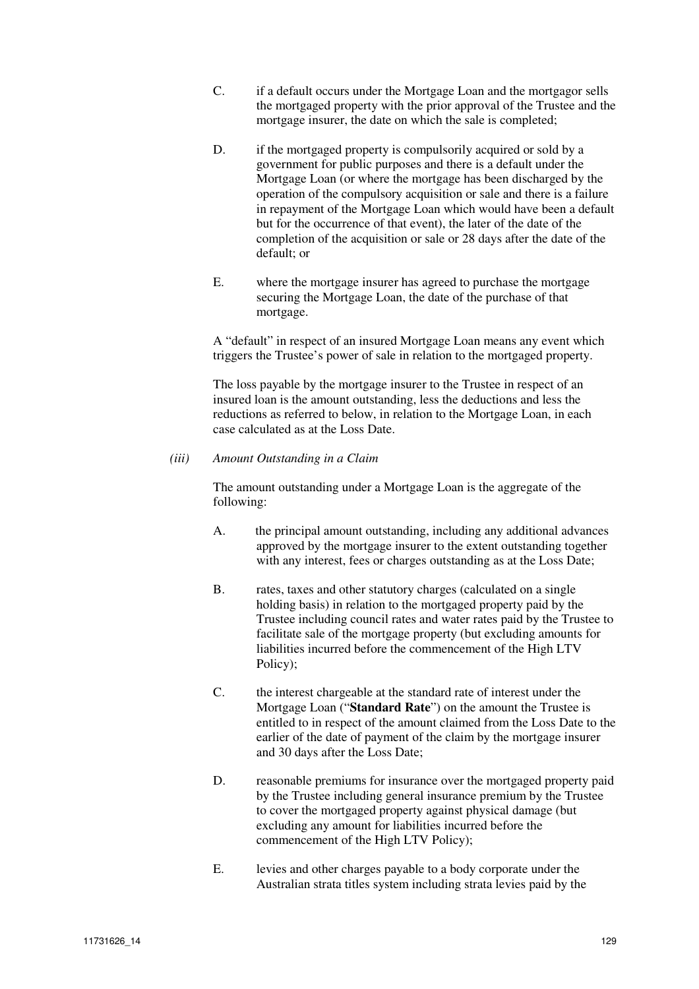- C. if a default occurs under the Mortgage Loan and the mortgagor sells the mortgaged property with the prior approval of the Trustee and the mortgage insurer, the date on which the sale is completed;
- D. if the mortgaged property is compulsorily acquired or sold by a government for public purposes and there is a default under the Mortgage Loan (or where the mortgage has been discharged by the operation of the compulsory acquisition or sale and there is a failure in repayment of the Mortgage Loan which would have been a default but for the occurrence of that event), the later of the date of the completion of the acquisition or sale or 28 days after the date of the default; or
- E. where the mortgage insurer has agreed to purchase the mortgage securing the Mortgage Loan, the date of the purchase of that mortgage.

A "default" in respect of an insured Mortgage Loan means any event which triggers the Trustee's power of sale in relation to the mortgaged property.

The loss payable by the mortgage insurer to the Trustee in respect of an insured loan is the amount outstanding, less the deductions and less the reductions as referred to below, in relation to the Mortgage Loan, in each case calculated as at the Loss Date.

#### *(iii) Amount Outstanding in a Claim*

The amount outstanding under a Mortgage Loan is the aggregate of the following:

- A. the principal amount outstanding, including any additional advances approved by the mortgage insurer to the extent outstanding together with any interest, fees or charges outstanding as at the Loss Date:
- B. rates, taxes and other statutory charges (calculated on a single holding basis) in relation to the mortgaged property paid by the Trustee including council rates and water rates paid by the Trustee to facilitate sale of the mortgage property (but excluding amounts for liabilities incurred before the commencement of the High LTV Policy);
- C. the interest chargeable at the standard rate of interest under the Mortgage Loan ("**Standard Rate**") on the amount the Trustee is entitled to in respect of the amount claimed from the Loss Date to the earlier of the date of payment of the claim by the mortgage insurer and 30 days after the Loss Date;
- D. reasonable premiums for insurance over the mortgaged property paid by the Trustee including general insurance premium by the Trustee to cover the mortgaged property against physical damage (but excluding any amount for liabilities incurred before the commencement of the High LTV Policy);
- E. levies and other charges payable to a body corporate under the Australian strata titles system including strata levies paid by the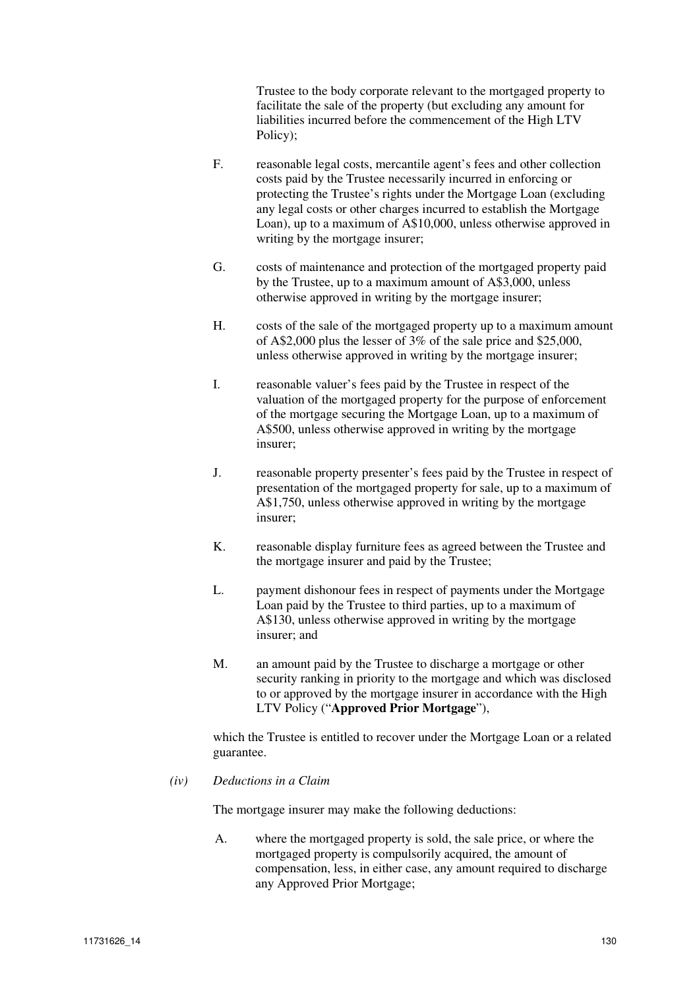Trustee to the body corporate relevant to the mortgaged property to facilitate the sale of the property (but excluding any amount for liabilities incurred before the commencement of the High LTV Policy);

- F. reasonable legal costs, mercantile agent's fees and other collection costs paid by the Trustee necessarily incurred in enforcing or protecting the Trustee's rights under the Mortgage Loan (excluding any legal costs or other charges incurred to establish the Mortgage Loan), up to a maximum of A\$10,000, unless otherwise approved in writing by the mortgage insurer;
- G. costs of maintenance and protection of the mortgaged property paid by the Trustee, up to a maximum amount of A\$3,000, unless otherwise approved in writing by the mortgage insurer;
- H. costs of the sale of the mortgaged property up to a maximum amount of A\$2,000 plus the lesser of 3% of the sale price and \$25,000, unless otherwise approved in writing by the mortgage insurer;
- I. reasonable valuer's fees paid by the Trustee in respect of the valuation of the mortgaged property for the purpose of enforcement of the mortgage securing the Mortgage Loan, up to a maximum of A\$500, unless otherwise approved in writing by the mortgage insurer;
- J. reasonable property presenter's fees paid by the Trustee in respect of presentation of the mortgaged property for sale, up to a maximum of A\$1,750, unless otherwise approved in writing by the mortgage insurer;
- K. reasonable display furniture fees as agreed between the Trustee and the mortgage insurer and paid by the Trustee;
- L. payment dishonour fees in respect of payments under the Mortgage Loan paid by the Trustee to third parties, up to a maximum of A\$130, unless otherwise approved in writing by the mortgage insurer; and
- M. an amount paid by the Trustee to discharge a mortgage or other security ranking in priority to the mortgage and which was disclosed to or approved by the mortgage insurer in accordance with the High LTV Policy ("**Approved Prior Mortgage**"),

which the Trustee is entitled to recover under the Mortgage Loan or a related guarantee.

## *(iv) Deductions in a Claim*

The mortgage insurer may make the following deductions:

A. where the mortgaged property is sold, the sale price, or where the mortgaged property is compulsorily acquired, the amount of compensation, less, in either case, any amount required to discharge any Approved Prior Mortgage;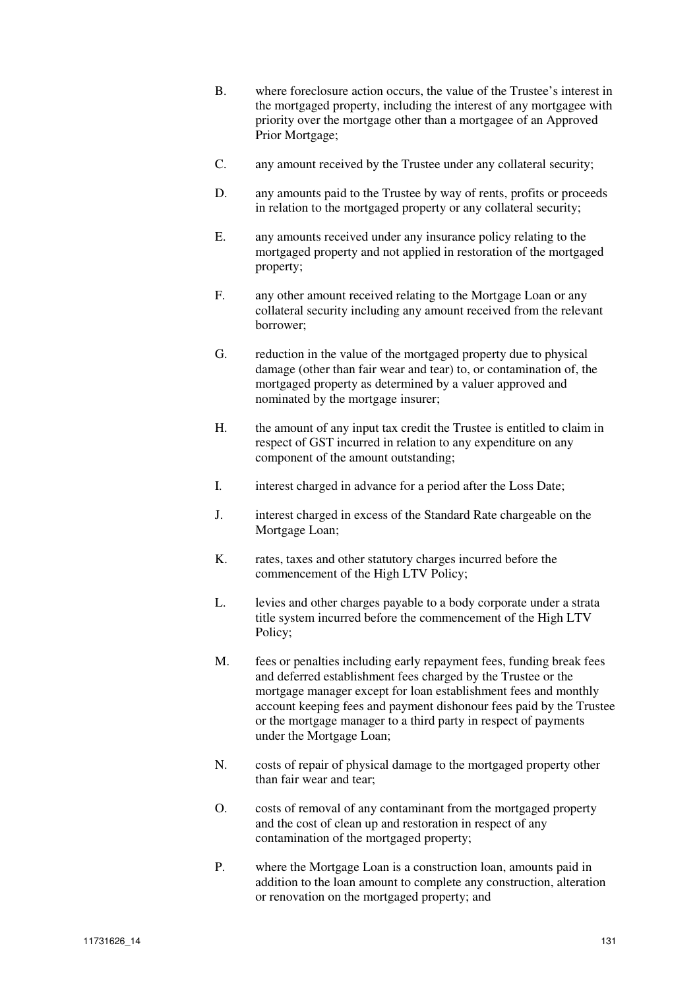- B. where foreclosure action occurs, the value of the Trustee's interest in the mortgaged property, including the interest of any mortgagee with priority over the mortgage other than a mortgagee of an Approved Prior Mortgage;
- C. any amount received by the Trustee under any collateral security;
- D. any amounts paid to the Trustee by way of rents, profits or proceeds in relation to the mortgaged property or any collateral security;
- E. any amounts received under any insurance policy relating to the mortgaged property and not applied in restoration of the mortgaged property;
- F. any other amount received relating to the Mortgage Loan or any collateral security including any amount received from the relevant borrower;
- G. reduction in the value of the mortgaged property due to physical damage (other than fair wear and tear) to, or contamination of, the mortgaged property as determined by a valuer approved and nominated by the mortgage insurer;
- H. the amount of any input tax credit the Trustee is entitled to claim in respect of GST incurred in relation to any expenditure on any component of the amount outstanding;
- I. interest charged in advance for a period after the Loss Date;
- J. interest charged in excess of the Standard Rate chargeable on the Mortgage Loan;
- K. rates, taxes and other statutory charges incurred before the commencement of the High LTV Policy;
- L. levies and other charges payable to a body corporate under a strata title system incurred before the commencement of the High LTV Policy;
- M. fees or penalties including early repayment fees, funding break fees and deferred establishment fees charged by the Trustee or the mortgage manager except for loan establishment fees and monthly account keeping fees and payment dishonour fees paid by the Trustee or the mortgage manager to a third party in respect of payments under the Mortgage Loan;
- N. costs of repair of physical damage to the mortgaged property other than fair wear and tear;
- O. costs of removal of any contaminant from the mortgaged property and the cost of clean up and restoration in respect of any contamination of the mortgaged property;
- P. where the Mortgage Loan is a construction loan, amounts paid in addition to the loan amount to complete any construction, alteration or renovation on the mortgaged property; and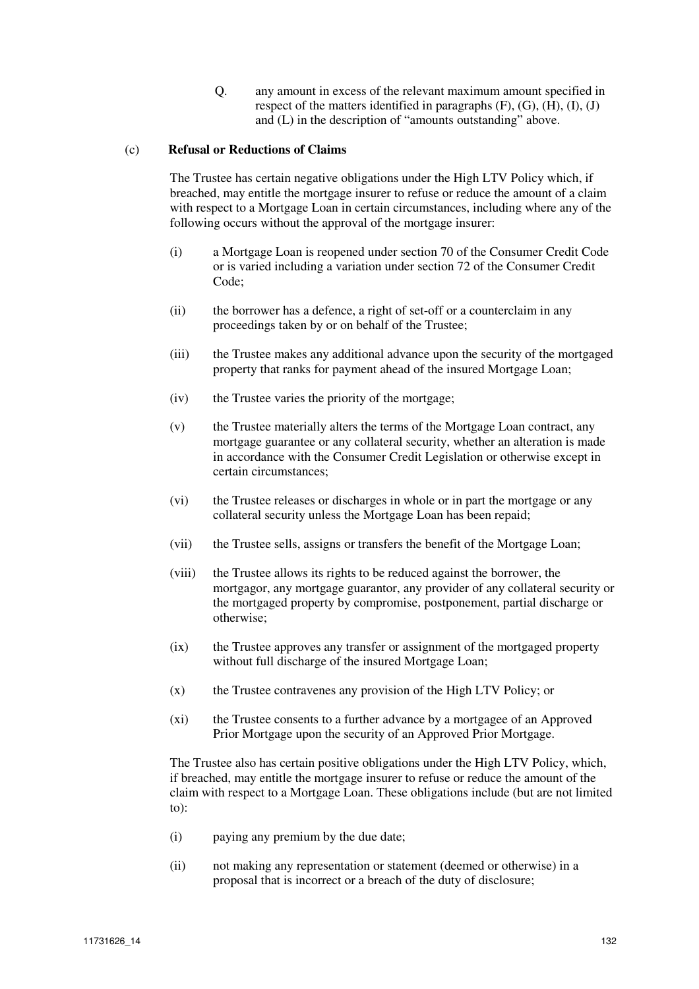Q. any amount in excess of the relevant maximum amount specified in respect of the matters identified in paragraphs  $(F)$ ,  $(G)$ ,  $(H)$ ,  $(I)$ ,  $(J)$ and (L) in the description of "amounts outstanding" above.

## (c) **Refusal or Reductions of Claims**

The Trustee has certain negative obligations under the High LTV Policy which, if breached, may entitle the mortgage insurer to refuse or reduce the amount of a claim with respect to a Mortgage Loan in certain circumstances, including where any of the following occurs without the approval of the mortgage insurer:

- (i) a Mortgage Loan is reopened under section 70 of the Consumer Credit Code or is varied including a variation under section 72 of the Consumer Credit Code;
- (ii) the borrower has a defence, a right of set-off or a counterclaim in any proceedings taken by or on behalf of the Trustee;
- (iii) the Trustee makes any additional advance upon the security of the mortgaged property that ranks for payment ahead of the insured Mortgage Loan;
- (iv) the Trustee varies the priority of the mortgage;
- (v) the Trustee materially alters the terms of the Mortgage Loan contract, any mortgage guarantee or any collateral security, whether an alteration is made in accordance with the Consumer Credit Legislation or otherwise except in certain circumstances;
- (vi) the Trustee releases or discharges in whole or in part the mortgage or any collateral security unless the Mortgage Loan has been repaid;
- (vii) the Trustee sells, assigns or transfers the benefit of the Mortgage Loan;
- (viii) the Trustee allows its rights to be reduced against the borrower, the mortgagor, any mortgage guarantor, any provider of any collateral security or the mortgaged property by compromise, postponement, partial discharge or otherwise;
- (ix) the Trustee approves any transfer or assignment of the mortgaged property without full discharge of the insured Mortgage Loan;
- (x) the Trustee contravenes any provision of the High LTV Policy; or
- (xi) the Trustee consents to a further advance by a mortgagee of an Approved Prior Mortgage upon the security of an Approved Prior Mortgage.

The Trustee also has certain positive obligations under the High LTV Policy, which, if breached, may entitle the mortgage insurer to refuse or reduce the amount of the claim with respect to a Mortgage Loan. These obligations include (but are not limited to):

- (i) paying any premium by the due date;
- (ii) not making any representation or statement (deemed or otherwise) in a proposal that is incorrect or a breach of the duty of disclosure;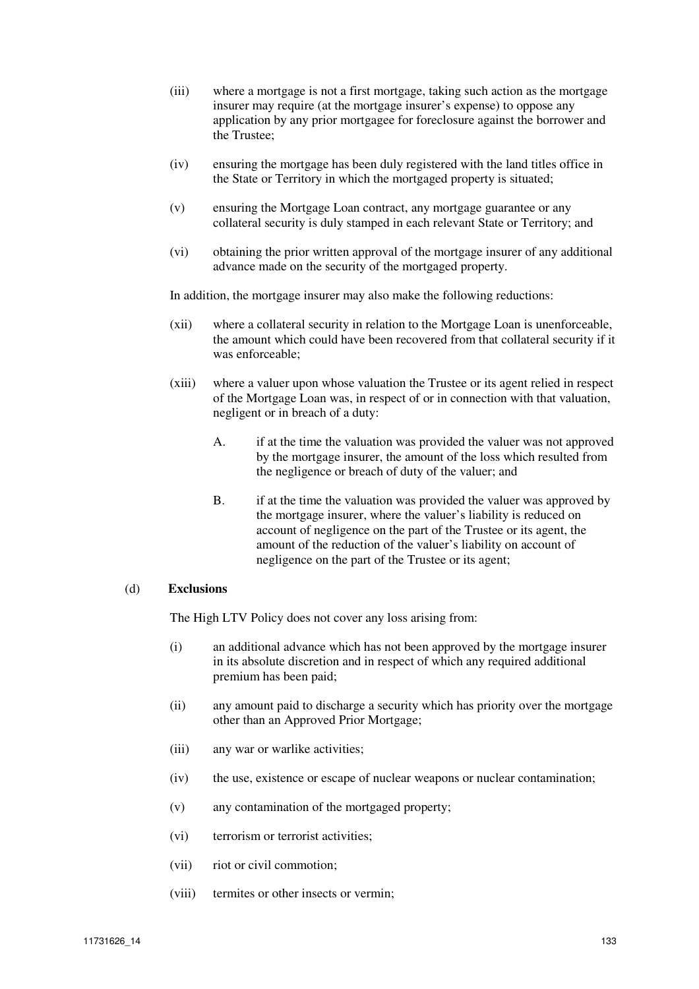- (iii) where a mortgage is not a first mortgage, taking such action as the mortgage insurer may require (at the mortgage insurer's expense) to oppose any application by any prior mortgagee for foreclosure against the borrower and the Trustee;
- (iv) ensuring the mortgage has been duly registered with the land titles office in the State or Territory in which the mortgaged property is situated;
- (v) ensuring the Mortgage Loan contract, any mortgage guarantee or any collateral security is duly stamped in each relevant State or Territory; and
- (vi) obtaining the prior written approval of the mortgage insurer of any additional advance made on the security of the mortgaged property.

In addition, the mortgage insurer may also make the following reductions:

- (xii) where a collateral security in relation to the Mortgage Loan is unenforceable, the amount which could have been recovered from that collateral security if it was enforceable;
- (xiii) where a valuer upon whose valuation the Trustee or its agent relied in respect of the Mortgage Loan was, in respect of or in connection with that valuation, negligent or in breach of a duty:
	- A. if at the time the valuation was provided the valuer was not approved by the mortgage insurer, the amount of the loss which resulted from the negligence or breach of duty of the valuer; and
	- B. if at the time the valuation was provided the valuer was approved by the mortgage insurer, where the valuer's liability is reduced on account of negligence on the part of the Trustee or its agent, the amount of the reduction of the valuer's liability on account of negligence on the part of the Trustee or its agent;

## (d) **Exclusions**

The High LTV Policy does not cover any loss arising from:

- (i) an additional advance which has not been approved by the mortgage insurer in its absolute discretion and in respect of which any required additional premium has been paid;
- (ii) any amount paid to discharge a security which has priority over the mortgage other than an Approved Prior Mortgage;
- (iii) any war or warlike activities;
- (iv) the use, existence or escape of nuclear weapons or nuclear contamination;
- (v) any contamination of the mortgaged property;
- (vi) terrorism or terrorist activities;
- (vii) riot or civil commotion;
- (viii) termites or other insects or vermin;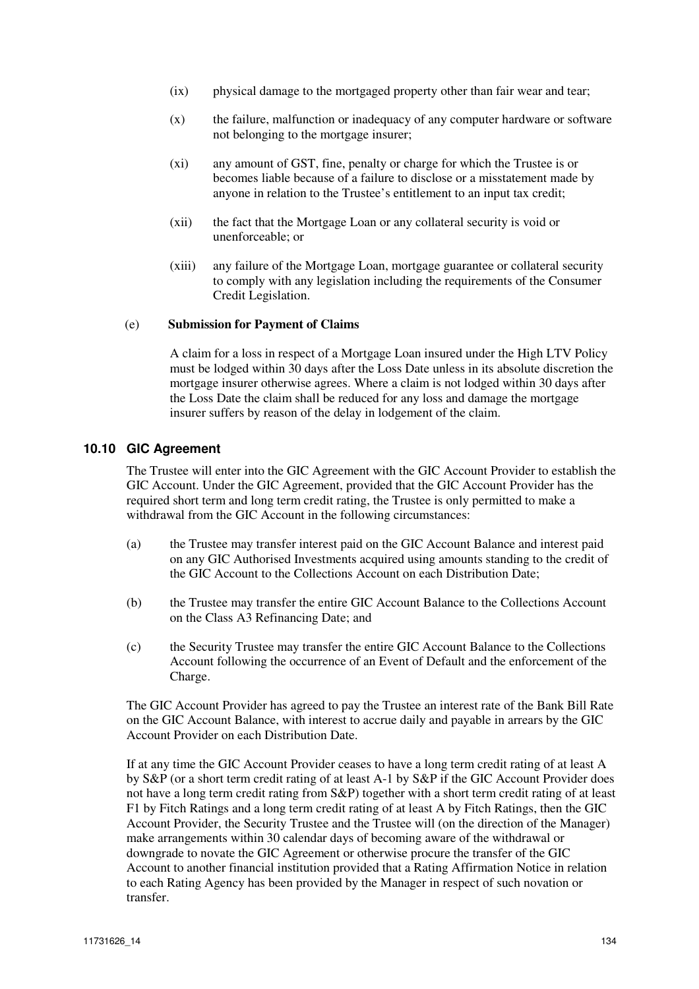- (ix) physical damage to the mortgaged property other than fair wear and tear;
- (x) the failure, malfunction or inadequacy of any computer hardware or software not belonging to the mortgage insurer;
- (xi) any amount of GST, fine, penalty or charge for which the Trustee is or becomes liable because of a failure to disclose or a misstatement made by anyone in relation to the Trustee's entitlement to an input tax credit;
- (xii) the fact that the Mortgage Loan or any collateral security is void or unenforceable; or
- (xiii) any failure of the Mortgage Loan, mortgage guarantee or collateral security to comply with any legislation including the requirements of the Consumer Credit Legislation.

#### (e) **Submission for Payment of Claims**

A claim for a loss in respect of a Mortgage Loan insured under the High LTV Policy must be lodged within 30 days after the Loss Date unless in its absolute discretion the mortgage insurer otherwise agrees. Where a claim is not lodged within 30 days after the Loss Date the claim shall be reduced for any loss and damage the mortgage insurer suffers by reason of the delay in lodgement of the claim.

#### **10.10 GIC Agreement**

The Trustee will enter into the GIC Agreement with the GIC Account Provider to establish the GIC Account. Under the GIC Agreement, provided that the GIC Account Provider has the required short term and long term credit rating, the Trustee is only permitted to make a withdrawal from the GIC Account in the following circumstances:

- (a) the Trustee may transfer interest paid on the GIC Account Balance and interest paid on any GIC Authorised Investments acquired using amounts standing to the credit of the GIC Account to the Collections Account on each Distribution Date;
- (b) the Trustee may transfer the entire GIC Account Balance to the Collections Account on the Class A3 Refinancing Date; and
- (c) the Security Trustee may transfer the entire GIC Account Balance to the Collections Account following the occurrence of an Event of Default and the enforcement of the Charge.

The GIC Account Provider has agreed to pay the Trustee an interest rate of the Bank Bill Rate on the GIC Account Balance, with interest to accrue daily and payable in arrears by the GIC Account Provider on each Distribution Date.

If at any time the GIC Account Provider ceases to have a long term credit rating of at least A by S&P (or a short term credit rating of at least A-1 by S&P if the GIC Account Provider does not have a long term credit rating from S&P) together with a short term credit rating of at least F1 by Fitch Ratings and a long term credit rating of at least A by Fitch Ratings, then the GIC Account Provider, the Security Trustee and the Trustee will (on the direction of the Manager) make arrangements within 30 calendar days of becoming aware of the withdrawal or downgrade to novate the GIC Agreement or otherwise procure the transfer of the GIC Account to another financial institution provided that a Rating Affirmation Notice in relation to each Rating Agency has been provided by the Manager in respect of such novation or transfer.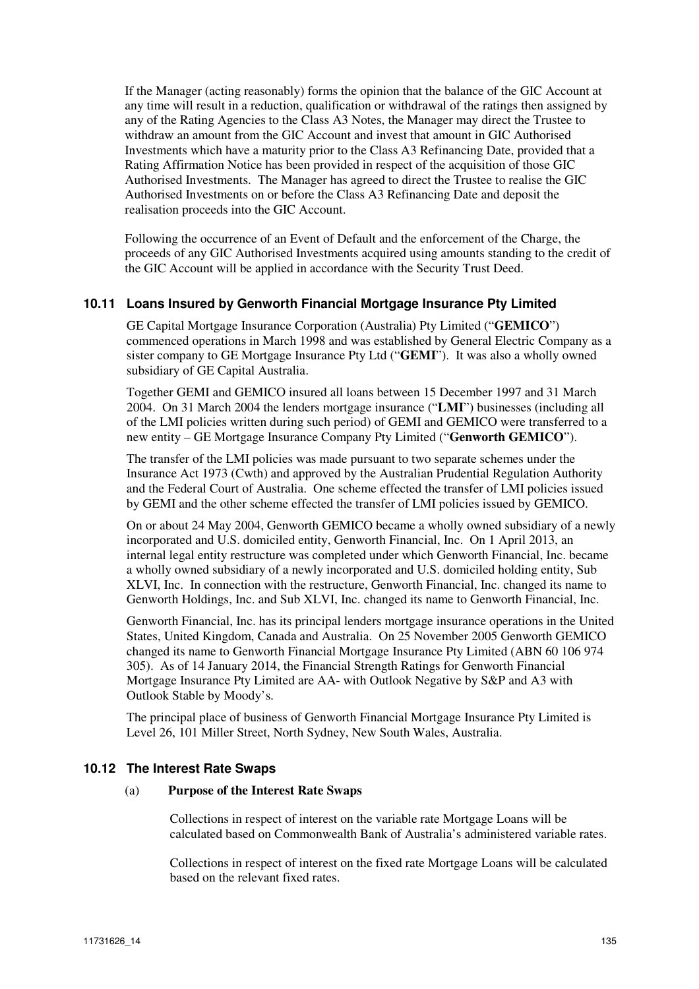If the Manager (acting reasonably) forms the opinion that the balance of the GIC Account at any time will result in a reduction, qualification or withdrawal of the ratings then assigned by any of the Rating Agencies to the Class A3 Notes, the Manager may direct the Trustee to withdraw an amount from the GIC Account and invest that amount in GIC Authorised Investments which have a maturity prior to the Class A3 Refinancing Date, provided that a Rating Affirmation Notice has been provided in respect of the acquisition of those GIC Authorised Investments. The Manager has agreed to direct the Trustee to realise the GIC Authorised Investments on or before the Class A3 Refinancing Date and deposit the realisation proceeds into the GIC Account.

Following the occurrence of an Event of Default and the enforcement of the Charge, the proceeds of any GIC Authorised Investments acquired using amounts standing to the credit of the GIC Account will be applied in accordance with the Security Trust Deed.

## **10.11 Loans Insured by Genworth Financial Mortgage Insurance Pty Limited**

GE Capital Mortgage Insurance Corporation (Australia) Pty Limited ("**GEMICO**") commenced operations in March 1998 and was established by General Electric Company as a sister company to GE Mortgage Insurance Pty Ltd ("**GEMI**"). It was also a wholly owned subsidiary of GE Capital Australia.

Together GEMI and GEMICO insured all loans between 15 December 1997 and 31 March 2004. On 31 March 2004 the lenders mortgage insurance ("**LMI**") businesses (including all of the LMI policies written during such period) of GEMI and GEMICO were transferred to a new entity – GE Mortgage Insurance Company Pty Limited ("**Genworth GEMICO**").

The transfer of the LMI policies was made pursuant to two separate schemes under the Insurance Act 1973 (Cwth) and approved by the Australian Prudential Regulation Authority and the Federal Court of Australia. One scheme effected the transfer of LMI policies issued by GEMI and the other scheme effected the transfer of LMI policies issued by GEMICO.

On or about 24 May 2004, Genworth GEMICO became a wholly owned subsidiary of a newly incorporated and U.S. domiciled entity, Genworth Financial, Inc. On 1 April 2013, an internal legal entity restructure was completed under which Genworth Financial, Inc. became a wholly owned subsidiary of a newly incorporated and U.S. domiciled holding entity, Sub XLVI, Inc. In connection with the restructure, Genworth Financial, Inc. changed its name to Genworth Holdings, Inc. and Sub XLVI, Inc. changed its name to Genworth Financial, Inc.

Genworth Financial, Inc. has its principal lenders mortgage insurance operations in the United States, United Kingdom, Canada and Australia. On 25 November 2005 Genworth GEMICO changed its name to Genworth Financial Mortgage Insurance Pty Limited (ABN 60 106 974 305). As of 14 January 2014, the Financial Strength Ratings for Genworth Financial Mortgage Insurance Pty Limited are AA- with Outlook Negative by S&P and A3 with Outlook Stable by Moody's.

The principal place of business of Genworth Financial Mortgage Insurance Pty Limited is Level 26, 101 Miller Street, North Sydney, New South Wales, Australia.

## **10.12 The Interest Rate Swaps**

#### (a) **Purpose of the Interest Rate Swaps**

Collections in respect of interest on the variable rate Mortgage Loans will be calculated based on Commonwealth Bank of Australia's administered variable rates.

Collections in respect of interest on the fixed rate Mortgage Loans will be calculated based on the relevant fixed rates.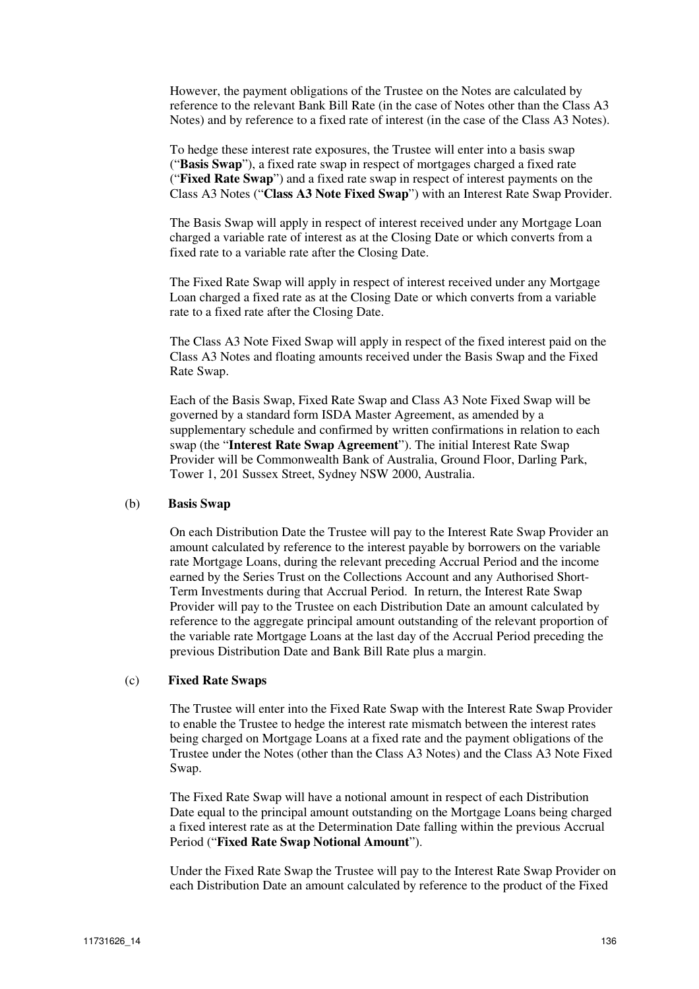However, the payment obligations of the Trustee on the Notes are calculated by reference to the relevant Bank Bill Rate (in the case of Notes other than the Class A3 Notes) and by reference to a fixed rate of interest (in the case of the Class A3 Notes).

To hedge these interest rate exposures, the Trustee will enter into a basis swap ("**Basis Swap**"), a fixed rate swap in respect of mortgages charged a fixed rate ("**Fixed Rate Swap**") and a fixed rate swap in respect of interest payments on the Class A3 Notes ("**Class A3 Note Fixed Swap**") with an Interest Rate Swap Provider.

The Basis Swap will apply in respect of interest received under any Mortgage Loan charged a variable rate of interest as at the Closing Date or which converts from a fixed rate to a variable rate after the Closing Date.

The Fixed Rate Swap will apply in respect of interest received under any Mortgage Loan charged a fixed rate as at the Closing Date or which converts from a variable rate to a fixed rate after the Closing Date.

The Class A3 Note Fixed Swap will apply in respect of the fixed interest paid on the Class A3 Notes and floating amounts received under the Basis Swap and the Fixed Rate Swap.

Each of the Basis Swap, Fixed Rate Swap and Class A3 Note Fixed Swap will be governed by a standard form ISDA Master Agreement, as amended by a supplementary schedule and confirmed by written confirmations in relation to each swap (the "**Interest Rate Swap Agreement**"). The initial Interest Rate Swap Provider will be Commonwealth Bank of Australia, Ground Floor, Darling Park, Tower 1, 201 Sussex Street, Sydney NSW 2000, Australia.

#### (b) **Basis Swap**

On each Distribution Date the Trustee will pay to the Interest Rate Swap Provider an amount calculated by reference to the interest payable by borrowers on the variable rate Mortgage Loans, during the relevant preceding Accrual Period and the income earned by the Series Trust on the Collections Account and any Authorised Short-Term Investments during that Accrual Period. In return, the Interest Rate Swap Provider will pay to the Trustee on each Distribution Date an amount calculated by reference to the aggregate principal amount outstanding of the relevant proportion of the variable rate Mortgage Loans at the last day of the Accrual Period preceding the previous Distribution Date and Bank Bill Rate plus a margin.

#### (c) **Fixed Rate Swaps**

The Trustee will enter into the Fixed Rate Swap with the Interest Rate Swap Provider to enable the Trustee to hedge the interest rate mismatch between the interest rates being charged on Mortgage Loans at a fixed rate and the payment obligations of the Trustee under the Notes (other than the Class A3 Notes) and the Class A3 Note Fixed Swap.

The Fixed Rate Swap will have a notional amount in respect of each Distribution Date equal to the principal amount outstanding on the Mortgage Loans being charged a fixed interest rate as at the Determination Date falling within the previous Accrual Period ("**Fixed Rate Swap Notional Amount**").

Under the Fixed Rate Swap the Trustee will pay to the Interest Rate Swap Provider on each Distribution Date an amount calculated by reference to the product of the Fixed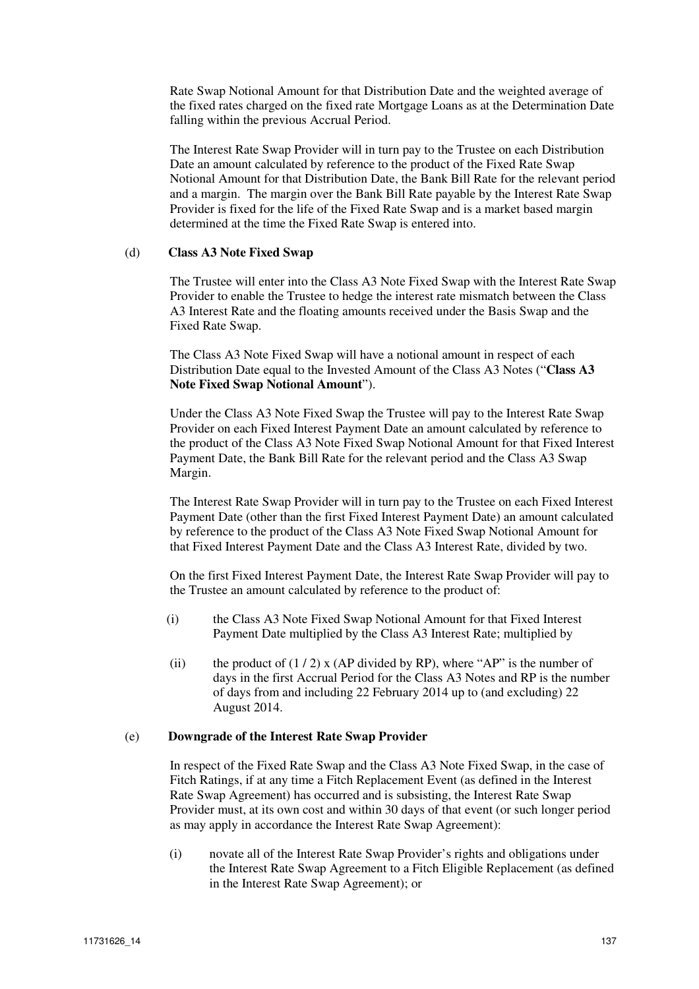Rate Swap Notional Amount for that Distribution Date and the weighted average of the fixed rates charged on the fixed rate Mortgage Loans as at the Determination Date falling within the previous Accrual Period.

The Interest Rate Swap Provider will in turn pay to the Trustee on each Distribution Date an amount calculated by reference to the product of the Fixed Rate Swap Notional Amount for that Distribution Date, the Bank Bill Rate for the relevant period and a margin. The margin over the Bank Bill Rate payable by the Interest Rate Swap Provider is fixed for the life of the Fixed Rate Swap and is a market based margin determined at the time the Fixed Rate Swap is entered into.

#### (d) **Class A3 Note Fixed Swap**

The Trustee will enter into the Class A3 Note Fixed Swap with the Interest Rate Swap Provider to enable the Trustee to hedge the interest rate mismatch between the Class A3 Interest Rate and the floating amounts received under the Basis Swap and the Fixed Rate Swap.

The Class A3 Note Fixed Swap will have a notional amount in respect of each Distribution Date equal to the Invested Amount of the Class A3 Notes ("**Class A3 Note Fixed Swap Notional Amount**").

Under the Class A3 Note Fixed Swap the Trustee will pay to the Interest Rate Swap Provider on each Fixed Interest Payment Date an amount calculated by reference to the product of the Class A3 Note Fixed Swap Notional Amount for that Fixed Interest Payment Date, the Bank Bill Rate for the relevant period and the Class A3 Swap Margin.

The Interest Rate Swap Provider will in turn pay to the Trustee on each Fixed Interest Payment Date (other than the first Fixed Interest Payment Date) an amount calculated by reference to the product of the Class A3 Note Fixed Swap Notional Amount for that Fixed Interest Payment Date and the Class A3 Interest Rate, divided by two.

On the first Fixed Interest Payment Date, the Interest Rate Swap Provider will pay to the Trustee an amount calculated by reference to the product of:

- (i) the Class A3 Note Fixed Swap Notional Amount for that Fixed Interest Payment Date multiplied by the Class A3 Interest Rate; multiplied by
- (ii) the product of  $(1 / 2)$  x (AP divided by RP), where "AP" is the number of days in the first Accrual Period for the Class A3 Notes and RP is the number of days from and including 22 February 2014 up to (and excluding) 22 August 2014.

## (e) **Downgrade of the Interest Rate Swap Provider**

In respect of the Fixed Rate Swap and the Class A3 Note Fixed Swap, in the case of Fitch Ratings, if at any time a Fitch Replacement Event (as defined in the Interest Rate Swap Agreement) has occurred and is subsisting, the Interest Rate Swap Provider must, at its own cost and within 30 days of that event (or such longer period as may apply in accordance the Interest Rate Swap Agreement):

(i) novate all of the Interest Rate Swap Provider's rights and obligations under the Interest Rate Swap Agreement to a Fitch Eligible Replacement (as defined in the Interest Rate Swap Agreement); or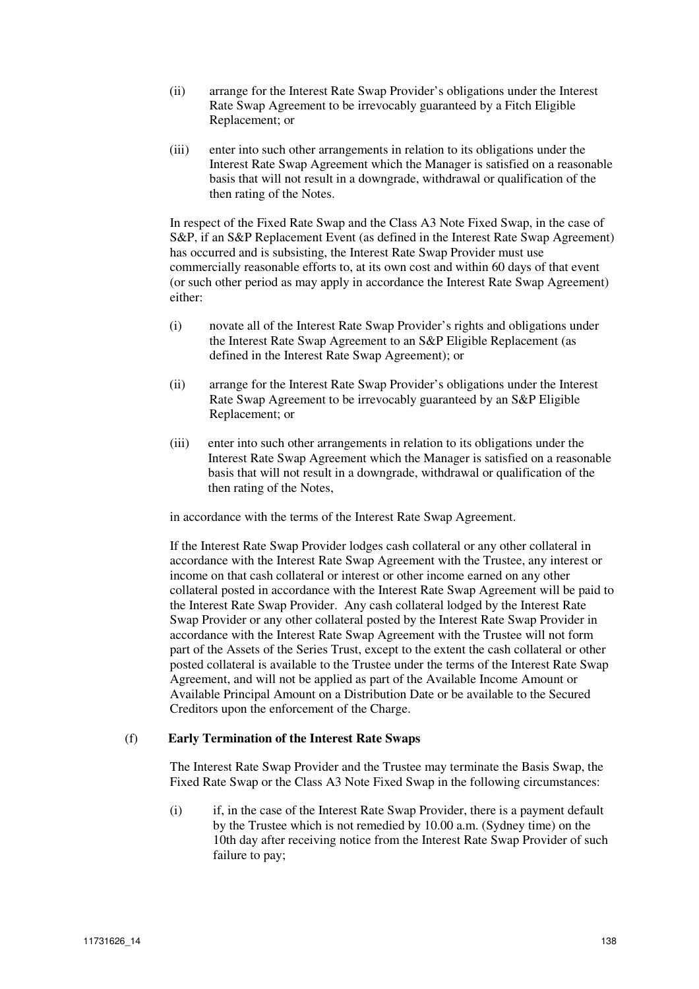- (ii) arrange for the Interest Rate Swap Provider's obligations under the Interest Rate Swap Agreement to be irrevocably guaranteed by a Fitch Eligible Replacement; or
- (iii) enter into such other arrangements in relation to its obligations under the Interest Rate Swap Agreement which the Manager is satisfied on a reasonable basis that will not result in a downgrade, withdrawal or qualification of the then rating of the Notes.

In respect of the Fixed Rate Swap and the Class A3 Note Fixed Swap, in the case of S&P, if an S&P Replacement Event (as defined in the Interest Rate Swap Agreement) has occurred and is subsisting, the Interest Rate Swap Provider must use commercially reasonable efforts to, at its own cost and within 60 days of that event (or such other period as may apply in accordance the Interest Rate Swap Agreement) either:

- (i) novate all of the Interest Rate Swap Provider's rights and obligations under the Interest Rate Swap Agreement to an S&P Eligible Replacement (as defined in the Interest Rate Swap Agreement); or
- (ii) arrange for the Interest Rate Swap Provider's obligations under the Interest Rate Swap Agreement to be irrevocably guaranteed by an S&P Eligible Replacement; or
- (iii) enter into such other arrangements in relation to its obligations under the Interest Rate Swap Agreement which the Manager is satisfied on a reasonable basis that will not result in a downgrade, withdrawal or qualification of the then rating of the Notes,

in accordance with the terms of the Interest Rate Swap Agreement.

If the Interest Rate Swap Provider lodges cash collateral or any other collateral in accordance with the Interest Rate Swap Agreement with the Trustee, any interest or income on that cash collateral or interest or other income earned on any other collateral posted in accordance with the Interest Rate Swap Agreement will be paid to the Interest Rate Swap Provider. Any cash collateral lodged by the Interest Rate Swap Provider or any other collateral posted by the Interest Rate Swap Provider in accordance with the Interest Rate Swap Agreement with the Trustee will not form part of the Assets of the Series Trust, except to the extent the cash collateral or other posted collateral is available to the Trustee under the terms of the Interest Rate Swap Agreement, and will not be applied as part of the Available Income Amount or Available Principal Amount on a Distribution Date or be available to the Secured Creditors upon the enforcement of the Charge.

# (f) **Early Termination of the Interest Rate Swaps**

The Interest Rate Swap Provider and the Trustee may terminate the Basis Swap, the Fixed Rate Swap or the Class A3 Note Fixed Swap in the following circumstances:

(i) if, in the case of the Interest Rate Swap Provider, there is a payment default by the Trustee which is not remedied by 10.00 a.m. (Sydney time) on the 10th day after receiving notice from the Interest Rate Swap Provider of such failure to pay;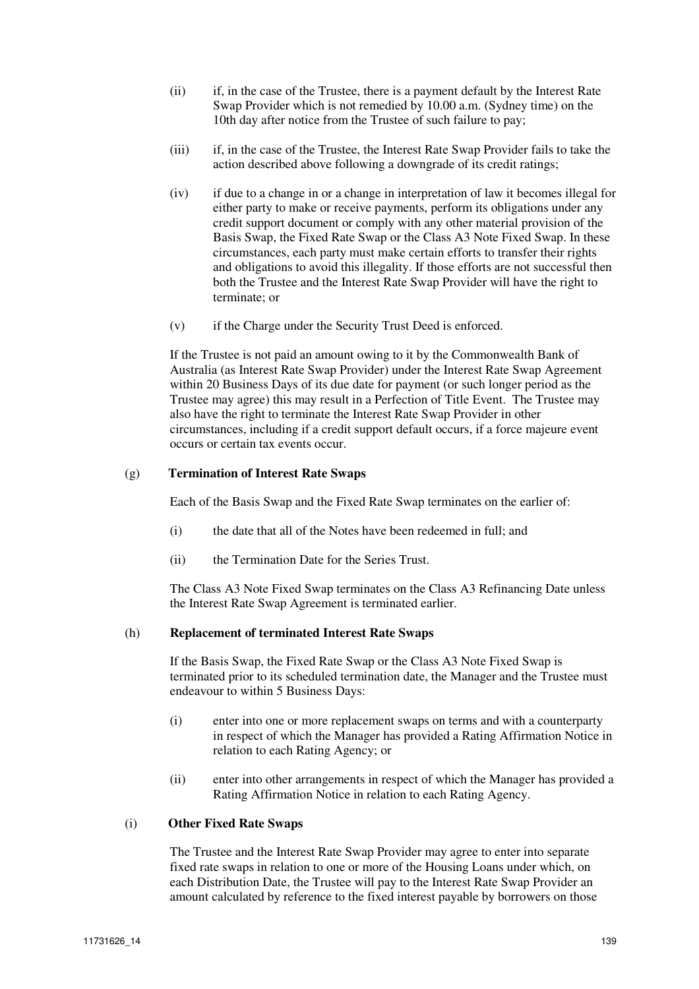- (ii) if, in the case of the Trustee, there is a payment default by the Interest Rate Swap Provider which is not remedied by 10.00 a.m. (Sydney time) on the 10th day after notice from the Trustee of such failure to pay;
- (iii) if, in the case of the Trustee, the Interest Rate Swap Provider fails to take the action described above following a downgrade of its credit ratings;
- (iv) if due to a change in or a change in interpretation of law it becomes illegal for either party to make or receive payments, perform its obligations under any credit support document or comply with any other material provision of the Basis Swap, the Fixed Rate Swap or the Class A3 Note Fixed Swap. In these circumstances, each party must make certain efforts to transfer their rights and obligations to avoid this illegality. If those efforts are not successful then both the Trustee and the Interest Rate Swap Provider will have the right to terminate; or
- (v) if the Charge under the Security Trust Deed is enforced.

If the Trustee is not paid an amount owing to it by the Commonwealth Bank of Australia (as Interest Rate Swap Provider) under the Interest Rate Swap Agreement within 20 Business Days of its due date for payment (or such longer period as the Trustee may agree) this may result in a Perfection of Title Event. The Trustee may also have the right to terminate the Interest Rate Swap Provider in other circumstances, including if a credit support default occurs, if a force majeure event occurs or certain tax events occur.

## (g) **Termination of Interest Rate Swaps**

Each of the Basis Swap and the Fixed Rate Swap terminates on the earlier of:

- (i) the date that all of the Notes have been redeemed in full; and
- (ii) the Termination Date for the Series Trust.

The Class A3 Note Fixed Swap terminates on the Class A3 Refinancing Date unless the Interest Rate Swap Agreement is terminated earlier.

## (h) **Replacement of terminated Interest Rate Swaps**

If the Basis Swap, the Fixed Rate Swap or the Class A3 Note Fixed Swap is terminated prior to its scheduled termination date, the Manager and the Trustee must endeavour to within 5 Business Days:

- (i) enter into one or more replacement swaps on terms and with a counterparty in respect of which the Manager has provided a Rating Affirmation Notice in relation to each Rating Agency; or
- (ii) enter into other arrangements in respect of which the Manager has provided a Rating Affirmation Notice in relation to each Rating Agency.

## (i) **Other Fixed Rate Swaps**

The Trustee and the Interest Rate Swap Provider may agree to enter into separate fixed rate swaps in relation to one or more of the Housing Loans under which, on each Distribution Date, the Trustee will pay to the Interest Rate Swap Provider an amount calculated by reference to the fixed interest payable by borrowers on those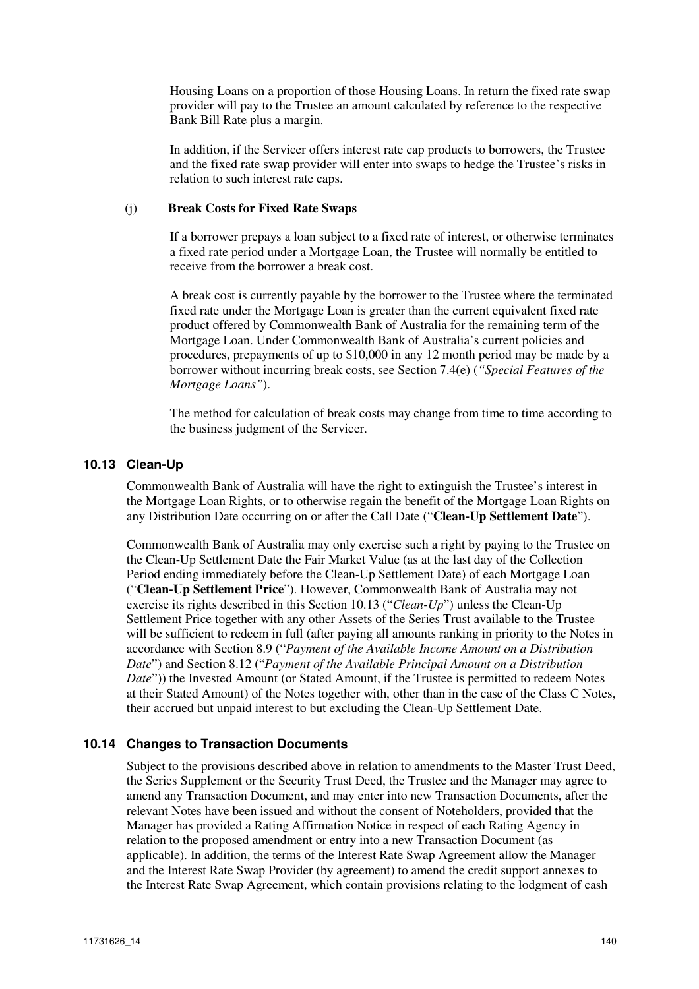Housing Loans on a proportion of those Housing Loans. In return the fixed rate swap provider will pay to the Trustee an amount calculated by reference to the respective Bank Bill Rate plus a margin.

In addition, if the Servicer offers interest rate cap products to borrowers, the Trustee and the fixed rate swap provider will enter into swaps to hedge the Trustee's risks in relation to such interest rate caps.

#### (j) **Break Costs for Fixed Rate Swaps**

If a borrower prepays a loan subject to a fixed rate of interest, or otherwise terminates a fixed rate period under a Mortgage Loan, the Trustee will normally be entitled to receive from the borrower a break cost.

A break cost is currently payable by the borrower to the Trustee where the terminated fixed rate under the Mortgage Loan is greater than the current equivalent fixed rate product offered by Commonwealth Bank of Australia for the remaining term of the Mortgage Loan. Under Commonwealth Bank of Australia's current policies and procedures, prepayments of up to \$10,000 in any 12 month period may be made by a borrower without incurring break costs, see Section 7.4(e) (*"Special Features of the Mortgage Loans"*).

The method for calculation of break costs may change from time to time according to the business judgment of the Servicer.

## **10.13 Clean-Up**

Commonwealth Bank of Australia will have the right to extinguish the Trustee's interest in the Mortgage Loan Rights, or to otherwise regain the benefit of the Mortgage Loan Rights on any Distribution Date occurring on or after the Call Date ("**Clean-Up Settlement Date**").

Commonwealth Bank of Australia may only exercise such a right by paying to the Trustee on the Clean-Up Settlement Date the Fair Market Value (as at the last day of the Collection Period ending immediately before the Clean-Up Settlement Date) of each Mortgage Loan ("**Clean-Up Settlement Price**"). However, Commonwealth Bank of Australia may not exercise its rights described in this Section 10.13 ("*Clean-Up*") unless the Clean-Up Settlement Price together with any other Assets of the Series Trust available to the Trustee will be sufficient to redeem in full (after paying all amounts ranking in priority to the Notes in accordance with Section 8.9 ("*Payment of the Available Income Amount on a Distribution Date*") and Section 8.12 ("*Payment of the Available Principal Amount on a Distribution Date*")) the Invested Amount (or Stated Amount, if the Trustee is permitted to redeem Notes at their Stated Amount) of the Notes together with, other than in the case of the Class C Notes, their accrued but unpaid interest to but excluding the Clean-Up Settlement Date.

## **10.14 Changes to Transaction Documents**

Subject to the provisions described above in relation to amendments to the Master Trust Deed, the Series Supplement or the Security Trust Deed, the Trustee and the Manager may agree to amend any Transaction Document, and may enter into new Transaction Documents, after the relevant Notes have been issued and without the consent of Noteholders, provided that the Manager has provided a Rating Affirmation Notice in respect of each Rating Agency in relation to the proposed amendment or entry into a new Transaction Document (as applicable). In addition, the terms of the Interest Rate Swap Agreement allow the Manager and the Interest Rate Swap Provider (by agreement) to amend the credit support annexes to the Interest Rate Swap Agreement, which contain provisions relating to the lodgment of cash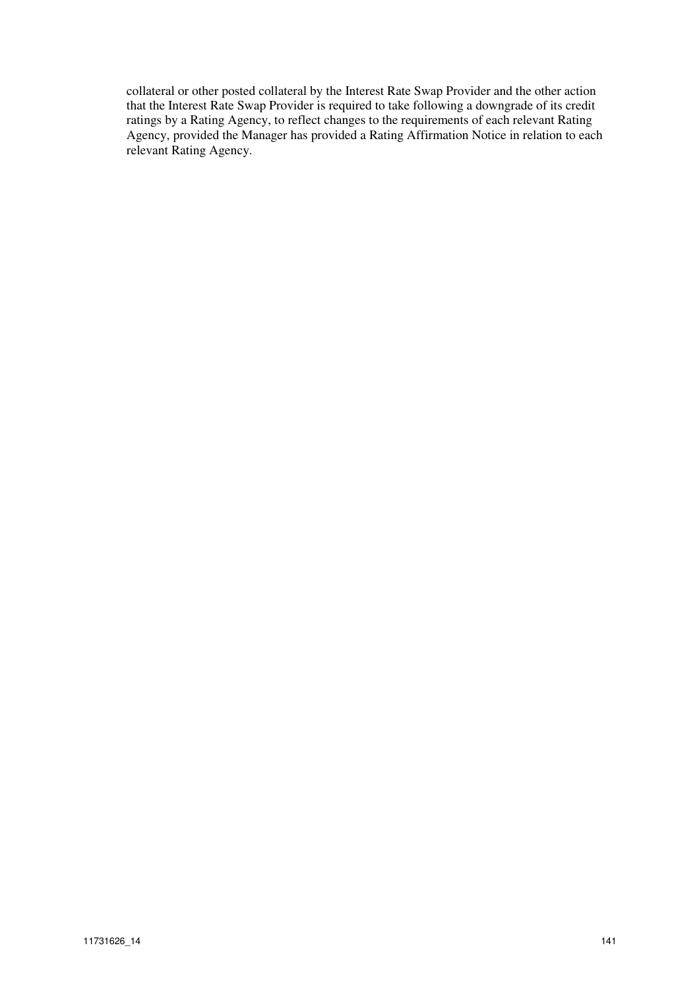collateral or other posted collateral by the Interest Rate Swap Provider and the other action that the Interest Rate Swap Provider is required to take following a downgrade of its credit ratings by a Rating Agency, to reflect changes to the requirements of each relevant Rating Agency, provided the Manager has provided a Rating Affirmation Notice in relation to each relevant Rating Agency.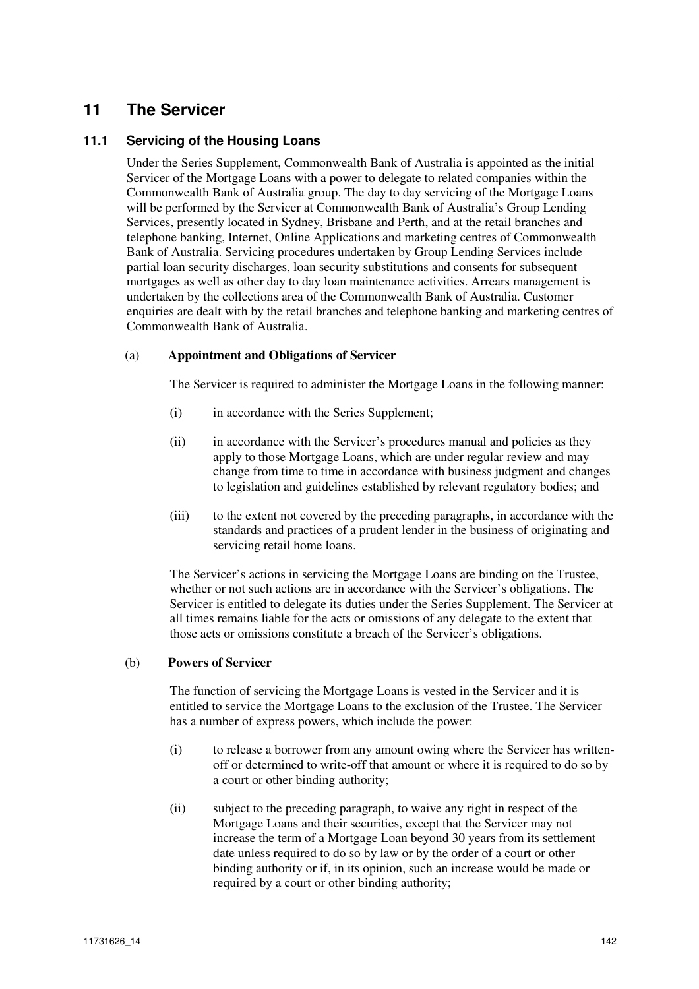# **11 The Servicer**

# **11.1 Servicing of the Housing Loans**

Under the Series Supplement, Commonwealth Bank of Australia is appointed as the initial Servicer of the Mortgage Loans with a power to delegate to related companies within the Commonwealth Bank of Australia group. The day to day servicing of the Mortgage Loans will be performed by the Servicer at Commonwealth Bank of Australia's Group Lending Services, presently located in Sydney, Brisbane and Perth, and at the retail branches and telephone banking, Internet, Online Applications and marketing centres of Commonwealth Bank of Australia. Servicing procedures undertaken by Group Lending Services include partial loan security discharges, loan security substitutions and consents for subsequent mortgages as well as other day to day loan maintenance activities. Arrears management is undertaken by the collections area of the Commonwealth Bank of Australia. Customer enquiries are dealt with by the retail branches and telephone banking and marketing centres of Commonwealth Bank of Australia.

## (a) **Appointment and Obligations of Servicer**

The Servicer is required to administer the Mortgage Loans in the following manner:

- (i) in accordance with the Series Supplement;
- (ii) in accordance with the Servicer's procedures manual and policies as they apply to those Mortgage Loans, which are under regular review and may change from time to time in accordance with business judgment and changes to legislation and guidelines established by relevant regulatory bodies; and
- (iii) to the extent not covered by the preceding paragraphs, in accordance with the standards and practices of a prudent lender in the business of originating and servicing retail home loans.

The Servicer's actions in servicing the Mortgage Loans are binding on the Trustee, whether or not such actions are in accordance with the Servicer's obligations. The Servicer is entitled to delegate its duties under the Series Supplement. The Servicer at all times remains liable for the acts or omissions of any delegate to the extent that those acts or omissions constitute a breach of the Servicer's obligations.

## (b) **Powers of Servicer**

The function of servicing the Mortgage Loans is vested in the Servicer and it is entitled to service the Mortgage Loans to the exclusion of the Trustee. The Servicer has a number of express powers, which include the power:

- (i) to release a borrower from any amount owing where the Servicer has writtenoff or determined to write-off that amount or where it is required to do so by a court or other binding authority;
- (ii) subject to the preceding paragraph, to waive any right in respect of the Mortgage Loans and their securities, except that the Servicer may not increase the term of a Mortgage Loan beyond 30 years from its settlement date unless required to do so by law or by the order of a court or other binding authority or if, in its opinion, such an increase would be made or required by a court or other binding authority;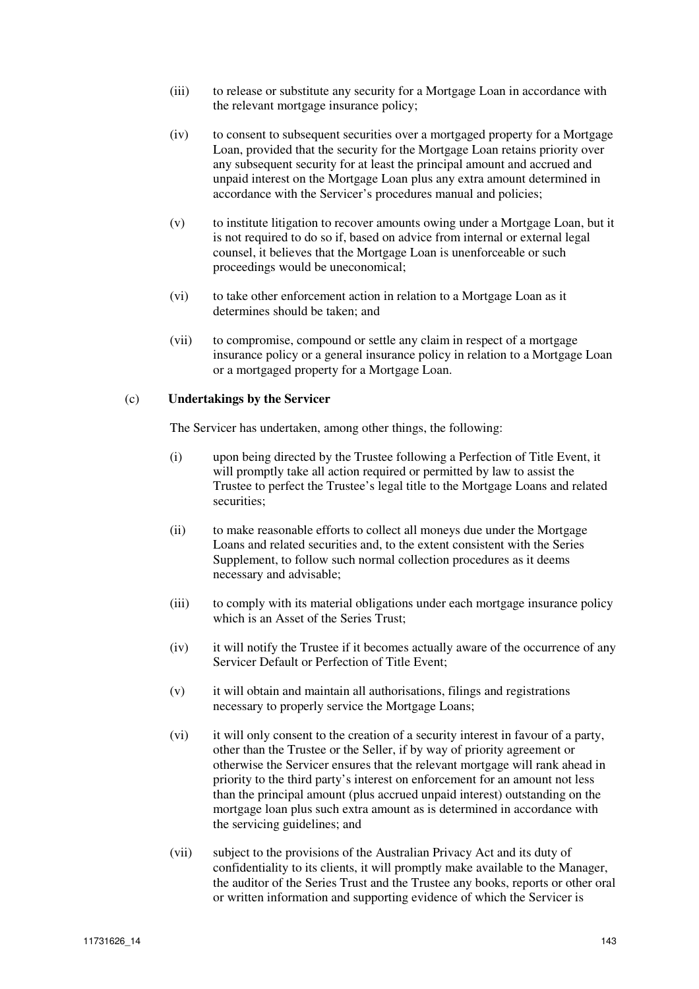- (iii) to release or substitute any security for a Mortgage Loan in accordance with the relevant mortgage insurance policy;
- (iv) to consent to subsequent securities over a mortgaged property for a Mortgage Loan, provided that the security for the Mortgage Loan retains priority over any subsequent security for at least the principal amount and accrued and unpaid interest on the Mortgage Loan plus any extra amount determined in accordance with the Servicer's procedures manual and policies;
- (v) to institute litigation to recover amounts owing under a Mortgage Loan, but it is not required to do so if, based on advice from internal or external legal counsel, it believes that the Mortgage Loan is unenforceable or such proceedings would be uneconomical;
- (vi) to take other enforcement action in relation to a Mortgage Loan as it determines should be taken; and
- (vii) to compromise, compound or settle any claim in respect of a mortgage insurance policy or a general insurance policy in relation to a Mortgage Loan or a mortgaged property for a Mortgage Loan.

#### (c) **Undertakings by the Servicer**

The Servicer has undertaken, among other things, the following:

- (i) upon being directed by the Trustee following a Perfection of Title Event, it will promptly take all action required or permitted by law to assist the Trustee to perfect the Trustee's legal title to the Mortgage Loans and related securities;
- (ii) to make reasonable efforts to collect all moneys due under the Mortgage Loans and related securities and, to the extent consistent with the Series Supplement, to follow such normal collection procedures as it deems necessary and advisable;
- (iii) to comply with its material obligations under each mortgage insurance policy which is an Asset of the Series Trust;
- (iv) it will notify the Trustee if it becomes actually aware of the occurrence of any Servicer Default or Perfection of Title Event;
- (v) it will obtain and maintain all authorisations, filings and registrations necessary to properly service the Mortgage Loans;
- (vi) it will only consent to the creation of a security interest in favour of a party, other than the Trustee or the Seller, if by way of priority agreement or otherwise the Servicer ensures that the relevant mortgage will rank ahead in priority to the third party's interest on enforcement for an amount not less than the principal amount (plus accrued unpaid interest) outstanding on the mortgage loan plus such extra amount as is determined in accordance with the servicing guidelines; and
- (vii) subject to the provisions of the Australian Privacy Act and its duty of confidentiality to its clients, it will promptly make available to the Manager, the auditor of the Series Trust and the Trustee any books, reports or other oral or written information and supporting evidence of which the Servicer is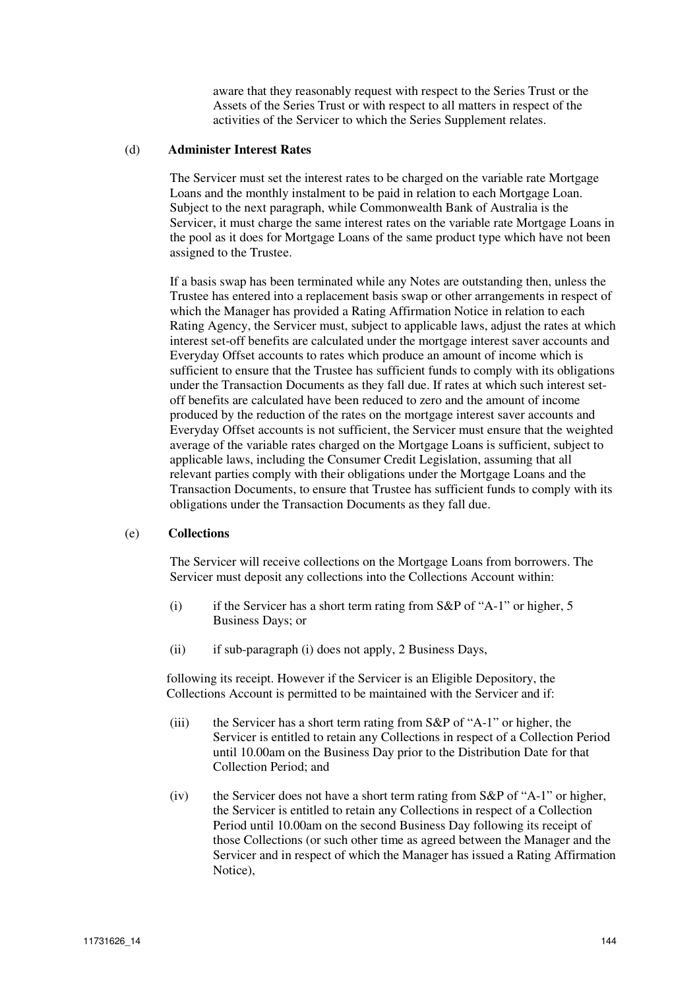aware that they reasonably request with respect to the Series Trust or the Assets of the Series Trust or with respect to all matters in respect of the activities of the Servicer to which the Series Supplement relates.

#### (d) **Administer Interest Rates**

The Servicer must set the interest rates to be charged on the variable rate Mortgage Loans and the monthly instalment to be paid in relation to each Mortgage Loan. Subject to the next paragraph, while Commonwealth Bank of Australia is the Servicer, it must charge the same interest rates on the variable rate Mortgage Loans in the pool as it does for Mortgage Loans of the same product type which have not been assigned to the Trustee.

If a basis swap has been terminated while any Notes are outstanding then, unless the Trustee has entered into a replacement basis swap or other arrangements in respect of which the Manager has provided a Rating Affirmation Notice in relation to each Rating Agency, the Servicer must, subject to applicable laws, adjust the rates at which interest set-off benefits are calculated under the mortgage interest saver accounts and Everyday Offset accounts to rates which produce an amount of income which is sufficient to ensure that the Trustee has sufficient funds to comply with its obligations under the Transaction Documents as they fall due. If rates at which such interest setoff benefits are calculated have been reduced to zero and the amount of income produced by the reduction of the rates on the mortgage interest saver accounts and Everyday Offset accounts is not sufficient, the Servicer must ensure that the weighted average of the variable rates charged on the Mortgage Loans is sufficient, subject to applicable laws, including the Consumer Credit Legislation, assuming that all relevant parties comply with their obligations under the Mortgage Loans and the Transaction Documents, to ensure that Trustee has sufficient funds to comply with its obligations under the Transaction Documents as they fall due.

#### (e) **Collections**

The Servicer will receive collections on the Mortgage Loans from borrowers. The Servicer must deposit any collections into the Collections Account within:

- (i) if the Servicer has a short term rating from S&P of "A-1" or higher, 5 Business Days; or
- (ii) if sub-paragraph (i) does not apply, 2 Business Days,

following its receipt. However if the Servicer is an Eligible Depository, the Collections Account is permitted to be maintained with the Servicer and if:

- (iii) the Servicer has a short term rating from S&P of "A-1" or higher, the Servicer is entitled to retain any Collections in respect of a Collection Period until 10.00am on the Business Day prior to the Distribution Date for that Collection Period; and
- (iv) the Servicer does not have a short term rating from S&P of "A-1" or higher, the Servicer is entitled to retain any Collections in respect of a Collection Period until 10.00am on the second Business Day following its receipt of those Collections (or such other time as agreed between the Manager and the Servicer and in respect of which the Manager has issued a Rating Affirmation Notice),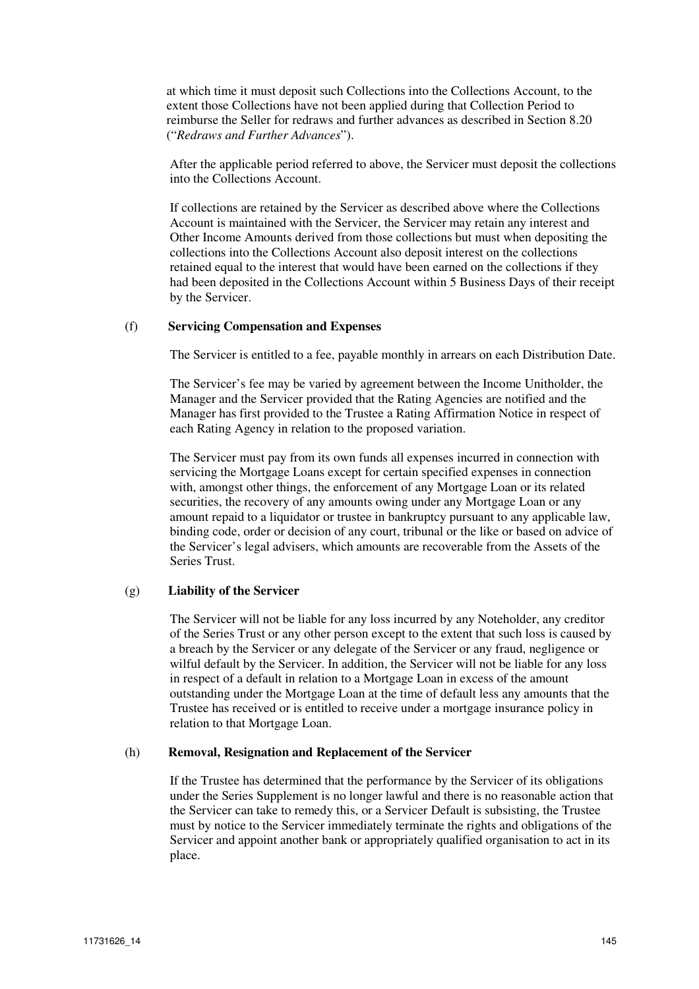at which time it must deposit such Collections into the Collections Account, to the extent those Collections have not been applied during that Collection Period to reimburse the Seller for redraws and further advances as described in Section 8.20 ("*Redraws and Further Advances*").

After the applicable period referred to above, the Servicer must deposit the collections into the Collections Account.

If collections are retained by the Servicer as described above where the Collections Account is maintained with the Servicer, the Servicer may retain any interest and Other Income Amounts derived from those collections but must when depositing the collections into the Collections Account also deposit interest on the collections retained equal to the interest that would have been earned on the collections if they had been deposited in the Collections Account within 5 Business Days of their receipt by the Servicer.

#### (f) **Servicing Compensation and Expenses**

The Servicer is entitled to a fee, payable monthly in arrears on each Distribution Date.

The Servicer's fee may be varied by agreement between the Income Unitholder, the Manager and the Servicer provided that the Rating Agencies are notified and the Manager has first provided to the Trustee a Rating Affirmation Notice in respect of each Rating Agency in relation to the proposed variation.

The Servicer must pay from its own funds all expenses incurred in connection with servicing the Mortgage Loans except for certain specified expenses in connection with, amongst other things, the enforcement of any Mortgage Loan or its related securities, the recovery of any amounts owing under any Mortgage Loan or any amount repaid to a liquidator or trustee in bankruptcy pursuant to any applicable law, binding code, order or decision of any court, tribunal or the like or based on advice of the Servicer's legal advisers, which amounts are recoverable from the Assets of the Series Trust.

#### (g) **Liability of the Servicer**

The Servicer will not be liable for any loss incurred by any Noteholder, any creditor of the Series Trust or any other person except to the extent that such loss is caused by a breach by the Servicer or any delegate of the Servicer or any fraud, negligence or wilful default by the Servicer. In addition, the Servicer will not be liable for any loss in respect of a default in relation to a Mortgage Loan in excess of the amount outstanding under the Mortgage Loan at the time of default less any amounts that the Trustee has received or is entitled to receive under a mortgage insurance policy in relation to that Mortgage Loan.

#### (h) **Removal, Resignation and Replacement of the Servicer**

If the Trustee has determined that the performance by the Servicer of its obligations under the Series Supplement is no longer lawful and there is no reasonable action that the Servicer can take to remedy this, or a Servicer Default is subsisting, the Trustee must by notice to the Servicer immediately terminate the rights and obligations of the Servicer and appoint another bank or appropriately qualified organisation to act in its place.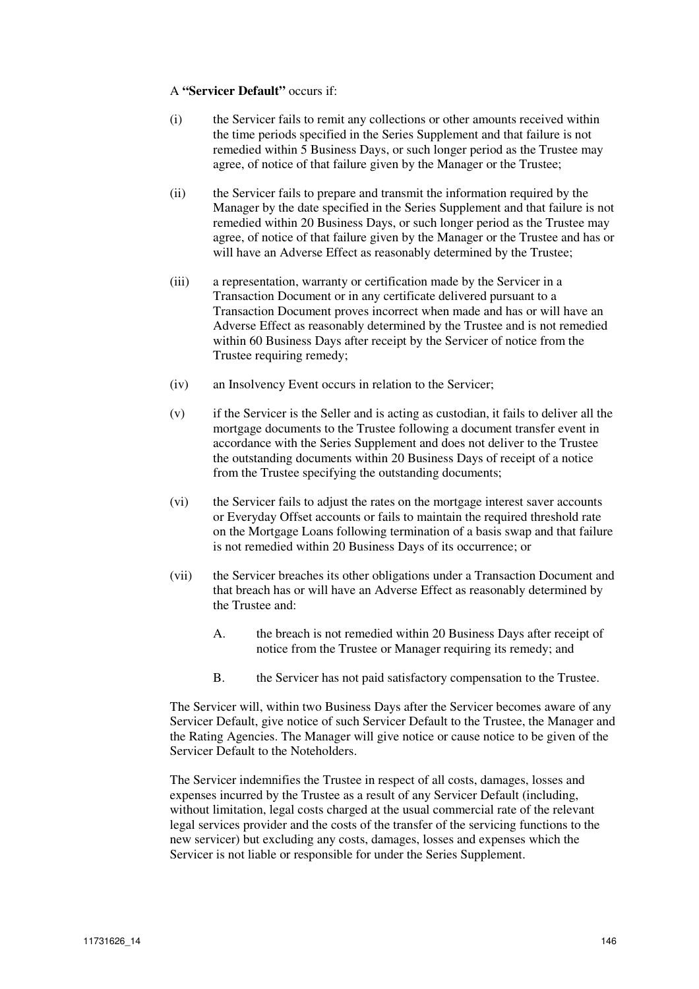#### A **"Servicer Default"** occurs if:

- (i) the Servicer fails to remit any collections or other amounts received within the time periods specified in the Series Supplement and that failure is not remedied within 5 Business Days, or such longer period as the Trustee may agree, of notice of that failure given by the Manager or the Trustee;
- (ii) the Servicer fails to prepare and transmit the information required by the Manager by the date specified in the Series Supplement and that failure is not remedied within 20 Business Days, or such longer period as the Trustee may agree, of notice of that failure given by the Manager or the Trustee and has or will have an Adverse Effect as reasonably determined by the Trustee;
- (iii) a representation, warranty or certification made by the Servicer in a Transaction Document or in any certificate delivered pursuant to a Transaction Document proves incorrect when made and has or will have an Adverse Effect as reasonably determined by the Trustee and is not remedied within 60 Business Days after receipt by the Servicer of notice from the Trustee requiring remedy;
- (iv) an Insolvency Event occurs in relation to the Servicer;
- (v) if the Servicer is the Seller and is acting as custodian, it fails to deliver all the mortgage documents to the Trustee following a document transfer event in accordance with the Series Supplement and does not deliver to the Trustee the outstanding documents within 20 Business Days of receipt of a notice from the Trustee specifying the outstanding documents;
- (vi) the Servicer fails to adjust the rates on the mortgage interest saver accounts or Everyday Offset accounts or fails to maintain the required threshold rate on the Mortgage Loans following termination of a basis swap and that failure is not remedied within 20 Business Days of its occurrence; or
- (vii) the Servicer breaches its other obligations under a Transaction Document and that breach has or will have an Adverse Effect as reasonably determined by the Trustee and:
	- A. the breach is not remedied within 20 Business Days after receipt of notice from the Trustee or Manager requiring its remedy; and
	- B. the Servicer has not paid satisfactory compensation to the Trustee.

The Servicer will, within two Business Days after the Servicer becomes aware of any Servicer Default, give notice of such Servicer Default to the Trustee, the Manager and the Rating Agencies. The Manager will give notice or cause notice to be given of the Servicer Default to the Noteholders.

The Servicer indemnifies the Trustee in respect of all costs, damages, losses and expenses incurred by the Trustee as a result of any Servicer Default (including, without limitation, legal costs charged at the usual commercial rate of the relevant legal services provider and the costs of the transfer of the servicing functions to the new servicer) but excluding any costs, damages, losses and expenses which the Servicer is not liable or responsible for under the Series Supplement.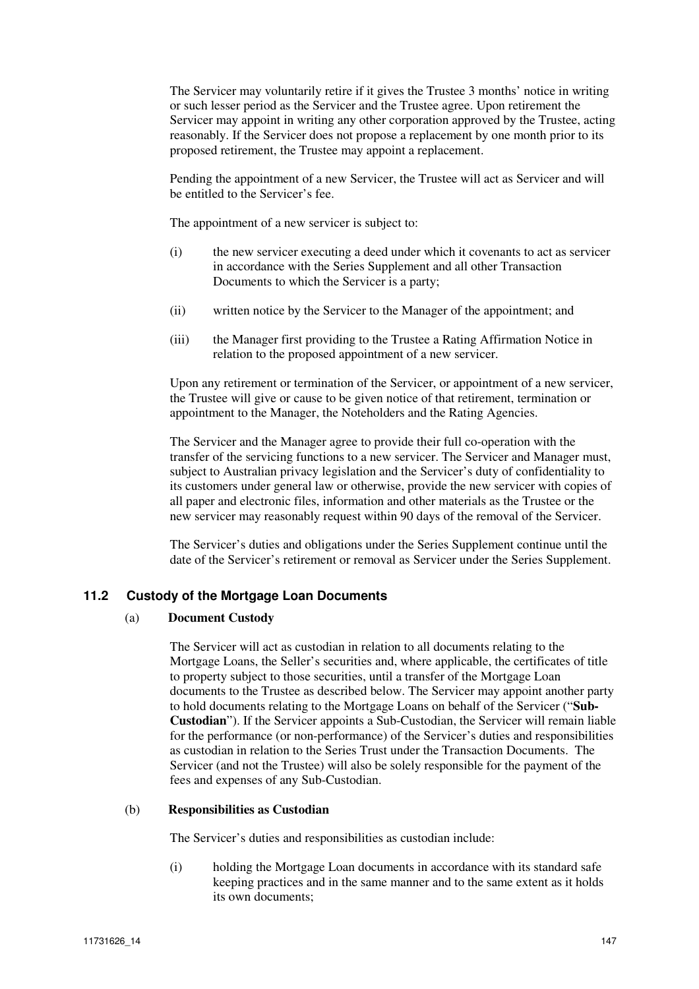The Servicer may voluntarily retire if it gives the Trustee 3 months' notice in writing or such lesser period as the Servicer and the Trustee agree. Upon retirement the Servicer may appoint in writing any other corporation approved by the Trustee, acting reasonably. If the Servicer does not propose a replacement by one month prior to its proposed retirement, the Trustee may appoint a replacement.

Pending the appointment of a new Servicer, the Trustee will act as Servicer and will be entitled to the Servicer's fee.

The appointment of a new servicer is subject to:

- (i) the new servicer executing a deed under which it covenants to act as servicer in accordance with the Series Supplement and all other Transaction Documents to which the Servicer is a party;
- (ii) written notice by the Servicer to the Manager of the appointment; and
- (iii) the Manager first providing to the Trustee a Rating Affirmation Notice in relation to the proposed appointment of a new servicer.

Upon any retirement or termination of the Servicer, or appointment of a new servicer, the Trustee will give or cause to be given notice of that retirement, termination or appointment to the Manager, the Noteholders and the Rating Agencies.

The Servicer and the Manager agree to provide their full co-operation with the transfer of the servicing functions to a new servicer. The Servicer and Manager must, subject to Australian privacy legislation and the Servicer's duty of confidentiality to its customers under general law or otherwise, provide the new servicer with copies of all paper and electronic files, information and other materials as the Trustee or the new servicer may reasonably request within 90 days of the removal of the Servicer.

The Servicer's duties and obligations under the Series Supplement continue until the date of the Servicer's retirement or removal as Servicer under the Series Supplement.

# **11.2 Custody of the Mortgage Loan Documents**

#### (a) **Document Custody**

The Servicer will act as custodian in relation to all documents relating to the Mortgage Loans, the Seller's securities and, where applicable, the certificates of title to property subject to those securities, until a transfer of the Mortgage Loan documents to the Trustee as described below. The Servicer may appoint another party to hold documents relating to the Mortgage Loans on behalf of the Servicer ("**Sub-Custodian**"). If the Servicer appoints a Sub-Custodian, the Servicer will remain liable for the performance (or non-performance) of the Servicer's duties and responsibilities as custodian in relation to the Series Trust under the Transaction Documents. The Servicer (and not the Trustee) will also be solely responsible for the payment of the fees and expenses of any Sub-Custodian.

#### (b) **Responsibilities as Custodian**

The Servicer's duties and responsibilities as custodian include:

(i) holding the Mortgage Loan documents in accordance with its standard safe keeping practices and in the same manner and to the same extent as it holds its own documents;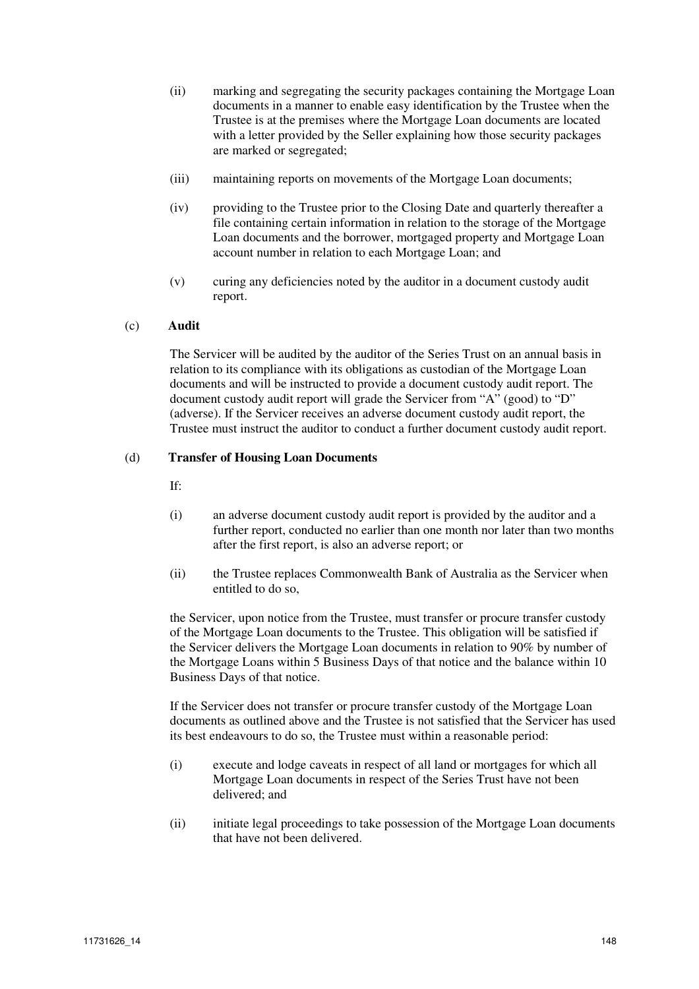- (ii) marking and segregating the security packages containing the Mortgage Loan documents in a manner to enable easy identification by the Trustee when the Trustee is at the premises where the Mortgage Loan documents are located with a letter provided by the Seller explaining how those security packages are marked or segregated;
- (iii) maintaining reports on movements of the Mortgage Loan documents;
- (iv) providing to the Trustee prior to the Closing Date and quarterly thereafter a file containing certain information in relation to the storage of the Mortgage Loan documents and the borrower, mortgaged property and Mortgage Loan account number in relation to each Mortgage Loan; and
- (v) curing any deficiencies noted by the auditor in a document custody audit report.

#### (c) **Audit**

The Servicer will be audited by the auditor of the Series Trust on an annual basis in relation to its compliance with its obligations as custodian of the Mortgage Loan documents and will be instructed to provide a document custody audit report. The document custody audit report will grade the Servicer from "A" (good) to "D" (adverse). If the Servicer receives an adverse document custody audit report, the Trustee must instruct the auditor to conduct a further document custody audit report.

#### (d) **Transfer of Housing Loan Documents**

If:

- (i) an adverse document custody audit report is provided by the auditor and a further report, conducted no earlier than one month nor later than two months after the first report, is also an adverse report; or
- (ii) the Trustee replaces Commonwealth Bank of Australia as the Servicer when entitled to do so,

the Servicer, upon notice from the Trustee, must transfer or procure transfer custody of the Mortgage Loan documents to the Trustee. This obligation will be satisfied if the Servicer delivers the Mortgage Loan documents in relation to 90% by number of the Mortgage Loans within 5 Business Days of that notice and the balance within 10 Business Days of that notice.

If the Servicer does not transfer or procure transfer custody of the Mortgage Loan documents as outlined above and the Trustee is not satisfied that the Servicer has used its best endeavours to do so, the Trustee must within a reasonable period:

- (i) execute and lodge caveats in respect of all land or mortgages for which all Mortgage Loan documents in respect of the Series Trust have not been delivered; and
- (ii) initiate legal proceedings to take possession of the Mortgage Loan documents that have not been delivered.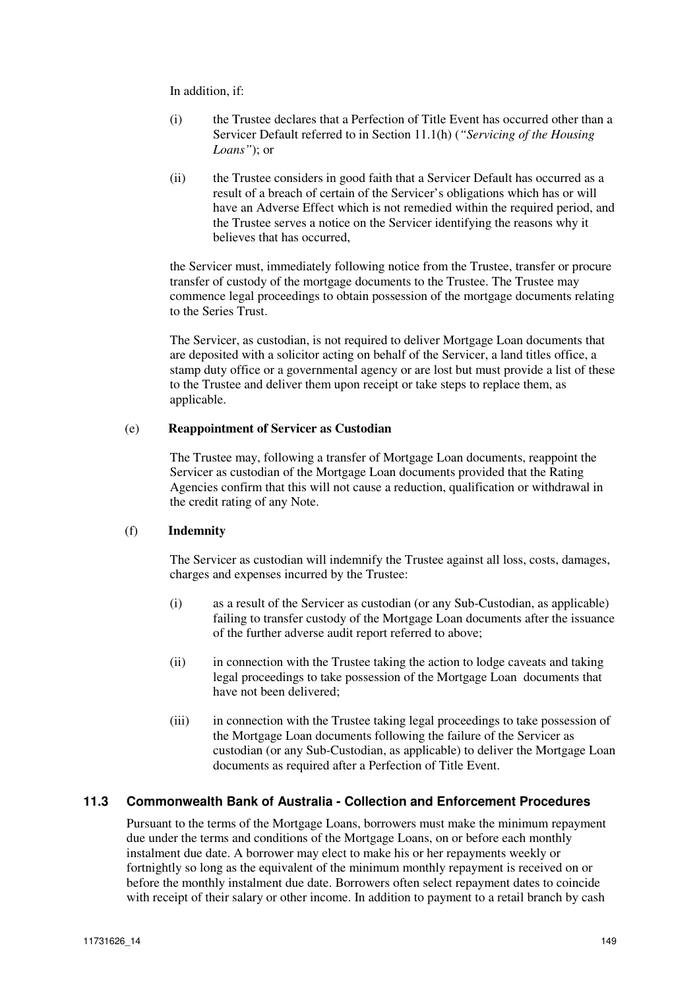In addition, if:

- (i) the Trustee declares that a Perfection of Title Event has occurred other than a Servicer Default referred to in Section 11.1(h) (*"Servicing of the Housing Loans"*); or
- (ii) the Trustee considers in good faith that a Servicer Default has occurred as a result of a breach of certain of the Servicer's obligations which has or will have an Adverse Effect which is not remedied within the required period, and the Trustee serves a notice on the Servicer identifying the reasons why it believes that has occurred,

the Servicer must, immediately following notice from the Trustee, transfer or procure transfer of custody of the mortgage documents to the Trustee. The Trustee may commence legal proceedings to obtain possession of the mortgage documents relating to the Series Trust.

The Servicer, as custodian, is not required to deliver Mortgage Loan documents that are deposited with a solicitor acting on behalf of the Servicer, a land titles office, a stamp duty office or a governmental agency or are lost but must provide a list of these to the Trustee and deliver them upon receipt or take steps to replace them, as applicable.

#### (e) **Reappointment of Servicer as Custodian**

The Trustee may, following a transfer of Mortgage Loan documents, reappoint the Servicer as custodian of the Mortgage Loan documents provided that the Rating Agencies confirm that this will not cause a reduction, qualification or withdrawal in the credit rating of any Note.

# (f) **Indemnity**

The Servicer as custodian will indemnify the Trustee against all loss, costs, damages, charges and expenses incurred by the Trustee:

- (i) as a result of the Servicer as custodian (or any Sub-Custodian, as applicable) failing to transfer custody of the Mortgage Loan documents after the issuance of the further adverse audit report referred to above;
- (ii) in connection with the Trustee taking the action to lodge caveats and taking legal proceedings to take possession of the Mortgage Loan documents that have not been delivered;
- (iii) in connection with the Trustee taking legal proceedings to take possession of the Mortgage Loan documents following the failure of the Servicer as custodian (or any Sub-Custodian, as applicable) to deliver the Mortgage Loan documents as required after a Perfection of Title Event.

# **11.3 Commonwealth Bank of Australia - Collection and Enforcement Procedures**

Pursuant to the terms of the Mortgage Loans, borrowers must make the minimum repayment due under the terms and conditions of the Mortgage Loans, on or before each monthly instalment due date. A borrower may elect to make his or her repayments weekly or fortnightly so long as the equivalent of the minimum monthly repayment is received on or before the monthly instalment due date. Borrowers often select repayment dates to coincide with receipt of their salary or other income. In addition to payment to a retail branch by cash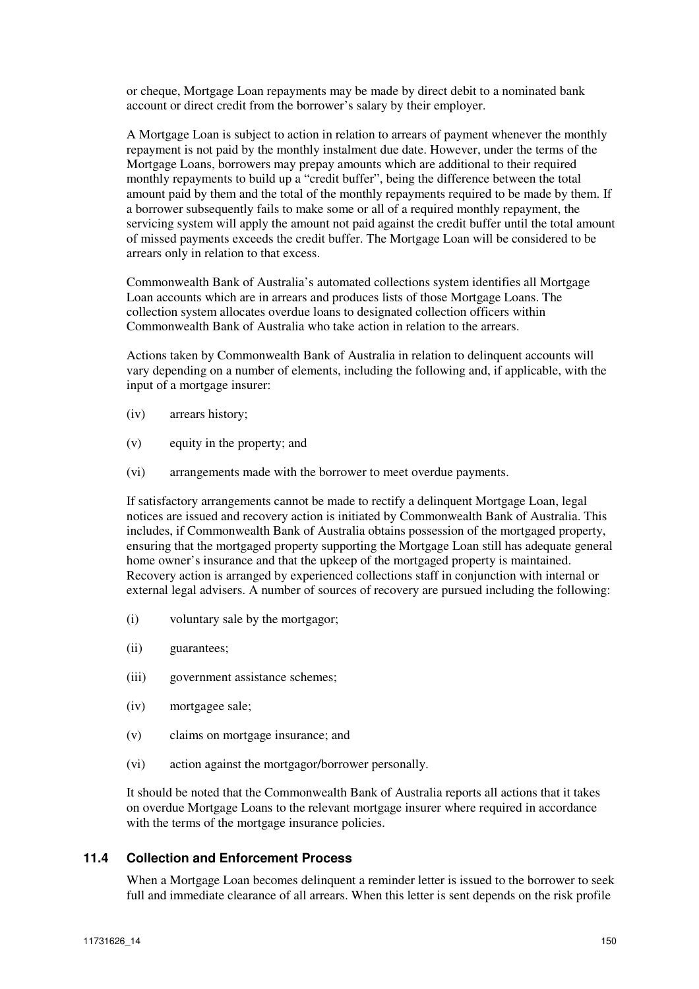or cheque, Mortgage Loan repayments may be made by direct debit to a nominated bank account or direct credit from the borrower's salary by their employer.

A Mortgage Loan is subject to action in relation to arrears of payment whenever the monthly repayment is not paid by the monthly instalment due date. However, under the terms of the Mortgage Loans, borrowers may prepay amounts which are additional to their required monthly repayments to build up a "credit buffer", being the difference between the total amount paid by them and the total of the monthly repayments required to be made by them. If a borrower subsequently fails to make some or all of a required monthly repayment, the servicing system will apply the amount not paid against the credit buffer until the total amount of missed payments exceeds the credit buffer. The Mortgage Loan will be considered to be arrears only in relation to that excess.

Commonwealth Bank of Australia's automated collections system identifies all Mortgage Loan accounts which are in arrears and produces lists of those Mortgage Loans. The collection system allocates overdue loans to designated collection officers within Commonwealth Bank of Australia who take action in relation to the arrears.

Actions taken by Commonwealth Bank of Australia in relation to delinquent accounts will vary depending on a number of elements, including the following and, if applicable, with the input of a mortgage insurer:

- (iv) arrears history;
- (v) equity in the property; and
- (vi) arrangements made with the borrower to meet overdue payments.

If satisfactory arrangements cannot be made to rectify a delinquent Mortgage Loan, legal notices are issued and recovery action is initiated by Commonwealth Bank of Australia. This includes, if Commonwealth Bank of Australia obtains possession of the mortgaged property, ensuring that the mortgaged property supporting the Mortgage Loan still has adequate general home owner's insurance and that the upkeep of the mortgaged property is maintained. Recovery action is arranged by experienced collections staff in conjunction with internal or external legal advisers. A number of sources of recovery are pursued including the following:

- (i) voluntary sale by the mortgagor;
- (ii) guarantees;
- (iii) government assistance schemes;
- (iv) mortgagee sale;
- (v) claims on mortgage insurance; and
- (vi) action against the mortgagor/borrower personally.

It should be noted that the Commonwealth Bank of Australia reports all actions that it takes on overdue Mortgage Loans to the relevant mortgage insurer where required in accordance with the terms of the mortgage insurance policies.

## **11.4 Collection and Enforcement Process**

When a Mortgage Loan becomes delinquent a reminder letter is issued to the borrower to seek full and immediate clearance of all arrears. When this letter is sent depends on the risk profile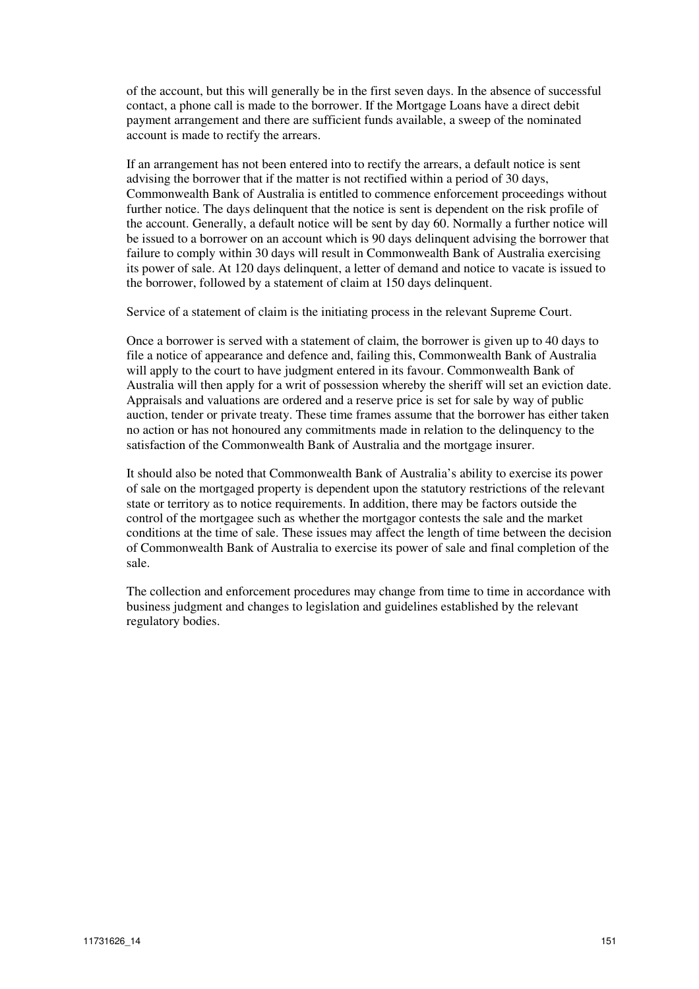of the account, but this will generally be in the first seven days. In the absence of successful contact, a phone call is made to the borrower. If the Mortgage Loans have a direct debit payment arrangement and there are sufficient funds available, a sweep of the nominated account is made to rectify the arrears.

If an arrangement has not been entered into to rectify the arrears, a default notice is sent advising the borrower that if the matter is not rectified within a period of 30 days, Commonwealth Bank of Australia is entitled to commence enforcement proceedings without further notice. The days delinquent that the notice is sent is dependent on the risk profile of the account. Generally, a default notice will be sent by day 60. Normally a further notice will be issued to a borrower on an account which is 90 days delinquent advising the borrower that failure to comply within 30 days will result in Commonwealth Bank of Australia exercising its power of sale. At 120 days delinquent, a letter of demand and notice to vacate is issued to the borrower, followed by a statement of claim at 150 days delinquent.

Service of a statement of claim is the initiating process in the relevant Supreme Court.

Once a borrower is served with a statement of claim, the borrower is given up to 40 days to file a notice of appearance and defence and, failing this, Commonwealth Bank of Australia will apply to the court to have judgment entered in its favour. Commonwealth Bank of Australia will then apply for a writ of possession whereby the sheriff will set an eviction date. Appraisals and valuations are ordered and a reserve price is set for sale by way of public auction, tender or private treaty. These time frames assume that the borrower has either taken no action or has not honoured any commitments made in relation to the delinquency to the satisfaction of the Commonwealth Bank of Australia and the mortgage insurer.

It should also be noted that Commonwealth Bank of Australia's ability to exercise its power of sale on the mortgaged property is dependent upon the statutory restrictions of the relevant state or territory as to notice requirements. In addition, there may be factors outside the control of the mortgagee such as whether the mortgagor contests the sale and the market conditions at the time of sale. These issues may affect the length of time between the decision of Commonwealth Bank of Australia to exercise its power of sale and final completion of the sale.

The collection and enforcement procedures may change from time to time in accordance with business judgment and changes to legislation and guidelines established by the relevant regulatory bodies.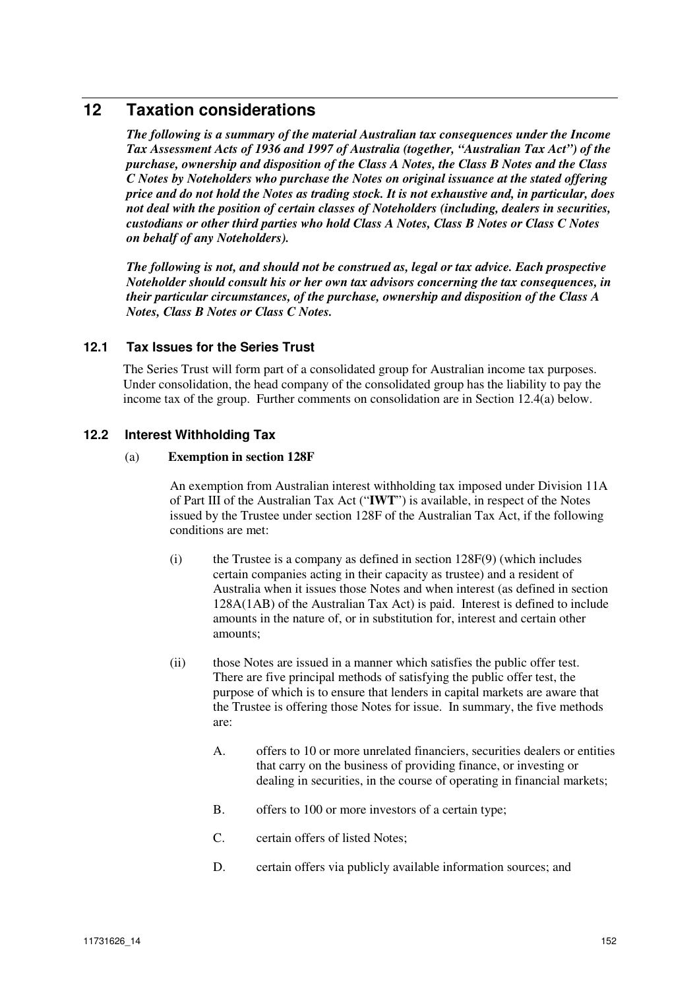# **12 Taxation considerations**

*The following is a summary of the material Australian tax consequences under the Income Tax Assessment Acts of 1936 and 1997 of Australia (together, "Australian Tax Act") of the purchase, ownership and disposition of the Class A Notes, the Class B Notes and the Class C Notes by Noteholders who purchase the Notes on original issuance at the stated offering price and do not hold the Notes as trading stock. It is not exhaustive and, in particular, does not deal with the position of certain classes of Noteholders (including, dealers in securities, custodians or other third parties who hold Class A Notes, Class B Notes or Class C Notes on behalf of any Noteholders).* 

*The following is not, and should not be construed as, legal or tax advice. Each prospective Noteholder should consult his or her own tax advisors concerning the tax consequences, in their particular circumstances, of the purchase, ownership and disposition of the Class A Notes, Class B Notes or Class C Notes.* 

# **12.1 Tax Issues for the Series Trust**

The Series Trust will form part of a consolidated group for Australian income tax purposes. Under consolidation, the head company of the consolidated group has the liability to pay the income tax of the group. Further comments on consolidation are in Section 12.4(a) below.

# **12.2 Interest Withholding Tax**

#### (a) **Exemption in section 128F**

An exemption from Australian interest withholding tax imposed under Division 11A of Part III of the Australian Tax Act ("**IWT**") is available, in respect of the Notes issued by the Trustee under section 128F of the Australian Tax Act, if the following conditions are met:

- (i) the Trustee is a company as defined in section  $128F(9)$  (which includes certain companies acting in their capacity as trustee) and a resident of Australia when it issues those Notes and when interest (as defined in section 128A(1AB) of the Australian Tax Act) is paid. Interest is defined to include amounts in the nature of, or in substitution for, interest and certain other amounts;
- (ii) those Notes are issued in a manner which satisfies the public offer test. There are five principal methods of satisfying the public offer test, the purpose of which is to ensure that lenders in capital markets are aware that the Trustee is offering those Notes for issue. In summary, the five methods are:
	- A. offers to 10 or more unrelated financiers, securities dealers or entities that carry on the business of providing finance, or investing or dealing in securities, in the course of operating in financial markets;
	- B. offers to 100 or more investors of a certain type;
	- C. certain offers of listed Notes;
	- D. certain offers via publicly available information sources; and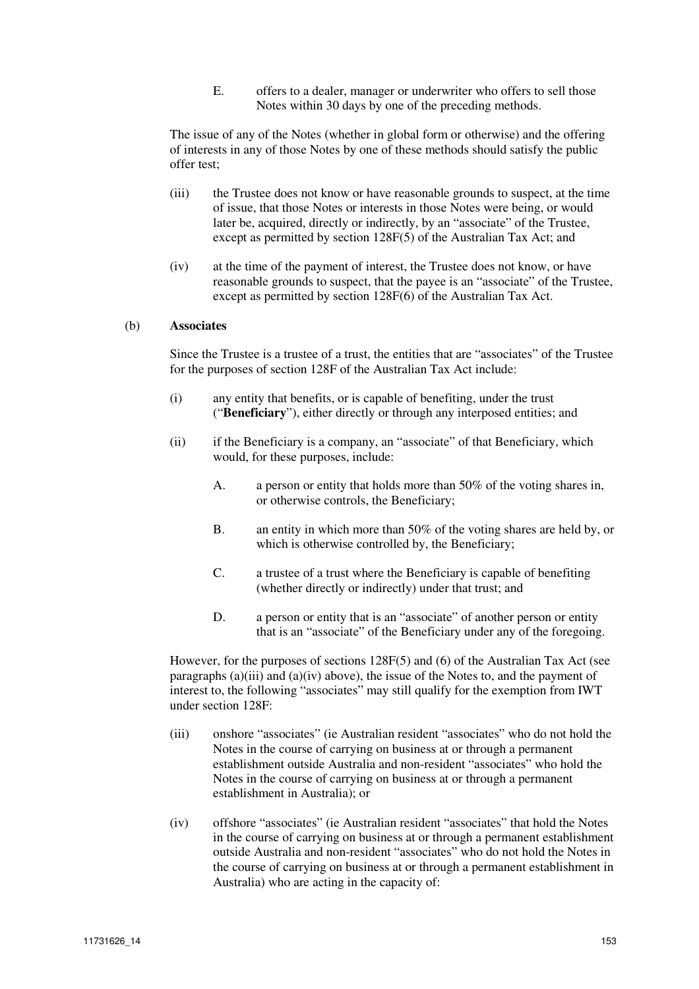E. offers to a dealer, manager or underwriter who offers to sell those Notes within 30 days by one of the preceding methods.

The issue of any of the Notes (whether in global form or otherwise) and the offering of interests in any of those Notes by one of these methods should satisfy the public offer test;

- (iii) the Trustee does not know or have reasonable grounds to suspect, at the time of issue, that those Notes or interests in those Notes were being, or would later be, acquired, directly or indirectly, by an "associate" of the Trustee, except as permitted by section 128F(5) of the Australian Tax Act; and
- (iv) at the time of the payment of interest, the Trustee does not know, or have reasonable grounds to suspect, that the payee is an "associate" of the Trustee, except as permitted by section 128F(6) of the Australian Tax Act.

#### (b) **Associates**

Since the Trustee is a trustee of a trust, the entities that are "associates" of the Trustee for the purposes of section 128F of the Australian Tax Act include:

- (i) any entity that benefits, or is capable of benefiting, under the trust ("**Beneficiary**"), either directly or through any interposed entities; and
- (ii) if the Beneficiary is a company, an "associate" of that Beneficiary, which would, for these purposes, include:
	- A. a person or entity that holds more than 50% of the voting shares in, or otherwise controls, the Beneficiary;
	- B. an entity in which more than 50% of the voting shares are held by, or which is otherwise controlled by, the Beneficiary;
	- C. a trustee of a trust where the Beneficiary is capable of benefiting (whether directly or indirectly) under that trust; and
	- D. a person or entity that is an "associate" of another person or entity that is an "associate" of the Beneficiary under any of the foregoing.

However, for the purposes of sections 128F(5) and (6) of the Australian Tax Act (see paragraphs (a)(iii) and (a)(iv) above), the issue of the Notes to, and the payment of interest to, the following "associates" may still qualify for the exemption from IWT under section 128F:

- (iii) onshore "associates" (ie Australian resident "associates" who do not hold the Notes in the course of carrying on business at or through a permanent establishment outside Australia and non-resident "associates" who hold the Notes in the course of carrying on business at or through a permanent establishment in Australia); or
- (iv) offshore "associates" (ie Australian resident "associates" that hold the Notes in the course of carrying on business at or through a permanent establishment outside Australia and non-resident "associates" who do not hold the Notes in the course of carrying on business at or through a permanent establishment in Australia) who are acting in the capacity of: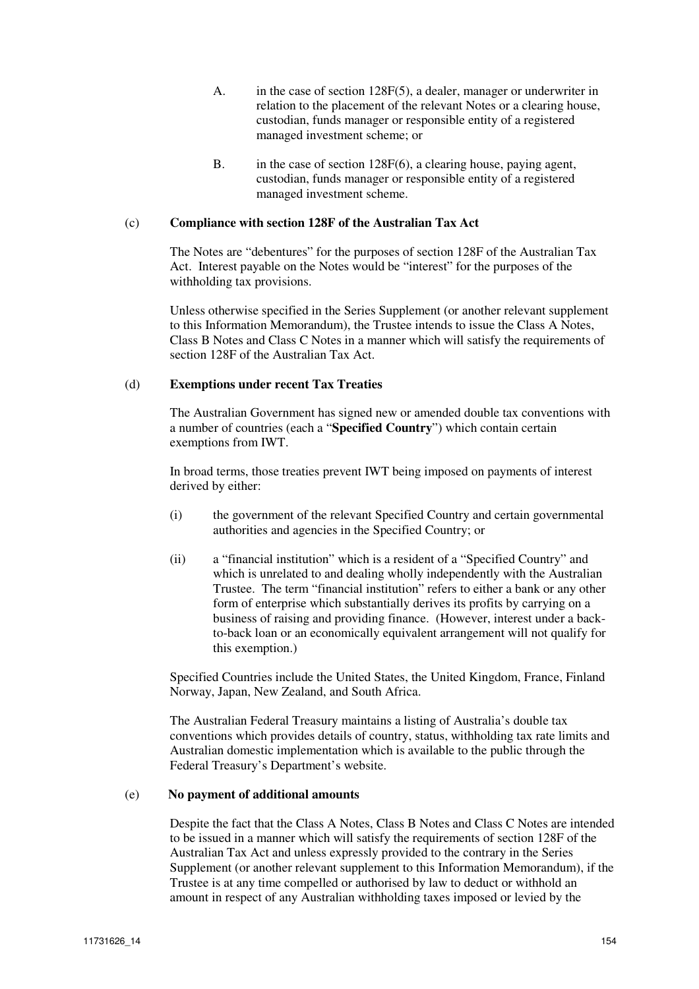- A. in the case of section 128F(5), a dealer, manager or underwriter in relation to the placement of the relevant Notes or a clearing house, custodian, funds manager or responsible entity of a registered managed investment scheme; or
- B. in the case of section 128F(6), a clearing house, paying agent, custodian, funds manager or responsible entity of a registered managed investment scheme.

#### (c) **Compliance with section 128F of the Australian Tax Act**

The Notes are "debentures" for the purposes of section 128F of the Australian Tax Act. Interest payable on the Notes would be "interest" for the purposes of the withholding tax provisions.

Unless otherwise specified in the Series Supplement (or another relevant supplement to this Information Memorandum), the Trustee intends to issue the Class A Notes, Class B Notes and Class C Notes in a manner which will satisfy the requirements of section 128F of the Australian Tax Act.

## (d) **Exemptions under recent Tax Treaties**

The Australian Government has signed new or amended double tax conventions with a number of countries (each a "**Specified Country**") which contain certain exemptions from IWT.

In broad terms, those treaties prevent IWT being imposed on payments of interest derived by either:

- (i) the government of the relevant Specified Country and certain governmental authorities and agencies in the Specified Country; or
- (ii) a "financial institution" which is a resident of a "Specified Country" and which is unrelated to and dealing wholly independently with the Australian Trustee. The term "financial institution" refers to either a bank or any other form of enterprise which substantially derives its profits by carrying on a business of raising and providing finance. (However, interest under a backto-back loan or an economically equivalent arrangement will not qualify for this exemption.)

Specified Countries include the United States, the United Kingdom, France, Finland Norway, Japan, New Zealand, and South Africa.

The Australian Federal Treasury maintains a listing of Australia's double tax conventions which provides details of country, status, withholding tax rate limits and Australian domestic implementation which is available to the public through the Federal Treasury's Department's website.

#### (e) **No payment of additional amounts**

Despite the fact that the Class A Notes, Class B Notes and Class C Notes are intended to be issued in a manner which will satisfy the requirements of section 128F of the Australian Tax Act and unless expressly provided to the contrary in the Series Supplement (or another relevant supplement to this Information Memorandum), if the Trustee is at any time compelled or authorised by law to deduct or withhold an amount in respect of any Australian withholding taxes imposed or levied by the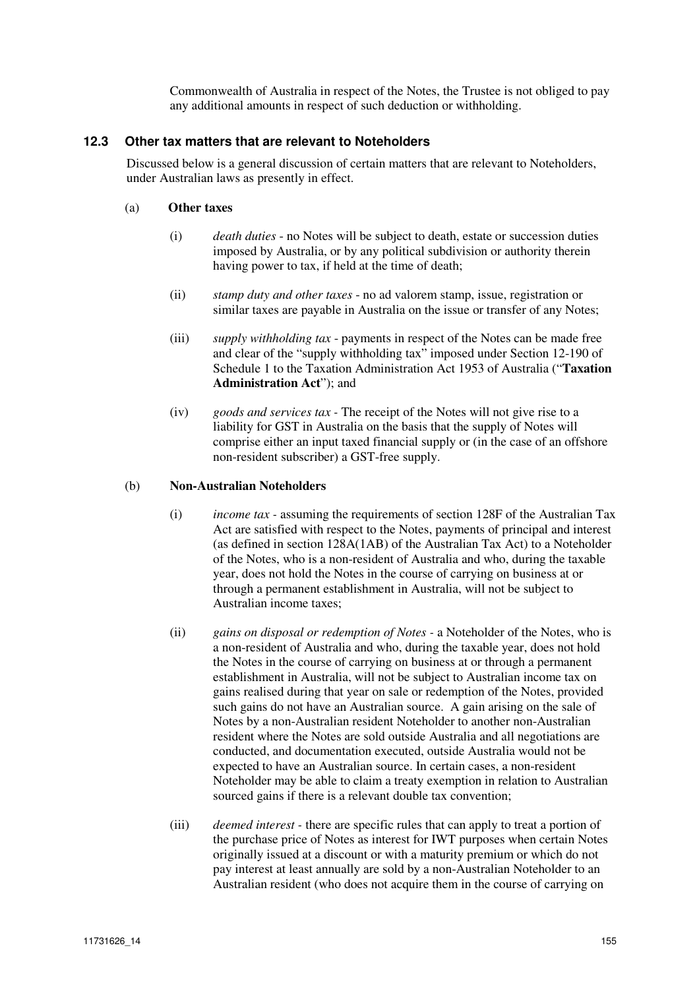Commonwealth of Australia in respect of the Notes, the Trustee is not obliged to pay any additional amounts in respect of such deduction or withholding.

### **12.3 Other tax matters that are relevant to Noteholders**

Discussed below is a general discussion of certain matters that are relevant to Noteholders, under Australian laws as presently in effect.

### (a) **Other taxes**

- (i) *death duties* no Notes will be subject to death, estate or succession duties imposed by Australia, or by any political subdivision or authority therein having power to tax, if held at the time of death;
- (ii) *stamp duty and other taxes* no ad valorem stamp, issue, registration or similar taxes are payable in Australia on the issue or transfer of any Notes;
- (iii) *supply withholding tax* payments in respect of the Notes can be made free and clear of the "supply withholding tax" imposed under Section 12-190 of Schedule 1 to the Taxation Administration Act 1953 of Australia ("**Taxation Administration Act**"); and
- (iv) *goods and services tax* The receipt of the Notes will not give rise to a liability for GST in Australia on the basis that the supply of Notes will comprise either an input taxed financial supply or (in the case of an offshore non-resident subscriber) a GST-free supply.

## (b) **Non-Australian Noteholders**

- (i) *income tax* assuming the requirements of section 128F of the Australian Tax Act are satisfied with respect to the Notes, payments of principal and interest (as defined in section 128A(1AB) of the Australian Tax Act) to a Noteholder of the Notes, who is a non-resident of Australia and who, during the taxable year, does not hold the Notes in the course of carrying on business at or through a permanent establishment in Australia, will not be subject to Australian income taxes;
- (ii) *gains on disposal or redemption of Notes* a Noteholder of the Notes, who is a non-resident of Australia and who, during the taxable year, does not hold the Notes in the course of carrying on business at or through a permanent establishment in Australia, will not be subject to Australian income tax on gains realised during that year on sale or redemption of the Notes, provided such gains do not have an Australian source. A gain arising on the sale of Notes by a non-Australian resident Noteholder to another non-Australian resident where the Notes are sold outside Australia and all negotiations are conducted, and documentation executed, outside Australia would not be expected to have an Australian source. In certain cases, a non-resident Noteholder may be able to claim a treaty exemption in relation to Australian sourced gains if there is a relevant double tax convention;
- (iii) *deemed interest* there are specific rules that can apply to treat a portion of the purchase price of Notes as interest for IWT purposes when certain Notes originally issued at a discount or with a maturity premium or which do not pay interest at least annually are sold by a non-Australian Noteholder to an Australian resident (who does not acquire them in the course of carrying on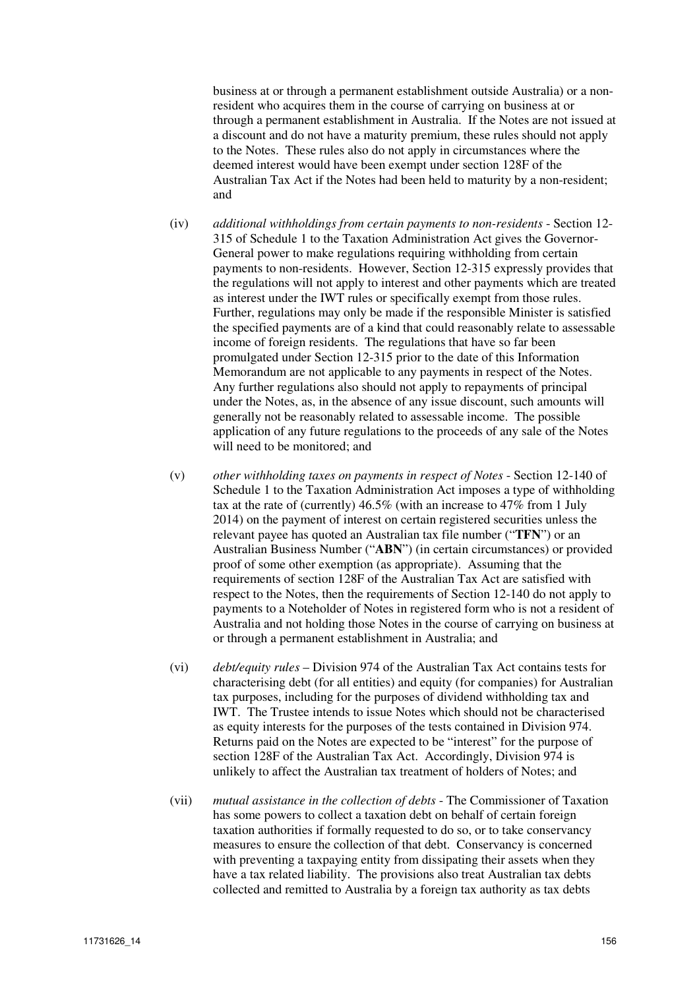business at or through a permanent establishment outside Australia) or a nonresident who acquires them in the course of carrying on business at or through a permanent establishment in Australia. If the Notes are not issued at a discount and do not have a maturity premium, these rules should not apply to the Notes. These rules also do not apply in circumstances where the deemed interest would have been exempt under section 128F of the Australian Tax Act if the Notes had been held to maturity by a non-resident; and

- (iv) *additional withholdings from certain payments to non-residents* Section 12- 315 of Schedule 1 to the Taxation Administration Act gives the Governor-General power to make regulations requiring withholding from certain payments to non-residents. However, Section 12-315 expressly provides that the regulations will not apply to interest and other payments which are treated as interest under the IWT rules or specifically exempt from those rules. Further, regulations may only be made if the responsible Minister is satisfied the specified payments are of a kind that could reasonably relate to assessable income of foreign residents. The regulations that have so far been promulgated under Section 12-315 prior to the date of this Information Memorandum are not applicable to any payments in respect of the Notes. Any further regulations also should not apply to repayments of principal under the Notes, as, in the absence of any issue discount, such amounts will generally not be reasonably related to assessable income. The possible application of any future regulations to the proceeds of any sale of the Notes will need to be monitored; and
- (v) *other withholding taxes on payments in respect of Notes* Section 12-140 of Schedule 1 to the Taxation Administration Act imposes a type of withholding tax at the rate of (currently) 46.5% (with an increase to 47% from 1 July 2014) on the payment of interest on certain registered securities unless the relevant payee has quoted an Australian tax file number ("**TFN**") or an Australian Business Number ("**ABN**") (in certain circumstances) or provided proof of some other exemption (as appropriate). Assuming that the requirements of section 128F of the Australian Tax Act are satisfied with respect to the Notes, then the requirements of Section 12-140 do not apply to payments to a Noteholder of Notes in registered form who is not a resident of Australia and not holding those Notes in the course of carrying on business at or through a permanent establishment in Australia; and
- (vi) *debt/equity rules* Division 974 of the Australian Tax Act contains tests for characterising debt (for all entities) and equity (for companies) for Australian tax purposes, including for the purposes of dividend withholding tax and IWT. The Trustee intends to issue Notes which should not be characterised as equity interests for the purposes of the tests contained in Division 974. Returns paid on the Notes are expected to be "interest" for the purpose of section 128F of the Australian Tax Act. Accordingly, Division 974 is unlikely to affect the Australian tax treatment of holders of Notes; and
- (vii) *mutual assistance in the collection of debts* The Commissioner of Taxation has some powers to collect a taxation debt on behalf of certain foreign taxation authorities if formally requested to do so, or to take conservancy measures to ensure the collection of that debt. Conservancy is concerned with preventing a taxpaying entity from dissipating their assets when they have a tax related liability. The provisions also treat Australian tax debts collected and remitted to Australia by a foreign tax authority as tax debts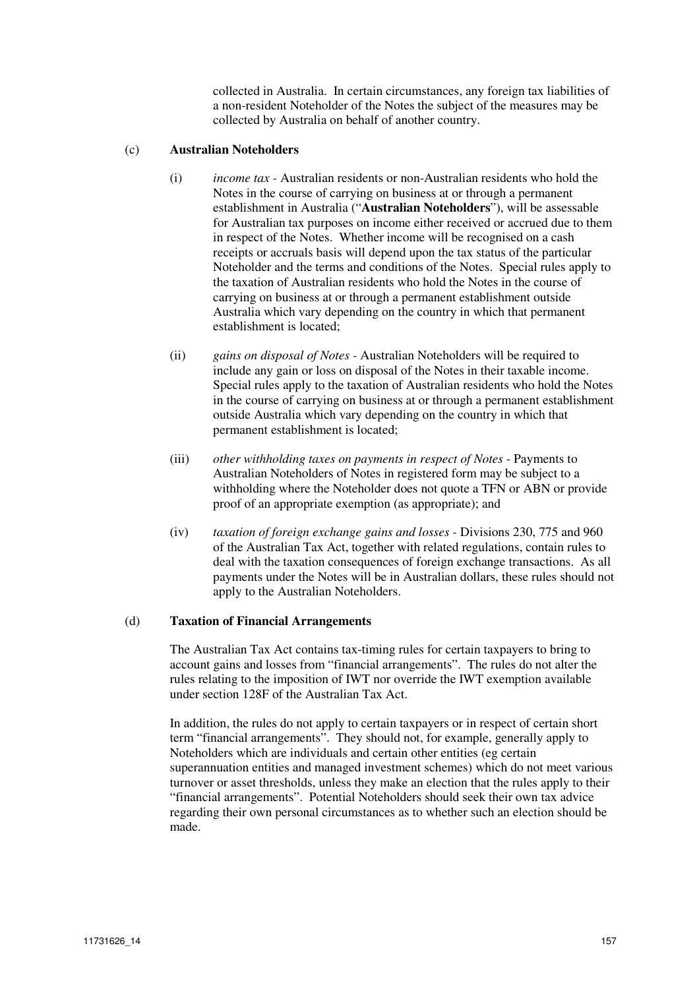collected in Australia. In certain circumstances, any foreign tax liabilities of a non-resident Noteholder of the Notes the subject of the measures may be collected by Australia on behalf of another country.

#### (c) **Australian Noteholders**

- (i) *income tax* Australian residents or non-Australian residents who hold the Notes in the course of carrying on business at or through a permanent establishment in Australia ("**Australian Noteholders**"), will be assessable for Australian tax purposes on income either received or accrued due to them in respect of the Notes. Whether income will be recognised on a cash receipts or accruals basis will depend upon the tax status of the particular Noteholder and the terms and conditions of the Notes. Special rules apply to the taxation of Australian residents who hold the Notes in the course of carrying on business at or through a permanent establishment outside Australia which vary depending on the country in which that permanent establishment is located;
- (ii) *gains on disposal of Notes* Australian Noteholders will be required to include any gain or loss on disposal of the Notes in their taxable income. Special rules apply to the taxation of Australian residents who hold the Notes in the course of carrying on business at or through a permanent establishment outside Australia which vary depending on the country in which that permanent establishment is located;
- (iii) *other withholding taxes on payments in respect of Notes* Payments to Australian Noteholders of Notes in registered form may be subject to a withholding where the Noteholder does not quote a TFN or ABN or provide proof of an appropriate exemption (as appropriate); and
- (iv) *taxation of foreign exchange gains and losses* Divisions 230, 775 and 960 of the Australian Tax Act, together with related regulations, contain rules to deal with the taxation consequences of foreign exchange transactions. As all payments under the Notes will be in Australian dollars, these rules should not apply to the Australian Noteholders.

#### (d) **Taxation of Financial Arrangements**

The Australian Tax Act contains tax-timing rules for certain taxpayers to bring to account gains and losses from "financial arrangements". The rules do not alter the rules relating to the imposition of IWT nor override the IWT exemption available under section 128F of the Australian Tax Act.

In addition, the rules do not apply to certain taxpayers or in respect of certain short term "financial arrangements". They should not, for example, generally apply to Noteholders which are individuals and certain other entities (eg certain superannuation entities and managed investment schemes) which do not meet various turnover or asset thresholds, unless they make an election that the rules apply to their "financial arrangements". Potential Noteholders should seek their own tax advice regarding their own personal circumstances as to whether such an election should be made.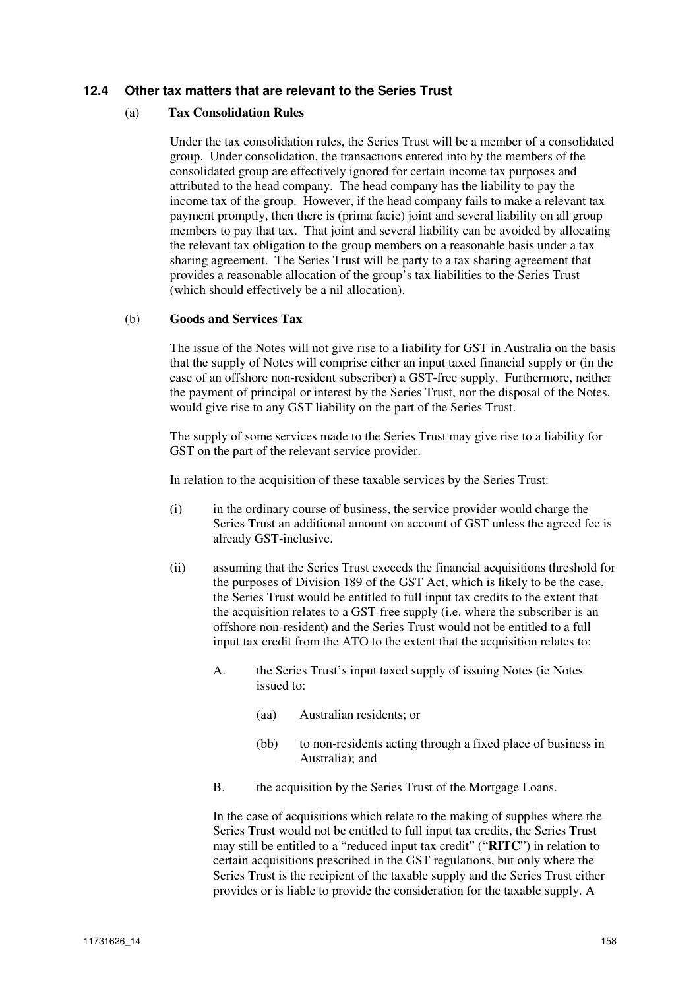### **12.4 Other tax matters that are relevant to the Series Trust**

#### (a) **Tax Consolidation Rules**

Under the tax consolidation rules, the Series Trust will be a member of a consolidated group. Under consolidation, the transactions entered into by the members of the consolidated group are effectively ignored for certain income tax purposes and attributed to the head company. The head company has the liability to pay the income tax of the group. However, if the head company fails to make a relevant tax payment promptly, then there is (prima facie) joint and several liability on all group members to pay that tax. That joint and several liability can be avoided by allocating the relevant tax obligation to the group members on a reasonable basis under a tax sharing agreement. The Series Trust will be party to a tax sharing agreement that provides a reasonable allocation of the group's tax liabilities to the Series Trust (which should effectively be a nil allocation).

#### (b) **Goods and Services Tax**

The issue of the Notes will not give rise to a liability for GST in Australia on the basis that the supply of Notes will comprise either an input taxed financial supply or (in the case of an offshore non-resident subscriber) a GST-free supply. Furthermore, neither the payment of principal or interest by the Series Trust, nor the disposal of the Notes, would give rise to any GST liability on the part of the Series Trust.

The supply of some services made to the Series Trust may give rise to a liability for GST on the part of the relevant service provider.

In relation to the acquisition of these taxable services by the Series Trust:

- (i) in the ordinary course of business, the service provider would charge the Series Trust an additional amount on account of GST unless the agreed fee is already GST-inclusive.
- (ii) assuming that the Series Trust exceeds the financial acquisitions threshold for the purposes of Division 189 of the GST Act, which is likely to be the case, the Series Trust would be entitled to full input tax credits to the extent that the acquisition relates to a GST-free supply (i.e. where the subscriber is an offshore non-resident) and the Series Trust would not be entitled to a full input tax credit from the ATO to the extent that the acquisition relates to:
	- A. the Series Trust's input taxed supply of issuing Notes (ie Notes issued to:
		- (aa) Australian residents; or
		- (bb) to non-residents acting through a fixed place of business in Australia); and
	- B. the acquisition by the Series Trust of the Mortgage Loans.

In the case of acquisitions which relate to the making of supplies where the Series Trust would not be entitled to full input tax credits, the Series Trust may still be entitled to a "reduced input tax credit" ("**RITC**") in relation to certain acquisitions prescribed in the GST regulations, but only where the Series Trust is the recipient of the taxable supply and the Series Trust either provides or is liable to provide the consideration for the taxable supply. A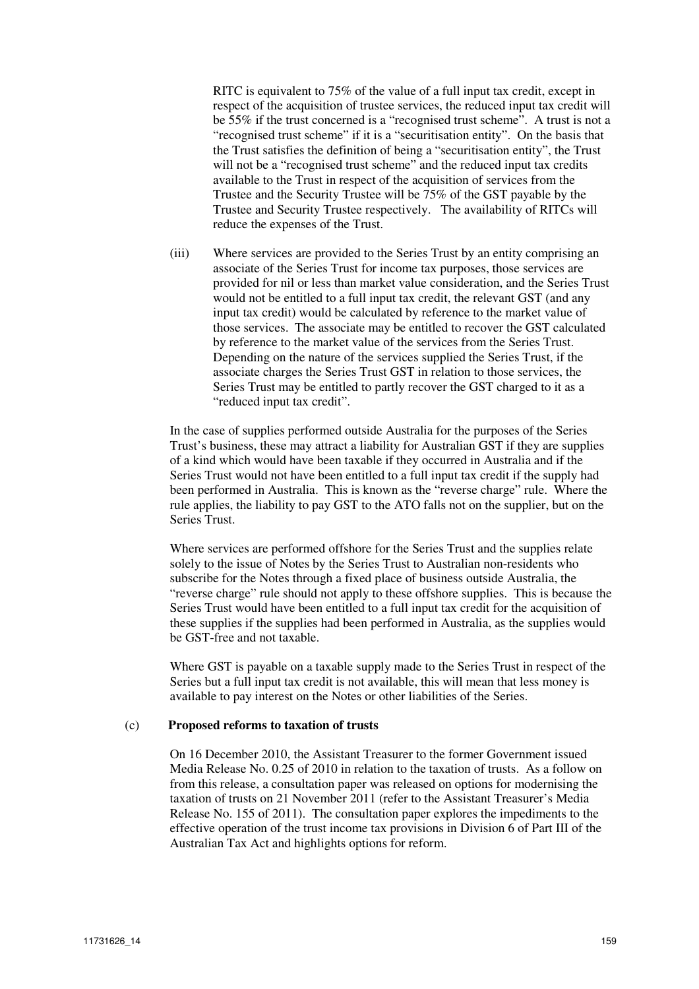RITC is equivalent to 75% of the value of a full input tax credit, except in respect of the acquisition of trustee services, the reduced input tax credit will be 55% if the trust concerned is a "recognised trust scheme". A trust is not a "recognised trust scheme" if it is a "securitisation entity". On the basis that the Trust satisfies the definition of being a "securitisation entity", the Trust will not be a "recognised trust scheme" and the reduced input tax credits available to the Trust in respect of the acquisition of services from the Trustee and the Security Trustee will be 75% of the GST payable by the Trustee and Security Trustee respectively. The availability of RITCs will reduce the expenses of the Trust.

(iii) Where services are provided to the Series Trust by an entity comprising an associate of the Series Trust for income tax purposes, those services are provided for nil or less than market value consideration, and the Series Trust would not be entitled to a full input tax credit, the relevant GST (and any input tax credit) would be calculated by reference to the market value of those services. The associate may be entitled to recover the GST calculated by reference to the market value of the services from the Series Trust. Depending on the nature of the services supplied the Series Trust, if the associate charges the Series Trust GST in relation to those services, the Series Trust may be entitled to partly recover the GST charged to it as a "reduced input tax credit".

In the case of supplies performed outside Australia for the purposes of the Series Trust's business, these may attract a liability for Australian GST if they are supplies of a kind which would have been taxable if they occurred in Australia and if the Series Trust would not have been entitled to a full input tax credit if the supply had been performed in Australia. This is known as the "reverse charge" rule. Where the rule applies, the liability to pay GST to the ATO falls not on the supplier, but on the Series Trust.

Where services are performed offshore for the Series Trust and the supplies relate solely to the issue of Notes by the Series Trust to Australian non-residents who subscribe for the Notes through a fixed place of business outside Australia, the "reverse charge" rule should not apply to these offshore supplies. This is because the Series Trust would have been entitled to a full input tax credit for the acquisition of these supplies if the supplies had been performed in Australia, as the supplies would be GST-free and not taxable.

Where GST is payable on a taxable supply made to the Series Trust in respect of the Series but a full input tax credit is not available, this will mean that less money is available to pay interest on the Notes or other liabilities of the Series.

#### (c) **Proposed reforms to taxation of trusts**

On 16 December 2010, the Assistant Treasurer to the former Government issued Media Release No. 0.25 of 2010 in relation to the taxation of trusts. As a follow on from this release, a consultation paper was released on options for modernising the taxation of trusts on 21 November 2011 (refer to the Assistant Treasurer's Media Release No. 155 of 2011). The consultation paper explores the impediments to the effective operation of the trust income tax provisions in Division  $\vec{6}$  of Part III of the Australian Tax Act and highlights options for reform.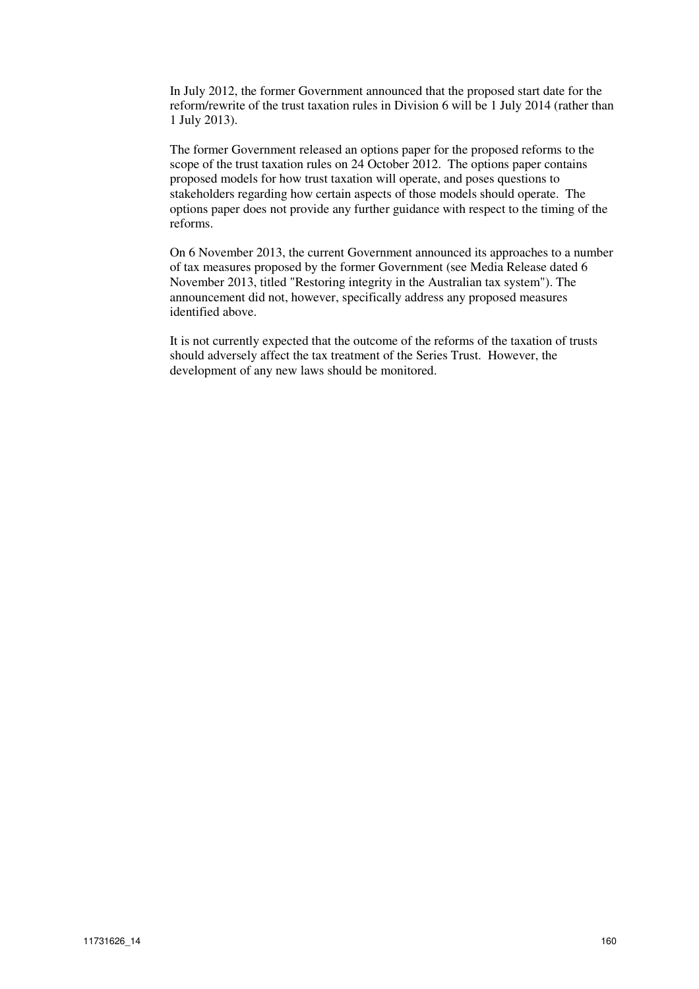In July 2012, the former Government announced that the proposed start date for the reform/rewrite of the trust taxation rules in Division 6 will be 1 July 2014 (rather than 1 July 2013).

The former Government released an options paper for the proposed reforms to the scope of the trust taxation rules on 24 October 2012. The options paper contains proposed models for how trust taxation will operate, and poses questions to stakeholders regarding how certain aspects of those models should operate. The options paper does not provide any further guidance with respect to the timing of the reforms.

On 6 November 2013, the current Government announced its approaches to a number of tax measures proposed by the former Government (see Media Release dated 6 November 2013, titled "Restoring integrity in the Australian tax system"). The announcement did not, however, specifically address any proposed measures identified above.

It is not currently expected that the outcome of the reforms of the taxation of trusts should adversely affect the tax treatment of the Series Trust. However, the development of any new laws should be monitored.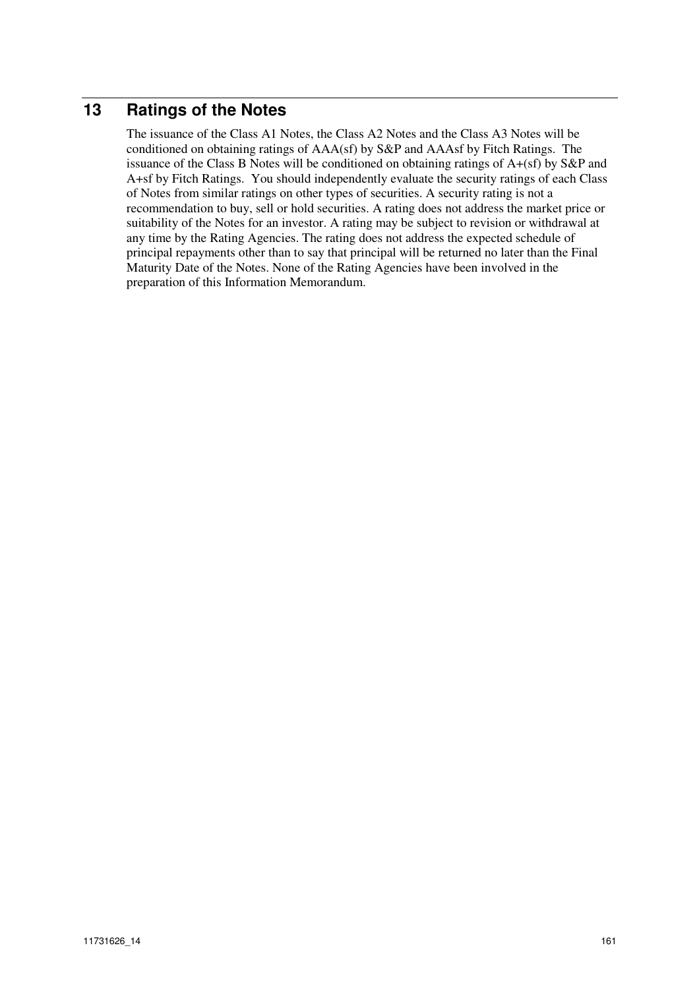# **13 Ratings of the Notes**

The issuance of the Class A1 Notes, the Class A2 Notes and the Class A3 Notes will be conditioned on obtaining ratings of AAA(sf) by S&P and AAAsf by Fitch Ratings. The issuance of the Class B Notes will be conditioned on obtaining ratings of A+(sf) by S&P and A+sf by Fitch Ratings. You should independently evaluate the security ratings of each Class of Notes from similar ratings on other types of securities. A security rating is not a recommendation to buy, sell or hold securities. A rating does not address the market price or suitability of the Notes for an investor. A rating may be subject to revision or withdrawal at any time by the Rating Agencies. The rating does not address the expected schedule of principal repayments other than to say that principal will be returned no later than the Final Maturity Date of the Notes. None of the Rating Agencies have been involved in the preparation of this Information Memorandum.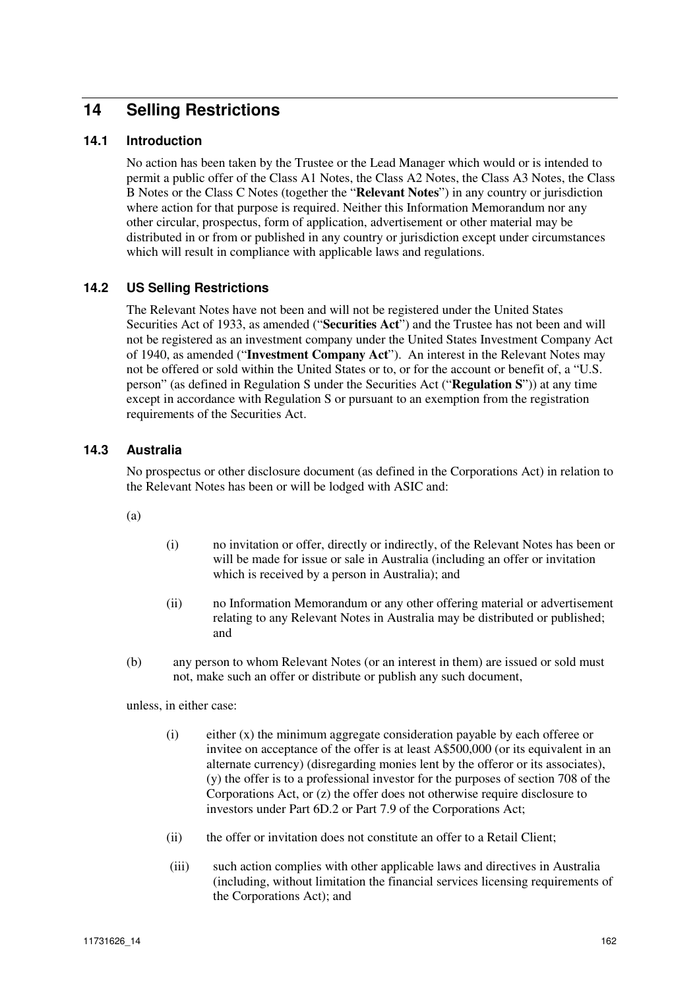# **14 Selling Restrictions**

## **14.1 Introduction**

No action has been taken by the Trustee or the Lead Manager which would or is intended to permit a public offer of the Class A1 Notes, the Class A2 Notes, the Class A3 Notes, the Class B Notes or the Class C Notes (together the "**Relevant Notes**") in any country or jurisdiction where action for that purpose is required. Neither this Information Memorandum nor any other circular, prospectus, form of application, advertisement or other material may be distributed in or from or published in any country or jurisdiction except under circumstances which will result in compliance with applicable laws and regulations.

## **14.2 US Selling Restrictions**

The Relevant Notes have not been and will not be registered under the United States Securities Act of 1933, as amended ("**Securities Act**") and the Trustee has not been and will not be registered as an investment company under the United States Investment Company Act of 1940, as amended ("**Investment Company Act**"). An interest in the Relevant Notes may not be offered or sold within the United States or to, or for the account or benefit of, a "U.S. person" (as defined in Regulation S under the Securities Act ("**Regulation S**")) at any time except in accordance with Regulation S or pursuant to an exemption from the registration requirements of the Securities Act.

### **14.3 Australia**

No prospectus or other disclosure document (as defined in the Corporations Act) in relation to the Relevant Notes has been or will be lodged with ASIC and:

(a)

- (i) no invitation or offer, directly or indirectly, of the Relevant Notes has been or will be made for issue or sale in Australia (including an offer or invitation which is received by a person in Australia); and
- (ii) no Information Memorandum or any other offering material or advertisement relating to any Relevant Notes in Australia may be distributed or published; and
- (b) any person to whom Relevant Notes (or an interest in them) are issued or sold must not, make such an offer or distribute or publish any such document,

unless, in either case:

- $(i)$  either  $(x)$  the minimum aggregate consideration payable by each offeree or invitee on acceptance of the offer is at least A\$500,000 (or its equivalent in an alternate currency) (disregarding monies lent by the offeror or its associates), (y) the offer is to a professional investor for the purposes of section 708 of the Corporations Act, or (z) the offer does not otherwise require disclosure to investors under Part 6D.2 or Part 7.9 of the Corporations Act;
- (ii) the offer or invitation does not constitute an offer to a Retail Client;
- (iii) such action complies with other applicable laws and directives in Australia (including, without limitation the financial services licensing requirements of the Corporations Act); and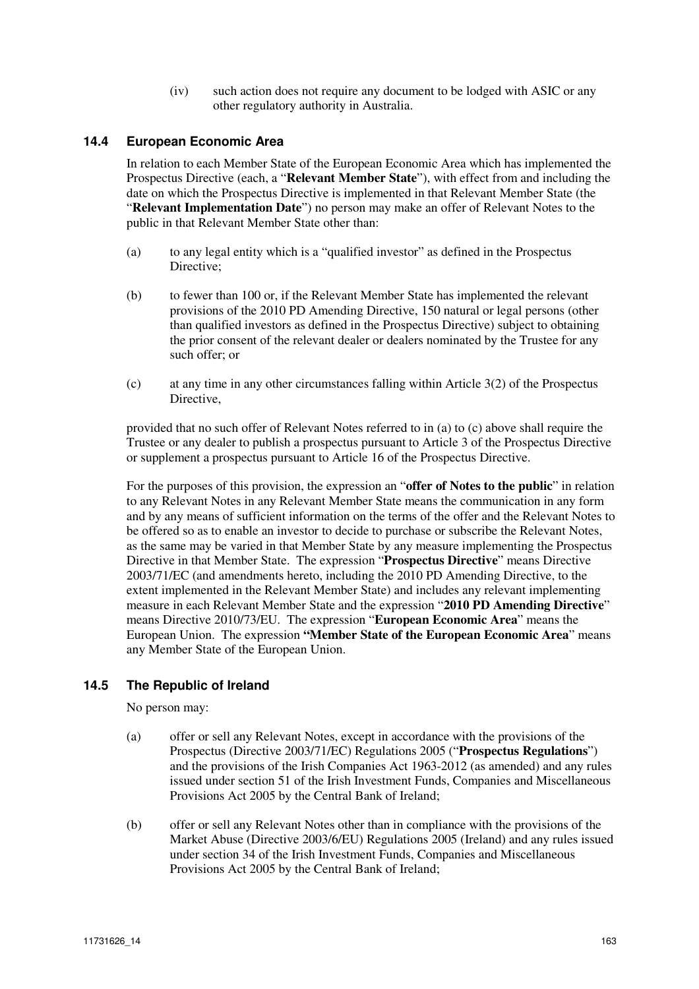(iv) such action does not require any document to be lodged with ASIC or any other regulatory authority in Australia.

## **14.4 European Economic Area**

In relation to each Member State of the European Economic Area which has implemented the Prospectus Directive (each, a "**Relevant Member State**"), with effect from and including the date on which the Prospectus Directive is implemented in that Relevant Member State (the "**Relevant Implementation Date**") no person may make an offer of Relevant Notes to the public in that Relevant Member State other than:

- (a) to any legal entity which is a "qualified investor" as defined in the Prospectus Directive;
- (b) to fewer than 100 or, if the Relevant Member State has implemented the relevant provisions of the 2010 PD Amending Directive, 150 natural or legal persons (other than qualified investors as defined in the Prospectus Directive) subject to obtaining the prior consent of the relevant dealer or dealers nominated by the Trustee for any such offer; or
- (c) at any time in any other circumstances falling within Article 3(2) of the Prospectus Directive,

provided that no such offer of Relevant Notes referred to in (a) to (c) above shall require the Trustee or any dealer to publish a prospectus pursuant to Article 3 of the Prospectus Directive or supplement a prospectus pursuant to Article 16 of the Prospectus Directive.

For the purposes of this provision, the expression an "**offer of Notes to the public**" in relation to any Relevant Notes in any Relevant Member State means the communication in any form and by any means of sufficient information on the terms of the offer and the Relevant Notes to be offered so as to enable an investor to decide to purchase or subscribe the Relevant Notes, as the same may be varied in that Member State by any measure implementing the Prospectus Directive in that Member State. The expression "**Prospectus Directive**" means Directive 2003/71/EC (and amendments hereto, including the 2010 PD Amending Directive, to the extent implemented in the Relevant Member State) and includes any relevant implementing measure in each Relevant Member State and the expression "**2010 PD Amending Directive**" means Directive 2010/73/EU. The expression "**European Economic Area**" means the European Union. The expression **"Member State of the European Economic Area**" means any Member State of the European Union.

#### **14.5 The Republic of Ireland**

No person may:

- (a) offer or sell any Relevant Notes, except in accordance with the provisions of the Prospectus (Directive 2003/71/EC) Regulations 2005 ("**Prospectus Regulations**") and the provisions of the Irish Companies Act 1963-2012 (as amended) and any rules issued under section 51 of the Irish Investment Funds, Companies and Miscellaneous Provisions Act 2005 by the Central Bank of Ireland;
- (b) offer or sell any Relevant Notes other than in compliance with the provisions of the Market Abuse (Directive 2003/6/EU) Regulations 2005 (Ireland) and any rules issued under section 34 of the Irish Investment Funds, Companies and Miscellaneous Provisions Act 2005 by the Central Bank of Ireland;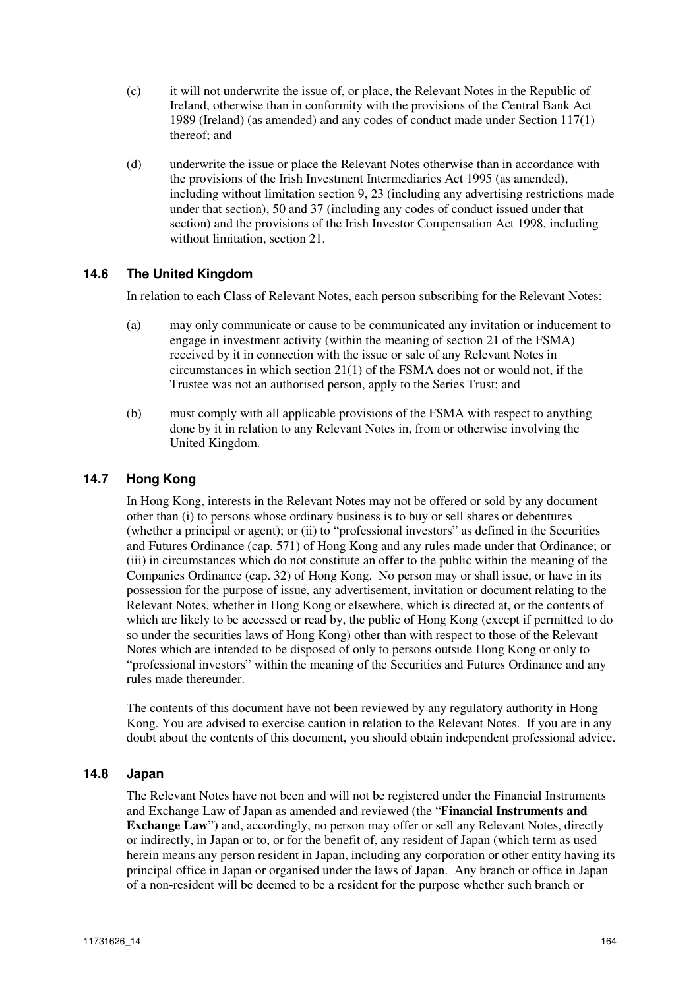- (c) it will not underwrite the issue of, or place, the Relevant Notes in the Republic of Ireland, otherwise than in conformity with the provisions of the Central Bank Act 1989 (Ireland) (as amended) and any codes of conduct made under Section 117(1) thereof; and
- (d) underwrite the issue or place the Relevant Notes otherwise than in accordance with the provisions of the Irish Investment Intermediaries Act 1995 (as amended), including without limitation section 9, 23 (including any advertising restrictions made under that section), 50 and 37 (including any codes of conduct issued under that section) and the provisions of the Irish Investor Compensation Act 1998, including without limitation, section 21.

# **14.6 The United Kingdom**

In relation to each Class of Relevant Notes, each person subscribing for the Relevant Notes:

- (a) may only communicate or cause to be communicated any invitation or inducement to engage in investment activity (within the meaning of section 21 of the FSMA) received by it in connection with the issue or sale of any Relevant Notes in circumstances in which section 21(1) of the FSMA does not or would not, if the Trustee was not an authorised person, apply to the Series Trust; and
- (b) must comply with all applicable provisions of the FSMA with respect to anything done by it in relation to any Relevant Notes in, from or otherwise involving the United Kingdom.

# **14.7 Hong Kong**

In Hong Kong, interests in the Relevant Notes may not be offered or sold by any document other than (i) to persons whose ordinary business is to buy or sell shares or debentures (whether a principal or agent); or (ii) to "professional investors" as defined in the Securities and Futures Ordinance (cap. 571) of Hong Kong and any rules made under that Ordinance; or (iii) in circumstances which do not constitute an offer to the public within the meaning of the Companies Ordinance (cap. 32) of Hong Kong. No person may or shall issue, or have in its possession for the purpose of issue, any advertisement, invitation or document relating to the Relevant Notes, whether in Hong Kong or elsewhere, which is directed at, or the contents of which are likely to be accessed or read by, the public of Hong Kong (except if permitted to do so under the securities laws of Hong Kong) other than with respect to those of the Relevant Notes which are intended to be disposed of only to persons outside Hong Kong or only to "professional investors" within the meaning of the Securities and Futures Ordinance and any rules made thereunder.

The contents of this document have not been reviewed by any regulatory authority in Hong Kong. You are advised to exercise caution in relation to the Relevant Notes. If you are in any doubt about the contents of this document, you should obtain independent professional advice.

#### **14.8 Japan**

The Relevant Notes have not been and will not be registered under the Financial Instruments and Exchange Law of Japan as amended and reviewed (the "**Financial Instruments and Exchange Law**") and, accordingly, no person may offer or sell any Relevant Notes, directly or indirectly, in Japan or to, or for the benefit of, any resident of Japan (which term as used herein means any person resident in Japan, including any corporation or other entity having its principal office in Japan or organised under the laws of Japan. Any branch or office in Japan of a non-resident will be deemed to be a resident for the purpose whether such branch or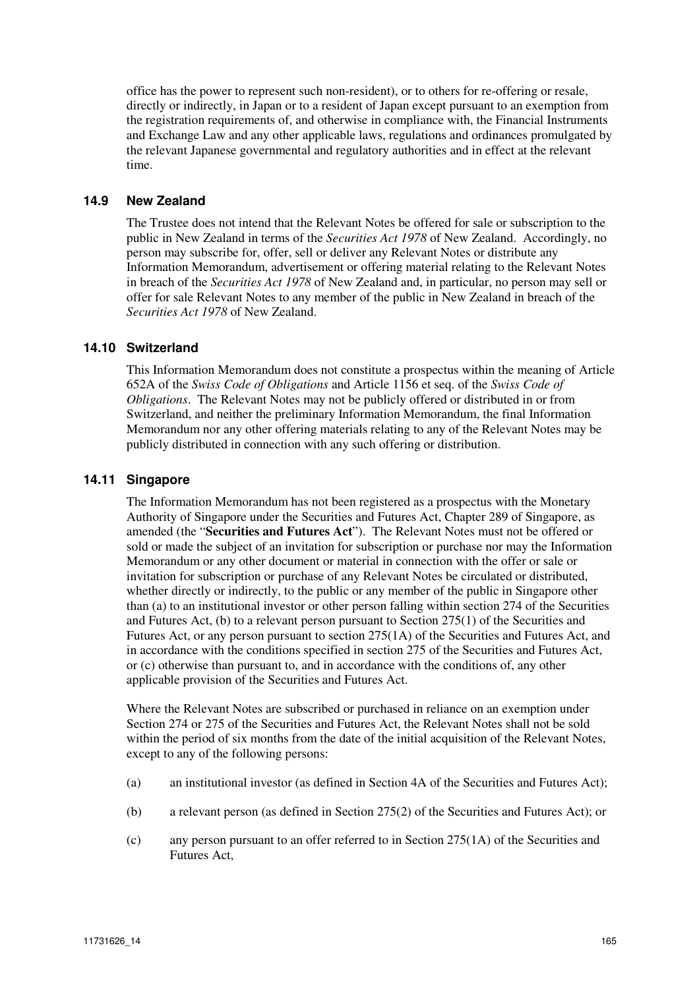office has the power to represent such non-resident), or to others for re-offering or resale, directly or indirectly, in Japan or to a resident of Japan except pursuant to an exemption from the registration requirements of, and otherwise in compliance with, the Financial Instruments and Exchange Law and any other applicable laws, regulations and ordinances promulgated by the relevant Japanese governmental and regulatory authorities and in effect at the relevant time.

#### **14.9 New Zealand**

The Trustee does not intend that the Relevant Notes be offered for sale or subscription to the public in New Zealand in terms of the *Securities Act 1978* of New Zealand. Accordingly, no person may subscribe for, offer, sell or deliver any Relevant Notes or distribute any Information Memorandum, advertisement or offering material relating to the Relevant Notes in breach of the *Securities Act 1978* of New Zealand and, in particular, no person may sell or offer for sale Relevant Notes to any member of the public in New Zealand in breach of the *Securities Act 1978* of New Zealand.

## **14.10 Switzerland**

This Information Memorandum does not constitute a prospectus within the meaning of Article 652A of the *Swiss Code of Obligations* and Article 1156 et seq. of the *Swiss Code of Obligations*. The Relevant Notes may not be publicly offered or distributed in or from Switzerland, and neither the preliminary Information Memorandum, the final Information Memorandum nor any other offering materials relating to any of the Relevant Notes may be publicly distributed in connection with any such offering or distribution.

## **14.11 Singapore**

The Information Memorandum has not been registered as a prospectus with the Monetary Authority of Singapore under the Securities and Futures Act, Chapter 289 of Singapore, as amended (the "**Securities and Futures Act**"). The Relevant Notes must not be offered or sold or made the subject of an invitation for subscription or purchase nor may the Information Memorandum or any other document or material in connection with the offer or sale or invitation for subscription or purchase of any Relevant Notes be circulated or distributed, whether directly or indirectly, to the public or any member of the public in Singapore other than (a) to an institutional investor or other person falling within section 274 of the Securities and Futures Act, (b) to a relevant person pursuant to Section 275(1) of the Securities and Futures Act, or any person pursuant to section 275(1A) of the Securities and Futures Act, and in accordance with the conditions specified in section 275 of the Securities and Futures Act, or (c) otherwise than pursuant to, and in accordance with the conditions of, any other applicable provision of the Securities and Futures Act.

Where the Relevant Notes are subscribed or purchased in reliance on an exemption under Section 274 or 275 of the Securities and Futures Act, the Relevant Notes shall not be sold within the period of six months from the date of the initial acquisition of the Relevant Notes, except to any of the following persons:

- (a) an institutional investor (as defined in Section 4A of the Securities and Futures Act);
- (b) a relevant person (as defined in Section 275(2) of the Securities and Futures Act); or
- (c) any person pursuant to an offer referred to in Section 275(1A) of the Securities and Futures Act,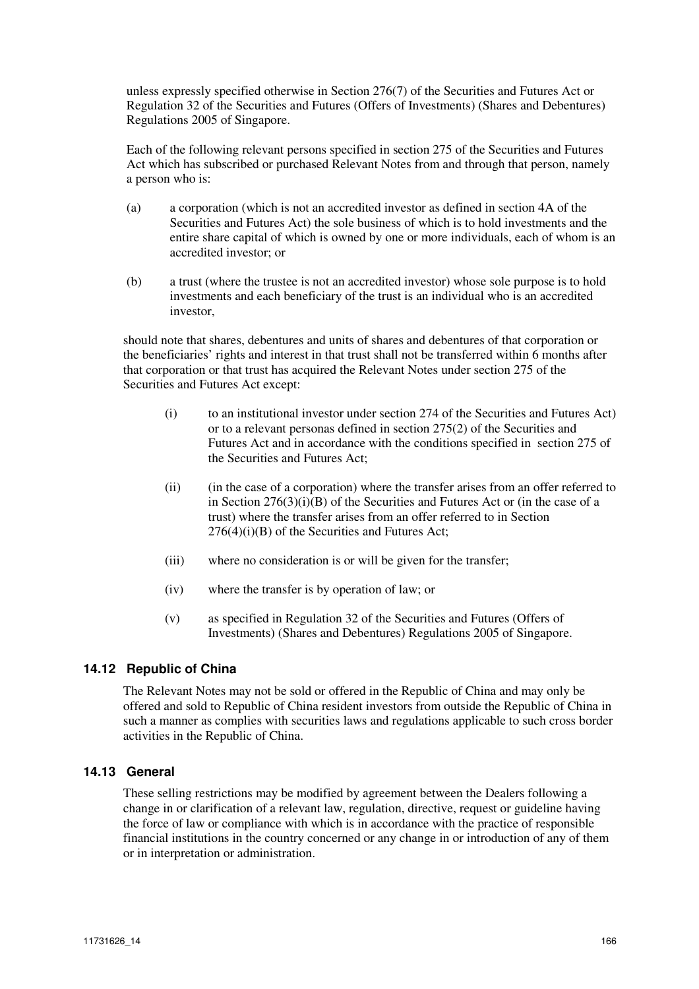unless expressly specified otherwise in Section 276(7) of the Securities and Futures Act or Regulation 32 of the Securities and Futures (Offers of Investments) (Shares and Debentures) Regulations 2005 of Singapore.

Each of the following relevant persons specified in section 275 of the Securities and Futures Act which has subscribed or purchased Relevant Notes from and through that person, namely a person who is:

- (a) a corporation (which is not an accredited investor as defined in section 4A of the Securities and Futures Act) the sole business of which is to hold investments and the entire share capital of which is owned by one or more individuals, each of whom is an accredited investor; or
- (b) a trust (where the trustee is not an accredited investor) whose sole purpose is to hold investments and each beneficiary of the trust is an individual who is an accredited investor,

should note that shares, debentures and units of shares and debentures of that corporation or the beneficiaries' rights and interest in that trust shall not be transferred within 6 months after that corporation or that trust has acquired the Relevant Notes under section 275 of the Securities and Futures Act except:

- (i) to an institutional investor under section 274 of the Securities and Futures Act) or to a relevant personas defined in section 275(2) of the Securities and Futures Act and in accordance with the conditions specified in section 275 of the Securities and Futures Act;
- (ii) (in the case of a corporation) where the transfer arises from an offer referred to in Section  $276(3)(i)(B)$  of the Securities and Futures Act or (in the case of a trust) where the transfer arises from an offer referred to in Section  $276(4)(i)(B)$  of the Securities and Futures Act;
- (iii) where no consideration is or will be given for the transfer;
- (iv) where the transfer is by operation of law; or
- (v) as specified in Regulation 32 of the Securities and Futures (Offers of Investments) (Shares and Debentures) Regulations 2005 of Singapore.

# **14.12 Republic of China**

The Relevant Notes may not be sold or offered in the Republic of China and may only be offered and sold to Republic of China resident investors from outside the Republic of China in such a manner as complies with securities laws and regulations applicable to such cross border activities in the Republic of China.

# **14.13 General**

These selling restrictions may be modified by agreement between the Dealers following a change in or clarification of a relevant law, regulation, directive, request or guideline having the force of law or compliance with which is in accordance with the practice of responsible financial institutions in the country concerned or any change in or introduction of any of them or in interpretation or administration.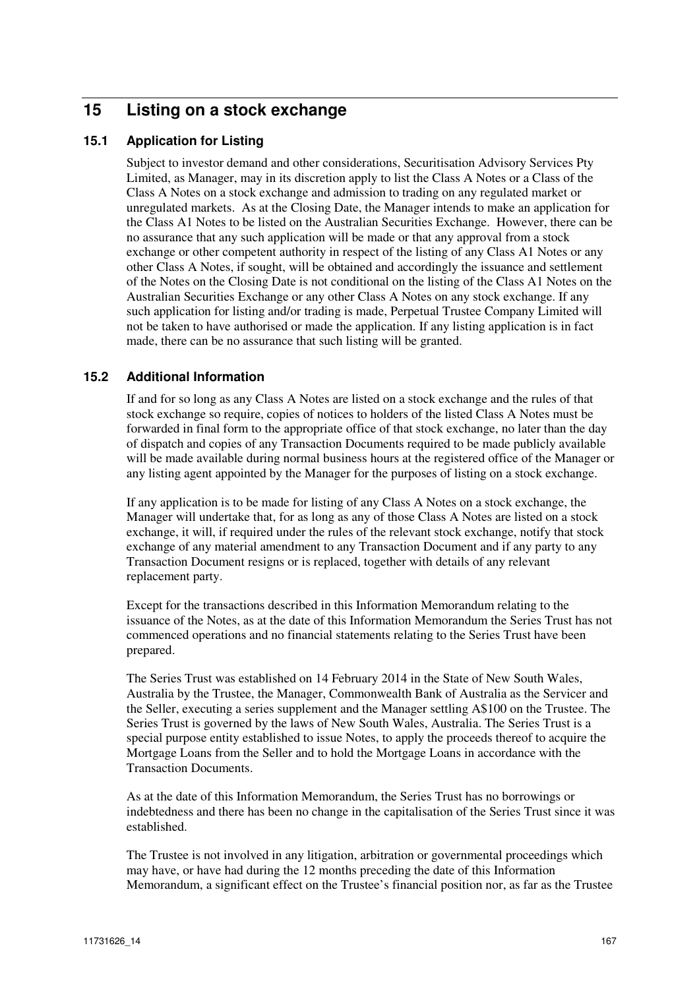# **15 Listing on a stock exchange**

# **15.1 Application for Listing**

Subject to investor demand and other considerations, Securitisation Advisory Services Pty Limited, as Manager, may in its discretion apply to list the Class A Notes or a Class of the Class A Notes on a stock exchange and admission to trading on any regulated market or unregulated markets. As at the Closing Date, the Manager intends to make an application for the Class A1 Notes to be listed on the Australian Securities Exchange. However, there can be no assurance that any such application will be made or that any approval from a stock exchange or other competent authority in respect of the listing of any Class A1 Notes or any other Class A Notes, if sought, will be obtained and accordingly the issuance and settlement of the Notes on the Closing Date is not conditional on the listing of the Class A1 Notes on the Australian Securities Exchange or any other Class A Notes on any stock exchange. If any such application for listing and/or trading is made, Perpetual Trustee Company Limited will not be taken to have authorised or made the application. If any listing application is in fact made, there can be no assurance that such listing will be granted.

# **15.2 Additional Information**

If and for so long as any Class A Notes are listed on a stock exchange and the rules of that stock exchange so require, copies of notices to holders of the listed Class A Notes must be forwarded in final form to the appropriate office of that stock exchange, no later than the day of dispatch and copies of any Transaction Documents required to be made publicly available will be made available during normal business hours at the registered office of the Manager or any listing agent appointed by the Manager for the purposes of listing on a stock exchange.

If any application is to be made for listing of any Class A Notes on a stock exchange, the Manager will undertake that, for as long as any of those Class A Notes are listed on a stock exchange, it will, if required under the rules of the relevant stock exchange, notify that stock exchange of any material amendment to any Transaction Document and if any party to any Transaction Document resigns or is replaced, together with details of any relevant replacement party.

Except for the transactions described in this Information Memorandum relating to the issuance of the Notes, as at the date of this Information Memorandum the Series Trust has not commenced operations and no financial statements relating to the Series Trust have been prepared.

The Series Trust was established on 14 February 2014 in the State of New South Wales, Australia by the Trustee, the Manager, Commonwealth Bank of Australia as the Servicer and the Seller, executing a series supplement and the Manager settling A\$100 on the Trustee. The Series Trust is governed by the laws of New South Wales, Australia. The Series Trust is a special purpose entity established to issue Notes, to apply the proceeds thereof to acquire the Mortgage Loans from the Seller and to hold the Mortgage Loans in accordance with the Transaction Documents.

As at the date of this Information Memorandum, the Series Trust has no borrowings or indebtedness and there has been no change in the capitalisation of the Series Trust since it was established.

The Trustee is not involved in any litigation, arbitration or governmental proceedings which may have, or have had during the 12 months preceding the date of this Information Memorandum, a significant effect on the Trustee's financial position nor, as far as the Trustee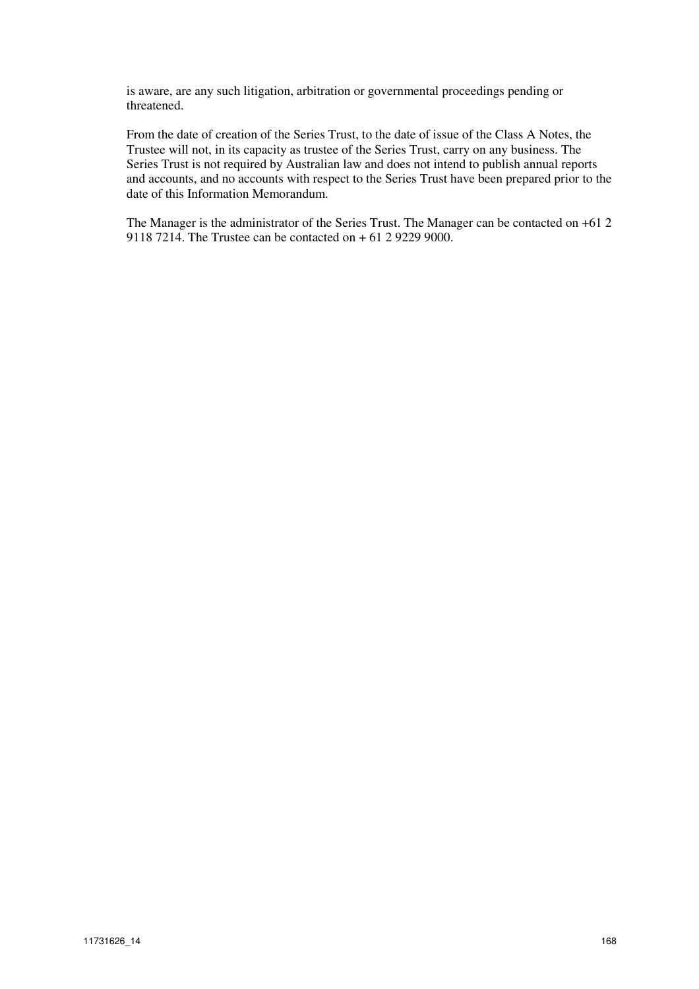is aware, are any such litigation, arbitration or governmental proceedings pending or threatened.

From the date of creation of the Series Trust, to the date of issue of the Class A Notes, the Trustee will not, in its capacity as trustee of the Series Trust, carry on any business. The Series Trust is not required by Australian law and does not intend to publish annual reports and accounts, and no accounts with respect to the Series Trust have been prepared prior to the date of this Information Memorandum.

The Manager is the administrator of the Series Trust. The Manager can be contacted on +61 2 9118 7214. The Trustee can be contacted on + 61 2 9229 9000.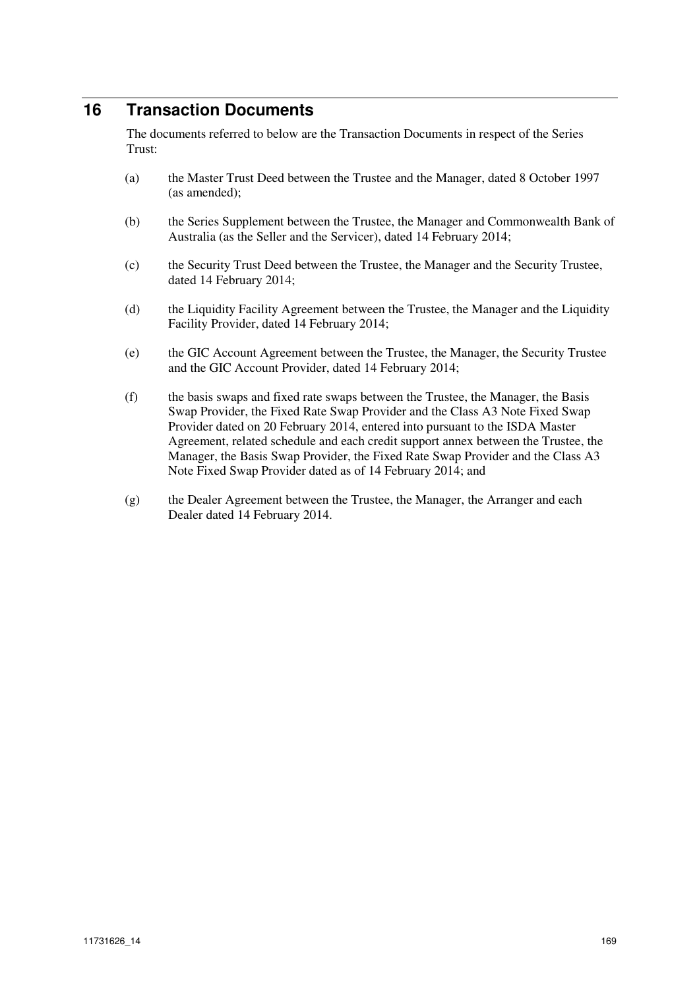# **16 Transaction Documents**

The documents referred to below are the Transaction Documents in respect of the Series Trust:

- (a) the Master Trust Deed between the Trustee and the Manager, dated 8 October 1997 (as amended);
- (b) the Series Supplement between the Trustee, the Manager and Commonwealth Bank of Australia (as the Seller and the Servicer), dated 14 February 2014;
- (c) the Security Trust Deed between the Trustee, the Manager and the Security Trustee, dated 14 February 2014;
- (d) the Liquidity Facility Agreement between the Trustee, the Manager and the Liquidity Facility Provider, dated 14 February 2014;
- (e) the GIC Account Agreement between the Trustee, the Manager, the Security Trustee and the GIC Account Provider, dated 14 February 2014;
- (f) the basis swaps and fixed rate swaps between the Trustee, the Manager, the Basis Swap Provider, the Fixed Rate Swap Provider and the Class A3 Note Fixed Swap Provider dated on 20 February 2014, entered into pursuant to the ISDA Master Agreement, related schedule and each credit support annex between the Trustee, the Manager, the Basis Swap Provider, the Fixed Rate Swap Provider and the Class A3 Note Fixed Swap Provider dated as of 14 February 2014; and
- (g) the Dealer Agreement between the Trustee, the Manager, the Arranger and each Dealer dated 14 February 2014.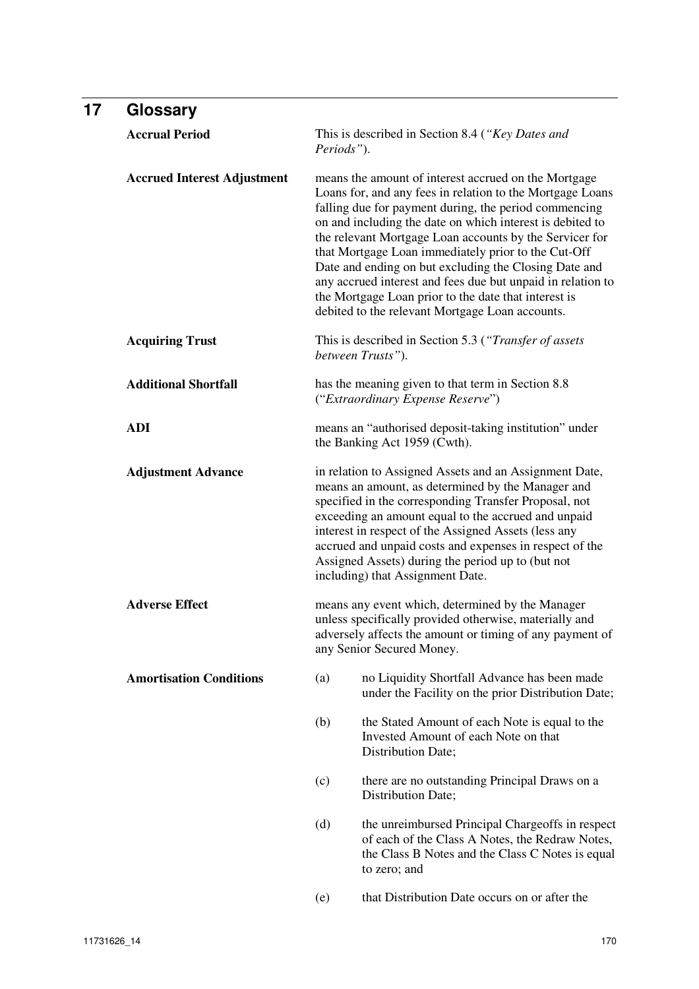| 17 | Glossary                           |                                                                                                                                                                                                                                                                                                                                                                                                                                                                                                                                   |                                                                                                                                                                                                                                                                                                                                                                                                                                                                                                                                                                                                                                                                             |  |  |  |  |
|----|------------------------------------|-----------------------------------------------------------------------------------------------------------------------------------------------------------------------------------------------------------------------------------------------------------------------------------------------------------------------------------------------------------------------------------------------------------------------------------------------------------------------------------------------------------------------------------|-----------------------------------------------------------------------------------------------------------------------------------------------------------------------------------------------------------------------------------------------------------------------------------------------------------------------------------------------------------------------------------------------------------------------------------------------------------------------------------------------------------------------------------------------------------------------------------------------------------------------------------------------------------------------------|--|--|--|--|
|    | <b>Accrual Period</b>              | Periods").                                                                                                                                                                                                                                                                                                                                                                                                                                                                                                                        | This is described in Section 8.4 ("Key Dates and                                                                                                                                                                                                                                                                                                                                                                                                                                                                                                                                                                                                                            |  |  |  |  |
|    | <b>Accrued Interest Adjustment</b> |                                                                                                                                                                                                                                                                                                                                                                                                                                                                                                                                   | means the amount of interest accrued on the Mortgage<br>Loans for, and any fees in relation to the Mortgage Loans<br>falling due for payment during, the period commencing<br>on and including the date on which interest is debited to<br>the relevant Mortgage Loan accounts by the Servicer for<br>that Mortgage Loan immediately prior to the Cut-Off<br>Date and ending on but excluding the Closing Date and<br>any accrued interest and fees due but unpaid in relation to<br>the Mortgage Loan prior to the date that interest is<br>debited to the relevant Mortgage Loan accounts.<br>This is described in Section 5.3 ("Transfer of assets"<br>between Trusts"). |  |  |  |  |
|    | <b>Acquiring Trust</b>             |                                                                                                                                                                                                                                                                                                                                                                                                                                                                                                                                   |                                                                                                                                                                                                                                                                                                                                                                                                                                                                                                                                                                                                                                                                             |  |  |  |  |
|    | <b>Additional Shortfall</b>        | has the meaning given to that term in Section 8.8<br>("Extraordinary Expense Reserve")                                                                                                                                                                                                                                                                                                                                                                                                                                            |                                                                                                                                                                                                                                                                                                                                                                                                                                                                                                                                                                                                                                                                             |  |  |  |  |
|    | <b>ADI</b>                         | means an "authorised deposit-taking institution" under<br>the Banking Act 1959 (Cwth).<br>in relation to Assigned Assets and an Assignment Date,<br>means an amount, as determined by the Manager and<br>specified in the corresponding Transfer Proposal, not<br>exceeding an amount equal to the accrued and unpaid<br>interest in respect of the Assigned Assets (less any<br>accrued and unpaid costs and expenses in respect of the<br>Assigned Assets) during the period up to (but not<br>including) that Assignment Date. |                                                                                                                                                                                                                                                                                                                                                                                                                                                                                                                                                                                                                                                                             |  |  |  |  |
|    | <b>Adjustment Advance</b>          |                                                                                                                                                                                                                                                                                                                                                                                                                                                                                                                                   |                                                                                                                                                                                                                                                                                                                                                                                                                                                                                                                                                                                                                                                                             |  |  |  |  |
|    | <b>Adverse Effect</b>              | means any event which, determined by the Manager<br>unless specifically provided otherwise, materially and<br>adversely affects the amount or timing of any payment of<br>any Senior Secured Money.                                                                                                                                                                                                                                                                                                                               |                                                                                                                                                                                                                                                                                                                                                                                                                                                                                                                                                                                                                                                                             |  |  |  |  |
|    | <b>Amortisation Conditions</b>     | (a)                                                                                                                                                                                                                                                                                                                                                                                                                                                                                                                               | no Liquidity Shortfall Advance has been made<br>under the Facility on the prior Distribution Date;                                                                                                                                                                                                                                                                                                                                                                                                                                                                                                                                                                          |  |  |  |  |
|    |                                    | (b)                                                                                                                                                                                                                                                                                                                                                                                                                                                                                                                               | the Stated Amount of each Note is equal to the<br>Invested Amount of each Note on that<br>Distribution Date;                                                                                                                                                                                                                                                                                                                                                                                                                                                                                                                                                                |  |  |  |  |
|    |                                    | (c)                                                                                                                                                                                                                                                                                                                                                                                                                                                                                                                               | there are no outstanding Principal Draws on a<br>Distribution Date;                                                                                                                                                                                                                                                                                                                                                                                                                                                                                                                                                                                                         |  |  |  |  |
|    |                                    | (d)                                                                                                                                                                                                                                                                                                                                                                                                                                                                                                                               | the unreimbursed Principal Chargeoffs in respect<br>of each of the Class A Notes, the Redraw Notes,<br>the Class B Notes and the Class C Notes is equal<br>to zero; and                                                                                                                                                                                                                                                                                                                                                                                                                                                                                                     |  |  |  |  |
|    |                                    | (e)                                                                                                                                                                                                                                                                                                                                                                                                                                                                                                                               | that Distribution Date occurs on or after the                                                                                                                                                                                                                                                                                                                                                                                                                                                                                                                                                                                                                               |  |  |  |  |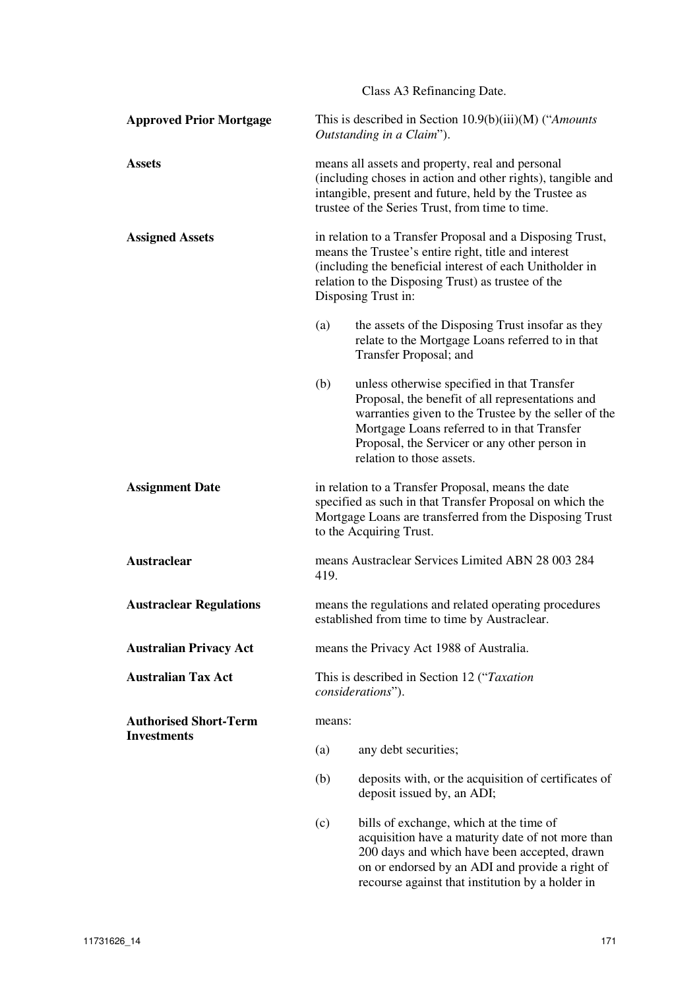|                                | Class A3 Refinancing Date.                                                                                                                                                                                                                                 |                                                                                                                                                                                                                                                                                      |  |  |
|--------------------------------|------------------------------------------------------------------------------------------------------------------------------------------------------------------------------------------------------------------------------------------------------------|--------------------------------------------------------------------------------------------------------------------------------------------------------------------------------------------------------------------------------------------------------------------------------------|--|--|
| <b>Approved Prior Mortgage</b> | This is described in Section $10.9(b)(iii)(M)$ ("Amounts"<br>Outstanding in a Claim").                                                                                                                                                                     |                                                                                                                                                                                                                                                                                      |  |  |
| <b>Assets</b>                  | means all assets and property, real and personal<br>(including choses in action and other rights), tangible and<br>intangible, present and future, held by the Trustee as<br>trustee of the Series Trust, from time to time.                               |                                                                                                                                                                                                                                                                                      |  |  |
| <b>Assigned Assets</b>         | in relation to a Transfer Proposal and a Disposing Trust,<br>means the Trustee's entire right, title and interest<br>(including the beneficial interest of each Unitholder in<br>relation to the Disposing Trust) as trustee of the<br>Disposing Trust in: |                                                                                                                                                                                                                                                                                      |  |  |
|                                | (a)                                                                                                                                                                                                                                                        | the assets of the Disposing Trust insofar as they<br>relate to the Mortgage Loans referred to in that<br>Transfer Proposal; and                                                                                                                                                      |  |  |
|                                | (b)                                                                                                                                                                                                                                                        | unless otherwise specified in that Transfer<br>Proposal, the benefit of all representations and<br>warranties given to the Trustee by the seller of the<br>Mortgage Loans referred to in that Transfer<br>Proposal, the Servicer or any other person in<br>relation to those assets. |  |  |
| <b>Assignment Date</b>         | in relation to a Transfer Proposal, means the date<br>specified as such in that Transfer Proposal on which the<br>Mortgage Loans are transferred from the Disposing Trust<br>to the Acquiring Trust.                                                       |                                                                                                                                                                                                                                                                                      |  |  |
| <b>Austraclear</b>             | means Austraclear Services Limited ABN 28 003 284<br>419.                                                                                                                                                                                                  |                                                                                                                                                                                                                                                                                      |  |  |
| <b>Austraclear Regulations</b> | means the regulations and related operating procedures<br>established from time to time by Austraclear.                                                                                                                                                    |                                                                                                                                                                                                                                                                                      |  |  |
| <b>Australian Privacy Act</b>  | means the Privacy Act 1988 of Australia.                                                                                                                                                                                                                   |                                                                                                                                                                                                                                                                                      |  |  |
| <b>Australian Tax Act</b>      | This is described in Section 12 ("Taxation"<br>considerations").                                                                                                                                                                                           |                                                                                                                                                                                                                                                                                      |  |  |
| <b>Authorised Short-Term</b>   | means:                                                                                                                                                                                                                                                     |                                                                                                                                                                                                                                                                                      |  |  |
| <b>Investments</b>             | (a)                                                                                                                                                                                                                                                        | any debt securities;                                                                                                                                                                                                                                                                 |  |  |
|                                | (b)<br>deposits with, or the acquisition of certificates of<br>deposit issued by, an ADI;                                                                                                                                                                  |                                                                                                                                                                                                                                                                                      |  |  |
|                                | (c)                                                                                                                                                                                                                                                        | bills of exchange, which at the time of<br>acquisition have a maturity date of not more than<br>200 days and which have been accepted, drawn                                                                                                                                         |  |  |

on or endorsed by an ADI and provide a right of recourse against that institution by a holder in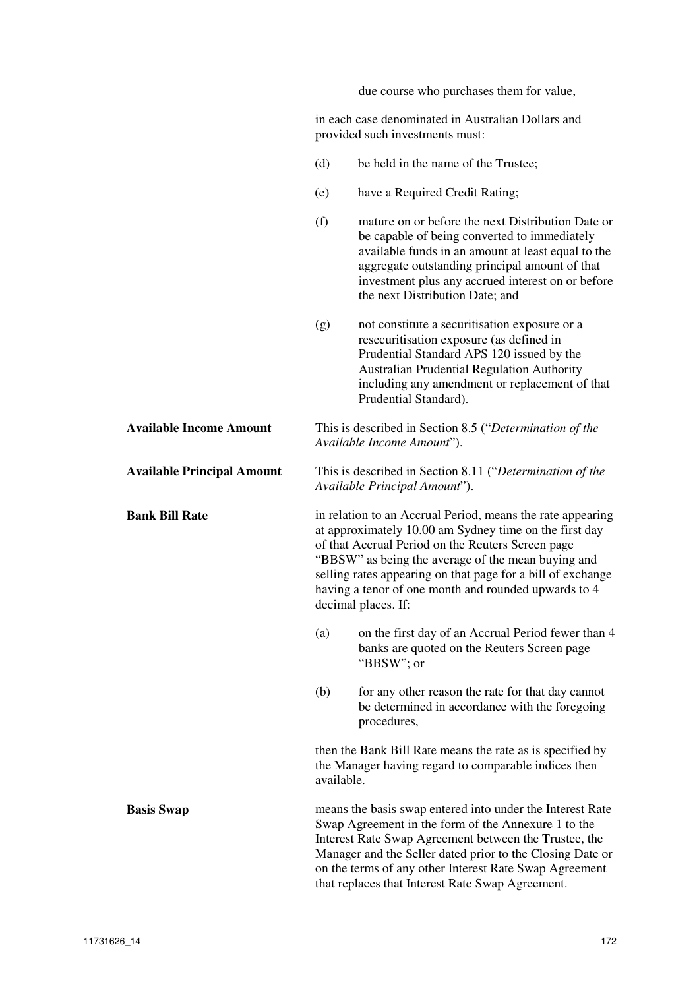due course who purchases them for value,

in each case denominated in Australian Dollars and provided such investments must:

|                                   | (d)                                                                                   | be held in the name of the Trustee;                                                                                                                                                                                                                                                                                                                                           |  |  |  |  |
|-----------------------------------|---------------------------------------------------------------------------------------|-------------------------------------------------------------------------------------------------------------------------------------------------------------------------------------------------------------------------------------------------------------------------------------------------------------------------------------------------------------------------------|--|--|--|--|
|                                   | (e)                                                                                   | have a Required Credit Rating;                                                                                                                                                                                                                                                                                                                                                |  |  |  |  |
|                                   | (f)                                                                                   | mature on or before the next Distribution Date or<br>be capable of being converted to immediately<br>available funds in an amount at least equal to the<br>aggregate outstanding principal amount of that<br>investment plus any accrued interest on or before<br>the next Distribution Date; and                                                                             |  |  |  |  |
|                                   | (g)                                                                                   | not constitute a securitisation exposure or a<br>resecuritisation exposure (as defined in<br>Prudential Standard APS 120 issued by the<br>Australian Prudential Regulation Authority<br>including any amendment or replacement of that<br>Prudential Standard).                                                                                                               |  |  |  |  |
| <b>Available Income Amount</b>    | This is described in Section 8.5 ("Determination of the<br>Available Income Amount"). |                                                                                                                                                                                                                                                                                                                                                                               |  |  |  |  |
| <b>Available Principal Amount</b> |                                                                                       | This is described in Section 8.11 ("Determination of the<br>Available Principal Amount").                                                                                                                                                                                                                                                                                     |  |  |  |  |
| <b>Bank Bill Rate</b>             |                                                                                       | in relation to an Accrual Period, means the rate appearing<br>at approximately 10.00 am Sydney time on the first day<br>of that Accrual Period on the Reuters Screen page<br>"BBSW" as being the average of the mean buying and<br>selling rates appearing on that page for a bill of exchange<br>having a tenor of one month and rounded upwards to 4<br>decimal places. If: |  |  |  |  |
|                                   | (a)                                                                                   | on the first day of an Accrual Period fewer than 4<br>banks are quoted on the Reuters Screen page<br>"BBSW"; or                                                                                                                                                                                                                                                               |  |  |  |  |
|                                   | (b)                                                                                   | for any other reason the rate for that day cannot<br>be determined in accordance with the foregoing<br>procedures,                                                                                                                                                                                                                                                            |  |  |  |  |
|                                   | available.                                                                            | then the Bank Bill Rate means the rate as is specified by<br>the Manager having regard to comparable indices then                                                                                                                                                                                                                                                             |  |  |  |  |
| <b>Basis Swap</b>                 |                                                                                       | means the basis swap entered into under the Interest Rate<br>Swap Agreement in the form of the Annexure 1 to the<br>Interest Rate Swap Agreement between the Trustee, the<br>Manager and the Seller dated prior to the Closing Date or<br>on the terms of any other Interest Rate Swap Agreement<br>that replaces that Interest Rate Swap Agreement.                          |  |  |  |  |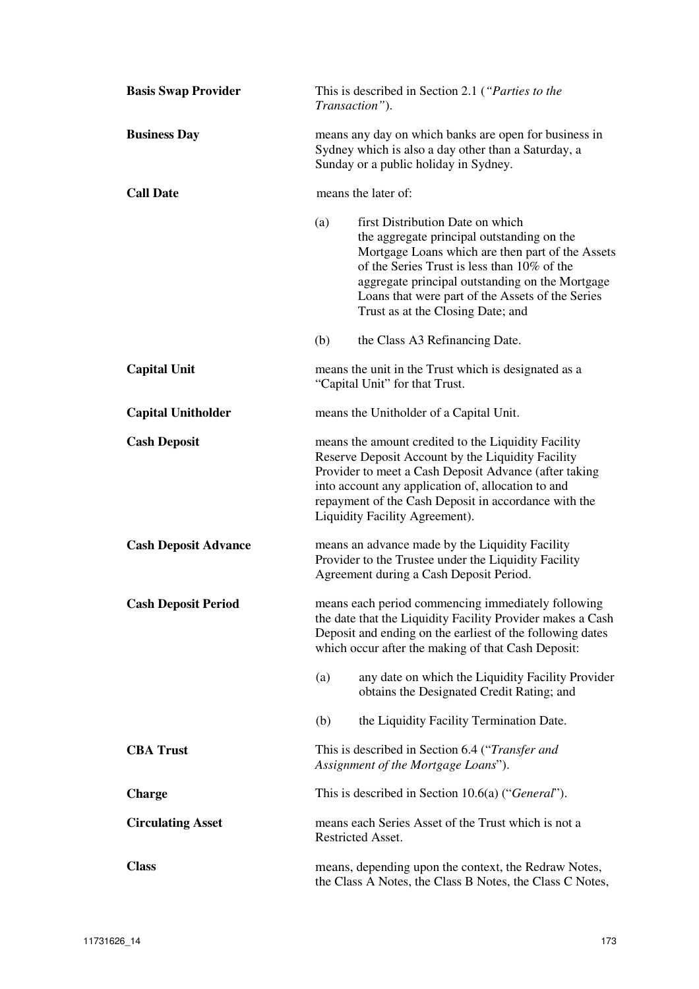| <b>Basis Swap Provider</b>  | This is described in Section 2.1 ("Parties to the<br>Transaction").                                                                                                                                                                                                                                                                  |                                                                                                |  |  |  |
|-----------------------------|--------------------------------------------------------------------------------------------------------------------------------------------------------------------------------------------------------------------------------------------------------------------------------------------------------------------------------------|------------------------------------------------------------------------------------------------|--|--|--|
| <b>Business Day</b>         | means any day on which banks are open for business in<br>Sydney which is also a day other than a Saturday, a<br>Sunday or a public holiday in Sydney.                                                                                                                                                                                |                                                                                                |  |  |  |
| <b>Call Date</b>            | means the later of:                                                                                                                                                                                                                                                                                                                  |                                                                                                |  |  |  |
|                             | first Distribution Date on which<br>(a)<br>the aggregate principal outstanding on the<br>Mortgage Loans which are then part of the Assets<br>of the Series Trust is less than 10% of the<br>aggregate principal outstanding on the Mortgage<br>Loans that were part of the Assets of the Series<br>Trust as at the Closing Date; and |                                                                                                |  |  |  |
|                             | (b)                                                                                                                                                                                                                                                                                                                                  | the Class A3 Refinancing Date.                                                                 |  |  |  |
| <b>Capital Unit</b>         | means the unit in the Trust which is designated as a<br>"Capital Unit" for that Trust.                                                                                                                                                                                                                                               |                                                                                                |  |  |  |
| <b>Capital Unitholder</b>   | means the Unitholder of a Capital Unit.                                                                                                                                                                                                                                                                                              |                                                                                                |  |  |  |
| <b>Cash Deposit</b>         | means the amount credited to the Liquidity Facility<br>Reserve Deposit Account by the Liquidity Facility<br>Provider to meet a Cash Deposit Advance (after taking<br>into account any application of, allocation to and<br>repayment of the Cash Deposit in accordance with the<br>Liquidity Facility Agreement).                    |                                                                                                |  |  |  |
| <b>Cash Deposit Advance</b> | means an advance made by the Liquidity Facility<br>Provider to the Trustee under the Liquidity Facility<br>Agreement during a Cash Deposit Period.                                                                                                                                                                                   |                                                                                                |  |  |  |
| <b>Cash Deposit Period</b>  | means each period commencing immediately following<br>the date that the Liquidity Facility Provider makes a Cash<br>Deposit and ending on the earliest of the following dates<br>which occur after the making of that Cash Deposit:                                                                                                  |                                                                                                |  |  |  |
|                             | (a)                                                                                                                                                                                                                                                                                                                                  | any date on which the Liquidity Facility Provider<br>obtains the Designated Credit Rating; and |  |  |  |
|                             | (b)                                                                                                                                                                                                                                                                                                                                  | the Liquidity Facility Termination Date.                                                       |  |  |  |
| <b>CBA Trust</b>            | This is described in Section 6.4 ("Transfer and<br>Assignment of the Mortgage Loans").                                                                                                                                                                                                                                               |                                                                                                |  |  |  |
| <b>Charge</b>               | This is described in Section 10.6(a) ("General").                                                                                                                                                                                                                                                                                    |                                                                                                |  |  |  |
| <b>Circulating Asset</b>    | means each Series Asset of the Trust which is not a<br>Restricted Asset.                                                                                                                                                                                                                                                             |                                                                                                |  |  |  |
| <b>Class</b>                | means, depending upon the context, the Redraw Notes,<br>the Class A Notes, the Class B Notes, the Class C Notes,                                                                                                                                                                                                                     |                                                                                                |  |  |  |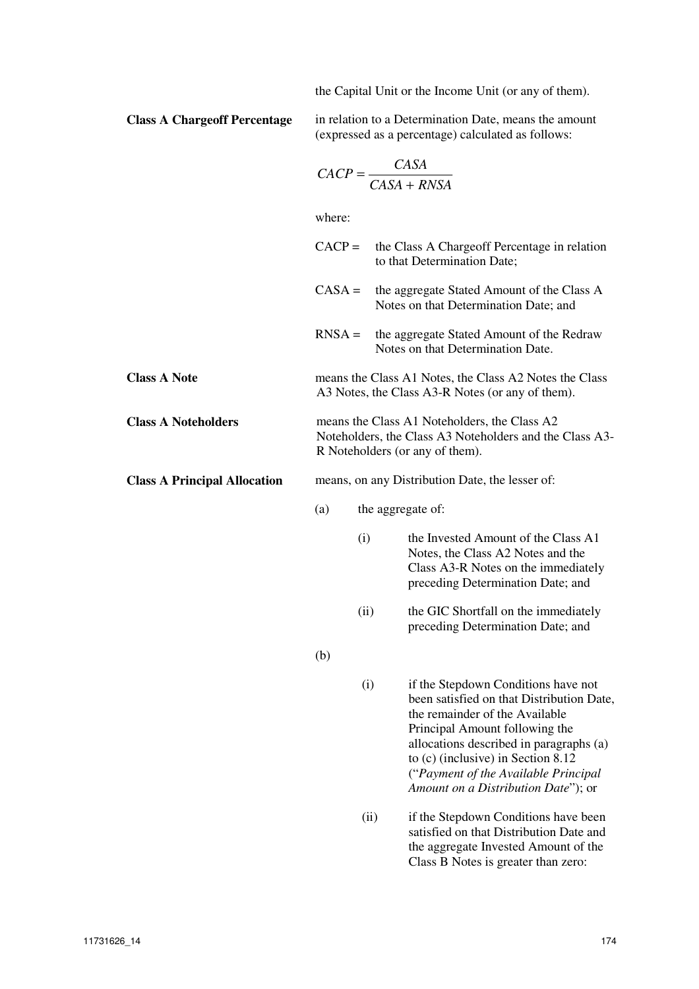the Capital Unit or the Income Unit (or any of them).

**Class A Chargeoff Percentage** in relation to a Determination Date, means the amount (expressed as a percentage) calculated as follows:

$$
CACP = \frac{CASA}{CASA + RNSA}
$$

where:

|                                     | $CACP =$                                                                                                                                   |                                                                                                            | the Class A Chargeoff Percentage in relation<br>to that Determination Date;                                                                                                                                                                                                                                            |  |
|-------------------------------------|--------------------------------------------------------------------------------------------------------------------------------------------|------------------------------------------------------------------------------------------------------------|------------------------------------------------------------------------------------------------------------------------------------------------------------------------------------------------------------------------------------------------------------------------------------------------------------------------|--|
|                                     | $CASA =$                                                                                                                                   |                                                                                                            | the aggregate Stated Amount of the Class A<br>Notes on that Determination Date; and                                                                                                                                                                                                                                    |  |
|                                     | $RNSA =$                                                                                                                                   |                                                                                                            | the aggregate Stated Amount of the Redraw<br>Notes on that Determination Date.                                                                                                                                                                                                                                         |  |
| <b>Class A Note</b>                 |                                                                                                                                            | means the Class A1 Notes, the Class A2 Notes the Class<br>A3 Notes, the Class A3-R Notes (or any of them). |                                                                                                                                                                                                                                                                                                                        |  |
| <b>Class A Noteholders</b>          | means the Class A1 Noteholders, the Class A2<br>Noteholders, the Class A3 Noteholders and the Class A3-<br>R Noteholders (or any of them). |                                                                                                            |                                                                                                                                                                                                                                                                                                                        |  |
| <b>Class A Principal Allocation</b> | means, on any Distribution Date, the lesser of:                                                                                            |                                                                                                            |                                                                                                                                                                                                                                                                                                                        |  |
|                                     | (a)<br>the aggregate of:                                                                                                                   |                                                                                                            |                                                                                                                                                                                                                                                                                                                        |  |
|                                     |                                                                                                                                            | (i)                                                                                                        | the Invested Amount of the Class A1<br>Notes, the Class A2 Notes and the<br>Class A3-R Notes on the immediately<br>preceding Determination Date; and                                                                                                                                                                   |  |
|                                     |                                                                                                                                            | (ii)                                                                                                       | the GIC Shortfall on the immediately<br>preceding Determination Date; and                                                                                                                                                                                                                                              |  |
|                                     | (b)                                                                                                                                        |                                                                                                            |                                                                                                                                                                                                                                                                                                                        |  |
|                                     |                                                                                                                                            | (i)                                                                                                        | if the Stepdown Conditions have not<br>been satisfied on that Distribution Date,<br>the remainder of the Available<br>Principal Amount following the<br>allocations described in paragraphs (a)<br>to $(c)$ (inclusive) in Section 8.12<br>("Payment of the Available Principal<br>Amount on a Distribution Date"); or |  |
|                                     |                                                                                                                                            | (ii)                                                                                                       | if the Stepdown Conditions have been                                                                                                                                                                                                                                                                                   |  |

satisfied on that Distribution Date and the aggregate Invested Amount of the Class B Notes is greater than zero: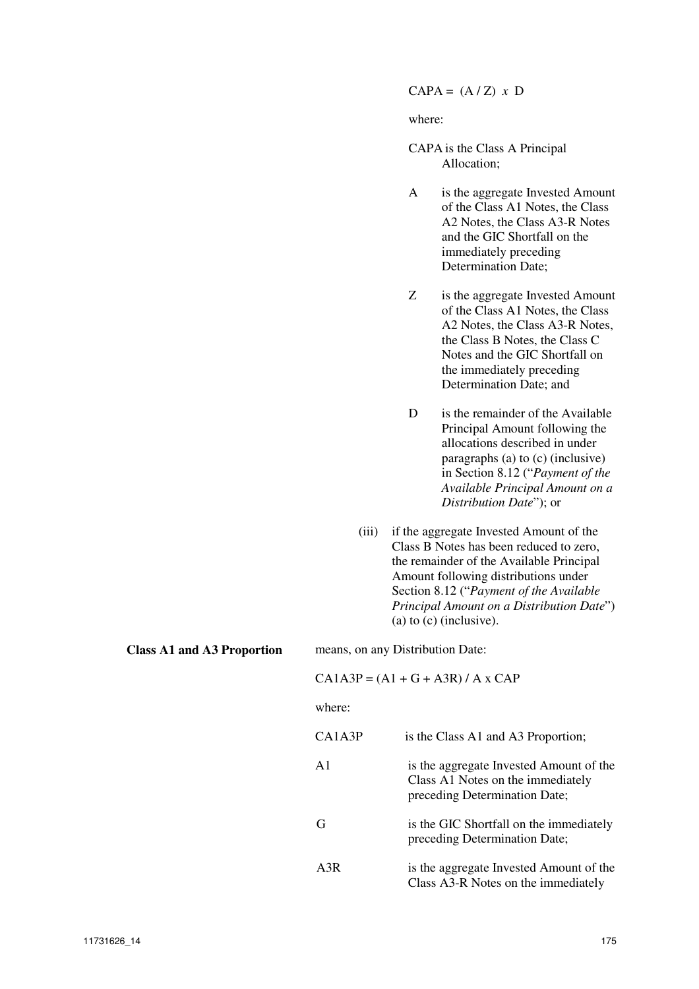$CAPA = (A/Z) x D$ 

where:

| CAPA is the Class A Principal |
|-------------------------------|
| Allocation;                   |

- A is the aggregate Invested Amount of the Class A1 Notes, the Class A2 Notes, the Class A3-R Notes and the GIC Shortfall on the immediately preceding Determination Date;
- Z is the aggregate Invested Amount of the Class A1 Notes, the Class A2 Notes, the Class A3-R Notes, the Class B Notes, the Class C Notes and the GIC Shortfall on the immediately preceding Determination Date; and
- D is the remainder of the Available Principal Amount following the allocations described in under paragraphs (a) to (c) (inclusive) in Section 8.12 ("*Payment of the Available Principal Amount on a Distribution Date*"); or
- (iii) if the aggregate Invested Amount of the Class B Notes has been reduced to zero, the remainder of the Available Principal Amount following distributions under Section 8.12 ("*Payment of the Available Principal Amount on a Distribution Date*") (a) to (c) (inclusive).

**Class A1 and A3 Proportion** means, on any Distribution Date:  $CA1A3P = (A1 + G + A3R)/A x CAP$ where:

| CA1A3P        | is the Class A1 and A3 Proportion;                                                                            |
|---------------|---------------------------------------------------------------------------------------------------------------|
| $\mathbf{A}1$ | is the aggregate Invested Amount of the<br>Class A1 Notes on the immediately<br>preceding Determination Date; |
| G             | is the GIC Shortfall on the immediately<br>preceding Determination Date;                                      |
| A3R           | is the aggregate Invested Amount of the<br>Class A3-R Notes on the immediately                                |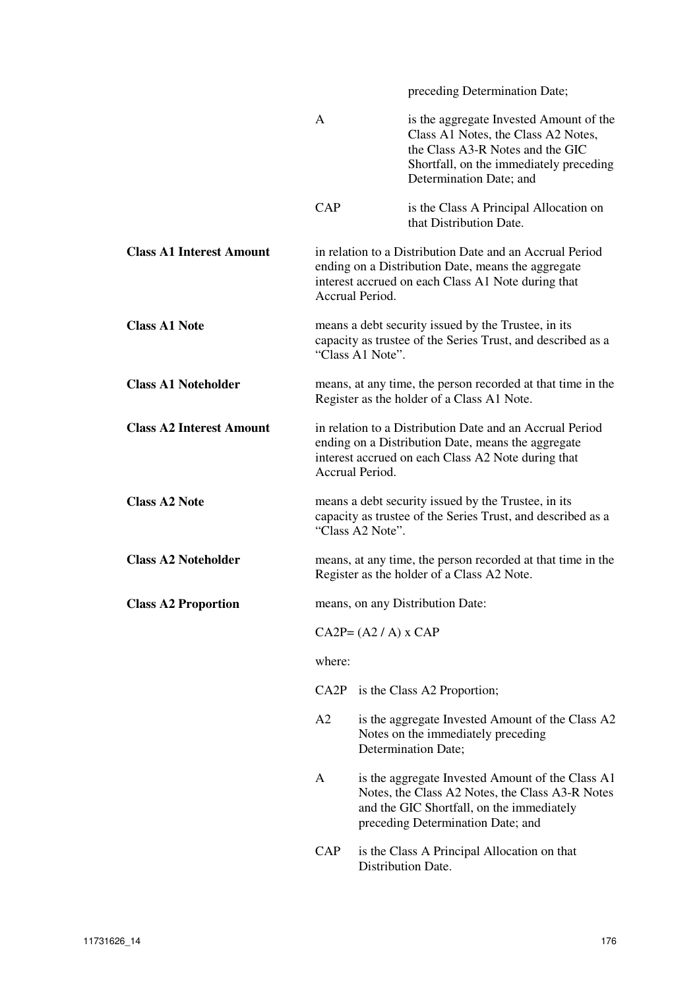|                                 |                                                                                                                                                                                         |                    | preceding Determination Date;                                                                                                                                                            |  |  |
|---------------------------------|-----------------------------------------------------------------------------------------------------------------------------------------------------------------------------------------|--------------------|------------------------------------------------------------------------------------------------------------------------------------------------------------------------------------------|--|--|
|                                 | $\mathsf{A}$                                                                                                                                                                            |                    | is the aggregate Invested Amount of the<br>Class A1 Notes, the Class A2 Notes,<br>the Class A3-R Notes and the GIC<br>Shortfall, on the immediately preceding<br>Determination Date; and |  |  |
|                                 | CAP                                                                                                                                                                                     |                    | is the Class A Principal Allocation on<br>that Distribution Date.                                                                                                                        |  |  |
| <b>Class A1 Interest Amount</b> | in relation to a Distribution Date and an Accrual Period<br>ending on a Distribution Date, means the aggregate<br>interest accrued on each Class A1 Note during that<br>Accrual Period. |                    |                                                                                                                                                                                          |  |  |
| <b>Class A1 Note</b>            | means a debt security issued by the Trustee, in its<br>capacity as trustee of the Series Trust, and described as a<br>"Class A1 Note".                                                  |                    |                                                                                                                                                                                          |  |  |
| <b>Class A1 Noteholder</b>      | means, at any time, the person recorded at that time in the<br>Register as the holder of a Class A1 Note.                                                                               |                    |                                                                                                                                                                                          |  |  |
| <b>Class A2 Interest Amount</b> | in relation to a Distribution Date and an Accrual Period<br>ending on a Distribution Date, means the aggregate<br>interest accrued on each Class A2 Note during that<br>Accrual Period. |                    |                                                                                                                                                                                          |  |  |
| <b>Class A2 Note</b>            | means a debt security issued by the Trustee, in its<br>capacity as trustee of the Series Trust, and described as a<br>"Class A2 Note".                                                  |                    |                                                                                                                                                                                          |  |  |
| <b>Class A2 Noteholder</b>      | means, at any time, the person recorded at that time in the<br>Register as the holder of a Class A2 Note.                                                                               |                    |                                                                                                                                                                                          |  |  |
| <b>Class A2 Proportion</b>      | means, on any Distribution Date:                                                                                                                                                        |                    |                                                                                                                                                                                          |  |  |
|                                 | $CA2P = (A2 / A) \times CAP$                                                                                                                                                            |                    |                                                                                                                                                                                          |  |  |
|                                 | where:                                                                                                                                                                                  |                    |                                                                                                                                                                                          |  |  |
|                                 | A2                                                                                                                                                                                      |                    | CA2P is the Class A2 Proportion;                                                                                                                                                         |  |  |
|                                 |                                                                                                                                                                                         |                    | is the aggregate Invested Amount of the Class A2<br>Notes on the immediately preceding<br>Determination Date;                                                                            |  |  |
|                                 | A                                                                                                                                                                                       |                    | is the aggregate Invested Amount of the Class A1<br>Notes, the Class A2 Notes, the Class A3-R Notes<br>and the GIC Shortfall, on the immediately<br>preceding Determination Date; and    |  |  |
|                                 | CAP                                                                                                                                                                                     | Distribution Date. | is the Class A Principal Allocation on that                                                                                                                                              |  |  |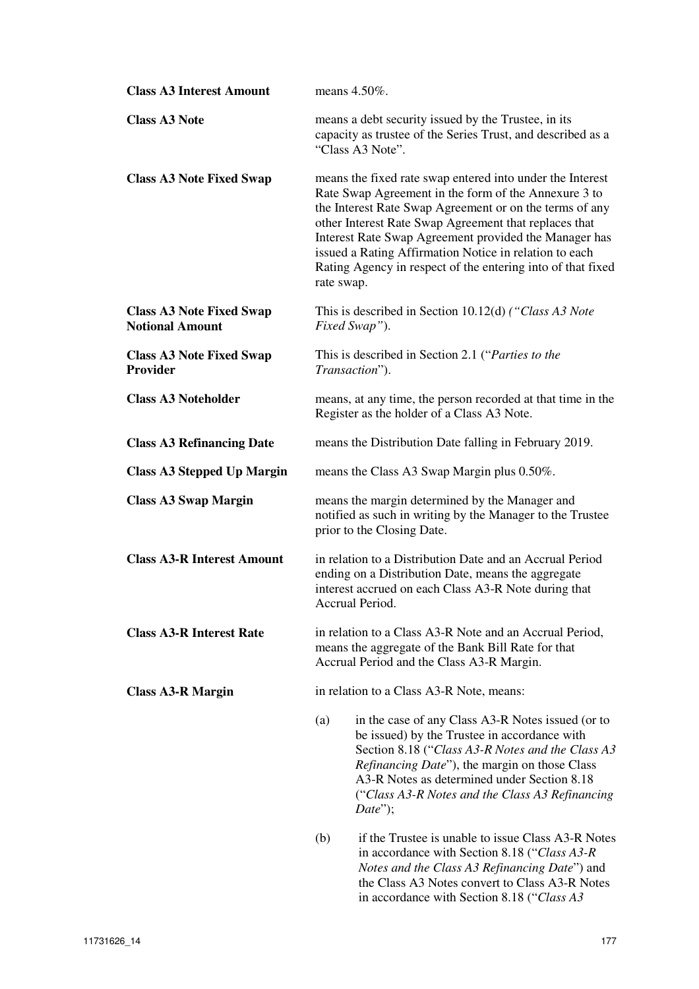| <b>Class A3 Interest Amount</b>                           | means 4.50%.                                                                                                                                                                                                                                                                                                                                                                                                                          |  |  |  |  |
|-----------------------------------------------------------|---------------------------------------------------------------------------------------------------------------------------------------------------------------------------------------------------------------------------------------------------------------------------------------------------------------------------------------------------------------------------------------------------------------------------------------|--|--|--|--|
| <b>Class A3 Note</b>                                      | means a debt security issued by the Trustee, in its<br>capacity as trustee of the Series Trust, and described as a<br>"Class A3 Note".                                                                                                                                                                                                                                                                                                |  |  |  |  |
| <b>Class A3 Note Fixed Swap</b>                           | means the fixed rate swap entered into under the Interest<br>Rate Swap Agreement in the form of the Annexure 3 to<br>the Interest Rate Swap Agreement or on the terms of any<br>other Interest Rate Swap Agreement that replaces that<br>Interest Rate Swap Agreement provided the Manager has<br>issued a Rating Affirmation Notice in relation to each<br>Rating Agency in respect of the entering into of that fixed<br>rate swap. |  |  |  |  |
| <b>Class A3 Note Fixed Swap</b><br><b>Notional Amount</b> | This is described in Section 10.12(d) ("Class A3 Note<br>Fixed Swap").                                                                                                                                                                                                                                                                                                                                                                |  |  |  |  |
| <b>Class A3 Note Fixed Swap</b><br><b>Provider</b>        | This is described in Section 2.1 ("Parties to the<br>Transaction").                                                                                                                                                                                                                                                                                                                                                                   |  |  |  |  |
| <b>Class A3 Noteholder</b>                                | means, at any time, the person recorded at that time in the<br>Register as the holder of a Class A3 Note.                                                                                                                                                                                                                                                                                                                             |  |  |  |  |
| <b>Class A3 Refinancing Date</b>                          | means the Distribution Date falling in February 2019.                                                                                                                                                                                                                                                                                                                                                                                 |  |  |  |  |
| <b>Class A3 Stepped Up Margin</b>                         | means the Class A3 Swap Margin plus 0.50%.                                                                                                                                                                                                                                                                                                                                                                                            |  |  |  |  |
| <b>Class A3 Swap Margin</b>                               | means the margin determined by the Manager and<br>notified as such in writing by the Manager to the Trustee<br>prior to the Closing Date.                                                                                                                                                                                                                                                                                             |  |  |  |  |
| <b>Class A3-R Interest Amount</b>                         | in relation to a Distribution Date and an Accrual Period<br>ending on a Distribution Date, means the aggregate<br>interest accrued on each Class A3-R Note during that<br>Accrual Period.                                                                                                                                                                                                                                             |  |  |  |  |
| <b>Class A3-R Interest Rate</b>                           | in relation to a Class A3-R Note and an Accrual Period,<br>means the aggregate of the Bank Bill Rate for that<br>Accrual Period and the Class A3-R Margin.                                                                                                                                                                                                                                                                            |  |  |  |  |
| <b>Class A3-R Margin</b>                                  | in relation to a Class A3-R Note, means:                                                                                                                                                                                                                                                                                                                                                                                              |  |  |  |  |
|                                                           | in the case of any Class A3-R Notes issued (or to<br>(a)<br>be issued) by the Trustee in accordance with<br>Section 8.18 ("Class A3-R Notes and the Class A3<br><i>Refinancing Date"</i> ), the margin on those Class<br>A3-R Notes as determined under Section 8.18<br>("Class A3-R Notes and the Class A3 Refinancing<br>$Date$ ");                                                                                                 |  |  |  |  |
|                                                           | if the Trustee is unable to issue Class A3-R Notes<br>(b)<br>in accordance with Section 8.18 ("Class A3-R"<br>Notes and the Class A3 Refinancing Date") and<br>the Class A3 Notes convert to Class A3-R Notes                                                                                                                                                                                                                         |  |  |  |  |

in accordance with Section 8.18 ("*Class A3*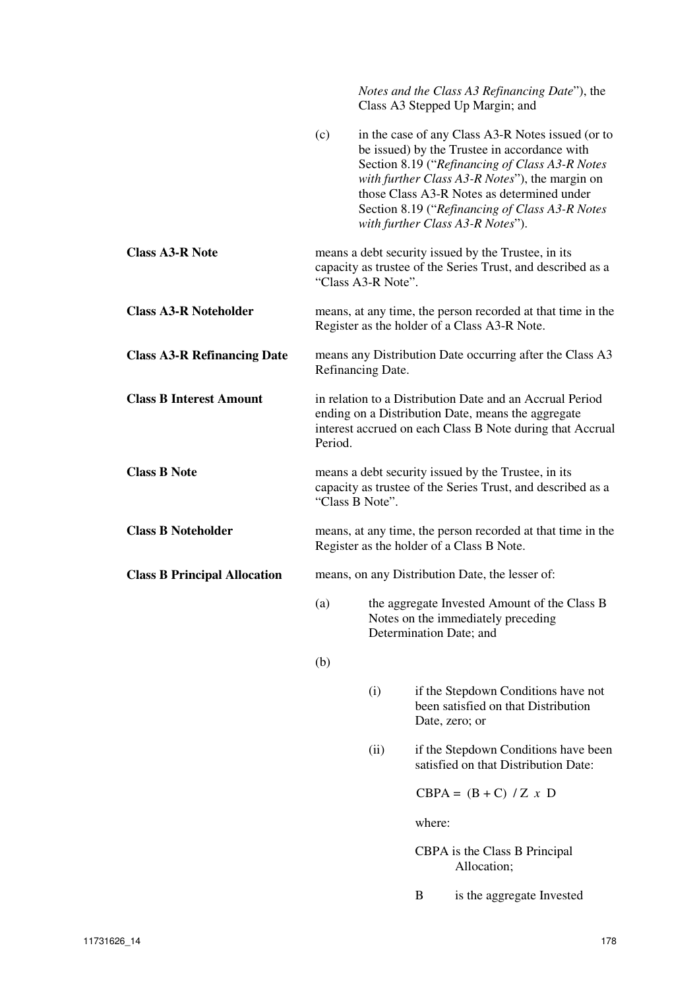|                                     |                                                                                                                                                                                        |      |        | Notes and the Class A3 Refinancing Date"), the<br>Class A3 Stepped Up Margin; and                                                                                                                                                                                                                                                         |
|-------------------------------------|----------------------------------------------------------------------------------------------------------------------------------------------------------------------------------------|------|--------|-------------------------------------------------------------------------------------------------------------------------------------------------------------------------------------------------------------------------------------------------------------------------------------------------------------------------------------------|
|                                     | (c)                                                                                                                                                                                    |      |        | in the case of any Class A3-R Notes issued (or to<br>be issued) by the Trustee in accordance with<br>Section 8.19 ("Refinancing of Class A3-R Notes<br>with further Class A3-R Notes"), the margin on<br>those Class A3-R Notes as determined under<br>Section 8.19 ("Refinancing of Class A3-R Notes<br>with further Class A3-R Notes"). |
| <b>Class A3-R Note</b>              | means a debt security issued by the Trustee, in its<br>capacity as trustee of the Series Trust, and described as a<br>"Class A3-R Note".                                               |      |        |                                                                                                                                                                                                                                                                                                                                           |
| <b>Class A3-R Noteholder</b>        | means, at any time, the person recorded at that time in the<br>Register as the holder of a Class A3-R Note.                                                                            |      |        |                                                                                                                                                                                                                                                                                                                                           |
| <b>Class A3-R Refinancing Date</b>  | means any Distribution Date occurring after the Class A3<br>Refinancing Date.                                                                                                          |      |        |                                                                                                                                                                                                                                                                                                                                           |
| <b>Class B Interest Amount</b>      | in relation to a Distribution Date and an Accrual Period<br>ending on a Distribution Date, means the aggregate<br>interest accrued on each Class B Note during that Accrual<br>Period. |      |        |                                                                                                                                                                                                                                                                                                                                           |
| <b>Class B Note</b>                 | means a debt security issued by the Trustee, in its<br>capacity as trustee of the Series Trust, and described as a<br>"Class B Note".                                                  |      |        |                                                                                                                                                                                                                                                                                                                                           |
| <b>Class B Noteholder</b>           | means, at any time, the person recorded at that time in the<br>Register as the holder of a Class B Note.                                                                               |      |        |                                                                                                                                                                                                                                                                                                                                           |
| <b>Class B Principal Allocation</b> | means, on any Distribution Date, the lesser of:                                                                                                                                        |      |        |                                                                                                                                                                                                                                                                                                                                           |
|                                     | (a)                                                                                                                                                                                    |      |        | the aggregate Invested Amount of the Class B<br>Notes on the immediately preceding<br>Determination Date; and                                                                                                                                                                                                                             |
|                                     | (b)                                                                                                                                                                                    |      |        |                                                                                                                                                                                                                                                                                                                                           |
|                                     |                                                                                                                                                                                        | (i)  |        | if the Stepdown Conditions have not<br>been satisfied on that Distribution<br>Date, zero; or                                                                                                                                                                                                                                              |
|                                     |                                                                                                                                                                                        | (ii) |        | if the Stepdown Conditions have been<br>satisfied on that Distribution Date:                                                                                                                                                                                                                                                              |
|                                     |                                                                                                                                                                                        |      |        | $CBPA = (B + C) / Z x D$                                                                                                                                                                                                                                                                                                                  |
|                                     |                                                                                                                                                                                        |      | where: |                                                                                                                                                                                                                                                                                                                                           |
|                                     |                                                                                                                                                                                        |      |        | CBPA is the Class B Principal<br>Allocation;                                                                                                                                                                                                                                                                                              |
|                                     |                                                                                                                                                                                        |      | B      | is the aggregate Invested                                                                                                                                                                                                                                                                                                                 |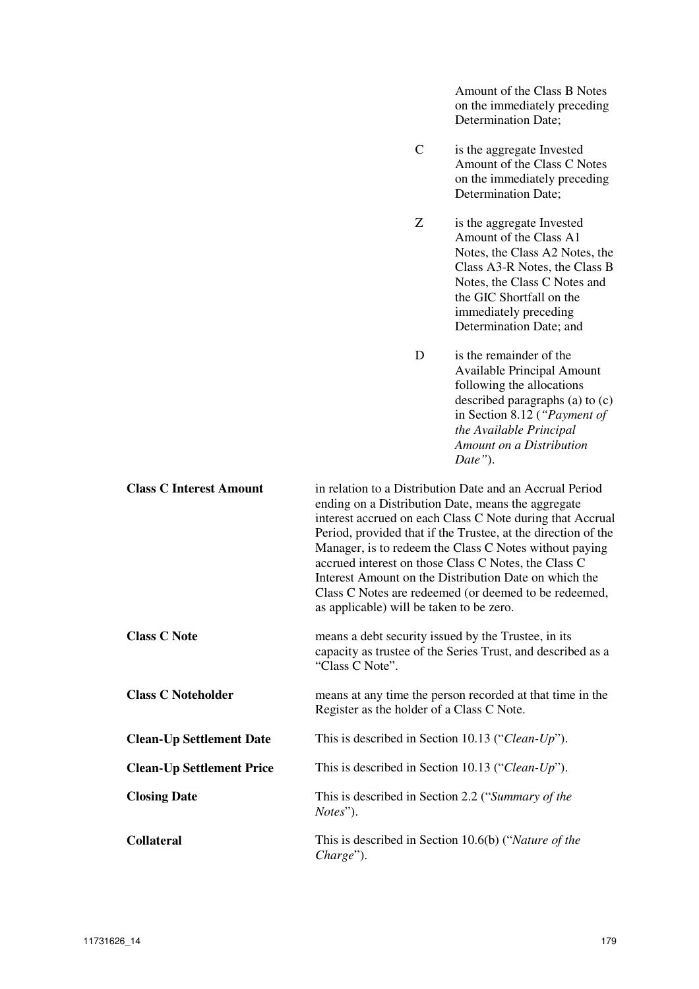C is the aggregate Invested Amount of the Class C Notes on the immediately preceding Determination Date; Z is the aggregate Invested Amount of the Class A1 Notes, the Class A2 Notes, the Class A3-R Notes, the Class B Notes, the Class C Notes and the GIC Shortfall on the immediately preceding Determination Date; and D is the remainder of the Available Principal Amount following the allocations described paragraphs (a) to (c) in Section 8.12 (*"Payment of the Available Principal Amount on a Distribution Date"*). **Class C Interest Amount** in relation to a Distribution Date and an Accrual Period ending on a Distribution Date, means the aggregate interest accrued on each Class C Note during that Accrual Period, provided that if the Trustee, at the direction of the Manager, is to redeem the Class C Notes without paying accrued interest on those Class C Notes, the Class C Interest Amount on the Distribution Date on which the Class C Notes are redeemed (or deemed to be redeemed, as applicable) will be taken to be zero. **Class C Note means a debt security issued by the Trustee, in its** capacity as trustee of the Series Trust, and described as a "Class C Note". **Class C Noteholder** means at any time the person recorded at that time in the Register as the holder of a Class C Note. **Clean-Up Settlement Date** This is described in Section 10.13 ("*Clean-Up*"). **Clean-Up Settlement Price** This is described in Section 10.13 ("*Clean-Up*"). **Closing Date This is described in Section 2.2 ("***Summary of the* $\blacksquare$ *Notes*"). **Collateral** This is described in Section 10.6(b) ("*Nature of the Charge*").

Amount of the Class B Notes on the immediately preceding

Determination Date;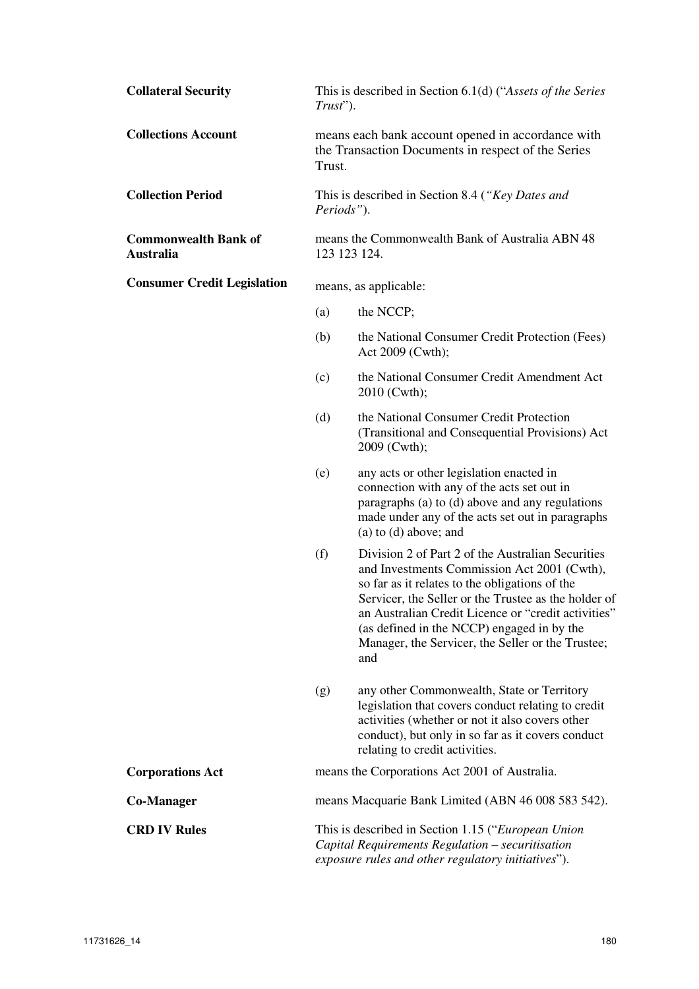| <b>Collateral Security</b>                      | This is described in Section 6.1(d) ("Assets of the Series"<br>$Trust$ ").                                                                                                                                                                                                                                                                                                         |                                                                                                                                                                                                                                            |  |
|-------------------------------------------------|------------------------------------------------------------------------------------------------------------------------------------------------------------------------------------------------------------------------------------------------------------------------------------------------------------------------------------------------------------------------------------|--------------------------------------------------------------------------------------------------------------------------------------------------------------------------------------------------------------------------------------------|--|
| <b>Collections Account</b>                      | means each bank account opened in accordance with<br>the Transaction Documents in respect of the Series<br>Trust.                                                                                                                                                                                                                                                                  |                                                                                                                                                                                                                                            |  |
| <b>Collection Period</b>                        | This is described in Section 8.4 ("Key Dates and<br>Periods").                                                                                                                                                                                                                                                                                                                     |                                                                                                                                                                                                                                            |  |
| <b>Commonwealth Bank of</b><br><b>Australia</b> | means the Commonwealth Bank of Australia ABN 48<br>123 123 124.                                                                                                                                                                                                                                                                                                                    |                                                                                                                                                                                                                                            |  |
| <b>Consumer Credit Legislation</b>              | means, as applicable:                                                                                                                                                                                                                                                                                                                                                              |                                                                                                                                                                                                                                            |  |
|                                                 | (a)                                                                                                                                                                                                                                                                                                                                                                                | the NCCP;                                                                                                                                                                                                                                  |  |
|                                                 | (b)                                                                                                                                                                                                                                                                                                                                                                                | the National Consumer Credit Protection (Fees)<br>Act 2009 (Cwth);                                                                                                                                                                         |  |
|                                                 | (c)                                                                                                                                                                                                                                                                                                                                                                                | the National Consumer Credit Amendment Act<br>2010 (Cwth);                                                                                                                                                                                 |  |
|                                                 | (d)                                                                                                                                                                                                                                                                                                                                                                                | the National Consumer Credit Protection<br>(Transitional and Consequential Provisions) Act<br>2009 (Cwth);                                                                                                                                 |  |
|                                                 | (e)                                                                                                                                                                                                                                                                                                                                                                                | any acts or other legislation enacted in<br>connection with any of the acts set out in<br>paragraphs (a) to (d) above and any regulations<br>made under any of the acts set out in paragraphs<br>$(a)$ to $(d)$ above; and                 |  |
|                                                 | (f)<br>Division 2 of Part 2 of the Australian Securities<br>and Investments Commission Act 2001 (Cwth),<br>so far as it relates to the obligations of the<br>Servicer, the Seller or the Trustee as the holder of<br>an Australian Credit Licence or "credit activities"<br>(as defined in the NCCP) engaged in by the<br>Manager, the Servicer, the Seller or the Trustee;<br>and |                                                                                                                                                                                                                                            |  |
|                                                 | (g)                                                                                                                                                                                                                                                                                                                                                                                | any other Commonwealth, State or Territory<br>legislation that covers conduct relating to credit<br>activities (whether or not it also covers other<br>conduct), but only in so far as it covers conduct<br>relating to credit activities. |  |
| <b>Corporations Act</b>                         |                                                                                                                                                                                                                                                                                                                                                                                    | means the Corporations Act 2001 of Australia.                                                                                                                                                                                              |  |
| Co-Manager                                      |                                                                                                                                                                                                                                                                                                                                                                                    | means Macquarie Bank Limited (ABN 46 008 583 542).                                                                                                                                                                                         |  |
| <b>CRD IV Rules</b>                             | This is described in Section 1.15 ("European Union"<br>Capital Requirements Regulation - securitisation<br>exposure rules and other regulatory initiatives").                                                                                                                                                                                                                      |                                                                                                                                                                                                                                            |  |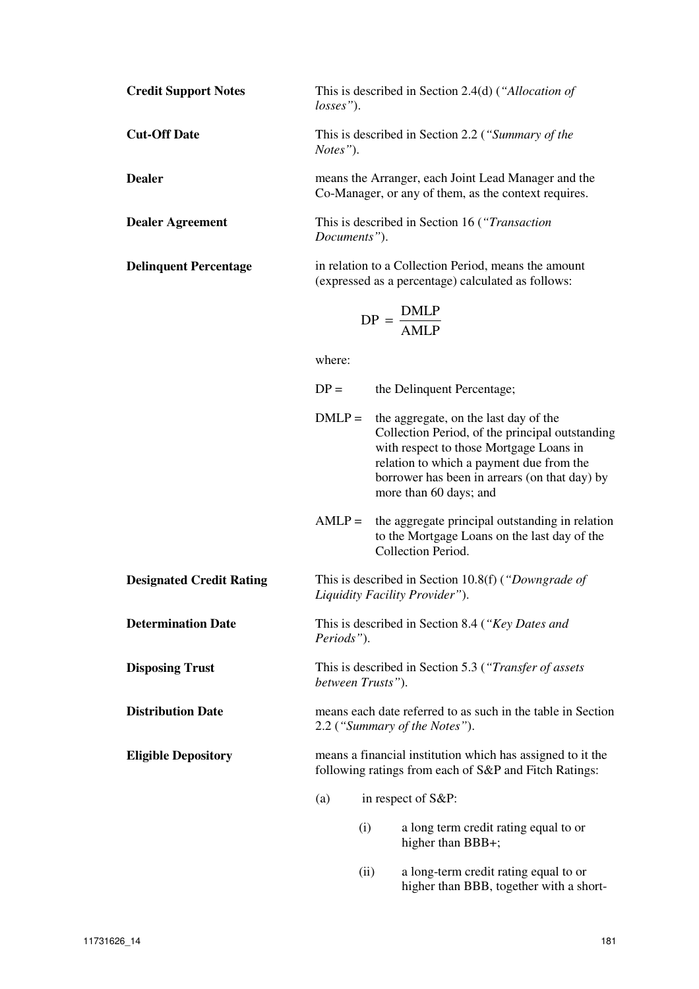| <b>Credit Support Notes</b>  | losses").                                                                                                  | This is described in Section 2.4(d) ("Allocation of                                                                                                                                                                                                        |
|------------------------------|------------------------------------------------------------------------------------------------------------|------------------------------------------------------------------------------------------------------------------------------------------------------------------------------------------------------------------------------------------------------------|
| <b>Cut-Off Date</b>          | Notes").                                                                                                   | This is described in Section 2.2 ("Summary of the                                                                                                                                                                                                          |
| <b>Dealer</b>                |                                                                                                            | means the Arranger, each Joint Lead Manager and the<br>Co-Manager, or any of them, as the context requires.                                                                                                                                                |
| <b>Dealer Agreement</b>      | Documents").                                                                                               | This is described in Section 16 ("Transaction"                                                                                                                                                                                                             |
| <b>Delinquent Percentage</b> | in relation to a Collection Period, means the amount<br>(expressed as a percentage) calculated as follows: |                                                                                                                                                                                                                                                            |
|                              |                                                                                                            | $DP = \frac{DMLP}{AMLP}$                                                                                                                                                                                                                                   |
|                              | where:                                                                                                     |                                                                                                                                                                                                                                                            |
|                              | $DP =$                                                                                                     | the Delinquent Percentage;                                                                                                                                                                                                                                 |
|                              | $DMLP =$                                                                                                   | the aggregate, on the last day of the<br>Collection Period, of the principal outstanding<br>with respect to those Mortgage Loans in<br>relation to which a payment due from the<br>borrower has been in arrears (on that day) by<br>more than 60 days; and |
|                              | $AMLP =$                                                                                                   | the aggregate principal outstanding in relation<br>to the Mortgage Loans on the last day of the<br>Collection Period.                                                                                                                                      |
|                              |                                                                                                            |                                                                                                                                                                                                                                                            |

**Designated Credit Rating** This is described in Section 10.8(f) (*"Downgrade of Liquidity Facility Provider"*).

**Determination Date** This is described in Section 8.4 (*"Key Dates and Periods"*).

**Disposing Trust** This is described in Section 5.3 (*"Transfer of assets between Trusts"*).

**Distribution Date means each date referred to as such in the table in Section** 2.2 (*"Summary of the Notes"*).

**Eligible Depository** means a financial institution which has assigned to it the following ratings from each of S&P and Fitch Ratings:

- (a) in respect of S&P:
	- (i) a long term credit rating equal to or higher than BBB+;
	- (ii) a long-term credit rating equal to or higher than BBB, together with a short-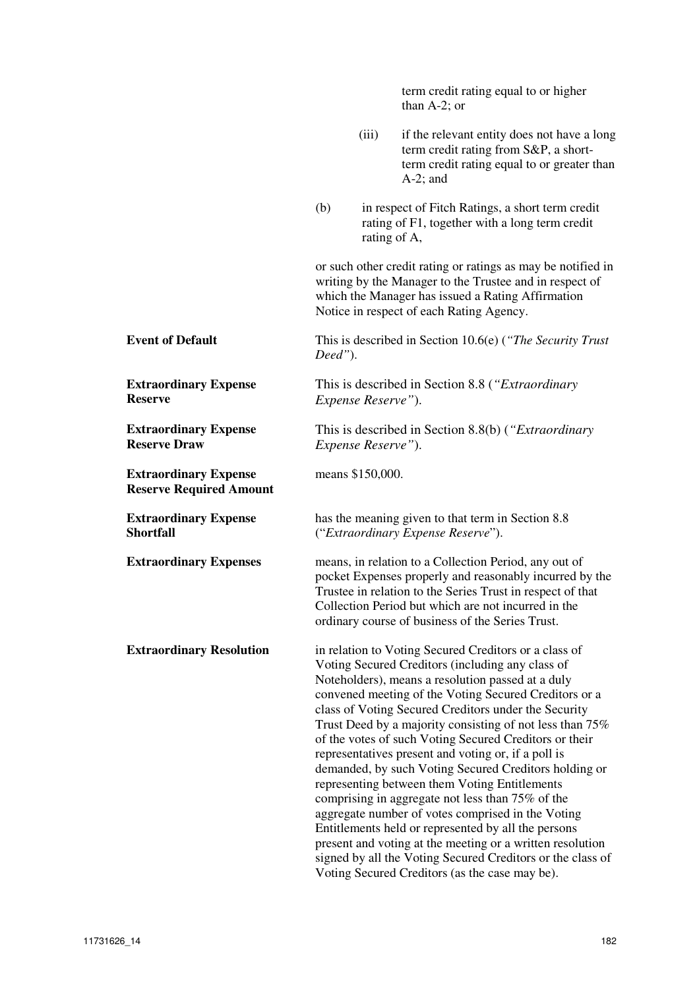|                                                                |         |                            | term credit rating equal to or higher<br>than $A-2$ ; or                                                                                                                                                                                                                                                                                                                                                                                                                                                                                                                                                                                                                                                                                                                                                                                                          |
|----------------------------------------------------------------|---------|----------------------------|-------------------------------------------------------------------------------------------------------------------------------------------------------------------------------------------------------------------------------------------------------------------------------------------------------------------------------------------------------------------------------------------------------------------------------------------------------------------------------------------------------------------------------------------------------------------------------------------------------------------------------------------------------------------------------------------------------------------------------------------------------------------------------------------------------------------------------------------------------------------|
|                                                                |         | (iii)                      | if the relevant entity does not have a long<br>term credit rating from S&P, a short-<br>term credit rating equal to or greater than<br>$A-2$ ; and                                                                                                                                                                                                                                                                                                                                                                                                                                                                                                                                                                                                                                                                                                                |
|                                                                | (b)     | rating of A,               | in respect of Fitch Ratings, a short term credit<br>rating of F1, together with a long term credit                                                                                                                                                                                                                                                                                                                                                                                                                                                                                                                                                                                                                                                                                                                                                                |
|                                                                |         |                            | or such other credit rating or ratings as may be notified in<br>writing by the Manager to the Trustee and in respect of<br>which the Manager has issued a Rating Affirmation<br>Notice in respect of each Rating Agency.                                                                                                                                                                                                                                                                                                                                                                                                                                                                                                                                                                                                                                          |
| <b>Event of Default</b>                                        | Deed"). |                            | This is described in Section 10.6(e) ("The Security Trust"                                                                                                                                                                                                                                                                                                                                                                                                                                                                                                                                                                                                                                                                                                                                                                                                        |
| <b>Extraordinary Expense</b><br><b>Reserve</b>                 |         | Expense Reserve").         | This is described in Section 8.8 (" <i>Extraordinary</i>                                                                                                                                                                                                                                                                                                                                                                                                                                                                                                                                                                                                                                                                                                                                                                                                          |
| <b>Extraordinary Expense</b><br><b>Reserve Draw</b>            |         | <i>Expense Reserve"</i> ). | This is described in Section 8.8(b) (" <i>Extraordinary</i>                                                                                                                                                                                                                                                                                                                                                                                                                                                                                                                                                                                                                                                                                                                                                                                                       |
| <b>Extraordinary Expense</b><br><b>Reserve Required Amount</b> |         | means \$150,000.           |                                                                                                                                                                                                                                                                                                                                                                                                                                                                                                                                                                                                                                                                                                                                                                                                                                                                   |
| <b>Extraordinary Expense</b><br><b>Shortfall</b>               |         |                            | has the meaning given to that term in Section 8.8<br>("Extraordinary Expense Reserve").                                                                                                                                                                                                                                                                                                                                                                                                                                                                                                                                                                                                                                                                                                                                                                           |
| <b>Extraordinary Expenses</b>                                  |         |                            | means, in relation to a Collection Period, any out of<br>pocket Expenses properly and reasonably incurred by the<br>Trustee in relation to the Series Trust in respect of that<br>Collection Period but which are not incurred in the<br>ordinary course of business of the Series Trust.                                                                                                                                                                                                                                                                                                                                                                                                                                                                                                                                                                         |
| <b>Extraordinary Resolution</b>                                |         |                            | in relation to Voting Secured Creditors or a class of<br>Voting Secured Creditors (including any class of<br>Noteholders), means a resolution passed at a duly<br>convened meeting of the Voting Secured Creditors or a<br>class of Voting Secured Creditors under the Security<br>Trust Deed by a majority consisting of not less than 75%<br>of the votes of such Voting Secured Creditors or their<br>representatives present and voting or, if a poll is<br>demanded, by such Voting Secured Creditors holding or<br>representing between them Voting Entitlements<br>comprising in aggregate not less than 75% of the<br>aggregate number of votes comprised in the Voting<br>Entitlements held or represented by all the persons<br>present and voting at the meeting or a written resolution<br>signed by all the Voting Secured Creditors or the class of |

Voting Secured Creditors (as the case may be).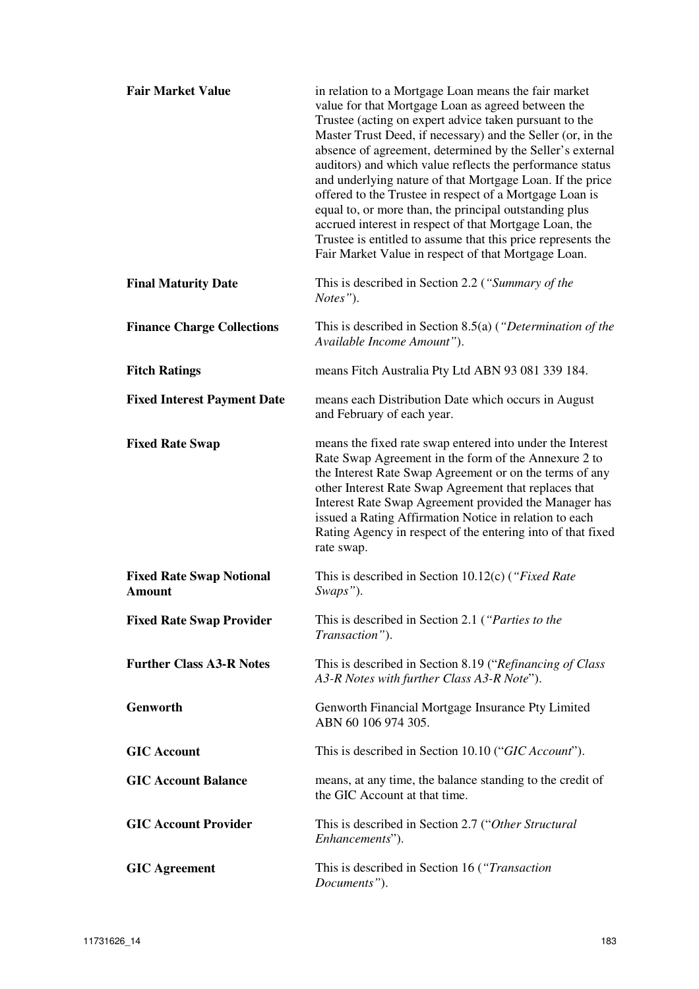| <b>Fair Market Value</b>                         | in relation to a Mortgage Loan means the fair market<br>value for that Mortgage Loan as agreed between the<br>Trustee (acting on expert advice taken pursuant to the<br>Master Trust Deed, if necessary) and the Seller (or, in the<br>absence of agreement, determined by the Seller's external<br>auditors) and which value reflects the performance status<br>and underlying nature of that Mortgage Loan. If the price<br>offered to the Trustee in respect of a Mortgage Loan is<br>equal to, or more than, the principal outstanding plus<br>accrued interest in respect of that Mortgage Loan, the<br>Trustee is entitled to assume that this price represents the<br>Fair Market Value in respect of that Mortgage Loan. |
|--------------------------------------------------|----------------------------------------------------------------------------------------------------------------------------------------------------------------------------------------------------------------------------------------------------------------------------------------------------------------------------------------------------------------------------------------------------------------------------------------------------------------------------------------------------------------------------------------------------------------------------------------------------------------------------------------------------------------------------------------------------------------------------------|
| <b>Final Maturity Date</b>                       | This is described in Section 2.2 ("Summary of the<br>Notes").                                                                                                                                                                                                                                                                                                                                                                                                                                                                                                                                                                                                                                                                    |
| <b>Finance Charge Collections</b>                | This is described in Section 8.5(a) ("Determination of the<br>Available Income Amount").                                                                                                                                                                                                                                                                                                                                                                                                                                                                                                                                                                                                                                         |
| <b>Fitch Ratings</b>                             | means Fitch Australia Pty Ltd ABN 93 081 339 184.                                                                                                                                                                                                                                                                                                                                                                                                                                                                                                                                                                                                                                                                                |
| <b>Fixed Interest Payment Date</b>               | means each Distribution Date which occurs in August<br>and February of each year.                                                                                                                                                                                                                                                                                                                                                                                                                                                                                                                                                                                                                                                |
| <b>Fixed Rate Swap</b>                           | means the fixed rate swap entered into under the Interest<br>Rate Swap Agreement in the form of the Annexure 2 to<br>the Interest Rate Swap Agreement or on the terms of any<br>other Interest Rate Swap Agreement that replaces that<br>Interest Rate Swap Agreement provided the Manager has<br>issued a Rating Affirmation Notice in relation to each<br>Rating Agency in respect of the entering into of that fixed<br>rate swap.                                                                                                                                                                                                                                                                                            |
| <b>Fixed Rate Swap Notional</b><br><b>Amount</b> | This is described in Section 10.12(c) ("Fixed Rate"<br>Swaps").                                                                                                                                                                                                                                                                                                                                                                                                                                                                                                                                                                                                                                                                  |
| <b>Fixed Rate Swap Provider</b>                  | This is described in Section 2.1 ("Parties to the<br>Transaction").                                                                                                                                                                                                                                                                                                                                                                                                                                                                                                                                                                                                                                                              |
| <b>Further Class A3-R Notes</b>                  | This is described in Section 8.19 ("Refinancing of Class"<br>A3-R Notes with further Class A3-R Note").                                                                                                                                                                                                                                                                                                                                                                                                                                                                                                                                                                                                                          |
| Genworth                                         | Genworth Financial Mortgage Insurance Pty Limited<br>ABN 60 106 974 305.                                                                                                                                                                                                                                                                                                                                                                                                                                                                                                                                                                                                                                                         |
| <b>GIC Account</b>                               | This is described in Section 10.10 ("GIC Account").                                                                                                                                                                                                                                                                                                                                                                                                                                                                                                                                                                                                                                                                              |
| <b>GIC Account Balance</b>                       | means, at any time, the balance standing to the credit of<br>the GIC Account at that time.                                                                                                                                                                                                                                                                                                                                                                                                                                                                                                                                                                                                                                       |
| <b>GIC Account Provider</b>                      | This is described in Section 2.7 ("Other Structural"<br>Enhancements").                                                                                                                                                                                                                                                                                                                                                                                                                                                                                                                                                                                                                                                          |
| <b>GIC</b> Agreement                             | This is described in Section 16 ("Transaction"<br>Documents").                                                                                                                                                                                                                                                                                                                                                                                                                                                                                                                                                                                                                                                                   |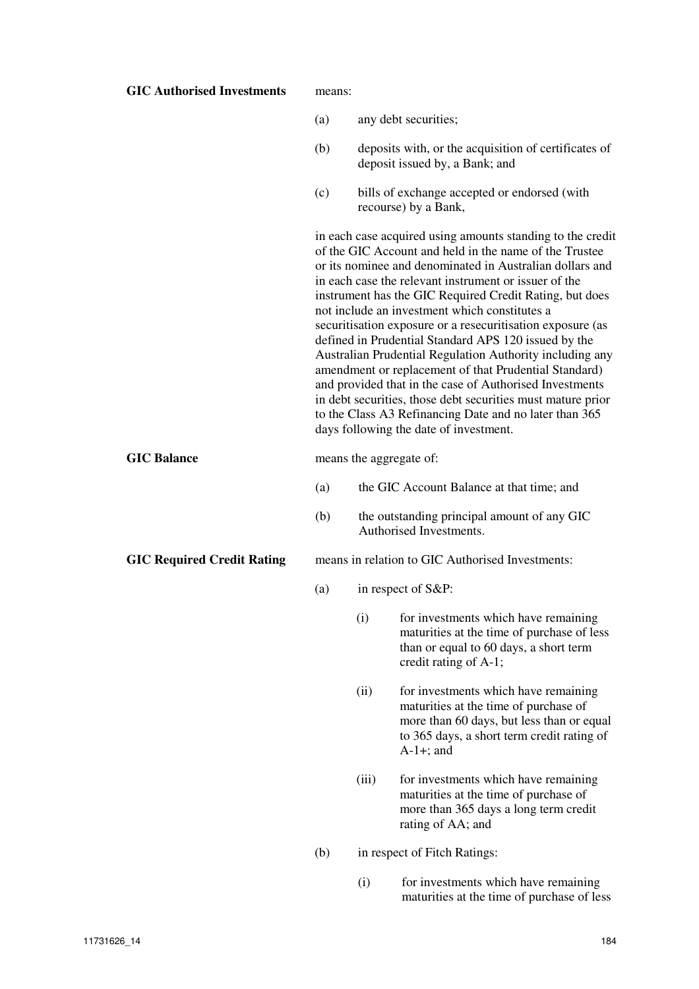| <b>GIC Authorised Investments</b> | means: |       |                                                                                                                                                                                                                                                                                                                                                                                                                                                                                                                                                                                                                                                                                                                                                                                                                                |
|-----------------------------------|--------|-------|--------------------------------------------------------------------------------------------------------------------------------------------------------------------------------------------------------------------------------------------------------------------------------------------------------------------------------------------------------------------------------------------------------------------------------------------------------------------------------------------------------------------------------------------------------------------------------------------------------------------------------------------------------------------------------------------------------------------------------------------------------------------------------------------------------------------------------|
|                                   | (a)    |       | any debt securities;                                                                                                                                                                                                                                                                                                                                                                                                                                                                                                                                                                                                                                                                                                                                                                                                           |
|                                   | (b)    |       | deposits with, or the acquisition of certificates of<br>deposit issued by, a Bank; and                                                                                                                                                                                                                                                                                                                                                                                                                                                                                                                                                                                                                                                                                                                                         |
|                                   | (c)    |       | bills of exchange accepted or endorsed (with<br>recourse) by a Bank,                                                                                                                                                                                                                                                                                                                                                                                                                                                                                                                                                                                                                                                                                                                                                           |
|                                   |        |       | in each case acquired using amounts standing to the credit<br>of the GIC Account and held in the name of the Trustee<br>or its nominee and denominated in Australian dollars and<br>in each case the relevant instrument or issuer of the<br>instrument has the GIC Required Credit Rating, but does<br>not include an investment which constitutes a<br>securitisation exposure or a resecuritisation exposure (as<br>defined in Prudential Standard APS 120 issued by the<br>Australian Prudential Regulation Authority including any<br>amendment or replacement of that Prudential Standard)<br>and provided that in the case of Authorised Investments<br>in debt securities, those debt securities must mature prior<br>to the Class A3 Refinancing Date and no later than 365<br>days following the date of investment. |
| <b>GIC Balance</b>                |        |       | means the aggregate of:                                                                                                                                                                                                                                                                                                                                                                                                                                                                                                                                                                                                                                                                                                                                                                                                        |
|                                   | (a)    |       | the GIC Account Balance at that time; and                                                                                                                                                                                                                                                                                                                                                                                                                                                                                                                                                                                                                                                                                                                                                                                      |
|                                   | (b)    |       | the outstanding principal amount of any GIC<br>Authorised Investments.                                                                                                                                                                                                                                                                                                                                                                                                                                                                                                                                                                                                                                                                                                                                                         |
| <b>GIC Required Credit Rating</b> |        |       | means in relation to GIC Authorised Investments:                                                                                                                                                                                                                                                                                                                                                                                                                                                                                                                                                                                                                                                                                                                                                                               |
|                                   | (a)    |       | in respect of S&P:                                                                                                                                                                                                                                                                                                                                                                                                                                                                                                                                                                                                                                                                                                                                                                                                             |
|                                   |        | (i)   | for investments which have remaining<br>maturities at the time of purchase of less<br>than or equal to 60 days, a short term<br>credit rating of A-1;                                                                                                                                                                                                                                                                                                                                                                                                                                                                                                                                                                                                                                                                          |
|                                   |        | (ii)  | for investments which have remaining<br>maturities at the time of purchase of<br>more than 60 days, but less than or equal<br>to 365 days, a short term credit rating of<br>$A-1+$ ; and                                                                                                                                                                                                                                                                                                                                                                                                                                                                                                                                                                                                                                       |
|                                   |        | (iii) | for investments which have remaining<br>maturities at the time of purchase of<br>more than 365 days a long term credit<br>rating of AA; and                                                                                                                                                                                                                                                                                                                                                                                                                                                                                                                                                                                                                                                                                    |
|                                   | (b)    |       | in respect of Fitch Ratings:                                                                                                                                                                                                                                                                                                                                                                                                                                                                                                                                                                                                                                                                                                                                                                                                   |
|                                   |        | (i)   | for investments which have remaining<br>maturities at the time of purchase of less                                                                                                                                                                                                                                                                                                                                                                                                                                                                                                                                                                                                                                                                                                                                             |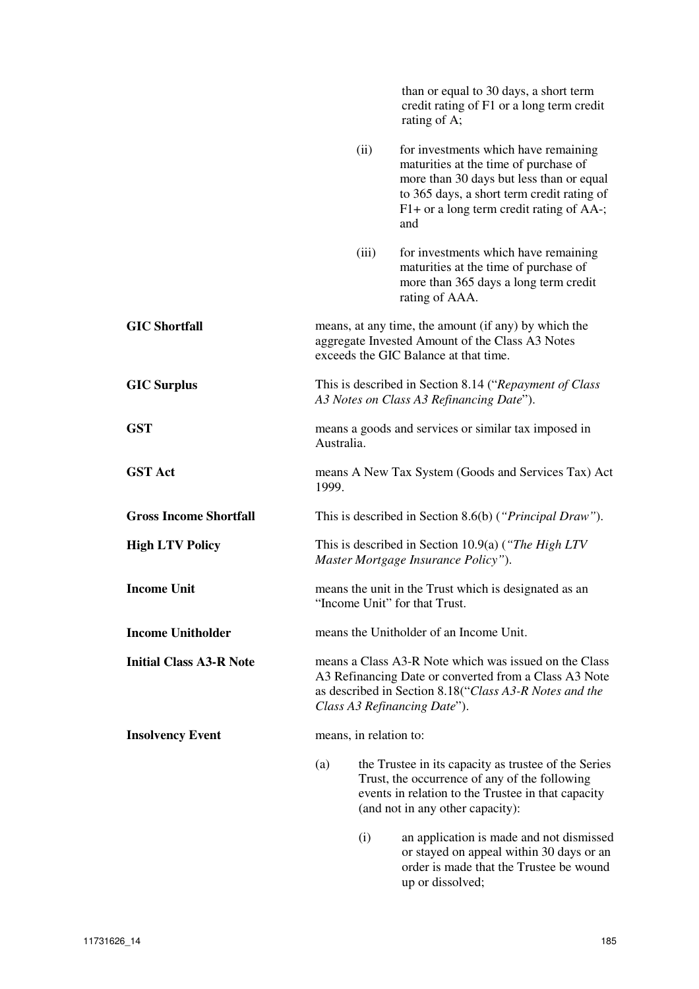|                                |                        |       | than or equal to 30 days, a short term<br>credit rating of F1 or a long term credit<br>rating of A;                                                                                                                        |
|--------------------------------|------------------------|-------|----------------------------------------------------------------------------------------------------------------------------------------------------------------------------------------------------------------------------|
|                                |                        | (ii)  | for investments which have remaining<br>maturities at the time of purchase of<br>more than 30 days but less than or equal<br>to 365 days, a short term credit rating of<br>F1+ or a long term credit rating of AA-;<br>and |
|                                |                        | (iii) | for investments which have remaining<br>maturities at the time of purchase of<br>more than 365 days a long term credit<br>rating of AAA.                                                                                   |
| <b>GIC Shortfall</b>           |                        |       | means, at any time, the amount (if any) by which the<br>aggregate Invested Amount of the Class A3 Notes<br>exceeds the GIC Balance at that time.                                                                           |
| <b>GIC Surplus</b>             |                        |       | This is described in Section 8.14 ("Repayment of Class"<br>A3 Notes on Class A3 Refinancing Date").                                                                                                                        |
| <b>GST</b>                     | Australia.             |       | means a goods and services or similar tax imposed in                                                                                                                                                                       |
| <b>GST Act</b>                 | 1999.                  |       | means A New Tax System (Goods and Services Tax) Act                                                                                                                                                                        |
| <b>Gross Income Shortfall</b>  |                        |       | This is described in Section 8.6(b) (" <i>Principal Draw</i> ").                                                                                                                                                           |
| <b>High LTV Policy</b>         |                        |       | This is described in Section 10.9(a) ("The High LTV<br>Master Mortgage Insurance Policy").                                                                                                                                 |
| <b>Income Unit</b>             |                        |       | means the unit in the Trust which is designated as an<br>"Income Unit" for that Trust.                                                                                                                                     |
| <b>Income Unitholder</b>       |                        |       | means the Unitholder of an Income Unit.                                                                                                                                                                                    |
| <b>Initial Class A3-R Note</b> |                        |       | means a Class A3-R Note which was issued on the Class<br>A3 Refinancing Date or converted from a Class A3 Note<br>as described in Section 8.18("Class A3-R Notes and the<br>Class A3 Refinancing Date").                   |
| <b>Insolvency Event</b>        | means, in relation to: |       |                                                                                                                                                                                                                            |
|                                | (a)                    |       | the Trustee in its capacity as trustee of the Series<br>Trust, the occurrence of any of the following<br>events in relation to the Trustee in that capacity<br>(and not in any other capacity):                            |
|                                |                        | (i)   | an application is made and not dismissed<br>or stayed on appeal within 30 days or an<br>order is made that the Trustee be wound<br>up or dissolved;                                                                        |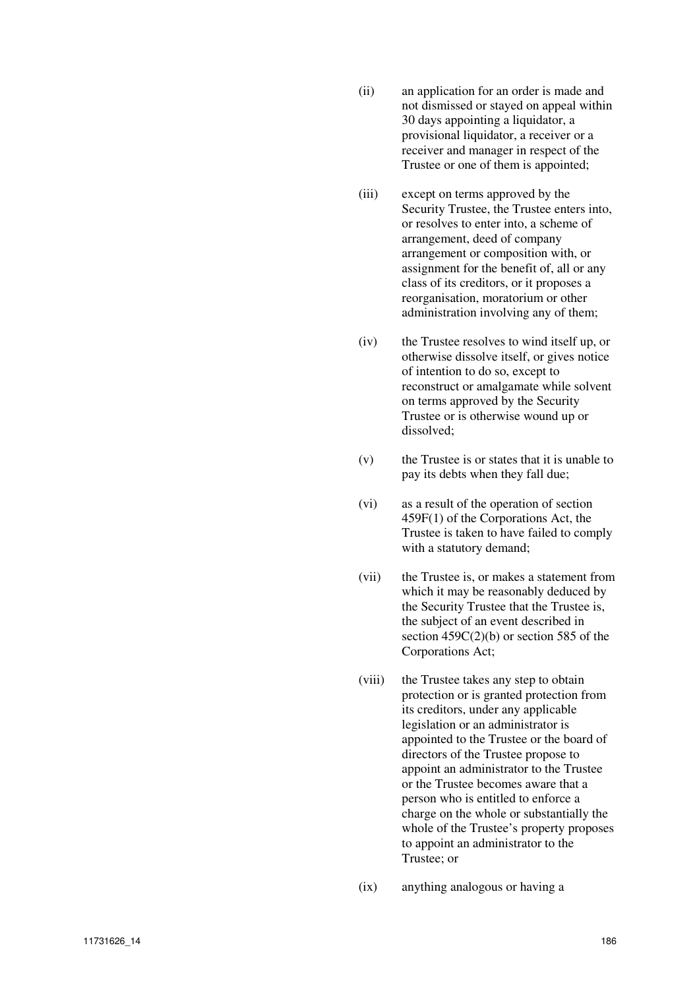- (ii) an application for an order is made and not dismissed or stayed on appeal within 30 days appointing a liquidator, a provisional liquidator, a receiver or a receiver and manager in respect of the Trustee or one of them is appointed;
- (iii) except on terms approved by the Security Trustee, the Trustee enters into, or resolves to enter into, a scheme of arrangement, deed of company arrangement or composition with, or assignment for the benefit of, all or any class of its creditors, or it proposes a reorganisation, moratorium or other administration involving any of them;
- (iv) the Trustee resolves to wind itself up, or otherwise dissolve itself, or gives notice of intention to do so, except to reconstruct or amalgamate while solvent on terms approved by the Security Trustee or is otherwise wound up or dissolved;
- (v) the Trustee is or states that it is unable to pay its debts when they fall due;
- (vi) as a result of the operation of section 459F(1) of the Corporations Act, the Trustee is taken to have failed to comply with a statutory demand;
- (vii) the Trustee is, or makes a statement from which it may be reasonably deduced by the Security Trustee that the Trustee is, the subject of an event described in section 459C(2)(b) or section 585 of the Corporations Act;
- (viii) the Trustee takes any step to obtain protection or is granted protection from its creditors, under any applicable legislation or an administrator is appointed to the Trustee or the board of directors of the Trustee propose to appoint an administrator to the Trustee or the Trustee becomes aware that a person who is entitled to enforce a charge on the whole or substantially the whole of the Trustee's property proposes to appoint an administrator to the Trustee; or
- (ix) anything analogous or having a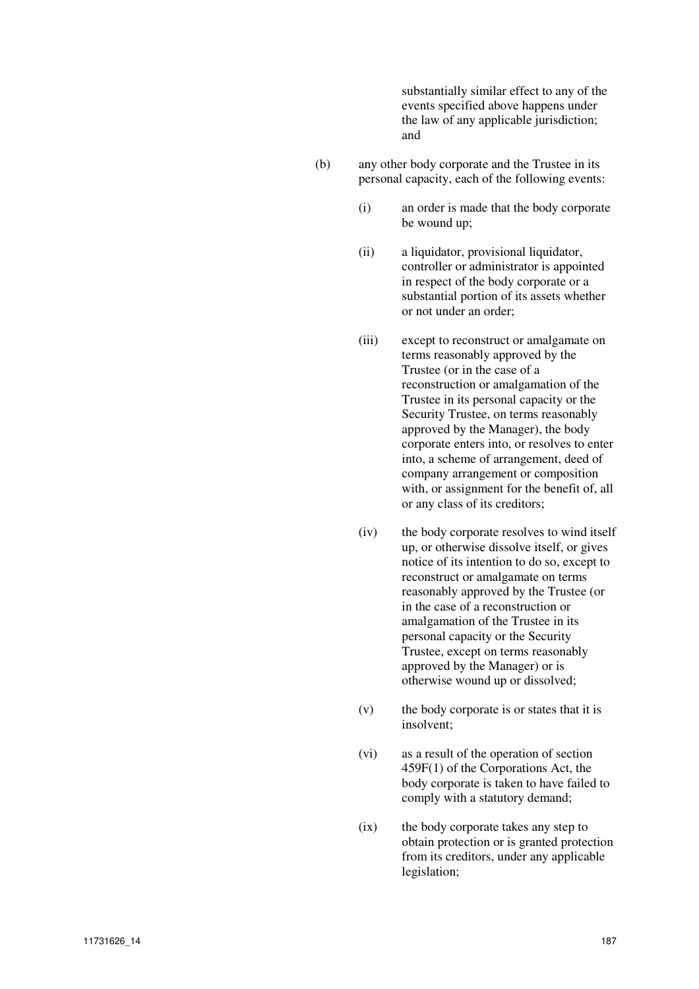substantially similar effect to any of the events specified above happens under the law of any applicable jurisdiction; and

- (b) any other body corporate and the Trustee in its personal capacity, each of the following events:
	- (i) an order is made that the body corporate be wound up;
	- (ii) a liquidator, provisional liquidator, controller or administrator is appointed in respect of the body corporate or a substantial portion of its assets whether or not under an order;
	- (iii) except to reconstruct or amalgamate on terms reasonably approved by the Trustee (or in the case of a reconstruction or amalgamation of the Trustee in its personal capacity or the Security Trustee, on terms reasonably approved by the Manager), the body corporate enters into, or resolves to enter into, a scheme of arrangement, deed of company arrangement or composition with, or assignment for the benefit of, all or any class of its creditors;
	- (iv) the body corporate resolves to wind itself up, or otherwise dissolve itself, or gives notice of its intention to do so, except to reconstruct or amalgamate on terms reasonably approved by the Trustee (or in the case of a reconstruction or amalgamation of the Trustee in its personal capacity or the Security Trustee, except on terms reasonably approved by the Manager) or is otherwise wound up or dissolved;
	- (v) the body corporate is or states that it is insolvent;
	- (vi) as a result of the operation of section 459F(1) of the Corporations Act, the body corporate is taken to have failed to comply with a statutory demand;
	- (ix) the body corporate takes any step to obtain protection or is granted protection from its creditors, under any applicable legislation;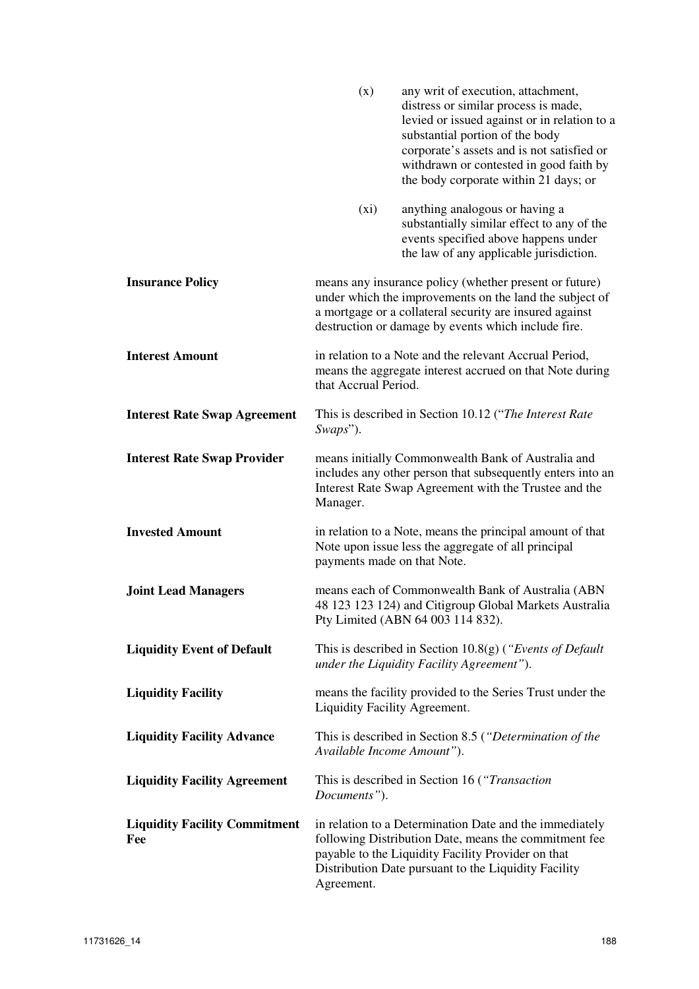|                                             | (x)                           | any writ of execution, attachment,<br>distress or similar process is made,<br>levied or issued against or in relation to a<br>substantial portion of the body<br>corporate's assets and is not satisfied or<br>withdrawn or contested in good faith by<br>the body corporate within 21 days; or |
|---------------------------------------------|-------------------------------|-------------------------------------------------------------------------------------------------------------------------------------------------------------------------------------------------------------------------------------------------------------------------------------------------|
|                                             | $(x_i)$                       | anything analogous or having a<br>substantially similar effect to any of the<br>events specified above happens under<br>the law of any applicable jurisdiction.                                                                                                                                 |
| <b>Insurance Policy</b>                     |                               | means any insurance policy (whether present or future)<br>under which the improvements on the land the subject of<br>a mortgage or a collateral security are insured against<br>destruction or damage by events which include fire.                                                             |
| <b>Interest Amount</b>                      | that Accrual Period.          | in relation to a Note and the relevant Accrual Period,<br>means the aggregate interest accrued on that Note during                                                                                                                                                                              |
| <b>Interest Rate Swap Agreement</b>         | Swaps").                      | This is described in Section 10.12 ("The Interest Rate                                                                                                                                                                                                                                          |
| <b>Interest Rate Swap Provider</b>          | Manager.                      | means initially Commonwealth Bank of Australia and<br>includes any other person that subsequently enters into an<br>Interest Rate Swap Agreement with the Trustee and the                                                                                                                       |
| <b>Invested Amount</b>                      | payments made on that Note.   | in relation to a Note, means the principal amount of that<br>Note upon issue less the aggregate of all principal                                                                                                                                                                                |
| <b>Joint Lead Managers</b>                  |                               | means each of Commonwealth Bank of Australia (ABN<br>48 123 123 124) and Citigroup Global Markets Australia<br>Pty Limited (ABN 64 003 114 832).                                                                                                                                                |
| <b>Liquidity Event of Default</b>           |                               | This is described in Section $10.8(g)$ ("Events of Default"<br>under the Liquidity Facility Agreement").                                                                                                                                                                                        |
| <b>Liquidity Facility</b>                   | Liquidity Facility Agreement. | means the facility provided to the Series Trust under the                                                                                                                                                                                                                                       |
| <b>Liquidity Facility Advance</b>           | Available Income Amount").    | This is described in Section 8.5 ("Determination of the                                                                                                                                                                                                                                         |
| <b>Liquidity Facility Agreement</b>         | Documents").                  | This is described in Section 16 ("Transaction"                                                                                                                                                                                                                                                  |
| <b>Liquidity Facility Commitment</b><br>Fee | Agreement.                    | in relation to a Determination Date and the immediately<br>following Distribution Date, means the commitment fee<br>payable to the Liquidity Facility Provider on that<br>Distribution Date pursuant to the Liquidity Facility                                                                  |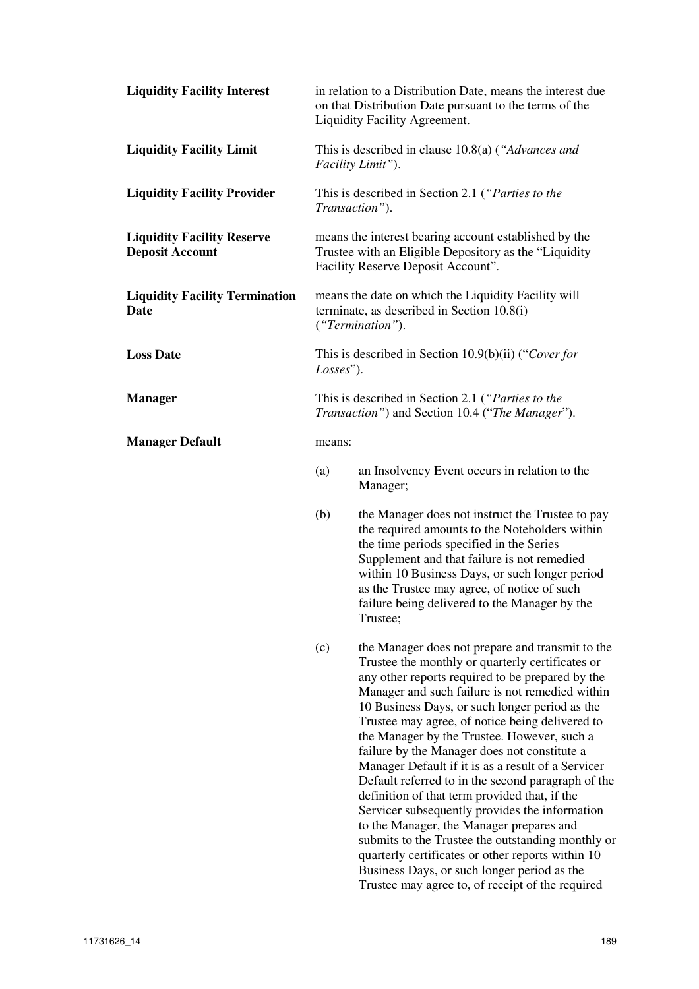| <b>Liquidity Facility Interest</b>                          |                                                                                                                                                       | in relation to a Distribution Date, means the interest due<br>on that Distribution Date pursuant to the terms of the<br>Liquidity Facility Agreement.                                                                                                                                                                                                                                                                                                                                                                                                                                                                                                                                                                                                                                                                                                                                   |  |  |
|-------------------------------------------------------------|-------------------------------------------------------------------------------------------------------------------------------------------------------|-----------------------------------------------------------------------------------------------------------------------------------------------------------------------------------------------------------------------------------------------------------------------------------------------------------------------------------------------------------------------------------------------------------------------------------------------------------------------------------------------------------------------------------------------------------------------------------------------------------------------------------------------------------------------------------------------------------------------------------------------------------------------------------------------------------------------------------------------------------------------------------------|--|--|
| <b>Liquidity Facility Limit</b>                             | This is described in clause $10.8(a)$ ("Advances and<br>Facility Limit").                                                                             |                                                                                                                                                                                                                                                                                                                                                                                                                                                                                                                                                                                                                                                                                                                                                                                                                                                                                         |  |  |
| <b>Liquidity Facility Provider</b>                          | This is described in Section 2.1 ("Parties to the<br>Transaction").                                                                                   |                                                                                                                                                                                                                                                                                                                                                                                                                                                                                                                                                                                                                                                                                                                                                                                                                                                                                         |  |  |
| <b>Liquidity Facility Reserve</b><br><b>Deposit Account</b> | means the interest bearing account established by the<br>Trustee with an Eligible Depository as the "Liquidity"<br>Facility Reserve Deposit Account". |                                                                                                                                                                                                                                                                                                                                                                                                                                                                                                                                                                                                                                                                                                                                                                                                                                                                                         |  |  |
| <b>Liquidity Facility Termination</b><br><b>Date</b>        | means the date on which the Liquidity Facility will<br>terminate, as described in Section 10.8(i)<br>("Termination").                                 |                                                                                                                                                                                                                                                                                                                                                                                                                                                                                                                                                                                                                                                                                                                                                                                                                                                                                         |  |  |
| <b>Loss Date</b>                                            | This is described in Section $10.9(b)(ii)$ ("Cover for<br>Losses").                                                                                   |                                                                                                                                                                                                                                                                                                                                                                                                                                                                                                                                                                                                                                                                                                                                                                                                                                                                                         |  |  |
| <b>Manager</b>                                              |                                                                                                                                                       | This is described in Section 2.1 ("Parties to the<br>Transaction") and Section 10.4 ("The Manager").                                                                                                                                                                                                                                                                                                                                                                                                                                                                                                                                                                                                                                                                                                                                                                                    |  |  |
| <b>Manager Default</b>                                      |                                                                                                                                                       | means:                                                                                                                                                                                                                                                                                                                                                                                                                                                                                                                                                                                                                                                                                                                                                                                                                                                                                  |  |  |
|                                                             | (a)                                                                                                                                                   | an Insolvency Event occurs in relation to the<br>Manager;                                                                                                                                                                                                                                                                                                                                                                                                                                                                                                                                                                                                                                                                                                                                                                                                                               |  |  |
|                                                             | (b)                                                                                                                                                   | the Manager does not instruct the Trustee to pay<br>the required amounts to the Noteholders within<br>the time periods specified in the Series<br>Supplement and that failure is not remedied<br>within 10 Business Days, or such longer period<br>as the Trustee may agree, of notice of such<br>failure being delivered to the Manager by the<br>Trustee;                                                                                                                                                                                                                                                                                                                                                                                                                                                                                                                             |  |  |
|                                                             | (c)                                                                                                                                                   | the Manager does not prepare and transmit to the<br>Trustee the monthly or quarterly certificates or<br>any other reports required to be prepared by the<br>Manager and such failure is not remedied within<br>10 Business Days, or such longer period as the<br>Trustee may agree, of notice being delivered to<br>the Manager by the Trustee. However, such a<br>failure by the Manager does not constitute a<br>Manager Default if it is as a result of a Servicer<br>Default referred to in the second paragraph of the<br>definition of that term provided that, if the<br>Servicer subsequently provides the information<br>to the Manager, the Manager prepares and<br>submits to the Trustee the outstanding monthly or<br>quarterly certificates or other reports within 10<br>Business Days, or such longer period as the<br>Trustee may agree to, of receipt of the required |  |  |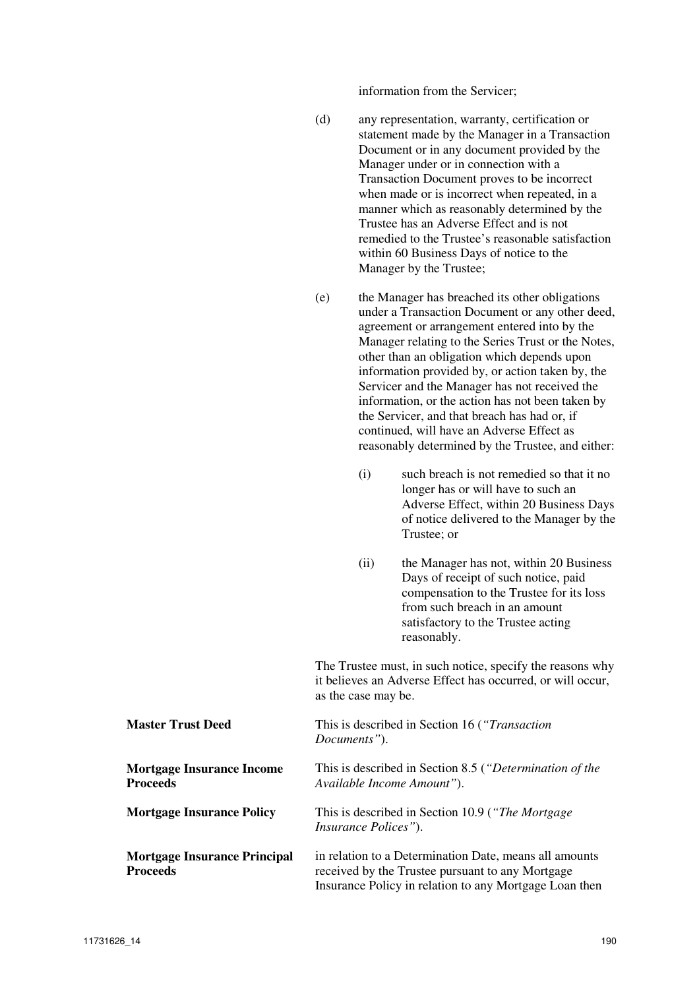information from the Servicer;

- (d) any representation, warranty, certification or statement made by the Manager in a Transaction Document or in any document provided by the Manager under or in connection with a Transaction Document proves to be incorrect when made or is incorrect when repeated, in a manner which as reasonably determined by the Trustee has an Adverse Effect and is not remedied to the Trustee's reasonable satisfaction within 60 Business Days of notice to the Manager by the Trustee;
- (e) the Manager has breached its other obligations under a Transaction Document or any other deed, agreement or arrangement entered into by the Manager relating to the Series Trust or the Notes, other than an obligation which depends upon information provided by, or action taken by, the Servicer and the Manager has not received the information, or the action has not been taken by the Servicer, and that breach has had or, if continued, will have an Adverse Effect as reasonably determined by the Trustee, and either:
	- (i) such breach is not remedied so that it no longer has or will have to such an Adverse Effect, within 20 Business Days of notice delivered to the Manager by the Trustee; or
	- (ii) the Manager has not, within 20 Business Days of receipt of such notice, paid compensation to the Trustee for its loss from such breach in an amount satisfactory to the Trustee acting reasonably.

The Trustee must, in such notice, specify the reasons why it believes an Adverse Effect has occurred, or will occur, as the case may be.

| <b>Master Trust Deed</b>                            | This is described in Section 16 ("Transaction"<br>Documents").                                                                                                       |
|-----------------------------------------------------|----------------------------------------------------------------------------------------------------------------------------------------------------------------------|
| <b>Mortgage Insurance Income</b><br><b>Proceeds</b> | This is described in Section 8.5 ("Determination of the<br>Available Income Amount").                                                                                |
| <b>Mortgage Insurance Policy</b>                    | This is described in Section 10.9 ("The Mortgage"<br><i>Insurance Polices</i> ").                                                                                    |
| <b>Mortgage Insurance Principal</b><br>Proceeds     | in relation to a Determination Date, means all amounts<br>received by the Trustee pursuant to any Mortgage<br>Insurance Policy in relation to any Mortgage Loan then |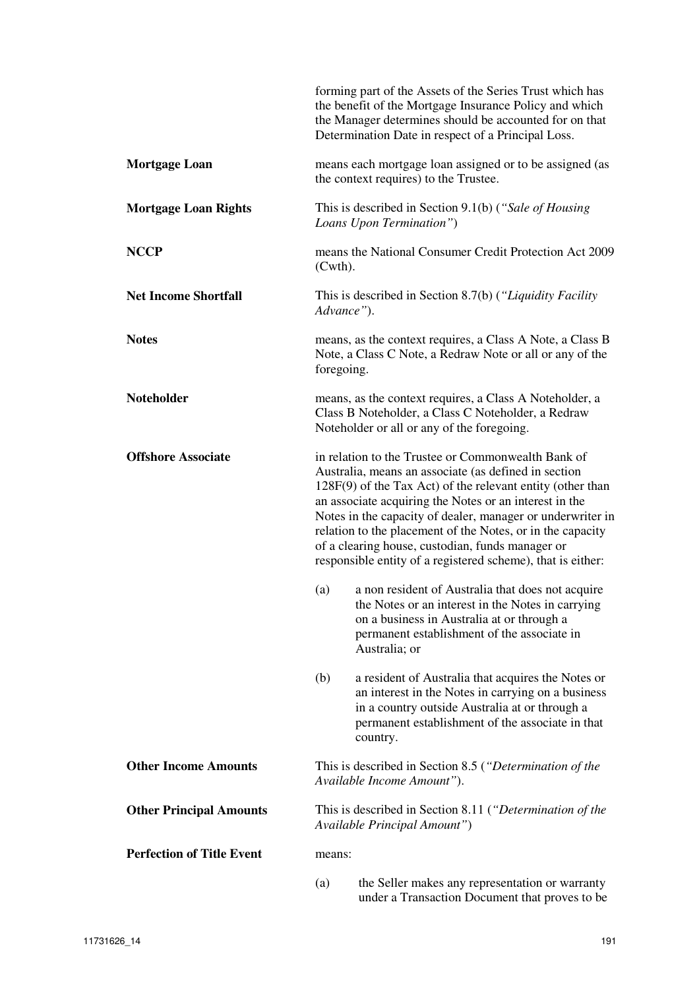|                                  |                                                                                                                                                                                                                                                                                                                                                                                                                                                                                     | forming part of the Assets of the Series Trust which has<br>the benefit of the Mortgage Insurance Policy and which<br>the Manager determines should be accounted for on that<br>Determination Date in respect of a Principal Loss. |  |
|----------------------------------|-------------------------------------------------------------------------------------------------------------------------------------------------------------------------------------------------------------------------------------------------------------------------------------------------------------------------------------------------------------------------------------------------------------------------------------------------------------------------------------|------------------------------------------------------------------------------------------------------------------------------------------------------------------------------------------------------------------------------------|--|
| <b>Mortgage Loan</b>             |                                                                                                                                                                                                                                                                                                                                                                                                                                                                                     | means each mortgage loan assigned or to be assigned (as<br>the context requires) to the Trustee.                                                                                                                                   |  |
| <b>Mortgage Loan Rights</b>      |                                                                                                                                                                                                                                                                                                                                                                                                                                                                                     | This is described in Section 9.1(b) ("Sale of Housing<br>Loans Upon Termination")                                                                                                                                                  |  |
| <b>NCCP</b>                      | means the National Consumer Credit Protection Act 2009<br>$(Cuth)$ .                                                                                                                                                                                                                                                                                                                                                                                                                |                                                                                                                                                                                                                                    |  |
| <b>Net Income Shortfall</b>      | This is described in Section 8.7(b) ("Liquidity Facility"<br>Advance").                                                                                                                                                                                                                                                                                                                                                                                                             |                                                                                                                                                                                                                                    |  |
| <b>Notes</b>                     | foregoing.                                                                                                                                                                                                                                                                                                                                                                                                                                                                          | means, as the context requires, a Class A Note, a Class B<br>Note, a Class C Note, a Redraw Note or all or any of the                                                                                                              |  |
| Noteholder                       |                                                                                                                                                                                                                                                                                                                                                                                                                                                                                     | means, as the context requires, a Class A Noteholder, a<br>Class B Noteholder, a Class C Noteholder, a Redraw<br>Noteholder or all or any of the foregoing.                                                                        |  |
| <b>Offshore Associate</b>        | in relation to the Trustee or Commonwealth Bank of<br>Australia, means an associate (as defined in section<br>$128F(9)$ of the Tax Act) of the relevant entity (other than<br>an associate acquiring the Notes or an interest in the<br>Notes in the capacity of dealer, manager or underwriter in<br>relation to the placement of the Notes, or in the capacity<br>of a clearing house, custodian, funds manager or<br>responsible entity of a registered scheme), that is either: |                                                                                                                                                                                                                                    |  |
|                                  | (a)                                                                                                                                                                                                                                                                                                                                                                                                                                                                                 | a non resident of Australia that does not acquire<br>the Notes or an interest in the Notes in carrying<br>on a business in Australia at or through a<br>permanent establishment of the associate in<br>Australia; or               |  |
|                                  | (b)                                                                                                                                                                                                                                                                                                                                                                                                                                                                                 | a resident of Australia that acquires the Notes or<br>an interest in the Notes in carrying on a business<br>in a country outside Australia at or through a<br>permanent establishment of the associate in that<br>country.         |  |
| <b>Other Income Amounts</b>      |                                                                                                                                                                                                                                                                                                                                                                                                                                                                                     | This is described in Section 8.5 ("Determination of the<br>Available Income Amount").                                                                                                                                              |  |
| <b>Other Principal Amounts</b>   |                                                                                                                                                                                                                                                                                                                                                                                                                                                                                     | This is described in Section 8.11 ("Determination of the<br>Available Principal Amount")                                                                                                                                           |  |
| <b>Perfection of Title Event</b> | means:                                                                                                                                                                                                                                                                                                                                                                                                                                                                              |                                                                                                                                                                                                                                    |  |
|                                  | (a)                                                                                                                                                                                                                                                                                                                                                                                                                                                                                 | the Seller makes any representation or warranty<br>under a Transaction Document that proves to be                                                                                                                                  |  |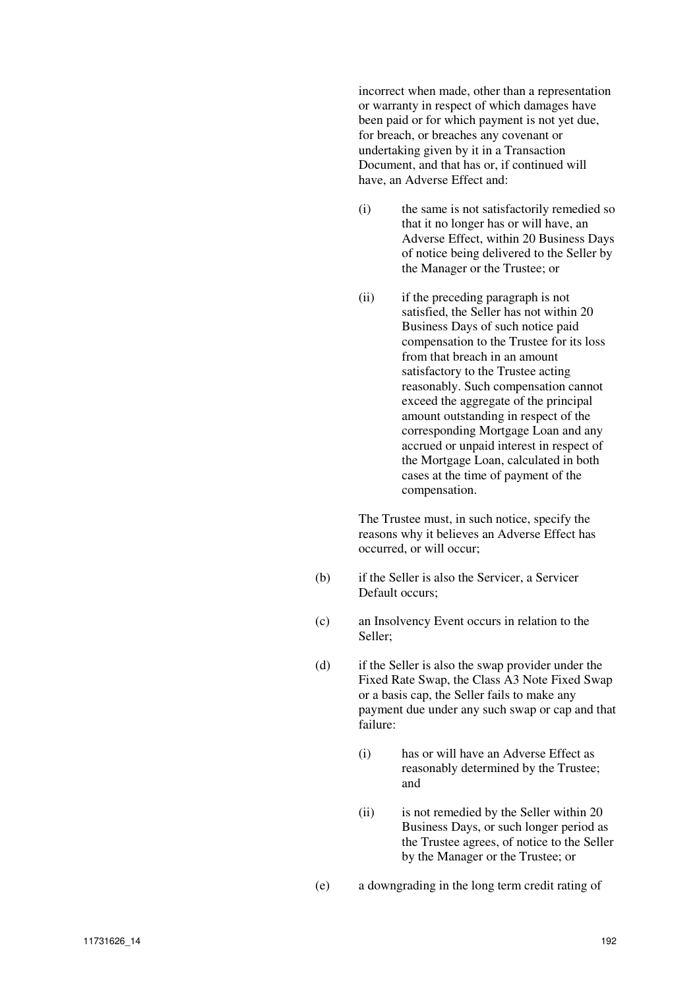incorrect when made, other than a representation or warranty in respect of which damages have been paid or for which payment is not yet due, for breach, or breaches any covenant or undertaking given by it in a Transaction Document, and that has or, if continued will have, an Adverse Effect and:

- (i) the same is not satisfactorily remedied so that it no longer has or will have, an Adverse Effect, within 20 Business Days of notice being delivered to the Seller by the Manager or the Trustee; or
- (ii) if the preceding paragraph is not satisfied, the Seller has not within 20 Business Days of such notice paid compensation to the Trustee for its loss from that breach in an amount satisfactory to the Trustee acting reasonably. Such compensation cannot exceed the aggregate of the principal amount outstanding in respect of the corresponding Mortgage Loan and any accrued or unpaid interest in respect of the Mortgage Loan, calculated in both cases at the time of payment of the compensation.

The Trustee must, in such notice, specify the reasons why it believes an Adverse Effect has occurred, or will occur;

- (b) if the Seller is also the Servicer, a Servicer Default occurs;
- (c) an Insolvency Event occurs in relation to the Seller;
- (d) if the Seller is also the swap provider under the Fixed Rate Swap, the Class A3 Note Fixed Swap or a basis cap, the Seller fails to make any payment due under any such swap or cap and that failure:
	- (i) has or will have an Adverse Effect as reasonably determined by the Trustee; and
	- (ii) is not remedied by the Seller within 20 Business Days, or such longer period as the Trustee agrees, of notice to the Seller by the Manager or the Trustee; or
- (e) a downgrading in the long term credit rating of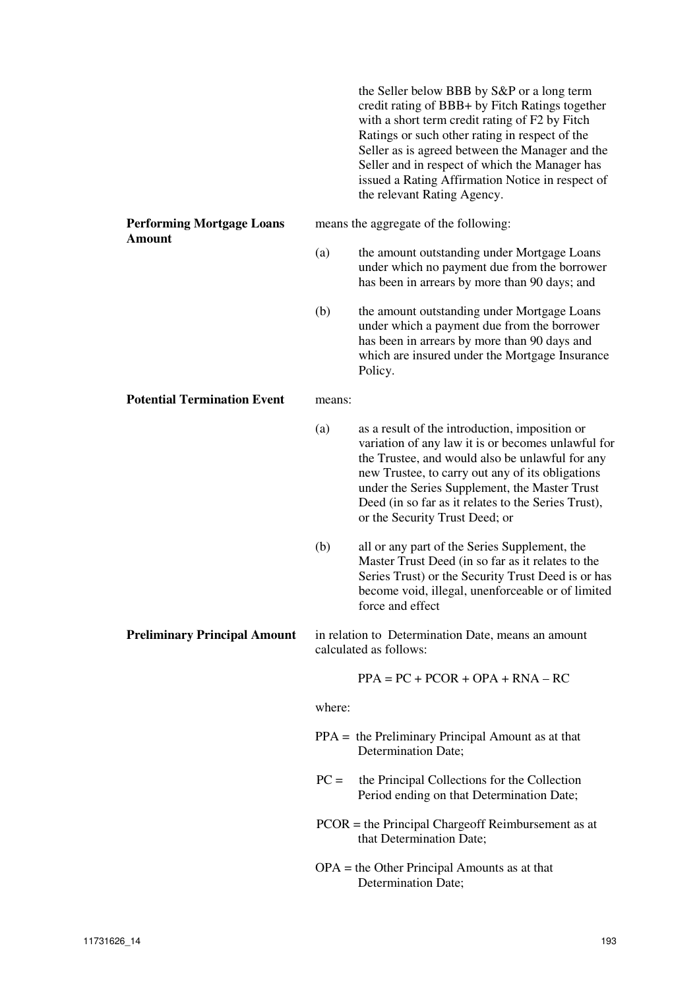|                                                   |        | the Seller below BBB by S&P or a long term<br>credit rating of BBB+ by Fitch Ratings together<br>with a short term credit rating of F2 by Fitch<br>Ratings or such other rating in respect of the<br>Seller as is agreed between the Manager and the<br>Seller and in respect of which the Manager has<br>issued a Rating Affirmation Notice in respect of<br>the relevant Rating Agency. |
|---------------------------------------------------|--------|-------------------------------------------------------------------------------------------------------------------------------------------------------------------------------------------------------------------------------------------------------------------------------------------------------------------------------------------------------------------------------------------|
| <b>Performing Mortgage Loans</b><br><b>Amount</b> |        | means the aggregate of the following:                                                                                                                                                                                                                                                                                                                                                     |
|                                                   | (a)    | the amount outstanding under Mortgage Loans<br>under which no payment due from the borrower<br>has been in arrears by more than 90 days; and                                                                                                                                                                                                                                              |
|                                                   | (b)    | the amount outstanding under Mortgage Loans<br>under which a payment due from the borrower<br>has been in arrears by more than 90 days and<br>which are insured under the Mortgage Insurance<br>Policy.                                                                                                                                                                                   |
| <b>Potential Termination Event</b>                | means: |                                                                                                                                                                                                                                                                                                                                                                                           |
|                                                   | (a)    | as a result of the introduction, imposition or<br>variation of any law it is or becomes unlawful for<br>the Trustee, and would also be unlawful for any<br>new Trustee, to carry out any of its obligations<br>under the Series Supplement, the Master Trust<br>Deed (in so far as it relates to the Series Trust),<br>or the Security Trust Deed; or                                     |
|                                                   | (b)    | all or any part of the Series Supplement, the<br>Master Trust Deed (in so far as it relates to the<br>Series Trust) or the Security Trust Deed is or has<br>become void, illegal, unenforceable or of limited<br>force and effect                                                                                                                                                         |
| <b>Preliminary Principal Amount</b>               |        | in relation to Determination Date, means an amount<br>calculated as follows:                                                                                                                                                                                                                                                                                                              |
|                                                   |        | $PPA = PC + PCOR + OPA + RNA - RC$                                                                                                                                                                                                                                                                                                                                                        |
|                                                   | where: |                                                                                                                                                                                                                                                                                                                                                                                           |
|                                                   |        | $PPA =$ the Preliminary Principal Amount as at that<br>Determination Date;                                                                                                                                                                                                                                                                                                                |
|                                                   | $PC =$ | the Principal Collections for the Collection<br>Period ending on that Determination Date;                                                                                                                                                                                                                                                                                                 |
|                                                   |        | $PCOR$ = the Principal Chargeoff Reimbursement as at<br>that Determination Date;                                                                                                                                                                                                                                                                                                          |
|                                                   |        | $OPA =$ the Other Principal Amounts as at that<br>Determination Date;                                                                                                                                                                                                                                                                                                                     |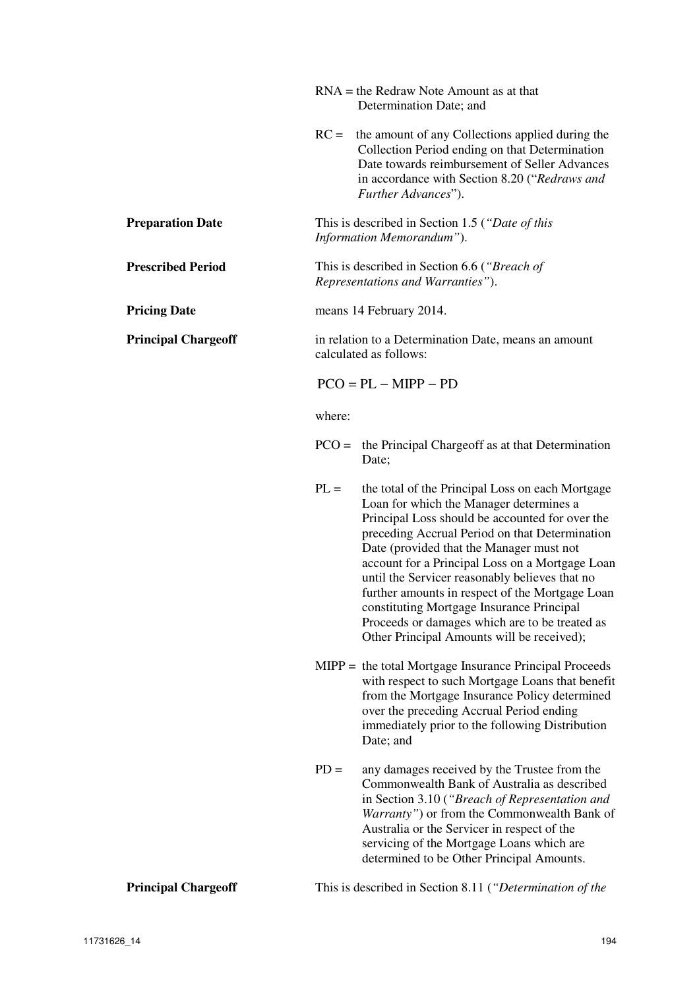|                            |                                                                                   | $RNA =$ the Redraw Note Amount as at that<br>Determination Date; and                                                                                                                                                                                                                                                                                                                                                                                                                                                                              |  |
|----------------------------|-----------------------------------------------------------------------------------|---------------------------------------------------------------------------------------------------------------------------------------------------------------------------------------------------------------------------------------------------------------------------------------------------------------------------------------------------------------------------------------------------------------------------------------------------------------------------------------------------------------------------------------------------|--|
|                            |                                                                                   | $RC =$ the amount of any Collections applied during the<br>Collection Period ending on that Determination<br>Date towards reimbursement of Seller Advances<br>in accordance with Section 8.20 ("Redraws and<br>Further Advances").                                                                                                                                                                                                                                                                                                                |  |
| <b>Preparation Date</b>    |                                                                                   | This is described in Section 1.5 ("Date of this<br>Information Memorandum").                                                                                                                                                                                                                                                                                                                                                                                                                                                                      |  |
| <b>Prescribed Period</b>   | This is described in Section 6.6 ("Breach of<br>Representations and Warranties"). |                                                                                                                                                                                                                                                                                                                                                                                                                                                                                                                                                   |  |
| <b>Pricing Date</b>        | means 14 February 2014.                                                           |                                                                                                                                                                                                                                                                                                                                                                                                                                                                                                                                                   |  |
| <b>Principal Chargeoff</b> | in relation to a Determination Date, means an amount<br>calculated as follows:    |                                                                                                                                                                                                                                                                                                                                                                                                                                                                                                                                                   |  |
|                            |                                                                                   | $PCO = PL - MIPP - PD$                                                                                                                                                                                                                                                                                                                                                                                                                                                                                                                            |  |
|                            | where:                                                                            |                                                                                                                                                                                                                                                                                                                                                                                                                                                                                                                                                   |  |
|                            |                                                                                   | $PCO =$ the Principal Chargeoff as at that Determination<br>Date;                                                                                                                                                                                                                                                                                                                                                                                                                                                                                 |  |
|                            | $PL =$                                                                            | the total of the Principal Loss on each Mortgage<br>Loan for which the Manager determines a<br>Principal Loss should be accounted for over the<br>preceding Accrual Period on that Determination<br>Date (provided that the Manager must not<br>account for a Principal Loss on a Mortgage Loan<br>until the Servicer reasonably believes that no<br>further amounts in respect of the Mortgage Loan<br>constituting Mortgage Insurance Principal<br>Proceeds or damages which are to be treated as<br>Other Principal Amounts will be received); |  |
|                            |                                                                                   | $MIPP =$ the total Mortgage Insurance Principal Proceeds<br>with respect to such Mortgage Loans that benefit<br>from the Mortgage Insurance Policy determined<br>over the preceding Accrual Period ending<br>immediately prior to the following Distribution<br>Date; and                                                                                                                                                                                                                                                                         |  |
|                            | $PD =$                                                                            | any damages received by the Trustee from the<br>Commonwealth Bank of Australia as described<br>in Section 3.10 ("Breach of Representation and<br>Warranty") or from the Commonwealth Bank of<br>Australia or the Servicer in respect of the<br>servicing of the Mortgage Loans which are<br>determined to be Other Principal Amounts.                                                                                                                                                                                                             |  |
| <b>Principal Chargeoff</b> |                                                                                   | This is described in Section 8.11 ("Determination of the                                                                                                                                                                                                                                                                                                                                                                                                                                                                                          |  |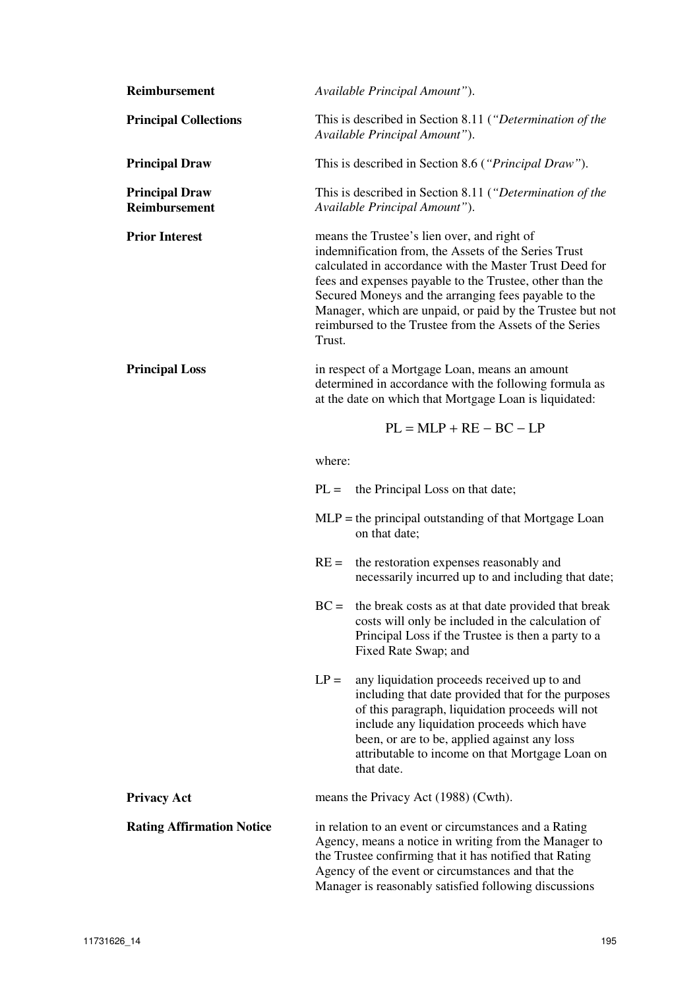| Reimbursement                                 | Available Principal Amount").                                                                                                                                                                                                                                                                                                                                                                                        |  |  |  |  |
|-----------------------------------------------|----------------------------------------------------------------------------------------------------------------------------------------------------------------------------------------------------------------------------------------------------------------------------------------------------------------------------------------------------------------------------------------------------------------------|--|--|--|--|
| <b>Principal Collections</b>                  | This is described in Section 8.11 ("Determination of the<br>Available Principal Amount").                                                                                                                                                                                                                                                                                                                            |  |  |  |  |
| <b>Principal Draw</b>                         | This is described in Section 8.6 ("Principal Draw").                                                                                                                                                                                                                                                                                                                                                                 |  |  |  |  |
| <b>Principal Draw</b><br><b>Reimbursement</b> | This is described in Section 8.11 ("Determination of the<br>Available Principal Amount").                                                                                                                                                                                                                                                                                                                            |  |  |  |  |
| <b>Prior Interest</b>                         | means the Trustee's lien over, and right of<br>indemnification from, the Assets of the Series Trust<br>calculated in accordance with the Master Trust Deed for<br>fees and expenses payable to the Trustee, other than the<br>Secured Moneys and the arranging fees payable to the<br>Manager, which are unpaid, or paid by the Trustee but not<br>reimbursed to the Trustee from the Assets of the Series<br>Trust. |  |  |  |  |
| <b>Principal Loss</b>                         | in respect of a Mortgage Loan, means an amount<br>determined in accordance with the following formula as<br>at the date on which that Mortgage Loan is liquidated:                                                                                                                                                                                                                                                   |  |  |  |  |
|                                               | $PL = MLP + RE - BC - LP$                                                                                                                                                                                                                                                                                                                                                                                            |  |  |  |  |
|                                               | where:                                                                                                                                                                                                                                                                                                                                                                                                               |  |  |  |  |
|                                               | $PL =$<br>the Principal Loss on that date;                                                                                                                                                                                                                                                                                                                                                                           |  |  |  |  |
|                                               | $MLP$ = the principal outstanding of that Mortgage Loan<br>on that date;                                                                                                                                                                                                                                                                                                                                             |  |  |  |  |
|                                               | the restoration expenses reasonably and<br>$RE =$<br>necessarily incurred up to and including that date;                                                                                                                                                                                                                                                                                                             |  |  |  |  |
|                                               | $BC =$ the break costs as at that date provided that break<br>costs will only be included in the calculation of<br>Principal Loss if the Trustee is then a party to a<br>Fixed Rate Swap; and                                                                                                                                                                                                                        |  |  |  |  |
|                                               | $LP =$<br>any liquidation proceeds received up to and<br>including that date provided that for the purposes<br>of this paragraph, liquidation proceeds will not<br>include any liquidation proceeds which have<br>been, or are to be, applied against any loss<br>attributable to income on that Mortgage Loan on<br>that date.                                                                                      |  |  |  |  |
| <b>Privacy Act</b>                            | means the Privacy Act (1988) (Cwth).                                                                                                                                                                                                                                                                                                                                                                                 |  |  |  |  |
| <b>Rating Affirmation Notice</b>              | in relation to an event or circumstances and a Rating<br>Agency, means a notice in writing from the Manager to<br>the Trustee confirming that it has notified that Rating<br>Agency of the event or circumstances and that the<br>Manager is reasonably satisfied following discussions                                                                                                                              |  |  |  |  |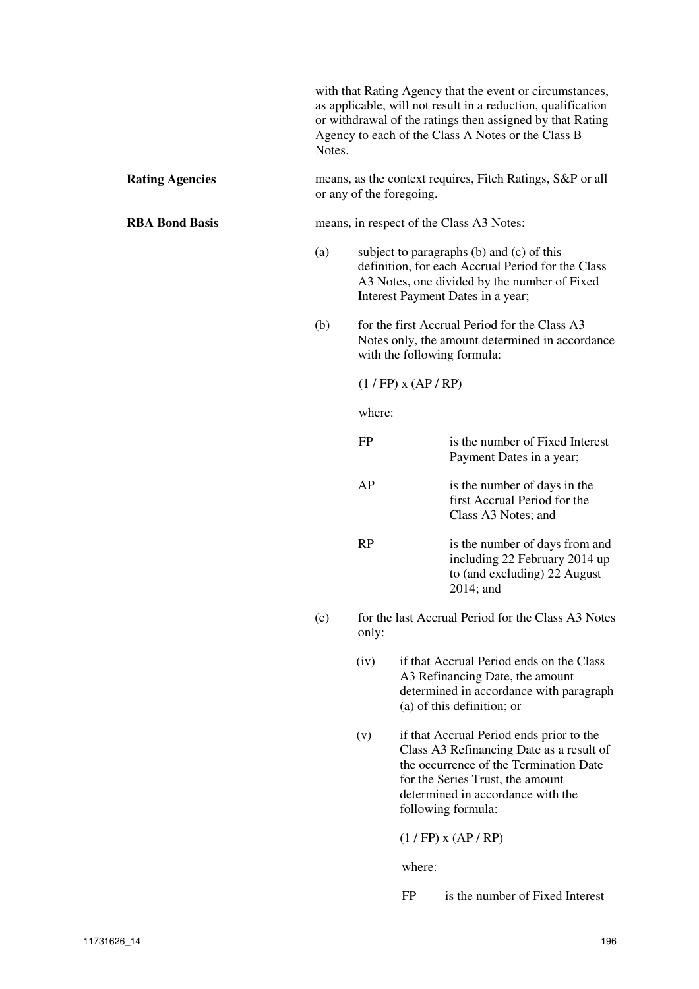with that Rating Agency that the event or circumstances, as applicable, will not result in a reduction, qualification or withdrawal of the ratings then assigned by that Rating Agency to each of the Class A Notes or the Class B Notes.

#### **Rating Agencies** means, as the context requires, Fitch Ratings, S&P or all or any of the foregoing.

**RBA Bond Basis** means, in respect of the Class A3 Notes:

- (a) subject to paragraphs (b) and (c) of this definition, for each Accrual Period for the Class A3 Notes, one divided by the number of Fixed Interest Payment Dates in a year;
- (b) for the first Accrual Period for the Class A3 Notes only, the amount determined in accordance with the following formula:

(1 / FP) x (AP / RP)

where:

| FΡ        | is the number of Fixed Interest<br>Payment Dates in a year;                                                     |
|-----------|-----------------------------------------------------------------------------------------------------------------|
| AP        | is the number of days in the<br>first Accrual Period for the<br>Class A3 Notes; and                             |
| <b>RP</b> | is the number of days from and<br>including 22 February 2014 up<br>to (and excluding) 22 August<br>$2014$ ; and |

- (c) for the last Accrual Period for the Class A3 Notes only:
	- (iv) if that Accrual Period ends on the Class A3 Refinancing Date, the amount determined in accordance with paragraph (a) of this definition; or
	- (v) if that Accrual Period ends prior to the Class A3 Refinancing Date as a result of the occurrence of the Termination Date for the Series Trust, the amount determined in accordance with the following formula:

(1 / FP) x (AP / RP)

where:

FP is the number of Fixed Interest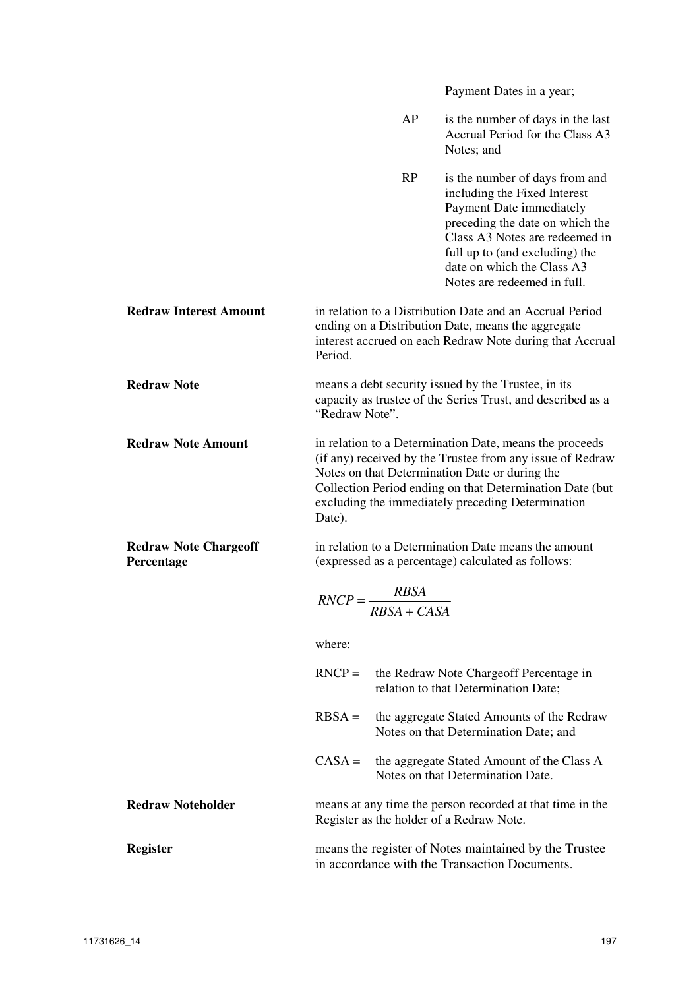Payment Dates in a year;

|                                            | AP                                                                                                                                                                                                                                                                                                | is the number of days in the last<br>Accrual Period for the Class A3<br>Notes; and                                                                                                                                                                             |  |  |  |
|--------------------------------------------|---------------------------------------------------------------------------------------------------------------------------------------------------------------------------------------------------------------------------------------------------------------------------------------------------|----------------------------------------------------------------------------------------------------------------------------------------------------------------------------------------------------------------------------------------------------------------|--|--|--|
|                                            | RP                                                                                                                                                                                                                                                                                                | is the number of days from and<br>including the Fixed Interest<br>Payment Date immediately<br>preceding the date on which the<br>Class A3 Notes are redeemed in<br>full up to (and excluding) the<br>date on which the Class A3<br>Notes are redeemed in full. |  |  |  |
| <b>Redraw Interest Amount</b>              | Period.                                                                                                                                                                                                                                                                                           | in relation to a Distribution Date and an Accrual Period<br>ending on a Distribution Date, means the aggregate<br>interest accrued on each Redraw Note during that Accrual                                                                                     |  |  |  |
| <b>Redraw Note</b>                         | means a debt security issued by the Trustee, in its<br>capacity as trustee of the Series Trust, and described as a<br>"Redraw Note".                                                                                                                                                              |                                                                                                                                                                                                                                                                |  |  |  |
| <b>Redraw Note Amount</b>                  | in relation to a Determination Date, means the proceeds<br>(if any) received by the Trustee from any issue of Redraw<br>Notes on that Determination Date or during the<br>Collection Period ending on that Determination Date (but<br>excluding the immediately preceding Determination<br>Date). |                                                                                                                                                                                                                                                                |  |  |  |
| <b>Redraw Note Chargeoff</b><br>Percentage |                                                                                                                                                                                                                                                                                                   | in relation to a Determination Date means the amount<br>(expressed as a percentage) calculated as follows:                                                                                                                                                     |  |  |  |
|                                            | $\textit{RNCP} = \frac{\textit{RBSA}}{\textit{RBSA} + \textit{CASA}}$                                                                                                                                                                                                                             |                                                                                                                                                                                                                                                                |  |  |  |
|                                            | where:                                                                                                                                                                                                                                                                                            |                                                                                                                                                                                                                                                                |  |  |  |
|                                            | $RNCP =$                                                                                                                                                                                                                                                                                          | the Redraw Note Chargeoff Percentage in<br>relation to that Determination Date;                                                                                                                                                                                |  |  |  |
|                                            | $RBSA =$                                                                                                                                                                                                                                                                                          | the aggregate Stated Amounts of the Redraw<br>Notes on that Determination Date; and                                                                                                                                                                            |  |  |  |
|                                            | $CASA =$                                                                                                                                                                                                                                                                                          | the aggregate Stated Amount of the Class A<br>Notes on that Determination Date.                                                                                                                                                                                |  |  |  |
| <b>Redraw Noteholder</b>                   | Register as the holder of a Redraw Note.                                                                                                                                                                                                                                                          | means at any time the person recorded at that time in the                                                                                                                                                                                                      |  |  |  |
| <b>Register</b>                            |                                                                                                                                                                                                                                                                                                   | means the register of Notes maintained by the Trustee<br>in accordance with the Transaction Documents.                                                                                                                                                         |  |  |  |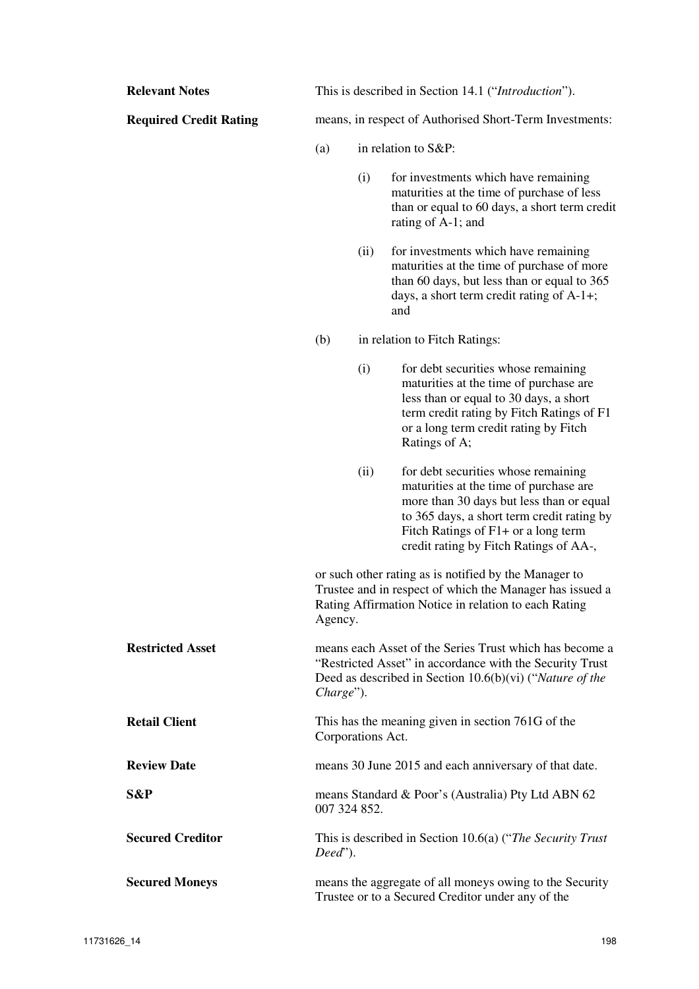| <b>Relevant Notes</b>         |                   | This is described in Section 14.1 ("Introduction").                                                                                                                       |                                                                                                                                                                                                                                                          |  |  |  |  |
|-------------------------------|-------------------|---------------------------------------------------------------------------------------------------------------------------------------------------------------------------|----------------------------------------------------------------------------------------------------------------------------------------------------------------------------------------------------------------------------------------------------------|--|--|--|--|
| <b>Required Credit Rating</b> |                   | means, in respect of Authorised Short-Term Investments:                                                                                                                   |                                                                                                                                                                                                                                                          |  |  |  |  |
|                               | (a)               | in relation to S&P:                                                                                                                                                       |                                                                                                                                                                                                                                                          |  |  |  |  |
|                               |                   | (i)                                                                                                                                                                       | for investments which have remaining<br>maturities at the time of purchase of less<br>than or equal to 60 days, a short term credit<br>rating of A-1; and                                                                                                |  |  |  |  |
|                               |                   | (ii)                                                                                                                                                                      | for investments which have remaining<br>maturities at the time of purchase of more<br>than 60 days, but less than or equal to 365<br>days, a short term credit rating of A-1+;<br>and                                                                    |  |  |  |  |
|                               | (b)               |                                                                                                                                                                           | in relation to Fitch Ratings:                                                                                                                                                                                                                            |  |  |  |  |
|                               |                   | (i)                                                                                                                                                                       | for debt securities whose remaining<br>maturities at the time of purchase are<br>less than or equal to 30 days, a short<br>term credit rating by Fitch Ratings of F1<br>or a long term credit rating by Fitch<br>Ratings of A;                           |  |  |  |  |
|                               |                   | (ii)                                                                                                                                                                      | for debt securities whose remaining<br>maturities at the time of purchase are<br>more than 30 days but less than or equal<br>to 365 days, a short term credit rating by<br>Fitch Ratings of F1+ or a long term<br>credit rating by Fitch Ratings of AA-, |  |  |  |  |
|                               | Agency.           | or such other rating as is notified by the Manager to<br>Trustee and in respect of which the Manager has issued a<br>Rating Affirmation Notice in relation to each Rating |                                                                                                                                                                                                                                                          |  |  |  |  |
| <b>Restricted Asset</b>       | Charge").         |                                                                                                                                                                           | means each Asset of the Series Trust which has become a<br>"Restricted Asset" in accordance with the Security Trust<br>Deed as described in Section $10.6(b)(vi)$ ("Nature of the                                                                        |  |  |  |  |
| <b>Retail Client</b>          | Corporations Act. |                                                                                                                                                                           | This has the meaning given in section 761G of the                                                                                                                                                                                                        |  |  |  |  |
| <b>Review Date</b>            |                   |                                                                                                                                                                           | means 30 June 2015 and each anniversary of that date.                                                                                                                                                                                                    |  |  |  |  |
| S&P                           | 007 324 852.      |                                                                                                                                                                           | means Standard & Poor's (Australia) Pty Ltd ABN 62                                                                                                                                                                                                       |  |  |  |  |
| <b>Secured Creditor</b>       | $Dead$ ").        |                                                                                                                                                                           | This is described in Section 10.6(a) ("The Security Trust"                                                                                                                                                                                               |  |  |  |  |
| <b>Secured Moneys</b>         |                   |                                                                                                                                                                           | means the aggregate of all moneys owing to the Security<br>Trustee or to a Secured Creditor under any of the                                                                                                                                             |  |  |  |  |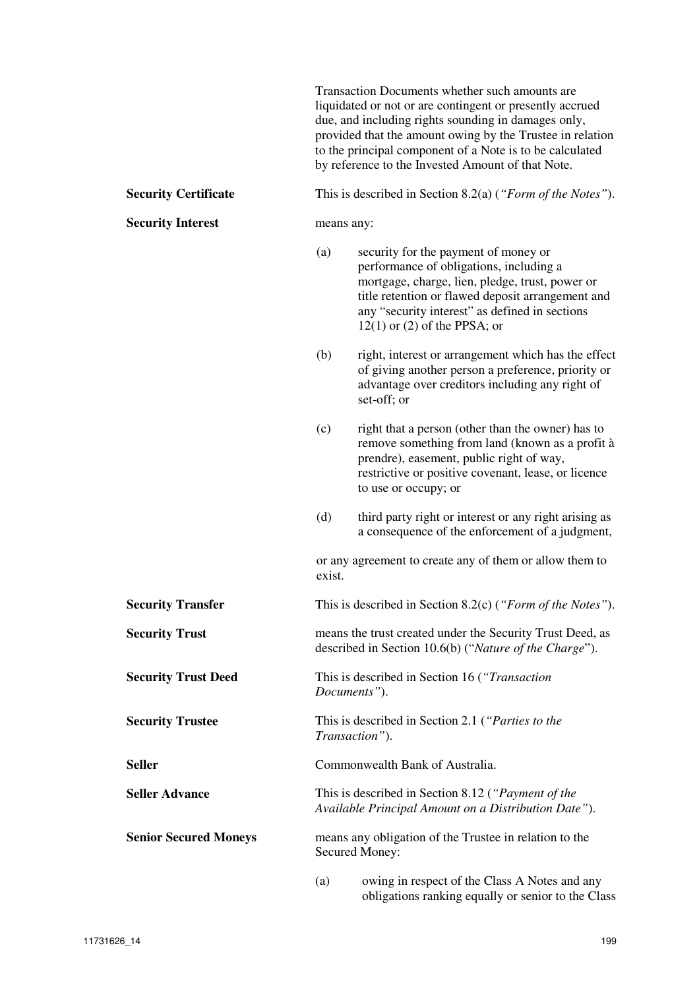Transaction Documents whether such amounts are liquidated or not or are contingent or presently accrued due, and including rights sounding in damages only, provided that the amount owing by the Trustee in relation to the principal component of a Note is to be calculated by reference to the Invested Amount of that Note.

#### **Security Certificate** This is described in Section 8.2(a) (*"Form of the Notes"*).

**Security Interest** means any:

- (a) security for the payment of money or performance of obligations, including a mortgage, charge, lien, pledge, trust, power or title retention or flawed deposit arrangement and any "security interest" as defined in sections 12(1) or (2) of the PPSA; or
- (b) right, interest or arrangement which has the effect of giving another person a preference, priority or advantage over creditors including any right of set-off; or
- (c) right that a person (other than the owner) has to remove something from land (known as a profit à prendre), easement, public right of way, restrictive or positive covenant, lease, or licence to use or occupy; or
- (d) third party right or interest or any right arising as a consequence of the enforcement of a judgment,

or any agreement to create any of them or allow them to exist.

**Security Transfer** This is described in Section 8.2(c) (*"Form of the Notes"*).

**Security Trust means the trust created under the Security Trust Deed, as** described in Section 10.6(b) ("*Nature of the Charge*").

**Security Trust Deed** This is described in Section 16 (*"Transaction Documents"*).

**Security Trustee** This is described in Section 2.1 (*"Parties to the Transaction"*).

**Seller Commonwealth Bank of Australia.** 

**Seller Advance** This is described in Section 8.12 (*"Payment of the Available Principal Amount on a Distribution Date"*).

**Senior Secured Moneys** means any obligation of the Trustee in relation to the Secured Money:

> (a) owing in respect of the Class A Notes and any obligations ranking equally or senior to the Class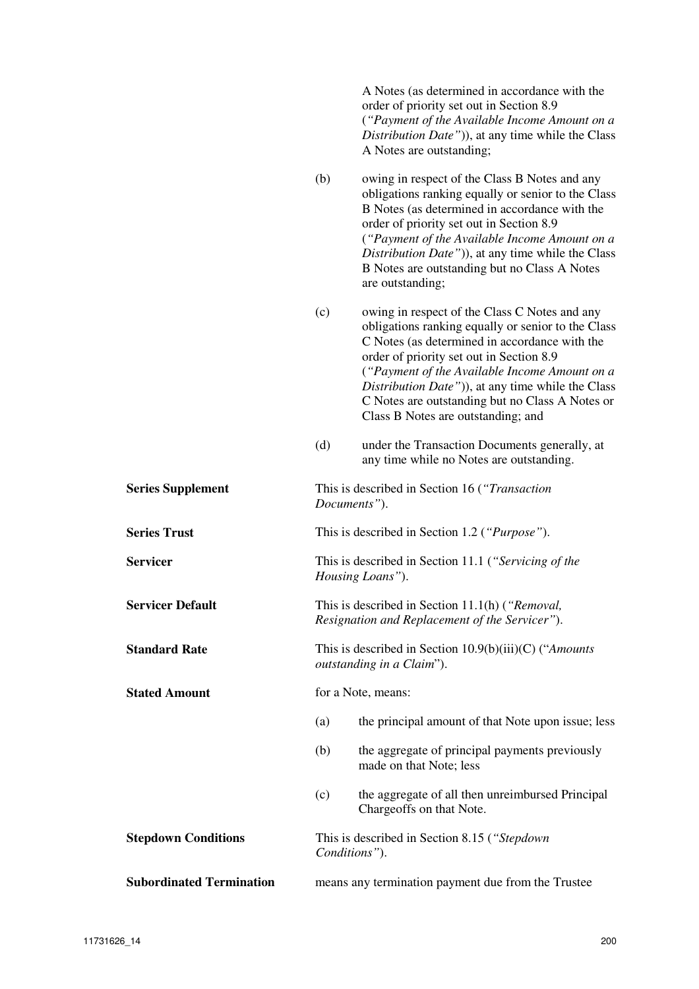A Notes (as determined in accordance with the order of priority set out in Section 8.9 (*"Payment of the Available Income Amount on a Distribution Date"*)), at any time while the Class A Notes are outstanding;

- (b) owing in respect of the Class B Notes and any obligations ranking equally or senior to the Class B Notes (as determined in accordance with the order of priority set out in Section 8.9 (*"Payment of the Available Income Amount on a Distribution Date"*)), at any time while the Class B Notes are outstanding but no Class A Notes are outstanding;
- (c) owing in respect of the Class C Notes and any obligations ranking equally or senior to the Class C Notes (as determined in accordance with the order of priority set out in Section 8.9 (*"Payment of the Available Income Amount on a Distribution Date"*)), at any time while the Class C Notes are outstanding but no Class A Notes or Class B Notes are outstanding; and
- (d) under the Transaction Documents generally, at any time while no Notes are outstanding.

**Series Supplement** This is described in Section 16 (*"Transaction Documents"*). **Series Trust** This is described in Section 1.2 (*"Purpose"*).

**Servicer** This is described in Section 11.1 (*"Servicing of the Housing Loans"*).

**Servicer Default** This is described in Section 11.1(h) (*"Removal, Resignation and Replacement of the Servicer"*).

**Standard Rate** This is described in Section 10.9(b)(iii)(C) ("*Amounts*" *outstanding in a Claim*").

(a) the principal amount of that Note upon issue; less

- (b) the aggregate of principal payments previously made on that Note; less
- (c) the aggregate of all then unreimbursed Principal Chargeoffs on that Note.

**Stepdown Conditions** This is described in Section 8.15 (*"Stepdown Conditions"*).

**Subordinated Termination** means any termination payment due from the Trustee

**Stated Amount for a Note, means:**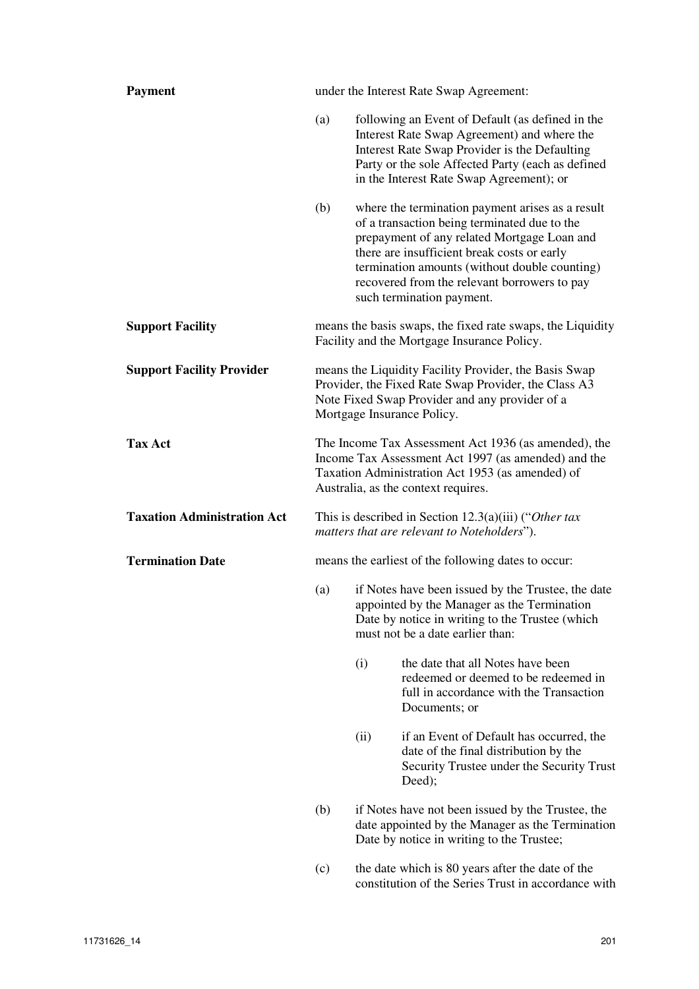| <b>Payment</b>                     | under the Interest Rate Swap Agreement:                                                                                                                                                                |                                                                                                                                                                                          |                                                                                                                                                                                                                                                                                                                              |  |  |
|------------------------------------|--------------------------------------------------------------------------------------------------------------------------------------------------------------------------------------------------------|------------------------------------------------------------------------------------------------------------------------------------------------------------------------------------------|------------------------------------------------------------------------------------------------------------------------------------------------------------------------------------------------------------------------------------------------------------------------------------------------------------------------------|--|--|
|                                    | (a)                                                                                                                                                                                                    |                                                                                                                                                                                          | following an Event of Default (as defined in the<br>Interest Rate Swap Agreement) and where the<br>Interest Rate Swap Provider is the Defaulting<br>Party or the sole Affected Party (each as defined<br>in the Interest Rate Swap Agreement); or                                                                            |  |  |
|                                    | (b)                                                                                                                                                                                                    |                                                                                                                                                                                          | where the termination payment arises as a result<br>of a transaction being terminated due to the<br>prepayment of any related Mortgage Loan and<br>there are insufficient break costs or early<br>termination amounts (without double counting)<br>recovered from the relevant borrowers to pay<br>such termination payment. |  |  |
| <b>Support Facility</b>            | means the basis swaps, the fixed rate swaps, the Liquidity<br>Facility and the Mortgage Insurance Policy.                                                                                              |                                                                                                                                                                                          |                                                                                                                                                                                                                                                                                                                              |  |  |
| <b>Support Facility Provider</b>   | means the Liquidity Facility Provider, the Basis Swap<br>Provider, the Fixed Rate Swap Provider, the Class A3<br>Note Fixed Swap Provider and any provider of a<br>Mortgage Insurance Policy.          |                                                                                                                                                                                          |                                                                                                                                                                                                                                                                                                                              |  |  |
| <b>Tax Act</b>                     | The Income Tax Assessment Act 1936 (as amended), the<br>Income Tax Assessment Act 1997 (as amended) and the<br>Taxation Administration Act 1953 (as amended) of<br>Australia, as the context requires. |                                                                                                                                                                                          |                                                                                                                                                                                                                                                                                                                              |  |  |
| <b>Taxation Administration Act</b> | This is described in Section 12.3(a)(iii) ("Other tax<br>matters that are relevant to Noteholders").                                                                                                   |                                                                                                                                                                                          |                                                                                                                                                                                                                                                                                                                              |  |  |
| <b>Termination Date</b>            |                                                                                                                                                                                                        |                                                                                                                                                                                          | means the earliest of the following dates to occur:                                                                                                                                                                                                                                                                          |  |  |
|                                    | (a)                                                                                                                                                                                                    | if Notes have been issued by the Trustee, the date<br>appointed by the Manager as the Termination<br>Date by notice in writing to the Trustee (which<br>must not be a date earlier than: |                                                                                                                                                                                                                                                                                                                              |  |  |
|                                    |                                                                                                                                                                                                        | (i)                                                                                                                                                                                      | the date that all Notes have been<br>redeemed or deemed to be redeemed in<br>full in accordance with the Transaction<br>Documents; or                                                                                                                                                                                        |  |  |
|                                    |                                                                                                                                                                                                        | (ii)                                                                                                                                                                                     | if an Event of Default has occurred, the<br>date of the final distribution by the<br>Security Trustee under the Security Trust<br>Deed);                                                                                                                                                                                     |  |  |
|                                    | (b)                                                                                                                                                                                                    | if Notes have not been issued by the Trustee, the<br>date appointed by the Manager as the Termination<br>Date by notice in writing to the Trustee;                                       |                                                                                                                                                                                                                                                                                                                              |  |  |
|                                    | (c)                                                                                                                                                                                                    |                                                                                                                                                                                          | the date which is 80 years after the date of the<br>constitution of the Series Trust in accordance with                                                                                                                                                                                                                      |  |  |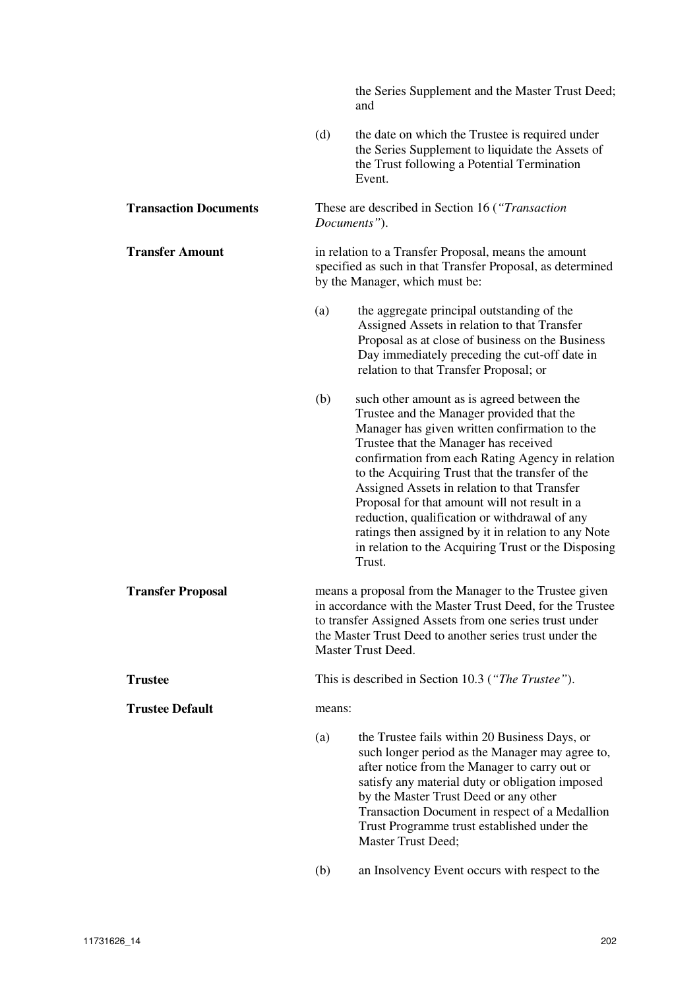the Series Supplement and the Master Trust Deed; and

(d) the date on which the Trustee is required under the Series Supplement to liquidate the Assets of the Trust following a Potential Termination Event.

**Transaction Documents** These are described in Section 16 (*"Transaction Documents"*).

**Transfer Amount in relation to a Transfer Proposal, means the amount** specified as such in that Transfer Proposal, as determined by the Manager, which must be:

- (a) the aggregate principal outstanding of the Assigned Assets in relation to that Transfer Proposal as at close of business on the Business Day immediately preceding the cut-off date in relation to that Transfer Proposal; or
- (b) such other amount as is agreed between the Trustee and the Manager provided that the Manager has given written confirmation to the Trustee that the Manager has received confirmation from each Rating Agency in relation to the Acquiring Trust that the transfer of the Assigned Assets in relation to that Transfer Proposal for that amount will not result in a reduction, qualification or withdrawal of any ratings then assigned by it in relation to any Note in relation to the Acquiring Trust or the Disposing Trust.
- **Transfer Proposal** means a proposal from the Manager to the Trustee given in accordance with the Master Trust Deed, for the Trustee to transfer Assigned Assets from one series trust under the Master Trust Deed to another series trust under the Master Trust Deed.

**Trustee** This is described in Section 10.3 (*"The Trustee"*).

#### **Trustee Default means:**

- (a) the Trustee fails within 20 Business Days, or such longer period as the Manager may agree to, after notice from the Manager to carry out or satisfy any material duty or obligation imposed by the Master Trust Deed or any other Transaction Document in respect of a Medallion Trust Programme trust established under the Master Trust Deed;
- (b) an Insolvency Event occurs with respect to the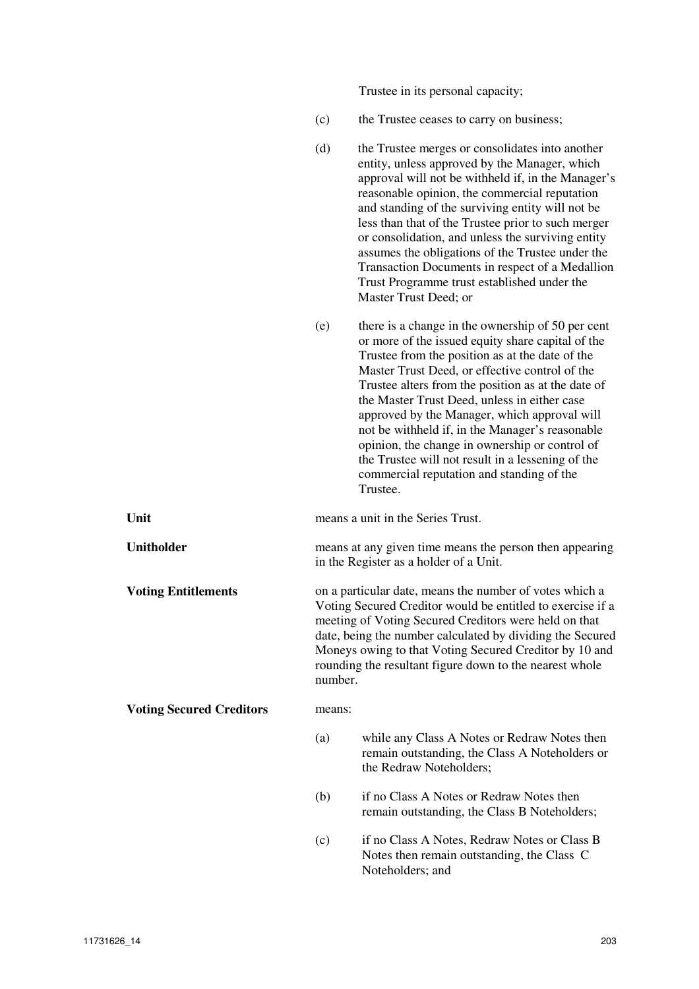Trustee in its personal capacity;

- (c) the Trustee ceases to carry on business;
- (d) the Trustee merges or consolidates into another entity, unless approved by the Manager, which approval will not be withheld if, in the Manager's reasonable opinion, the commercial reputation and standing of the surviving entity will not be less than that of the Trustee prior to such merger or consolidation, and unless the surviving entity assumes the obligations of the Trustee under the Transaction Documents in respect of a Medallion Trust Programme trust established under the Master Trust Deed; or
- (e) there is a change in the ownership of 50 per cent or more of the issued equity share capital of the Trustee from the position as at the date of the Master Trust Deed, or effective control of the Trustee alters from the position as at the date of the Master Trust Deed, unless in either case approved by the Manager, which approval will not be withheld if, in the Manager's reasonable opinion, the change in ownership or control of the Trustee will not result in a lessening of the commercial reputation and standing of the Trustee.

| Unit                            |        | means a unit in the Series Trust.                                                                                                                                                                                                                                                                                                                                           |  |  |  |  |
|---------------------------------|--------|-----------------------------------------------------------------------------------------------------------------------------------------------------------------------------------------------------------------------------------------------------------------------------------------------------------------------------------------------------------------------------|--|--|--|--|
| Unitholder                      |        | means at any given time means the person then appearing<br>in the Register as a holder of a Unit.                                                                                                                                                                                                                                                                           |  |  |  |  |
| <b>Voting Entitlements</b>      |        | on a particular date, means the number of votes which a<br>Voting Secured Creditor would be entitled to exercise if a<br>meeting of Voting Secured Creditors were held on that<br>date, being the number calculated by dividing the Secured<br>Moneys owing to that Voting Secured Creditor by 10 and<br>rounding the resultant figure down to the nearest whole<br>number. |  |  |  |  |
| <b>Voting Secured Creditors</b> | means: |                                                                                                                                                                                                                                                                                                                                                                             |  |  |  |  |
|                                 | (a)    | while any Class A Notes or Redraw Notes then<br>remain outstanding, the Class A Noteholders or<br>the Redraw Noteholders;                                                                                                                                                                                                                                                   |  |  |  |  |
|                                 | (b)    | if no Class A Notes or Redraw Notes then<br>remain outstanding, the Class B Noteholders;                                                                                                                                                                                                                                                                                    |  |  |  |  |
|                                 | (c)    | if no Class A Notes, Redraw Notes or Class B<br>Notes then remain outstanding, the Class C                                                                                                                                                                                                                                                                                  |  |  |  |  |

Noteholders; and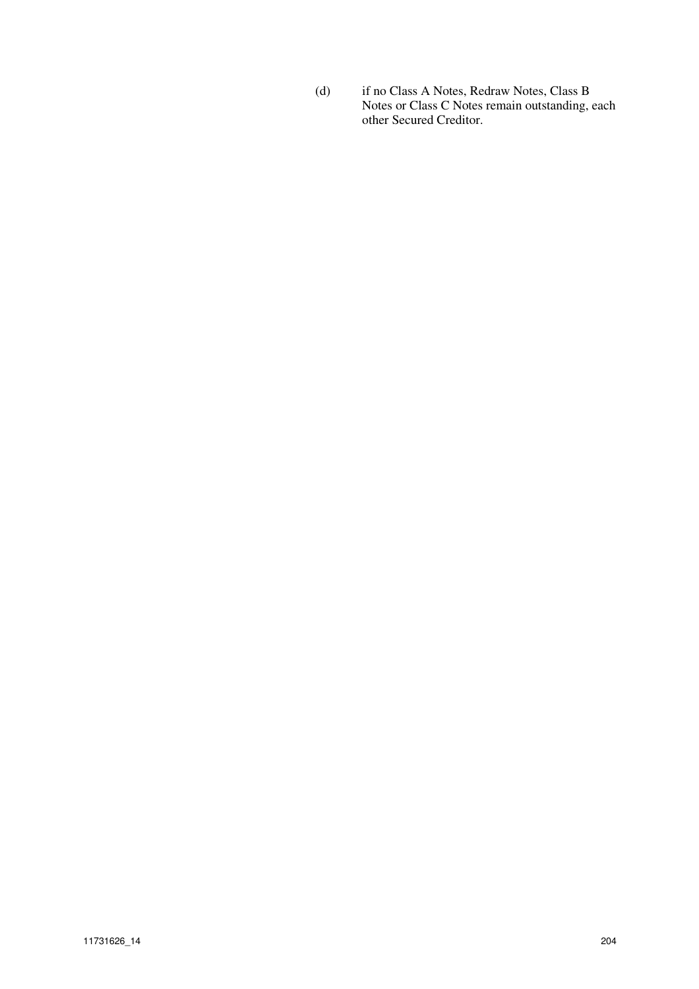(d) if no Class A Notes, Redraw Notes, Class B Notes or Class C Notes remain outstanding, each other Secured Creditor.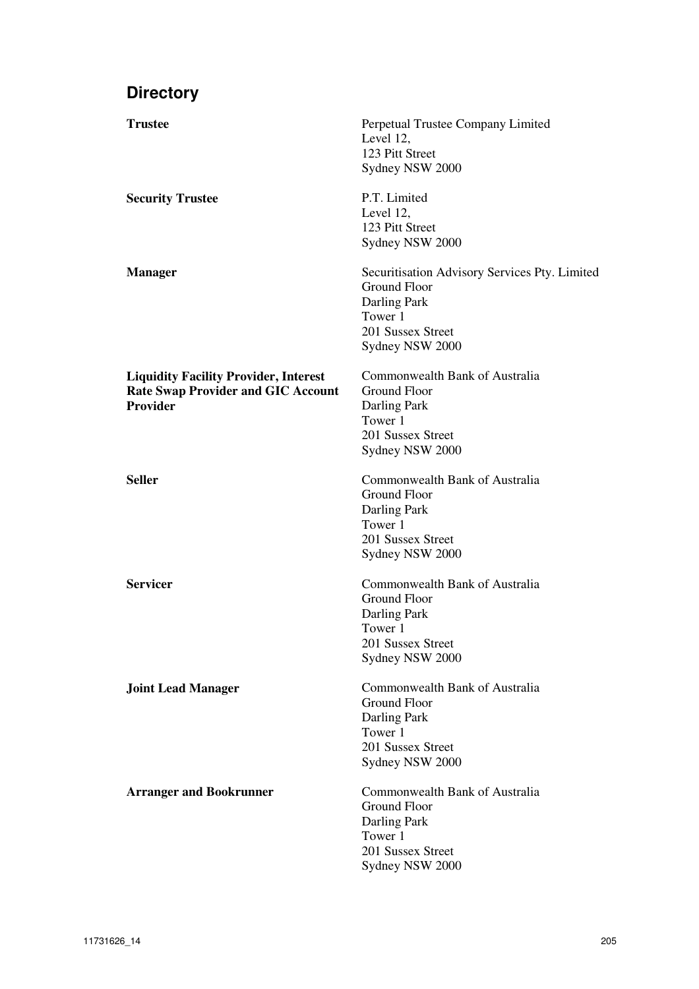# **Directory**

| <b>Trustee</b>                                                                                               | Perpetual Trustee Company Limited<br>Level 12,<br>123 Pitt Street<br>Sydney NSW 2000                                                    |
|--------------------------------------------------------------------------------------------------------------|-----------------------------------------------------------------------------------------------------------------------------------------|
| <b>Security Trustee</b>                                                                                      | P.T. Limited<br>Level 12,<br>123 Pitt Street<br>Sydney NSW 2000                                                                         |
| <b>Manager</b>                                                                                               | Securitisation Advisory Services Pty. Limited<br><b>Ground Floor</b><br>Darling Park<br>Tower 1<br>201 Sussex Street<br>Sydney NSW 2000 |
| <b>Liquidity Facility Provider, Interest</b><br><b>Rate Swap Provider and GIC Account</b><br><b>Provider</b> | Commonwealth Bank of Australia<br>Ground Floor<br>Darling Park<br>Tower 1<br>201 Sussex Street<br>Sydney NSW 2000                       |
| <b>Seller</b>                                                                                                | Commonwealth Bank of Australia<br><b>Ground Floor</b><br>Darling Park<br>Tower 1<br>201 Sussex Street<br>Sydney NSW 2000                |
| <b>Servicer</b>                                                                                              | Commonwealth Bank of Australia<br><b>Ground Floor</b><br>Darling Park<br>Tower 1<br>201 Sussex Street<br>Sydney NSW 2000                |
| <b>Joint Lead Manager</b>                                                                                    | Commonwealth Bank of Australia<br><b>Ground Floor</b><br>Darling Park<br>Tower 1<br>201 Sussex Street<br>Sydney NSW 2000                |
| <b>Arranger and Bookrunner</b>                                                                               | Commonwealth Bank of Australia<br><b>Ground Floor</b><br>Darling Park<br>Tower 1<br>201 Sussex Street<br>Sydney NSW 2000                |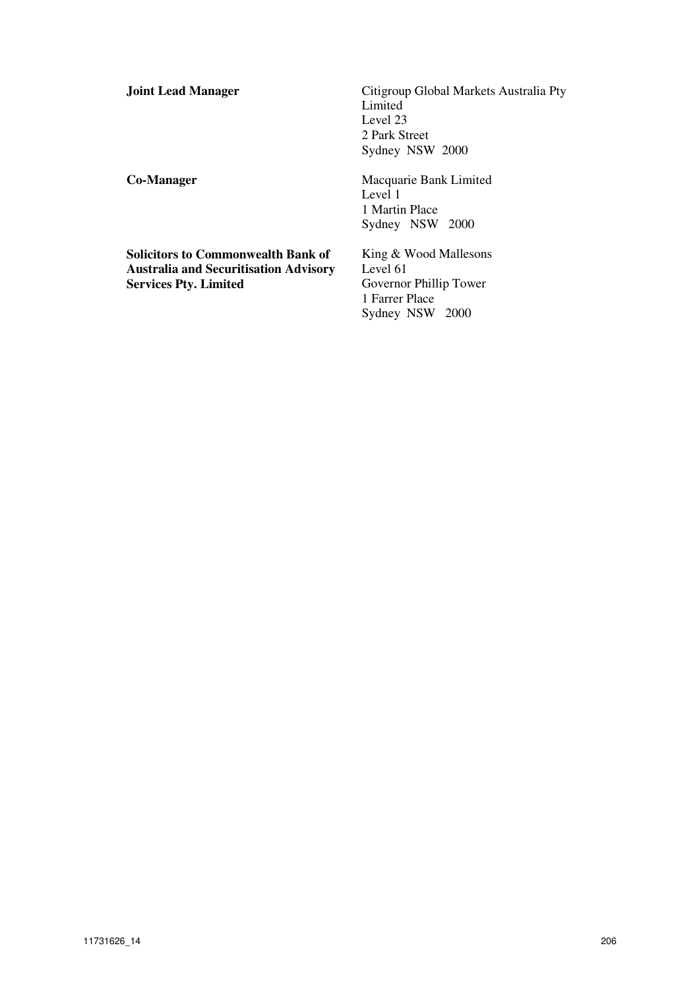| <b>Joint Lead Manager</b> |  |
|---------------------------|--|
|---------------------------|--|

**Solicitors to Commonwealth Bank of Australia and Securitisation Advisory Services Pty. Limited** 

**Citigroup Global Markets Australia Pty** Limited Level 23 2 Park Street Sydney NSW 2000

**Co-Manager Macquarie Bank Limited** Level 1 1 Martin Place Sydney NSW 2000

> King & Wood Mallesons Level 61 Governor Phillip Tower 1 Farrer Place Sydney NSW 2000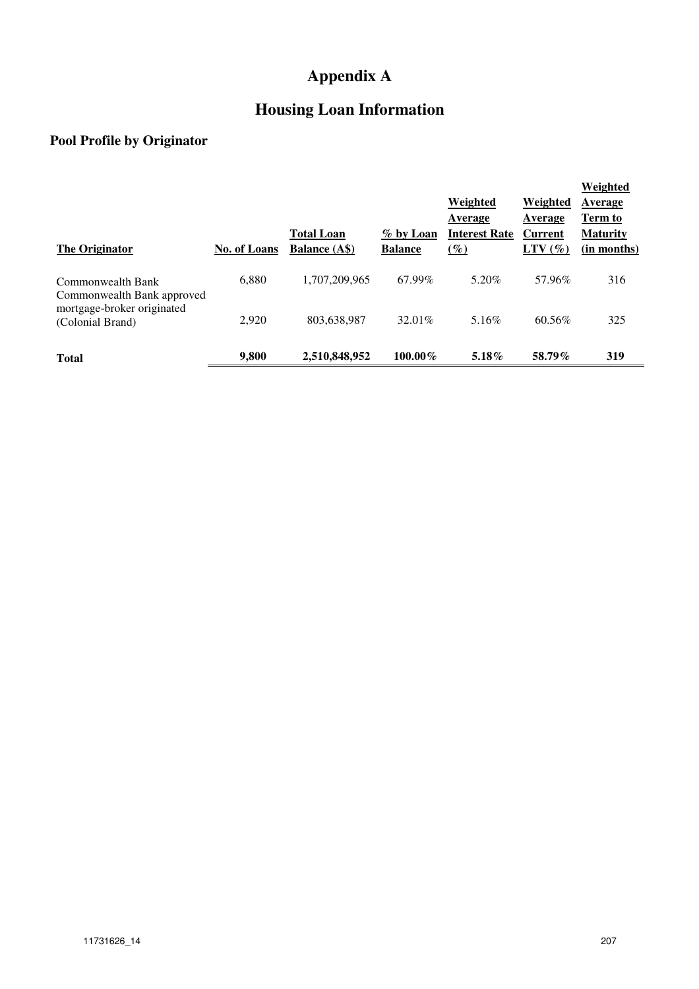# **Appendix A**

# **Housing Loan Information**

# **Pool Profile by Originator**

| <b>The Originator</b>                           | No. of Loans | <b>Total Loan</b><br><b>Balance</b> (A\$) | % by Loan<br><b>Balance</b> | <b>Weighted</b><br>Average<br><b>Interest Rate</b><br>$\frac{\varphi}{\varphi}$ | <b>Weighted</b><br>Average<br><b>Current</b><br>$LTV(\%)$ | Weighted<br>Average<br>Term to<br><b>Maturity</b><br>(in months) |
|-------------------------------------------------|--------------|-------------------------------------------|-----------------------------|---------------------------------------------------------------------------------|-----------------------------------------------------------|------------------------------------------------------------------|
| Commonwealth Bank<br>Commonwealth Bank approved | 6,880        | 1,707,209,965                             | 67.99%                      | 5.20%                                                                           | 57.96%                                                    | 316                                                              |
| mortgage-broker originated<br>(Colonial Brand)  | 2,920        | 803,638,987                               | 32.01%                      | 5.16%                                                                           | 60.56%                                                    | 325                                                              |
| <b>Total</b>                                    | 9,800        | 2,510,848,952                             | $100.00\%$                  | $5.18\%$                                                                        | 58.79%                                                    | 319                                                              |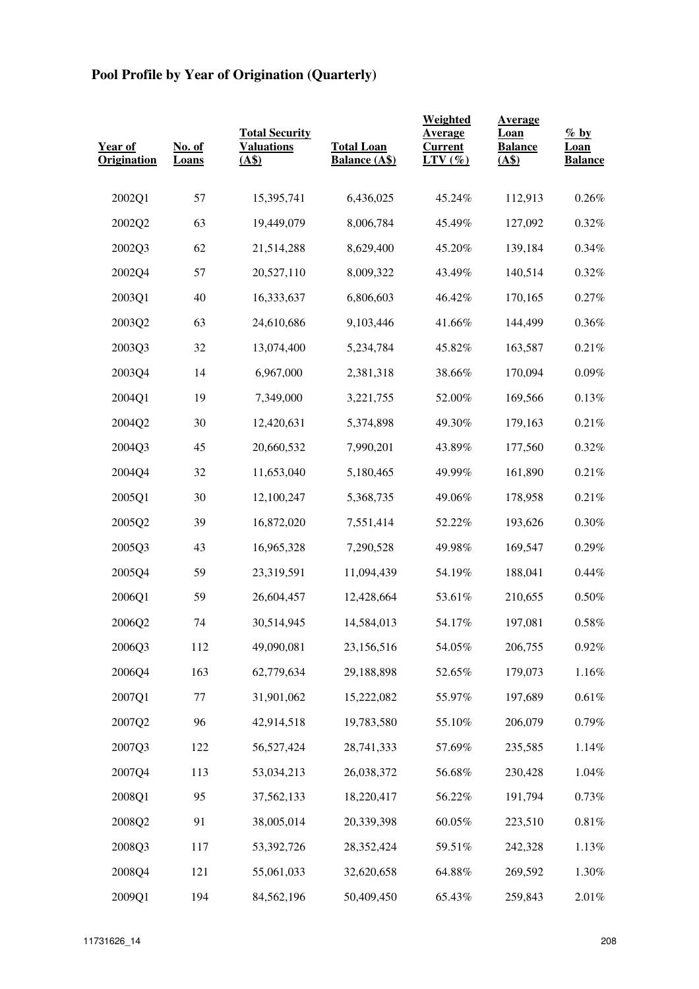## **Pool Profile by Year of Origination (Quarterly)**

| Year of<br><b>Origination</b> | No. of<br>Loans | <b>Total Security</b><br><b>Valuations</b><br>(A\$) | <b>Total Loan</b><br><b>Balance (A\$)</b> | Weighted<br>Average<br><b>Current</b><br>$LTV(\%)$ | <b>Average</b><br>Loan<br><b>Balance</b><br>(AS) | $\frac{\%}{\%}$ by<br>Loan<br><b>Balance</b> |
|-------------------------------|-----------------|-----------------------------------------------------|-------------------------------------------|----------------------------------------------------|--------------------------------------------------|----------------------------------------------|
| 2002Q1                        | 57              | 15,395,741                                          | 6,436,025                                 | 45.24%                                             | 112,913                                          | 0.26%                                        |
| 2002Q2                        | 63              | 19,449,079                                          | 8,006,784                                 | 45.49%                                             | 127,092                                          | 0.32%                                        |
| 2002Q3                        | 62              | 21,514,288                                          | 8,629,400                                 | 45.20%                                             | 139,184                                          | 0.34%                                        |
| 2002Q4                        | 57              | 20,527,110                                          | 8,009,322                                 | 43.49%                                             | 140,514                                          | 0.32%                                        |
| 2003Q1                        | 40              | 16,333,637                                          | 6,806,603                                 | 46.42%                                             | 170,165                                          | 0.27%                                        |
| 2003Q2                        | 63              | 24,610,686                                          | 9,103,446                                 | 41.66%                                             | 144,499                                          | 0.36%                                        |
| 2003Q3                        | 32              | 13,074,400                                          | 5,234,784                                 | 45.82%                                             | 163,587                                          | 0.21%                                        |
| 2003Q4                        | 14              | 6,967,000                                           | 2,381,318                                 | 38.66%                                             | 170,094                                          | 0.09%                                        |
| 2004Q1                        | 19              | 7,349,000                                           | 3,221,755                                 | 52.00%                                             | 169,566                                          | 0.13%                                        |
| 2004Q2                        | 30              | 12,420,631                                          | 5,374,898                                 | 49.30%                                             | 179,163                                          | 0.21%                                        |
| 2004Q3                        | 45              | 20,660,532                                          | 7,990,201                                 | 43.89%                                             | 177,560                                          | 0.32%                                        |
| 2004Q4                        | 32              | 11,653,040                                          | 5,180,465                                 | 49.99%                                             | 161,890                                          | 0.21%                                        |
| 2005Q1                        | 30              | 12,100,247                                          | 5,368,735                                 | 49.06%                                             | 178,958                                          | 0.21%                                        |
| 2005Q2                        | 39              | 16,872,020                                          | 7,551,414                                 | 52.22%                                             | 193,626                                          | $0.30\%$                                     |
| 2005Q3                        | 43              | 16,965,328                                          | 7,290,528                                 | 49.98%                                             | 169,547                                          | 0.29%                                        |
| 2005Q4                        | 59              | 23,319,591                                          | 11,094,439                                | 54.19%                                             | 188,041                                          | 0.44%                                        |
| 2006Q1                        | 59              | 26,604,457                                          | 12,428,664                                | 53.61%                                             | 210,655                                          | $0.50\%$                                     |
| 2006Q2                        | 74              | 30,514,945                                          | 14,584,013                                | 54.17%                                             | 197,081                                          | $0.58\%$                                     |
| 2006Q3                        | 112             | 49,090,081                                          | 23,156,516                                | 54.05%                                             | 206,755                                          | 0.92%                                        |
| 2006Q4                        | 163             | 62,779,634                                          | 29,188,898                                | 52.65%                                             | 179,073                                          | 1.16%                                        |
| 2007Q1                        | $77 \,$         | 31,901,062                                          | 15,222,082                                | 55.97%                                             | 197,689                                          | $0.61\%$                                     |
| 2007Q2                        | 96              | 42,914,518                                          | 19,783,580                                | 55.10%                                             | 206,079                                          | $0.79\%$                                     |
| 2007Q3                        | 122             | 56,527,424                                          | 28,741,333                                | 57.69%                                             | 235,585                                          | 1.14%                                        |
| 2007Q4                        | 113             | 53,034,213                                          | 26,038,372                                | 56.68%                                             | 230,428                                          | 1.04%                                        |
| 2008Q1                        | 95              | 37,562,133                                          | 18,220,417                                | 56.22%                                             | 191,794                                          | 0.73%                                        |
| 2008Q2                        | 91              | 38,005,014                                          | 20,339,398                                | 60.05%                                             | 223,510                                          | $0.81\%$                                     |
| 2008Q3                        | 117             | 53,392,726                                          | 28,352,424                                | 59.51%                                             | 242,328                                          | 1.13%                                        |
| 2008Q4                        | 121             | 55,061,033                                          | 32,620,658                                | 64.88%                                             | 269,592                                          | 1.30%                                        |
| 2009Q1                        | 194             | 84,562,196                                          | 50,409,450                                | 65.43%                                             | 259,843                                          | 2.01%                                        |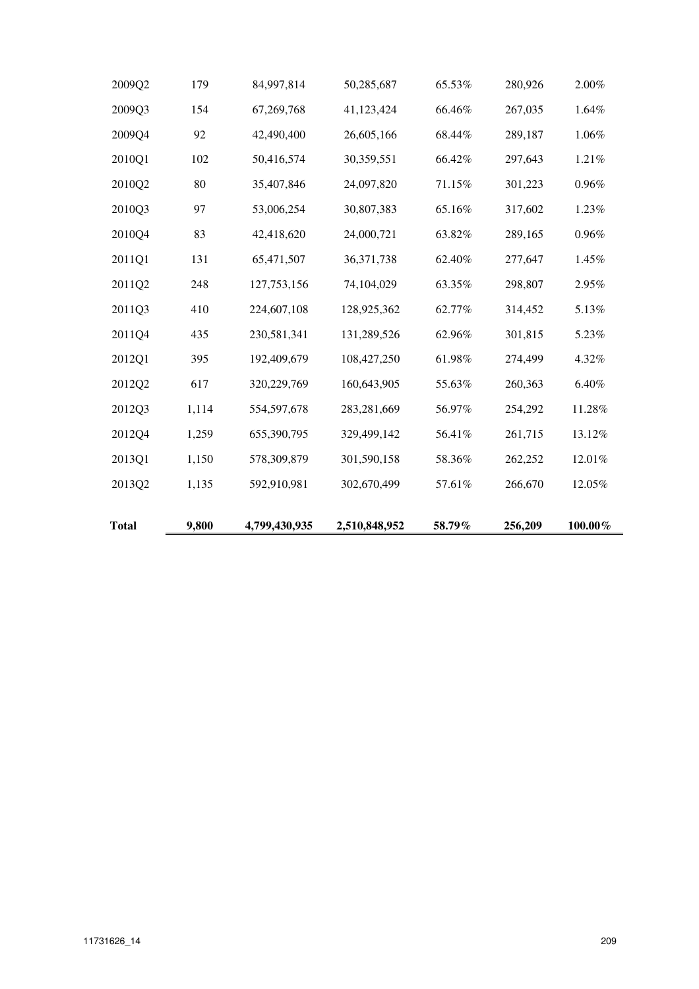| <b>Total</b> | 9,800 | 4,799,430,935 | 2,510,848,952 | 58.79% | 256,209 | $100.00\%$ |
|--------------|-------|---------------|---------------|--------|---------|------------|
|              |       |               |               |        |         |            |
| 2013Q2       | 1,135 | 592,910,981   | 302,670,499   | 57.61% | 266,670 | 12.05%     |
| 2013Q1       | 1,150 | 578,309,879   | 301,590,158   | 58.36% | 262,252 | 12.01%     |
| 2012Q4       | 1,259 | 655,390,795   | 329,499,142   | 56.41% | 261,715 | 13.12%     |
| 2012Q3       | 1,114 | 554,597,678   | 283,281,669   | 56.97% | 254,292 | 11.28%     |
| 2012Q2       | 617   | 320,229,769   | 160,643,905   | 55.63% | 260,363 | 6.40%      |
| 2012Q1       | 395   | 192,409,679   | 108,427,250   | 61.98% | 274,499 | 4.32%      |
| 2011Q4       | 435   | 230,581,341   | 131,289,526   | 62.96% | 301,815 | 5.23%      |
| 2011Q3       | 410   | 224,607,108   | 128,925,362   | 62.77% | 314,452 | 5.13%      |
| 2011Q2       | 248   | 127,753,156   | 74,104,029    | 63.35% | 298,807 | 2.95%      |
| 2011Q1       | 131   | 65,471,507    | 36,371,738    | 62.40% | 277,647 | 1.45%      |
| 2010Q4       | 83    | 42,418,620    | 24,000,721    | 63.82% | 289,165 | 0.96%      |
| 2010Q3       | 97    | 53,006,254    | 30,807,383    | 65.16% | 317,602 | 1.23%      |
| 2010Q2       | 80    | 35,407,846    | 24,097,820    | 71.15% | 301,223 | 0.96%      |
| 2010Q1       | 102   | 50,416,574    | 30,359,551    | 66.42% | 297,643 | 1.21%      |
| 2009Q4       | 92    | 42,490,400    | 26,605,166    | 68.44% | 289,187 | 1.06%      |
| 2009Q3       | 154   | 67,269,768    | 41,123,424    | 66.46% | 267,035 | 1.64%      |
| 2009Q2       | 179   | 84,997,814    | 50,285,687    | 65.53% | 280,926 | 2.00%      |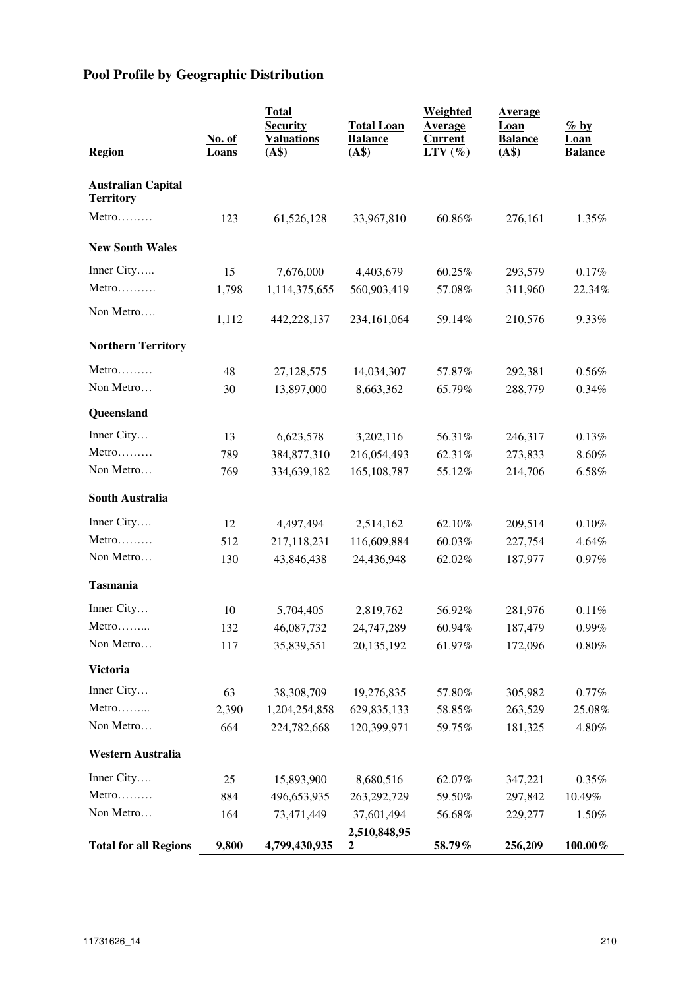## **Pool Profile by Geographic Distribution**

| <b>Region</b>                                 | No. of<br><b>Loans</b> | <b>Total</b><br><b>Security</b><br><b>Valuations</b><br>(AS) | <b>Total Loan</b><br><b>Balance</b><br>(AS) | <b>Weighted</b><br><u>Average</u><br><b>Current</b><br>$LTV$ (%) | <u>Average</u><br><u>Loan</u><br><b>Balance</b><br>(AS) | $\%$ by<br><b>Loan</b><br><b>Balance</b> |
|-----------------------------------------------|------------------------|--------------------------------------------------------------|---------------------------------------------|------------------------------------------------------------------|---------------------------------------------------------|------------------------------------------|
| <b>Australian Capital</b><br><b>Territory</b> |                        |                                                              |                                             |                                                                  |                                                         |                                          |
| Metro                                         | 123                    | 61,526,128                                                   | 33,967,810                                  | 60.86%                                                           | 276,161                                                 | 1.35%                                    |
| <b>New South Wales</b>                        |                        |                                                              |                                             |                                                                  |                                                         |                                          |
| Inner City                                    | 15                     | 7,676,000                                                    | 4,403,679                                   | 60.25%                                                           | 293,579                                                 | 0.17%                                    |
| Metro                                         | 1,798                  | 1,114,375,655                                                | 560,903,419                                 | 57.08%                                                           | 311,960                                                 | 22.34%                                   |
| Non Metro                                     | 1,112                  | 442,228,137                                                  | 234, 161, 064                               | 59.14%                                                           | 210,576                                                 | 9.33%                                    |
| <b>Northern Territory</b>                     |                        |                                                              |                                             |                                                                  |                                                         |                                          |
| Metro                                         | 48                     | 27,128,575                                                   | 14,034,307                                  | 57.87%                                                           | 292,381                                                 | 0.56%                                    |
| Non Metro                                     | 30                     | 13,897,000                                                   | 8,663,362                                   | 65.79%                                                           | 288,779                                                 | 0.34%                                    |
| Queensland                                    |                        |                                                              |                                             |                                                                  |                                                         |                                          |
| Inner City                                    | 13                     | 6,623,578                                                    | 3,202,116                                   | 56.31%                                                           | 246,317                                                 | 0.13%                                    |
| Metro                                         | 789                    | 384,877,310                                                  | 216,054,493                                 | 62.31%                                                           | 273,833                                                 | 8.60%                                    |
| Non Metro                                     | 769                    | 334,639,182                                                  | 165, 108, 787                               | 55.12%                                                           | 214,706                                                 | 6.58%                                    |
| <b>South Australia</b>                        |                        |                                                              |                                             |                                                                  |                                                         |                                          |
| Inner City                                    | 12                     | 4,497,494                                                    | 2,514,162                                   | 62.10%                                                           | 209,514                                                 | 0.10%                                    |
| Metro                                         | 512                    | 217,118,231                                                  | 116,609,884                                 | 60.03%                                                           | 227,754                                                 | 4.64%                                    |
| Non Metro                                     | 130                    | 43,846,438                                                   | 24,436,948                                  | 62.02%                                                           | 187,977                                                 | 0.97%                                    |
| <b>Tasmania</b>                               |                        |                                                              |                                             |                                                                  |                                                         |                                          |
| Inner City                                    | 10                     | 5,704,405                                                    | 2,819,762                                   | 56.92%                                                           | 281,976                                                 | 0.11%                                    |
| Metro                                         | 132                    | 46,087,732                                                   | 24,747,289                                  | 60.94%                                                           | 187,479                                                 | 0.99%                                    |
| Non Metro                                     | 117                    | 35,839,551                                                   | 20,135,192                                  | 61.97%                                                           | 172,096                                                 | $0.80\%$                                 |
| <b>Victoria</b>                               |                        |                                                              |                                             |                                                                  |                                                         |                                          |
| Inner City                                    | 63                     | 38,308,709                                                   | 19,276,835                                  | 57.80%                                                           | 305,982                                                 | 0.77%                                    |
| Metro                                         | 2,390                  | 1,204,254,858                                                | 629, 835, 133                               | 58.85%                                                           | 263,529                                                 | 25.08%                                   |
| Non Metro                                     | 664                    | 224,782,668                                                  | 120,399,971                                 | 59.75%                                                           | 181,325                                                 | 4.80%                                    |
| Western Australia                             |                        |                                                              |                                             |                                                                  |                                                         |                                          |
| Inner City                                    | 25                     | 15,893,900                                                   | 8,680,516                                   | 62.07%                                                           | 347,221                                                 | 0.35%                                    |
| Metro                                         | 884                    | 496,653,935                                                  | 263,292,729                                 | 59.50%                                                           | 297,842                                                 | 10.49%                                   |
| Non Metro                                     | 164                    | 73,471,449                                                   | 37,601,494                                  | 56.68%                                                           | 229,277                                                 | 1.50%                                    |
| <b>Total for all Regions</b>                  | 9,800                  | 4,799,430,935                                                | 2,510,848,95<br>2                           | 58.79%                                                           | 256,209                                                 | $100.00\%$                               |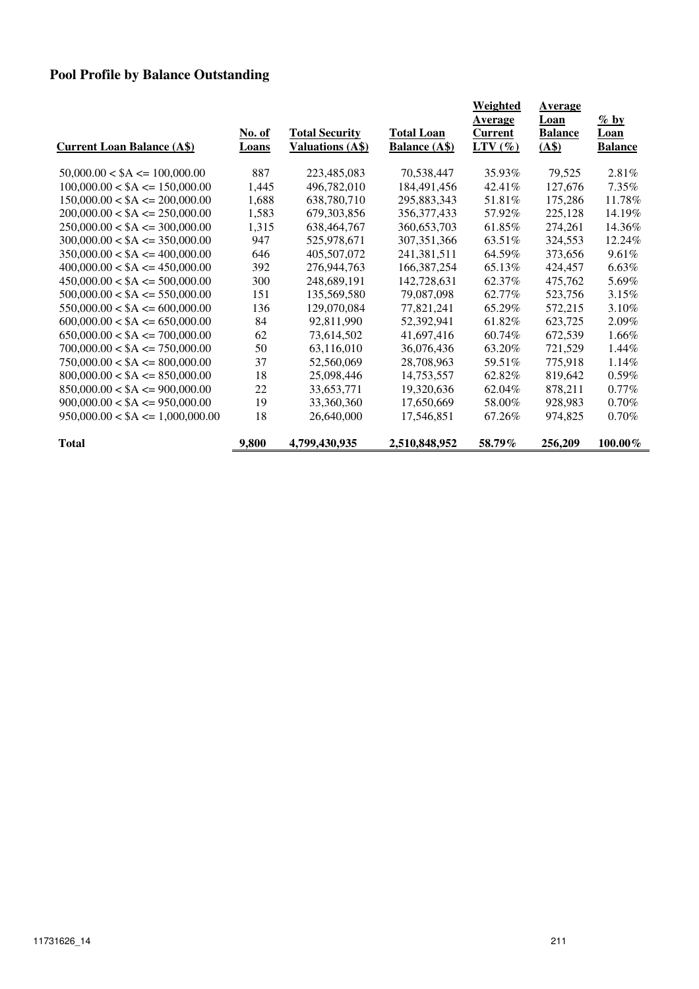## **Pool Profile by Balance Outstanding**

| <b>Current Loan Balance (A\$)</b>  | <u>No. of</u><br>Loans | <b>Total Security</b><br><b>Valuations (A\$)</b> | <b>Total Loan</b><br><b>Balance (A\$)</b> | Weighted<br>Average<br><b>Current</b><br>$LTV(\mathcal{C})$ | Average<br>Loan<br><b>Balance</b><br>(AS) | $\%$ by<br>Loan<br><b>Balance</b> |
|------------------------------------|------------------------|--------------------------------------------------|-------------------------------------------|-------------------------------------------------------------|-------------------------------------------|-----------------------------------|
| $50,000.00 < $A \le 100,000.00$    | 887                    | 223,485,083                                      | 70,538,447                                | 35.93%                                                      | 79,525                                    | 2.81%                             |
| $100,000.00 < $A \le 150,000.00$   | 1,445                  | 496,782,010                                      | 184,491,456                               | 42.41%                                                      | 127,676                                   | $7.35\%$                          |
| $150,000.00 < $A \le 200,000.00$   | 1,688                  | 638,780,710                                      | 295,883,343                               | 51.81%                                                      | 175,286                                   | 11.78%                            |
| $200,000.00 < $A \le 250,000.00$   | 1,583                  | 679,303,856                                      | 356, 377, 433                             | 57.92%                                                      | 225,128                                   | 14.19%                            |
| $250,000.00 < $A \le 300,000.00$   | 1,315                  | 638, 464, 767                                    | 360, 653, 703                             | 61.85%                                                      | 274,261                                   | 14.36%                            |
| $300,000.00 < $A \le 350,000.00$   | 947                    | 525,978,671                                      | 307, 351, 366                             | 63.51%                                                      | 324,553                                   | 12.24%                            |
| $350,000.00 < $A \leq 400,000.00$  | 646                    | 405,507,072                                      | 241,381,511                               | 64.59%                                                      | 373,656                                   | 9.61%                             |
| $400,000.00 < $A \le 450,000.00$   | 392                    | 276,944,763                                      | 166, 387, 254                             | 65.13%                                                      | 424,457                                   | $6.63\%$                          |
| $450,000.00 < $A \le 500,000.00$   | 300                    | 248,689,191                                      | 142,728,631                               | 62.37%                                                      | 475,762                                   | 5.69%                             |
| $500,000.00 < $A \le 550,000.00$   | 151                    | 135,569,580                                      | 79,087,098                                | 62.77%                                                      | 523,756                                   | 3.15%                             |
| $550,000.00 < $A \le 600,000.00$   | 136                    | 129,070,084                                      | 77,821,241                                | 65.29%                                                      | 572,215                                   | 3.10%                             |
| $600,000.00 < $A \le 650,000.00$   | 84                     | 92,811,990                                       | 52,392,941                                | 61.82%                                                      | 623,725                                   | 2.09%                             |
| $650,000.00 < $A \le 700,000.00$   | 62                     | 73,614,502                                       | 41,697,416                                | 60.74%                                                      | 672,539                                   | 1.66%                             |
| $700,000.00 < $A \le 750,000.00$   | 50                     | 63,116,010                                       | 36,076,436                                | 63.20%                                                      | 721,529                                   | 1.44%                             |
| $750,000.00 < $A \leq 800,000.00$  | 37                     | 52,560,069                                       | 28,708,963                                | 59.51%                                                      | 775,918                                   | 1.14%                             |
| $800,000.00 < $A \le 850,000.00$   | 18                     | 25,098,446                                       | 14,753,557                                | 62.82%                                                      | 819,642                                   | $0.59\%$                          |
| $850,000.00 < $A \le 900,000.00$   | 22                     | 33,653,771                                       | 19,320,636                                | 62.04%                                                      | 878,211                                   | $0.77\%$                          |
| $900,000.00 < $A \le 950,000.00$   | 19                     | 33,360,360                                       | 17,650,669                                | 58.00%                                                      | 928,983                                   | $0.70\%$                          |
| $950,000.00 < $A \le 1,000,000.00$ | 18                     | 26,640,000                                       | 17,546,851                                | 67.26%                                                      | 974,825                                   | $0.70\%$                          |
| <b>Total</b>                       | 9,800                  | 4,799,430,935                                    | 2,510,848,952                             | 58.79%                                                      | 256,209                                   | 100.00%                           |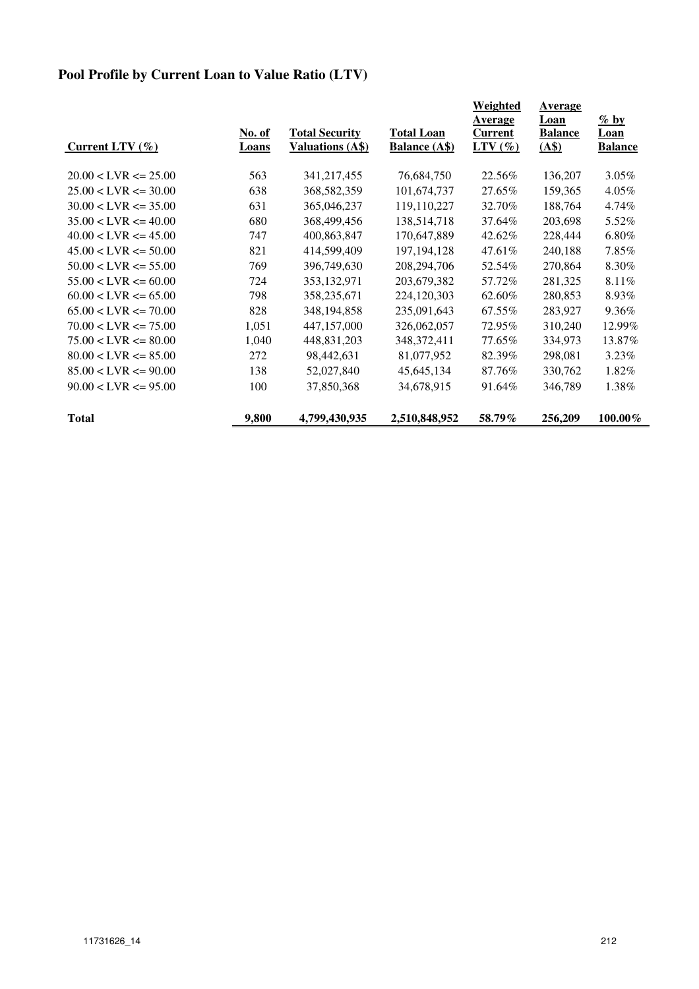## **Pool Profile by Current Loan to Value Ratio (LTV)**

|                          |               |                         |                      | Weighted       | <b>Average</b> |                |
|--------------------------|---------------|-------------------------|----------------------|----------------|----------------|----------------|
|                          |               |                         |                      | Average        | Loan           | $\%$ by        |
|                          | <u>No. of</u> | <b>Total Security</b>   | <b>Total Loan</b>    | <b>Current</b> | <b>Balance</b> | Loan           |
| Current LTV $(\% )$      | Loans         | <b>Valuations (A\$)</b> | <b>Balance (A\$)</b> | $LTV(\%)$      | (AS)           | <b>Balance</b> |
| $20.00 < LVR \le 25.00$  | 563           | 341,217,455             | 76,684,750           | 22.56%         | 136,207        | 3.05%          |
| $25.00 < LVR \le 30.00$  | 638           | 368,582,359             | 101,674,737          | 27.65%         | 159,365        | 4.05%          |
| $30.00 < LVR \le 35.00$  | 631           | 365,046,237             | 119,110,227          | 32.70%         | 188,764        | 4.74%          |
| $35.00 < LVR \le 40.00$  | 680           | 368,499,456             | 138,514,718          | 37.64%         | 203,698        | 5.52%          |
| $40.00 < LVR \le 45.00$  | 747           | 400,863,847             | 170,647,889          | 42.62%         | 228,444        | $6.80\%$       |
| $45.00 < LVR \le 50.00$  | 821           | 414,599,409             | 197, 194, 128        | 47.61%         | 240,188        | 7.85%          |
| $50.00 < LVR \le 55.00$  | 769           | 396,749,630             | 208,294,706          | 52.54%         | 270,864        | 8.30%          |
| $55.00 < LVR \le 60.00$  | 724           | 353, 132, 971           | 203,679,382          | 57.72%         | 281,325        | 8.11%          |
| $60.00 < LVR \le 65.00$  | 798           | 358,235,671             | 224,120,303          | 62.60%         | 280,853        | 8.93%          |
| $65.00 < LVR \le 70.00$  | 828           | 348, 194, 858           | 235,091,643          | 67.55%         | 283,927        | 9.36%          |
| $70.00 < LVR \le 75.00$  | 1,051         | 447, 157, 000           | 326,062,057          | 72.95%         | 310,240        | 12.99%         |
| $75.00 < LVR \leq 80.00$ | 1,040         | 448,831,203             | 348, 372, 411        | 77.65%         | 334,973        | 13.87%         |
| $80.00 < LVR \leq 85.00$ | 272           | 98,442,631              | 81,077,952           | 82.39%         | 298,081        | 3.23%          |
| $85.00 < LVR \le 90.00$  | 138           | 52,027,840              | 45,645,134           | 87.76%         | 330,762        | 1.82%          |
| $90.00 < LVR \le 95.00$  | 100           | 37,850,368              | 34,678,915           | 91.64%         | 346,789        | 1.38%          |
| <b>Total</b>             | 9,800         | 4,799,430,935           | 2,510,848,952        | 58.79%         | 256,209        | $100.00\%$     |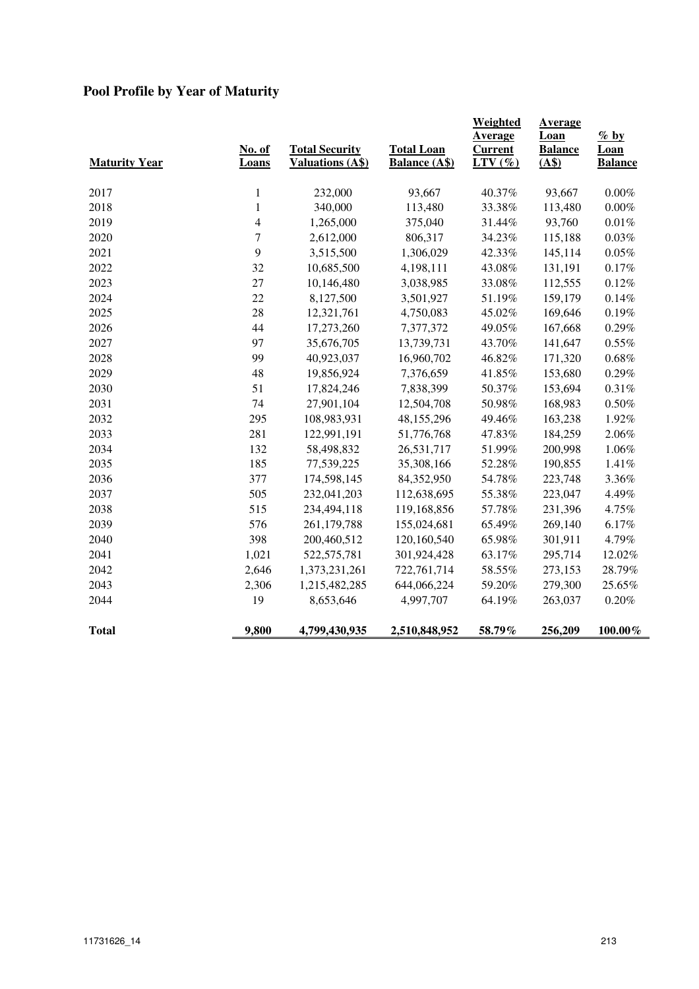# **Pool Profile by Year of Maturity**

| <b>Maturity Year</b> | No. of<br>Loans | <b>Total Security</b><br><b>Valuations (A\$)</b> | <b>Total Loan</b><br><b>Balance (A\$)</b> | <b>Weighted</b><br>Average<br><b>Current</b><br>$LTV(\%)$ | <b>Average</b><br>Loan<br><b>Balance</b><br>(A\$) | $\%$ by<br>Loan<br><b>Balance</b> |
|----------------------|-----------------|--------------------------------------------------|-------------------------------------------|-----------------------------------------------------------|---------------------------------------------------|-----------------------------------|
| 2017                 | $\mathbf{1}$    | 232,000                                          | 93,667                                    | 40.37%                                                    | 93,667                                            | $0.00\%$                          |
| 2018                 | $\mathbf{1}$    | 340,000                                          | 113,480                                   | 33.38%                                                    | 113,480                                           | $0.00\%$                          |
| 2019                 | 4               | 1,265,000                                        | 375,040                                   | 31.44%                                                    | 93,760                                            | $0.01\%$                          |
| 2020                 | 7               | 2,612,000                                        | 806,317                                   | 34.23%                                                    | 115,188                                           | $0.03\%$                          |
| 2021                 | 9               | 3,515,500                                        | 1,306,029                                 | 42.33%                                                    | 145,114                                           | $0.05\%$                          |
| 2022                 | 32              | 10,685,500                                       | 4,198,111                                 | 43.08%                                                    | 131,191                                           | 0.17%                             |
| 2023                 | 27              | 10,146,480                                       | 3,038,985                                 | 33.08%                                                    | 112,555                                           | 0.12%                             |
| 2024                 | 22              | 8,127,500                                        | 3,501,927                                 | 51.19%                                                    | 159,179                                           | 0.14%                             |
| 2025                 | 28              | 12,321,761                                       | 4,750,083                                 | 45.02%                                                    | 169,646                                           | 0.19%                             |
| 2026                 | 44              | 17,273,260                                       | 7,377,372                                 | 49.05%                                                    | 167,668                                           | $0.29\%$                          |
| 2027                 | 97              | 35,676,705                                       | 13,739,731                                | 43.70%                                                    | 141,647                                           | 0.55%                             |
| 2028                 | 99              | 40,923,037                                       | 16,960,702                                | 46.82%                                                    | 171,320                                           | $0.68\%$                          |
| 2029                 | 48              | 19,856,924                                       | 7,376,659                                 | 41.85%                                                    | 153,680                                           | 0.29%                             |
| 2030                 | 51              | 17,824,246                                       | 7,838,399                                 | 50.37%                                                    | 153,694                                           | 0.31%                             |
| 2031                 | 74              | 27,901,104                                       | 12,504,708                                | 50.98%                                                    | 168,983                                           | $0.50\%$                          |
| 2032                 | 295             | 108,983,931                                      | 48,155,296                                | 49.46%                                                    | 163,238                                           | 1.92%                             |
| 2033                 | 281             | 122,991,191                                      | 51,776,768                                | 47.83%                                                    | 184,259                                           | 2.06%                             |
| 2034                 | 132             | 58,498,832                                       | 26,531,717                                | 51.99%                                                    | 200,998                                           | 1.06%                             |
| 2035                 | 185             | 77,539,225                                       | 35,308,166                                | 52.28%                                                    | 190,855                                           | 1.41%                             |
| 2036                 | 377             | 174,598,145                                      | 84,352,950                                | 54.78%                                                    | 223,748                                           | 3.36%                             |
| 2037                 | 505             | 232,041,203                                      | 112,638,695                               | 55.38%                                                    | 223,047                                           | 4.49%                             |
| 2038                 | 515             | 234,494,118                                      | 119,168,856                               | 57.78%                                                    | 231,396                                           | 4.75%                             |
| 2039                 | 576             | 261,179,788                                      | 155,024,681                               | 65.49%                                                    | 269,140                                           | 6.17%                             |
| 2040                 | 398             | 200,460,512                                      | 120,160,540                               | 65.98%                                                    | 301,911                                           | 4.79%                             |
| 2041                 | 1,021           | 522,575,781                                      | 301,924,428                               | 63.17%                                                    | 295,714                                           | 12.02%                            |
| 2042                 | 2,646           | 1,373,231,261                                    | 722,761,714                               | 58.55%                                                    | 273,153                                           | 28.79%                            |
| 2043                 | 2,306           | 1,215,482,285                                    | 644,066,224                               | 59.20%                                                    | 279,300                                           | 25.65%                            |
| 2044                 | 19              | 8,653,646                                        | 4,997,707                                 | 64.19%                                                    | 263,037                                           | $0.20\%$                          |
| <b>Total</b>         | 9,800           | 4,799,430,935                                    | 2,510,848,952                             | 58.79%                                                    | 256,209                                           | $100.00\%$                        |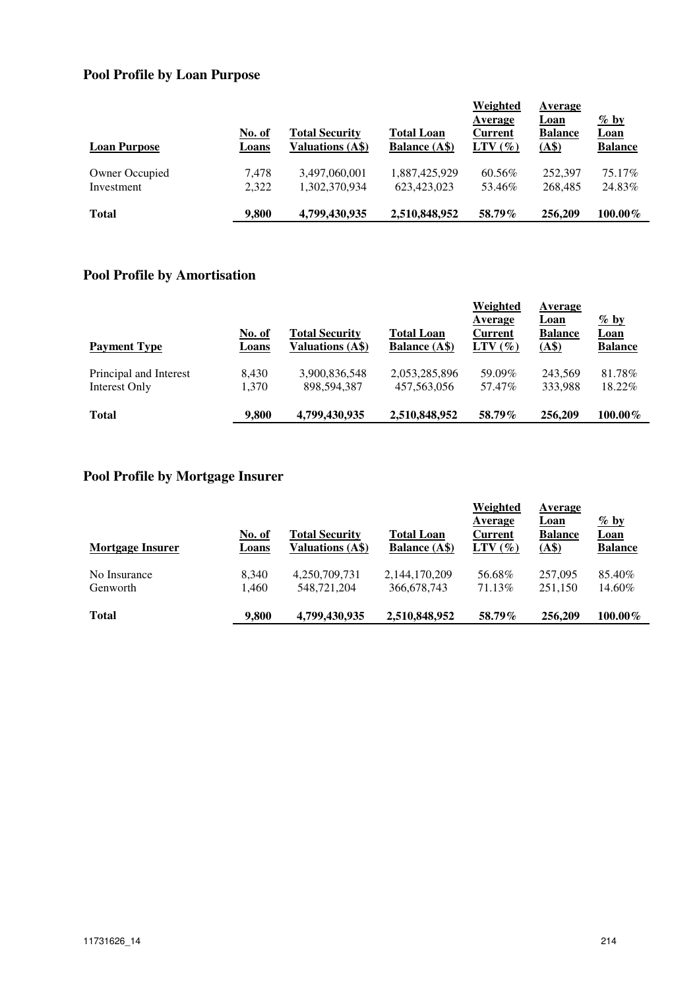## **Pool Profile by Loan Purpose**

| <b>Loan Purpose</b> | <b>No. of</b><br>Loans | <b>Total Security</b><br>Valuations (A\$) | <b>Total Loan</b><br><b>Balance</b> (A\$) | Weighted<br>Average<br><b>Current</b><br>$LTV(\%)$ | Average<br>Loan<br><b>Balance</b><br>(AS) | $\frac{\%$ by<br><u>Loan</u><br><b>Balance</b> |
|---------------------|------------------------|-------------------------------------------|-------------------------------------------|----------------------------------------------------|-------------------------------------------|------------------------------------------------|
| Owner Occupied      | 7.478                  | 3,497,060,001                             | 1.887.425.929                             | 60.56%                                             | 252,397                                   | 75.17%                                         |
| Investment          | 2,322                  | 1,302,370,934                             | 623,423,023                               | 53.46%                                             | 268,485                                   | 24.83%                                         |
| <b>Total</b>        | 9.800                  | 4,799,430,935                             | 2,510,848,952                             | 58.79%                                             | 256,209                                   | $100.00\%$                                     |

#### **Pool Profile by Amortisation**

| <b>Payment Type</b>    | <u>No. of</u><br>Loans | <b>Total Security</b><br>Valuations (A\$) | <b>Total Loan</b><br><b>Balance</b> (A\$) | Weighted<br>Average<br>Current<br>$LTV(\%)$ | Average<br>Loan<br><b>Balance</b><br>(A\$) | $\%$ by<br><b>Loan</b><br><b>Balance</b> |
|------------------------|------------------------|-------------------------------------------|-------------------------------------------|---------------------------------------------|--------------------------------------------|------------------------------------------|
| Principal and Interest | 8.430                  | 3,900,836,548                             | 2,053,285,896                             | 59.09%                                      | 243.569                                    | 81.78%                                   |
| Interest Only          | 1.370                  | 898,594,387                               | 457, 563, 056                             | 57.47%                                      | 333.988                                    | 18.22%                                   |
| <b>Total</b>           | 9.800                  | 4,799,430,935                             | 2,510,848,952                             | 58.79%                                      | 256,209                                    | $100.00\%$                               |

# **Pool Profile by Mortgage Insurer**

| <b>Mortgage Insurer</b> | <b>No. of</b><br>Loans | <b>Total Security</b><br><b>Valuations (A\$)</b> | <b>Total Loan</b><br><b>Balance</b> (A\$) | Weighted<br>Average<br><b>Current</b><br>$LTV(\%)$ | Average<br>Loan<br><b>Balance</b><br>(A\$) | $\frac{\%$ by<br><b>Loan</b><br><b>Balance</b> |
|-------------------------|------------------------|--------------------------------------------------|-------------------------------------------|----------------------------------------------------|--------------------------------------------|------------------------------------------------|
| No Insurance            | 8,340                  | 4,250,709,731                                    | 2,144,170,209                             | 56.68%                                             | 257,095                                    | 85.40%                                         |
| Genworth                | 1.460                  | 548.721.204                                      | 366,678,743                               | 71.13\%                                            | 251,150                                    | 14.60%                                         |
| <b>Total</b>            | 9.800                  | 4,799,430,935                                    | 2,510,848,952                             | 58.79%                                             | 256,209                                    | $100.00\%$                                     |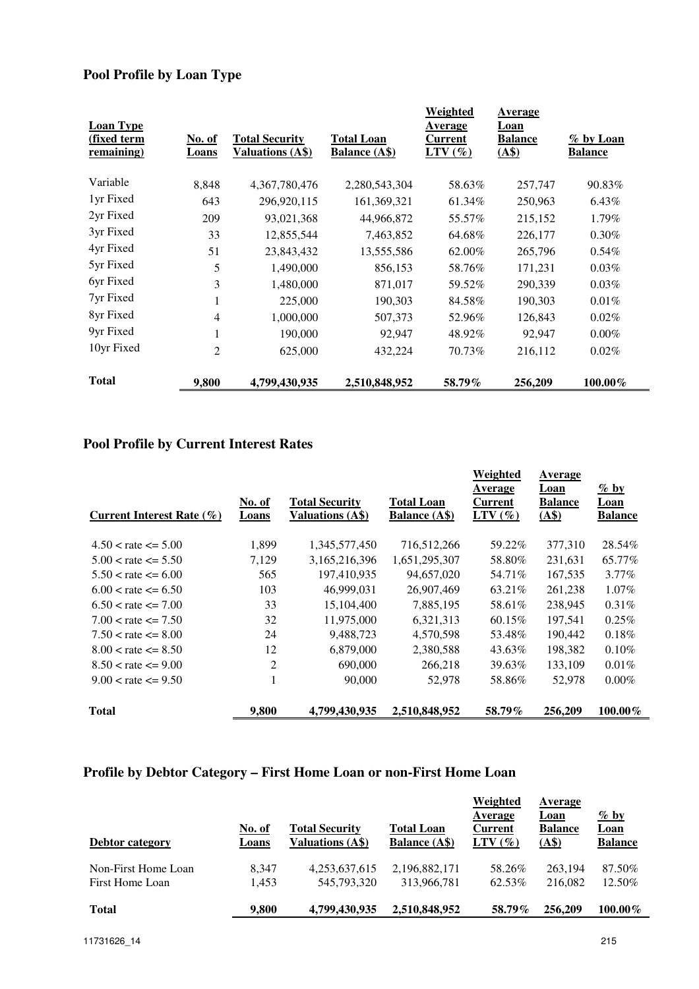## **Pool Profile by Loan Type**

| <b>Loan Type</b>                 |                 |                                                  |                                           | <b>Weighted</b><br>Average | Average<br><b>Loan</b> |                             |
|----------------------------------|-----------------|--------------------------------------------------|-------------------------------------------|----------------------------|------------------------|-----------------------------|
| (fixed term<br><u>remaining)</u> | No. of<br>Loans | <b>Total Security</b><br><b>Valuations (A\$)</b> | <b>Total Loan</b><br><b>Balance (A\$)</b> | Current<br>$LTV(\%)$       | <b>Balance</b><br>(AS) | % by Loan<br><b>Balance</b> |
| Variable                         | 8,848           | 4,367,780,476                                    | 2,280,543,304                             | 58.63%                     | 257,747                | 90.83%                      |
| 1yr Fixed                        | 643             | 296,920,115                                      | 161,369,321                               | 61.34%                     | 250,963                | $6.43\%$                    |
| 2yr Fixed                        | 209             | 93,021,368                                       | 44,966,872                                | 55.57%                     | 215,152                | 1.79%                       |
| 3yr Fixed                        | 33              | 12,855,544                                       | 7,463,852                                 | 64.68%                     | 226,177                | $0.30\%$                    |
| 4yr Fixed                        | 51              | 23,843,432                                       | 13,555,586                                | 62.00%                     | 265,796                | $0.54\%$                    |
| 5yr Fixed                        | 5               | 1,490,000                                        | 856,153                                   | 58.76%                     | 171,231                | 0.03%                       |
| 6yr Fixed                        | 3               | 1,480,000                                        | 871,017                                   | 59.52%                     | 290,339                | 0.03%                       |
| 7yr Fixed                        |                 | 225,000                                          | 190,303                                   | 84.58%                     | 190,303                | 0.01%                       |
| 8yr Fixed                        | 4               | 1,000,000                                        | 507,373                                   | 52.96%                     | 126,843                | 0.02%                       |
| 9yr Fixed                        |                 | 190,000                                          | 92,947                                    | 48.92%                     | 92,947                 | $0.00\%$                    |
| 10yr Fixed                       | $\overline{2}$  | 625,000                                          | 432,224                                   | 70.73%                     | 216,112                | 0.02%                       |
| <b>Total</b>                     | 9,800           | 4,799,430,935                                    | 2,510,848,952                             | 58.79%                     | 256,209                | 100.00%                     |

#### **Pool Profile by Current Interest Rates**

| Current Interest Rate $(\% )$ | No. of<br>Loans | <b>Total Security</b><br><b>Valuations (A\$)</b> | Total Loan<br><b>Balance</b> (A\$) | Weighted<br>Average<br>Current<br>$LTV(\%)$ | Average<br>Loan<br><b>Balance</b><br>(A\$) | $\%$ by<br>Loan<br><b>Balance</b> |
|-------------------------------|-----------------|--------------------------------------------------|------------------------------------|---------------------------------------------|--------------------------------------------|-----------------------------------|
| $4.50 <$ rate $\leq 5.00$     | 1,899           | 1,345,577,450                                    | 716,512,266                        | 59.22%                                      | 377,310                                    | 28.54%                            |
| $5.00 <$ rate $\leq 5.50$     | 7,129           | 3,165,216,396                                    | 1,651,295,307                      | 58.80%                                      | 231,631                                    | 65.77%                            |
| $5.50 <$ rate $\leq 6.00$     | 565             | 197,410,935                                      | 94,657,020                         | 54.71%                                      | 167,535                                    | $3.77\%$                          |
| $6.00 <$ rate $\leq 6.50$     | 103             | 46,999,031                                       | 26,907,469                         | 63.21%                                      | 261,238                                    | $1.07\%$                          |
| $6.50 <$ rate $\leq$ 7.00     | 33              | 15,104,400                                       | 7,885,195                          | 58.61%                                      | 238,945                                    | $0.31\%$                          |
| $7.00 <$ rate $\leq$ = 7.50   | 32              | 11,975,000                                       | 6,321,313                          | $60.15\%$                                   | 197,541                                    | $0.25\%$                          |
| $7.50 <$ rate $\leq$ 8.00     | 24              | 9,488,723                                        | 4,570,598                          | 53.48%                                      | 190,442                                    | 0.18%                             |
| $8.00 <$ rate $\leq$ = 8.50   | 12              | 6,879,000                                        | 2,380,588                          | 43.63%                                      | 198,382                                    | 0.10%                             |
| $8.50 <$ rate $\leq$ = 9.00   | 2               | 690,000                                          | 266,218                            | 39.63%                                      | 133,109                                    | 0.01%                             |
| $9.00 <$ rate $\leq$ = 9.50   | 1               | 90,000                                           | 52,978                             | 58.86%                                      | 52,978                                     | $0.00\%$                          |
| <b>Total</b>                  | 9,800           | 4,799,430,935                                    | 2,510,848,952                      | 58.79%                                      | 256,209                                    | $100.00\%$                        |

## **Profile by Debtor Category – First Home Loan or non-First Home Loan**

| Debtor category     | No. of<br>Loans | <b>Total Security</b><br>Valuations (A\$) | <b>Total Loan</b><br><b>Balance</b> (A\$) | Weighted<br>Average<br>Current<br>$LTV(\%)$ | Average<br>Loan<br><b>Balance</b><br>(AS) | $\frac{\%}{\%}$ by<br><b>Loan</b><br><b>Balance</b> |
|---------------------|-----------------|-------------------------------------------|-------------------------------------------|---------------------------------------------|-------------------------------------------|-----------------------------------------------------|
| Non-First Home Loan | 8.347           | 4.253.637.615                             | 2,196,882,171                             | 58.26%                                      | 263.194                                   | 87.50%                                              |
| First Home Loan     | 1,453           | 545,793,320                               | 313,966,781                               | 62.53%                                      | 216,082                                   | 12.50%                                              |
| <b>Total</b>        | 9.800           | 4,799,430,935                             | 2,510,848,952                             | 58.79%                                      | 256,209                                   | $100.00\%$                                          |